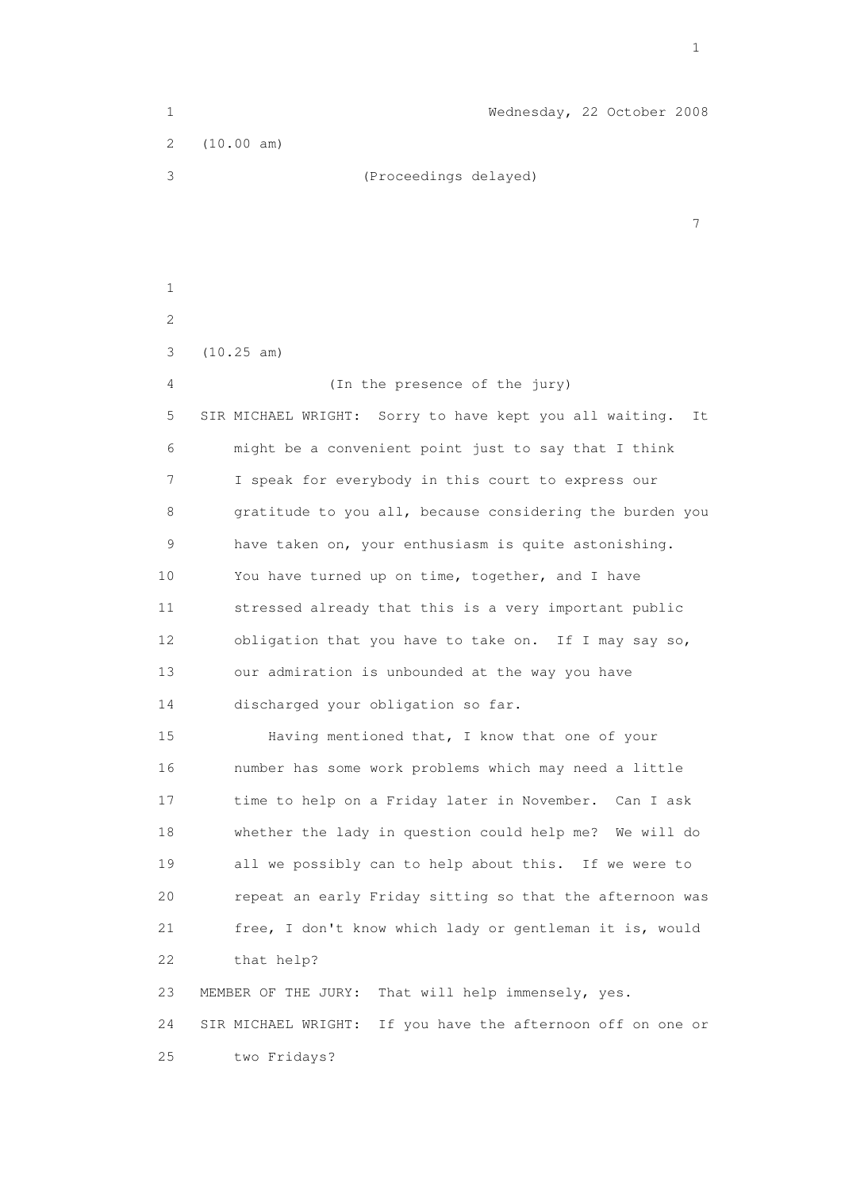1 Wednesday, 22 October 2008 2 (10.00 am) 3 (Proceedings delayed) 7 1 2 3 (10.25 am) 4 (In the presence of the jury) 5 SIR MICHAEL WRIGHT: Sorry to have kept you all waiting. It 6 might be a convenient point just to say that I think 7 I speak for everybody in this court to express our 8 gratitude to you all, because considering the burden you 9 have taken on, your enthusiasm is quite astonishing. 10 You have turned up on time, together, and I have 11 stressed already that this is a very important public 12 obligation that you have to take on. If I may say so, 13 our admiration is unbounded at the way you have 14 discharged your obligation so far. 15 Having mentioned that, I know that one of your 16 number has some work problems which may need a little 17 time to help on a Friday later in November. Can I ask 18 whether the lady in question could help me? We will do 19 all we possibly can to help about this. If we were to 20 repeat an early Friday sitting so that the afternoon was 21 free, I don't know which lady or gentleman it is, would 22 that help? 23 MEMBER OF THE JURY: That will help immensely, yes. 24 SIR MICHAEL WRIGHT: If you have the afternoon off on one or 25 two Fridays?

the contract of the contract of the contract of the contract of the contract of the contract of the contract of the contract of the contract of the contract of the contract of the contract of the contract of the contract o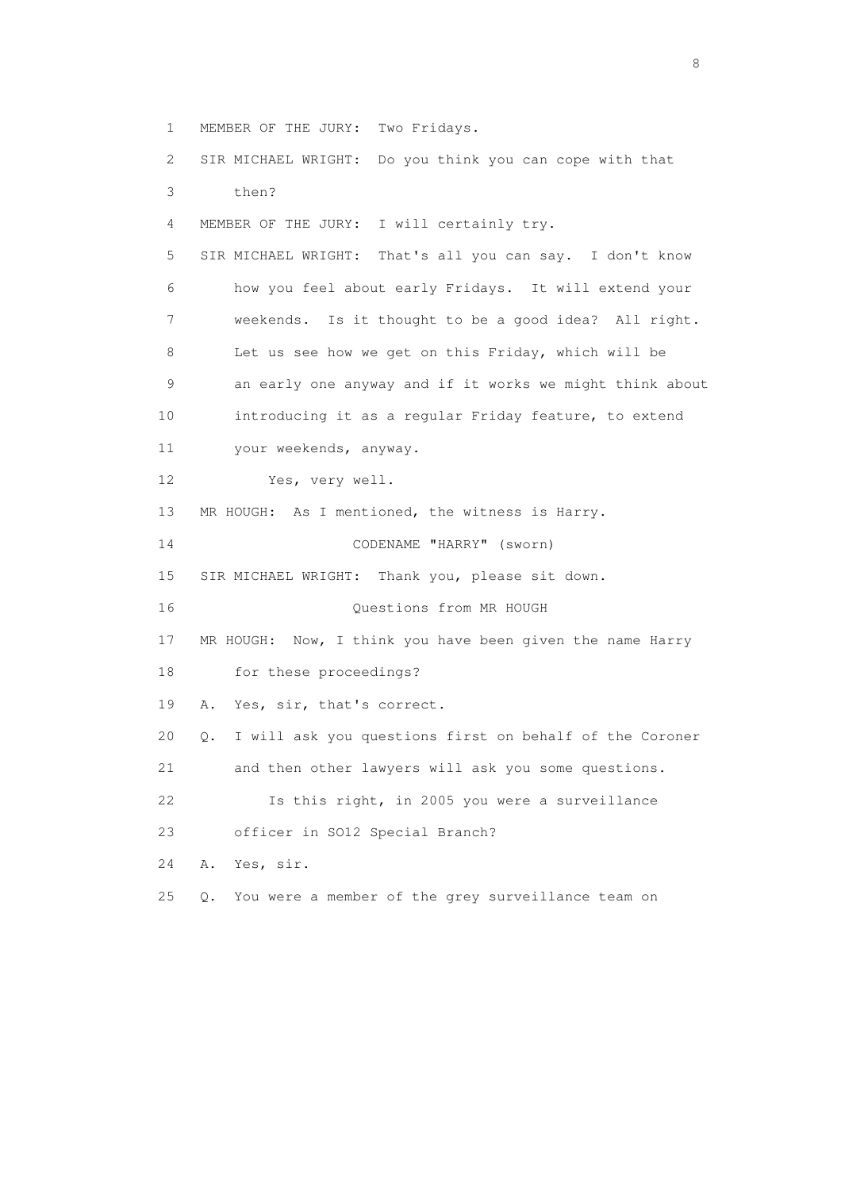1 MEMBER OF THE JURY: Two Fridays. 2 SIR MICHAEL WRIGHT: Do you think you can cope with that 3 then? 4 MEMBER OF THE JURY: I will certainly try. 5 SIR MICHAEL WRIGHT: That's all you can say. I don't know 6 how you feel about early Fridays. It will extend your 7 weekends. Is it thought to be a good idea? All right. 8 Let us see how we get on this Friday, which will be 9 an early one anyway and if it works we might think about 10 introducing it as a regular Friday feature, to extend 11 your weekends, anyway. 12 Yes, very well. 13 MR HOUGH: As I mentioned, the witness is Harry. 14 CODENAME "HARRY" (sworn) 15 SIR MICHAEL WRIGHT: Thank you, please sit down. 16 Questions from MR HOUGH 17 MR HOUGH: Now, I think you have been given the name Harry 18 for these proceedings? 19 A. Yes, sir, that's correct. 20 Q. I will ask you questions first on behalf of the Coroner 21 and then other lawyers will ask you some questions. 22 Is this right, in 2005 you were a surveillance 23 officer in SO12 Special Branch? 24 A. Yes, sir. 25 Q. You were a member of the grey surveillance team on

en de la construction de la construction de la construction de la construction de la construction de la constr<br>En 1980, en 1980, en 1980, en 1980, en 1980, en 1980, en 1980, en 1980, en 1980, en 1980, en 1980, en 1980, en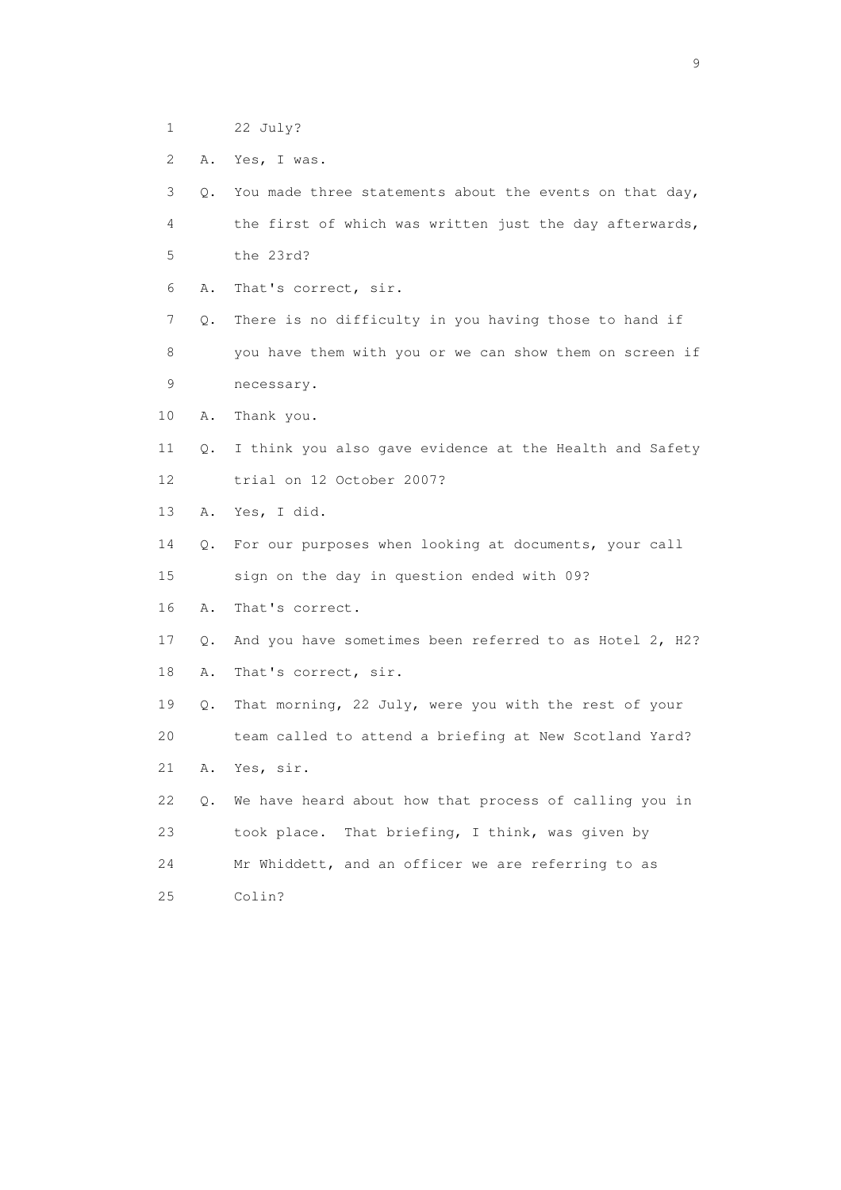- 1 22 July?
- 2 A. Yes, I was.

| 3  | $\circ$ . | You made three statements about the events on that day, |
|----|-----------|---------------------------------------------------------|
| 4  |           | the first of which was written just the day afterwards, |
| 5  |           | the 23rd?                                               |
| 6  | Α.        | That's correct, sir.                                    |
| 7  | Q.        | There is no difficulty in you having those to hand if   |
| 8  |           | you have them with you or we can show them on screen if |
| 9  |           | necessary.                                              |
| 10 | Α.        | Thank you.                                              |
| 11 | Q.        | I think you also gave evidence at the Health and Safety |
| 12 |           | trial on 12 October 2007?                               |
| 13 | Α.        | Yes, I did.                                             |
| 14 | Q.        | For our purposes when looking at documents, your call   |
| 15 |           | sign on the day in question ended with 09?              |
| 16 | Α.        | That's correct.                                         |
| 17 | О.        | And you have sometimes been referred to as Hotel 2, H2? |
| 18 | Α.        | That's correct, sir.                                    |
| 19 | Q.        | That morning, 22 July, were you with the rest of your   |
| 20 |           | team called to attend a briefing at New Scotland Yard?  |
| 21 | Α.        | Yes, sir.                                               |
| 22 | Q.        | We have heard about how that process of calling you in  |
| 23 |           | took place. That briefing, I think, was given by        |
| 24 |           | Mr Whiddett, and an officer we are referring to as      |
| 25 |           | Colin?                                                  |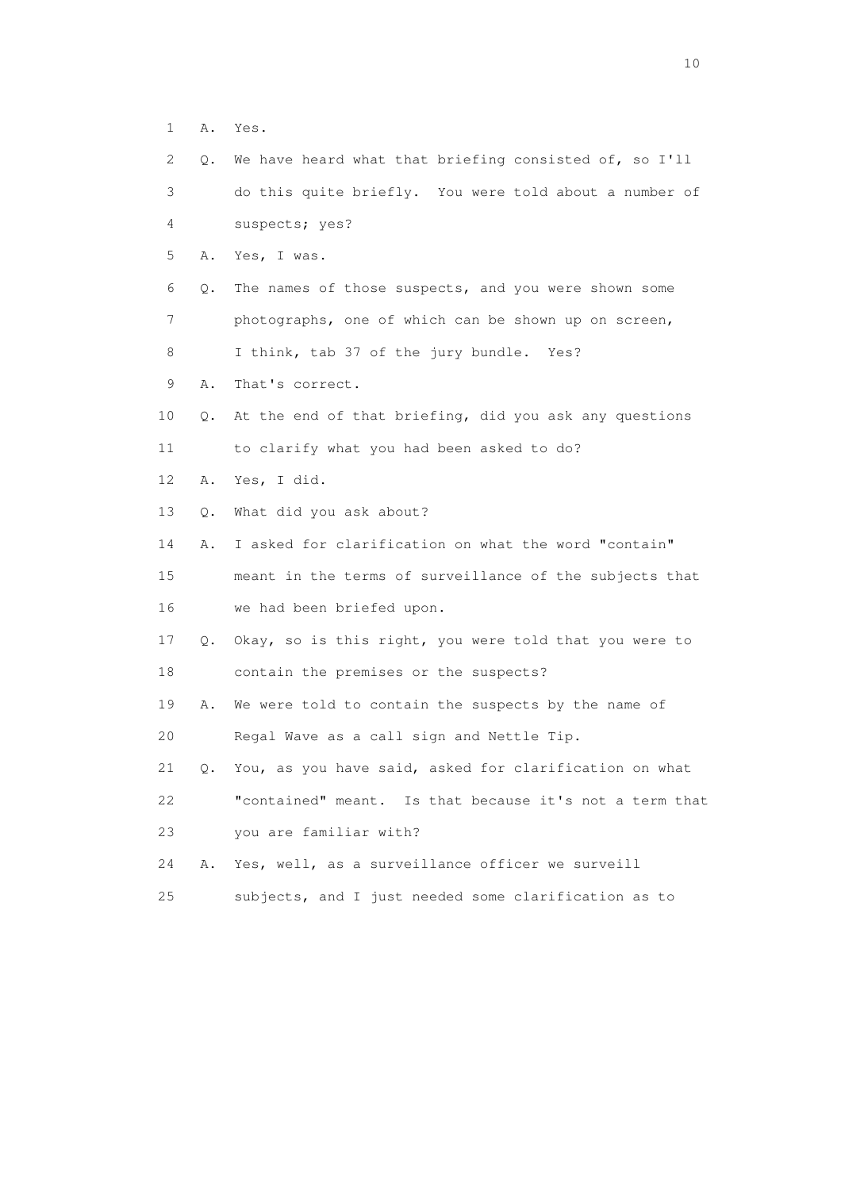1 A. Yes.

| $\mathbf{2}^{\mathsf{I}}$ | Q. | We have heard what that briefing consisted of, so I'll  |
|---------------------------|----|---------------------------------------------------------|
| 3                         |    | do this quite briefly. You were told about a number of  |
| 4                         |    | suspects; yes?                                          |
| 5                         | Α. | Yes, I was.                                             |
| 6                         | Q. | The names of those suspects, and you were shown some    |
| 7                         |    | photographs, one of which can be shown up on screen,    |
| 8                         |    | I think, tab 37 of the jury bundle. Yes?                |
| 9                         | Α. | That's correct.                                         |
| 10                        | Q. | At the end of that briefing, did you ask any questions  |
| 11                        |    | to clarify what you had been asked to do?               |
| 12                        | Α. | Yes, I did.                                             |
| 13                        | Q. | What did you ask about?                                 |
| 14                        | Α. | I asked for clarification on what the word "contain"    |
| 15                        |    | meant in the terms of surveillance of the subjects that |
| 16                        |    | we had been briefed upon.                               |
| 17                        | Q. | Okay, so is this right, you were told that you were to  |
| 18                        |    | contain the premises or the suspects?                   |
| 19                        | Α. | We were told to contain the suspects by the name of     |
| 20                        |    | Regal Wave as a call sign and Nettle Tip.               |
| 21                        | Q. | You, as you have said, asked for clarification on what  |
| 22                        |    | "contained" meant. Is that because it's not a term that |
| 23                        |    | you are familiar with?                                  |
| 24                        | Α. | Yes, well, as a surveillance officer we surveill        |
| 25                        |    | subjects, and I just needed some clarification as to    |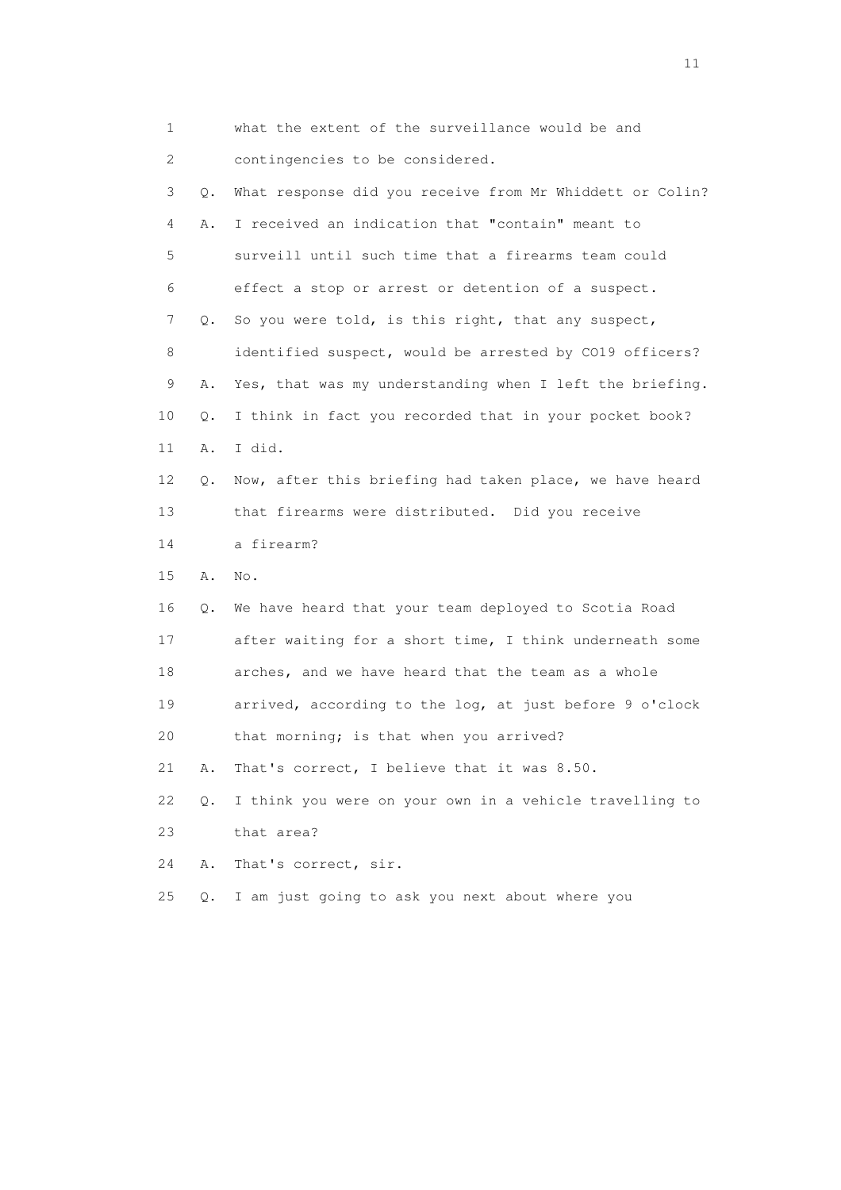| 1                         |       | what the extent of the surveillance would be and         |
|---------------------------|-------|----------------------------------------------------------|
| $\mathbf{2}^{\mathsf{I}}$ |       | contingencies to be considered.                          |
| 3                         | Q.    | What response did you receive from Mr Whiddett or Colin? |
| 4                         | Α.    | I received an indication that "contain" meant to         |
| 5                         |       | surveill until such time that a firearms team could      |
| 6                         |       | effect a stop or arrest or detention of a suspect.       |
| 7                         | Q.    | So you were told, is this right, that any suspect,       |
| 8                         |       | identified suspect, would be arrested by CO19 officers?  |
| 9                         | Α.    | Yes, that was my understanding when I left the briefing. |
| 10                        | Q.    | I think in fact you recorded that in your pocket book?   |
| 11                        | Α.    | I did.                                                   |
| 12                        | Q.    | Now, after this briefing had taken place, we have heard  |
| 13                        |       | that firearms were distributed. Did you receive          |
| 14                        |       | a firearm?                                               |
| 15                        | Α.    | No.                                                      |
| 16                        | Q.    | We have heard that your team deployed to Scotia Road     |
| 17                        |       | after waiting for a short time, I think underneath some  |
| 18                        |       | arches, and we have heard that the team as a whole       |
| 19                        |       | arrived, according to the log, at just before 9 o'clock  |
| 20                        |       | that morning; is that when you arrived?                  |
| 21                        | Α.    | That's correct, I believe that it was 8.50.              |
| 22                        | $Q$ . | I think you were on your own in a vehicle travelling to  |
| 23                        |       | that area?                                               |
| 24                        | Α.    | That's correct, sir.                                     |
| 25                        | Q.    | I am just going to ask you next about where you          |
|                           |       |                                                          |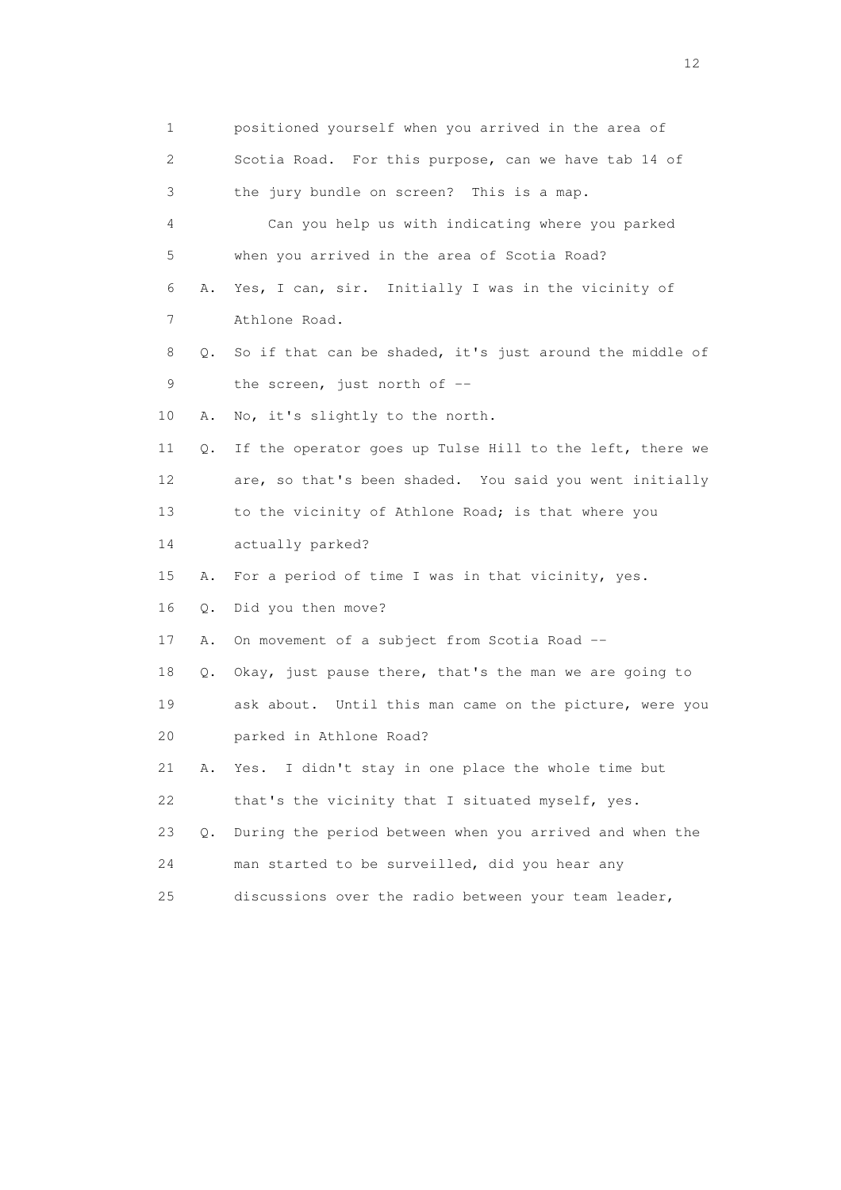1 positioned yourself when you arrived in the area of 2 Scotia Road. For this purpose, can we have tab 14 of 3 the jury bundle on screen? This is a map. 4 Can you help us with indicating where you parked 5 when you arrived in the area of Scotia Road? 6 A. Yes, I can, sir. Initially I was in the vicinity of 7 Athlone Road. 8 Q. So if that can be shaded, it's just around the middle of 9 the screen, just north of -- 10 A. No, it's slightly to the north. 11 Q. If the operator goes up Tulse Hill to the left, there we 12 are, so that's been shaded. You said you went initially 13 to the vicinity of Athlone Road; is that where you 14 actually parked? 15 A. For a period of time I was in that vicinity, yes. 16 Q. Did you then move? 17 A. On movement of a subject from Scotia Road -- 18 Q. Okay, just pause there, that's the man we are going to 19 ask about. Until this man came on the picture, were you 20 parked in Athlone Road? 21 A. Yes. I didn't stay in one place the whole time but 22 that's the vicinity that I situated myself, yes. 23 Q. During the period between when you arrived and when the 24 man started to be surveilled, did you hear any 25 discussions over the radio between your team leader,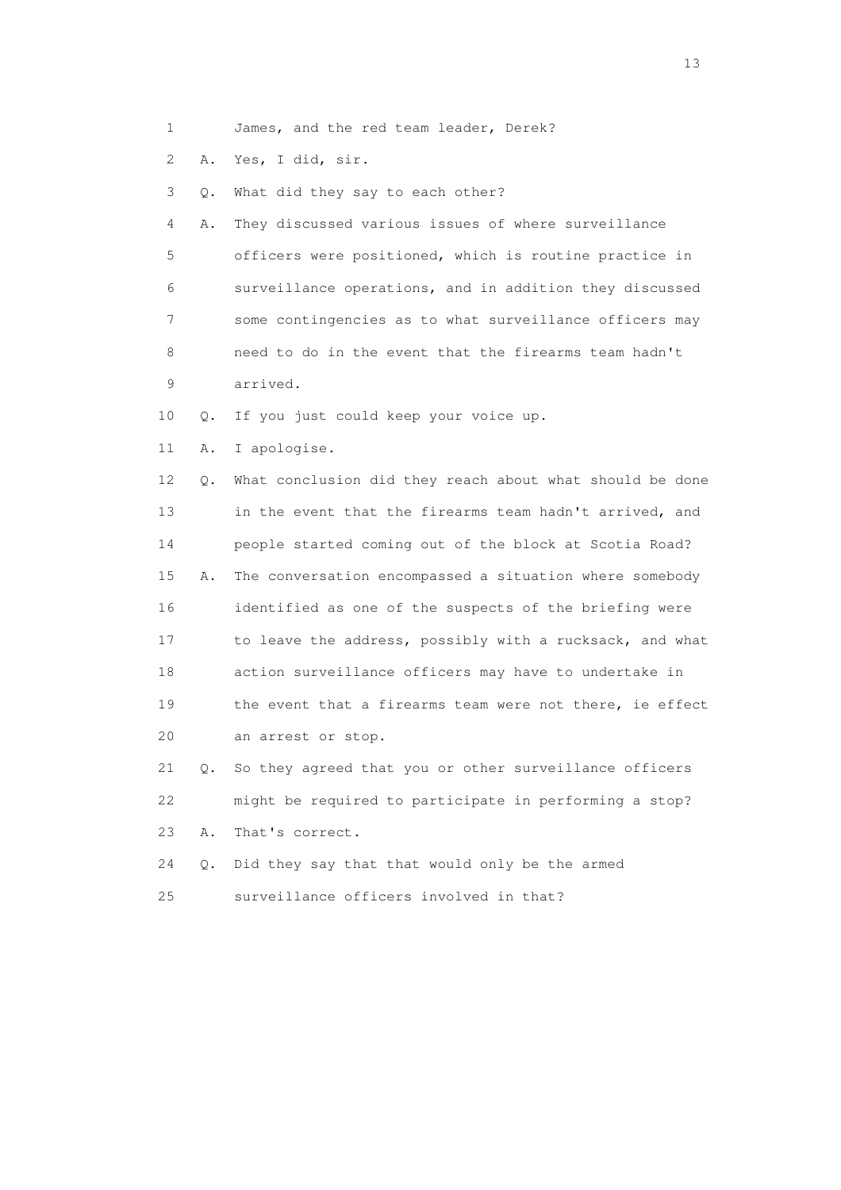- 1 James, and the red team leader, Derek?
- 2 A. Yes, I did, sir.

3 Q. What did they say to each other?

 4 A. They discussed various issues of where surveillance 5 officers were positioned, which is routine practice in 6 surveillance operations, and in addition they discussed 7 some contingencies as to what surveillance officers may 8 need to do in the event that the firearms team hadn't 9 arrived.

- 10 Q. If you just could keep your voice up.
- 11 A. I apologise.

 12 Q. What conclusion did they reach about what should be done 13 in the event that the firearms team hadn't arrived, and 14 people started coming out of the block at Scotia Road? 15 A. The conversation encompassed a situation where somebody 16 identified as one of the suspects of the briefing were 17 to leave the address, possibly with a rucksack, and what 18 action surveillance officers may have to undertake in 19 the event that a firearms team were not there, ie effect 20 an arrest or stop.

 21 Q. So they agreed that you or other surveillance officers 22 might be required to participate in performing a stop? 23 A. That's correct.

 24 Q. Did they say that that would only be the armed 25 surveillance officers involved in that?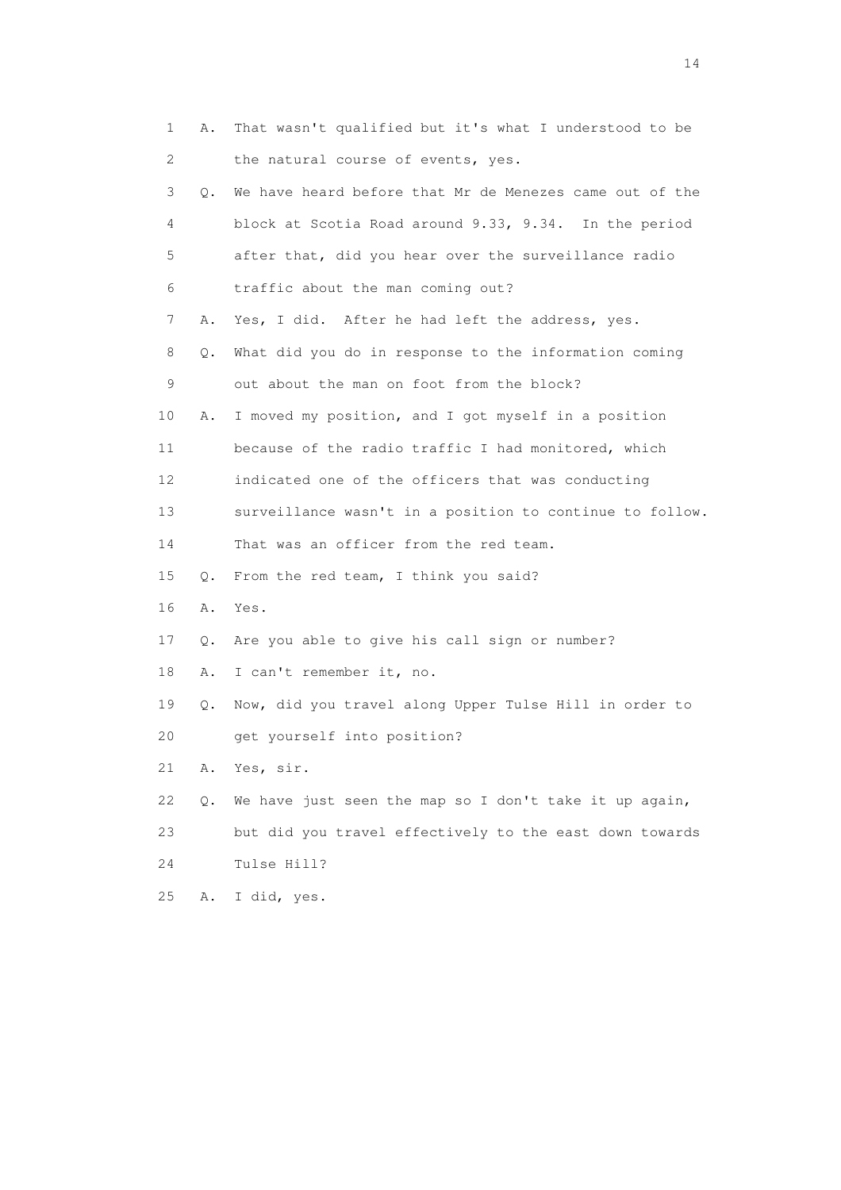| 1  | Α. | That wasn't qualified but it's what I understood to be   |
|----|----|----------------------------------------------------------|
| 2  |    | the natural course of events, yes.                       |
| 3  | 0. | We have heard before that Mr de Menezes came out of the  |
| 4  |    | block at Scotia Road around 9.33, 9.34. In the period    |
| 5  |    | after that, did you hear over the surveillance radio     |
| 6  |    | traffic about the man coming out?                        |
| 7  | Α. | Yes, I did. After he had left the address, yes.          |
| 8  | Q. | What did you do in response to the information coming    |
| 9  |    | out about the man on foot from the block?                |
| 10 | Α. | I moved my position, and I got myself in a position      |
| 11 |    | because of the radio traffic I had monitored, which      |
| 12 |    | indicated one of the officers that was conducting        |
| 13 |    | surveillance wasn't in a position to continue to follow. |
| 14 |    | That was an officer from the red team.                   |
| 15 | Q. | From the red team, I think you said?                     |
| 16 | Α. | Yes.                                                     |
| 17 | Q. | Are you able to give his call sign or number?            |
| 18 | Α. | I can't remember it, no.                                 |
| 19 | Q. | Now, did you travel along Upper Tulse Hill in order to   |
| 20 |    | get yourself into position?                              |
| 21 | Α. | Yes, sir.                                                |
| 22 | Q. | We have just seen the map so I don't take it up again,   |
| 23 |    | but did you travel effectively to the east down towards  |
| 24 |    | Tulse Hill?                                              |
| 25 | Α. | I did, yes.                                              |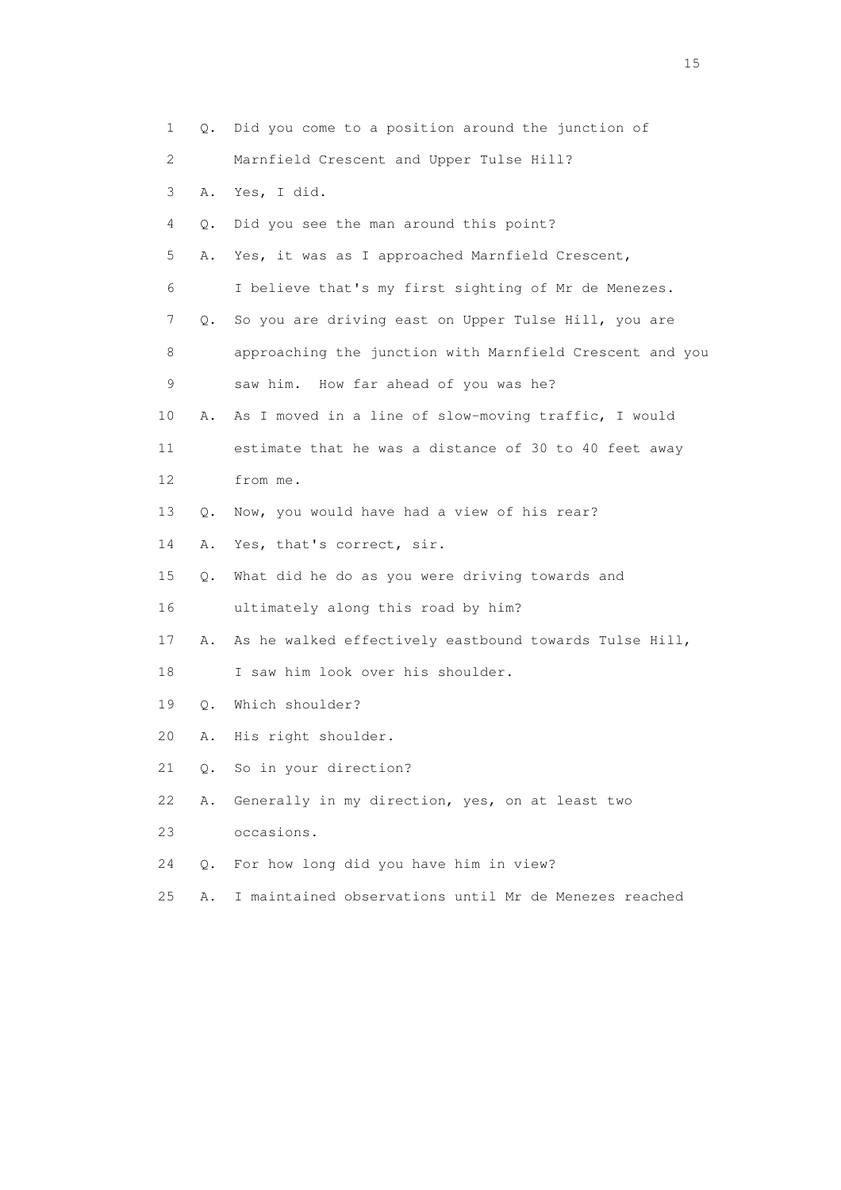| 1                         |               | Q. Did you come to a position around the junction of     |
|---------------------------|---------------|----------------------------------------------------------|
| $\mathbf{2}^{\mathsf{I}}$ |               | Marnfield Crescent and Upper Tulse Hill?                 |
| 3                         | Α.            | Yes, I did.                                              |
| 4                         | О.            | Did you see the man around this point?                   |
| 5                         | Α.            | Yes, it was as I approached Marnfield Crescent,          |
| 6                         |               | I believe that's my first sighting of Mr de Menezes.     |
| 7                         | Q.            | So you are driving east on Upper Tulse Hill, you are     |
| 8                         |               | approaching the junction with Marnfield Crescent and you |
| 9                         |               | saw him. How far ahead of you was he?                    |
| 10                        | Α.            | As I moved in a line of slow-moving traffic, I would     |
| 11                        |               | estimate that he was a distance of 30 to 40 feet away    |
| 12                        |               | from me.                                                 |
| 13                        | О.            | Now, you would have had a view of his rear?              |
| 14                        | Α.            | Yes, that's correct, sir.                                |
| 15                        | Q.            | What did he do as you were driving towards and           |
| 16                        |               | ultimately along this road by him?                       |
| 17                        | Α.            | As he walked effectively eastbound towards Tulse Hill,   |
| 18                        |               | I saw him look over his shoulder.                        |
| 19                        | Q.            | Which shoulder?                                          |
| 20                        | Α.            | His right shoulder.                                      |
| 21                        | $Q_{\bullet}$ | So in your direction?                                    |
| 22                        | Α.            | Generally in my direction, yes, on at least two          |
| 23                        |               | occasions.                                               |
| 24                        | $Q$ .         | For how long did you have him in view?                   |
| 25                        | Α.            | I maintained observations until Mr de Menezes reached    |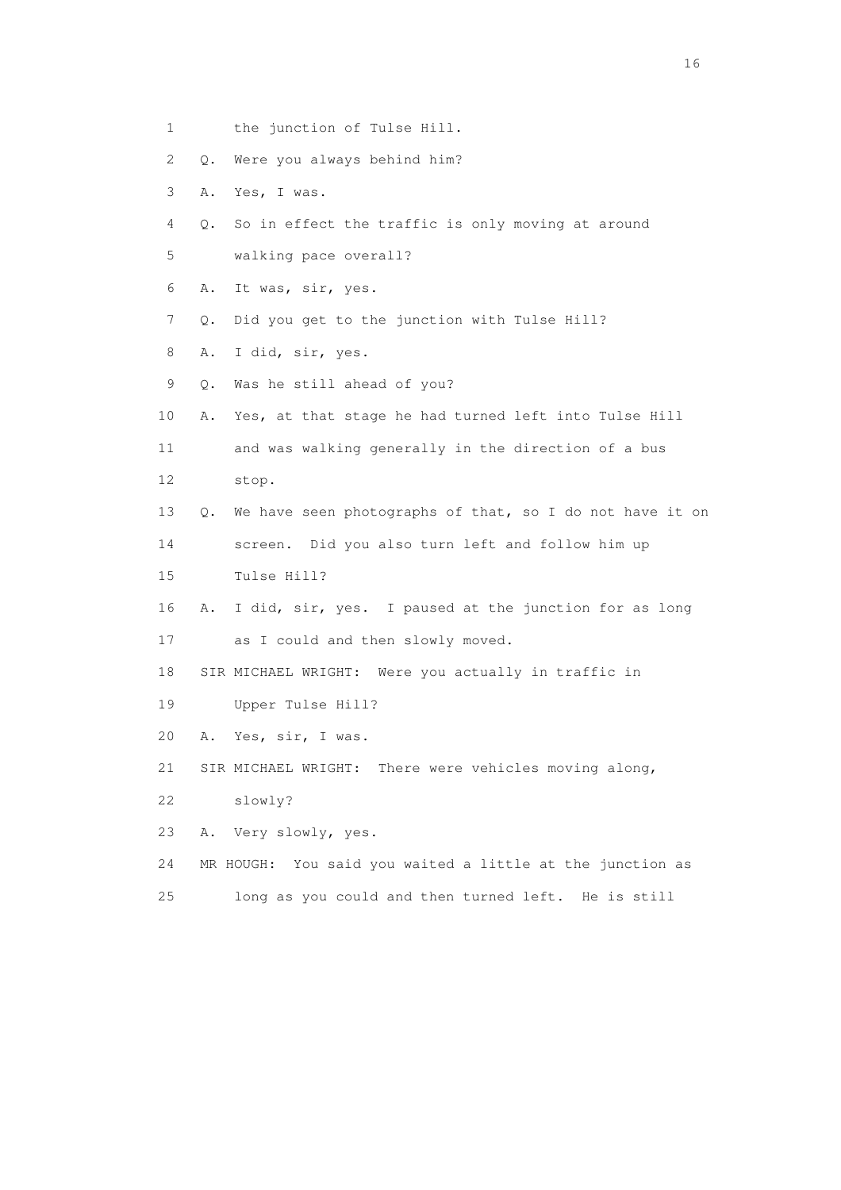- 1 the junction of Tulse Hill.
- 2 Q. Were you always behind him?
- 3 A. Yes, I was.
- 4 Q. So in effect the traffic is only moving at around
- 5 walking pace overall?
- 6 A. It was, sir, yes.
- 7 Q. Did you get to the junction with Tulse Hill?
- 8 A. I did, sir, yes.
- 9 Q. Was he still ahead of you?
- 10 A. Yes, at that stage he had turned left into Tulse Hill
- 11 and was walking generally in the direction of a bus 12 stop.
- 13 Q. We have seen photographs of that, so I do not have it on
- 14 screen. Did you also turn left and follow him up
- 15 Tulse Hill?
- 16 A. I did, sir, yes. I paused at the junction for as long
- 17 as I could and then slowly moved.
- 18 SIR MICHAEL WRIGHT: Were you actually in traffic in
- 19 Upper Tulse Hill?
- 20 A. Yes, sir, I was.
- 21 SIR MICHAEL WRIGHT: There were vehicles moving along,
- 22 slowly?
- 23 A. Very slowly, yes.
- 24 MR HOUGH: You said you waited a little at the junction as
- 25 long as you could and then turned left. He is still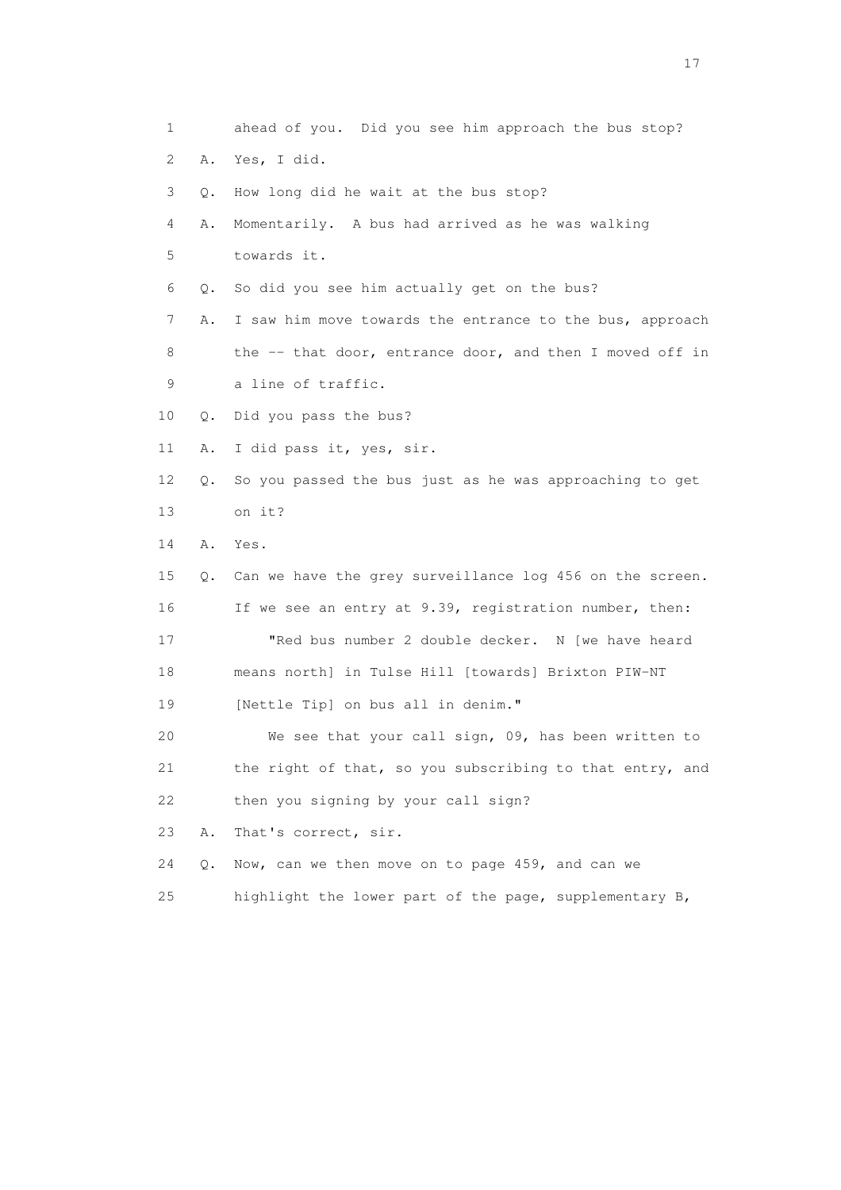1 ahead of you. Did you see him approach the bus stop? 2 A. Yes, I did. 3 Q. How long did he wait at the bus stop? 4 A. Momentarily. A bus had arrived as he was walking 5 towards it. 6 Q. So did you see him actually get on the bus? 7 A. I saw him move towards the entrance to the bus, approach 8 the -- that door, entrance door, and then I moved off in 9 a line of traffic. 10 Q. Did you pass the bus? 11 A. I did pass it, yes, sir. 12 Q. So you passed the bus just as he was approaching to get 13 on it? 14 A. Yes. 15 Q. Can we have the grey surveillance log 456 on the screen. 16 If we see an entry at 9.39, registration number, then: 17 "Red bus number 2 double decker. N [we have heard 18 means north] in Tulse Hill [towards] Brixton PIW-NT 19 [Nettle Tip] on bus all in denim." 20 We see that your call sign, 09, has been written to 21 the right of that, so you subscribing to that entry, and 22 then you signing by your call sign? 23 A. That's correct, sir. 24 Q. Now, can we then move on to page 459, and can we 25 highlight the lower part of the page, supplementary B,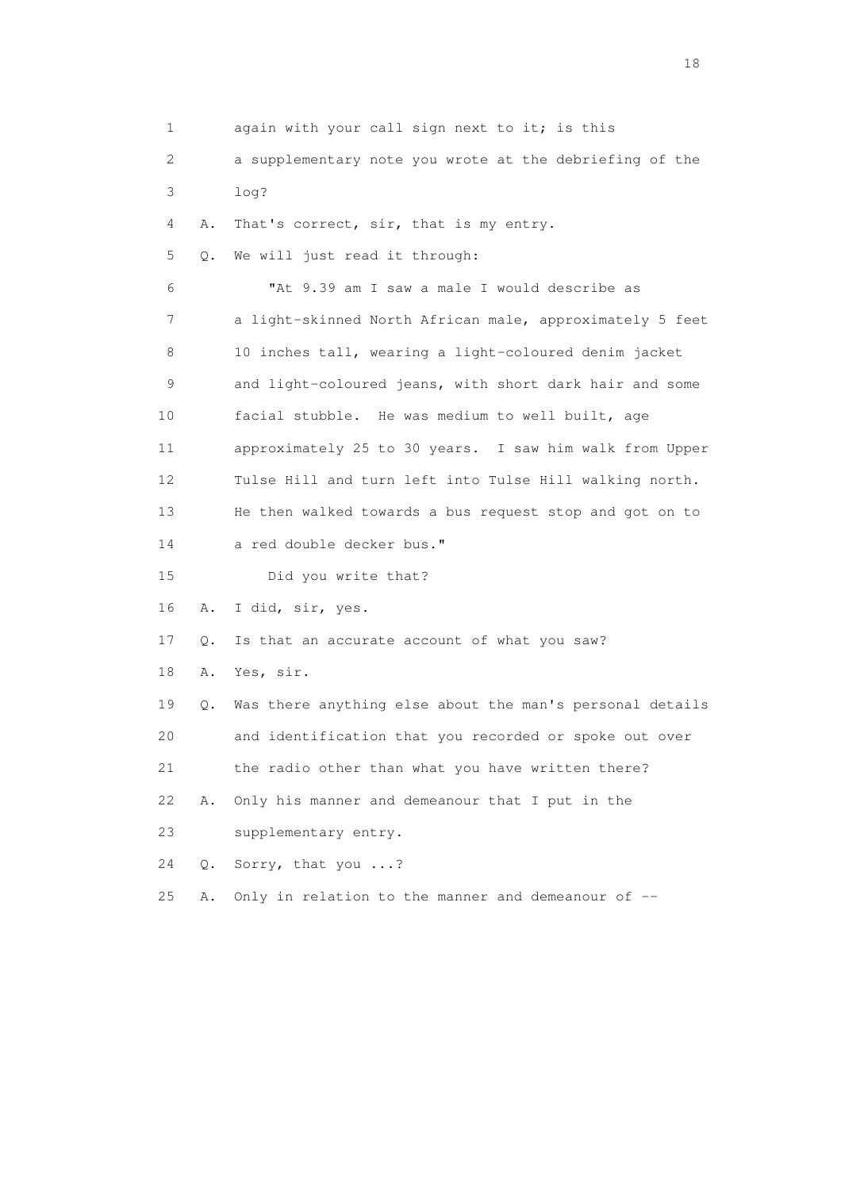1 again with your call sign next to it; is this 2 a supplementary note you wrote at the debriefing of the 3 log? 4 A. That's correct, sir, that is my entry. 5 Q. We will just read it through: 6 "At 9.39 am I saw a male I would describe as 7 a light-skinned North African male, approximately 5 feet 8 10 inches tall, wearing a light-coloured denim jacket 9 and light-coloured jeans, with short dark hair and some 10 facial stubble. He was medium to well built, age 11 approximately 25 to 30 years. I saw him walk from Upper 12 Tulse Hill and turn left into Tulse Hill walking north. 13 He then walked towards a bus request stop and got on to 14 a red double decker bus." 15 Did you write that? 16 A. I did, sir, yes. 17 Q. Is that an accurate account of what you saw? 18 A. Yes, sir. 19 Q. Was there anything else about the man's personal details 20 and identification that you recorded or spoke out over 21 the radio other than what you have written there? 22 A. Only his manner and demeanour that I put in the 23 supplementary entry. 24 Q. Sorry, that you ...? 25 A. Only in relation to the manner and demeanour of --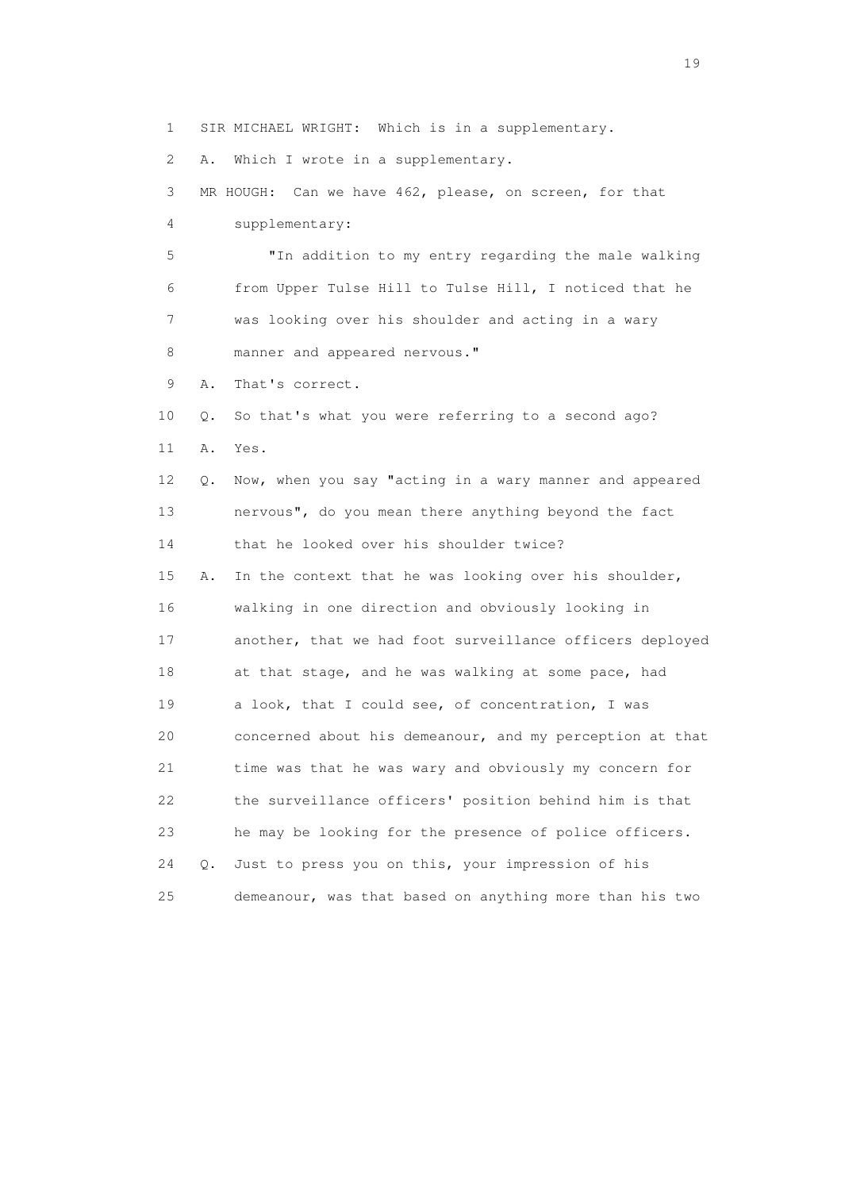1 SIR MICHAEL WRIGHT: Which is in a supplementary.

2 A. Which I wrote in a supplementary.

3 MR HOUGH: Can we have 462, please, on screen, for that

4 supplementary:

 5 "In addition to my entry regarding the male walking 6 from Upper Tulse Hill to Tulse Hill, I noticed that he 7 was looking over his shoulder and acting in a wary 8 manner and appeared nervous."

9 A. That's correct.

 10 Q. So that's what you were referring to a second ago? 11 A. Yes.

 12 Q. Now, when you say "acting in a wary manner and appeared 13 nervous", do you mean there anything beyond the fact 14 that he looked over his shoulder twice?

 15 A. In the context that he was looking over his shoulder, 16 walking in one direction and obviously looking in 17 another, that we had foot surveillance officers deployed 18 at that stage, and he was walking at some pace, had 19 a look, that I could see, of concentration, I was 20 concerned about his demeanour, and my perception at that 21 time was that he was wary and obviously my concern for 22 the surveillance officers' position behind him is that 23 he may be looking for the presence of police officers. 24 Q. Just to press you on this, your impression of his 25 demeanour, was that based on anything more than his two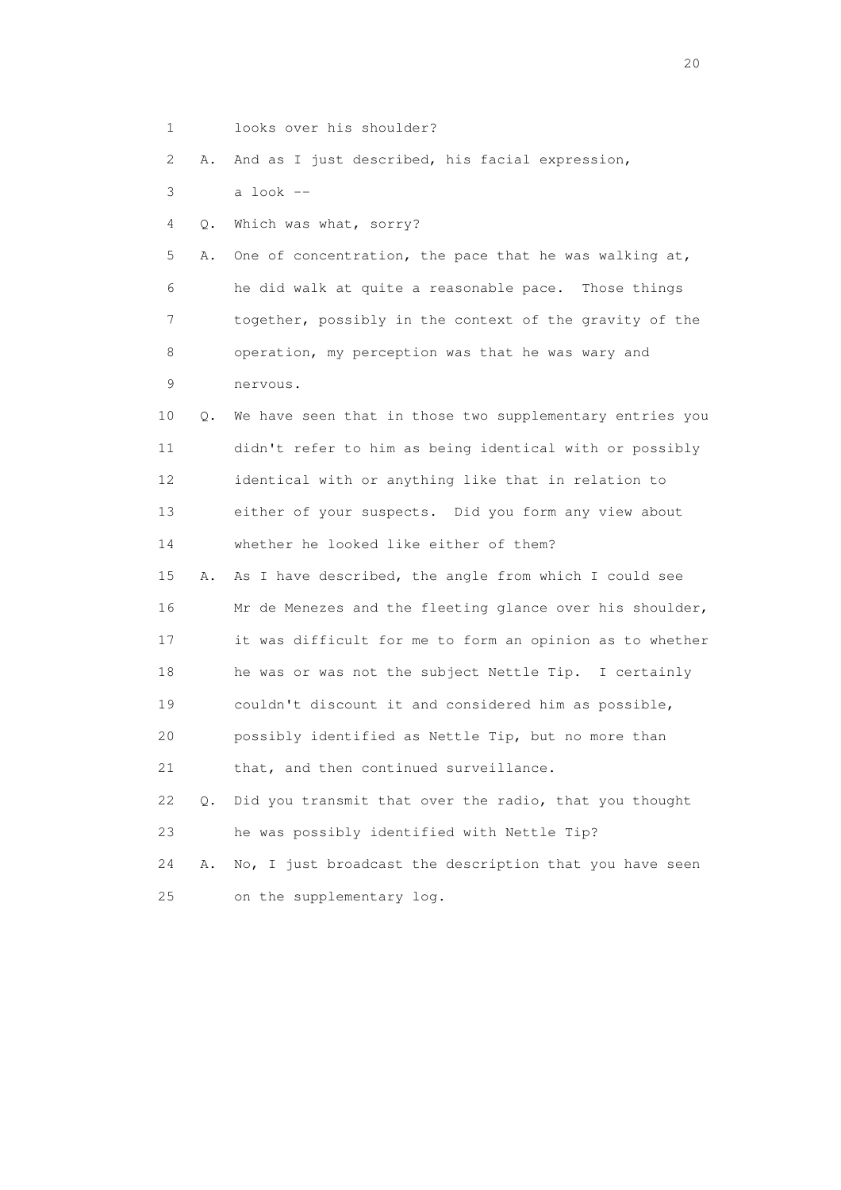1 looks over his shoulder?

2 A. And as I just described, his facial expression,

3 a look --

4 Q. Which was what, sorry?

 5 A. One of concentration, the pace that he was walking at, 6 he did walk at quite a reasonable pace. Those things 7 together, possibly in the context of the gravity of the 8 operation, my perception was that he was wary and 9 nervous.

 10 Q. We have seen that in those two supplementary entries you 11 didn't refer to him as being identical with or possibly 12 identical with or anything like that in relation to 13 either of your suspects. Did you form any view about 14 whether he looked like either of them?

 15 A. As I have described, the angle from which I could see 16 Mr de Menezes and the fleeting glance over his shoulder, 17 it was difficult for me to form an opinion as to whether 18 he was or was not the subject Nettle Tip. I certainly 19 couldn't discount it and considered him as possible, 20 possibly identified as Nettle Tip, but no more than 21 that, and then continued surveillance.

 22 Q. Did you transmit that over the radio, that you thought 23 he was possibly identified with Nettle Tip?

 24 A. No, I just broadcast the description that you have seen 25 on the supplementary log.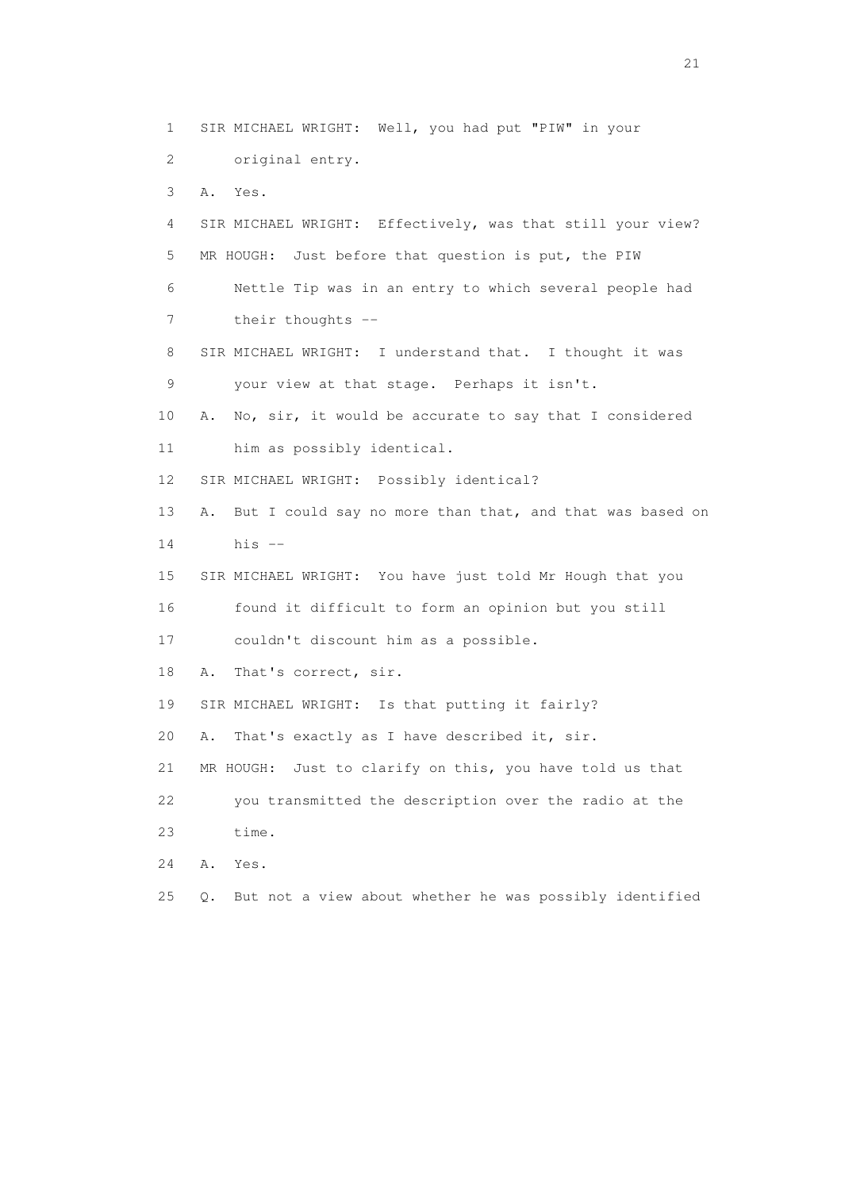1 SIR MICHAEL WRIGHT: Well, you had put "PIW" in your 2 original entry. 3 A. Yes. 4 SIR MICHAEL WRIGHT: Effectively, was that still your view? 5 MR HOUGH: Just before that question is put, the PIW 6 Nettle Tip was in an entry to which several people had 7 their thoughts -- 8 SIR MICHAEL WRIGHT: I understand that. I thought it was 9 your view at that stage. Perhaps it isn't. 10 A. No, sir, it would be accurate to say that I considered 11 him as possibly identical. 12 SIR MICHAEL WRIGHT: Possibly identical? 13 A. But I could say no more than that, and that was based on 14 his -- 15 SIR MICHAEL WRIGHT: You have just told Mr Hough that you 16 found it difficult to form an opinion but you still 17 couldn't discount him as a possible. 18 A. That's correct, sir. 19 SIR MICHAEL WRIGHT: Is that putting it fairly? 20 A. That's exactly as I have described it, sir. 21 MR HOUGH: Just to clarify on this, you have told us that 22 you transmitted the description over the radio at the 23 time. 24 A. Yes. 25 Q. But not a view about whether he was possibly identified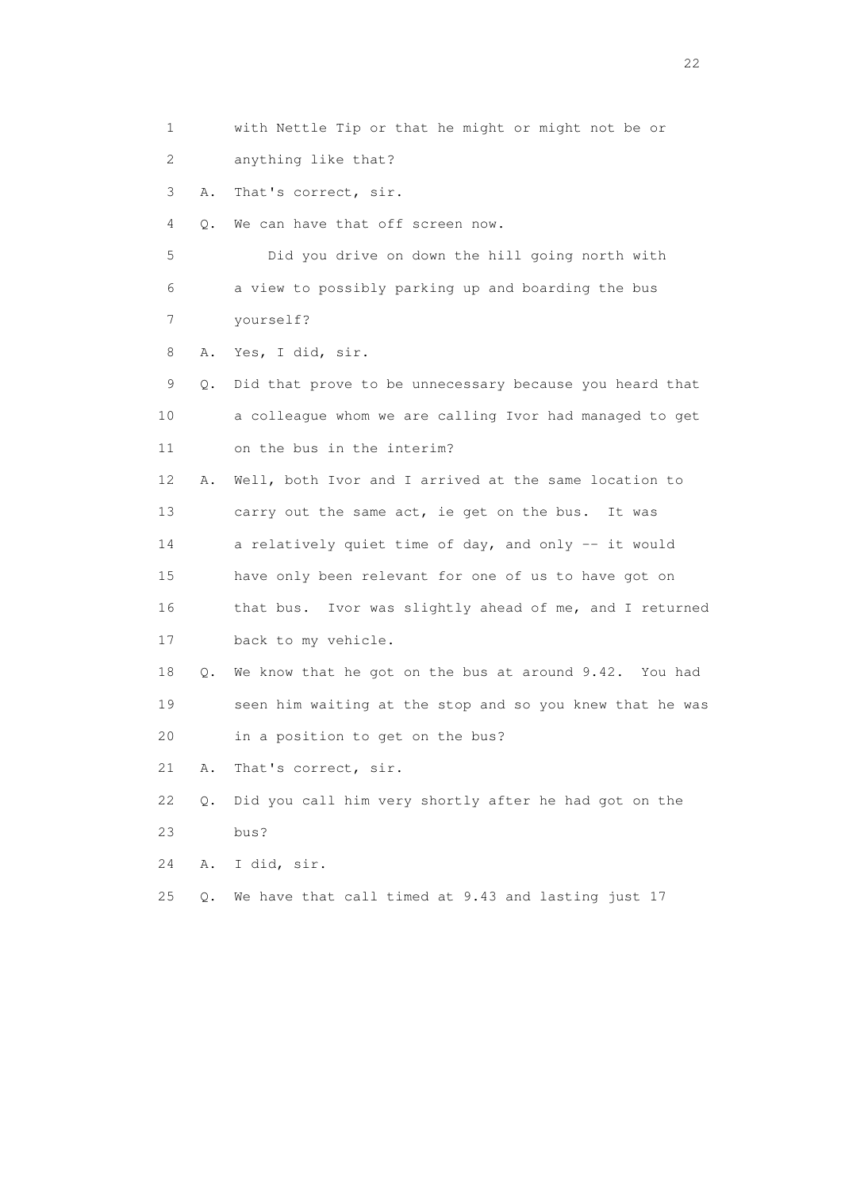2 anything like that? 3 A. That's correct, sir. 4 Q. We can have that off screen now. 5 Did you drive on down the hill going north with 6 a view to possibly parking up and boarding the bus 7 yourself? 8 A. Yes, I did, sir. 9 Q. Did that prove to be unnecessary because you heard that 10 a colleague whom we are calling Ivor had managed to get 11 on the bus in the interim? 12 A. Well, both Ivor and I arrived at the same location to 13 carry out the same act, ie get on the bus. It was 14 a relatively quiet time of day, and only -- it would 15 have only been relevant for one of us to have got on 16 that bus. Ivor was slightly ahead of me, and I returned 17 back to my vehicle. 18 Q. We know that he got on the bus at around 9.42. You had 19 seen him waiting at the stop and so you knew that he was 20 in a position to get on the bus? 21 A. That's correct, sir. 22 Q. Did you call him very shortly after he had got on the

1 with Nettle Tip or that he might or might not be or

23 bus?

24 A. I did, sir.

25 Q. We have that call timed at 9.43 and lasting just 17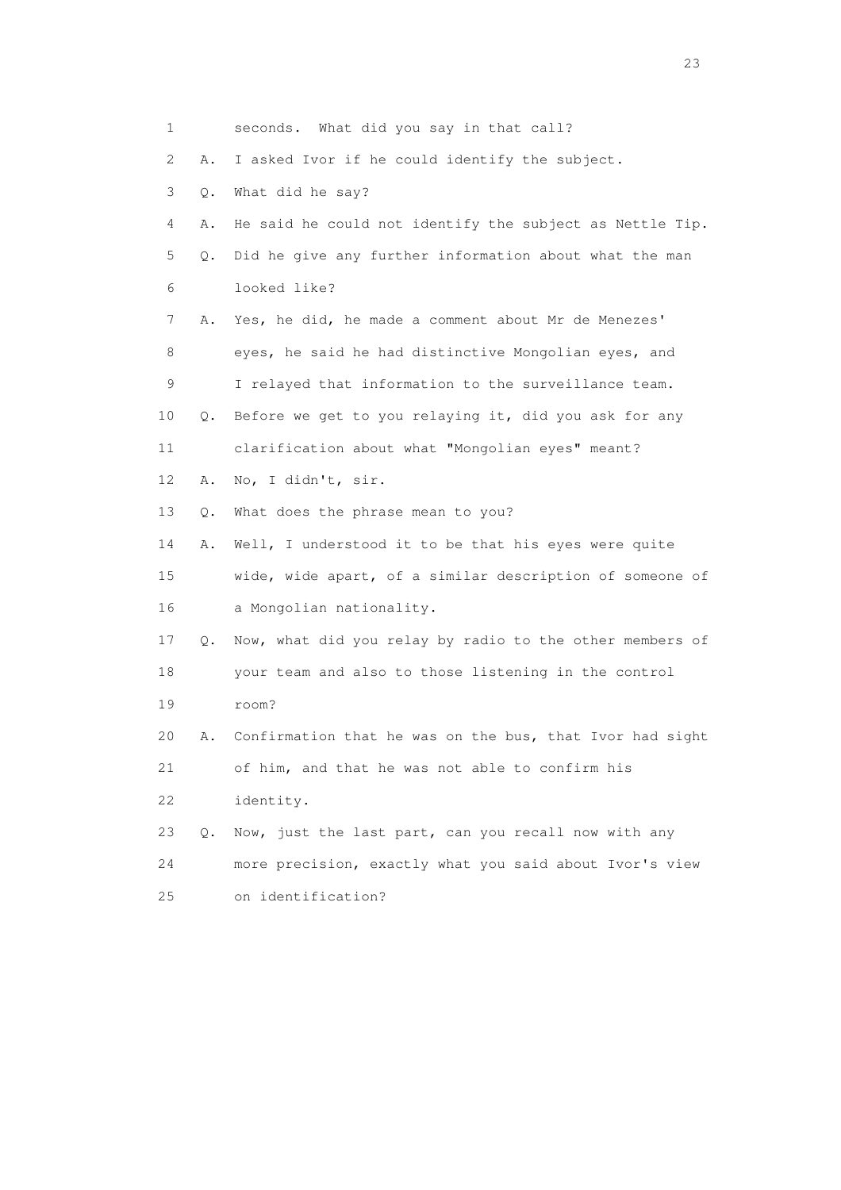|    | 1       | seconds. What did you say in that call?                  |
|----|---------|----------------------------------------------------------|
|    | 2<br>Α. | I asked Ivor if he could identify the subject.           |
|    | 3<br>Q. | What did he say?                                         |
|    | 4<br>Α. | He said he could not identify the subject as Nettle Tip. |
|    | 5<br>Q. | Did he give any further information about what the man   |
|    | 6       | looked like?                                             |
|    | 7<br>Α. | Yes, he did, he made a comment about Mr de Menezes'      |
|    | 8       | eyes, he said he had distinctive Mongolian eyes, and     |
|    | 9       | I relayed that information to the surveillance team.     |
| 10 | Q.      | Before we get to you relaying it, did you ask for any    |
| 11 |         | clarification about what "Mongolian eyes" meant?         |
| 12 | Α.      | No, I didn't, sir.                                       |
| 13 | Q.      | What does the phrase mean to you?                        |
| 14 | Α.      | Well, I understood it to be that his eyes were quite     |
| 15 |         | wide, wide apart, of a similar description of someone of |
| 16 |         | a Mongolian nationality.                                 |
| 17 | Q.      | Now, what did you relay by radio to the other members of |
|    | 18      | your team and also to those listening in the control     |
| 19 |         | room?                                                    |
| 20 | Α.      | Confirmation that he was on the bus, that Ivor had sight |
| 21 |         | of him, and that he was not able to confirm his          |
| 22 |         | identity.                                                |
| 23 | О.      | Now, just the last part, can you recall now with any     |
| 24 |         | more precision, exactly what you said about Ivor's view  |
| 25 |         | on identification?                                       |

23 and 23 and 23 and 23 and 23 and 23 and 23 and 23 and 23 and 23 and 23 and 23 and 23 and 23 and 23 and 23 and 24 and 25 and 25 and 26 and 26 and 26 and 26 and 26 and 26 and 26 and 26 and 26 and 26 and 26 and 26 and 26 an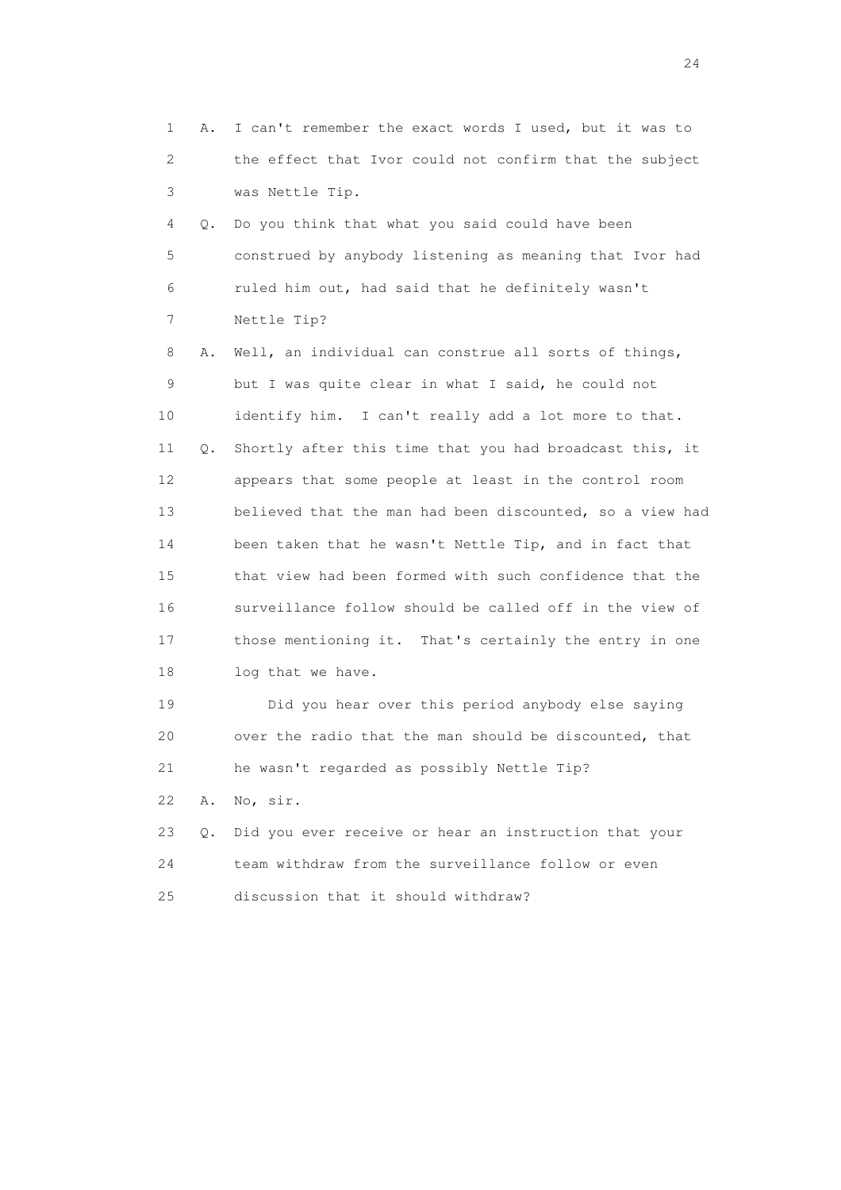1 A. I can't remember the exact words I used, but it was to 2 the effect that Ivor could not confirm that the subject 3 was Nettle Tip. 4 Q. Do you think that what you said could have been 5 construed by anybody listening as meaning that Ivor had 6 ruled him out, had said that he definitely wasn't 7 Nettle Tip? 8 A. Well, an individual can construe all sorts of things, 9 but I was quite clear in what I said, he could not 10 identify him. I can't really add a lot more to that. 11 Q. Shortly after this time that you had broadcast this, it 12 appears that some people at least in the control room 13 believed that the man had been discounted, so a view had 14 been taken that he wasn't Nettle Tip, and in fact that 15 that view had been formed with such confidence that the 16 surveillance follow should be called off in the view of 17 those mentioning it. That's certainly the entry in one 18 log that we have. 19 Did you hear over this period anybody else saying 20 over the radio that the man should be discounted, that

21 he wasn't regarded as possibly Nettle Tip?

22 A. No, sir.

 23 Q. Did you ever receive or hear an instruction that your 24 team withdraw from the surveillance follow or even 25 discussion that it should withdraw?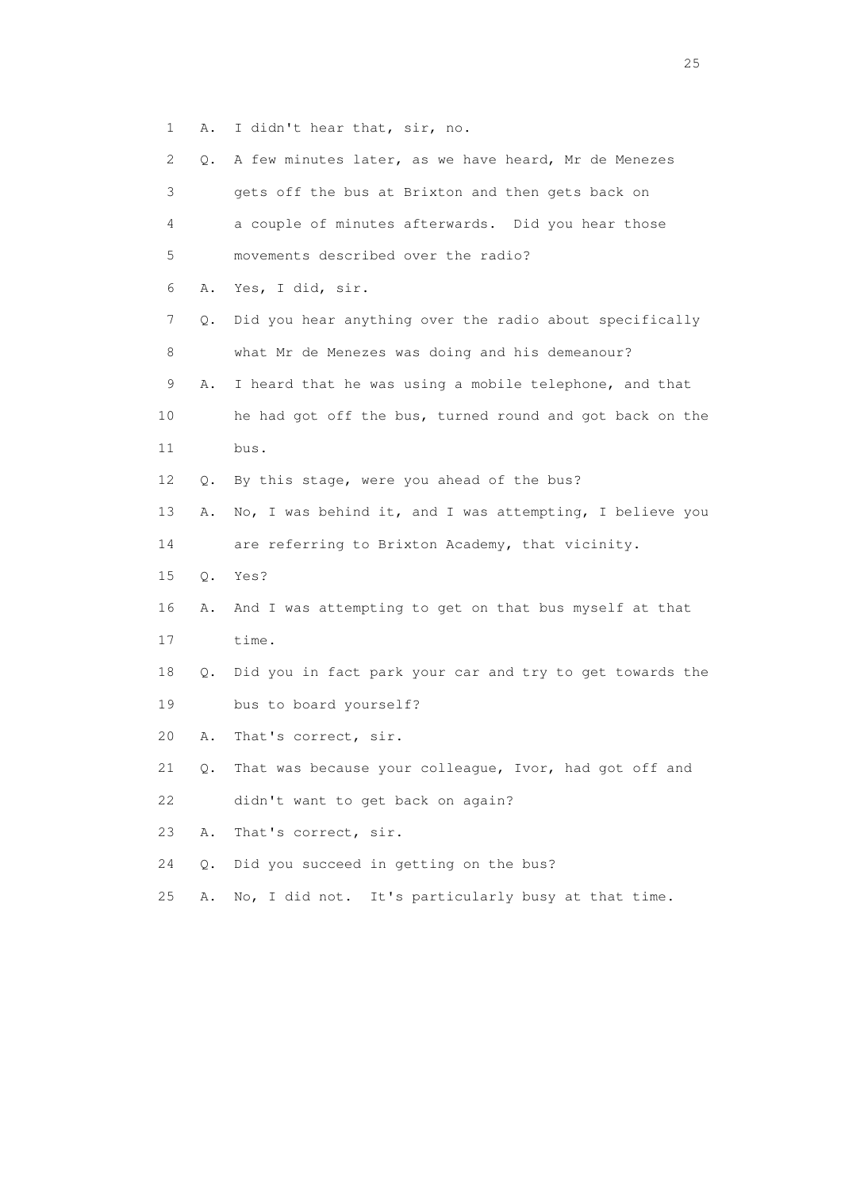1 A. I didn't hear that, sir, no.

| 2               | Q.    | A few minutes later, as we have heard, Mr de Menezes     |
|-----------------|-------|----------------------------------------------------------|
| 3               |       | gets off the bus at Brixton and then gets back on        |
| 4               |       | a couple of minutes afterwards. Did you hear those       |
| 5               |       | movements described over the radio?                      |
| 6               | Α.    | Yes, I did, sir.                                         |
| 7               | Q.    | Did you hear anything over the radio about specifically  |
| 8               |       | what Mr de Menezes was doing and his demeanour?          |
| 9               | Α.    | I heard that he was using a mobile telephone, and that   |
| 10              |       | he had got off the bus, turned round and got back on the |
| 11              |       | bus.                                                     |
| 12 <sup>°</sup> | Q.    | By this stage, were you ahead of the bus?                |
| 13              | Α.    | No, I was behind it, and I was attempting, I believe you |
| 14              |       | are referring to Brixton Academy, that vicinity.         |
| 15              | $Q$ . | Yes?                                                     |
| 16              | Α.    | And I was attempting to get on that bus myself at that   |
| 17              |       | time.                                                    |
| 18              | Q.    | Did you in fact park your car and try to get towards the |
| 19              |       | bus to board yourself?                                   |
| 20              | Α.    | That's correct, sir.                                     |
| 21              | Q.    | That was because your colleague, Ivor, had got off and   |
| 22              |       | didn't want to get back on again?                        |
| 23              | Α.    | That's correct, sir.                                     |
| 24              | Q.    | Did you succeed in getting on the bus?                   |
| 25              | Α.    | It's particularly busy at that time.<br>No, I did not.   |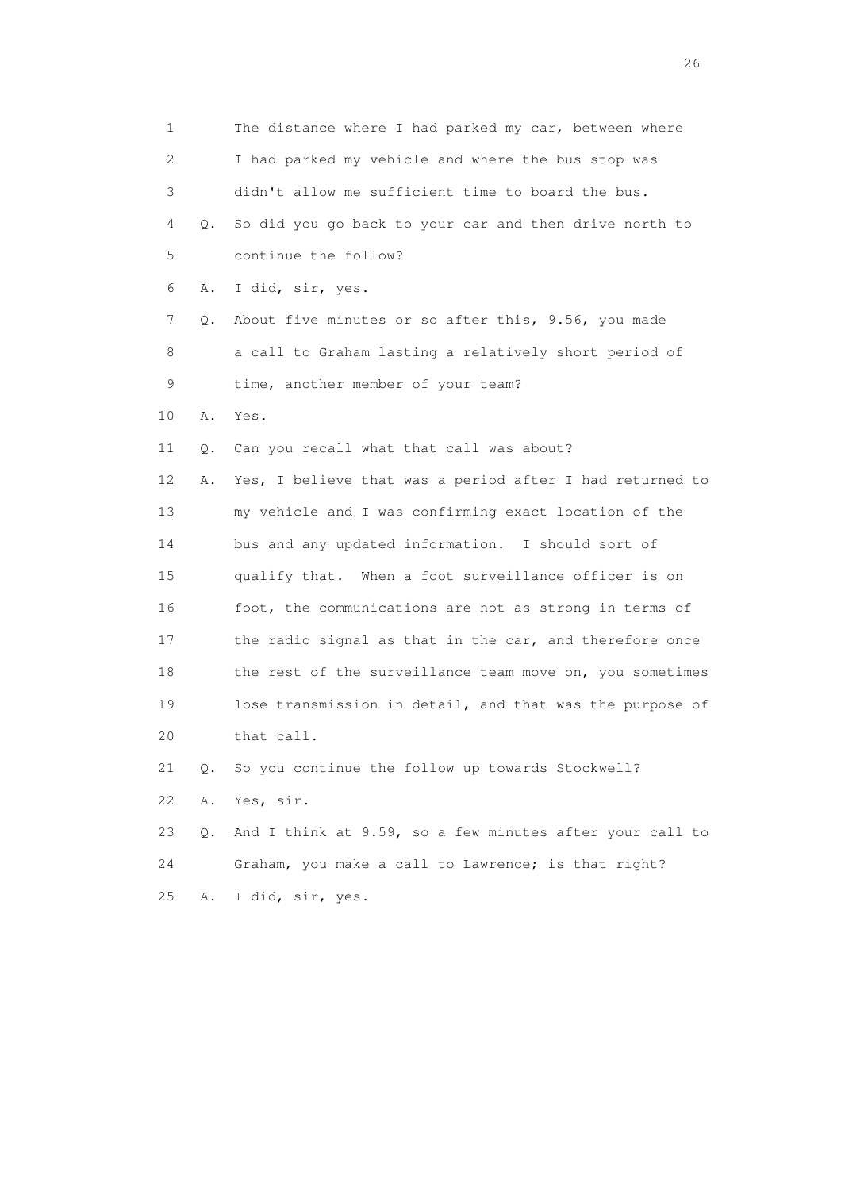1 The distance where I had parked my car, between where 2 I had parked my vehicle and where the bus stop was 3 didn't allow me sufficient time to board the bus. 4 Q. So did you go back to your car and then drive north to 5 continue the follow? 6 A. I did, sir, yes. 7 Q. About five minutes or so after this, 9.56, you made 8 a call to Graham lasting a relatively short period of 9 time, another member of your team? 10 A. Yes. 11 Q. Can you recall what that call was about? 12 A. Yes, I believe that was a period after I had returned to 13 my vehicle and I was confirming exact location of the 14 bus and any updated information. I should sort of 15 qualify that. When a foot surveillance officer is on 16 foot, the communications are not as strong in terms of 17 the radio signal as that in the car, and therefore once 18 the rest of the surveillance team move on, you sometimes 19 lose transmission in detail, and that was the purpose of 20 that call. 21 Q. So you continue the follow up towards Stockwell? 22 A. Yes, sir. 23 Q. And I think at 9.59, so a few minutes after your call to 24 Graham, you make a call to Lawrence; is that right? 25 A. I did, sir, yes.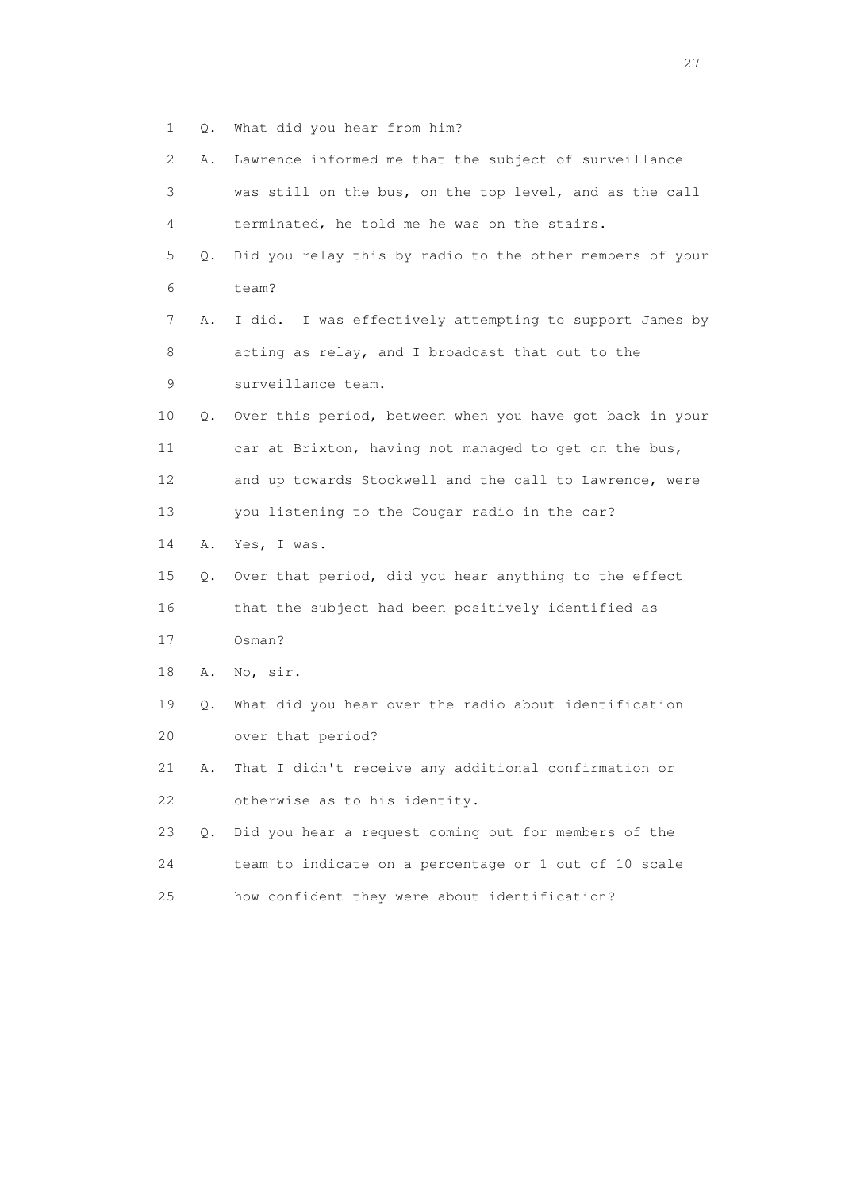1 Q. What did you hear from him?

| $\mathbf{2}^{\mathsf{I}}$ | Α.        | Lawrence informed me that the subject of surveillance      |
|---------------------------|-----------|------------------------------------------------------------|
| 3                         |           | was still on the bus, on the top level, and as the call    |
| 4                         |           | terminated, he told me he was on the stairs.               |
| 5                         | Q.        | Did you relay this by radio to the other members of your   |
| 6                         |           | team?                                                      |
| 7                         | Α.        | I was effectively attempting to support James by<br>I did. |
| 8                         |           | acting as relay, and I broadcast that out to the           |
| $\mathsf 9$               |           | surveillance team.                                         |
| 10                        | Q.        | Over this period, between when you have got back in your   |
| 11                        |           | car at Brixton, having not managed to get on the bus,      |
| 12                        |           | and up towards Stockwell and the call to Lawrence, were    |
| 13                        |           | you listening to the Cougar radio in the car?              |
| 14                        | Α.        | Yes, I was.                                                |
| 15                        | Q.        | Over that period, did you hear anything to the effect      |
| 16                        |           | that the subject had been positively identified as         |
| 17                        |           | Osman?                                                     |
| 18                        | Α.        | No, sir.                                                   |
| 19                        | Q.        | What did you hear over the radio about identification      |
| 20                        |           | over that period?                                          |
| 21                        | Α.        | That I didn't receive any additional confirmation or       |
| 22                        |           | otherwise as to his identity.                              |
| 23                        | $\circ$ . | Did you hear a request coming out for members of the       |
| 24                        |           | team to indicate on a percentage or 1 out of 10 scale      |
| 25                        |           | how confident they were about identification?              |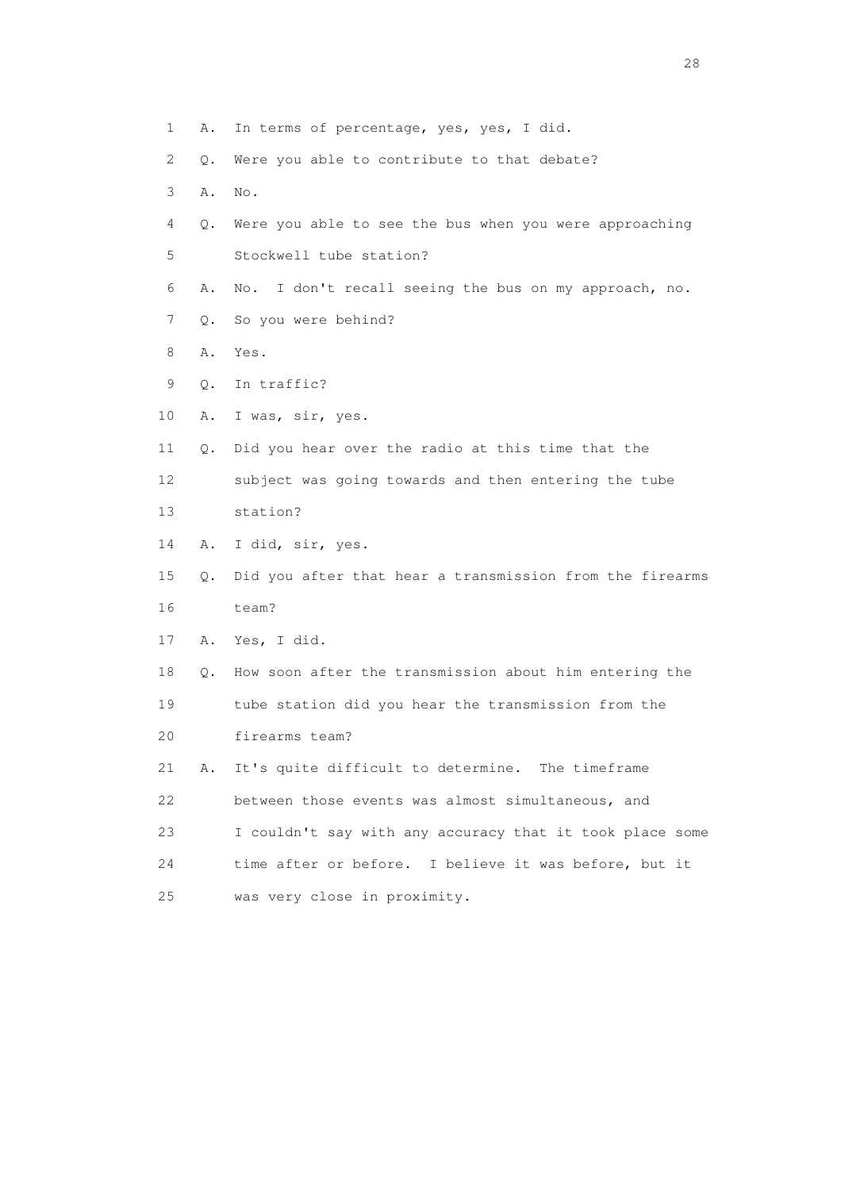- 1 A. In terms of percentage, yes, yes, I did.
- 2 Q. Were you able to contribute to that debate?
- 3 A. No.
- 4 Q. Were you able to see the bus when you were approaching 5 Stockwell tube station?
- 6 A. No. I don't recall seeing the bus on my approach, no.
- 7 Q. So you were behind?
- 8 A. Yes.
- 9 Q. In traffic?
- 10 A. I was, sir, yes.
- 11 Q. Did you hear over the radio at this time that the 12 subject was going towards and then entering the tube 13 station?
- 14 A. I did, sir, yes.
- 15 Q. Did you after that hear a transmission from the firearms 16 team?
- 17 A. Yes, I did.
- 18 Q. How soon after the transmission about him entering the 19 tube station did you hear the transmission from the 20 firearms team?

 21 A. It's quite difficult to determine. The timeframe 22 between those events was almost simultaneous, and 23 I couldn't say with any accuracy that it took place some 24 time after or before. I believe it was before, but it 25 was very close in proximity.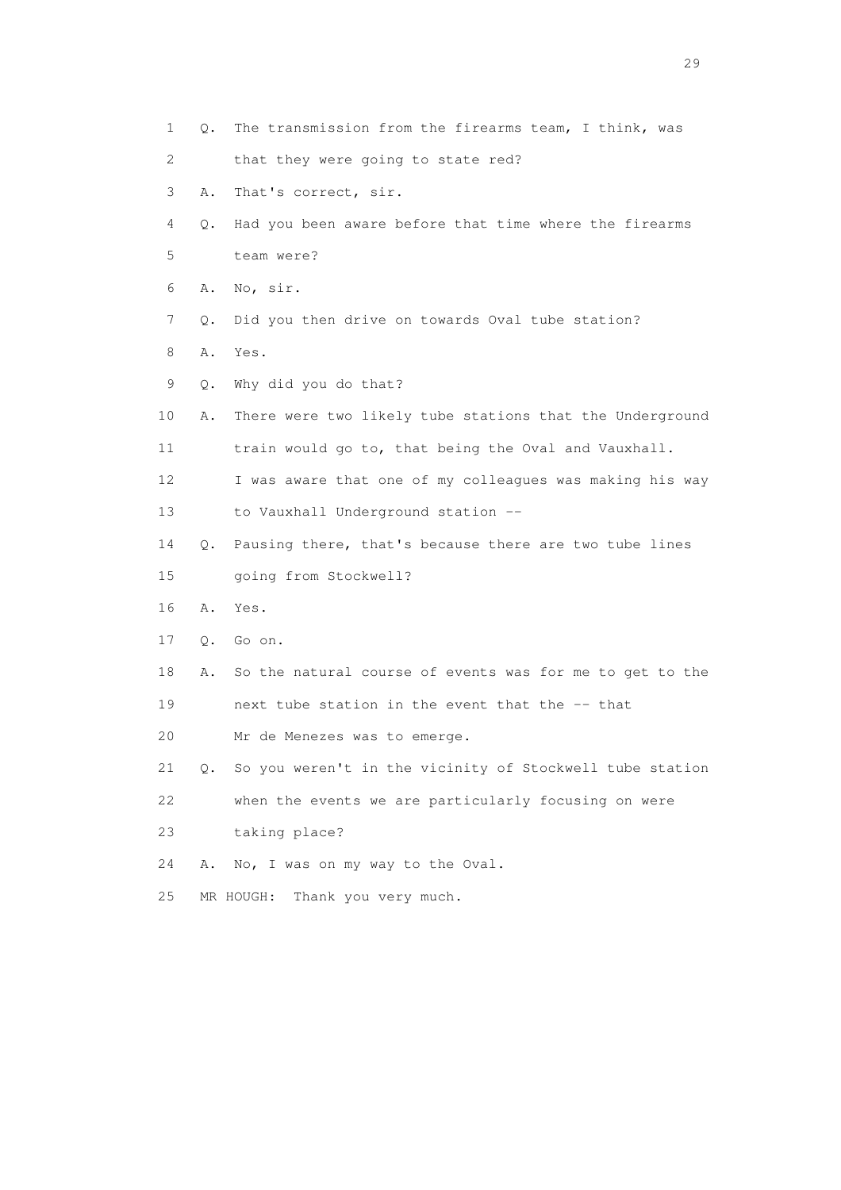1 Q. The transmission from the firearms team, I think, was 2 that they were going to state red? 3 A. That's correct, sir. 4 Q. Had you been aware before that time where the firearms 5 team were? 6 A. No, sir. 7 Q. Did you then drive on towards Oval tube station? 8 A. Yes. 9 Q. Why did you do that? 10 A. There were two likely tube stations that the Underground 11 train would go to, that being the Oval and Vauxhall. 12 I was aware that one of my colleagues was making his way 13 to Vauxhall Underground station -- 14 Q. Pausing there, that's because there are two tube lines 15 going from Stockwell? 16 A. Yes. 17 Q. Go on. 18 A. So the natural course of events was for me to get to the 19 next tube station in the event that the -- that 20 Mr de Menezes was to emerge. 21 Q. So you weren't in the vicinity of Stockwell tube station 22 when the events we are particularly focusing on were 23 taking place? 24 A. No, I was on my way to the Oval. 25 MR HOUGH: Thank you very much.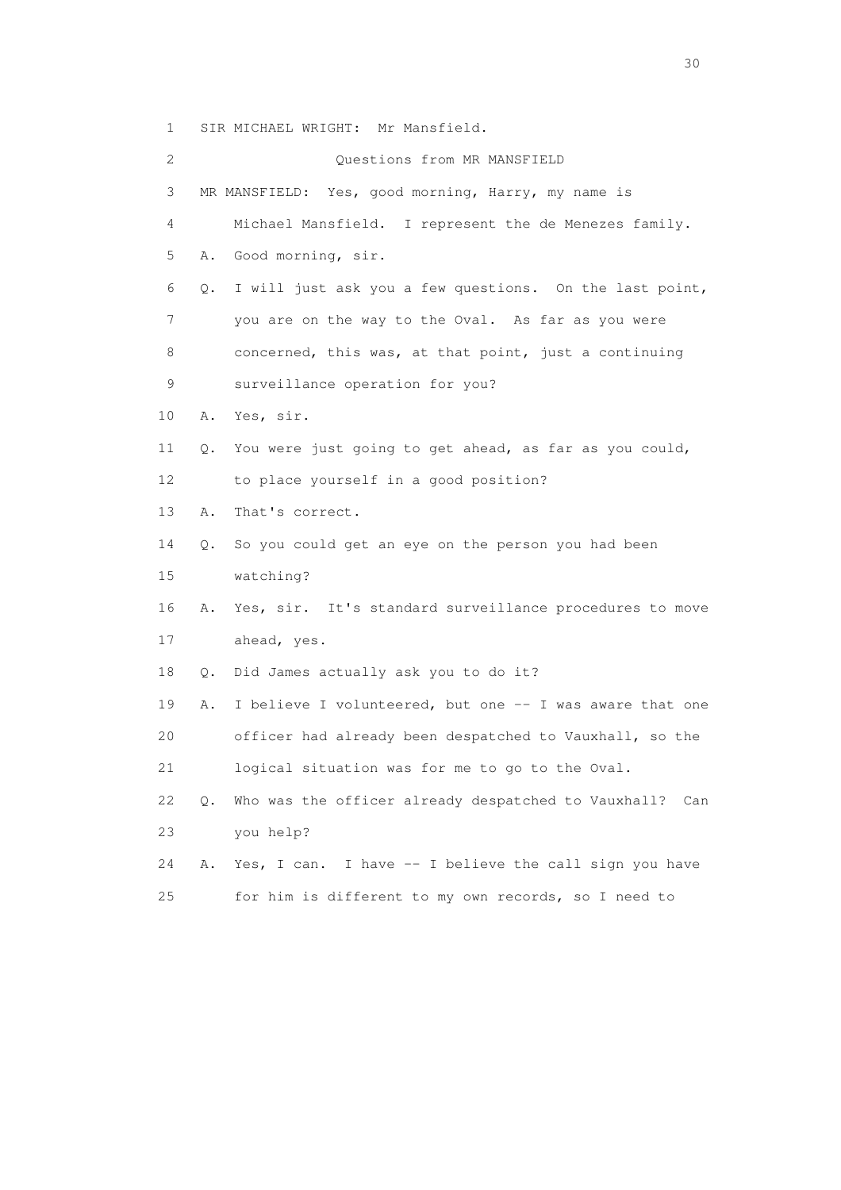1 SIR MICHAEL WRIGHT: Mr Mansfield.

 2 Questions from MR MANSFIELD 3 MR MANSFIELD: Yes, good morning, Harry, my name is 4 Michael Mansfield. I represent the de Menezes family. 5 A. Good morning, sir. 6 Q. I will just ask you a few questions. On the last point, 7 you are on the way to the Oval. As far as you were 8 concerned, this was, at that point, just a continuing 9 surveillance operation for you? 10 A. Yes, sir. 11 Q. You were just going to get ahead, as far as you could, 12 to place yourself in a good position? 13 A. That's correct. 14 Q. So you could get an eye on the person you had been 15 watching? 16 A. Yes, sir. It's standard surveillance procedures to move 17 ahead, yes. 18 Q. Did James actually ask you to do it? 19 A. I believe I volunteered, but one -- I was aware that one 20 officer had already been despatched to Vauxhall, so the 21 logical situation was for me to go to the Oval. 22 Q. Who was the officer already despatched to Vauxhall? Can 23 you help? 24 A. Yes, I can. I have -- I believe the call sign you have 25 for him is different to my own records, so I need to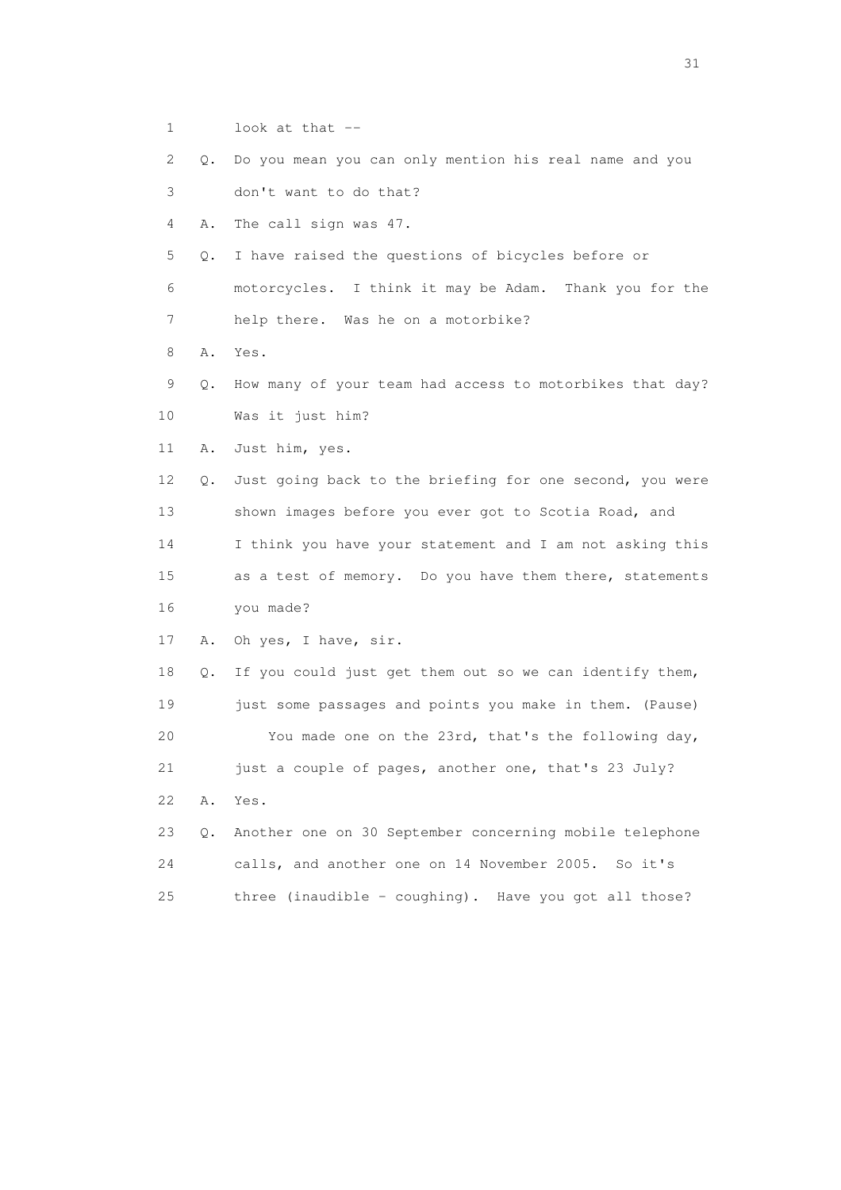- 1 look at that --
- 2 Q. Do you mean you can only mention his real name and you

3 don't want to do that?

4 A. The call sign was 47.

- 5 Q. I have raised the questions of bicycles before or
- 6 motorcycles. I think it may be Adam. Thank you for the
- 7 help there. Was he on a motorbike?
- 8 A. Yes.
- 9 Q. How many of your team had access to motorbikes that day? 10 Was it just him?
- 11 A. Just him, yes.
- 12 Q. Just going back to the briefing for one second, you were 13 shown images before you ever got to Scotia Road, and 14 I think you have your statement and I am not asking this 15 as a test of memory. Do you have them there, statements 16 you made?
- 17 A. Oh yes, I have, sir.

 18 Q. If you could just get them out so we can identify them, 19 just some passages and points you make in them. (Pause) 20 You made one on the 23rd, that's the following day, 21 just a couple of pages, another one, that's 23 July? 22 A. Yes. 23 Q. Another one on 30 September concerning mobile telephone

|    |  | calls, and another one on 14 November 2005. So it's     |  |
|----|--|---------------------------------------------------------|--|
| 25 |  | three (inaudible $-$ coughing). Have you got all those? |  |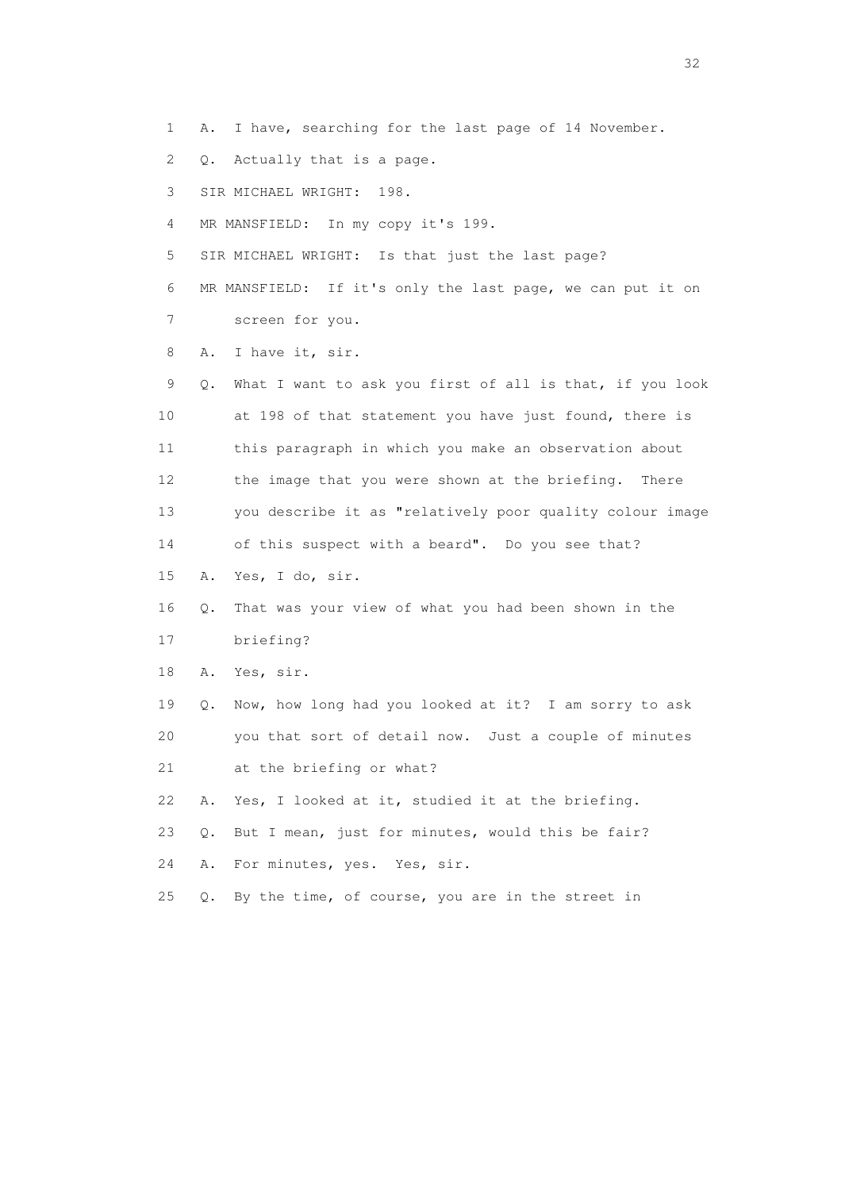1 A. I have, searching for the last page of 14 November.

2 Q. Actually that is a page.

3 SIR MICHAEL WRIGHT: 198.

4 MR MANSFIELD: In my copy it's 199.

5 SIR MICHAEL WRIGHT: Is that just the last page?

 6 MR MANSFIELD: If it's only the last page, we can put it on 7 screen for you.

8 A. I have it, sir.

 9 Q. What I want to ask you first of all is that, if you look 10 at 198 of that statement you have just found, there is 11 this paragraph in which you make an observation about 12 the image that you were shown at the briefing. There 13 you describe it as "relatively poor quality colour image 14 of this suspect with a beard". Do you see that? 15 A. Yes, I do, sir.

16 Q. That was your view of what you had been shown in the

17 briefing?

18 A. Yes, sir.

 19 Q. Now, how long had you looked at it? I am sorry to ask 20 you that sort of detail now. Just a couple of minutes 21 at the briefing or what?

22 A. Yes, I looked at it, studied it at the briefing.

23 Q. But I mean, just for minutes, would this be fair?

24 A. For minutes, yes. Yes, sir.

25 Q. By the time, of course, you are in the street in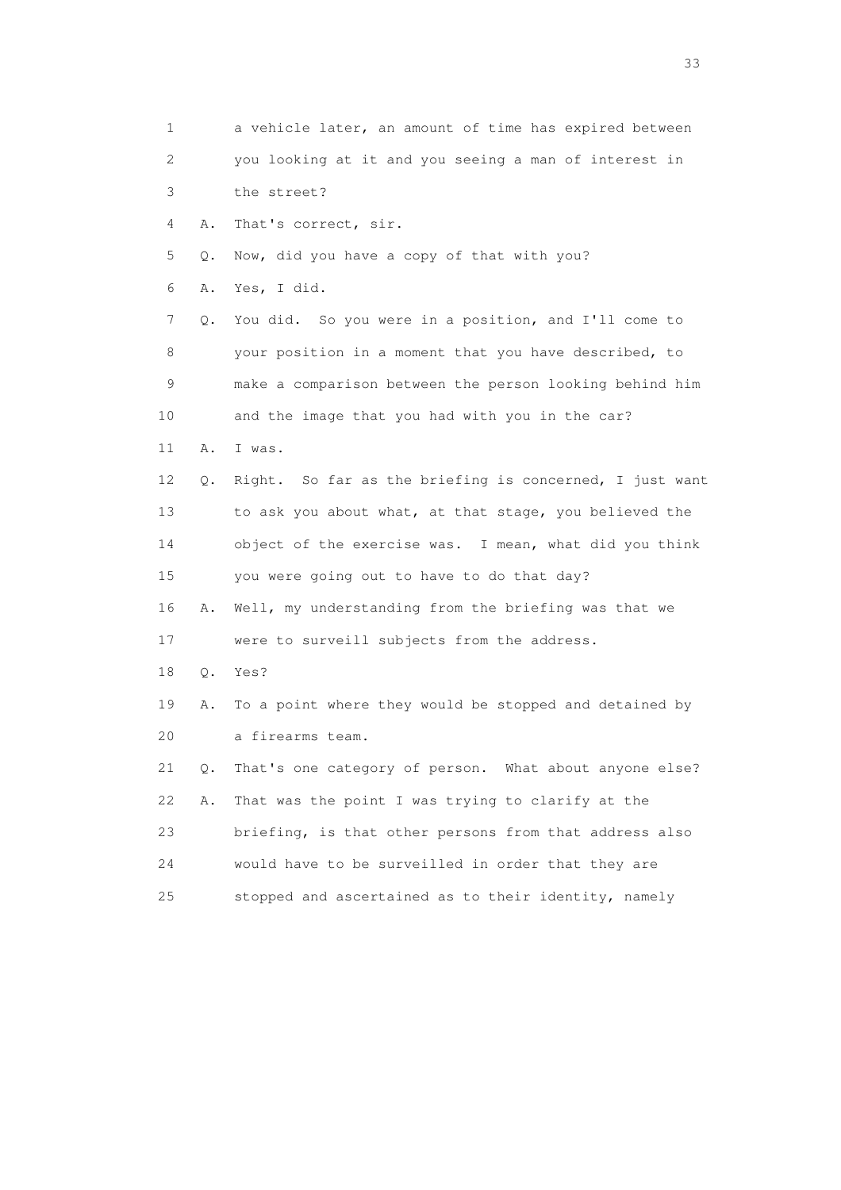1 a vehicle later, an amount of time has expired between 2 you looking at it and you seeing a man of interest in 3 the street? 4 A. That's correct, sir. 5 Q. Now, did you have a copy of that with you? 6 A. Yes, I did. 7 Q. You did. So you were in a position, and I'll come to 8 your position in a moment that you have described, to 9 make a comparison between the person looking behind him 10 and the image that you had with you in the car? 11 A. I was. 12 Q. Right. So far as the briefing is concerned, I just want 13 to ask you about what, at that stage, you believed the 14 object of the exercise was. I mean, what did you think 15 you were going out to have to do that day? 16 A. Well, my understanding from the briefing was that we 17 were to surveill subjects from the address. 18 Q. Yes? 19 A. To a point where they would be stopped and detained by 20 a firearms team. 21 Q. That's one category of person. What about anyone else? 22 A. That was the point I was trying to clarify at the 23 briefing, is that other persons from that address also 24 would have to be surveilled in order that they are 25 stopped and ascertained as to their identity, namely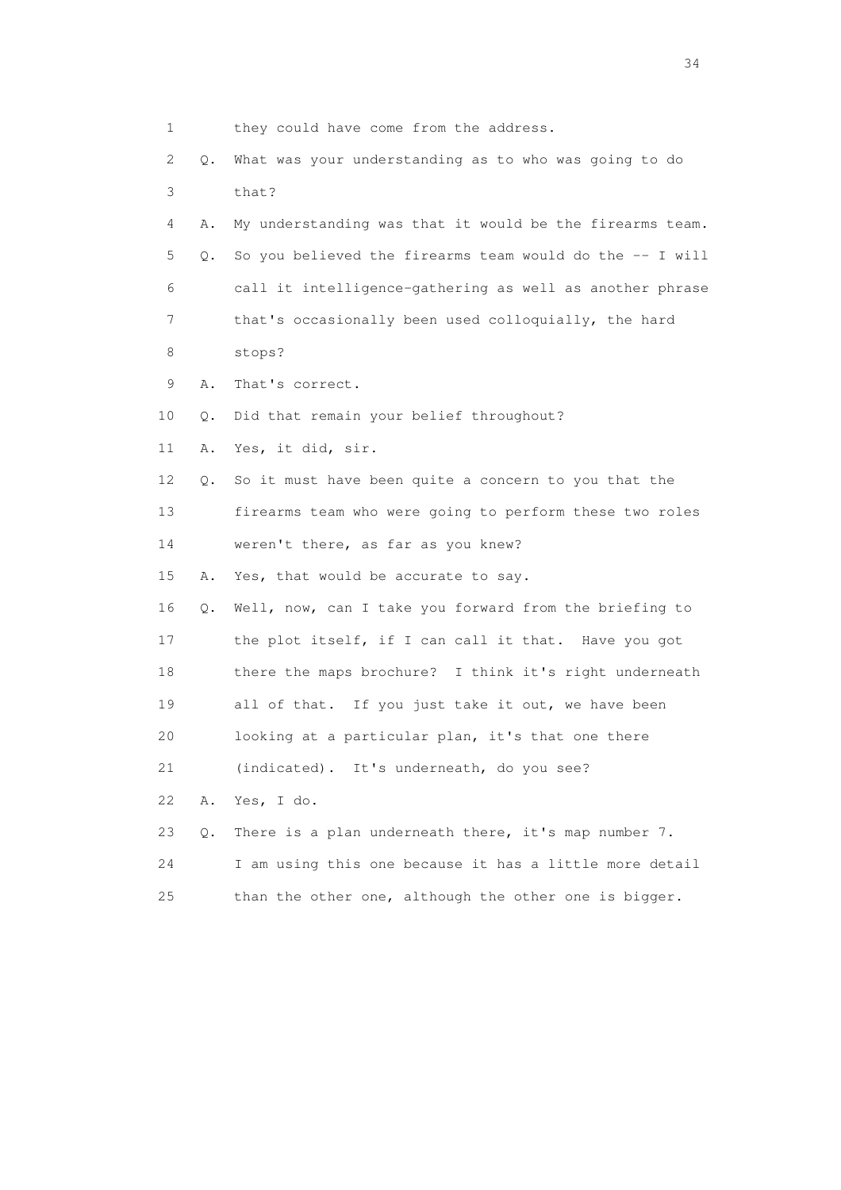| 1               |    | they could have come from the address.                   |
|-----------------|----|----------------------------------------------------------|
| 2               | Q. | What was your understanding as to who was going to do    |
| 3               |    | that?                                                    |
| 4               | Α. | My understanding was that it would be the firearms team. |
| 5               | Q. | So you believed the firearms team would do the -- I will |
| 6               |    | call it intelligence-gathering as well as another phrase |
| 7               |    | that's occasionally been used colloquially, the hard     |
| 8               |    | stops?                                                   |
| 9               | Α. | That's correct.                                          |
| 10              | Q. | Did that remain your belief throughout?                  |
| 11              | Α. | Yes, it did, sir.                                        |
| 12 <sup>°</sup> | Q. | So it must have been quite a concern to you that the     |
| 13              |    | firearms team who were going to perform these two roles  |
| 14              |    | weren't there, as far as you knew?                       |
| 15              | Α. | Yes, that would be accurate to say.                      |
| 16              | Q. | Well, now, can I take you forward from the briefing to   |
| 17              |    | the plot itself, if I can call it that. Have you got     |
| 18              |    | there the maps brochure? I think it's right underneath   |
| 19              |    | all of that. If you just take it out, we have been       |
| 20              |    | looking at a particular plan, it's that one there        |
| 21              |    | (indicated). It's underneath, do you see?                |
| 22              | Α. | Yes, I do.                                               |
| 23              | Q. | There is a plan underneath there, it's map number 7.     |
| 24              |    | I am using this one because it has a little more detail  |
| 25              |    | than the other one, although the other one is bigger.    |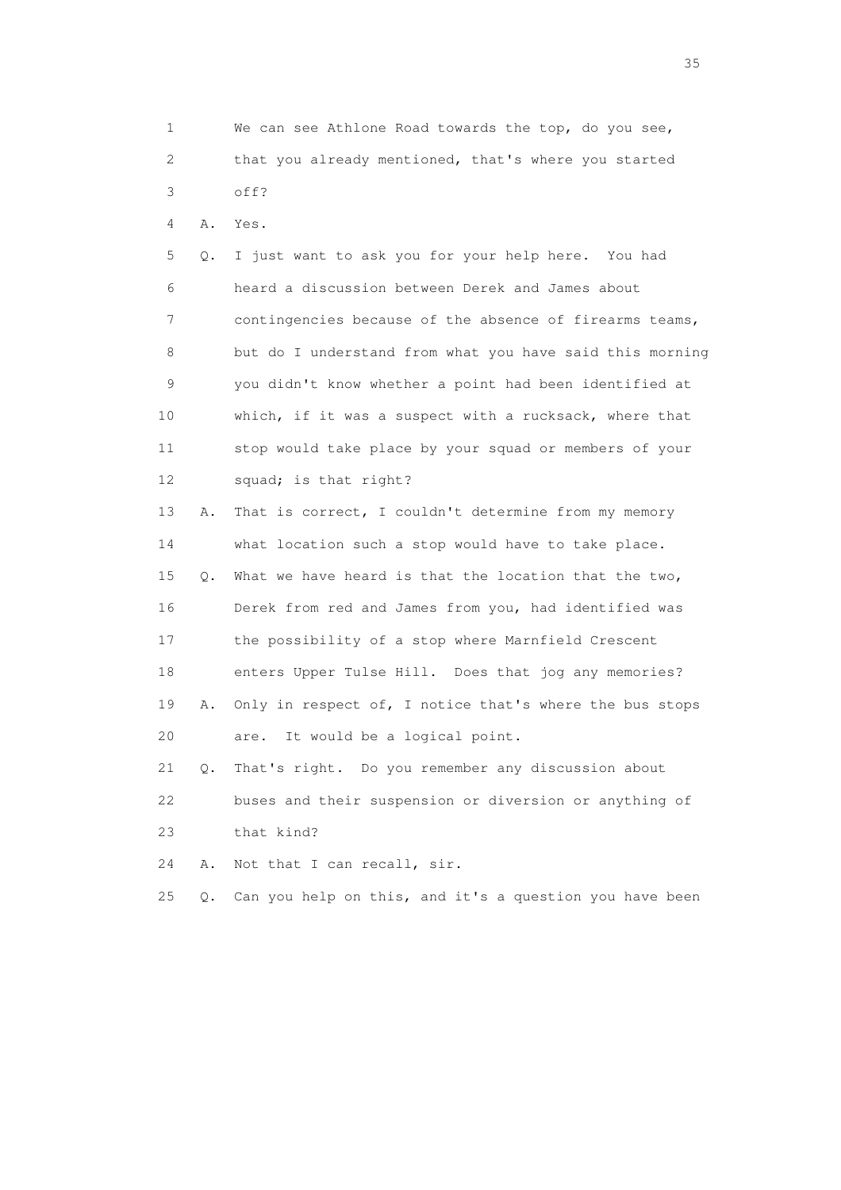1 We can see Athlone Road towards the top, do you see, 2 that you already mentioned, that's where you started 3 off?

4 A. Yes.

 5 Q. I just want to ask you for your help here. You had 6 heard a discussion between Derek and James about 7 contingencies because of the absence of firearms teams, 8 but do I understand from what you have said this morning 9 you didn't know whether a point had been identified at 10 which, if it was a suspect with a rucksack, where that 11 stop would take place by your squad or members of your 12 squad; is that right?

 13 A. That is correct, I couldn't determine from my memory 14 what location such a stop would have to take place. 15 Q. What we have heard is that the location that the two, 16 Derek from red and James from you, had identified was 17 the possibility of a stop where Marnfield Crescent 18 enters Upper Tulse Hill. Does that jog any memories? 19 A. Only in respect of, I notice that's where the bus stops 20 are. It would be a logical point.

 21 Q. That's right. Do you remember any discussion about 22 buses and their suspension or diversion or anything of 23 that kind?

24 A. Not that I can recall, sir.

25 Q. Can you help on this, and it's a question you have been

<u>35</u> and the state of the state of the state of the state of the state of the state of the state of the state of the state of the state of the state of the state of the state of the state of the state of the state of the s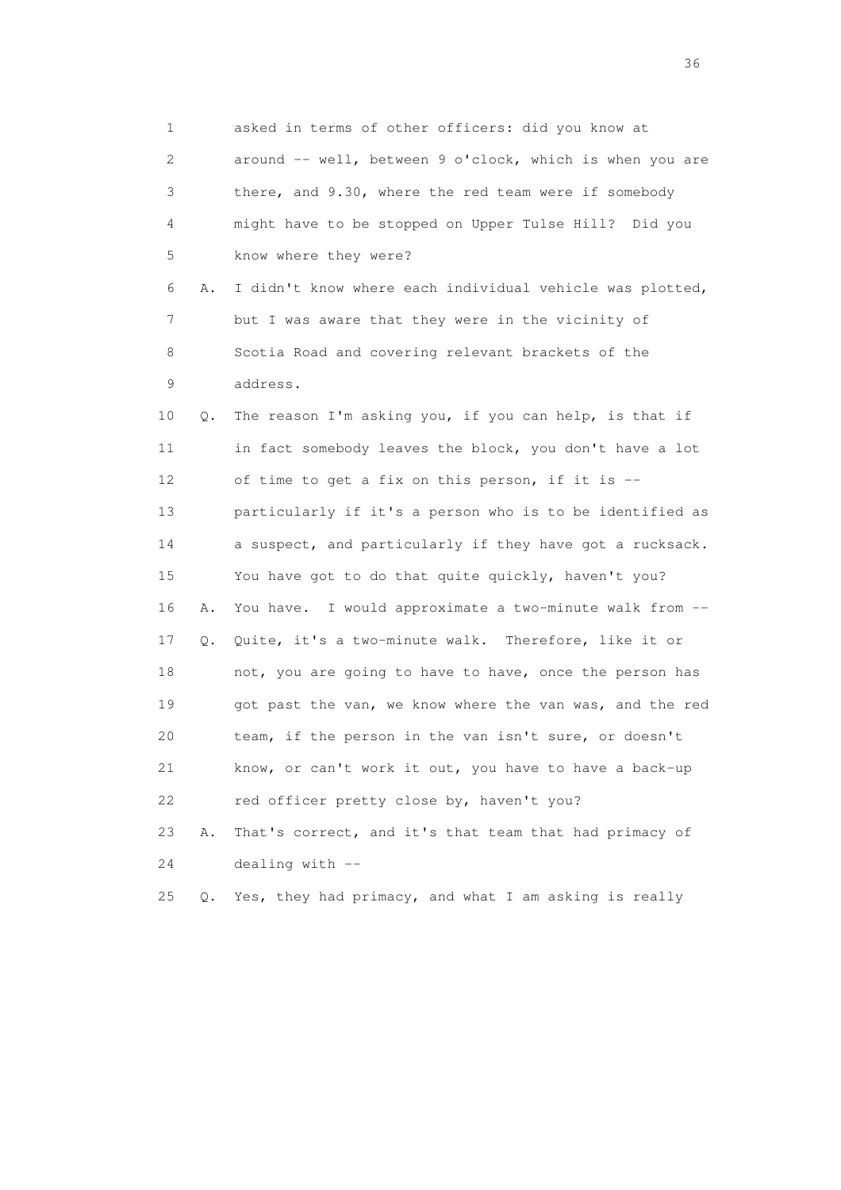1 asked in terms of other officers: did you know at 2 around -- well, between 9 o'clock, which is when you are 3 there, and 9.30, where the red team were if somebody 4 might have to be stopped on Upper Tulse Hill? Did you 5 know where they were? 6 A. I didn't know where each individual vehicle was plotted, 7 but I was aware that they were in the vicinity of 8 Scotia Road and covering relevant brackets of the 9 address. 10 Q. The reason I'm asking you, if you can help, is that if 11 in fact somebody leaves the block, you don't have a lot 12 of time to get a fix on this person, if it is -- 13 particularly if it's a person who is to be identified as 14 a suspect, and particularly if they have got a rucksack. 15 You have got to do that quite quickly, haven't you? 16 A. You have. I would approximate a two-minute walk from -- 17 Q. Quite, it's a two-minute walk. Therefore, like it or 18 not, you are going to have to have, once the person has 19 got past the van, we know where the van was, and the red 20 team, if the person in the van isn't sure, or doesn't 21 know, or can't work it out, you have to have a back-up 22 red officer pretty close by, haven't you? 23 A. That's correct, and it's that team that had primacy of 24 dealing with -- 25 Q. Yes, they had primacy, and what I am asking is really

 $36<sup>2</sup>$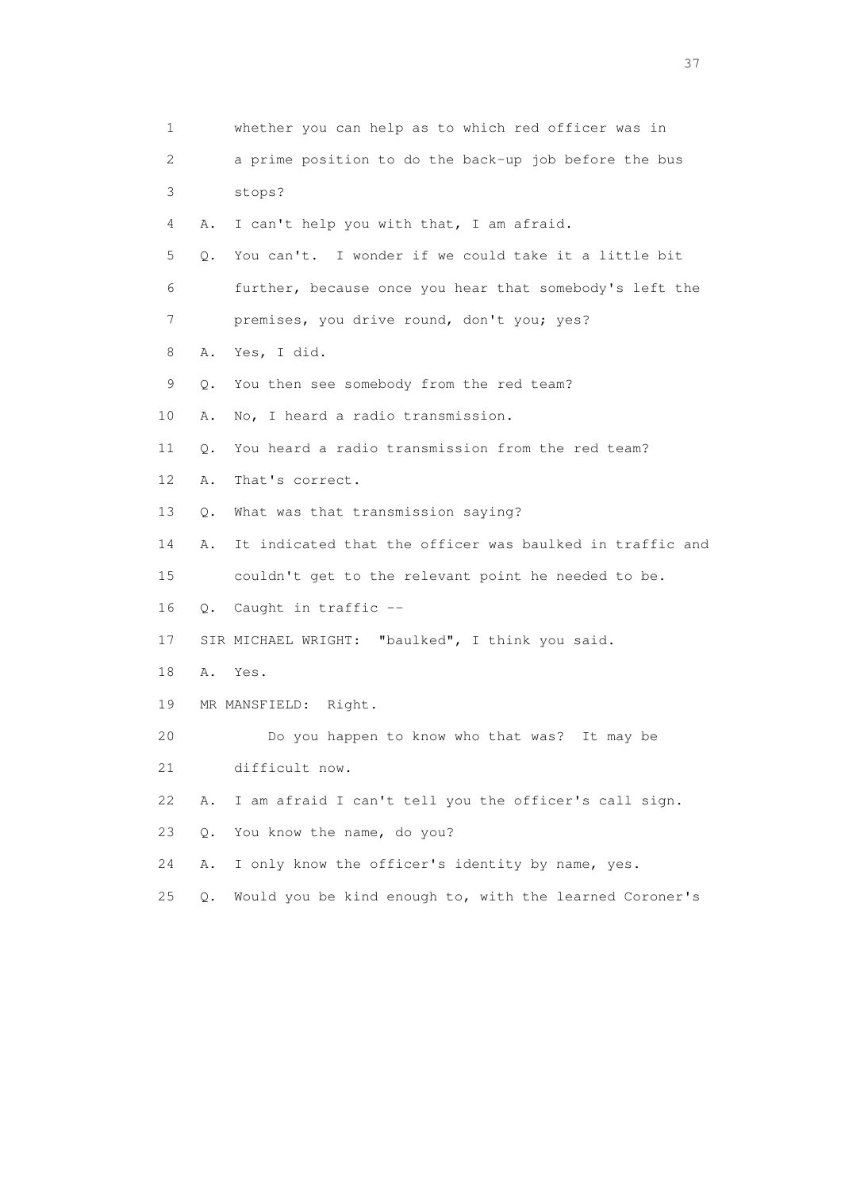| 1  |       | whether you can help as to which red officer was in      |
|----|-------|----------------------------------------------------------|
| 2  |       | a prime position to do the back-up job before the bus    |
| 3  |       | stops?                                                   |
| 4  | Α.    | I can't help you with that, I am afraid.                 |
| 5  | $Q$ . | You can't. I wonder if we could take it a little bit     |
| 6  |       | further, because once you hear that somebody's left the  |
| 7  |       | premises, you drive round, don't you; yes?               |
| 8  | Α.    | Yes, I did.                                              |
| 9  | Q.    | You then see somebody from the red team?                 |
| 10 | Α.    | No, I heard a radio transmission.                        |
| 11 | О.    | You heard a radio transmission from the red team?        |
| 12 | Α.    | That's correct.                                          |
| 13 | Q.    | What was that transmission saying?                       |
| 14 | Α.    | It indicated that the officer was baulked in traffic and |
| 15 |       | couldn't get to the relevant point he needed to be.      |
| 16 |       | Q. Caught in traffic --                                  |
| 17 |       | SIR MICHAEL WRIGHT: "baulked", I think you said.         |
| 18 |       | A. Yes.                                                  |
| 19 |       | MR MANSFIELD: Right.                                     |
| 20 |       | Do you happen to know who that was? It may be            |
| 21 |       | difficult now.                                           |
| 22 | Α.    | I am afraid I can't tell you the officer's call sign.    |
| 23 | $Q$ . | You know the name, do you?                               |
| 24 | Α.    | I only know the officer's identity by name, yes.         |
| 25 | $Q$ . | Would you be kind enough to, with the learned Coroner's  |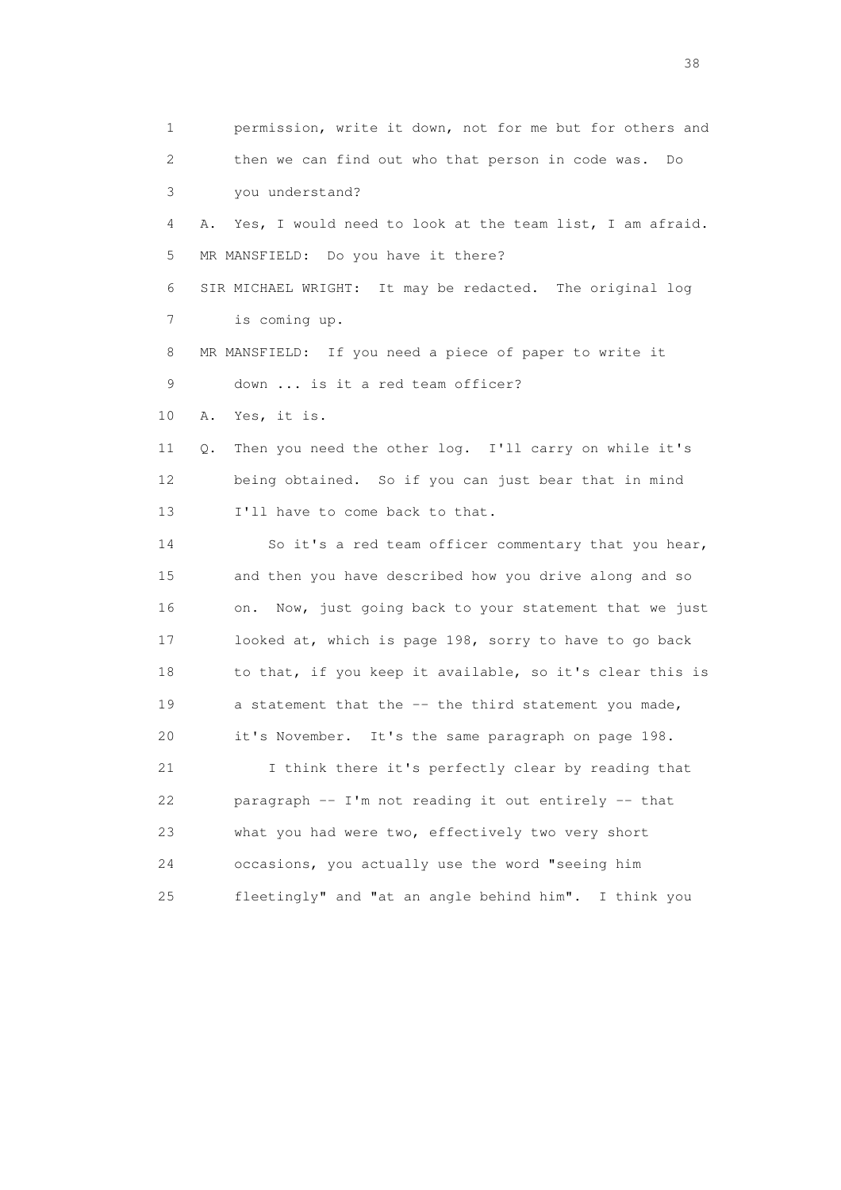1 permission, write it down, not for me but for others and 2 then we can find out who that person in code was. Do 3 you understand? 4 A. Yes, I would need to look at the team list, I am afraid. 5 MR MANSFIELD: Do you have it there? 6 SIR MICHAEL WRIGHT: It may be redacted. The original log 7 is coming up. 8 MR MANSFIELD: If you need a piece of paper to write it 9 down ... is it a red team officer? 10 A. Yes, it is. 11 Q. Then you need the other log. I'll carry on while it's 12 being obtained. So if you can just bear that in mind 13 I'll have to come back to that. 14 So it's a red team officer commentary that you hear, 15 and then you have described how you drive along and so 16 on. Now, just going back to your statement that we just 17 looked at, which is page 198, sorry to have to go back 18 to that, if you keep it available, so it's clear this is 19 a statement that the -- the third statement you made, 20 it's November. It's the same paragraph on page 198. 21 I think there it's perfectly clear by reading that 22 paragraph -- I'm not reading it out entirely -- that 23 what you had were two, effectively two very short 24 occasions, you actually use the word "seeing him 25 fleetingly" and "at an angle behind him". I think you

and the state of the state of the state of the state of the state of the state of the state of the state of the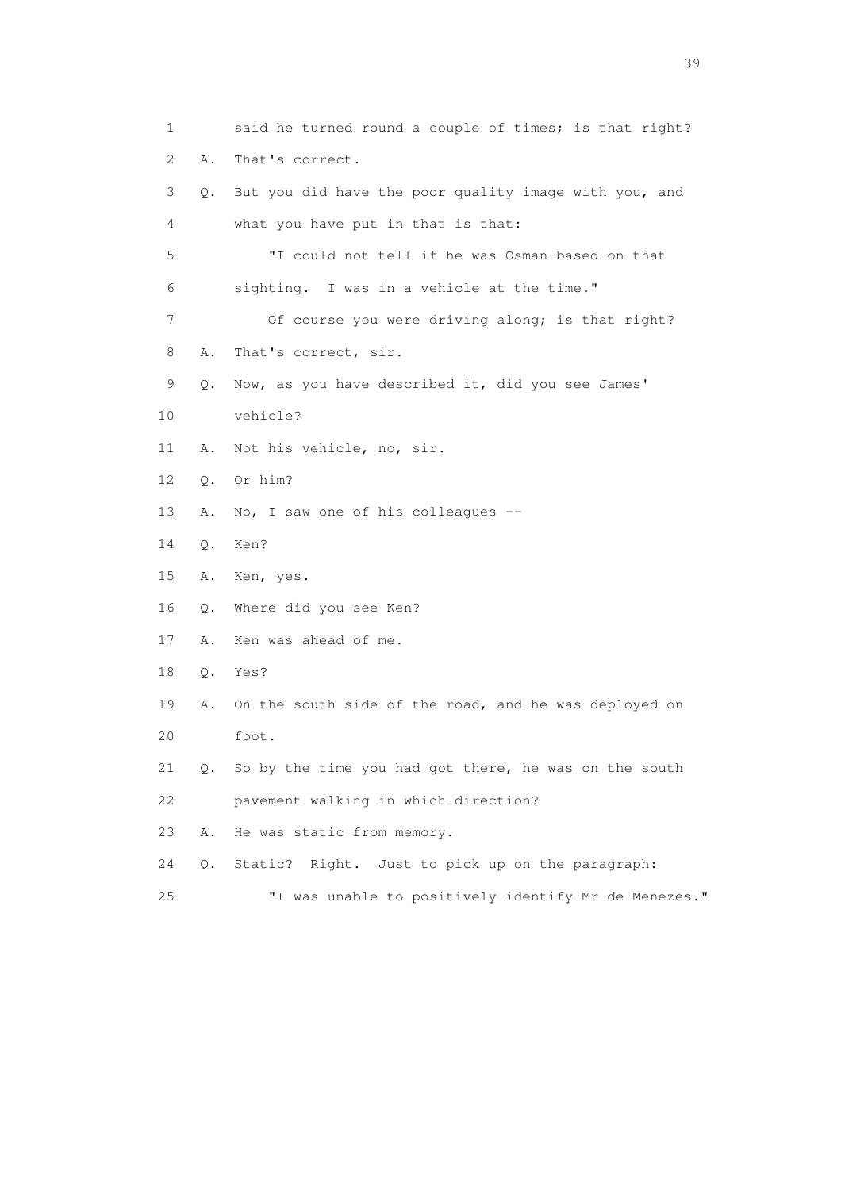1 said he turned round a couple of times; is that right? 2 A. That's correct. 3 Q. But you did have the poor quality image with you, and 4 what you have put in that is that: 5 "I could not tell if he was Osman based on that 6 sighting. I was in a vehicle at the time." 7 Of course you were driving along; is that right? 8 A. That's correct, sir. 9 Q. Now, as you have described it, did you see James' 10 vehicle? 11 A. Not his vehicle, no, sir. 12 Q. Or him? 13 A. No, I saw one of his colleagues -- 14 Q. Ken? 15 A. Ken, yes. 16 Q. Where did you see Ken? 17 A. Ken was ahead of me. 18 Q. Yes? 19 A. On the south side of the road, and he was deployed on 20 foot. 21 Q. So by the time you had got there, he was on the south 22 pavement walking in which direction? 23 A. He was static from memory. 24 Q. Static? Right. Just to pick up on the paragraph:

25 "I was unable to positively identify Mr de Menezes."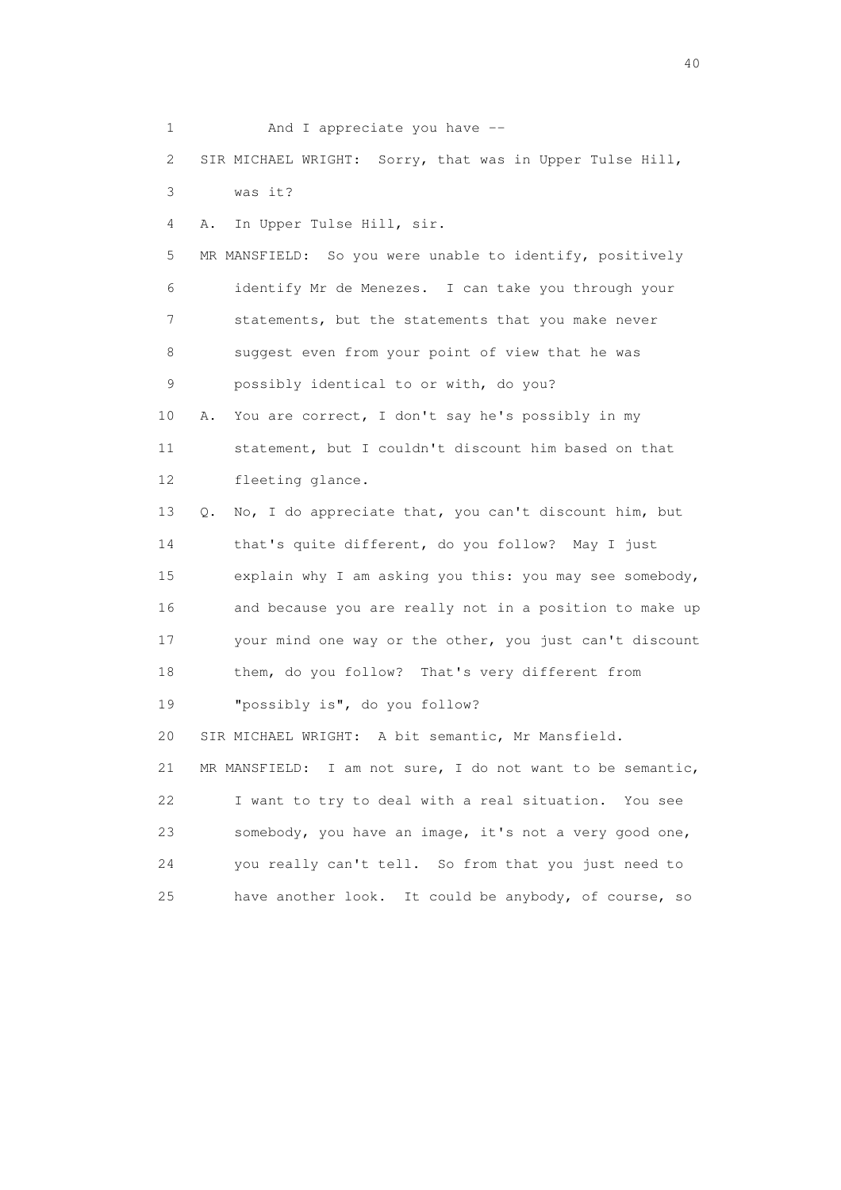1 And I appreciate you have -- 2 SIR MICHAEL WRIGHT: Sorry, that was in Upper Tulse Hill, 3 was it? 4 A. In Upper Tulse Hill, sir. 5 MR MANSFIELD: So you were unable to identify, positively 6 identify Mr de Menezes. I can take you through your 7 statements, but the statements that you make never 8 suggest even from your point of view that he was 9 possibly identical to or with, do you? 10 A. You are correct, I don't say he's possibly in my 11 statement, but I couldn't discount him based on that 12 fleeting glance. 13 Q. No, I do appreciate that, you can't discount him, but 14 that's quite different, do you follow? May I just 15 explain why I am asking you this: you may see somebody, 16 and because you are really not in a position to make up 17 your mind one way or the other, you just can't discount 18 them, do you follow? That's very different from 19 "possibly is", do you follow? 20 SIR MICHAEL WRIGHT: A bit semantic, Mr Mansfield. 21 MR MANSFIELD: I am not sure, I do not want to be semantic, 22 I want to try to deal with a real situation. You see 23 somebody, you have an image, it's not a very good one, 24 you really can't tell. So from that you just need to 25 have another look. It could be anybody, of course, so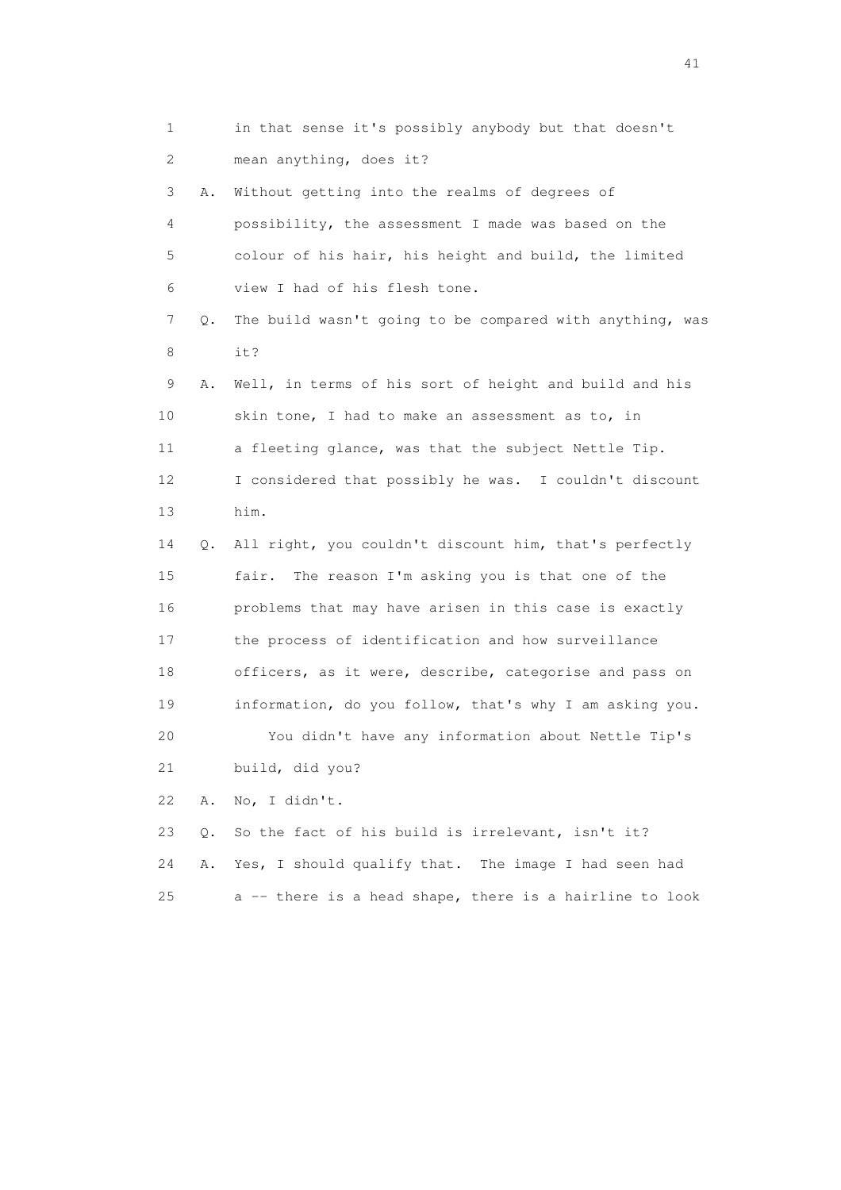1 in that sense it's possibly anybody but that doesn't 2 mean anything, does it? 3 A. Without getting into the realms of degrees of 4 possibility, the assessment I made was based on the 5 colour of his hair, his height and build, the limited 6 view I had of his flesh tone. 7 Q. The build wasn't going to be compared with anything, was 8 it? 9 A. Well, in terms of his sort of height and build and his 10 skin tone, I had to make an assessment as to, in 11 a fleeting glance, was that the subject Nettle Tip. 12 I considered that possibly he was. I couldn't discount 13 him. 14 Q. All right, you couldn't discount him, that's perfectly 15 fair. The reason I'm asking you is that one of the 16 problems that may have arisen in this case is exactly 17 the process of identification and how surveillance 18 officers, as it were, describe, categorise and pass on 19 information, do you follow, that's why I am asking you. 20 You didn't have any information about Nettle Tip's 21 build, did you? 22 A. No, I didn't. 23 Q. So the fact of his build is irrelevant, isn't it? 24 A. Yes, I should qualify that. The image I had seen had

25 a -- there is a head shape, there is a hairline to look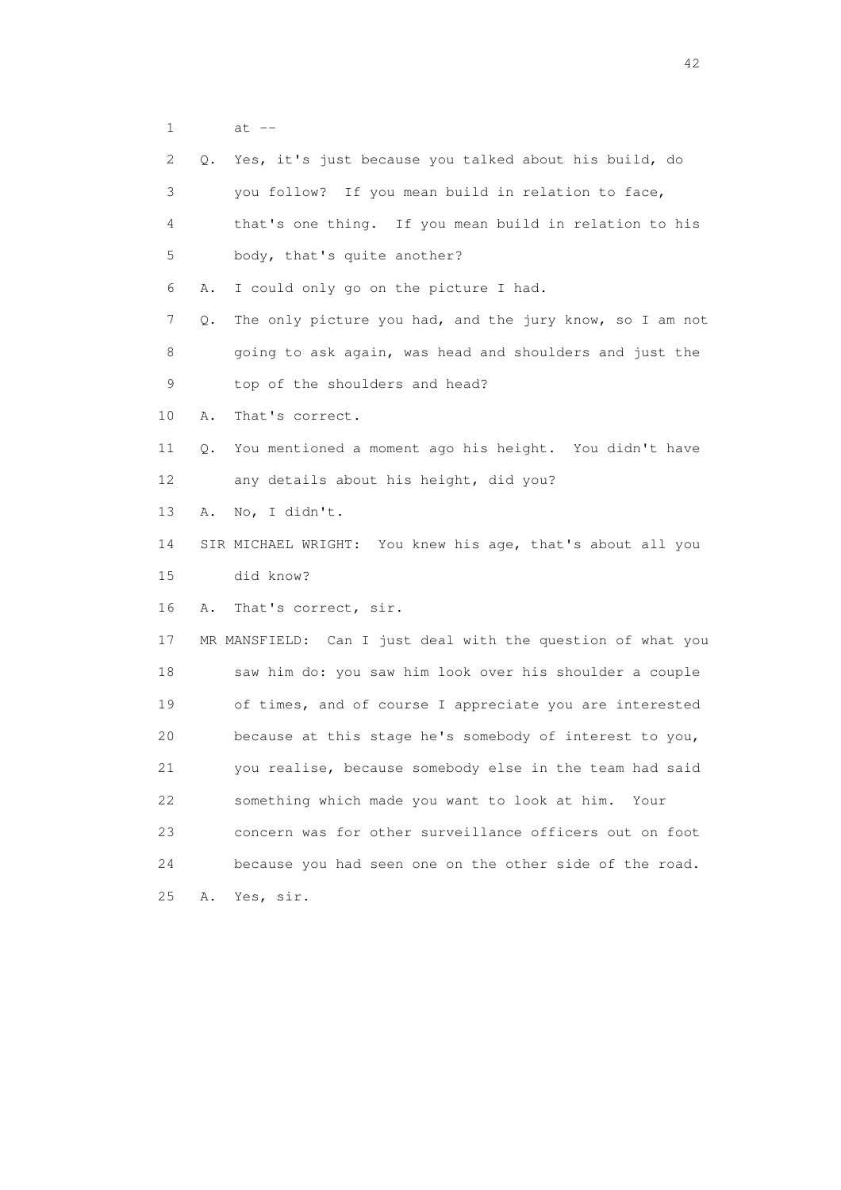1 at --

|    | 2       | Q. Yes, it's just because you talked about his build, do    |
|----|---------|-------------------------------------------------------------|
|    | 3       | you follow? If you mean build in relation to face,          |
|    | 4       | that's one thing. If you mean build in relation to his      |
|    | 5       | body, that's quite another?                                 |
|    | 6<br>Α. | I could only go on the picture I had.                       |
|    | 7<br>Q. | The only picture you had, and the jury know, so I am not    |
|    | 8       | going to ask again, was head and shoulders and just the     |
|    | 9       | top of the shoulders and head?                              |
| 10 | Α.      | That's correct.                                             |
| 11 | Q.      | You mentioned a moment ago his height. You didn't have      |
| 12 |         | any details about his height, did you?                      |
| 13 | Α.      | No, I didn't.                                               |
| 14 |         | SIR MICHAEL WRIGHT: You knew his age, that's about all you  |
| 15 |         | did know?                                                   |
| 16 | Α.      | That's correct, sir.                                        |
| 17 |         | MR MANSFIELD: Can I just deal with the question of what you |
| 18 |         | saw him do: you saw him look over his shoulder a couple     |
| 19 |         | of times, and of course I appreciate you are interested     |
| 20 |         | because at this stage he's somebody of interest to you,     |
| 21 |         | you realise, because somebody else in the team had said     |
| 22 |         | something which made you want to look at him.<br>Your       |
| 23 |         | concern was for other surveillance officers out on foot     |
|    |         |                                                             |
| 24 |         | because you had seen one on the other side of the road.     |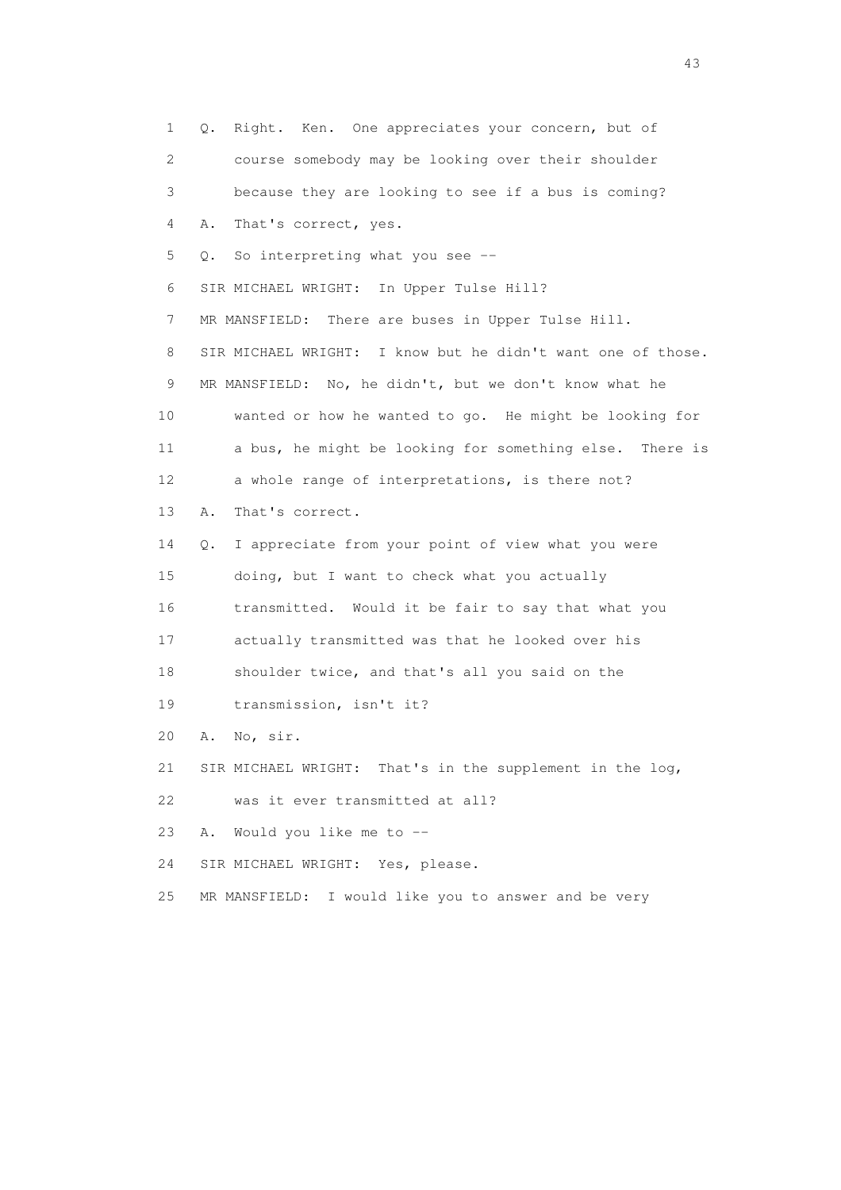1 Q. Right. Ken. One appreciates your concern, but of 2 course somebody may be looking over their shoulder 3 because they are looking to see if a bus is coming? 4 A. That's correct, yes. 5 Q. So interpreting what you see -- 6 SIR MICHAEL WRIGHT: In Upper Tulse Hill? 7 MR MANSFIELD: There are buses in Upper Tulse Hill. 8 SIR MICHAEL WRIGHT: I know but he didn't want one of those. 9 MR MANSFIELD: No, he didn't, but we don't know what he 10 wanted or how he wanted to go. He might be looking for 11 a bus, he might be looking for something else. There is 12 a whole range of interpretations, is there not? 13 A. That's correct. 14 Q. I appreciate from your point of view what you were 15 doing, but I want to check what you actually 16 transmitted. Would it be fair to say that what you 17 actually transmitted was that he looked over his 18 shoulder twice, and that's all you said on the 19 transmission, isn't it? 20 A. No, sir. 21 SIR MICHAEL WRIGHT: That's in the supplement in the log, 22 was it ever transmitted at all? 23 A. Would you like me to -- 24 SIR MICHAEL WRIGHT: Yes, please. 25 MR MANSFIELD: I would like you to answer and be very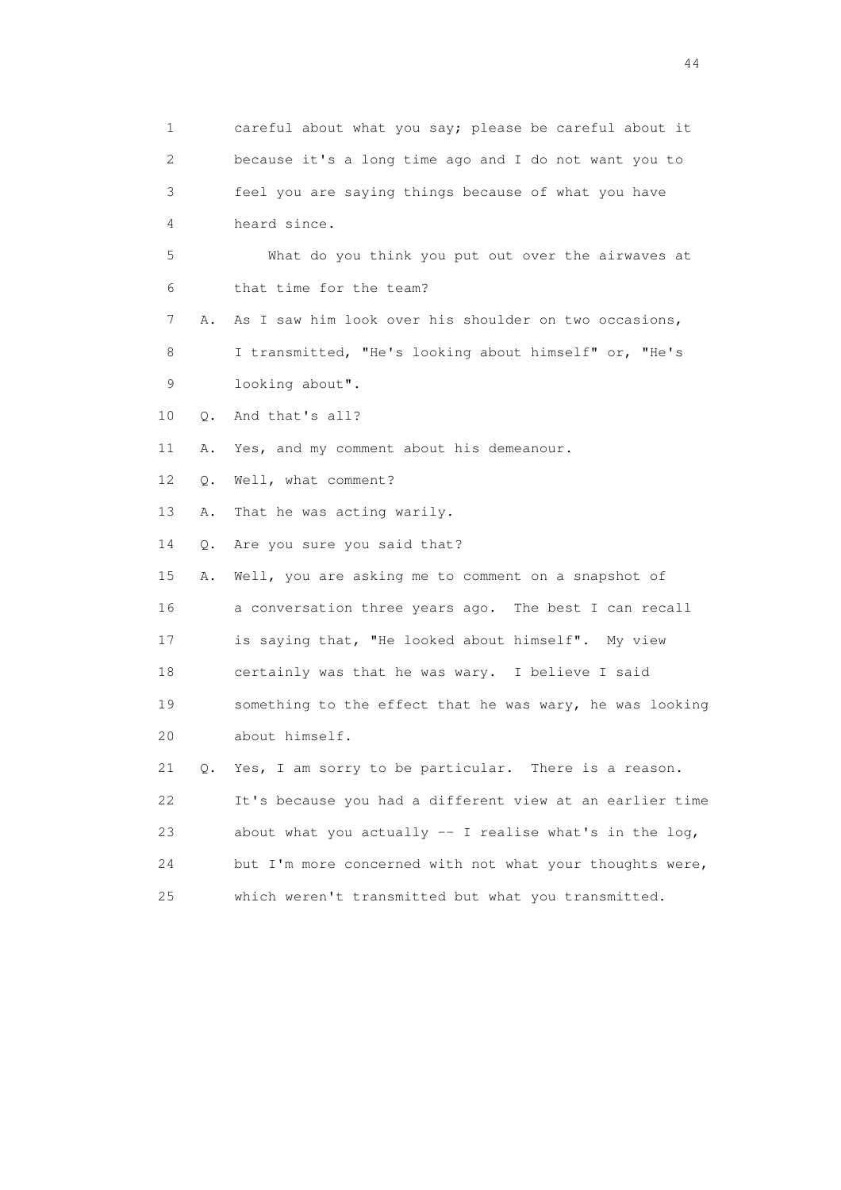1 careful about what you say; please be careful about it 2 because it's a long time ago and I do not want you to 3 feel you are saying things because of what you have 4 heard since. 5 What do you think you put out over the airwaves at 6 that time for the team? 7 A. As I saw him look over his shoulder on two occasions, 8 I transmitted, "He's looking about himself" or, "He's 9 looking about". 10 Q. And that's all? 11 A. Yes, and my comment about his demeanour. 12 Q. Well, what comment? 13 A. That he was acting warily. 14 Q. Are you sure you said that? 15 A. Well, you are asking me to comment on a snapshot of 16 a conversation three years ago. The best I can recall 17 is saying that, "He looked about himself". My view 18 certainly was that he was wary. I believe I said 19 something to the effect that he was wary, he was looking 20 about himself. 21 Q. Yes, I am sorry to be particular. There is a reason. 22 It's because you had a different view at an earlier time 23 about what you actually -- I realise what's in the log, 24 but I'm more concerned with not what your thoughts were, 25 which weren't transmitted but what you transmitted.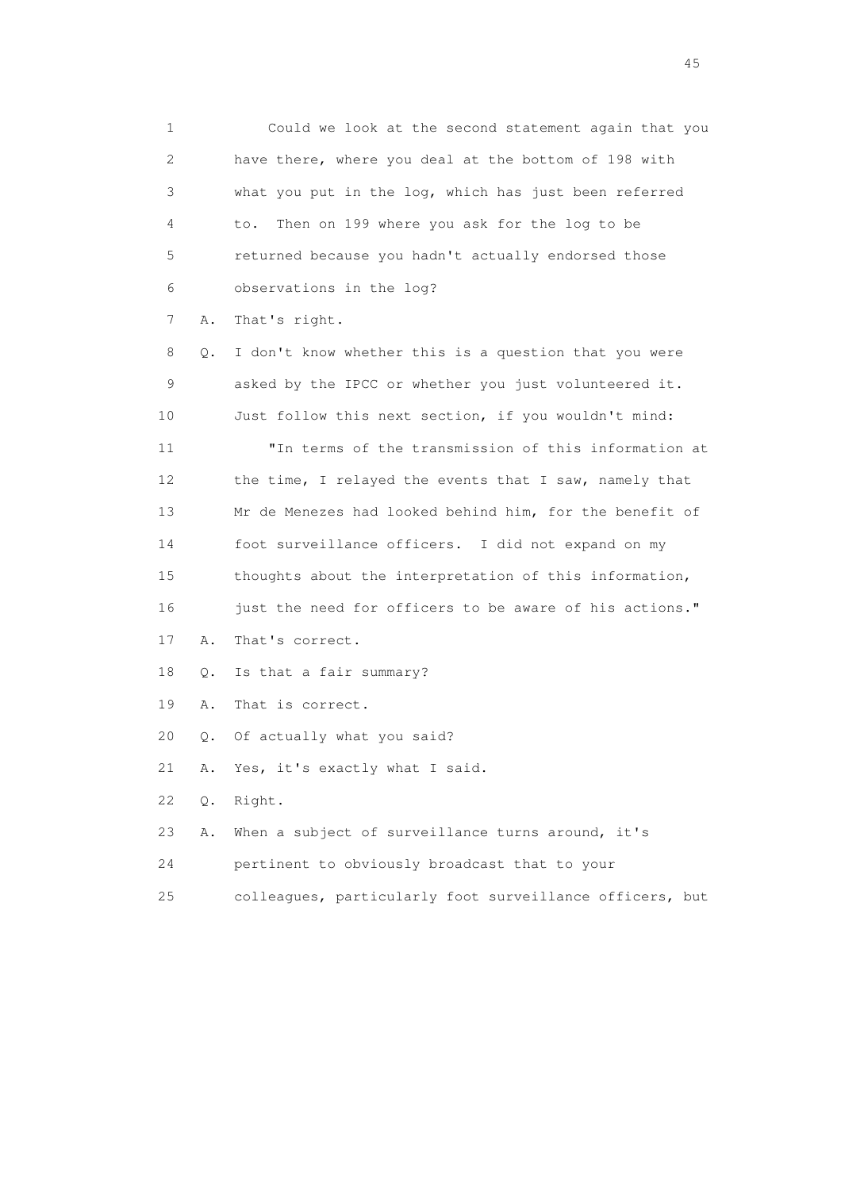1 Could we look at the second statement again that you 2 have there, where you deal at the bottom of 198 with 3 what you put in the log, which has just been referred 4 to. Then on 199 where you ask for the log to be 5 returned because you hadn't actually endorsed those 6 observations in the log?

7 A. That's right.

 8 Q. I don't know whether this is a question that you were 9 asked by the IPCC or whether you just volunteered it. 10 Just follow this next section, if you wouldn't mind: 11 "In terms of the transmission of this information at 12 the time, I relayed the events that I saw, namely that 13 Mr de Menezes had looked behind him, for the benefit of 14 foot surveillance officers. I did not expand on my 15 thoughts about the interpretation of this information, 16 just the need for officers to be aware of his actions." 17 A. That's correct. 18 Q. Is that a fair summary? 19 A. That is correct. 20 Q. Of actually what you said? 21 A. Yes, it's exactly what I said. 22 Q. Right. 23 A. When a subject of surveillance turns around, it's 24 pertinent to obviously broadcast that to your

25 colleagues, particularly foot surveillance officers, but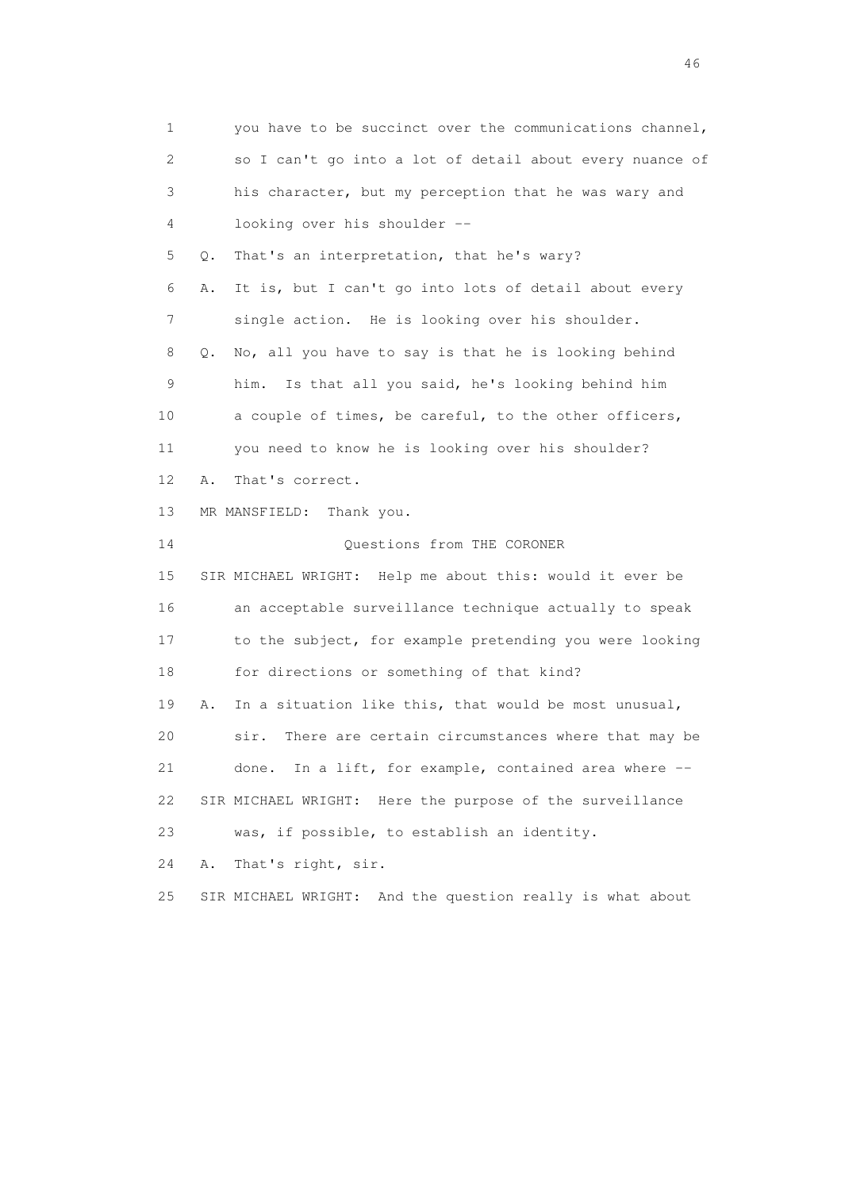1 you have to be succinct over the communications channel, 2 so I can't go into a lot of detail about every nuance of 3 his character, but my perception that he was wary and 4 looking over his shoulder -- 5 Q. That's an interpretation, that he's wary? 6 A. It is, but I can't go into lots of detail about every 7 single action. He is looking over his shoulder. 8 Q. No, all you have to say is that he is looking behind 9 him. Is that all you said, he's looking behind him 10 a couple of times, be careful, to the other officers, 11 you need to know he is looking over his shoulder? 12 A. That's correct. 13 MR MANSFIELD: Thank you. 14 Questions from THE CORONER 15 SIR MICHAEL WRIGHT: Help me about this: would it ever be 16 an acceptable surveillance technique actually to speak 17 to the subject, for example pretending you were looking 18 for directions or something of that kind? 19 A. In a situation like this, that would be most unusual, 20 sir. There are certain circumstances where that may be 21 done. In a lift, for example, contained area where -- 22 SIR MICHAEL WRIGHT: Here the purpose of the surveillance 23 was, if possible, to establish an identity. 24 A. That's right, sir. 25 SIR MICHAEL WRIGHT: And the question really is what about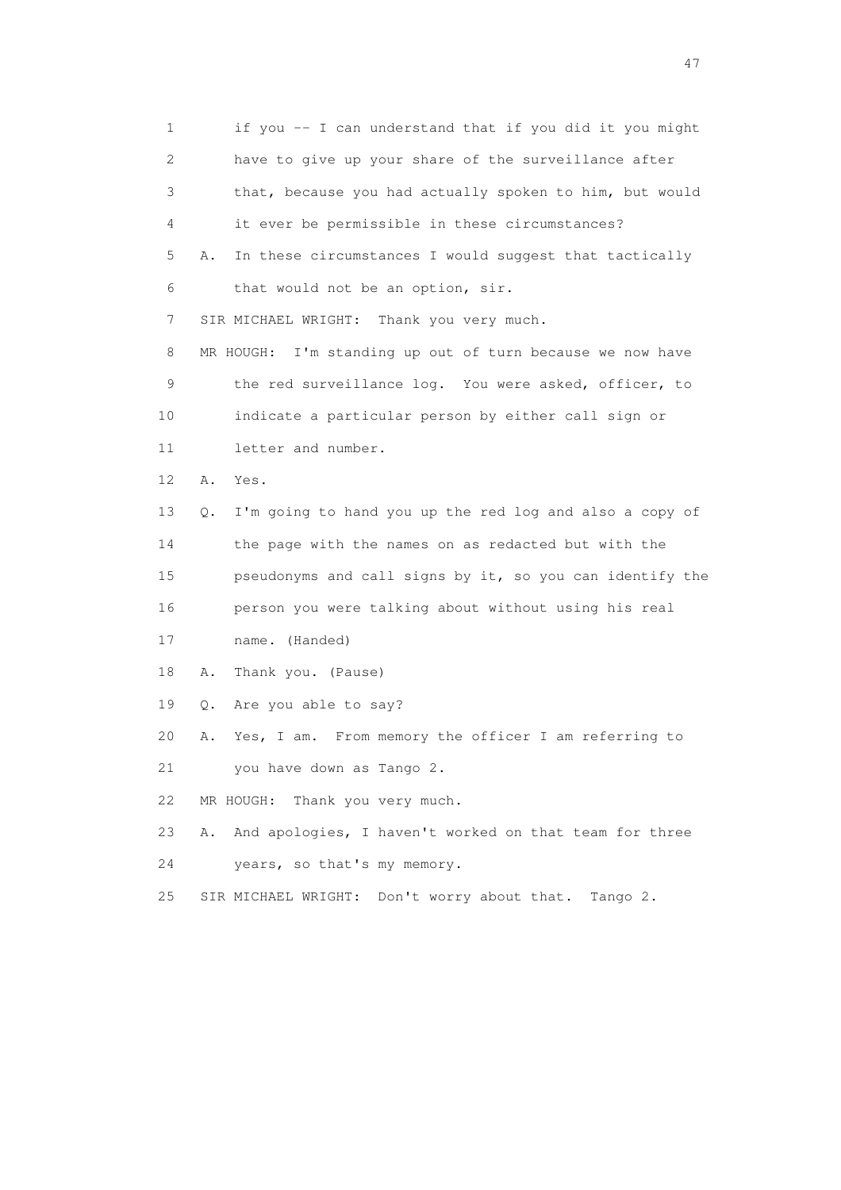1 if you -- I can understand that if you did it you might 2 have to give up your share of the surveillance after 3 that, because you had actually spoken to him, but would 4 it ever be permissible in these circumstances? 5 A. In these circumstances I would suggest that tactically 6 that would not be an option, sir. 7 SIR MICHAEL WRIGHT: Thank you very much. 8 MR HOUGH: I'm standing up out of turn because we now have 9 the red surveillance log. You were asked, officer, to 10 indicate a particular person by either call sign or 11 letter and number. 12 A. Yes. 13 Q. I'm going to hand you up the red log and also a copy of 14 the page with the names on as redacted but with the 15 pseudonyms and call signs by it, so you can identify the 16 person you were talking about without using his real 17 name. (Handed) 18 A. Thank you. (Pause) 19 Q. Are you able to say? 20 A. Yes, I am. From memory the officer I am referring to 21 you have down as Tango 2. 22 MR HOUGH: Thank you very much. 23 A. And apologies, I haven't worked on that team for three 24 years, so that's my memory. 25 SIR MICHAEL WRIGHT: Don't worry about that. Tango 2.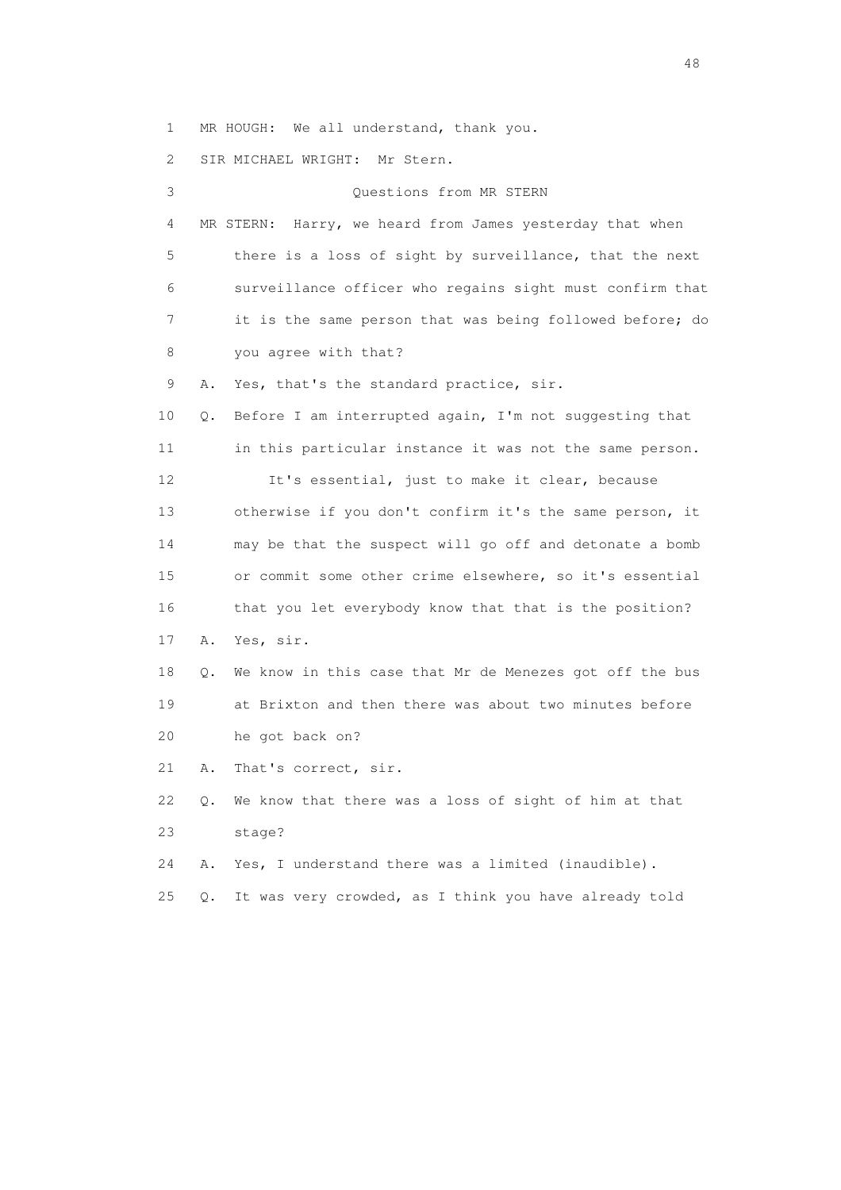1 MR HOUGH: We all understand, thank you.

2 SIR MICHAEL WRIGHT: Mr Stern.

| 3               |           |           | Questions from MR STERN                                  |
|-----------------|-----------|-----------|----------------------------------------------------------|
| 4               |           |           | MR STERN: Harry, we heard from James yesterday that when |
| 5               |           |           | there is a loss of sight by surveillance, that the next  |
| 6               |           |           | surveillance officer who regains sight must confirm that |
| 7               |           |           | it is the same person that was being followed before; do |
| 8               |           |           | you agree with that?                                     |
| 9               | Α.        |           | Yes, that's the standard practice, sir.                  |
| 10              | Q.        |           | Before I am interrupted again, I'm not suggesting that   |
| 11              |           |           | in this particular instance it was not the same person.  |
| 12 <sup>°</sup> |           |           | It's essential, just to make it clear, because           |
| 13              |           |           | otherwise if you don't confirm it's the same person, it  |
| 14              |           |           | may be that the suspect will go off and detonate a bomb  |
| 15              |           |           | or commit some other crime elsewhere, so it's essential  |
| 16              |           |           | that you let everybody know that that is the position?   |
| 17              | Α.        | Yes, sir. |                                                          |
| 18              | О.        |           | We know in this case that Mr de Menezes got off the bus  |
| 19              |           |           | at Brixton and then there was about two minutes before   |
| 20              |           |           | he got back on?                                          |
| 21              | Α.        |           | That's correct, sir.                                     |
| 22              | $\circ$ . |           | We know that there was a loss of sight of him at that    |
| 23              |           | stage?    |                                                          |
| 24              | Α.        |           | Yes, I understand there was a limited (inaudible).       |
| 25              | Q.        |           | It was very crowded, as I think you have already told    |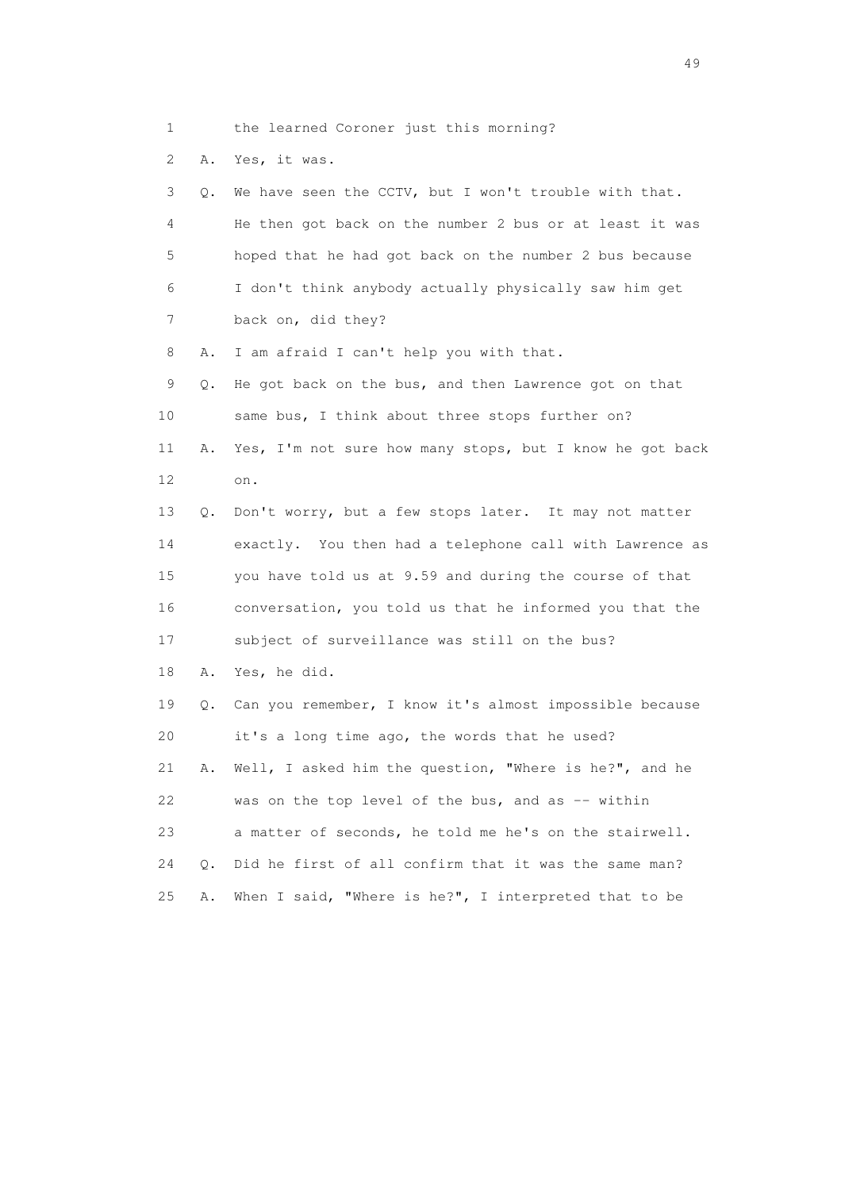1 the learned Coroner just this morning?

2 A. Yes, it was.

 3 Q. We have seen the CCTV, but I won't trouble with that. 4 He then got back on the number 2 bus or at least it was 5 hoped that he had got back on the number 2 bus because 6 I don't think anybody actually physically saw him get 7 back on, did they? 8 A. I am afraid I can't help you with that. 9 Q. He got back on the bus, and then Lawrence got on that 10 same bus, I think about three stops further on? 11 A. Yes, I'm not sure how many stops, but I know he got back 12 on. 13 Q. Don't worry, but a few stops later. It may not matter 14 exactly. You then had a telephone call with Lawrence as 15 you have told us at 9.59 and during the course of that

16 conversation, you told us that he informed you that the

17 subject of surveillance was still on the bus?

18 A. Yes, he did.

 19 Q. Can you remember, I know it's almost impossible because 20 it's a long time ago, the words that he used? 21 A. Well, I asked him the question, "Where is he?", and he 22 was on the top level of the bus, and as -- within 23 a matter of seconds, he told me he's on the stairwell. 24 Q. Did he first of all confirm that it was the same man? 25 A. When I said, "Where is he?", I interpreted that to be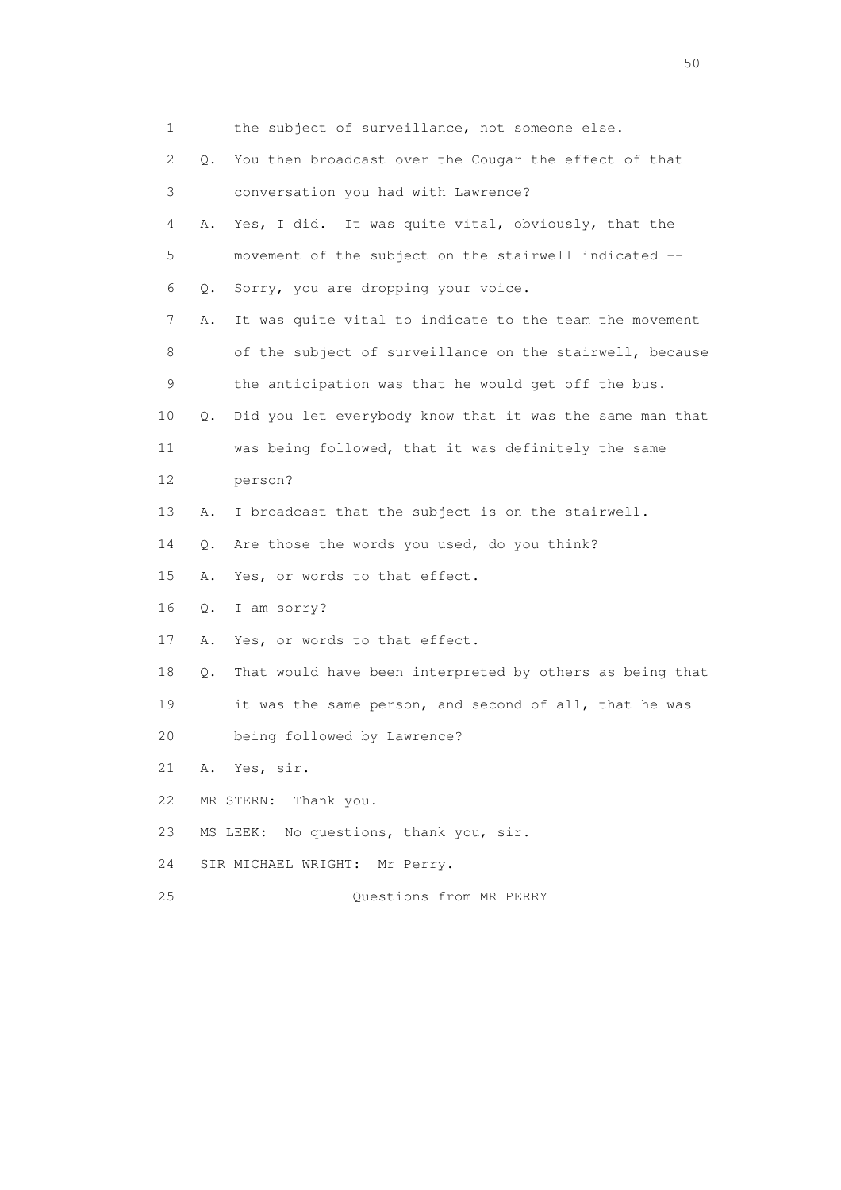| 1  |    | the subject of surveillance, not someone else.           |
|----|----|----------------------------------------------------------|
| 2  | О. | You then broadcast over the Cougar the effect of that    |
| 3  |    | conversation you had with Lawrence?                      |
| 4  | Α. | Yes, I did. It was quite vital, obviously, that the      |
| 5  |    | movement of the subject on the stairwell indicated --    |
| 6  | Q. | Sorry, you are dropping your voice.                      |
| 7  | Α. | It was quite vital to indicate to the team the movement  |
| 8  |    | of the subject of surveillance on the stairwell, because |
| 9  |    | the anticipation was that he would get off the bus.      |
| 10 | Q. | Did you let everybody know that it was the same man that |
| 11 |    | was being followed, that it was definitely the same      |
| 12 |    | person?                                                  |
| 13 | Α. | I broadcast that the subject is on the stairwell.        |
| 14 | Q. | Are those the words you used, do you think?              |
| 15 | Α. | Yes, or words to that effect.                            |
| 16 | Q. | I am sorry?                                              |
| 17 | Α. | Yes, or words to that effect.                            |
| 18 | Q. | That would have been interpreted by others as being that |
| 19 |    | it was the same person, and second of all, that he was   |
| 20 |    | being followed by Lawrence?                              |
| 21 |    | A. Yes, sir.                                             |
| 22 |    | MR STERN: Thank you.                                     |
| 23 |    | No questions, thank you, sir.<br>MS LEEK:                |
| 24 |    | SIR MICHAEL WRIGHT: Mr Perry.                            |
| 25 |    | Questions from MR PERRY                                  |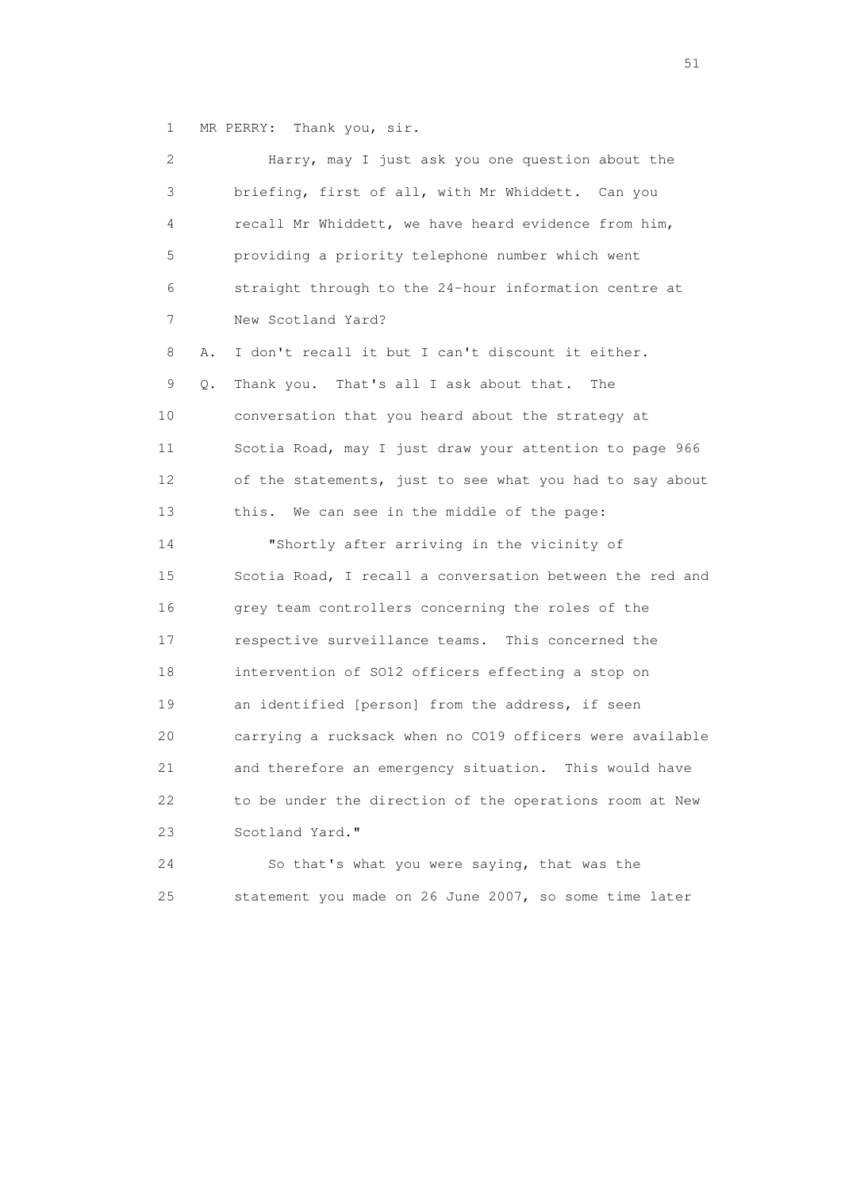1 MR PERRY: Thank you, sir.

|    | 2       | Harry, may I just ask you one question about the         |
|----|---------|----------------------------------------------------------|
|    | 3       | briefing, first of all, with Mr Whiddett. Can you        |
|    | 4       | recall Mr Whiddett, we have heard evidence from him,     |
|    | 5       | providing a priority telephone number which went         |
|    | 6       | straight through to the 24-hour information centre at    |
|    | 7       | New Scotland Yard?                                       |
|    | 8<br>Α. | I don't recall it but I can't discount it either.        |
|    | 9<br>Q. | Thank you. That's all I ask about that.<br>The           |
| 10 |         | conversation that you heard about the strategy at        |
| 11 |         | Scotia Road, may I just draw your attention to page 966  |
| 12 |         | of the statements, just to see what you had to say about |
| 13 |         | this. We can see in the middle of the page:              |
| 14 |         | "Shortly after arriving in the vicinity of               |
| 15 |         | Scotia Road, I recall a conversation between the red and |
| 16 |         | grey team controllers concerning the roles of the        |
| 17 |         | respective surveillance teams. This concerned the        |
| 18 |         | intervention of S012 officers effecting a stop on        |
| 19 |         | an identified [person] from the address, if seen         |
| 20 |         | carrying a rucksack when no CO19 officers were available |
| 21 |         | and therefore an emergency situation. This would have    |
| 22 |         | to be under the direction of the operations room at New  |
| 23 |         | Scotland Yard."                                          |
| 24 |         | So that's what you were saying, that was the             |
| 25 |         | statement you made on 26 June 2007, so some time later   |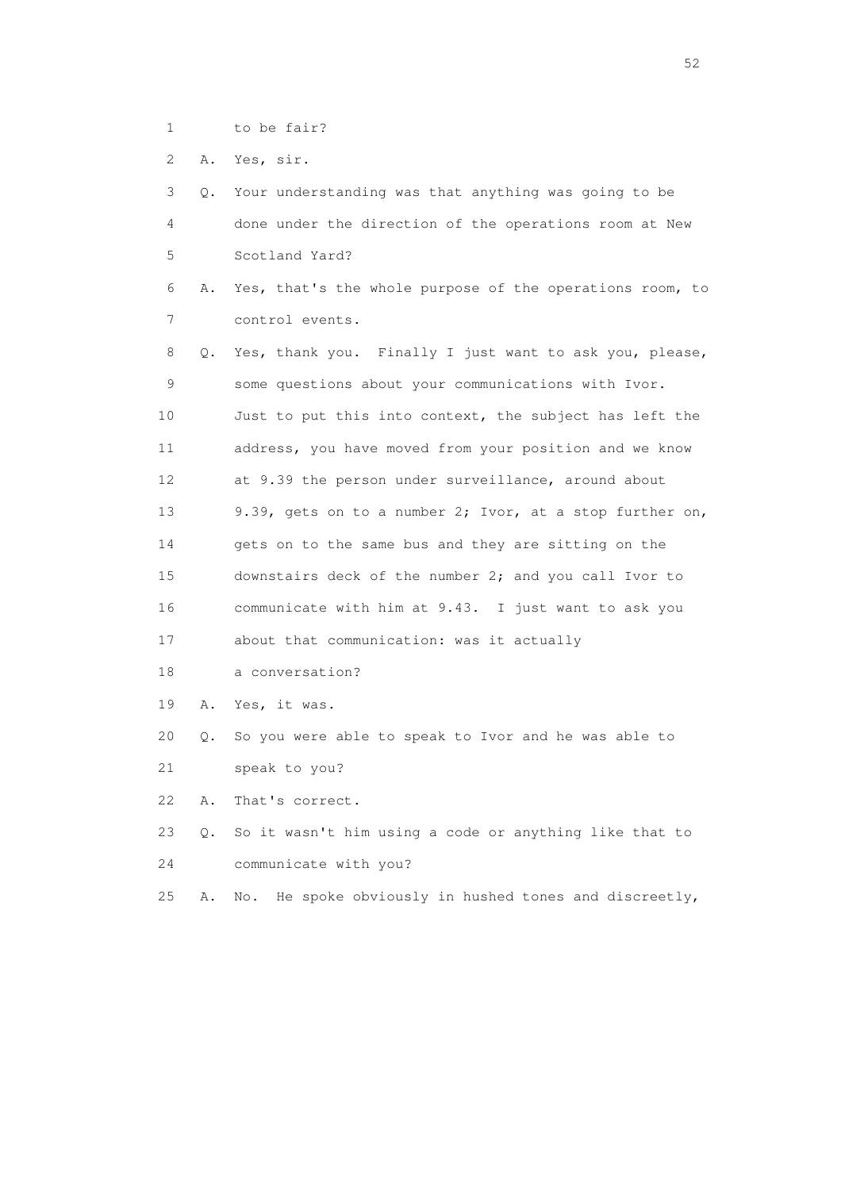- 1 to be fair?
- 2 A. Yes, sir.

|                                   | 3 Q. Your understanding was that anything was going to be |
|-----------------------------------|-----------------------------------------------------------|
| $\overline{4}$ and $\overline{4}$ | done under the direction of the operations room at New    |
| $\mathcal{L}$                     | Scotland Yard?                                            |

 6 A. Yes, that's the whole purpose of the operations room, to 7 control events.

 8 Q. Yes, thank you. Finally I just want to ask you, please, 9 some questions about your communications with Ivor. 10 Just to put this into context, the subject has left the 11 address, you have moved from your position and we know 12 at 9.39 the person under surveillance, around about 13 9.39, gets on to a number 2; Ivor, at a stop further on, 14 gets on to the same bus and they are sitting on the 15 downstairs deck of the number 2; and you call Ivor to 16 communicate with him at 9.43. I just want to ask you 17 about that communication: was it actually

- 18 a conversation?
- 19 A. Yes, it was.
- 20 Q. So you were able to speak to Ivor and he was able to
- 21 speak to you?

22 A. That's correct.

- 23 Q. So it wasn't him using a code or anything like that to 24 communicate with you?
- 25 A. No. He spoke obviously in hushed tones and discreetly,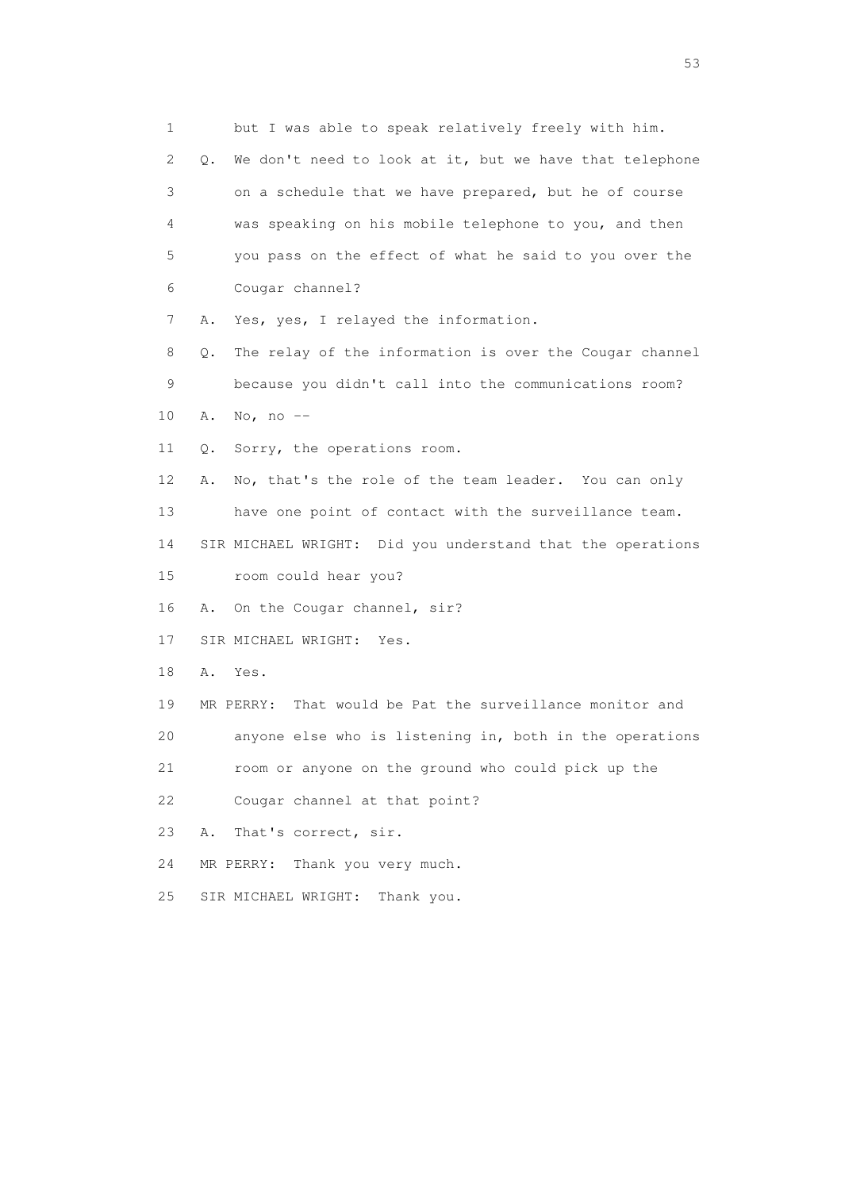1 but I was able to speak relatively freely with him. 2 Q. We don't need to look at it, but we have that telephone 3 on a schedule that we have prepared, but he of course 4 was speaking on his mobile telephone to you, and then 5 you pass on the effect of what he said to you over the 6 Cougar channel? 7 A. Yes, yes, I relayed the information. 8 Q. The relay of the information is over the Cougar channel 9 because you didn't call into the communications room? 10 A. No, no -- 11 Q. Sorry, the operations room. 12 A. No, that's the role of the team leader. You can only 13 have one point of contact with the surveillance team. 14 SIR MICHAEL WRIGHT: Did you understand that the operations 15 room could hear you? 16 A. On the Cougar channel, sir? 17 SIR MICHAEL WRIGHT: Yes. 18 A. Yes. 19 MR PERRY: That would be Pat the surveillance monitor and 20 anyone else who is listening in, both in the operations 21 room or anyone on the ground who could pick up the 22 Cougar channel at that point? 23 A. That's correct, sir. 24 MR PERRY: Thank you very much. 25 SIR MICHAEL WRIGHT: Thank you.

 $\sim$  53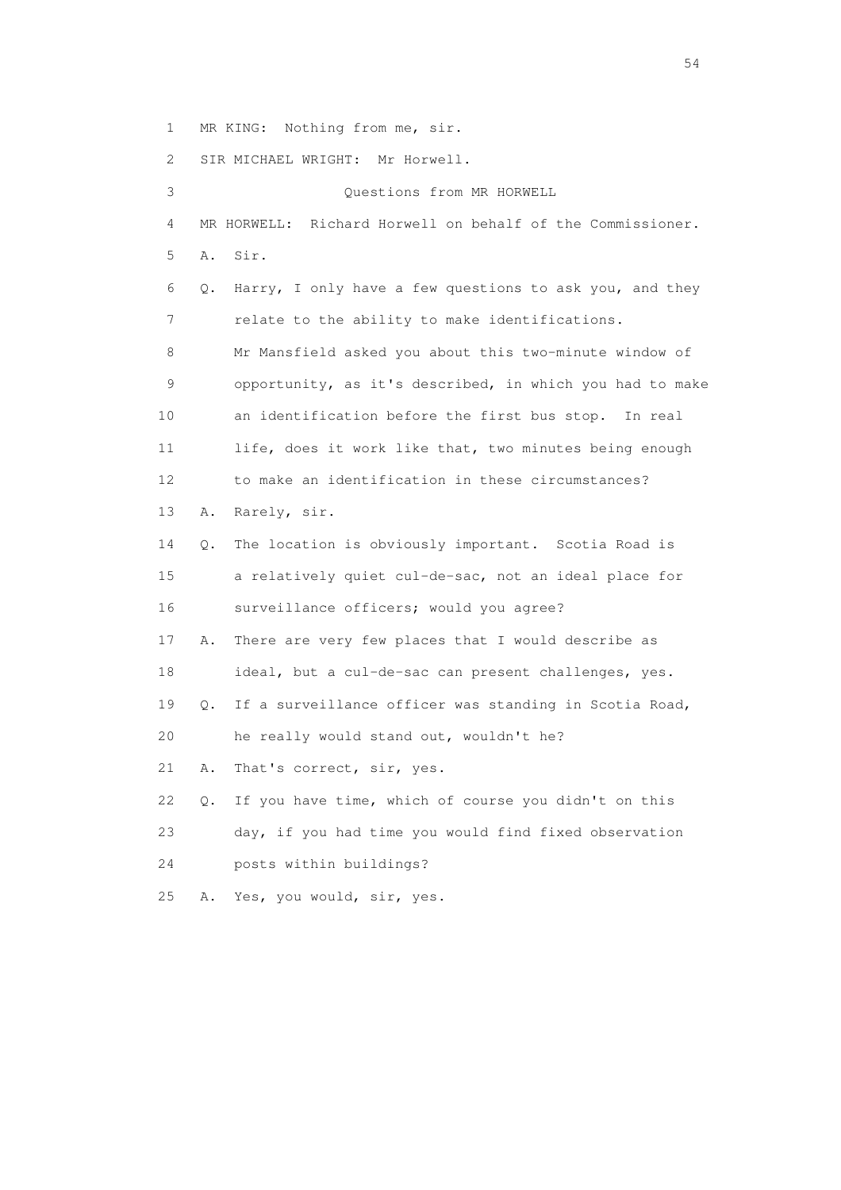1 MR KING: Nothing from me, sir.

2 SIR MICHAEL WRIGHT: Mr Horwell.

 3 Questions from MR HORWELL 4 MR HORWELL: Richard Horwell on behalf of the Commissioner. 5 A. Sir. 6 Q. Harry, I only have a few questions to ask you, and they 7 relate to the ability to make identifications. 8 Mr Mansfield asked you about this two-minute window of 9 opportunity, as it's described, in which you had to make 10 an identification before the first bus stop. In real 11 life, does it work like that, two minutes being enough 12 to make an identification in these circumstances? 13 A. Rarely, sir. 14 Q. The location is obviously important. Scotia Road is 15 a relatively quiet cul-de-sac, not an ideal place for 16 surveillance officers; would you agree? 17 A. There are very few places that I would describe as 18 ideal, but a cul-de-sac can present challenges, yes. 19 Q. If a surveillance officer was standing in Scotia Road, 20 he really would stand out, wouldn't he? 21 A. That's correct, sir, yes. 22 Q. If you have time, which of course you didn't on this 23 day, if you had time you would find fixed observation 24 posts within buildings? 25 A. Yes, you would, sir, yes.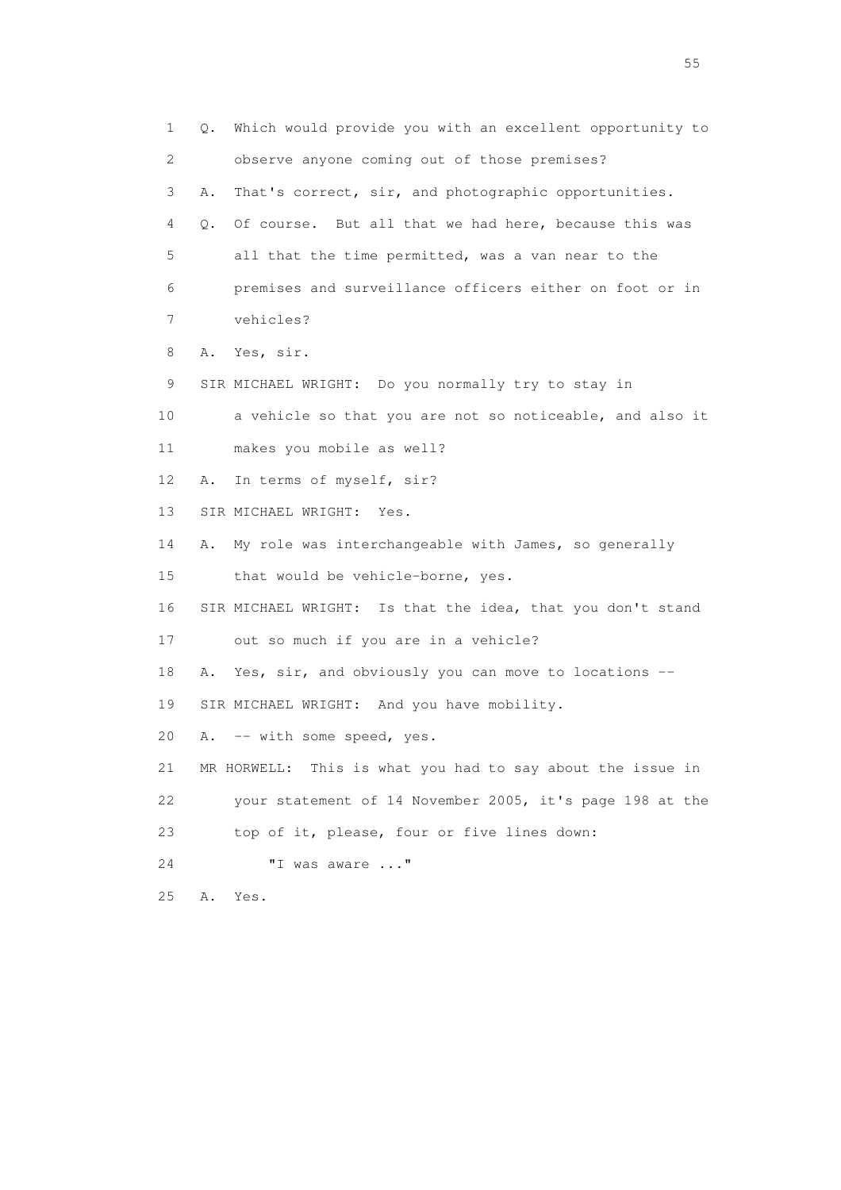1 Q. Which would provide you with an excellent opportunity to 2 observe anyone coming out of those premises? 3 A. That's correct, sir, and photographic opportunities. 4 Q. Of course. But all that we had here, because this was 5 all that the time permitted, was a van near to the 6 premises and surveillance officers either on foot or in 7 vehicles? 8 A. Yes, sir. 9 SIR MICHAEL WRIGHT: Do you normally try to stay in 10 a vehicle so that you are not so noticeable, and also it 11 makes you mobile as well? 12 A. In terms of myself, sir? 13 SIR MICHAEL WRIGHT: Yes. 14 A. My role was interchangeable with James, so generally 15 that would be vehicle-borne, yes. 16 SIR MICHAEL WRIGHT: Is that the idea, that you don't stand 17 out so much if you are in a vehicle? 18 A. Yes, sir, and obviously you can move to locations -- 19 SIR MICHAEL WRIGHT: And you have mobility. 20 A. -- with some speed, yes. 21 MR HORWELL: This is what you had to say about the issue in 22 your statement of 14 November 2005, it's page 198 at the 23 top of it, please, four or five lines down: 24 "I was aware ..." 25 A. Yes.

the state of the state of the state of the state of the state of the state of the state of the state of the state of the state of the state of the state of the state of the state of the state of the state of the state of t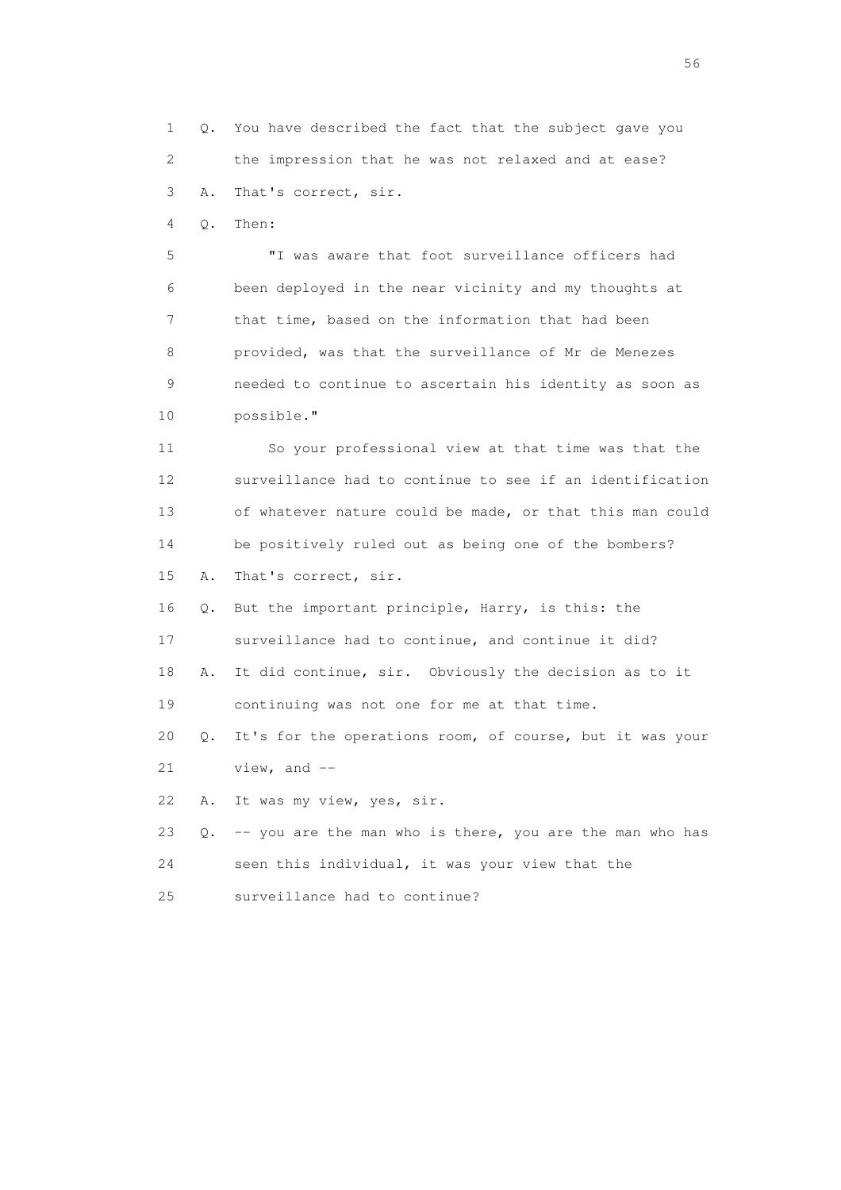1 Q. You have described the fact that the subject gave you 2 the impression that he was not relaxed and at ease? 3 A. That's correct, sir.

4 Q. Then:

 5 "I was aware that foot surveillance officers had 6 been deployed in the near vicinity and my thoughts at 7 that time, based on the information that had been 8 provided, was that the surveillance of Mr de Menezes 9 needed to continue to ascertain his identity as soon as 10 possible."

 11 So your professional view at that time was that the 12 surveillance had to continue to see if an identification 13 of whatever nature could be made, or that this man could 14 be positively ruled out as being one of the bombers? 15 A. That's correct, sir.

16 Q. But the important principle, Harry, is this: the

17 surveillance had to continue, and continue it did?

 18 A. It did continue, sir. Obviously the decision as to it 19 continuing was not one for me at that time.

20 Q. It's for the operations room, of course, but it was your

 $21$  view, and  $-$ 

22 A. It was my view, yes, sir.

 23 Q. -- you are the man who is there, you are the man who has 24 seen this individual, it was your view that the

25 surveillance had to continue?

 $56<sup>o</sup>$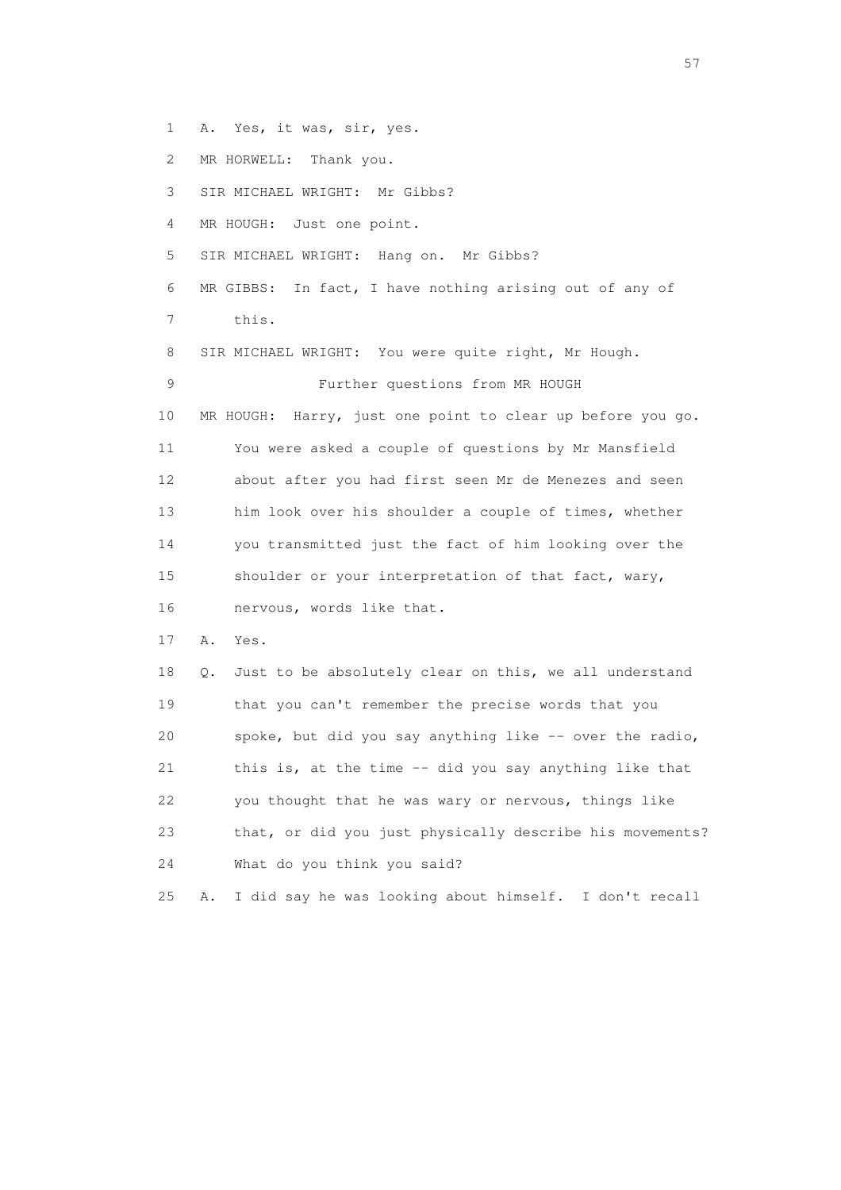- 1 A. Yes, it was, sir, yes.
- 2 MR HORWELL: Thank you.

3 SIR MICHAEL WRIGHT: Mr Gibbs?

- 4 MR HOUGH: Just one point.
- 5 SIR MICHAEL WRIGHT: Hang on. Mr Gibbs?
- 6 MR GIBBS: In fact, I have nothing arising out of any of 7 this.

 8 SIR MICHAEL WRIGHT: You were quite right, Mr Hough. 9 Further questions from MR HOUGH 10 MR HOUGH: Harry, just one point to clear up before you go. 11 You were asked a couple of questions by Mr Mansfield 12 about after you had first seen Mr de Menezes and seen 13 him look over his shoulder a couple of times, whether 14 you transmitted just the fact of him looking over the 15 shoulder or your interpretation of that fact, wary, 16 nervous, words like that.

17 A. Yes.

 18 Q. Just to be absolutely clear on this, we all understand 19 that you can't remember the precise words that you 20 spoke, but did you say anything like -- over the radio, 21 this is, at the time -- did you say anything like that 22 you thought that he was wary or nervous, things like 23 that, or did you just physically describe his movements? 24 What do you think you said?

25 A. I did say he was looking about himself. I don't recall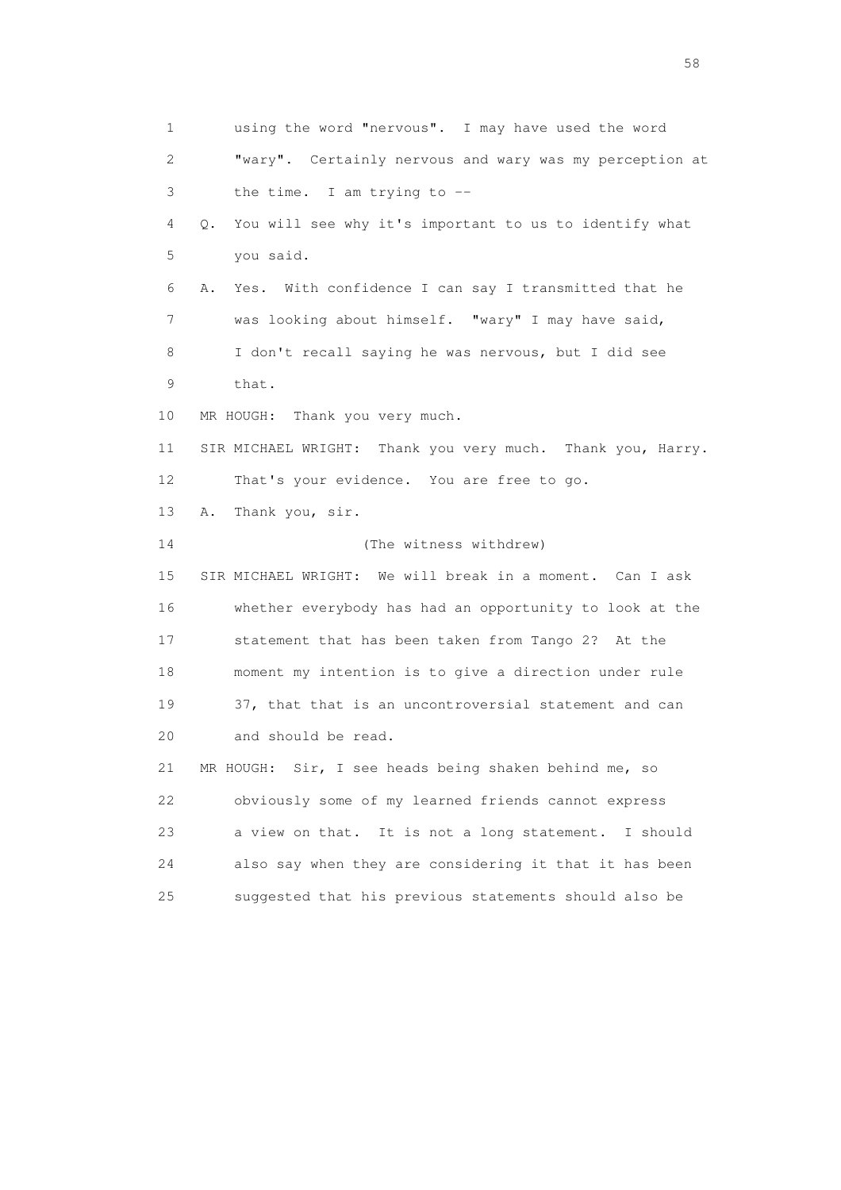1 using the word "nervous". I may have used the word 2 "wary". Certainly nervous and wary was my perception at 3 the time. I am trying to -- 4 Q. You will see why it's important to us to identify what 5 you said. 6 A. Yes. With confidence I can say I transmitted that he 7 was looking about himself. "wary" I may have said, 8 I don't recall saying he was nervous, but I did see 9 that. 10 MR HOUGH: Thank you very much. 11 SIR MICHAEL WRIGHT: Thank you very much. Thank you, Harry. 12 That's your evidence. You are free to go. 13 A. Thank you, sir. 14 (The witness withdrew) 15 SIR MICHAEL WRIGHT: We will break in a moment. Can I ask 16 whether everybody has had an opportunity to look at the 17 statement that has been taken from Tango 2? At the 18 moment my intention is to give a direction under rule 19 37, that that is an uncontroversial statement and can 20 and should be read. 21 MR HOUGH: Sir, I see heads being shaken behind me, so 22 obviously some of my learned friends cannot express 23 a view on that. It is not a long statement. I should 24 also say when they are considering it that it has been 25 suggested that his previous statements should also be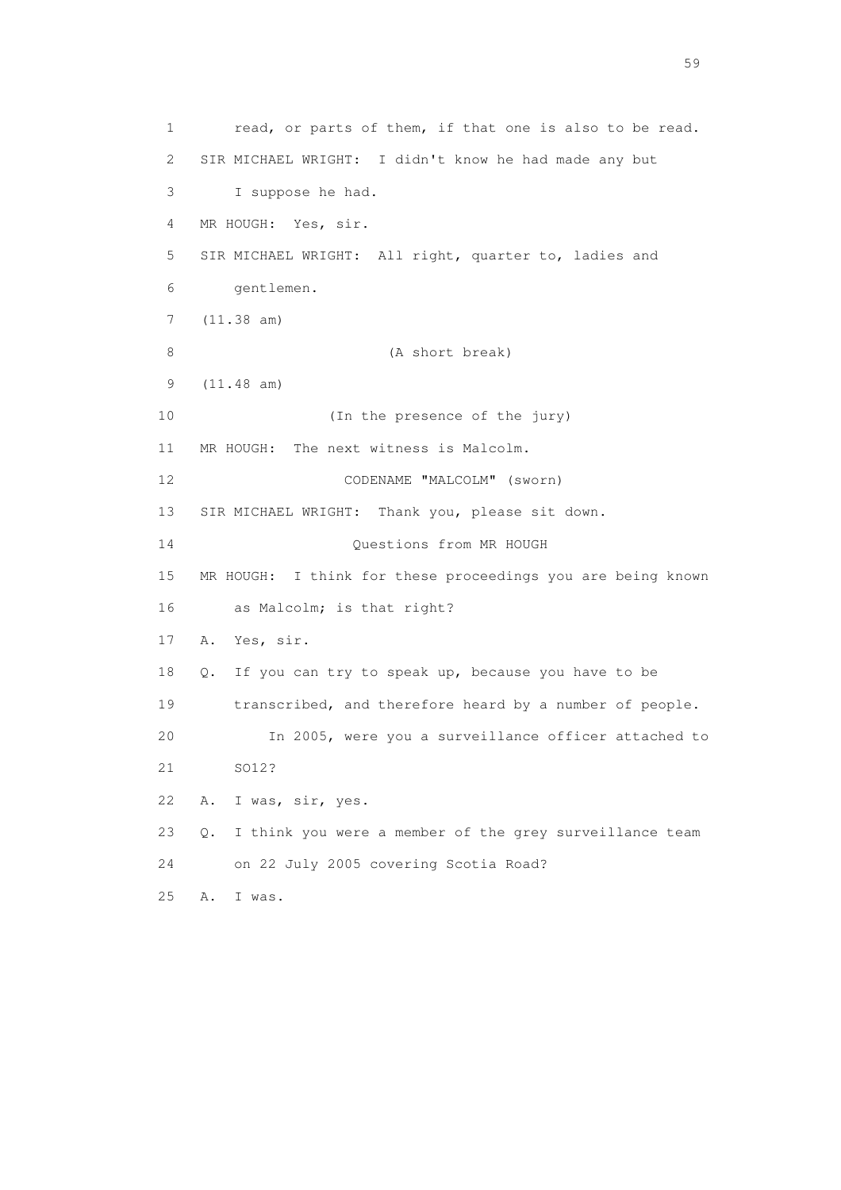1 read, or parts of them, if that one is also to be read. 2 SIR MICHAEL WRIGHT: I didn't know he had made any but 3 I suppose he had. 4 MR HOUGH: Yes, sir. 5 SIR MICHAEL WRIGHT: All right, quarter to, ladies and 6 gentlemen. 7 (11.38 am) 8 (A short break) 9 (11.48 am) 10 (In the presence of the jury) 11 MR HOUGH: The next witness is Malcolm. 12 CODENAME "MALCOLM" (sworn) 13 SIR MICHAEL WRIGHT: Thank you, please sit down. 14 Questions from MR HOUGH 15 MR HOUGH: I think for these proceedings you are being known 16 as Malcolm; is that right? 17 A. Yes, sir. 18 Q. If you can try to speak up, because you have to be 19 transcribed, and therefore heard by a number of people. 20 In 2005, were you a surveillance officer attached to 21 SO12? 22 A. I was, sir, yes. 23 Q. I think you were a member of the grey surveillance team 24 on 22 July 2005 covering Scotia Road? 25 A. I was.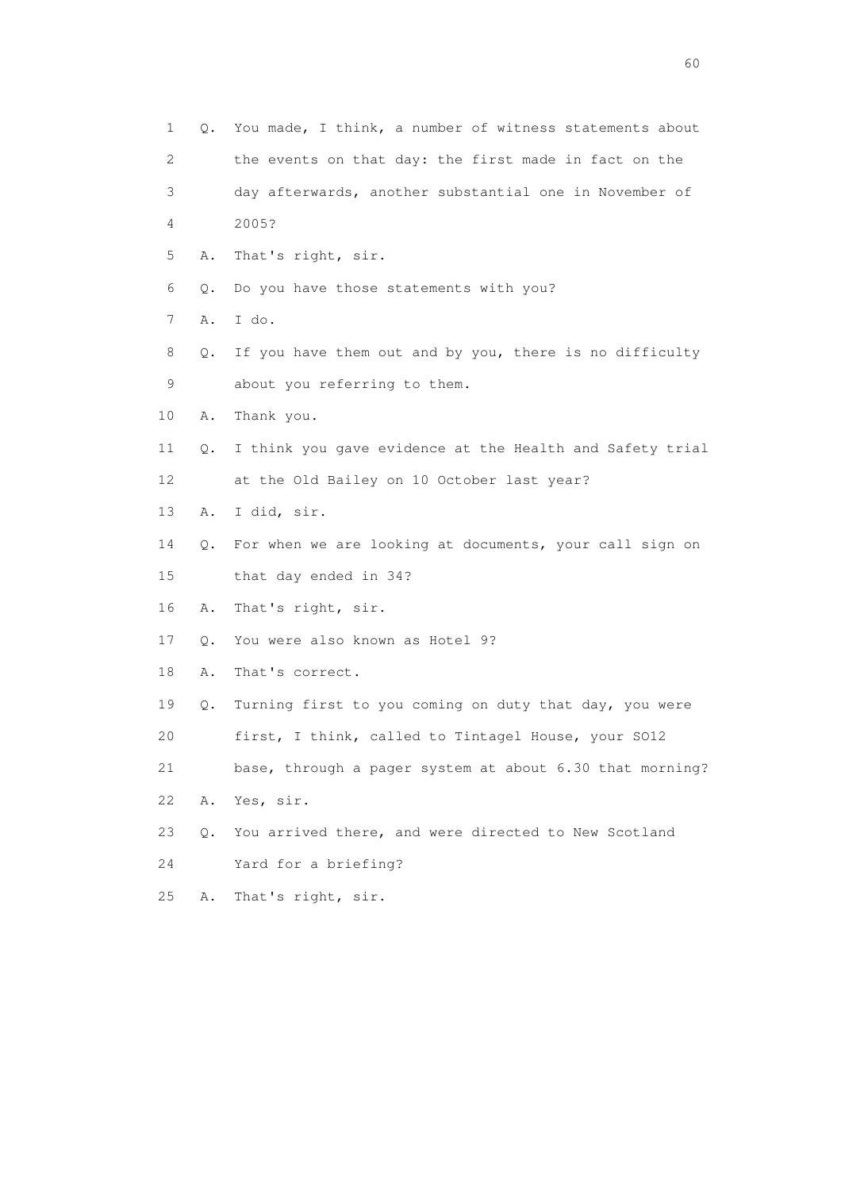| 1  |    | Q. You made, I think, a number of witness statements about |
|----|----|------------------------------------------------------------|
| 2  |    | the events on that day: the first made in fact on the      |
| 3  |    | day afterwards, another substantial one in November of     |
| 4  |    | 2005?                                                      |
| 5  | Α. | That's right, sir.                                         |
| 6  | Q. | Do you have those statements with you?                     |
| 7  | Α. | I do.                                                      |
| 8  | Q. | If you have them out and by you, there is no difficulty    |
| 9  |    | about you referring to them.                               |
| 10 | Α. | Thank you.                                                 |
| 11 | Q. | I think you gave evidence at the Health and Safety trial   |
| 12 |    | at the Old Bailey on 10 October last year?                 |
| 13 | Α. | I did, sir.                                                |
| 14 | Q. | For when we are looking at documents, your call sign on    |
| 15 |    | that day ended in 34?                                      |
| 16 | Α. | That's right, sir.                                         |
| 17 | Q. | You were also known as Hotel 9?                            |
| 18 | Α. | That's correct.                                            |
| 19 | Q. | Turning first to you coming on duty that day, you were     |
| 20 |    | first, I think, called to Tintagel House, your S012        |
| 21 |    | base, through a pager system at about 6.30 that morning?   |
| 22 | Α. | Yes, sir.                                                  |
| 23 | Q. | You arrived there, and were directed to New Scotland       |
| 24 |    | Yard for a briefing?                                       |
| 25 | Α. | That's right, sir.                                         |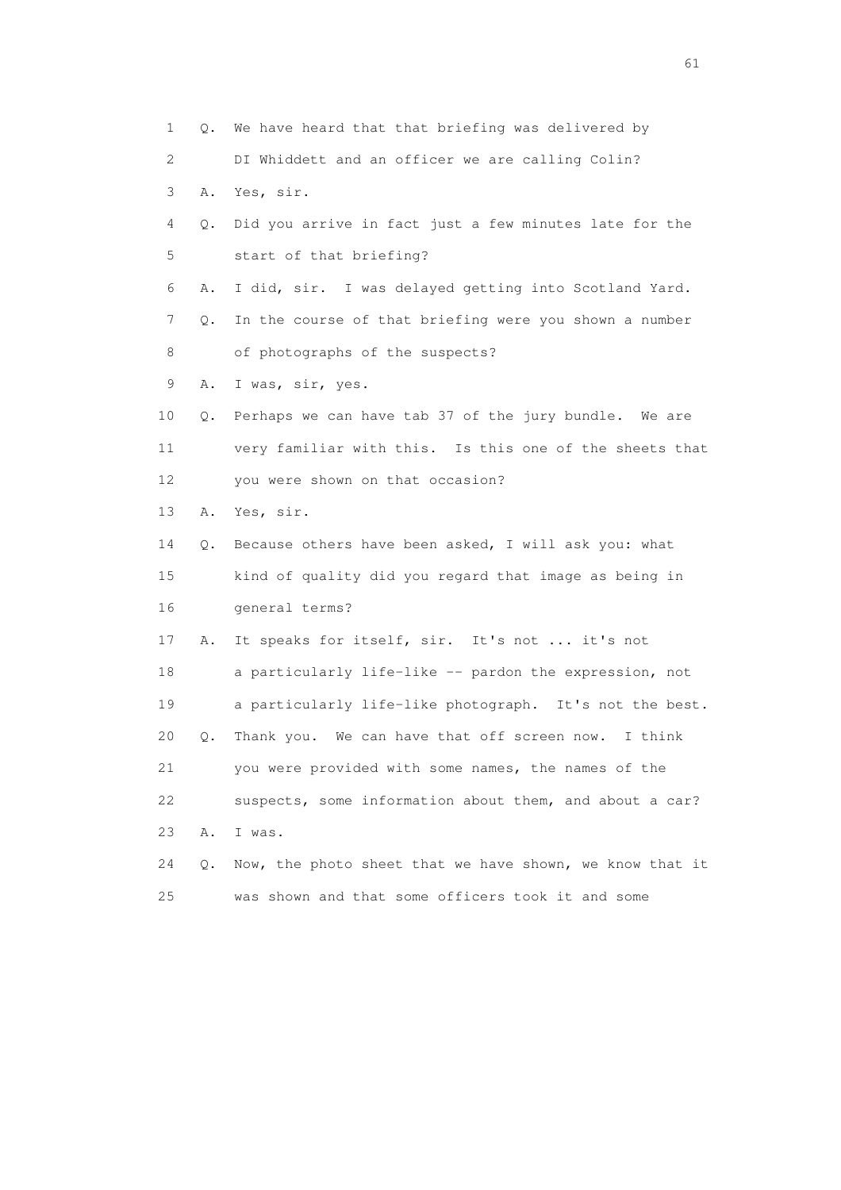1 Q. We have heard that that briefing was delivered by 2 DI Whiddett and an officer we are calling Colin? 3 A. Yes, sir. 4 Q. Did you arrive in fact just a few minutes late for the 5 start of that briefing? 6 A. I did, sir. I was delayed getting into Scotland Yard. 7 Q. In the course of that briefing were you shown a number 8 of photographs of the suspects? 9 A. I was, sir, yes. 10 Q. Perhaps we can have tab 37 of the jury bundle. We are 11 very familiar with this. Is this one of the sheets that 12 you were shown on that occasion? 13 A. Yes, sir. 14 Q. Because others have been asked, I will ask you: what 15 kind of quality did you regard that image as being in 16 general terms? 17 A. It speaks for itself, sir. It's not ... it's not 18 a particularly life-like -- pardon the expression, not 19 a particularly life-like photograph. It's not the best. 20 Q. Thank you. We can have that off screen now. I think 21 you were provided with some names, the names of the 22 suspects, some information about them, and about a car? 23 A. I was. 24 Q. Now, the photo sheet that we have shown, we know that it 25 was shown and that some officers took it and some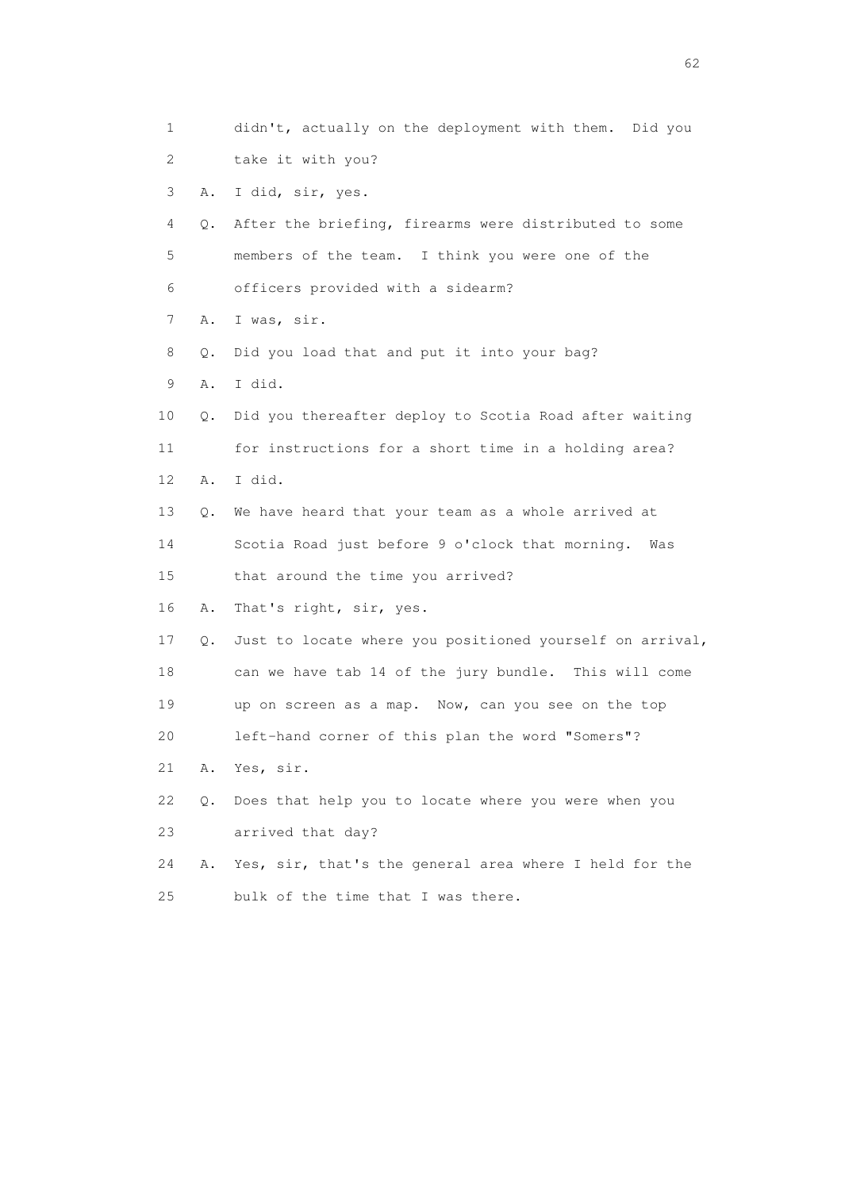| 1  |    | didn't, actually on the deployment with them. Did you    |
|----|----|----------------------------------------------------------|
| 2  |    | take it with you?                                        |
| 3  | Α. | I did, sir, yes.                                         |
| 4  | Q. | After the briefing, firearms were distributed to some    |
| 5  |    | members of the team. I think you were one of the         |
| 6  |    | officers provided with a sidearm?                        |
| 7  | Α. | I was, sir.                                              |
| 8  | Q. | Did you load that and put it into your bag?              |
| 9  | Α. | I did.                                                   |
| 10 | Q. | Did you thereafter deploy to Scotia Road after waiting   |
| 11 |    | for instructions for a short time in a holding area?     |
| 12 | Α. | I did.                                                   |
| 13 | Q. | We have heard that your team as a whole arrived at       |
| 14 |    | Scotia Road just before 9 o'clock that morning. Was      |
| 15 |    | that around the time you arrived?                        |
| 16 | Α. | That's right, sir, yes.                                  |
| 17 | Q. | Just to locate where you positioned yourself on arrival, |
| 18 |    | can we have tab 14 of the jury bundle. This will come    |
| 19 |    | up on screen as a map. Now, can you see on the top       |
| 20 |    | left-hand corner of this plan the word "Somers"?         |
| 21 | Α. | Yes, sir.                                                |
| 22 | Q. | Does that help you to locate where you were when you     |
| 23 |    | arrived that day?                                        |
| 24 | Α. | Yes, sir, that's the general area where I held for the   |
| 25 |    | bulk of the time that I was there.                       |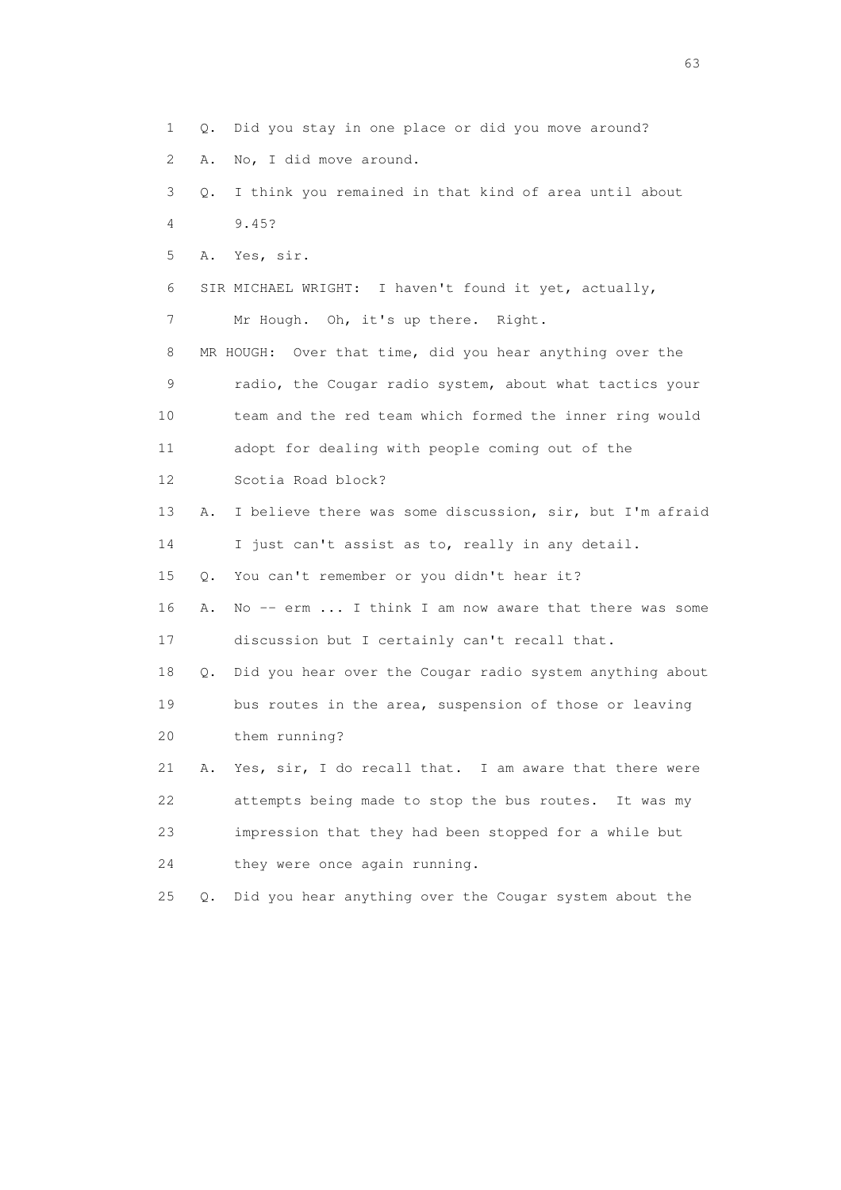1 Q. Did you stay in one place or did you move around? 2 A. No, I did move around. 3 Q. I think you remained in that kind of area until about 4 9.45? 5 A. Yes, sir. 6 SIR MICHAEL WRIGHT: I haven't found it yet, actually, 7 Mr Hough. Oh, it's up there. Right. 8 MR HOUGH: Over that time, did you hear anything over the 9 radio, the Cougar radio system, about what tactics your 10 team and the red team which formed the inner ring would 11 adopt for dealing with people coming out of the 12 Scotia Road block? 13 A. I believe there was some discussion, sir, but I'm afraid 14 I just can't assist as to, really in any detail. 15 Q. You can't remember or you didn't hear it? 16 A. No -- erm ... I think I am now aware that there was some 17 discussion but I certainly can't recall that. 18 Q. Did you hear over the Cougar radio system anything about 19 bus routes in the area, suspension of those or leaving 20 them running? 21 A. Yes, sir, I do recall that. I am aware that there were 22 attempts being made to stop the bus routes. It was my 23 impression that they had been stopped for a while but 24 they were once again running. 25 Q. Did you hear anything over the Cougar system about the

experience of the contract of the contract of the contract of the contract of the contract of the contract of the contract of the contract of the contract of the contract of the contract of the contract of the contract of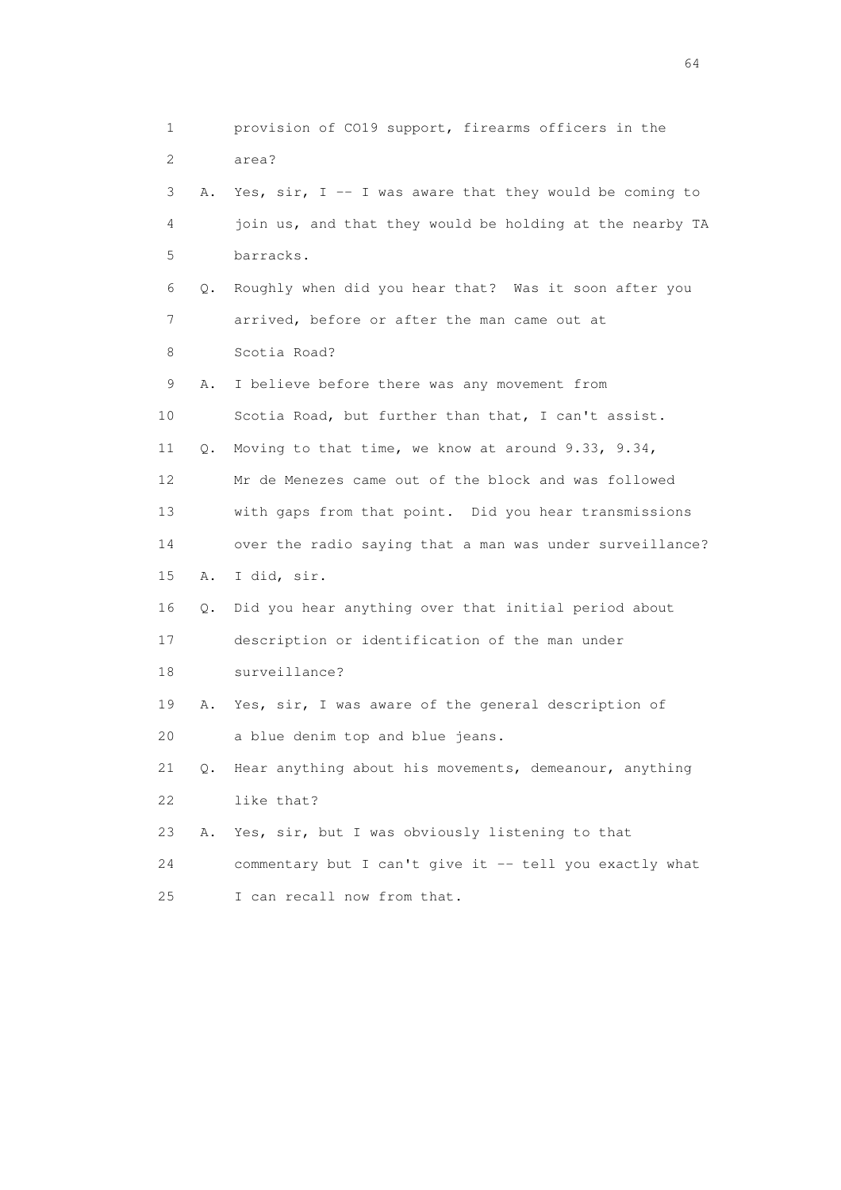1 provision of CO19 support, firearms officers in the 2 area? 3 A. Yes, sir, I -- I was aware that they would be coming to 4 join us, and that they would be holding at the nearby TA 5 barracks. 6 Q. Roughly when did you hear that? Was it soon after you 7 arrived, before or after the man came out at 8 Scotia Road? 9 A. I believe before there was any movement from 10 Scotia Road, but further than that, I can't assist. 11 Q. Moving to that time, we know at around 9.33, 9.34, 12 Mr de Menezes came out of the block and was followed 13 with gaps from that point. Did you hear transmissions 14 over the radio saying that a man was under surveillance? 15 A. I did, sir. 16 Q. Did you hear anything over that initial period about 17 description or identification of the man under 18 surveillance? 19 A. Yes, sir, I was aware of the general description of 20 a blue denim top and blue jeans. 21 Q. Hear anything about his movements, demeanour, anything 22 like that? 23 A. Yes, sir, but I was obviously listening to that 24 commentary but I can't give it -- tell you exactly what 25 I can recall now from that.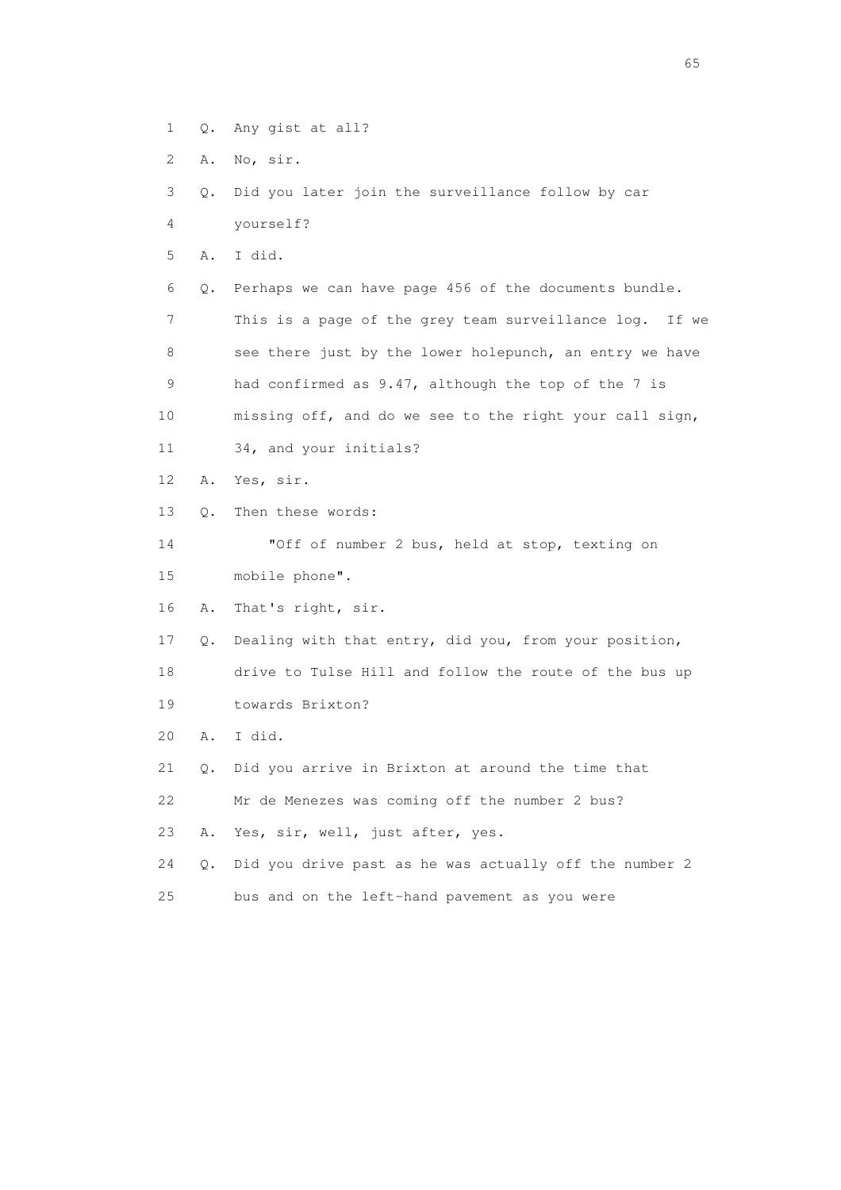- 1 Q. Any gist at all?
- 2 A. No, sir.

```
 3 Q. Did you later join the surveillance follow by car
```
4 yourself?

5 A. I did.

 6 Q. Perhaps we can have page 456 of the documents bundle. 7 This is a page of the grey team surveillance log. If we 8 see there just by the lower holepunch, an entry we have 9 had confirmed as 9.47, although the top of the 7 is 10 missing off, and do we see to the right your call sign,

- 11 34, and your initials?
- 12 A. Yes, sir.
- 13 Q. Then these words:

 14 "Off of number 2 bus, held at stop, texting on 15 mobile phone".

16 A. That's right, sir.

17 Q. Dealing with that entry, did you, from your position,

18 drive to Tulse Hill and follow the route of the bus up

- 19 towards Brixton?
- 20 A. I did.

21 Q. Did you arrive in Brixton at around the time that

22 Mr de Menezes was coming off the number 2 bus?

23 A. Yes, sir, well, just after, yes.

24 Q. Did you drive past as he was actually off the number 2

25 bus and on the left-hand pavement as you were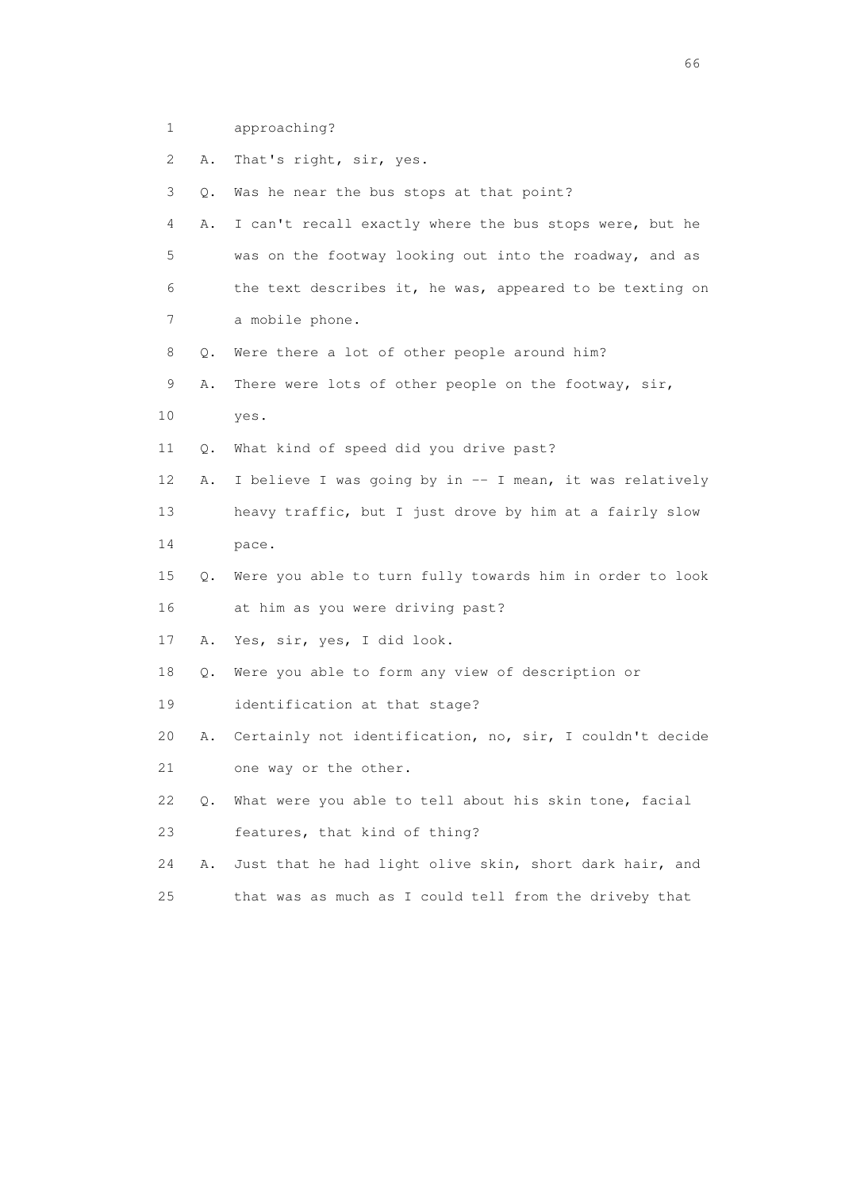1 approaching?

| 2  | Α. | That's right, sir, yes.                                  |
|----|----|----------------------------------------------------------|
| 3  | Q. | Was he near the bus stops at that point?                 |
| 4  | Α. | I can't recall exactly where the bus stops were, but he  |
| 5  |    | was on the footway looking out into the roadway, and as  |
| 6  |    | the text describes it, he was, appeared to be texting on |
| 7  |    | a mobile phone.                                          |
| 8  | Q. | Were there a lot of other people around him?             |
| 9  | Α. | There were lots of other people on the footway, sir,     |
| 10 |    | yes.                                                     |
| 11 | Q. | What kind of speed did you drive past?                   |
| 12 | Α. | I believe I was going by in -- I mean, it was relatively |
| 13 |    | heavy traffic, but I just drove by him at a fairly slow  |
| 14 |    | pace.                                                    |
| 15 | Q. | Were you able to turn fully towards him in order to look |
| 16 |    | at him as you were driving past?                         |
| 17 | Α. | Yes, sir, yes, I did look.                               |
| 18 | Q. | Were you able to form any view of description or         |
| 19 |    | identification at that stage?                            |
| 20 | Α. | Certainly not identification, no, sir, I couldn't decide |
| 21 |    | one way or the other.                                    |
| 22 | Q. | What were you able to tell about his skin tone, facial   |
| 23 |    | features, that kind of thing?                            |
| 24 | Α. | Just that he had light olive skin, short dark hair, and  |
| 25 |    | that was as much as I could tell from the driveby that   |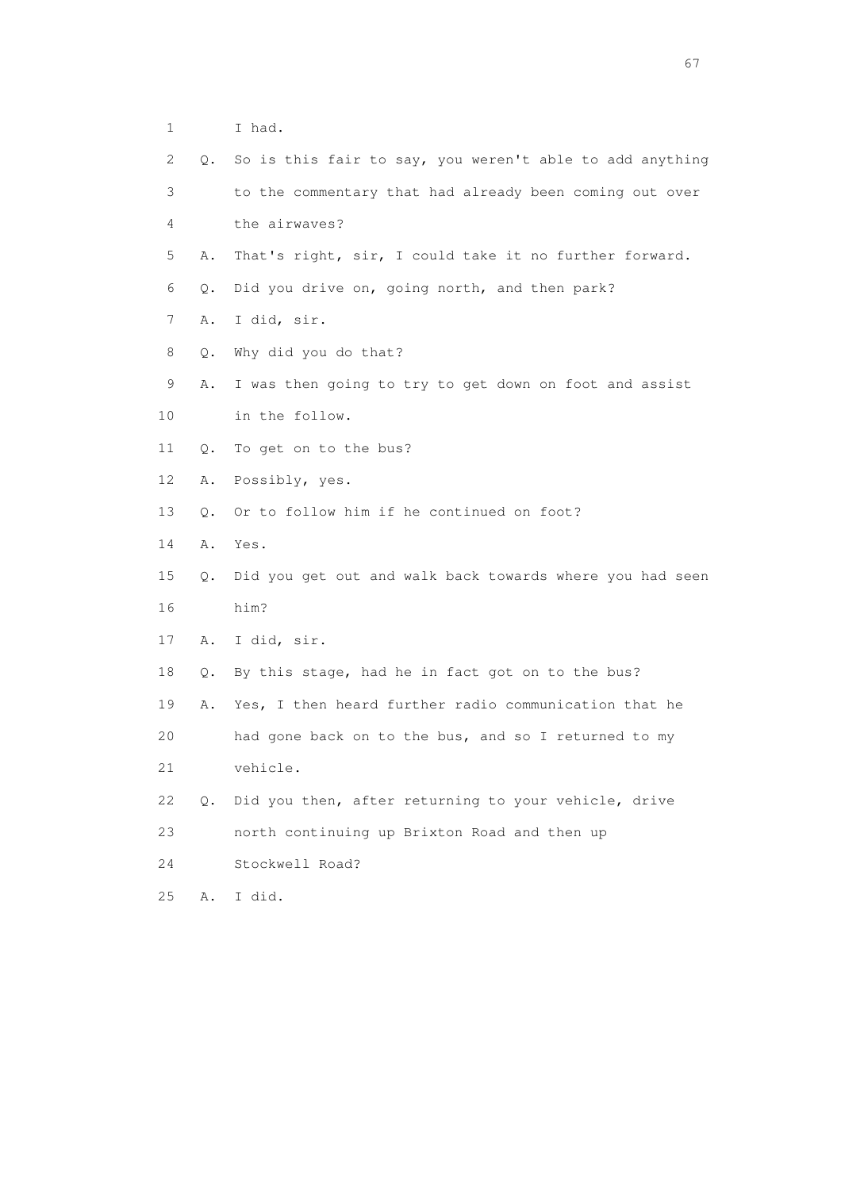|  | 1 I had.                                                     |
|--|--------------------------------------------------------------|
|  | 2 Q. So is this fair to say, you weren't able to add anythin |
|  | to the commentary that had already been coming out over      |

- 4 the airwaves?
- 5 A. That's right, sir, I could take it no further forward.

- 6 Q. Did you drive on, going north, and then park?
- 7 A. I did, sir.
- 8 Q. Why did you do that?
- 9 A. I was then going to try to get down on foot and assist
- 10 in the follow.
- 11 Q. To get on to the bus?
- 12 A. Possibly, yes.
- 13 Q. Or to follow him if he continued on foot?
- 14 A. Yes.
- 15 Q. Did you get out and walk back towards where you had seen 16 him?
- 17 A. I did, sir.
- 18 Q. By this stage, had he in fact got on to the bus?
- 19 A. Yes, I then heard further radio communication that he 20 had gone back on to the bus, and so I returned to my
- 21 vehicle.
- 22 Q. Did you then, after returning to your vehicle, drive
- 23 north continuing up Brixton Road and then up
- 24 Stockwell Road?
- 25 A. I did.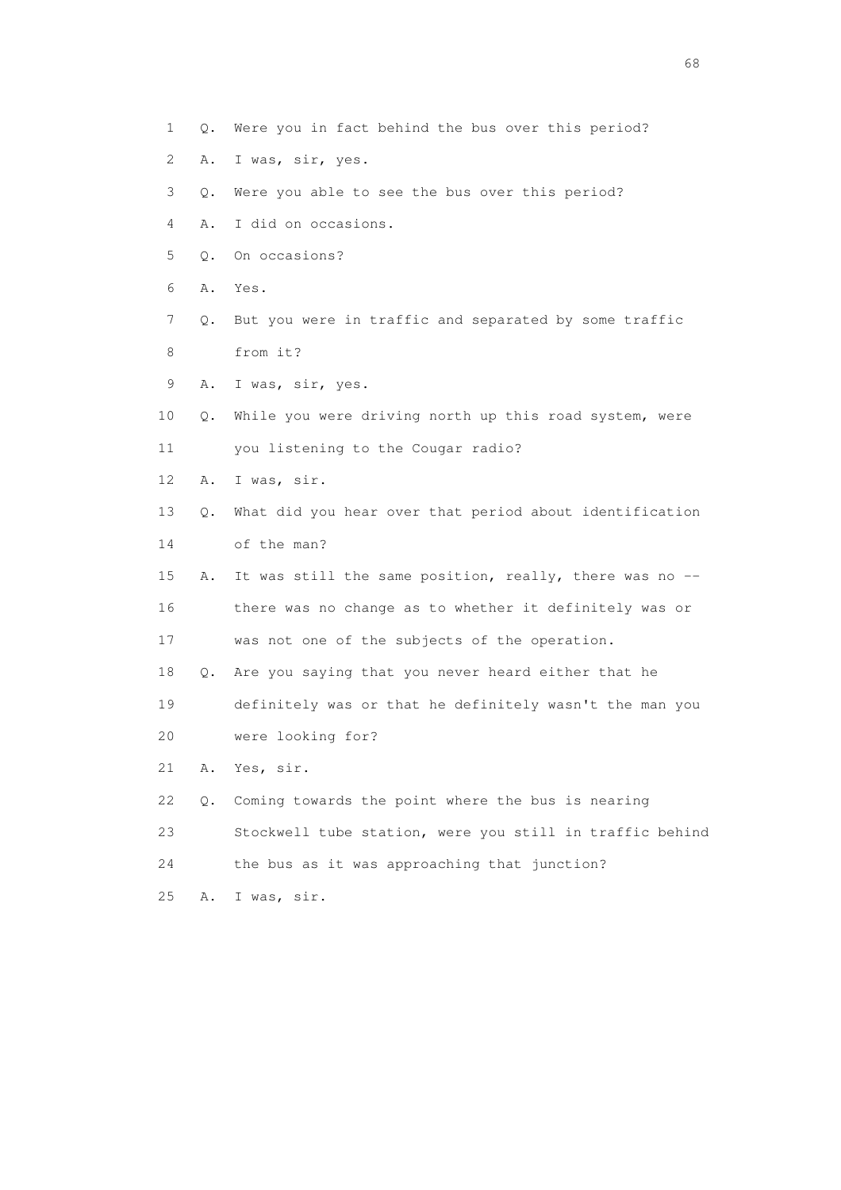- 1 Q. Were you in fact behind the bus over this period?
- 2 A. I was, sir, yes.
- 3 Q. Were you able to see the bus over this period?
- 4 A. I did on occasions.
- 5 Q. On occasions?
- 6 A. Yes.
- 7 Q. But you were in traffic and separated by some traffic 8 from it?
- 9 A. I was, sir, yes.
- 10 Q. While you were driving north up this road system, were 11 you listening to the Cougar radio?
- 12 A. I was, sir.
- 13 Q. What did you hear over that period about identification
- 14 of the man?
- 15 A. It was still the same position, really, there was no -- 16 there was no change as to whether it definitely was or 17 was not one of the subjects of the operation.
- 18 Q. Are you saying that you never heard either that he 19 definitely was or that he definitely wasn't the man you
- 20 were looking for?
- 21 A. Yes, sir.
- 22 Q. Coming towards the point where the bus is nearing
- 23 Stockwell tube station, were you still in traffic behind
- 24 the bus as it was approaching that junction?
- 25 A. I was, sir.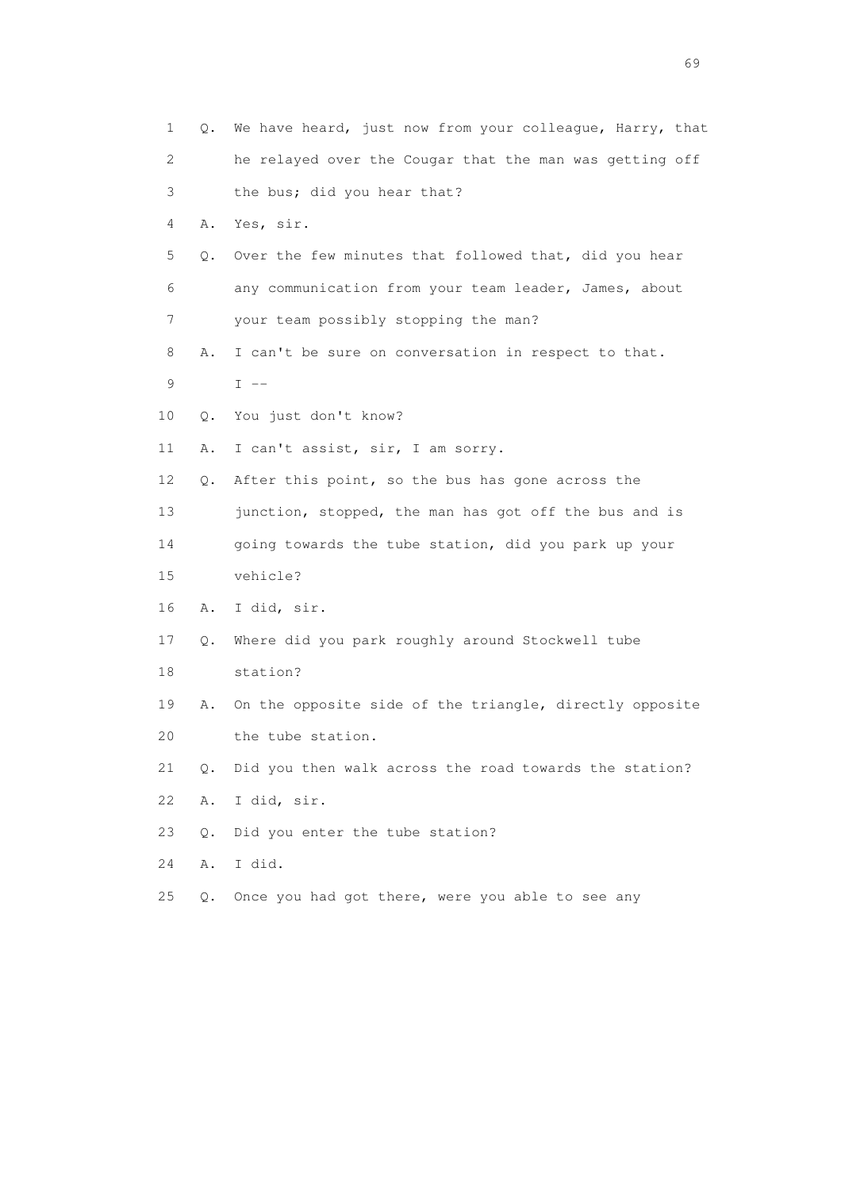| 1  | Q.        | We have heard, just now from your colleague, Harry, that |
|----|-----------|----------------------------------------------------------|
| 2  |           | he relayed over the Cougar that the man was getting off  |
| 3  |           | the bus; did you hear that?                              |
| 4  | Α.        | Yes, sir.                                                |
| 5  | Q.        | Over the few minutes that followed that, did you hear    |
| 6  |           | any communication from your team leader, James, about    |
| 7  |           | your team possibly stopping the man?                     |
| 8  | Α.        | I can't be sure on conversation in respect to that.      |
| 9  |           | $I$ $-$                                                  |
| 10 | Q.        | You just don't know?                                     |
| 11 | Α.        | I can't assist, sir, I am sorry.                         |
| 12 | Q.        | After this point, so the bus has gone across the         |
| 13 |           | junction, stopped, the man has got off the bus and is    |
| 14 |           | going towards the tube station, did you park up your     |
| 15 |           | vehicle?                                                 |
| 16 | Α.        | I did, sir.                                              |
| 17 | Q.        | Where did you park roughly around Stockwell tube         |
| 18 |           | station?                                                 |
| 19 | Α.        | On the opposite side of the triangle, directly opposite  |
| 20 |           | the tube station.                                        |
| 21 | Q.        | Did you then walk across the road towards the station?   |
| 22 | Α.        | I did, sir.                                              |
| 23 | $\circ$ . | Did you enter the tube station?                          |
| 24 | Α.        | I did.                                                   |
| 25 | Q.        | Once you had got there, were you able to see any         |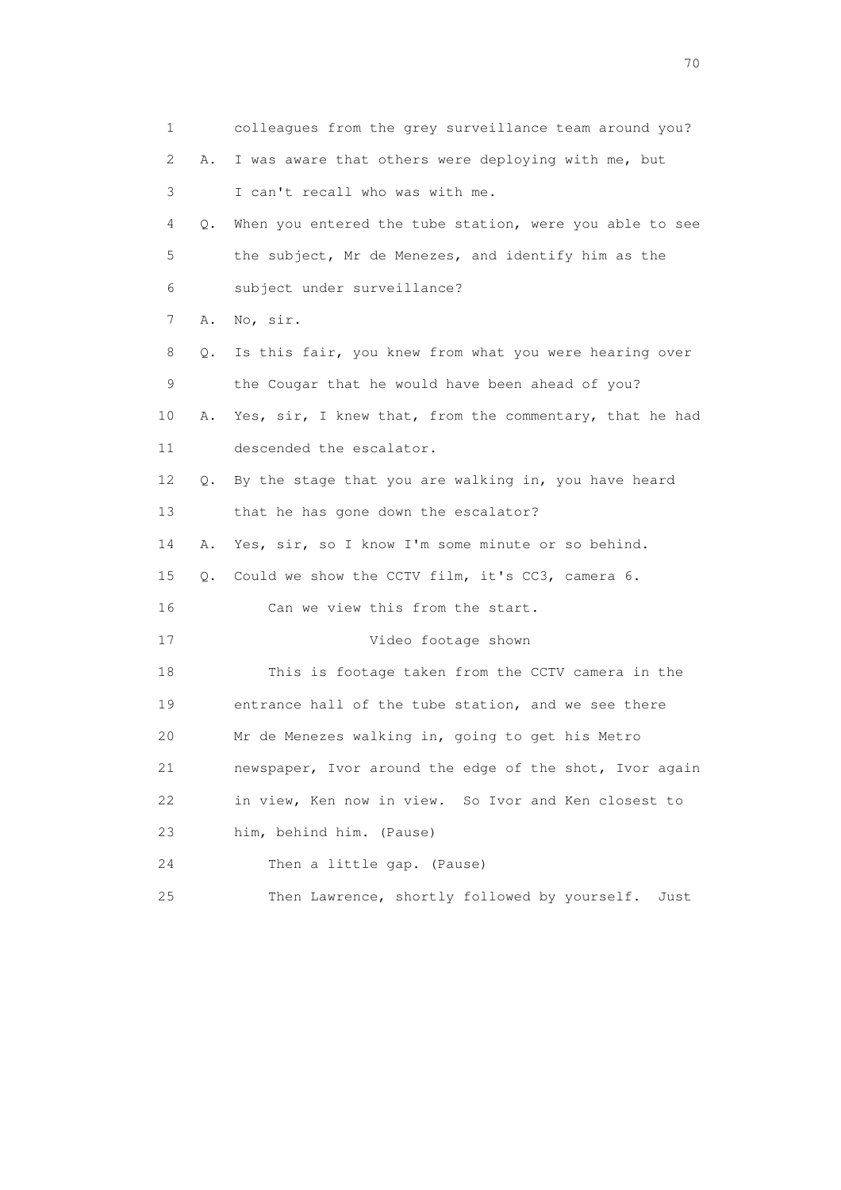| $\mathbf 1$ |    | colleagues from the grey surveillance team around you?  |
|-------------|----|---------------------------------------------------------|
| 2           | Α. | I was aware that others were deploying with me, but     |
| 3           |    | I can't recall who was with me.                         |
| 4           | Q. | When you entered the tube station, were you able to see |
| 5           |    | the subject, Mr de Menezes, and identify him as the     |
| 6           |    | subject under surveillance?                             |
| 7           | Α. | No, sir.                                                |
| 8           | О. | Is this fair, you knew from what you were hearing over  |
| 9           |    | the Cougar that he would have been ahead of you?        |
| 10          | Α. | Yes, sir, I knew that, from the commentary, that he had |
| 11          |    | descended the escalator.                                |
| 12          | Q. | By the stage that you are walking in, you have heard    |
| 13          |    | that he has gone down the escalator?                    |
| 14          | Α. | Yes, sir, so I know I'm some minute or so behind.       |
| 15          | Q. | Could we show the CCTV film, it's CC3, camera 6.        |
| 16          |    | Can we view this from the start.                        |
| 17          |    | Video footage shown                                     |
| 18          |    | This is footage taken from the CCTV camera in the       |
| 19          |    | entrance hall of the tube station, and we see there     |
| 20          |    | Mr de Menezes walking in, going to get his Metro        |
| 21          |    | newspaper, Ivor around the edge of the shot, Ivor again |
| 22          |    | in view, Ken now in view. So Ivor and Ken closest to    |
| 23          |    | him, behind him. (Pause)                                |
| 24          |    | Then a little gap. (Pause)                              |
| 25          |    | Then Lawrence, shortly followed by yourself.<br>Just    |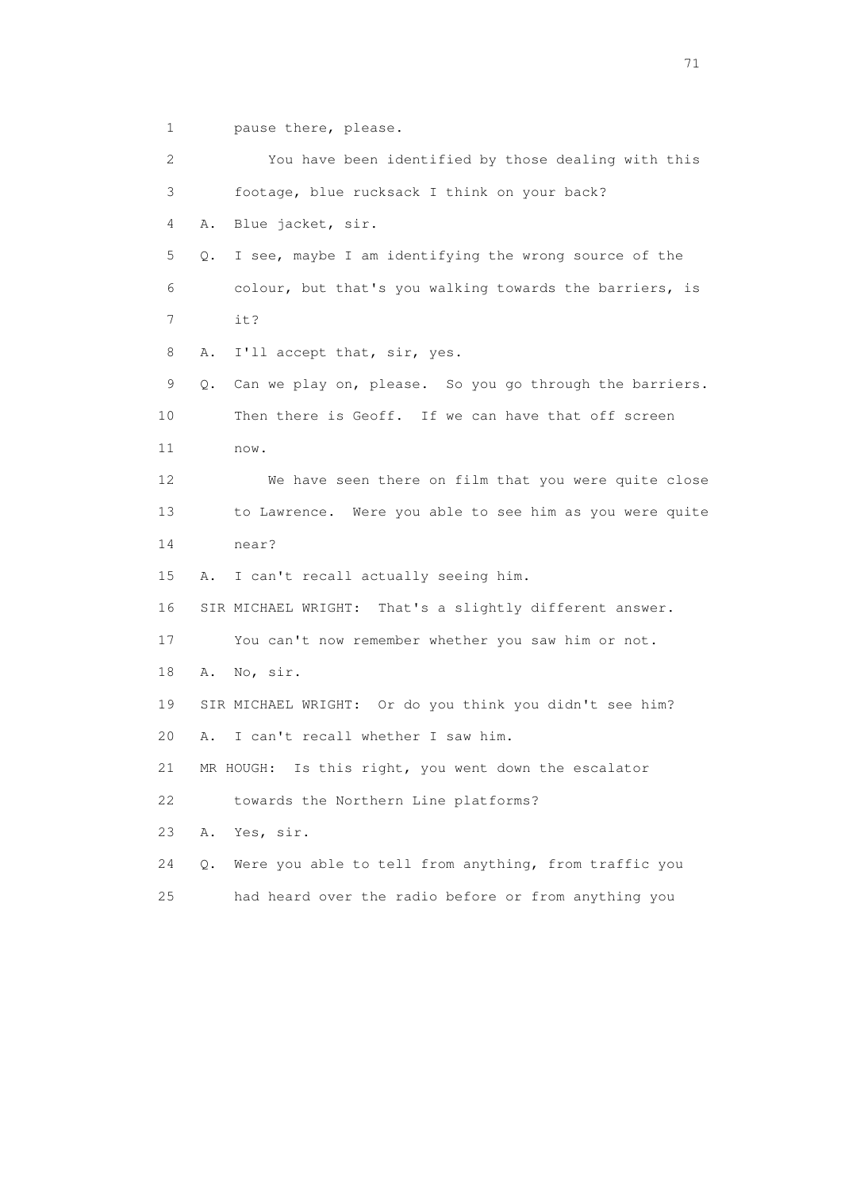1 pause there, please.

 2 You have been identified by those dealing with this 3 footage, blue rucksack I think on your back? 4 A. Blue jacket, sir. 5 Q. I see, maybe I am identifying the wrong source of the 6 colour, but that's you walking towards the barriers, is 7 it? 8 A. I'll accept that, sir, yes. 9 Q. Can we play on, please. So you go through the barriers. 10 Then there is Geoff. If we can have that off screen 11 now. 12 We have seen there on film that you were quite close 13 to Lawrence. Were you able to see him as you were quite 14 near? 15 A. I can't recall actually seeing him. 16 SIR MICHAEL WRIGHT: That's a slightly different answer. 17 You can't now remember whether you saw him or not. 18 A. No, sir. 19 SIR MICHAEL WRIGHT: Or do you think you didn't see him? 20 A. I can't recall whether I saw him. 21 MR HOUGH: Is this right, you went down the escalator 22 towards the Northern Line platforms? 23 A. Yes, sir. 24 Q. Were you able to tell from anything, from traffic you 25 had heard over the radio before or from anything you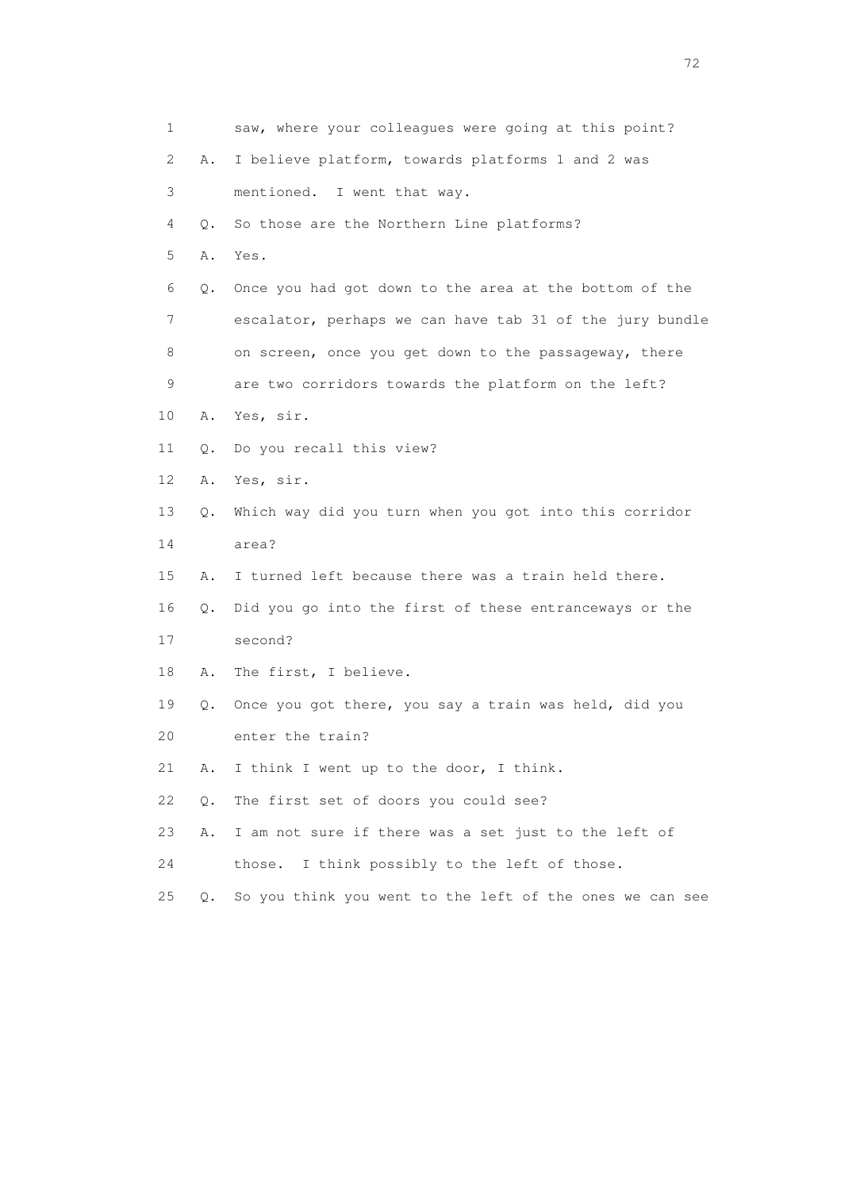| $\mathbf 1$     |           | saw, where your colleagues were going at this point?     |
|-----------------|-----------|----------------------------------------------------------|
| 2               | Α.        | I believe platform, towards platforms 1 and 2 was        |
| 3               |           | mentioned. I went that way.                              |
| 4               | Q.        | So those are the Northern Line platforms?                |
| 5               | Α.        | Yes.                                                     |
| 6               | Q.        | Once you had got down to the area at the bottom of the   |
| 7               |           | escalator, perhaps we can have tab 31 of the jury bundle |
| 8               |           | on screen, once you get down to the passageway, there    |
| 9               |           | are two corridors towards the platform on the left?      |
| 10              | Α.        | Yes, sir.                                                |
| 11              | Q.        | Do you recall this view?                                 |
| 12 <sup>°</sup> | Α.        | Yes, sir.                                                |
| 13              | Q.        | Which way did you turn when you got into this corridor   |
| 14              |           | area?                                                    |
| 15              | Α.        | I turned left because there was a train held there.      |
| 16              | Q.        | Did you go into the first of these entranceways or the   |
| 17              |           | second?                                                  |
| 18              | Α.        | The first, I believe.                                    |
| 19              | О.        | Once you got there, you say a train was held, did you    |
| 20              |           | enter the train?                                         |
| 21              | Α.        | I think I went up to the door, I think.                  |
| 22              | $Q$ .     | The first set of doors you could see?                    |
| 23              | Α.        | I am not sure if there was a set just to the left of     |
| 24              |           | I think possibly to the left of those.<br>those.         |
| 25              | $\circ$ . | So you think you went to the left of the ones we can see |
|                 |           |                                                          |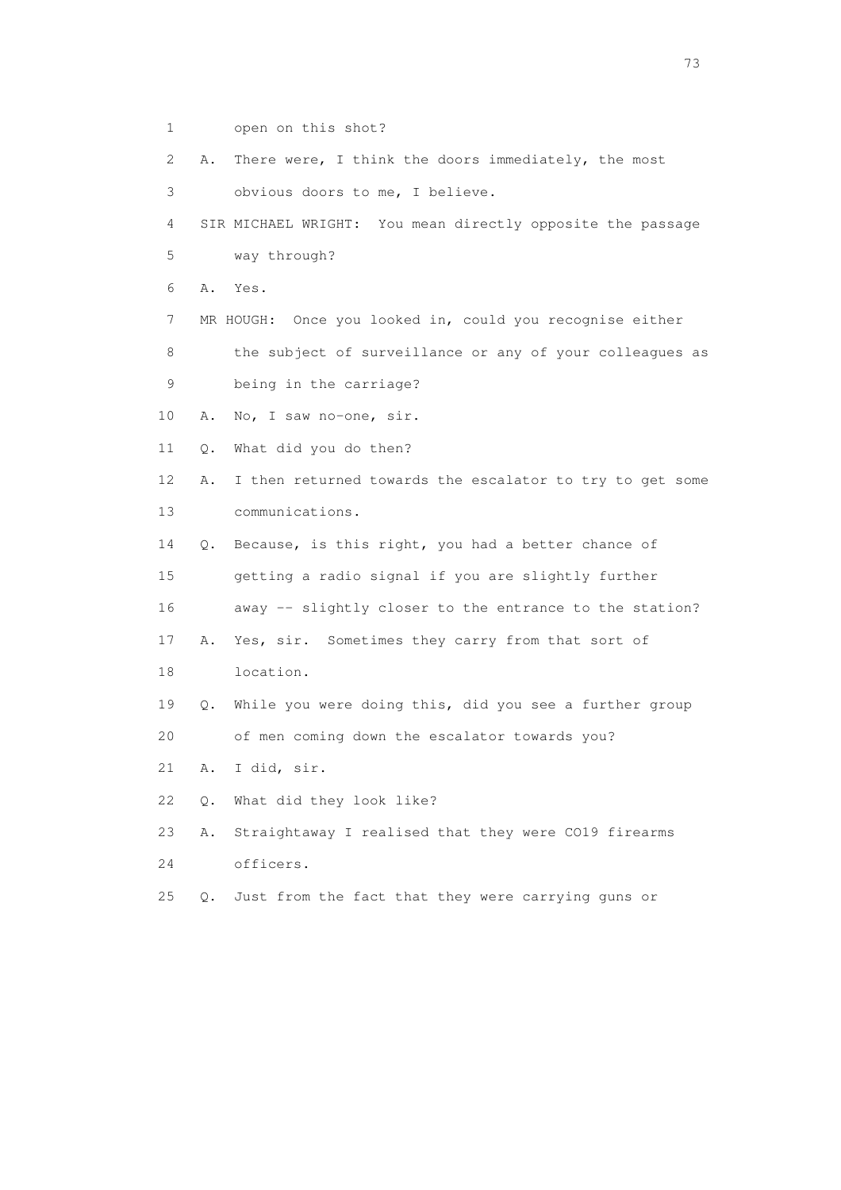- 1 open on this shot?
- 2 A. There were, I think the doors immediately, the most
- 3 obvious doors to me, I believe.

 4 SIR MICHAEL WRIGHT: You mean directly opposite the passage 5 way through?

6 A. Yes.

7 MR HOUGH: Once you looked in, could you recognise either

 8 the subject of surveillance or any of your colleagues as 9 being in the carriage?

10 A. No, I saw no-one, sir.

- 11 Q. What did you do then?
- 12 A. I then returned towards the escalator to try to get some 13 communications.

 14 Q. Because, is this right, you had a better chance of 15 getting a radio signal if you are slightly further

16 away -- slightly closer to the entrance to the station?

17 A. Yes, sir. Sometimes they carry from that sort of

18 location.

19 Q. While you were doing this, did you see a further group

20 of men coming down the escalator towards you?

21 A. I did, sir.

22 Q. What did they look like?

23 A. Straightaway I realised that they were CO19 firearms

24 officers.

25 Q. Just from the fact that they were carrying guns or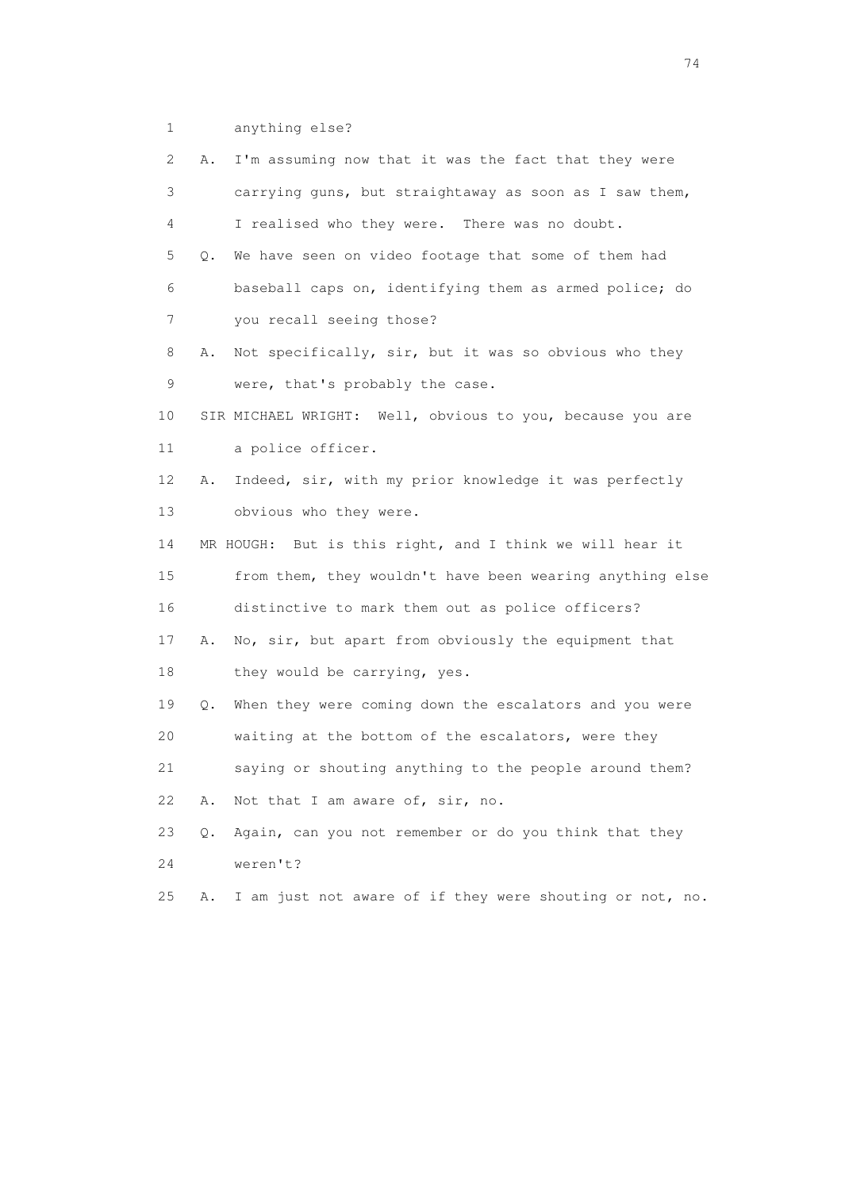1 anything else?

| $\mathbf{2}^{\mathsf{I}}$ | Α. | I'm assuming now that it was the fact that they were      |
|---------------------------|----|-----------------------------------------------------------|
| 3                         |    | carrying guns, but straightaway as soon as I saw them,    |
| 4                         |    | I realised who they were. There was no doubt.             |
| 5                         | О. | We have seen on video footage that some of them had       |
| 6                         |    | baseball caps on, identifying them as armed police; do    |
| 7                         |    | you recall seeing those?                                  |
| 8                         | Α. | Not specifically, sir, but it was so obvious who they     |
| 9                         |    | were, that's probably the case.                           |
| 10                        |    | SIR MICHAEL WRIGHT: Well, obvious to you, because you are |
| 11                        |    | a police officer.                                         |
| 12                        | Α. | Indeed, sir, with my prior knowledge it was perfectly     |
| 13                        |    | obvious who they were.                                    |
| 14                        |    | MR HOUGH: But is this right, and I think we will hear it  |
| 15                        |    | from them, they wouldn't have been wearing anything else  |
| 16                        |    | distinctive to mark them out as police officers?          |
| 17                        | Α. | No, sir, but apart from obviously the equipment that      |
| 18                        |    | they would be carrying, yes.                              |
| 19                        | Q. | When they were coming down the escalators and you were    |
| 20                        |    | waiting at the bottom of the escalators, were they        |
| 21                        |    | saying or shouting anything to the people around them?    |
| 22                        | Α. | Not that I am aware of, sir, no.                          |
| 23                        | Q. | Again, can you not remember or do you think that they     |
| 24                        |    | weren't?                                                  |
| 25                        | Α. | I am just not aware of if they were shouting or not, no.  |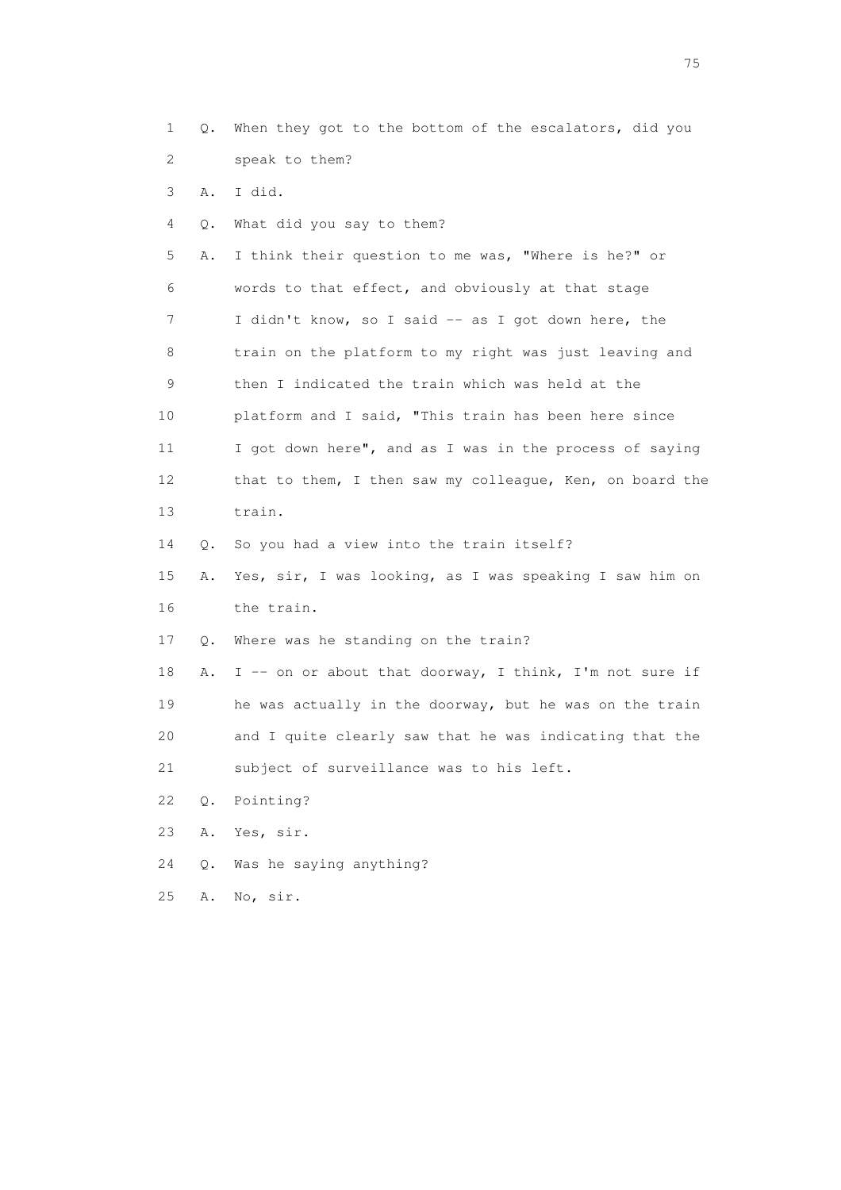- 1 Q. When they got to the bottom of the escalators, did you 2 speak to them?
- 3 A. I did.
- 4 Q. What did you say to them?

 5 A. I think their question to me was, "Where is he?" or 6 words to that effect, and obviously at that stage 7 I didn't know, so I said -- as I got down here, the 8 train on the platform to my right was just leaving and 9 then I indicated the train which was held at the 10 platform and I said, "This train has been here since 11 I got down here", and as I was in the process of saying 12 that to them, I then saw my colleague, Ken, on board the 13 train.

14 Q. So you had a view into the train itself?

 15 A. Yes, sir, I was looking, as I was speaking I saw him on 16 the train.

17 Q. Where was he standing on the train?

18 A. I -- on or about that doorway, I think, I'm not sure if 19 he was actually in the doorway, but he was on the train 20 and I quite clearly saw that he was indicating that the 21 subject of surveillance was to his left.

- 22 Q. Pointing?
- 23 A. Yes, sir.
- 24 Q. Was he saying anything?
- 25 A. No, sir.

na matsay na katalog as na kasang na mga 175 may 2008. Ang isang isang nagsang nagsang nagsang nagsang nagsang<br>Tagapang nagsang nagsang nagsang nagsang nagsang nagsang nagsang nagsang nagsang nagsang nagsang nagsang nagsa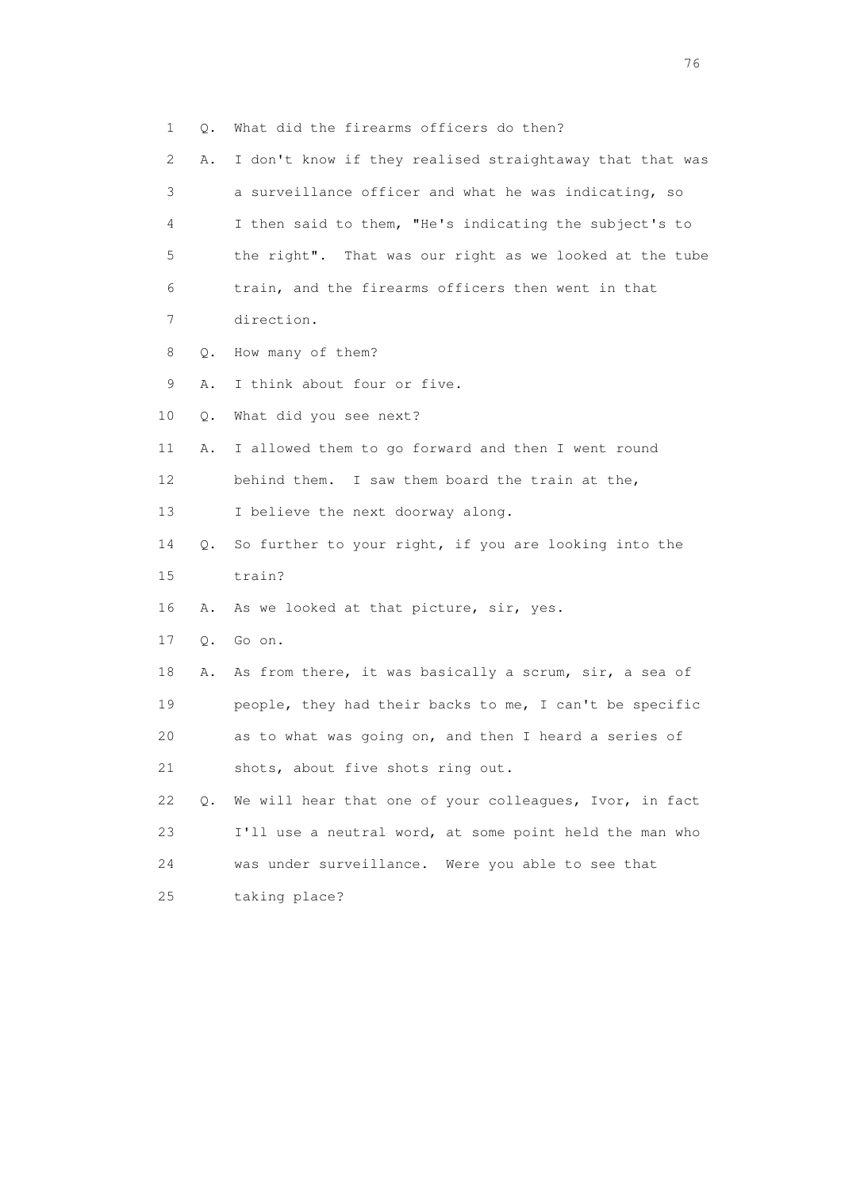1 Q. What did the firearms officers do then? 2 A. I don't know if they realised straightaway that that was 3 a surveillance officer and what he was indicating, so 4 I then said to them, "He's indicating the subject's to 5 the right". That was our right as we looked at the tube 6 train, and the firearms officers then went in that 7 direction. 8 Q. How many of them? 9 A. I think about four or five. 10 Q. What did you see next? 11 A. I allowed them to go forward and then I went round 12 behind them. I saw them board the train at the, 13 I believe the next doorway along. 14 Q. So further to your right, if you are looking into the 15 train? 16 A. As we looked at that picture, sir, yes. 17 Q. Go on. 18 A. As from there, it was basically a scrum, sir, a sea of 19 people, they had their backs to me, I can't be specific 20 as to what was going on, and then I heard a series of 21 shots, about five shots ring out. 22 Q. We will hear that one of your colleagues, Ivor, in fact 23 I'll use a neutral word, at some point held the man who 24 was under surveillance. Were you able to see that 25 taking place?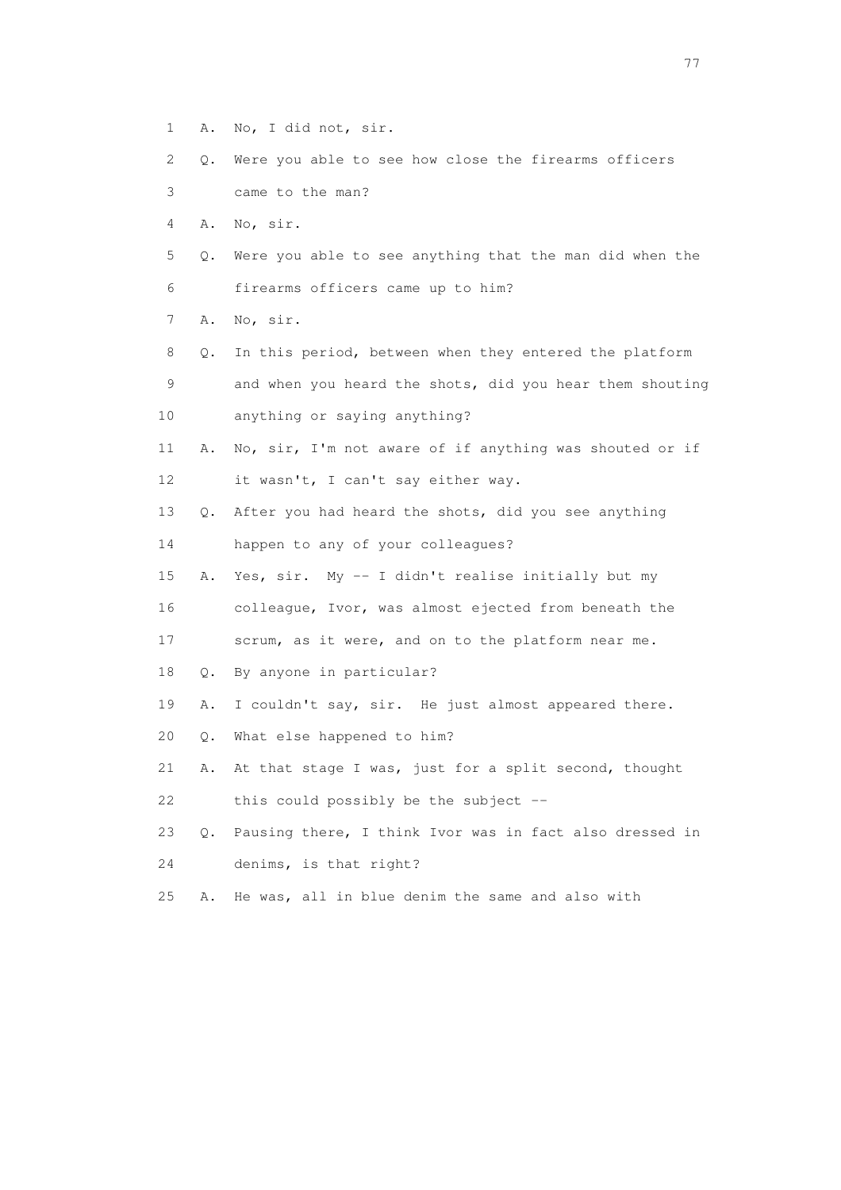- 1 A. No, I did not, sir.
- 2 Q. Were you able to see how close the firearms officers
- 3 came to the man?
- 4 A. No, sir.
- 5 Q. Were you able to see anything that the man did when the 6 firearms officers came up to him?
- 7 A. No, sir.
- 8 Q. In this period, between when they entered the platform 9 and when you heard the shots, did you hear them shouting 10 anything or saying anything?
- 11 A. No, sir, I'm not aware of if anything was shouted or if 12 it wasn't, I can't say either way.
- 13 Q. After you had heard the shots, did you see anything
- 14 happen to any of your colleagues?
- 15 A. Yes, sir. My -- I didn't realise initially but my 16 colleague, Ivor, was almost ejected from beneath the
- 17 scrum, as it were, and on to the platform near me.
- 18 Q. By anyone in particular?
- 19 A. I couldn't say, sir. He just almost appeared there.
- 20 Q. What else happened to him?
- 21 A. At that stage I was, just for a split second, thought 22 this could possibly be the subject --
- 23 Q. Pausing there, I think Ivor was in fact also dressed in 24 denims, is that right?
- 25 A. He was, all in blue denim the same and also with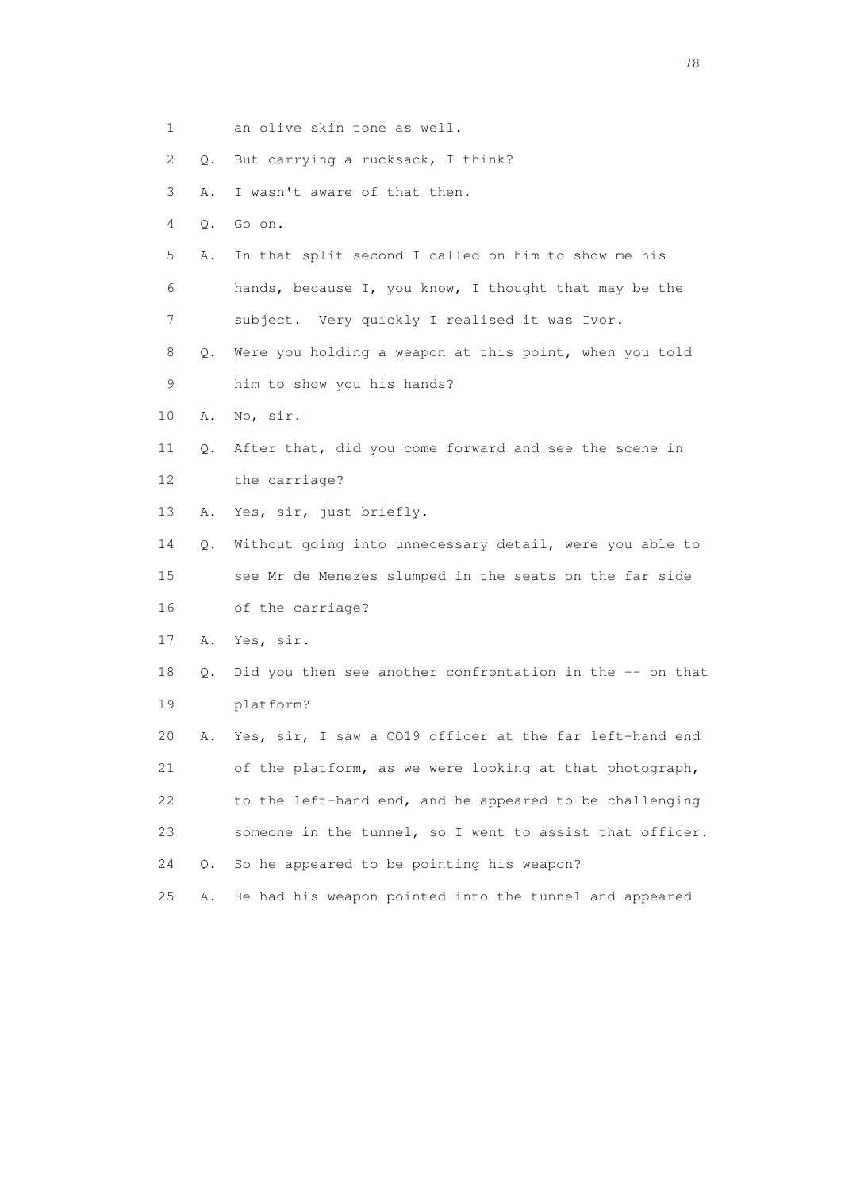- 1 an olive skin tone as well.
- 2 Q. But carrying a rucksack, I think?

3 A. I wasn't aware of that then.

- 4 Q. Go on.
- 5 A. In that split second I called on him to show me his 6 hands, because I, you know, I thought that may be the 7 subject. Very quickly I realised it was Ivor.
- 8 Q. Were you holding a weapon at this point, when you told 9 him to show you his hands?
- 10 A. No, sir.
- 11 Q. After that, did you come forward and see the scene in 12 the carriage?
- 13 A. Yes, sir, just briefly.

 14 Q. Without going into unnecessary detail, were you able to 15 see Mr de Menezes slumped in the seats on the far side 16 of the carriage?

- 17 A. Yes, sir.
- 18 Q. Did you then see another confrontation in the -- on that 19 platform?

 20 A. Yes, sir, I saw a CO19 officer at the far left-hand end 21 of the platform, as we were looking at that photograph, 22 to the left-hand end, and he appeared to be challenging 23 someone in the tunnel, so I went to assist that officer. 24 Q. So he appeared to be pointing his weapon?

25 A. He had his weapon pointed into the tunnel and appeared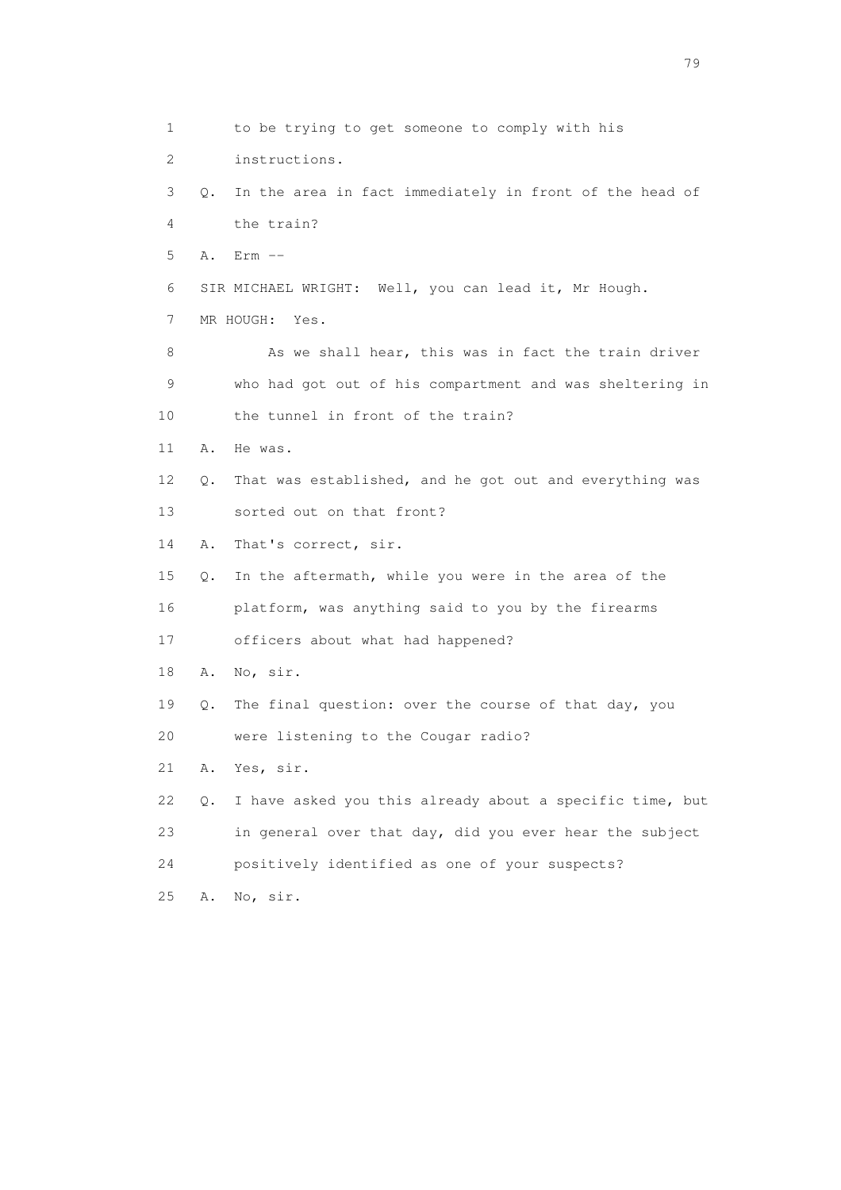1 to be trying to get someone to comply with his 2 instructions. 3 Q. In the area in fact immediately in front of the head of 4 the train? 5 A. Erm -- 6 SIR MICHAEL WRIGHT: Well, you can lead it, Mr Hough. 7 MR HOUGH: Yes. 8 As we shall hear, this was in fact the train driver 9 who had got out of his compartment and was sheltering in 10 the tunnel in front of the train? 11 A. He was. 12 Q. That was established, and he got out and everything was 13 sorted out on that front? 14 A. That's correct, sir. 15 Q. In the aftermath, while you were in the area of the 16 platform, was anything said to you by the firearms 17 officers about what had happened? 18 A. No, sir. 19 Q. The final question: over the course of that day, you 20 were listening to the Cougar radio? 21 A. Yes, sir. 22 Q. I have asked you this already about a specific time, but 23 in general over that day, did you ever hear the subject 24 positively identified as one of your suspects? 25 A. No, sir.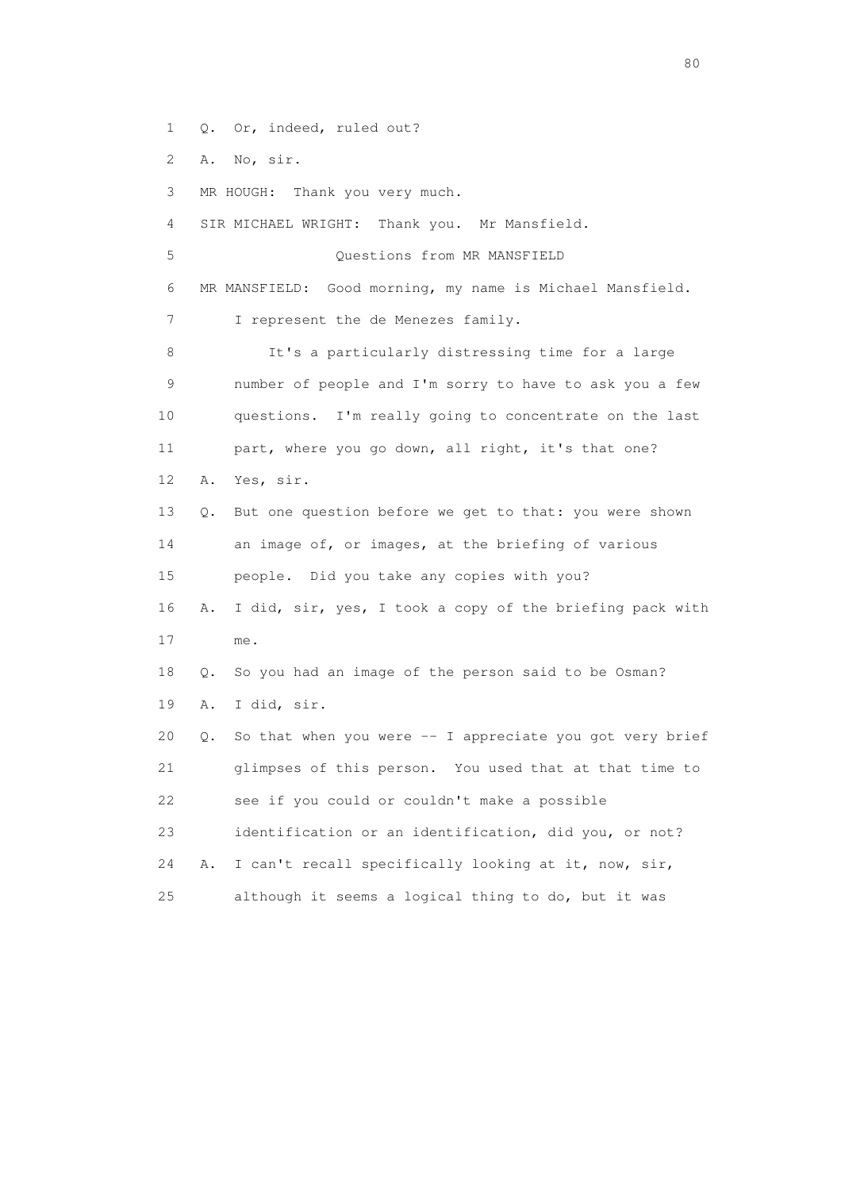1 Q. Or, indeed, ruled out?

2 A. No, sir.

3 MR HOUGH: Thank you very much.

4 SIR MICHAEL WRIGHT: Thank you. Mr Mansfield.

5 Questions from MR MANSFIELD

6 MR MANSFIELD: Good morning, my name is Michael Mansfield.

7 I represent the de Menezes family.

 8 It's a particularly distressing time for a large 9 number of people and I'm sorry to have to ask you a few 10 questions. I'm really going to concentrate on the last 11 part, where you go down, all right, it's that one? 12 A. Yes, sir. 13 Q. But one question before we get to that: you were shown 14 an image of, or images, at the briefing of various 15 people. Did you take any copies with you? 16 A. I did, sir, yes, I took a copy of the briefing pack with

17 me.

 18 Q. So you had an image of the person said to be Osman? 19 A. I did, sir.

 20 Q. So that when you were -- I appreciate you got very brief 21 glimpses of this person. You used that at that time to 22 see if you could or couldn't make a possible 23 identification or an identification, did you, or not?

 24 A. I can't recall specifically looking at it, now, sir, 25 although it seems a logical thing to do, but it was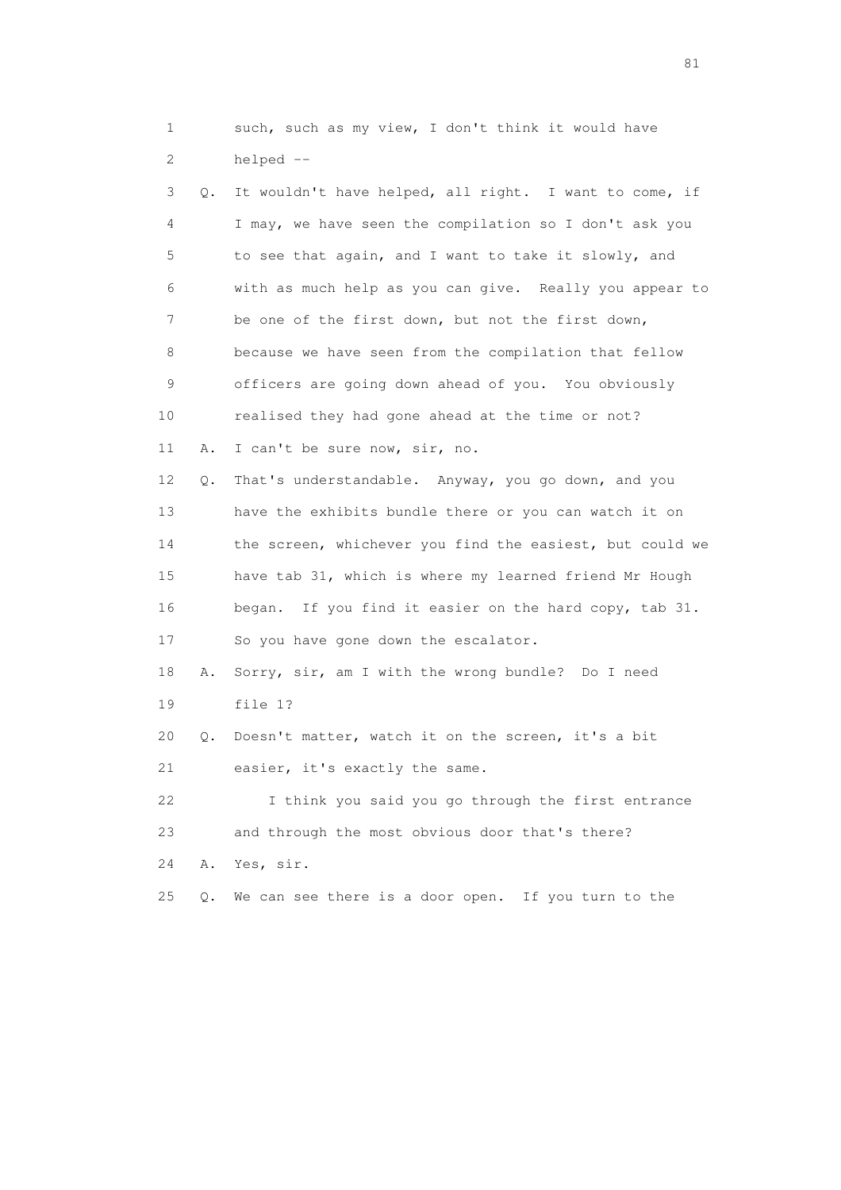1 such, such as my view, I don't think it would have 2 helped --

| 3  | Q. | It wouldn't have helped, all right. I want to come, if   |
|----|----|----------------------------------------------------------|
| 4  |    | I may, we have seen the compilation so I don't ask you   |
| 5  |    | to see that again, and I want to take it slowly, and     |
| 6  |    | with as much help as you can give. Really you appear to  |
| 7  |    | be one of the first down, but not the first down,        |
| 8  |    | because we have seen from the compilation that fellow    |
| 9  |    | officers are going down ahead of you. You obviously      |
| 10 |    | realised they had gone ahead at the time or not?         |
| 11 | Α. | I can't be sure now, sir, no.                            |
| 12 | Q. | That's understandable. Anyway, you go down, and you      |
| 13 |    | have the exhibits bundle there or you can watch it on    |
| 14 |    | the screen, whichever you find the easiest, but could we |
| 15 |    | have tab 31, which is where my learned friend Mr Hough   |
| 16 |    | began. If you find it easier on the hard copy, tab 31.   |
| 17 |    | So you have gone down the escalator.                     |
| 18 | Α. | Sorry, sir, am I with the wrong bundle? Do I need        |
| 19 |    | file 1?                                                  |
| 20 | Q. | Doesn't matter, watch it on the screen, it's a bit       |
| 21 |    | easier, it's exactly the same.                           |
| 22 |    | I think you said you go through the first entrance       |
| 23 |    | and through the most obvious door that's there?          |
| 24 | Α. | Yes, sir.                                                |
| 25 | О. | We can see there is a door open.<br>If you turn to the   |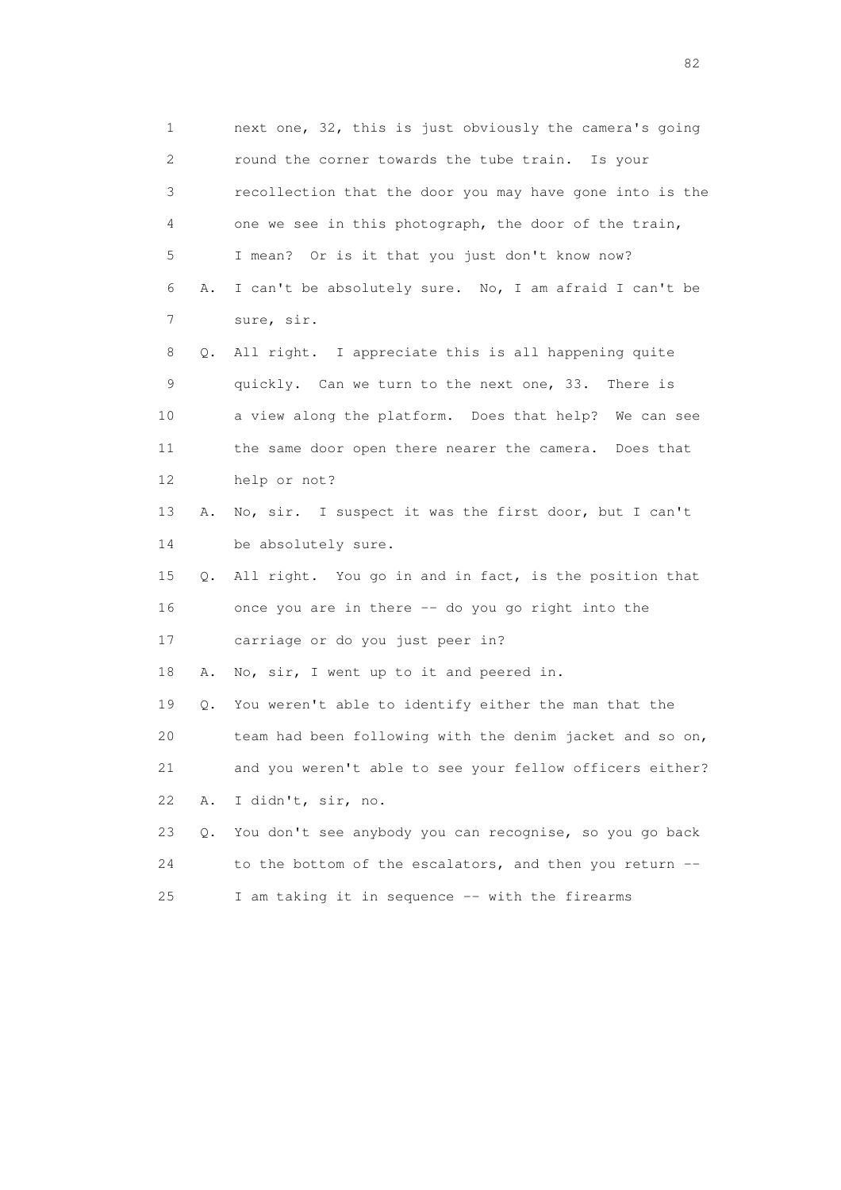1 next one, 32, this is just obviously the camera's going 2 round the corner towards the tube train. Is your 3 recollection that the door you may have gone into is the 4 one we see in this photograph, the door of the train, 5 I mean? Or is it that you just don't know now? 6 A. I can't be absolutely sure. No, I am afraid I can't be 7 sure, sir. 8 Q. All right. I appreciate this is all happening quite 9 quickly. Can we turn to the next one, 33. There is 10 a view along the platform. Does that help? We can see 11 the same door open there nearer the camera. Does that 12 help or not? 13 A. No, sir. I suspect it was the first door, but I can't 14 be absolutely sure. 15 Q. All right. You go in and in fact, is the position that 16 once you are in there -- do you go right into the 17 carriage or do you just peer in? 18 A. No, sir, I went up to it and peered in. 19 Q. You weren't able to identify either the man that the 20 team had been following with the denim jacket and so on, 21 and you weren't able to see your fellow officers either? 22 A. I didn't, sir, no. 23 Q. You don't see anybody you can recognise, so you go back 24 to the bottom of the escalators, and then you return -- 25 I am taking it in sequence -- with the firearms

experience of the state of the state of the state of the state of the state of the state of the state of the s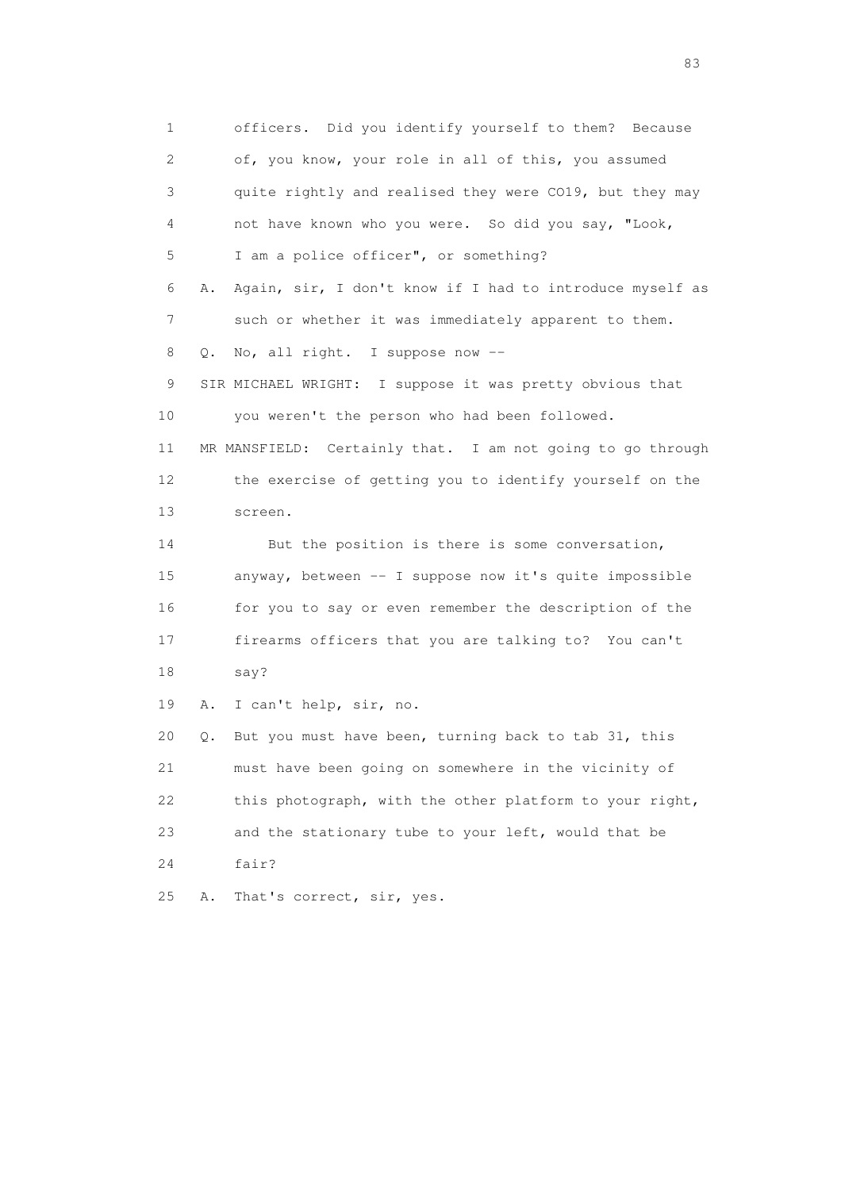1 officers. Did you identify yourself to them? Because 2 of, you know, your role in all of this, you assumed 3 quite rightly and realised they were CO19, but they may 4 not have known who you were. So did you say, "Look, 5 I am a police officer", or something? 6 A. Again, sir, I don't know if I had to introduce myself as 7 such or whether it was immediately apparent to them. 8 Q. No, all right. I suppose now -- 9 SIR MICHAEL WRIGHT: I suppose it was pretty obvious that 10 you weren't the person who had been followed. 11 MR MANSFIELD: Certainly that. I am not going to go through 12 the exercise of getting you to identify yourself on the 13 screen. 14 But the position is there is some conversation, 15 anyway, between -- I suppose now it's quite impossible 16 for you to say or even remember the description of the 17 firearms officers that you are talking to? You can't 18 say? 19 A. I can't help, sir, no. 20 Q. But you must have been, turning back to tab 31, this 21 must have been going on somewhere in the vicinity of 22 this photograph, with the other platform to your right, 23 and the stationary tube to your left, would that be 24 fair? 25 A. That's correct, sir, yes.

experience and the contract of the contract of the contract of the contract of the contract of the contract of the contract of the contract of the contract of the contract of the contract of the contract of the contract of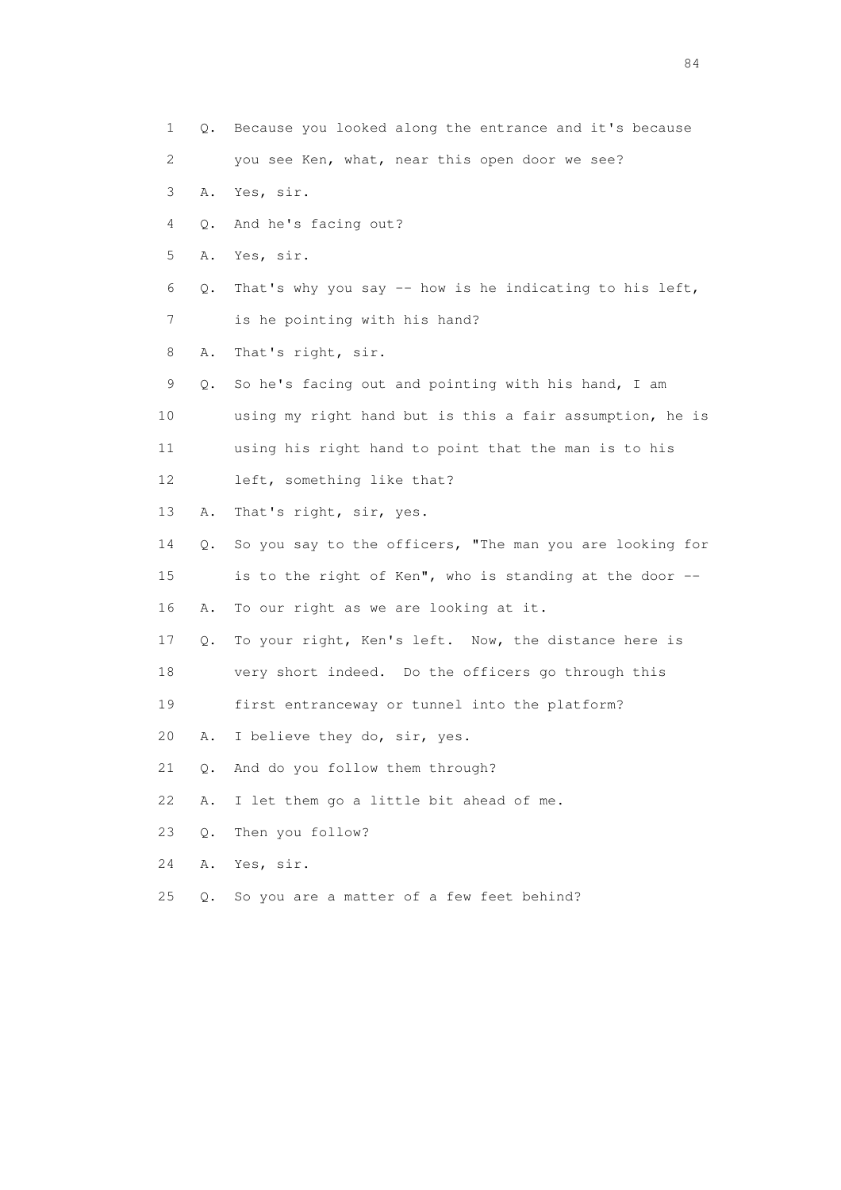1 Q. Because you looked along the entrance and it's because 2 you see Ken, what, near this open door we see? 3 A. Yes, sir. 4 Q. And he's facing out? 5 A. Yes, sir. 6  $Q$ . That's why you say -- how is he indicating to his left, 7 is he pointing with his hand? 8 A. That's right, sir. 9 Q. So he's facing out and pointing with his hand, I am 10 using my right hand but is this a fair assumption, he is 11 using his right hand to point that the man is to his 12 left, something like that? 13 A. That's right, sir, yes. 14 Q. So you say to the officers, "The man you are looking for 15 is to the right of Ken", who is standing at the door -- 16 A. To our right as we are looking at it. 17 Q. To your right, Ken's left. Now, the distance here is 18 very short indeed. Do the officers go through this 19 first entranceway or tunnel into the platform? 20 A. I believe they do, sir, yes. 21 Q. And do you follow them through? 22 A. I let them go a little bit ahead of me. 23 Q. Then you follow? 24 A. Yes, sir. 25 Q. So you are a matter of a few feet behind?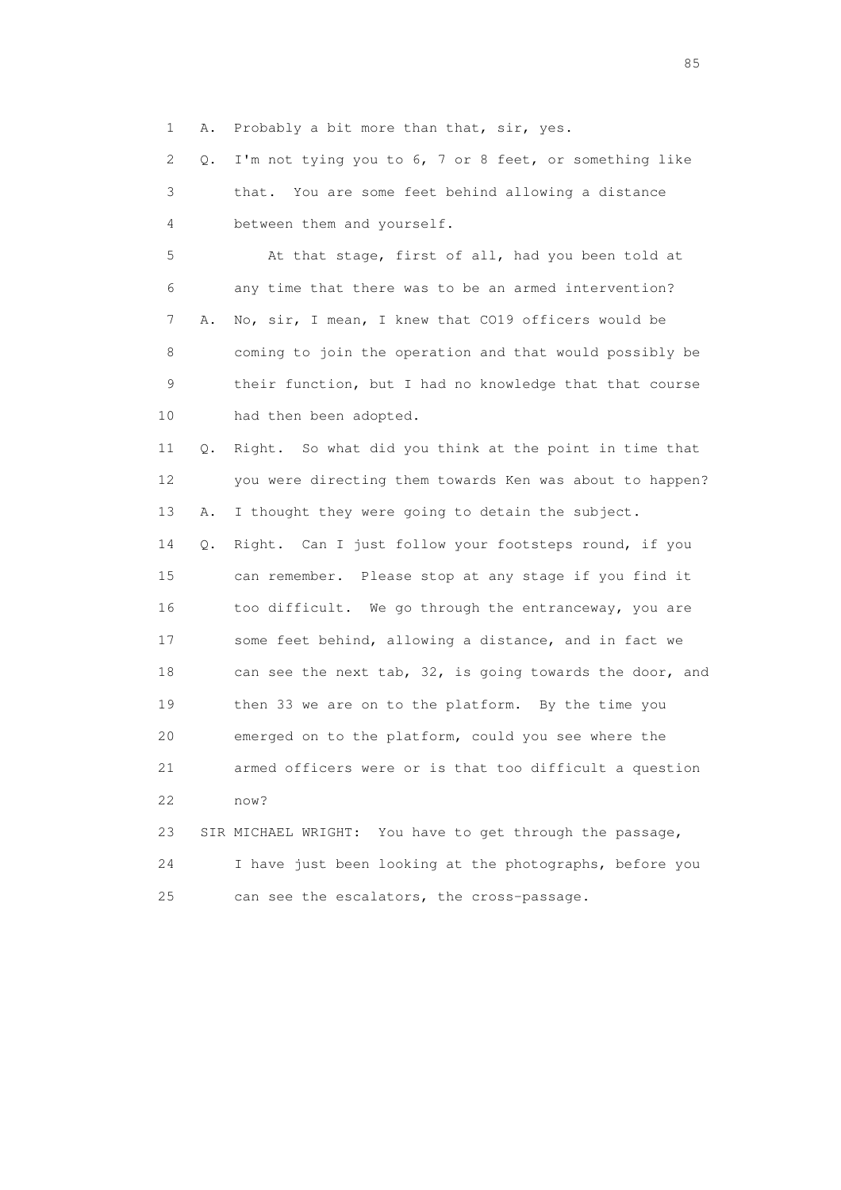1 A. Probably a bit more than that, sir, yes.

 2 Q. I'm not tying you to 6, 7 or 8 feet, or something like 3 that. You are some feet behind allowing a distance 4 between them and yourself.

 5 At that stage, first of all, had you been told at 6 any time that there was to be an armed intervention? 7 A. No, sir, I mean, I knew that CO19 officers would be 8 coming to join the operation and that would possibly be 9 their function, but I had no knowledge that that course 10 had then been adopted.

 11 Q. Right. So what did you think at the point in time that 12 you were directing them towards Ken was about to happen? 13 A. I thought they were going to detain the subject. 14 Q. Right. Can I just follow your footsteps round, if you 15 can remember. Please stop at any stage if you find it 16 too difficult. We go through the entranceway, you are 17 some feet behind, allowing a distance, and in fact we 18 can see the next tab, 32, is going towards the door, and 19 then 33 we are on to the platform. By the time you 20 emerged on to the platform, could you see where the 21 armed officers were or is that too difficult a question 22 now?

 23 SIR MICHAEL WRIGHT: You have to get through the passage, 24 I have just been looking at the photographs, before you 25 can see the escalators, the cross-passage.

experience of the contract of the contract of the contract of the contract of the contract of the contract of the contract of the contract of the contract of the contract of the contract of the contract of the contract of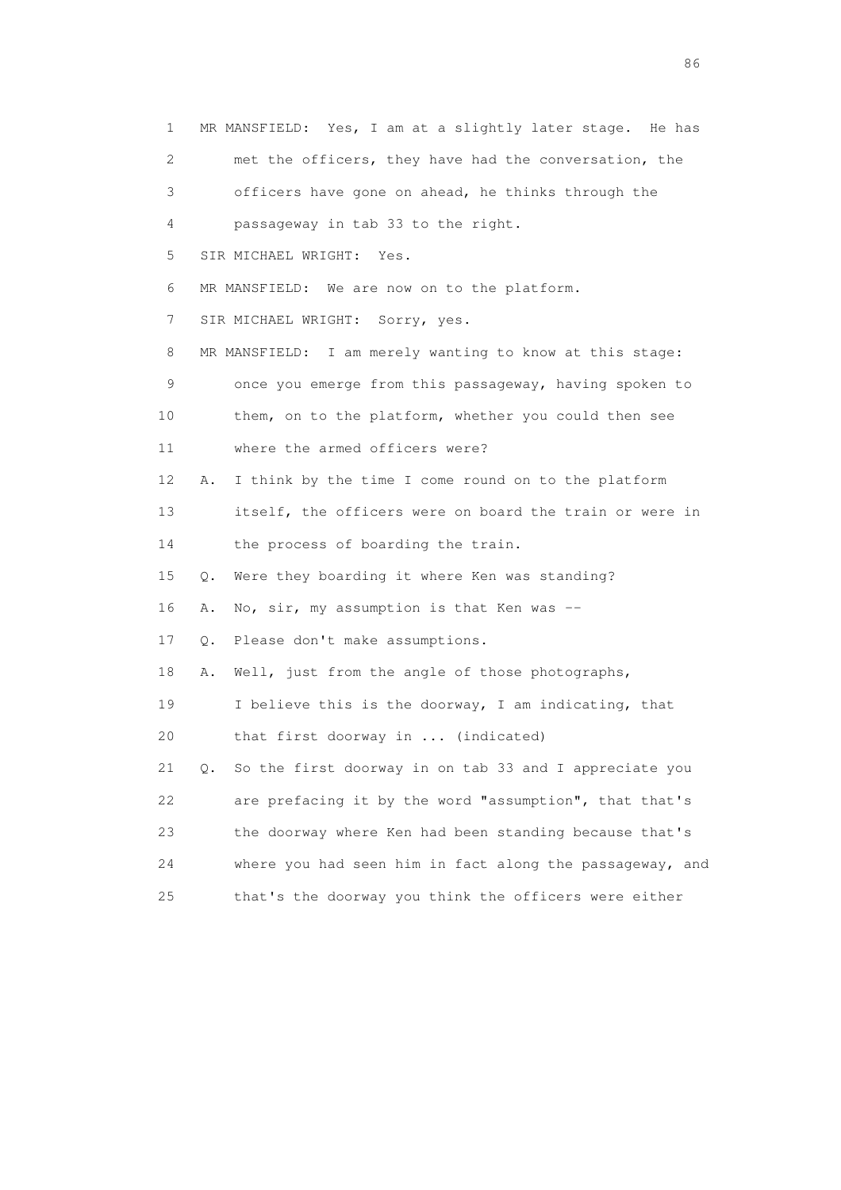| 1  | MR MANSFIELD: Yes, I am at a slightly later stage. He has    |
|----|--------------------------------------------------------------|
| 2  | met the officers, they have had the conversation, the        |
| 3  | officers have gone on ahead, he thinks through the           |
| 4  | passageway in tab 33 to the right.                           |
| 5  | SIR MICHAEL WRIGHT:<br>Yes.                                  |
| 6  | MR MANSFIELD: We are now on to the platform.                 |
| 7  | SIR MICHAEL WRIGHT: Sorry, yes.                              |
| 8  | MR MANSFIELD: I am merely wanting to know at this stage:     |
| 9  | once you emerge from this passageway, having spoken to       |
| 10 | them, on to the platform, whether you could then see         |
| 11 | where the armed officers were?                               |
| 12 | I think by the time I come round on to the platform<br>Α.    |
| 13 | itself, the officers were on board the train or were in      |
| 14 | the process of boarding the train.                           |
| 15 | Were they boarding it where Ken was standing?<br>Q.          |
| 16 | No, sir, my assumption is that Ken was $-$<br>Α.             |
| 17 | Please don't make assumptions.<br>Q.                         |
| 18 | Well, just from the angle of those photographs,<br>Α.        |
| 19 | I believe this is the doorway, I am indicating, that         |
| 20 | that first doorway in  (indicated)                           |
| 21 | So the first doorway in on tab 33 and I appreciate you<br>Q. |
| 22 | are prefacing it by the word "assumption", that that's       |
| 23 | the doorway where Ken had been standing because that's       |
| 24 | where you had seen him in fact along the passageway, and     |
| 25 | that's the doorway you think the officers were either        |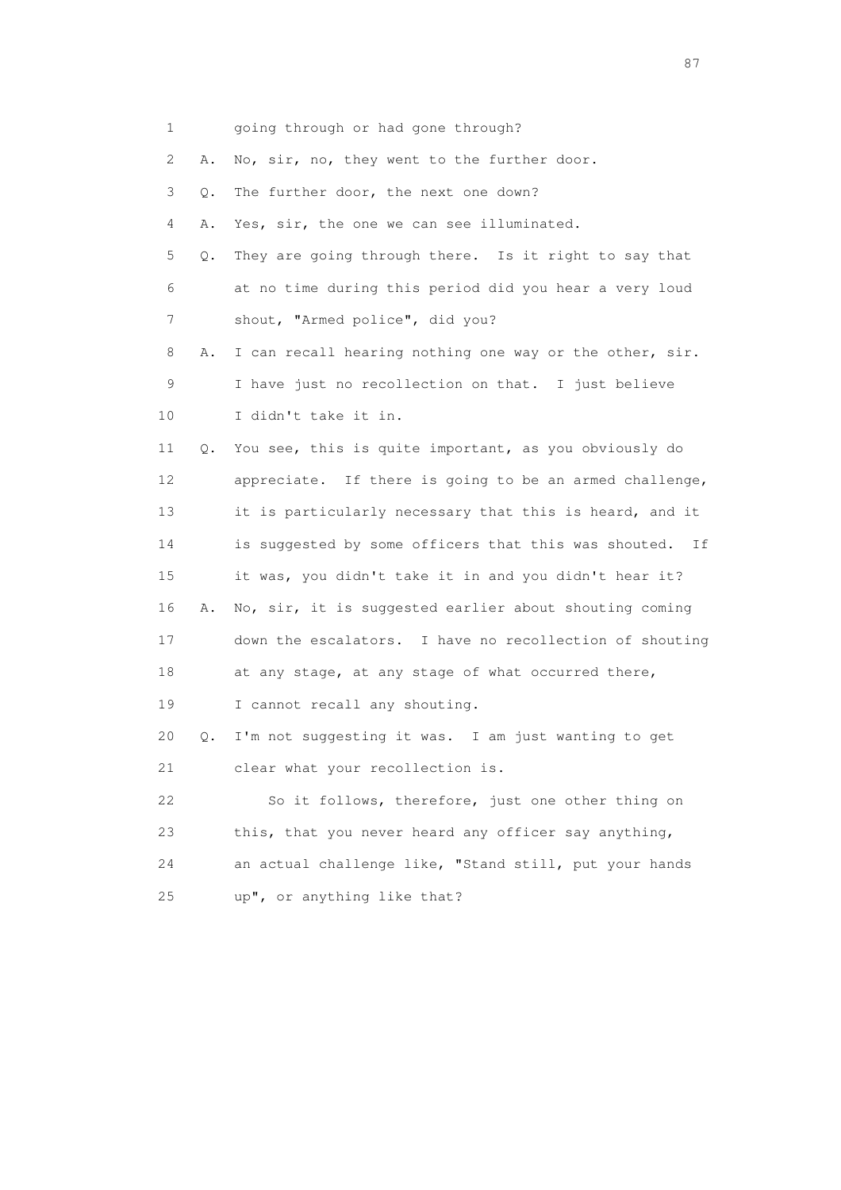1 going through or had gone through? 2 A. No, sir, no, they went to the further door. 3 Q. The further door, the next one down? 4 A. Yes, sir, the one we can see illuminated. 5 Q. They are going through there. Is it right to say that 6 at no time during this period did you hear a very loud 7 shout, "Armed police", did you? 8 A. I can recall hearing nothing one way or the other, sir. 9 I have just no recollection on that. I just believe 10 I didn't take it in. 11 Q. You see, this is quite important, as you obviously do 12 appreciate. If there is going to be an armed challenge, 13 it is particularly necessary that this is heard, and it 14 is suggested by some officers that this was shouted. If 15 it was, you didn't take it in and you didn't hear it? 16 A. No, sir, it is suggested earlier about shouting coming 17 down the escalators. I have no recollection of shouting 18 at any stage, at any stage of what occurred there, 19 I cannot recall any shouting. 20 Q. I'm not suggesting it was. I am just wanting to get 21 clear what your recollection is. 22 So it follows, therefore, just one other thing on 23 this, that you never heard any officer say anything, 24 an actual challenge like, "Stand still, put your hands 25 up", or anything like that?

experience of the state of the state of the state of the state of the state of the state of the state of the state of the state of the state of the state of the state of the state of the state of the state of the state of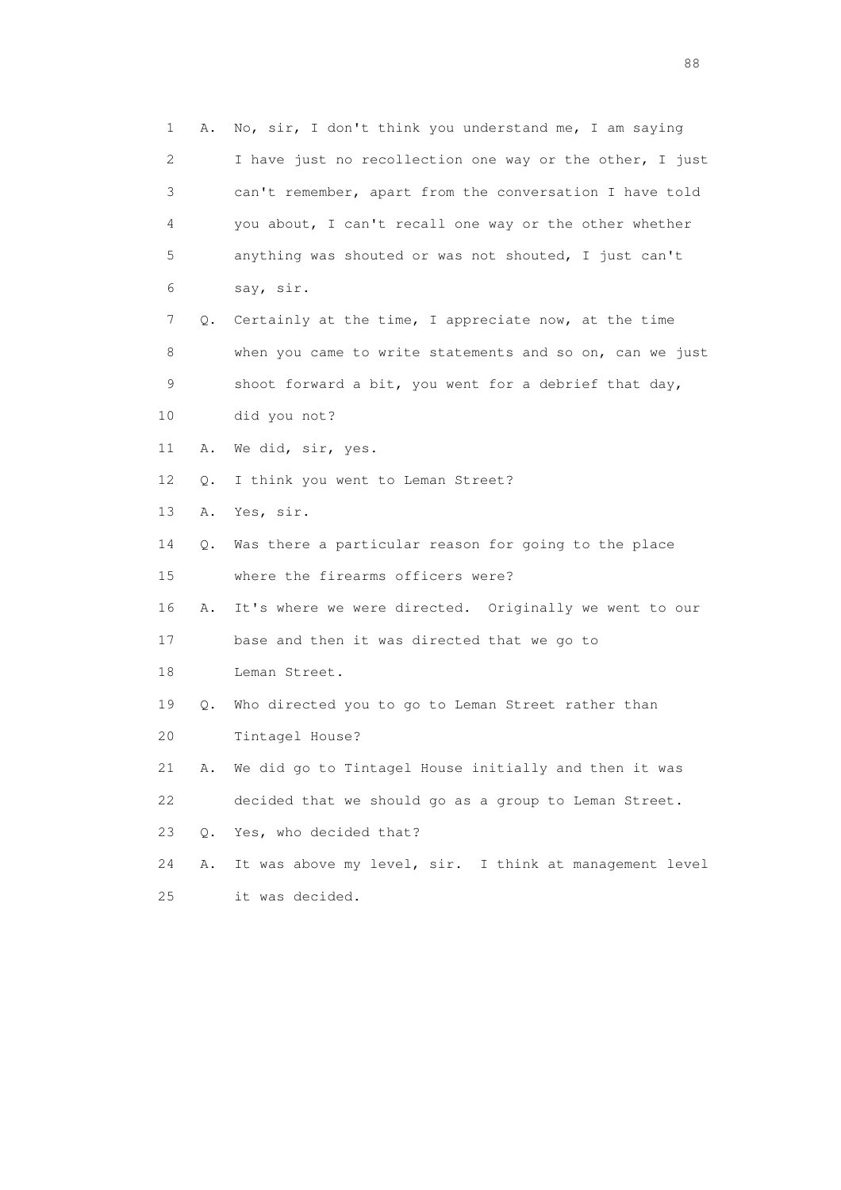1 A. No, sir, I don't think you understand me, I am saying 2 I have just no recollection one way or the other, I just 3 can't remember, apart from the conversation I have told 4 you about, I can't recall one way or the other whether 5 anything was shouted or was not shouted, I just can't 6 say, sir. 7 Q. Certainly at the time, I appreciate now, at the time 8 when you came to write statements and so on, can we just 9 shoot forward a bit, you went for a debrief that day, 10 did you not? 11 A. We did, sir, yes. 12 Q. I think you went to Leman Street? 13 A. Yes, sir. 14 Q. Was there a particular reason for going to the place 15 where the firearms officers were? 16 A. It's where we were directed. Originally we went to our 17 base and then it was directed that we go to 18 Leman Street. 19 Q. Who directed you to go to Leman Street rather than 20 Tintagel House? 21 A. We did go to Tintagel House initially and then it was 22 decided that we should go as a group to Leman Street. 23 Q. Yes, who decided that? 24 A. It was above my level, sir. I think at management level 25 it was decided.

en de la construction de la construction de la construction de la construction de la construction de la constr<br>1880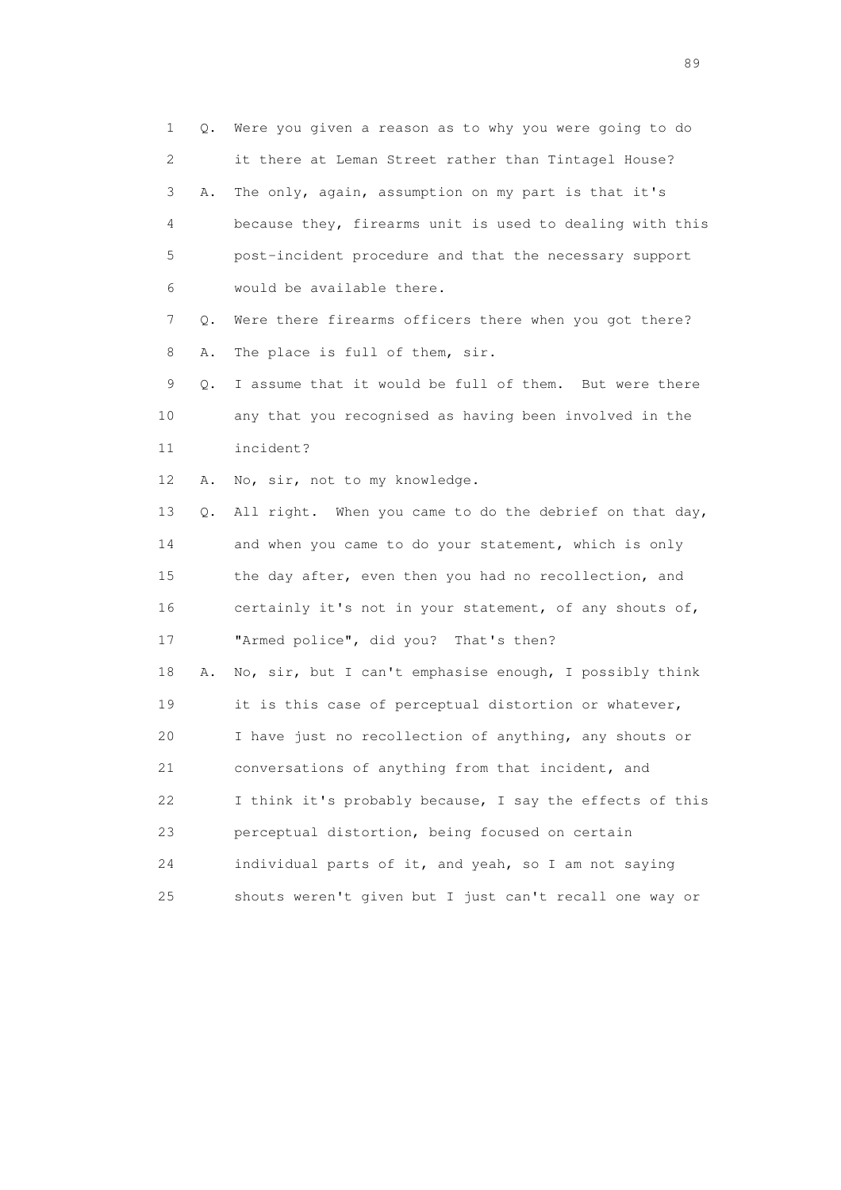1 Q. Were you given a reason as to why you were going to do 2 it there at Leman Street rather than Tintagel House? 3 A. The only, again, assumption on my part is that it's 4 because they, firearms unit is used to dealing with this 5 post-incident procedure and that the necessary support 6 would be available there. 7 Q. Were there firearms officers there when you got there? 8 A. The place is full of them, sir. 9 Q. I assume that it would be full of them. But were there 10 any that you recognised as having been involved in the 11 incident? 12 A. No, sir, not to my knowledge. 13 Q. All right. When you came to do the debrief on that day, 14 and when you came to do your statement, which is only 15 the day after, even then you had no recollection, and 16 certainly it's not in your statement, of any shouts of, 17 "Armed police", did you? That's then? 18 A. No, sir, but I can't emphasise enough, I possibly think 19 it is this case of perceptual distortion or whatever, 20 I have just no recollection of anything, any shouts or 21 conversations of anything from that incident, and 22 I think it's probably because, I say the effects of this 23 perceptual distortion, being focused on certain 24 individual parts of it, and yeah, so I am not saying 25 shouts weren't given but I just can't recall one way or

en andere en de la seule de la constantin de la constantin de la constantin de la constantin de la constantin<br>189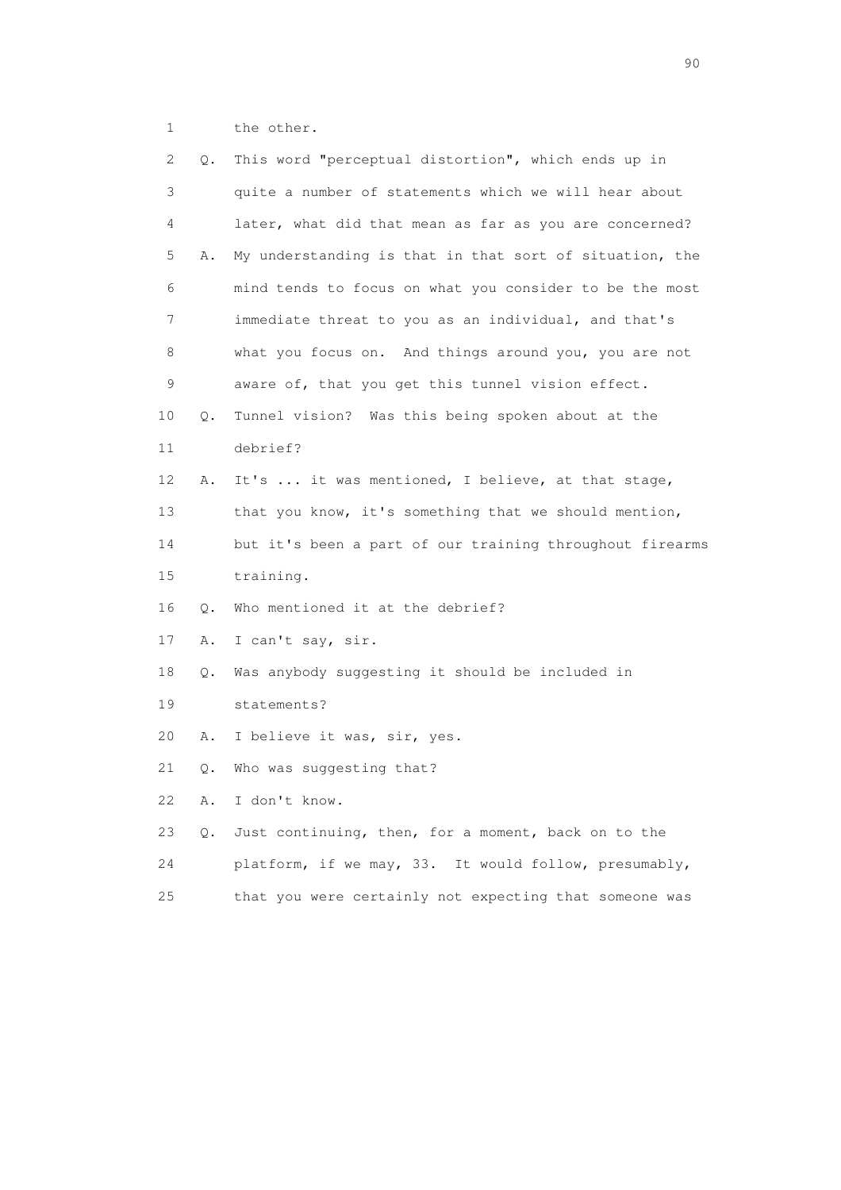1 the other.

| 2  | Q.    | This word "perceptual distortion", which ends up in      |
|----|-------|----------------------------------------------------------|
| 3  |       | quite a number of statements which we will hear about    |
| 4  |       | later, what did that mean as far as you are concerned?   |
| 5  | Α.    | My understanding is that in that sort of situation, the  |
| 6  |       | mind tends to focus on what you consider to be the most  |
| 7  |       | immediate threat to you as an individual, and that's     |
| 8  |       | what you focus on. And things around you, you are not    |
| 9  |       | aware of, that you get this tunnel vision effect.        |
| 10 | Q.    | Tunnel vision? Was this being spoken about at the        |
| 11 |       | debrief?                                                 |
| 12 | Α.    | It's  it was mentioned, I believe, at that stage,        |
| 13 |       | that you know, it's something that we should mention,    |
| 14 |       | but it's been a part of our training throughout firearms |
| 15 |       | training.                                                |
| 16 | Q.    | Who mentioned it at the debrief?                         |
| 17 | Α.    | I can't say, sir.                                        |
| 18 | Q.    | Was anybody suggesting it should be included in          |
| 19 |       | statements?                                              |
| 20 | Α.    | I believe it was, sir, yes.                              |
| 21 | О.    | Who was suggesting that?                                 |
| 22 | Α.    | I don't know.                                            |
| 23 | $Q$ . | Just continuing, then, for a moment, back on to the      |
| 24 |       | platform, if we may, 33. It would follow, presumably,    |
| 25 |       | that you were certainly not expecting that someone was   |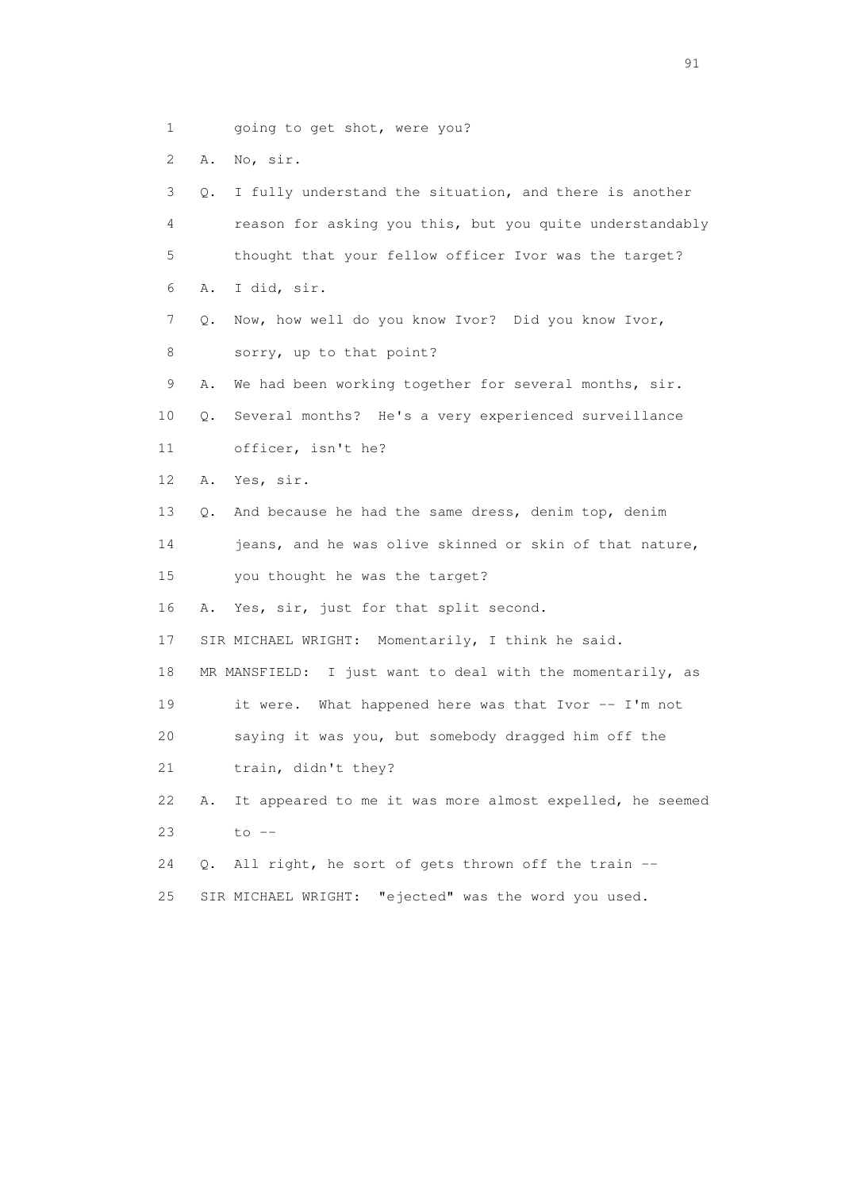- 1 going to get shot, were you?
- 2 A. No, sir.

 3 Q. I fully understand the situation, and there is another 4 reason for asking you this, but you quite understandably 5 thought that your fellow officer Ivor was the target? 6 A. I did, sir. 7 Q. Now, how well do you know Ivor? Did you know Ivor, 8 sorry, up to that point? 9 A. We had been working together for several months, sir. 10 Q. Several months? He's a very experienced surveillance 11 officer, isn't he? 12 A. Yes, sir. 13 Q. And because he had the same dress, denim top, denim 14 jeans, and he was olive skinned or skin of that nature, 15 you thought he was the target? 16 A. Yes, sir, just for that split second. 17 SIR MICHAEL WRIGHT: Momentarily, I think he said. 18 MR MANSFIELD: I just want to deal with the momentarily, as 19 it were. What happened here was that Ivor -- I'm not 20 saying it was you, but somebody dragged him off the 21 train, didn't they? 22 A. It appeared to me it was more almost expelled, he seemed 23 to -- 24 Q. All right, he sort of gets thrown off the train -- 25 SIR MICHAEL WRIGHT: "ejected" was the word you used.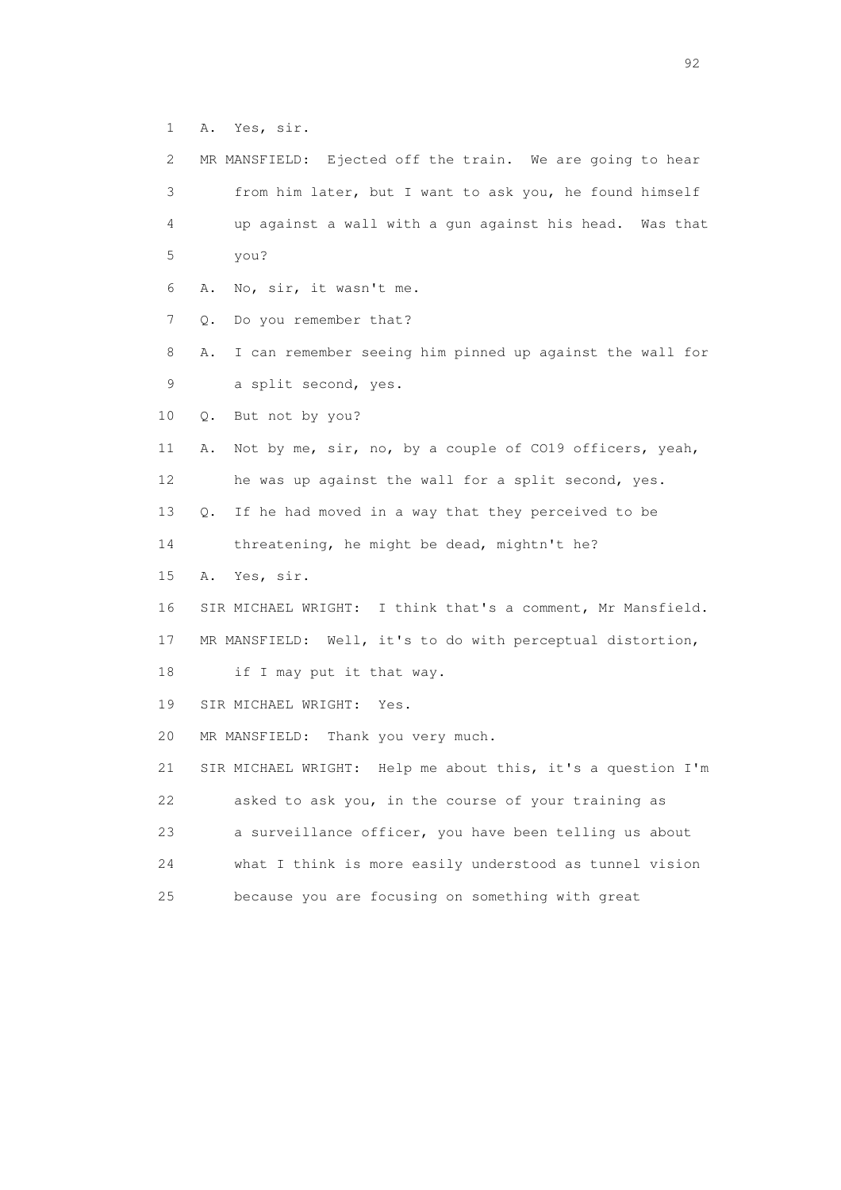1 A. Yes, sir.

| 2           | MR MANSFIELD: Ejected off the train. We are going to hear      |
|-------------|----------------------------------------------------------------|
| 3           | from him later, but I want to ask you, he found himself        |
| 4           | up against a wall with a gun against his head. Was that        |
| 5           | you?                                                           |
| 6           | No, sir, it wasn't me.<br>Α.                                   |
| 7           | Do you remember that?<br>Q.                                    |
| 8           | I can remember seeing him pinned up against the wall for<br>Α. |
| $\mathsf 9$ | a split second, yes.                                           |
| 10          | But not by you?<br>Q.                                          |
| 11          | Not by me, sir, no, by a couple of CO19 officers, yeah,<br>Α.  |
| 12          | he was up against the wall for a split second, yes.            |
| 13          | If he had moved in a way that they perceived to be<br>Q.       |
| 14          | threatening, he might be dead, mightn't he?                    |
| 15          | Yes, sir.<br>Α.                                                |
| 16          | SIR MICHAEL WRIGHT: I think that's a comment, Mr Mansfield.    |
| 17          | MR MANSFIELD: Well, it's to do with perceptual distortion,     |
| 18          | if I may put it that way.                                      |
| 19          | SIR MICHAEL WRIGHT:<br>Yes.                                    |
| 20          | MR MANSFIELD: Thank you very much.                             |
| 21          | SIR MICHAEL WRIGHT: Help me about this, it's a question I'm    |
| 22          | asked to ask you, in the course of your training as            |
| 23          | a surveillance officer, you have been telling us about         |
| 24          | what I think is more easily understood as tunnel vision        |
| 25          | because you are focusing on something with great               |
|             |                                                                |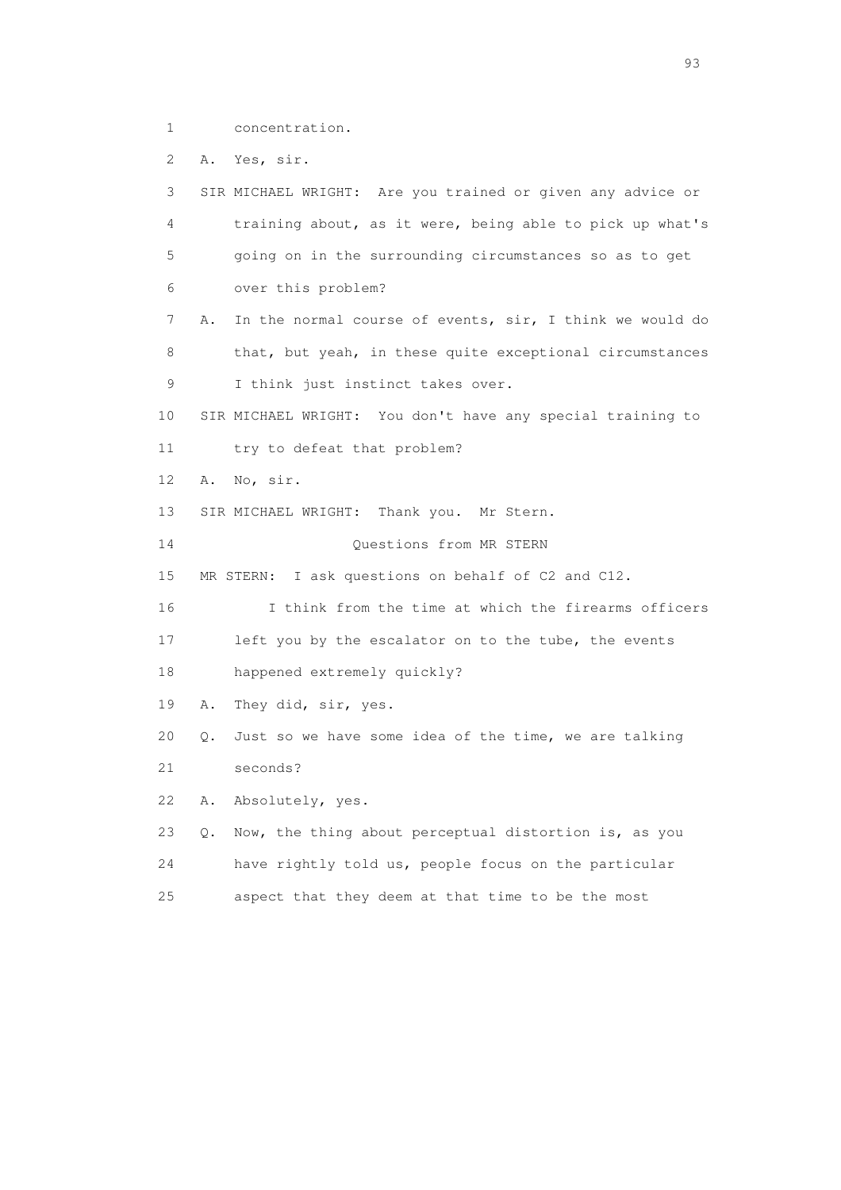1 concentration.

2 A. Yes, sir.

 3 SIR MICHAEL WRIGHT: Are you trained or given any advice or 4 training about, as it were, being able to pick up what's 5 going on in the surrounding circumstances so as to get 6 over this problem? 7 A. In the normal course of events, sir, I think we would do 8 that, but yeah, in these quite exceptional circumstances 9 I think just instinct takes over. 10 SIR MICHAEL WRIGHT: You don't have any special training to 11 try to defeat that problem? 12 A. No, sir. 13 SIR MICHAEL WRIGHT: Thank you. Mr Stern. 14 Questions from MR STERN 15 MR STERN: I ask questions on behalf of C2 and C12. 16 I think from the time at which the firearms officers 17 left you by the escalator on to the tube, the events 18 happened extremely quickly? 19 A. They did, sir, yes. 20 Q. Just so we have some idea of the time, we are talking 21 seconds? 22 A. Absolutely, yes. 23 Q. Now, the thing about perceptual distortion is, as you 24 have rightly told us, people focus on the particular

25 aspect that they deem at that time to be the most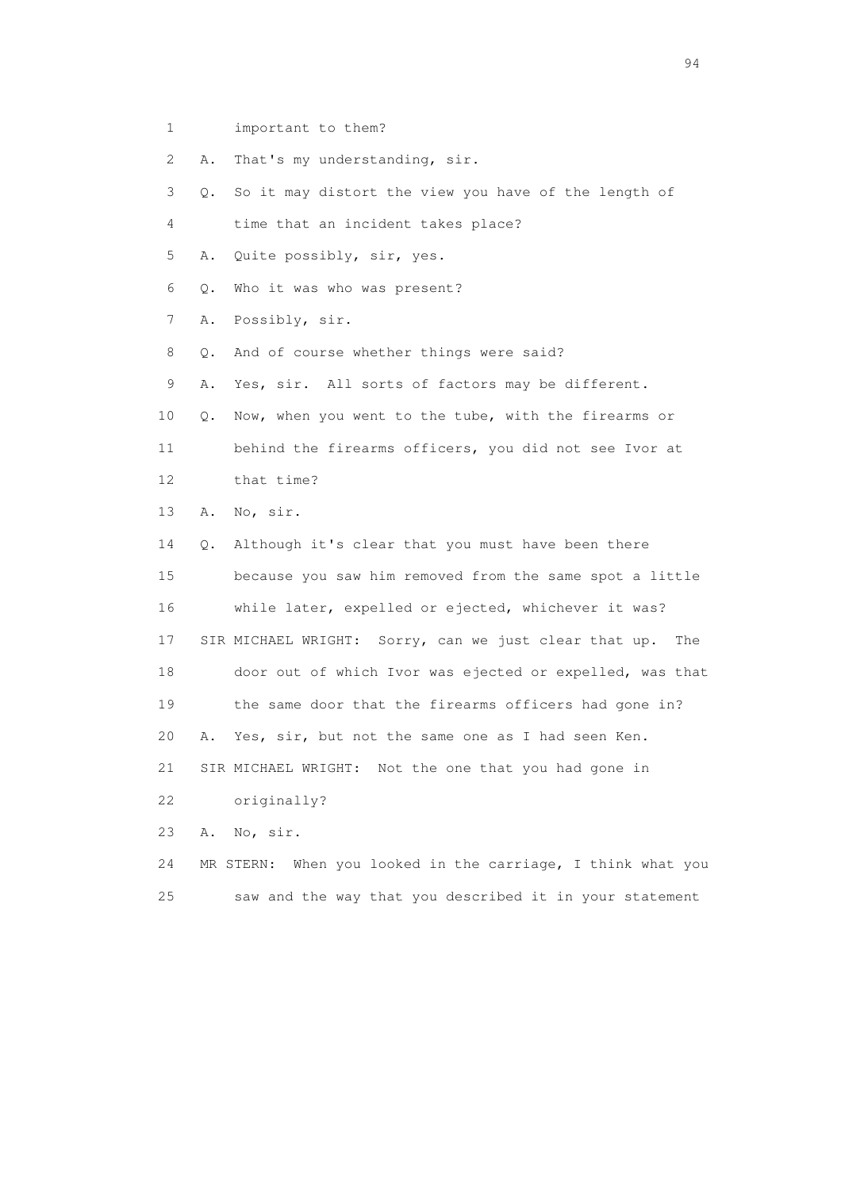1 important to them?

2 A. That's my understanding, sir.

 3 Q. So it may distort the view you have of the length of 4 time that an incident takes place? 5 A. Quite possibly, sir, yes. 6 Q. Who it was who was present? 7 A. Possibly, sir. 8 Q. And of course whether things were said? 9 A. Yes, sir. All sorts of factors may be different. 10 Q. Now, when you went to the tube, with the firearms or 11 behind the firearms officers, you did not see Ivor at 12 that time? 13 A. No, sir. 14 Q. Although it's clear that you must have been there 15 because you saw him removed from the same spot a little 16 while later, expelled or ejected, whichever it was? 17 SIR MICHAEL WRIGHT: Sorry, can we just clear that up. The 18 door out of which Ivor was ejected or expelled, was that 19 the same door that the firearms officers had gone in? 20 A. Yes, sir, but not the same one as I had seen Ken.

21 SIR MICHAEL WRIGHT: Not the one that you had gone in

22 originally?

23 A. No, sir.

 24 MR STERN: When you looked in the carriage, I think what you 25 saw and the way that you described it in your statement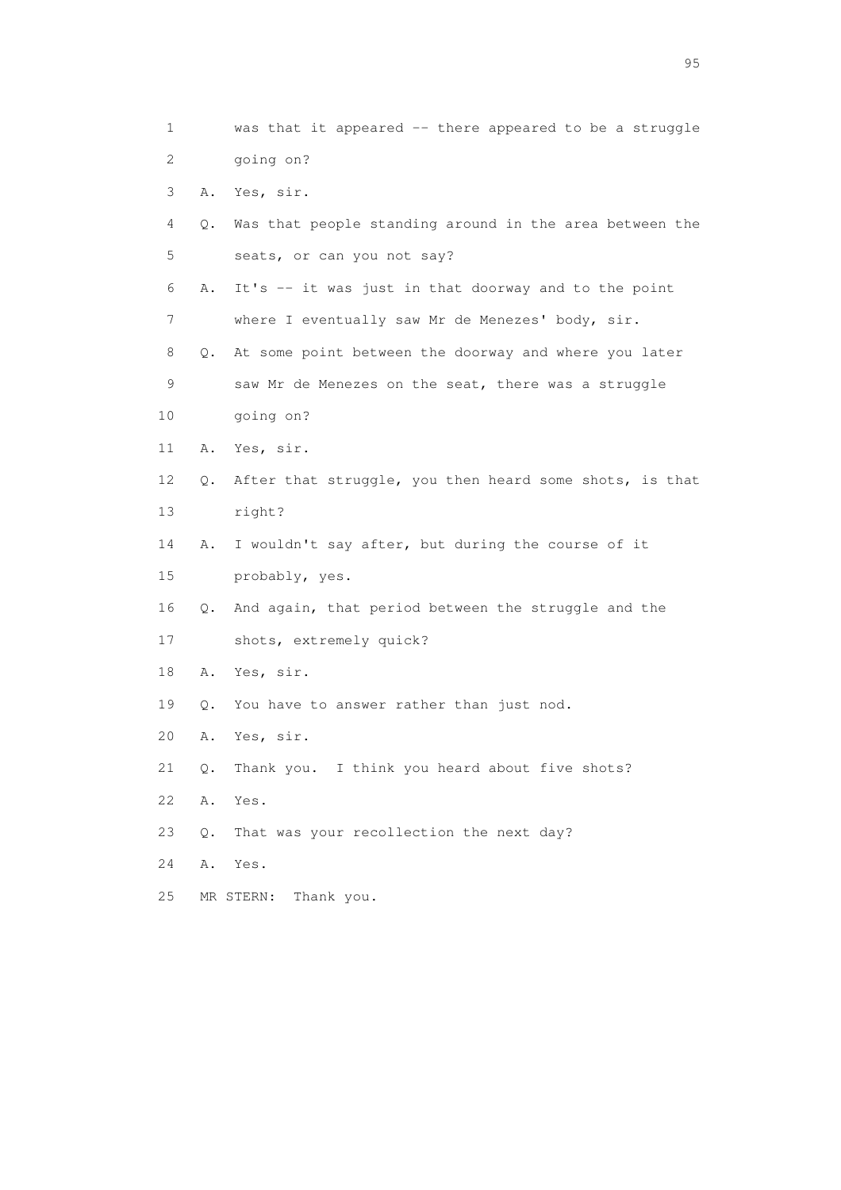1 was that it appeared -- there appeared to be a struggle 2 going on? 3 A. Yes, sir. 4 Q. Was that people standing around in the area between the 5 seats, or can you not say? 6 A. It's -- it was just in that doorway and to the point 7 where I eventually saw Mr de Menezes' body, sir. 8 Q. At some point between the doorway and where you later 9 saw Mr de Menezes on the seat, there was a struggle 10 going on? 11 A. Yes, sir. 12 Q. After that struggle, you then heard some shots, is that 13 right? 14 A. I wouldn't say after, but during the course of it 15 probably, yes. 16 Q. And again, that period between the struggle and the 17 shots, extremely quick? 18 A. Yes, sir. 19 Q. You have to answer rather than just nod. 20 A. Yes, sir. 21 Q. Thank you. I think you heard about five shots? 22 A. Yes. 23 Q. That was your recollection the next day? 24 A. Yes. 25 MR STERN: Thank you.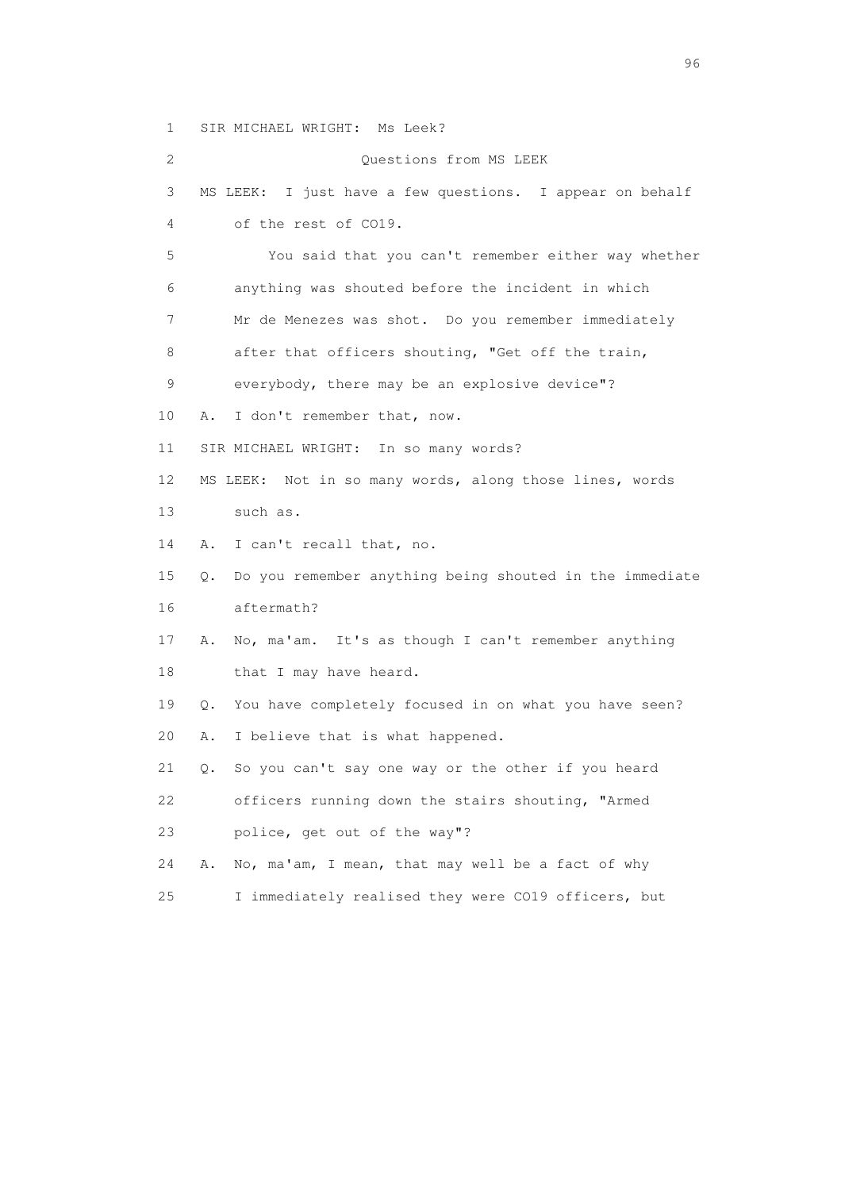1 SIR MICHAEL WRIGHT: Ms Leek?

 2 Questions from MS LEEK 3 MS LEEK: I just have a few questions. I appear on behalf 4 of the rest of CO19. 5 You said that you can't remember either way whether 6 anything was shouted before the incident in which 7 Mr de Menezes was shot. Do you remember immediately 8 after that officers shouting, "Get off the train, 9 everybody, there may be an explosive device"? 10 A. I don't remember that, now. 11 SIR MICHAEL WRIGHT: In so many words? 12 MS LEEK: Not in so many words, along those lines, words 13 such as. 14 A. I can't recall that, no. 15 Q. Do you remember anything being shouted in the immediate 16 aftermath? 17 A. No, ma'am. It's as though I can't remember anything 18 that I may have heard. 19 Q. You have completely focused in on what you have seen? 20 A. I believe that is what happened. 21 Q. So you can't say one way or the other if you heard 22 officers running down the stairs shouting, "Armed 23 police, get out of the way"? 24 A. No, ma'am, I mean, that may well be a fact of why 25 I immediately realised they were CO19 officers, but

<u>96 and the state of the state of the state of the state of the state of the state of the state of the state of the state of the state of the state of the state of the state of the state of the state of the state of the st</u>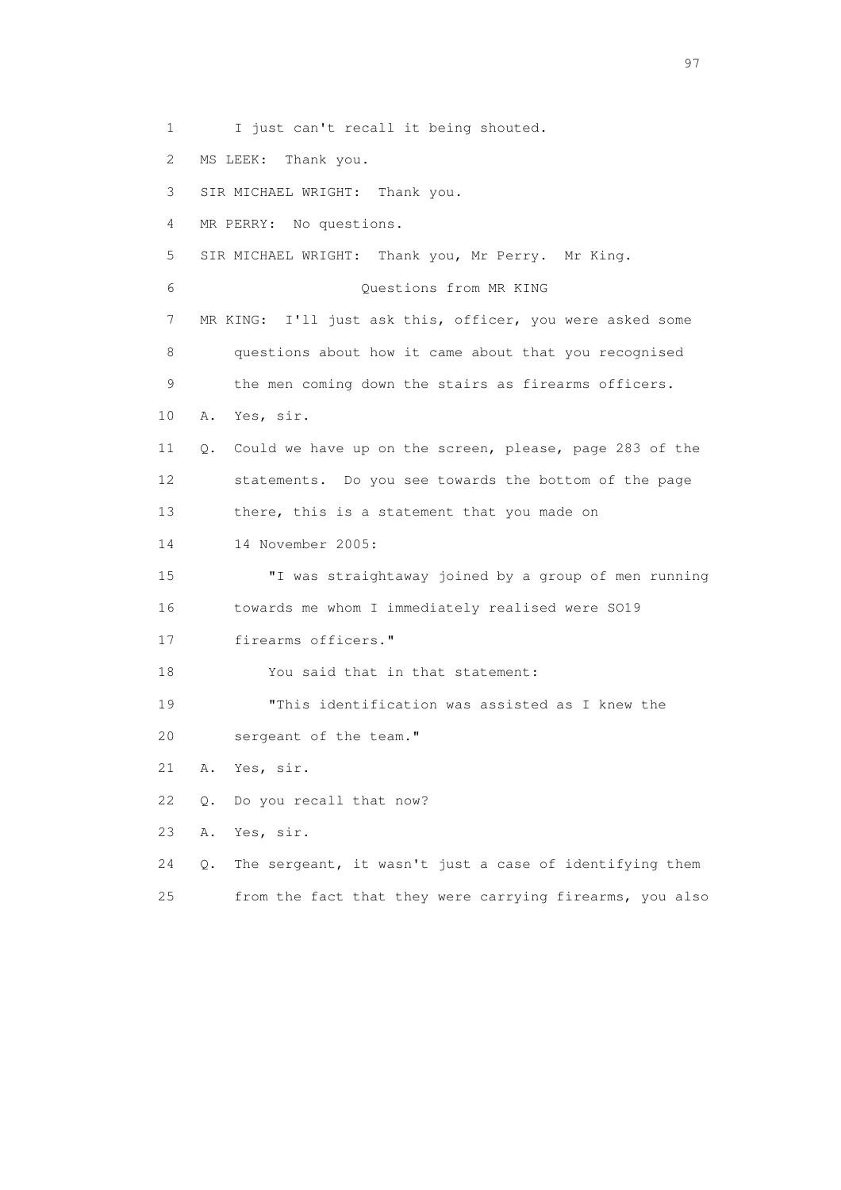1 I just can't recall it being shouted.

2 MS LEEK: Thank you.

3 SIR MICHAEL WRIGHT: Thank you.

4 MR PERRY: No questions.

5 SIR MICHAEL WRIGHT: Thank you, Mr Perry. Mr King.

6 Questions from MR KING

 7 MR KING: I'll just ask this, officer, you were asked some 8 questions about how it came about that you recognised

9 the men coming down the stairs as firearms officers.

10 A. Yes, sir.

 11 Q. Could we have up on the screen, please, page 283 of the 12 statements. Do you see towards the bottom of the page 13 there, this is a statement that you made on

14 14 November 2005:

 15 "I was straightaway joined by a group of men running 16 towards me whom I immediately realised were SO19

17 firearms officers."

18 You said that in that statement:

19 "This identification was assisted as I knew the

20 sergeant of the team."

21 A. Yes, sir.

22 Q. Do you recall that now?

23 A. Yes, sir.

 24 Q. The sergeant, it wasn't just a case of identifying them 25 from the fact that they were carrying firearms, you also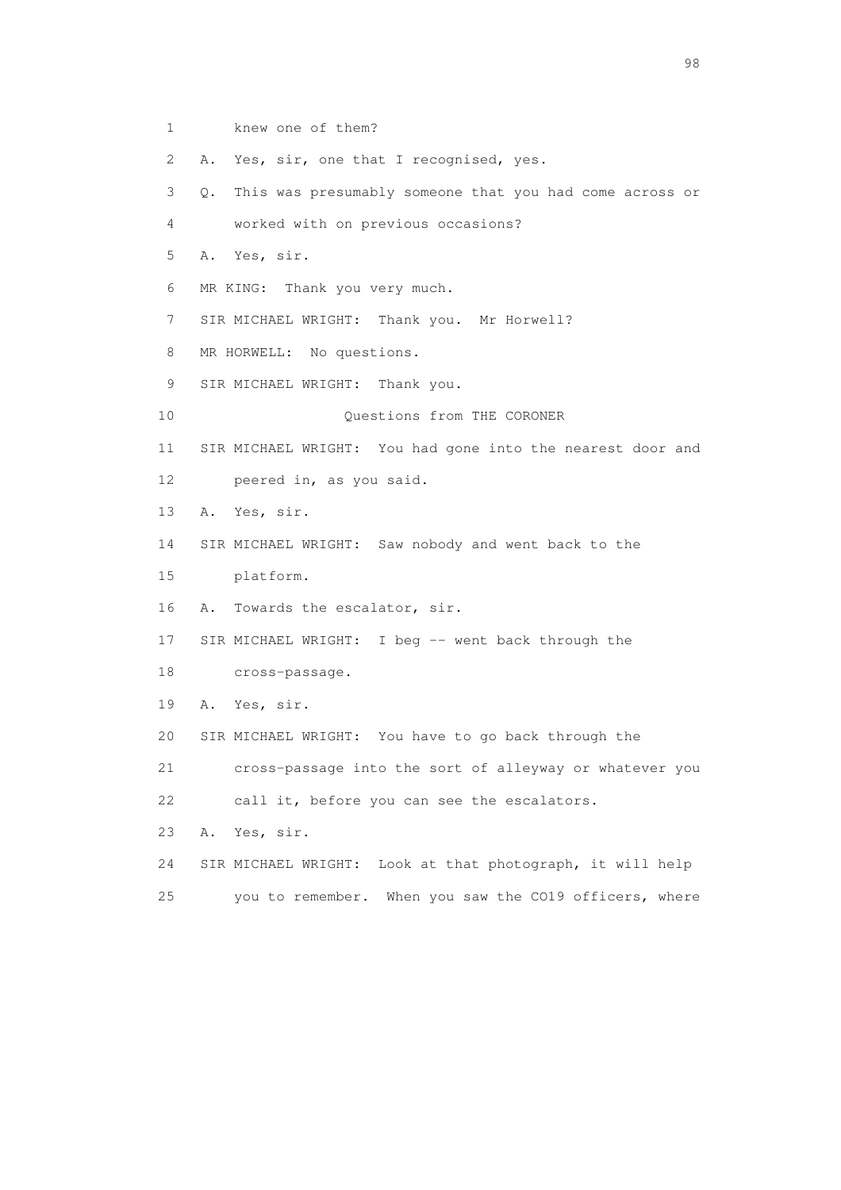- 1 knew one of them?
- 2 A. Yes, sir, one that I recognised, yes.

3 Q. This was presumably someone that you had come across or

- 4 worked with on previous occasions?
- 5 A. Yes, sir.
- 6 MR KING: Thank you very much.
- 7 SIR MICHAEL WRIGHT: Thank you. Mr Horwell?
- 8 MR HORWELL: No questions.
- 9 SIR MICHAEL WRIGHT: Thank you.
- 10 Questions from THE CORONER
- 11 SIR MICHAEL WRIGHT: You had gone into the nearest door and
- 12 peered in, as you said.
- 13 A. Yes, sir.
- 14 SIR MICHAEL WRIGHT: Saw nobody and went back to the
- 15 platform.
- 16 A. Towards the escalator, sir.
- 17 SIR MICHAEL WRIGHT: I beg -- went back through the
- 18 cross-passage.
- 19 A. Yes, sir.
- 20 SIR MICHAEL WRIGHT: You have to go back through the

21 cross-passage into the sort of alleyway or whatever you

- 22 call it, before you can see the escalators.
- 23 A. Yes, sir.
- 24 SIR MICHAEL WRIGHT: Look at that photograph, it will help
- 25 you to remember. When you saw the CO19 officers, where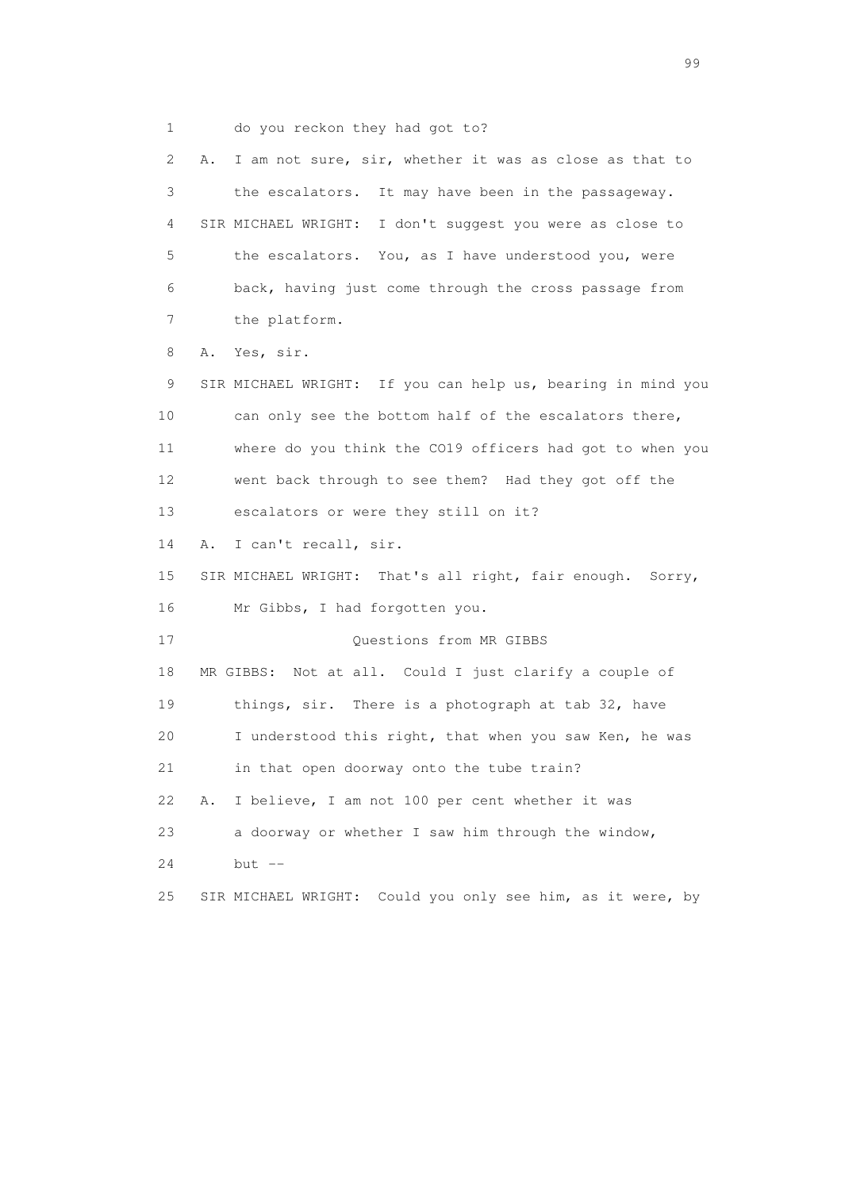1 do you reckon they had got to?

 2 A. I am not sure, sir, whether it was as close as that to 3 the escalators. It may have been in the passageway. 4 SIR MICHAEL WRIGHT: I don't suggest you were as close to 5 the escalators. You, as I have understood you, were 6 back, having just come through the cross passage from 7 the platform. 8 A. Yes, sir. 9 SIR MICHAEL WRIGHT: If you can help us, bearing in mind you 10 can only see the bottom half of the escalators there, 11 where do you think the CO19 officers had got to when you 12 went back through to see them? Had they got off the 13 escalators or were they still on it? 14 A. I can't recall, sir. 15 SIR MICHAEL WRIGHT: That's all right, fair enough. Sorry, 16 Mr Gibbs, I had forgotten you. 17 Questions from MR GIBBS 18 MR GIBBS: Not at all. Could I just clarify a couple of 19 things, sir. There is a photograph at tab 32, have 20 I understood this right, that when you saw Ken, he was 21 in that open doorway onto the tube train? 22 A. I believe, I am not 100 per cent whether it was 23 a doorway or whether I saw him through the window, 24 but -- 25 SIR MICHAEL WRIGHT: Could you only see him, as it were, by

en de la construction de la construction de la construction de la construction de la construction de la constr<br>1990 : le construction de la construction de la construction de la construction de la construction de la const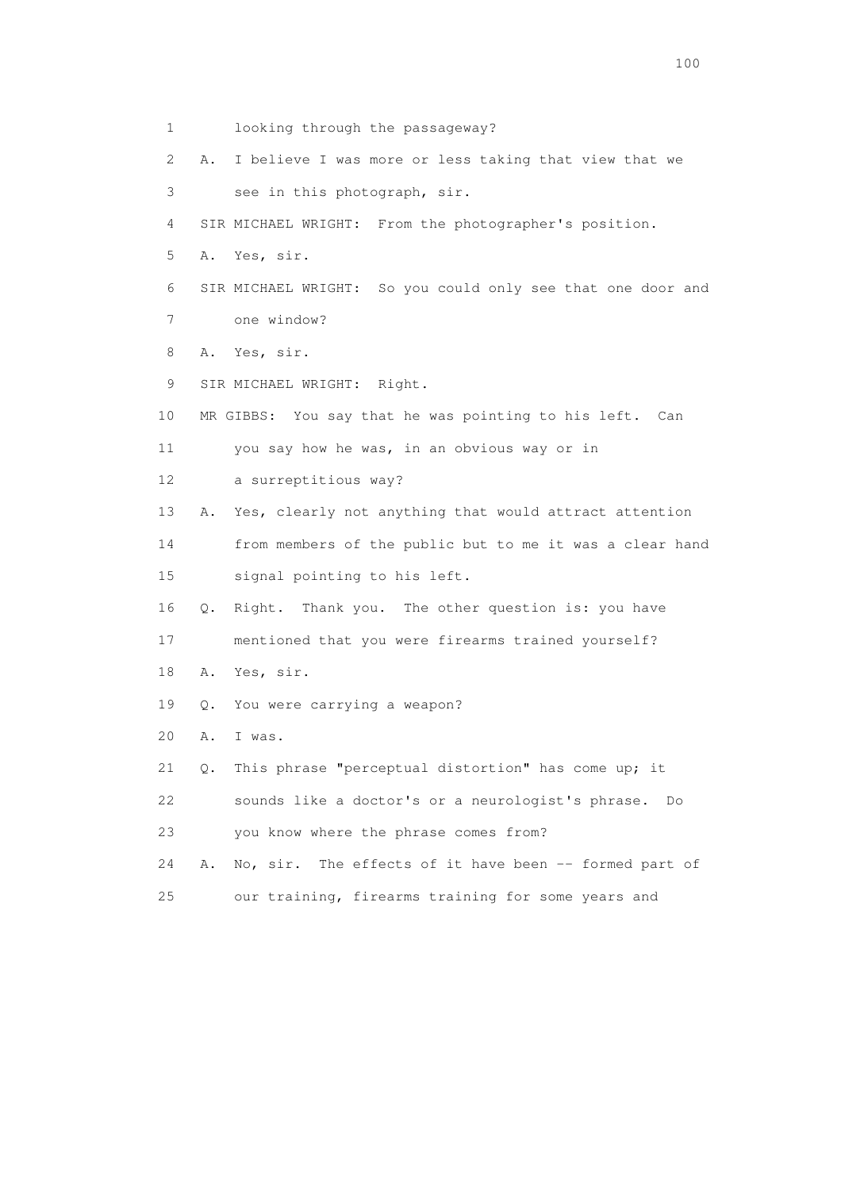1 looking through the passageway? 2 A. I believe I was more or less taking that view that we 3 see in this photograph, sir. 4 SIR MICHAEL WRIGHT: From the photographer's position. 5 A. Yes, sir. 6 SIR MICHAEL WRIGHT: So you could only see that one door and 7 one window? 8 A. Yes, sir. 9 SIR MICHAEL WRIGHT: Right. 10 MR GIBBS: You say that he was pointing to his left. Can 11 you say how he was, in an obvious way or in 12 a surreptitious way? 13 A. Yes, clearly not anything that would attract attention 14 from members of the public but to me it was a clear hand 15 signal pointing to his left. 16 Q. Right. Thank you. The other question is: you have 17 mentioned that you were firearms trained yourself? 18 A. Yes, sir. 19 Q. You were carrying a weapon? 20 A. I was. 21 Q. This phrase "perceptual distortion" has come up; it 22 sounds like a doctor's or a neurologist's phrase. Do 23 you know where the phrase comes from? 24 A. No, sir. The effects of it have been -- formed part of 25 our training, firearms training for some years and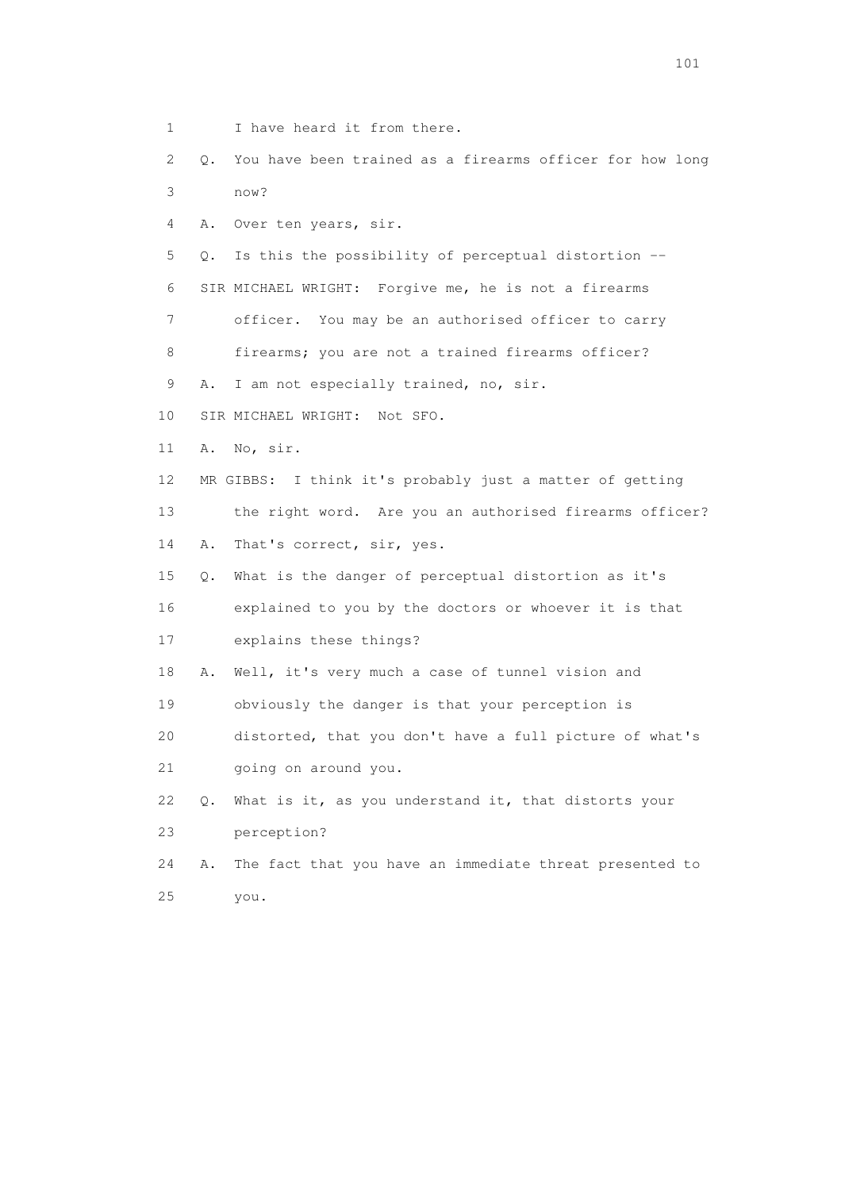- 1 I have heard it from there.
- 2 Q. You have been trained as a firearms officer for how long 3 now?
- 4 A. Over ten years, sir.
- 5 Q. Is this the possibility of perceptual distortion --
- 6 SIR MICHAEL WRIGHT: Forgive me, he is not a firearms
- 7 officer. You may be an authorised officer to carry
- 8 firearms; you are not a trained firearms officer?
- 9 A. I am not especially trained, no, sir.
- 10 SIR MICHAEL WRIGHT: Not SFO.
- 11 A. No, sir.
- 12 MR GIBBS: I think it's probably just a matter of getting
- 13 the right word. Are you an authorised firearms officer?
- 14 A. That's correct, sir, yes.
- 15 Q. What is the danger of perceptual distortion as it's
- 16 explained to you by the doctors or whoever it is that
- 17 explains these things?
- 18 A. Well, it's very much a case of tunnel vision and
- 19 obviously the danger is that your perception is
- 20 distorted, that you don't have a full picture of what's
- 21 going on around you.
- 22 Q. What is it, as you understand it, that distorts your 23 perception?
- 24 A. The fact that you have an immediate threat presented to 25 you.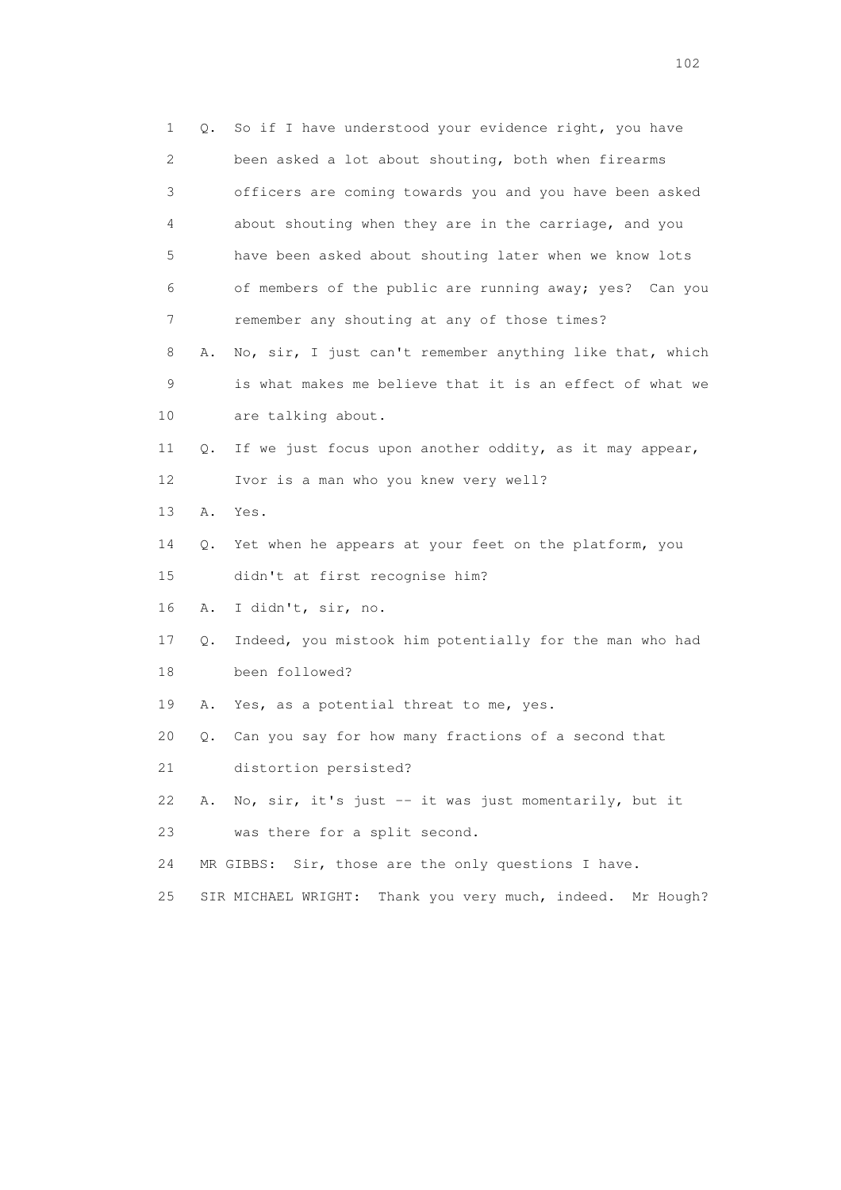| 1  | Q. | So if I have understood your evidence right, you have            |
|----|----|------------------------------------------------------------------|
| 2  |    | been asked a lot about shouting, both when firearms              |
| 3  |    | officers are coming towards you and you have been asked          |
| 4  |    | about shouting when they are in the carriage, and you            |
| 5  |    | have been asked about shouting later when we know lots           |
| 6  |    | of members of the public are running away; yes? Can you          |
| 7  |    | remember any shouting at any of those times?                     |
| 8  | Α. | No, sir, I just can't remember anything like that, which         |
| 9  |    | is what makes me believe that it is an effect of what we         |
| 10 |    | are talking about.                                               |
| 11 | Q. | If we just focus upon another oddity, as it may appear,          |
| 12 |    | Ivor is a man who you knew very well?                            |
| 13 | Α. | Yes.                                                             |
| 14 | Q. | Yet when he appears at your feet on the platform, you            |
| 15 |    | didn't at first recognise him?                                   |
| 16 | Α. | I didn't, sir, no.                                               |
| 17 | Q. | Indeed, you mistook him potentially for the man who had          |
| 18 |    | been followed?                                                   |
| 19 | Α. | Yes, as a potential threat to me, yes.                           |
| 20 | Q. | Can you say for how many fractions of a second that              |
| 21 |    | distortion persisted?                                            |
| 22 | Α. | No, sir, it's just -- it was just momentarily, but it            |
| 23 |    | was there for a split second.                                    |
| 24 |    | Sir, those are the only questions I have.<br>MR GIBBS:           |
| 25 |    | Thank you very much, indeed.<br>SIR MICHAEL WRIGHT:<br>Mr Hough? |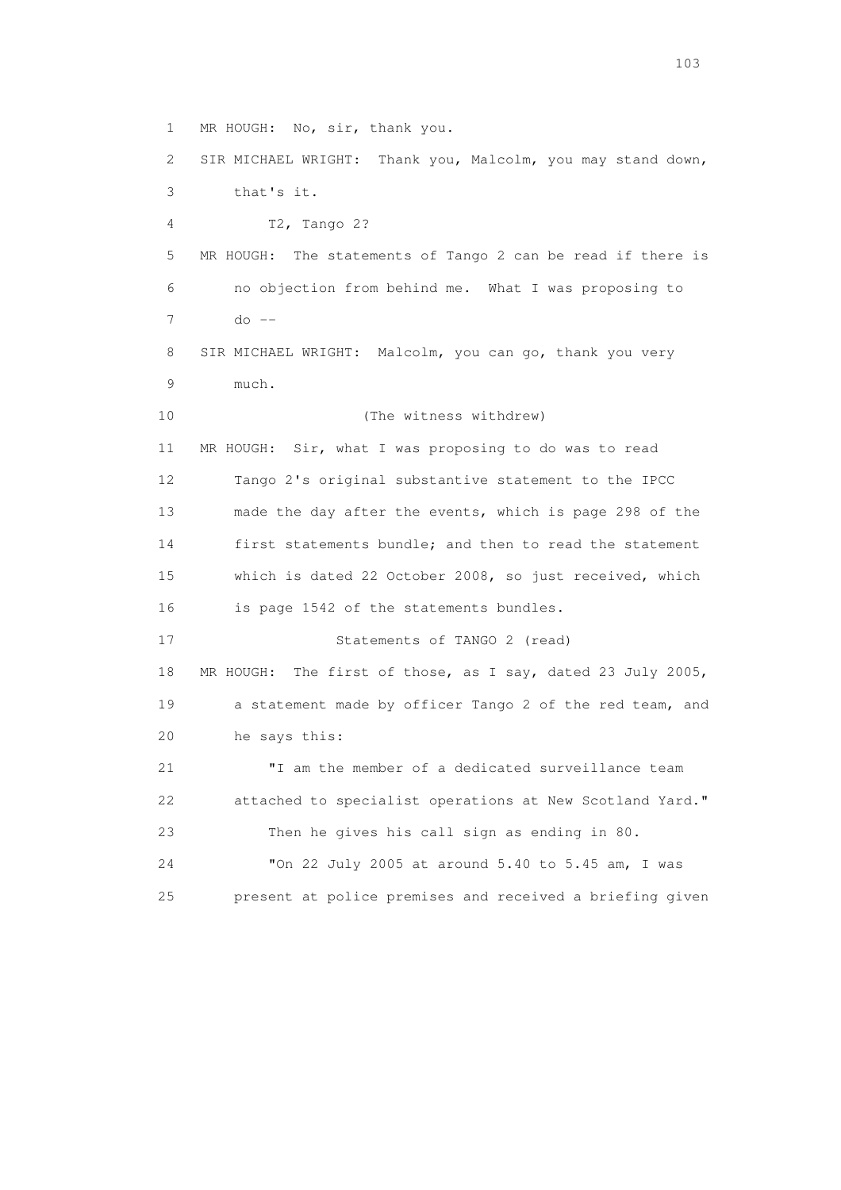1 MR HOUGH: No, sir, thank you.

 2 SIR MICHAEL WRIGHT: Thank you, Malcolm, you may stand down, 3 that's it. 4 T2, Tango 2? 5 MR HOUGH: The statements of Tango 2 can be read if there is 6 no objection from behind me. What I was proposing to 7 do -- 8 SIR MICHAEL WRIGHT: Malcolm, you can go, thank you very 9 much. 10 (The witness withdrew) 11 MR HOUGH: Sir, what I was proposing to do was to read 12 Tango 2's original substantive statement to the IPCC 13 made the day after the events, which is page 298 of the 14 first statements bundle; and then to read the statement 15 which is dated 22 October 2008, so just received, which 16 is page 1542 of the statements bundles. 17 Statements of TANGO 2 (read) 18 MR HOUGH: The first of those, as I say, dated 23 July 2005, 19 a statement made by officer Tango 2 of the red team, and 20 he says this: 21 "I am the member of a dedicated surveillance team 22 attached to specialist operations at New Scotland Yard." 23 Then he gives his call sign as ending in 80. 24 "On 22 July 2005 at around 5.40 to 5.45 am, I was 25 present at police premises and received a briefing given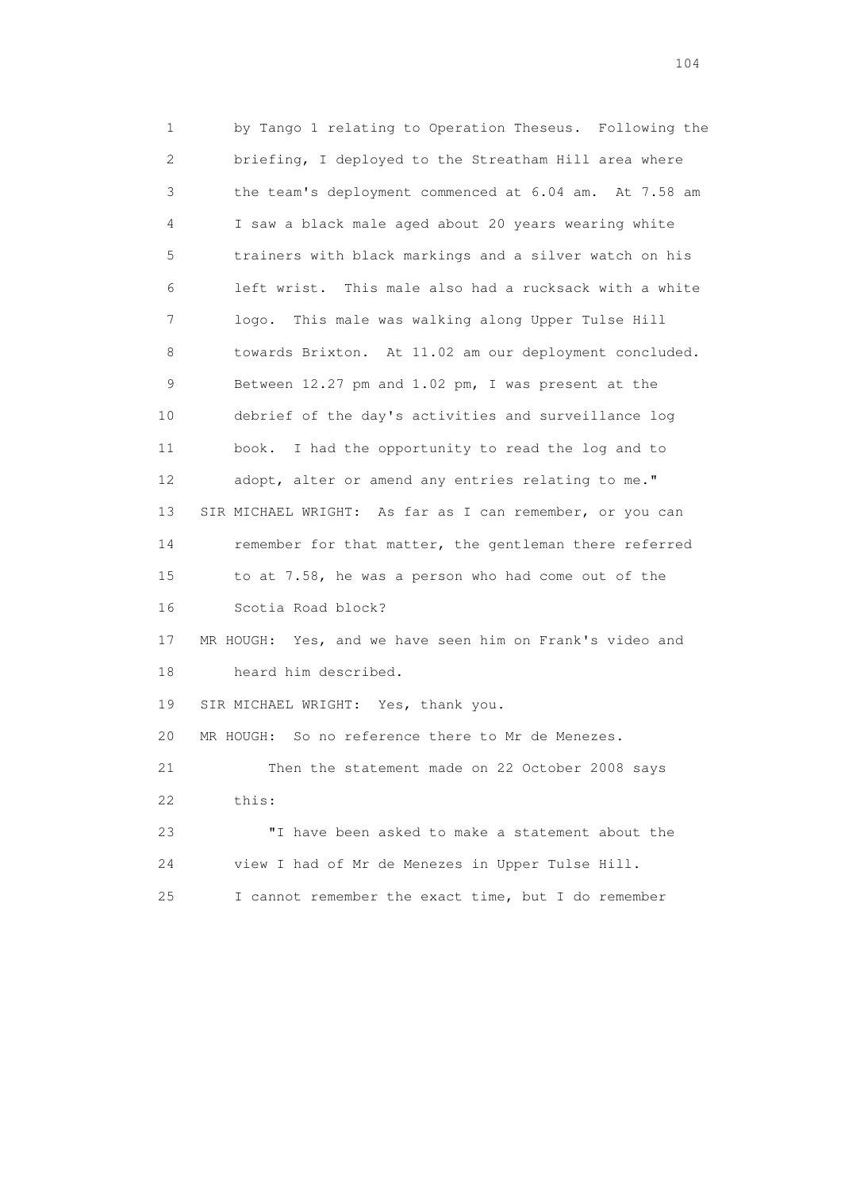1 by Tango 1 relating to Operation Theseus. Following the 2 briefing, I deployed to the Streatham Hill area where 3 the team's deployment commenced at 6.04 am. At 7.58 am 4 I saw a black male aged about 20 years wearing white 5 trainers with black markings and a silver watch on his 6 left wrist. This male also had a rucksack with a white 7 logo. This male was walking along Upper Tulse Hill 8 towards Brixton. At 11.02 am our deployment concluded. 9 Between 12.27 pm and 1.02 pm, I was present at the 10 debrief of the day's activities and surveillance log 11 book. I had the opportunity to read the log and to 12 adopt, alter or amend any entries relating to me." 13 SIR MICHAEL WRIGHT: As far as I can remember, or you can 14 remember for that matter, the gentleman there referred 15 to at 7.58, he was a person who had come out of the 16 Scotia Road block? 17 MR HOUGH: Yes, and we have seen him on Frank's video and 18 heard him described. 19 SIR MICHAEL WRIGHT: Yes, thank you. 20 MR HOUGH: So no reference there to Mr de Menezes. 21 Then the statement made on 22 October 2008 says 22 this: 23 "I have been asked to make a statement about the 24 view I had of Mr de Menezes in Upper Tulse Hill. 25 I cannot remember the exact time, but I do remember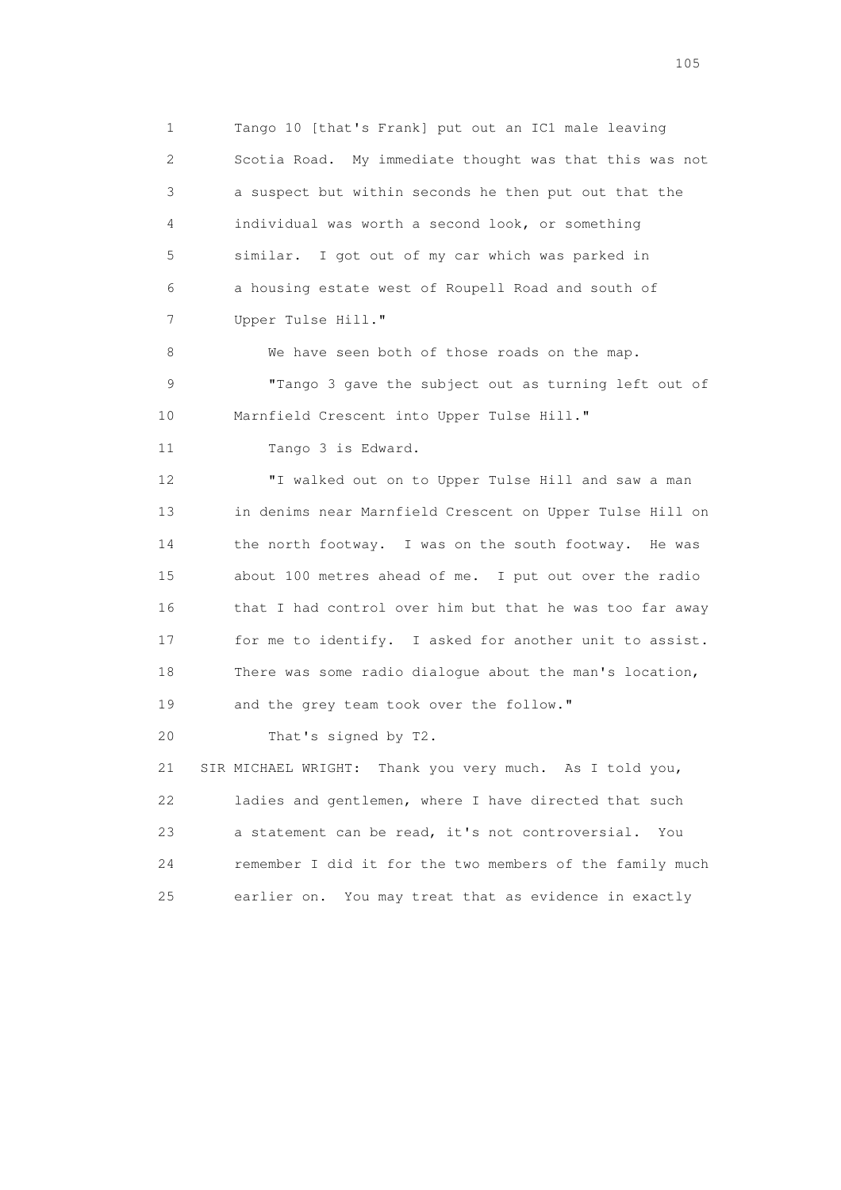1 Tango 10 [that's Frank] put out an IC1 male leaving 2 Scotia Road. My immediate thought was that this was not 3 a suspect but within seconds he then put out that the 4 individual was worth a second look, or something 5 similar. I got out of my car which was parked in 6 a housing estate west of Roupell Road and south of 7 Upper Tulse Hill."

8 We have seen both of those roads on the map. 9 "Tango 3 gave the subject out as turning left out of 10 Marnfield Crescent into Upper Tulse Hill."

11 Tango 3 is Edward.

 12 "I walked out on to Upper Tulse Hill and saw a man 13 in denims near Marnfield Crescent on Upper Tulse Hill on 14 the north footway. I was on the south footway. He was 15 about 100 metres ahead of me. I put out over the radio 16 that I had control over him but that he was too far away 17 for me to identify. I asked for another unit to assist. 18 There was some radio dialogue about the man's location, 19 and the grey team took over the follow."

20 That's signed by T2.

 21 SIR MICHAEL WRIGHT: Thank you very much. As I told you, 22 ladies and gentlemen, where I have directed that such 23 a statement can be read, it's not controversial. You 24 remember I did it for the two members of the family much 25 earlier on. You may treat that as evidence in exactly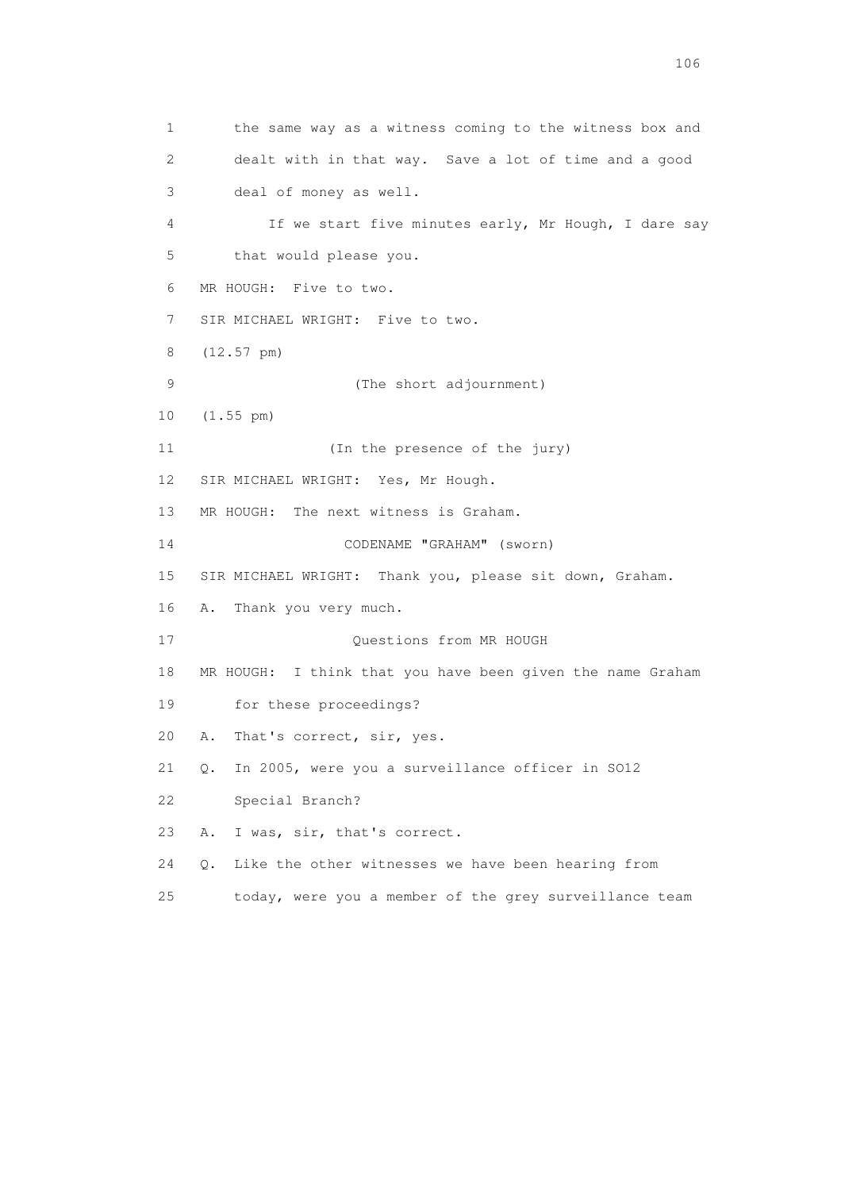1 the same way as a witness coming to the witness box and 2 dealt with in that way. Save a lot of time and a good 3 deal of money as well. 4 If we start five minutes early, Mr Hough, I dare say 5 that would please you. 6 MR HOUGH: Five to two. 7 SIR MICHAEL WRIGHT: Five to two. 8 (12.57 pm) 9 (The short adjournment) 10 (1.55 pm) 11 (In the presence of the jury) 12 SIR MICHAEL WRIGHT: Yes, Mr Hough. 13 MR HOUGH: The next witness is Graham. 14 CODENAME "GRAHAM" (sworn) 15 SIR MICHAEL WRIGHT: Thank you, please sit down, Graham. 16 A. Thank you very much. 17 Ouestions from MR HOUGH 18 MR HOUGH: I think that you have been given the name Graham 19 for these proceedings? 20 A. That's correct, sir, yes. 21 Q. In 2005, were you a surveillance officer in SO12 22 Special Branch? 23 A. I was, sir, that's correct. 24 Q. Like the other witnesses we have been hearing from 25 today, were you a member of the grey surveillance team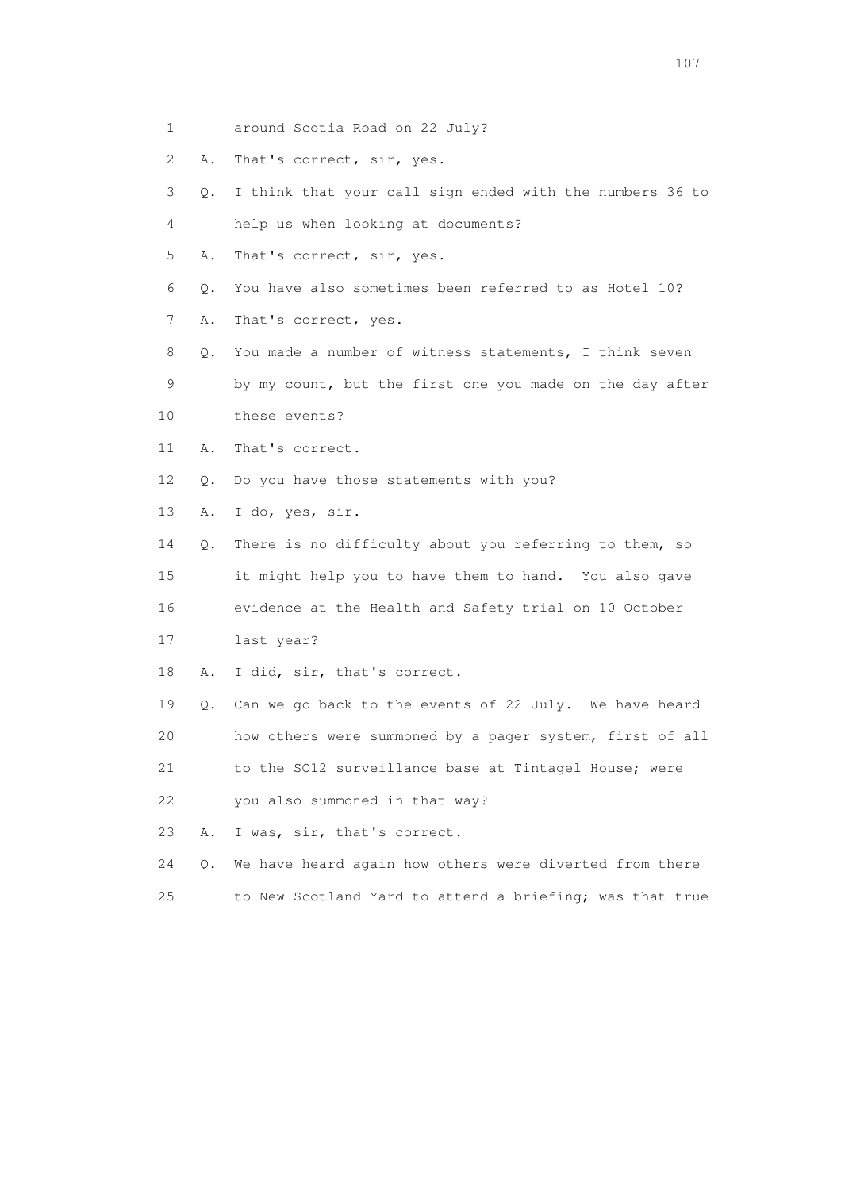- 1 around Scotia Road on 22 July?
- 2 A. That's correct, sir, yes.
- 3 Q. I think that your call sign ended with the numbers 36 to
- 4 help us when looking at documents?
- 5 A. That's correct, sir, yes.
- 6 Q. You have also sometimes been referred to as Hotel 10?
- 7 A. That's correct, yes.
- 8 Q. You made a number of witness statements, I think seven
- 9 by my count, but the first one you made on the day after
- 10 these events?
- 11 A. That's correct.
- 12 Q. Do you have those statements with you?
- 13 A. I do, yes, sir.
- 14 Q. There is no difficulty about you referring to them, so 15 it might help you to have them to hand. You also gave 16 evidence at the Health and Safety trial on 10 October
- 17 last year?
- 18 A. I did, sir, that's correct.
- 19 Q. Can we go back to the events of 22 July. We have heard 20 how others were summoned by a pager system, first of all
- 21 to the SO12 surveillance base at Tintagel House; were
- 22 you also summoned in that way?
- 23 A. I was, sir, that's correct.
- 24 Q. We have heard again how others were diverted from there
- 25 to New Scotland Yard to attend a briefing; was that true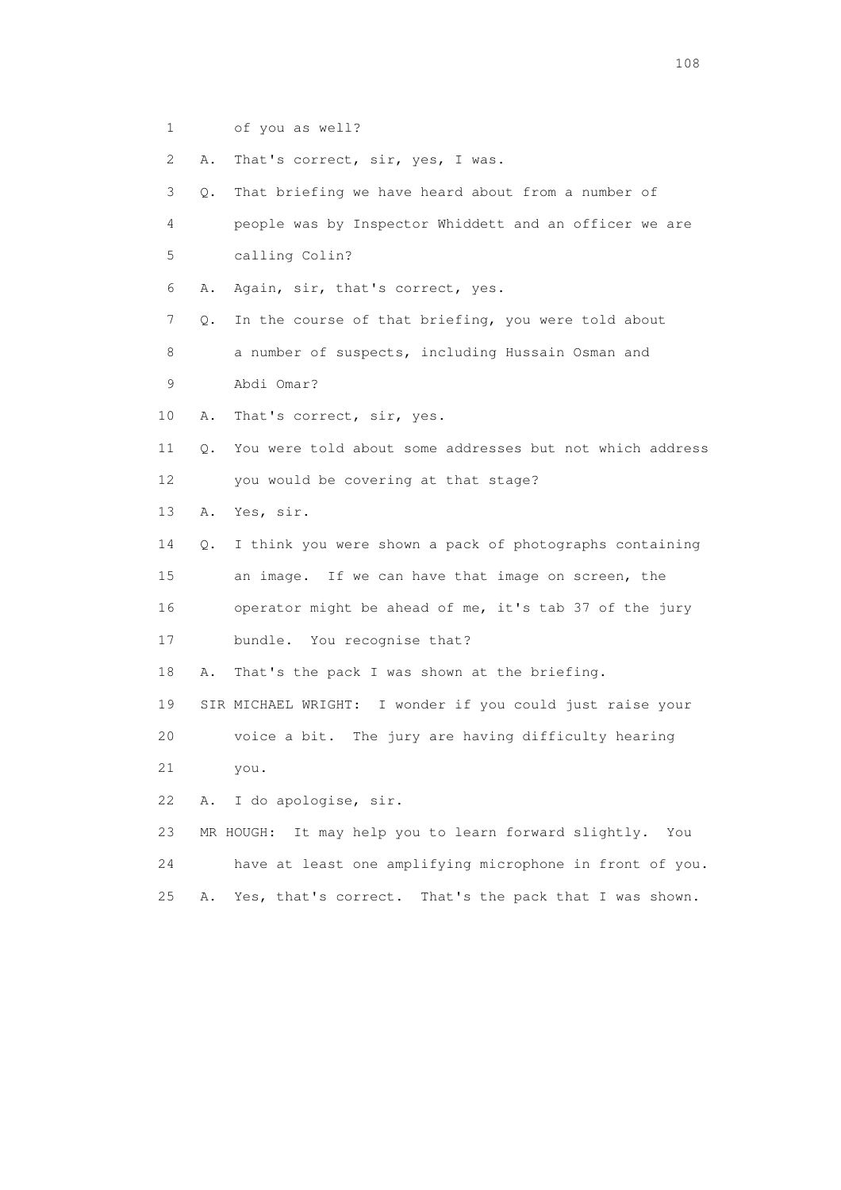- 1 of you as well?
- 2 A. That's correct, sir, yes, I was.

 3 Q. That briefing we have heard about from a number of 4 people was by Inspector Whiddett and an officer we are 5 calling Colin? 6 A. Again, sir, that's correct, yes. 7 Q. In the course of that briefing, you were told about 8 a number of suspects, including Hussain Osman and 9 Abdi Omar? 10 A. That's correct, sir, yes. 11 Q. You were told about some addresses but not which address 12 you would be covering at that stage? 13 A. Yes, sir. 14 Q. I think you were shown a pack of photographs containing 15 an image. If we can have that image on screen, the 16 operator might be ahead of me, it's tab 37 of the jury 17 bundle. You recognise that? 18 A. That's the pack I was shown at the briefing. 19 SIR MICHAEL WRIGHT: I wonder if you could just raise your 20 voice a bit. The jury are having difficulty hearing 21 you. 22 A. I do apologise, sir. 23 MR HOUGH: It may help you to learn forward slightly. You 24 have at least one amplifying microphone in front of you.

- 
- 25 A. Yes, that's correct. That's the pack that I was shown.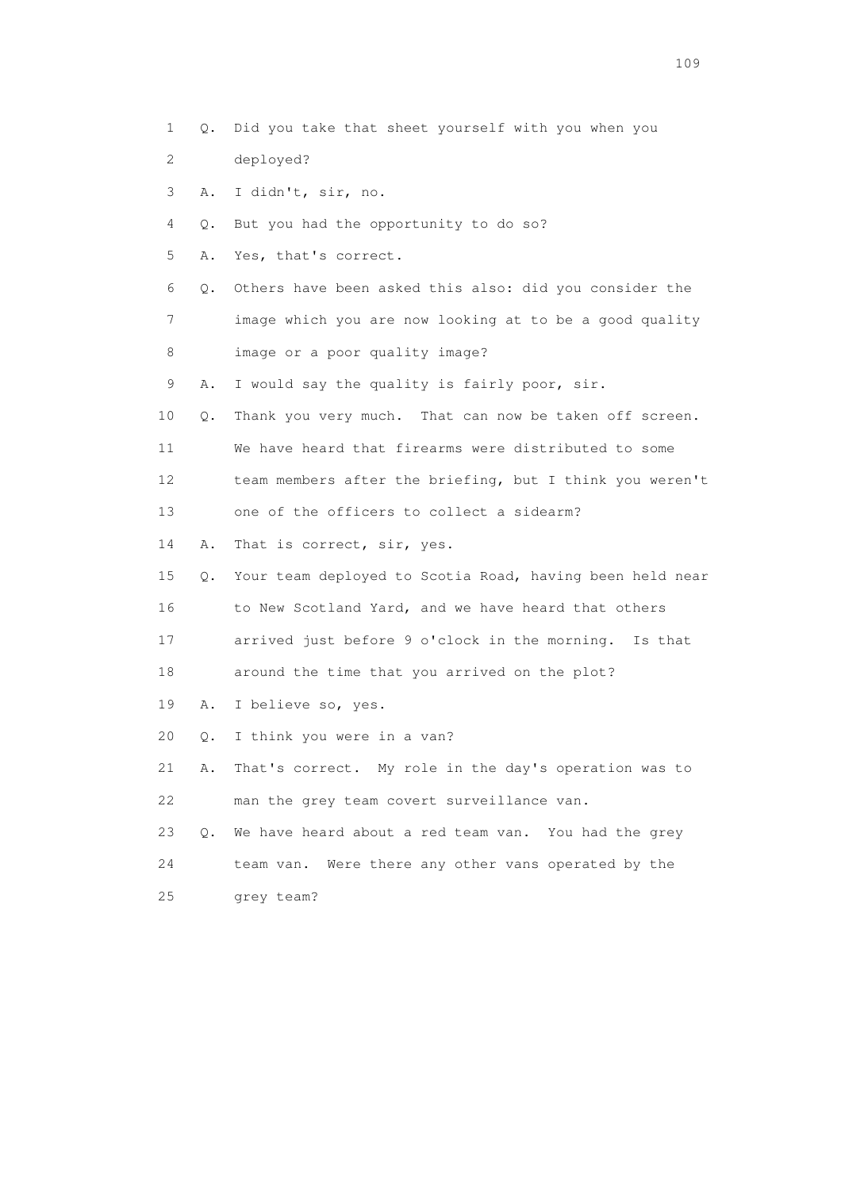1 Q. Did you take that sheet yourself with you when you 2 deployed? 3 A. I didn't, sir, no. 4 Q. But you had the opportunity to do so? 5 A. Yes, that's correct. 6 Q. Others have been asked this also: did you consider the 7 image which you are now looking at to be a good quality 8 image or a poor quality image? 9 A. I would say the quality is fairly poor, sir. 10 Q. Thank you very much. That can now be taken off screen. 11 We have heard that firearms were distributed to some 12 team members after the briefing, but I think you weren't 13 one of the officers to collect a sidearm? 14 A. That is correct, sir, yes. 15 Q. Your team deployed to Scotia Road, having been held near 16 to New Scotland Yard, and we have heard that others 17 arrived just before 9 o'clock in the morning. Is that 18 around the time that you arrived on the plot? 19 A. I believe so, yes. 20 Q. I think you were in a van? 21 A. That's correct. My role in the day's operation was to 22 man the grey team covert surveillance van. 23 Q. We have heard about a red team van. You had the grey 24 team van. Were there any other vans operated by the 25 grey team?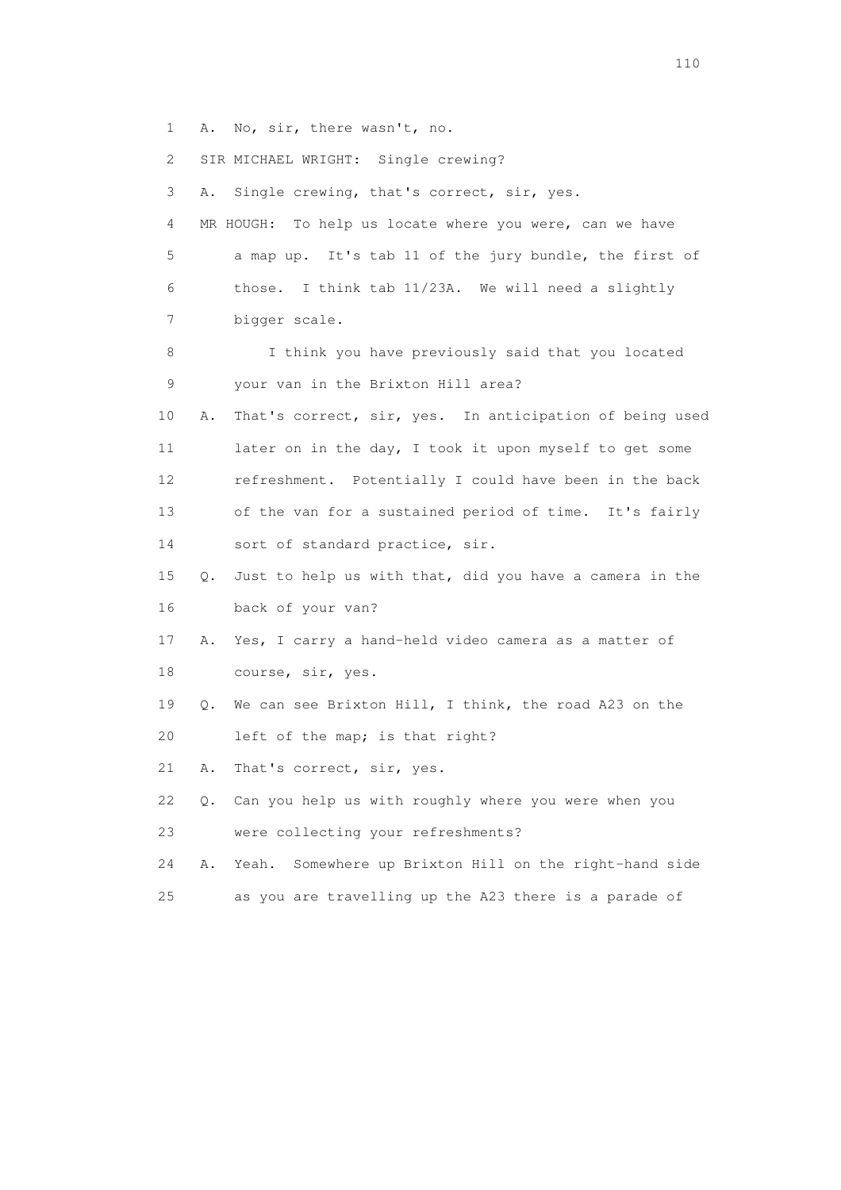1 A. No, sir, there wasn't, no.

2 SIR MICHAEL WRIGHT: Single crewing?

 3 A. Single crewing, that's correct, sir, yes. 4 MR HOUGH: To help us locate where you were, can we have 5 a map up. It's tab 11 of the jury bundle, the first of 6 those. I think tab 11/23A. We will need a slightly 7 bigger scale. 8 I think you have previously said that you located 9 your van in the Brixton Hill area? 10 A. That's correct, sir, yes. In anticipation of being used 11 later on in the day, I took it upon myself to get some 12 refreshment. Potentially I could have been in the back 13 of the van for a sustained period of time. It's fairly 14 sort of standard practice, sir. 15 Q. Just to help us with that, did you have a camera in the 16 back of your van? 17 A. Yes, I carry a hand-held video camera as a matter of 18 course, sir, yes. 19 Q. We can see Brixton Hill, I think, the road A23 on the 20 left of the map; is that right? 21 A. That's correct, sir, yes. 22 Q. Can you help us with roughly where you were when you 23 were collecting your refreshments? 24 A. Yeah. Somewhere up Brixton Hill on the right-hand side 25 as you are travelling up the A23 there is a parade of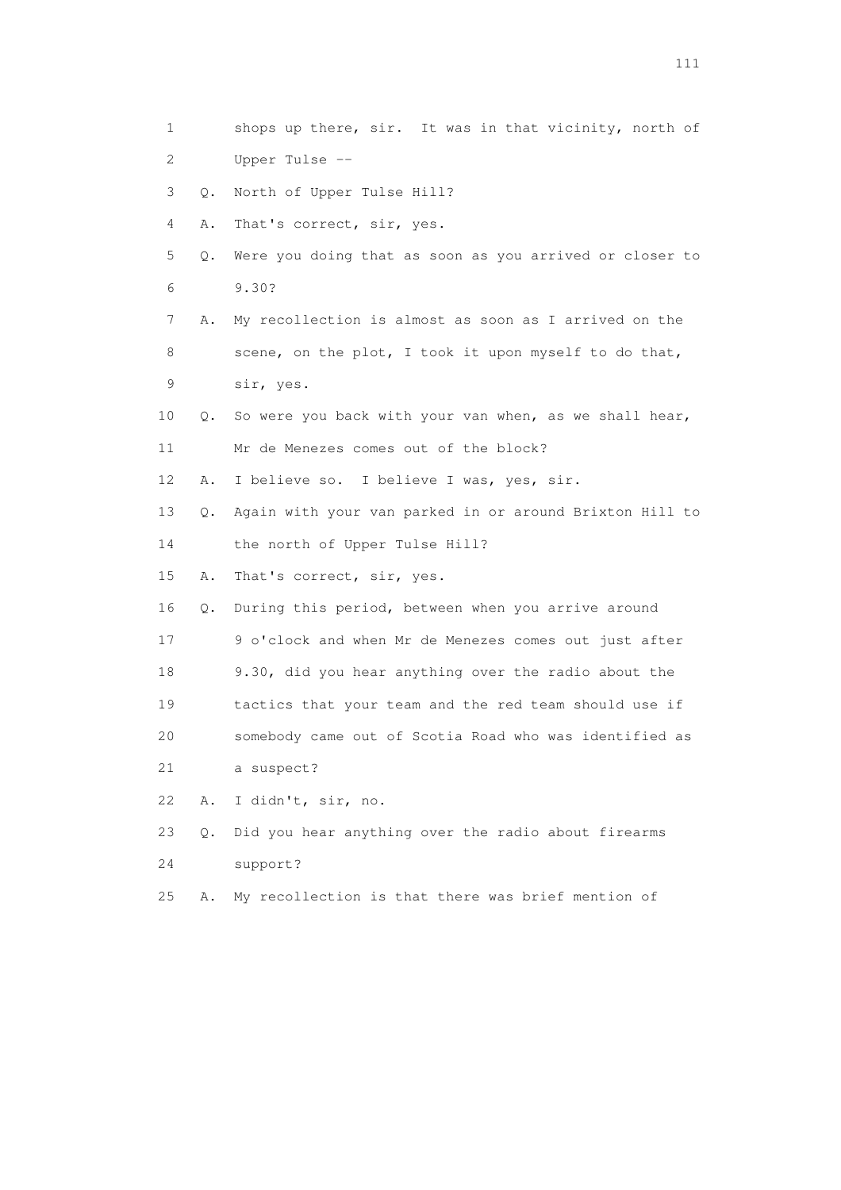1 shops up there, sir. It was in that vicinity, north of 2 Upper Tulse -- 3 Q. North of Upper Tulse Hill? 4 A. That's correct, sir, yes. 5 Q. Were you doing that as soon as you arrived or closer to 6 9.30? 7 A. My recollection is almost as soon as I arrived on the 8 scene, on the plot, I took it upon myself to do that, 9 sir, yes. 10 Q. So were you back with your van when, as we shall hear, 11 Mr de Menezes comes out of the block? 12 A. I believe so. I believe I was, yes, sir. 13 Q. Again with your van parked in or around Brixton Hill to 14 the north of Upper Tulse Hill? 15 A. That's correct, sir, yes. 16 Q. During this period, between when you arrive around 17 9 o'clock and when Mr de Menezes comes out just after 18 9.30, did you hear anything over the radio about the 19 tactics that your team and the red team should use if 20 somebody came out of Scotia Road who was identified as 21 a suspect? 22 A. I didn't, sir, no. 23 Q. Did you hear anything over the radio about firearms 24 support? 25 A. My recollection is that there was brief mention of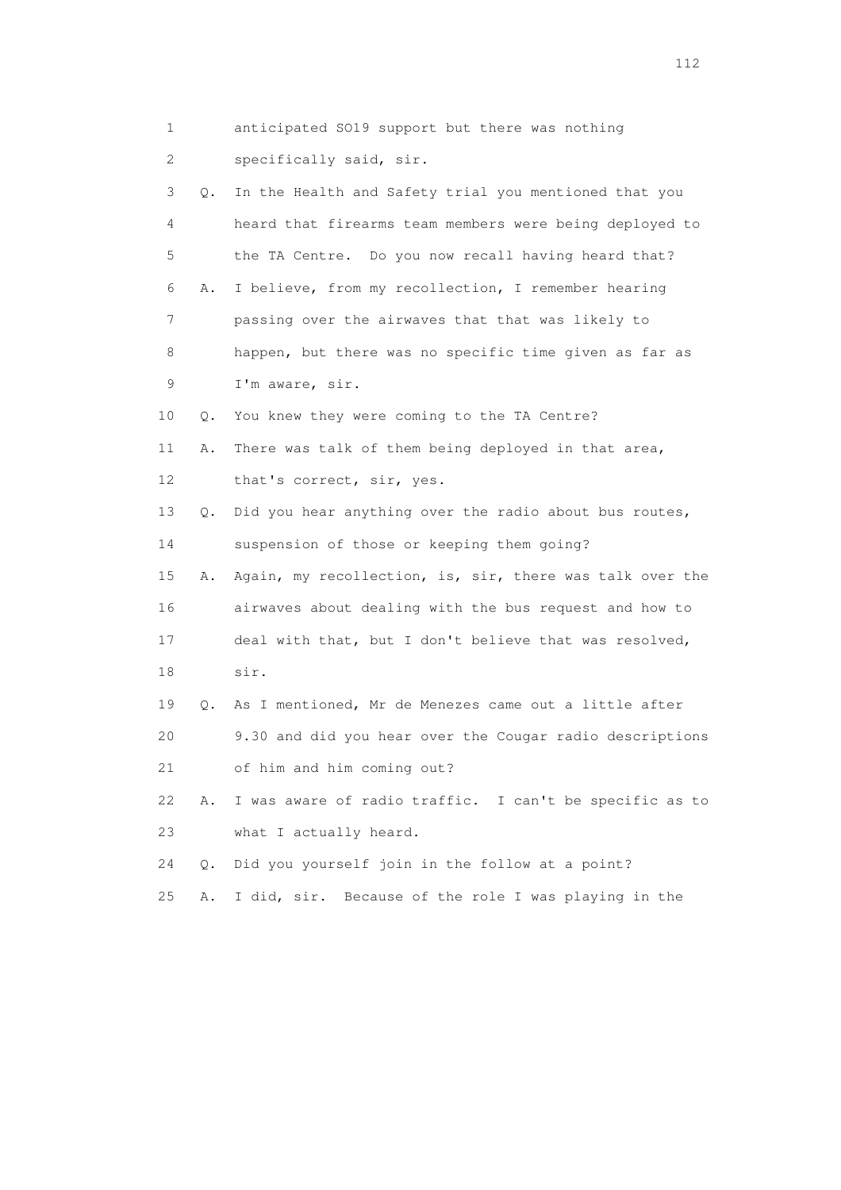1 anticipated SO19 support but there was nothing 2 specifically said, sir. 3 Q. In the Health and Safety trial you mentioned that you 4 heard that firearms team members were being deployed to 5 the TA Centre. Do you now recall having heard that? 6 A. I believe, from my recollection, I remember hearing 7 passing over the airwaves that that was likely to 8 happen, but there was no specific time given as far as 9 I'm aware, sir. 10 Q. You knew they were coming to the TA Centre? 11 A. There was talk of them being deployed in that area, 12 that's correct, sir, yes. 13 Q. Did you hear anything over the radio about bus routes, 14 suspension of those or keeping them going? 15 A. Again, my recollection, is, sir, there was talk over the 16 airwaves about dealing with the bus request and how to 17 deal with that, but I don't believe that was resolved, 18 sir. 19 Q. As I mentioned, Mr de Menezes came out a little after 20 9.30 and did you hear over the Cougar radio descriptions 21 of him and him coming out? 22 A. I was aware of radio traffic. I can't be specific as to 23 what I actually heard. 24 Q. Did you yourself join in the follow at a point? 25 A. I did, sir. Because of the role I was playing in the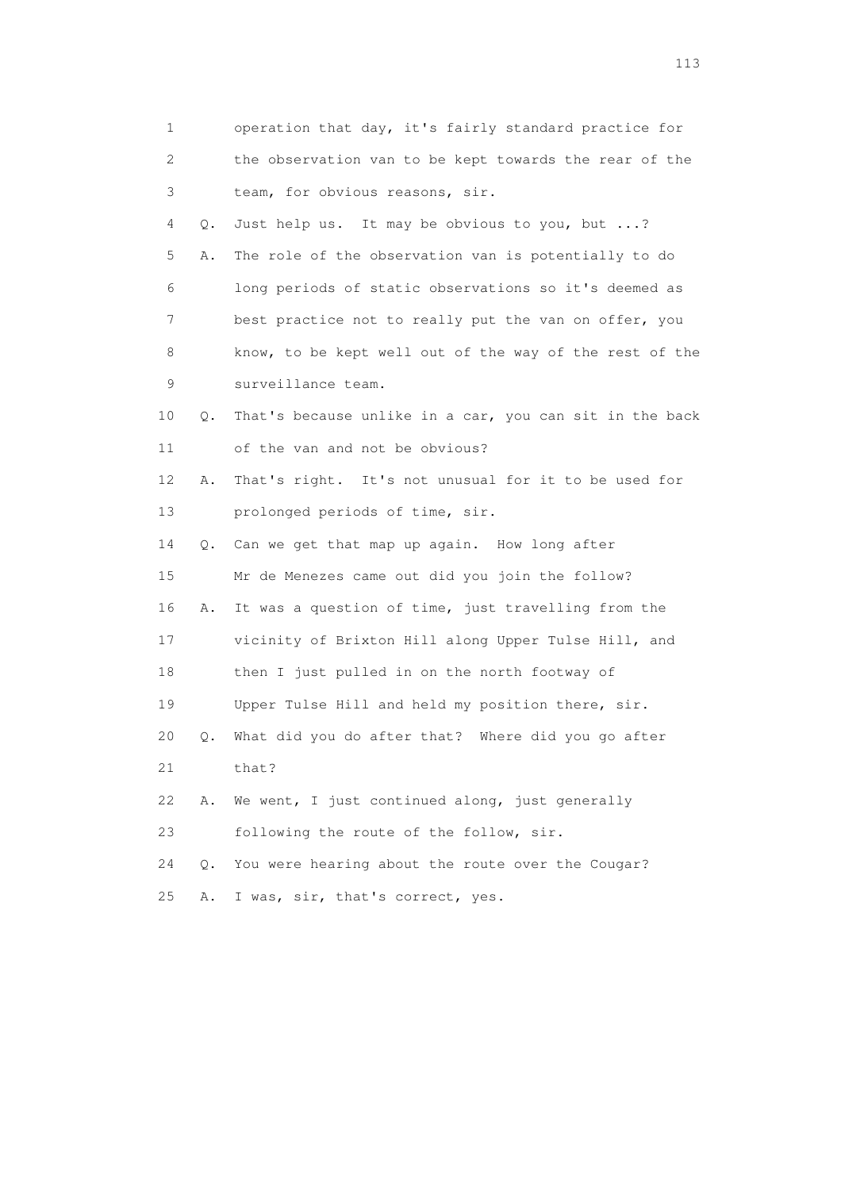| $\mathbf{1}$ |           | operation that day, it's fairly standard practice for   |
|--------------|-----------|---------------------------------------------------------|
| 2            |           | the observation van to be kept towards the rear of the  |
| 3            |           | team, for obvious reasons, sir.                         |
| 4            | Q.        | Just help us. It may be obvious to you, but ?           |
| 5            | Α.        | The role of the observation van is potentially to do    |
| 6            |           | long periods of static observations so it's deemed as   |
| 7            |           | best practice not to really put the van on offer, you   |
| 8            |           | know, to be kept well out of the way of the rest of the |
| 9            |           | surveillance team.                                      |
| 10           | Q.        | That's because unlike in a car, you can sit in the back |
| 11           |           | of the van and not be obvious?                          |
| 12           | Α.        | That's right. It's not unusual for it to be used for    |
| 13           |           | prolonged periods of time, sir.                         |
| 14           | Q.        | Can we get that map up again. How long after            |
| 15           |           | Mr de Menezes came out did you join the follow?         |
| 16           | Α.        | It was a question of time, just travelling from the     |
| 17           |           | vicinity of Brixton Hill along Upper Tulse Hill, and    |
| 18           |           | then I just pulled in on the north footway of           |
| 19           |           | Upper Tulse Hill and held my position there, sir.       |
| 20           | Q.        | What did you do after that? Where did you go after      |
| 21           |           | that?                                                   |
| 22           | Α.        | We went, I just continued along, just generally         |
| 23           |           | following the route of the follow, sir.                 |
| 24           | $\circ$ . | You were hearing about the route over the Cougar?       |
| 25           | Α.        | I was, sir, that's correct, yes.                        |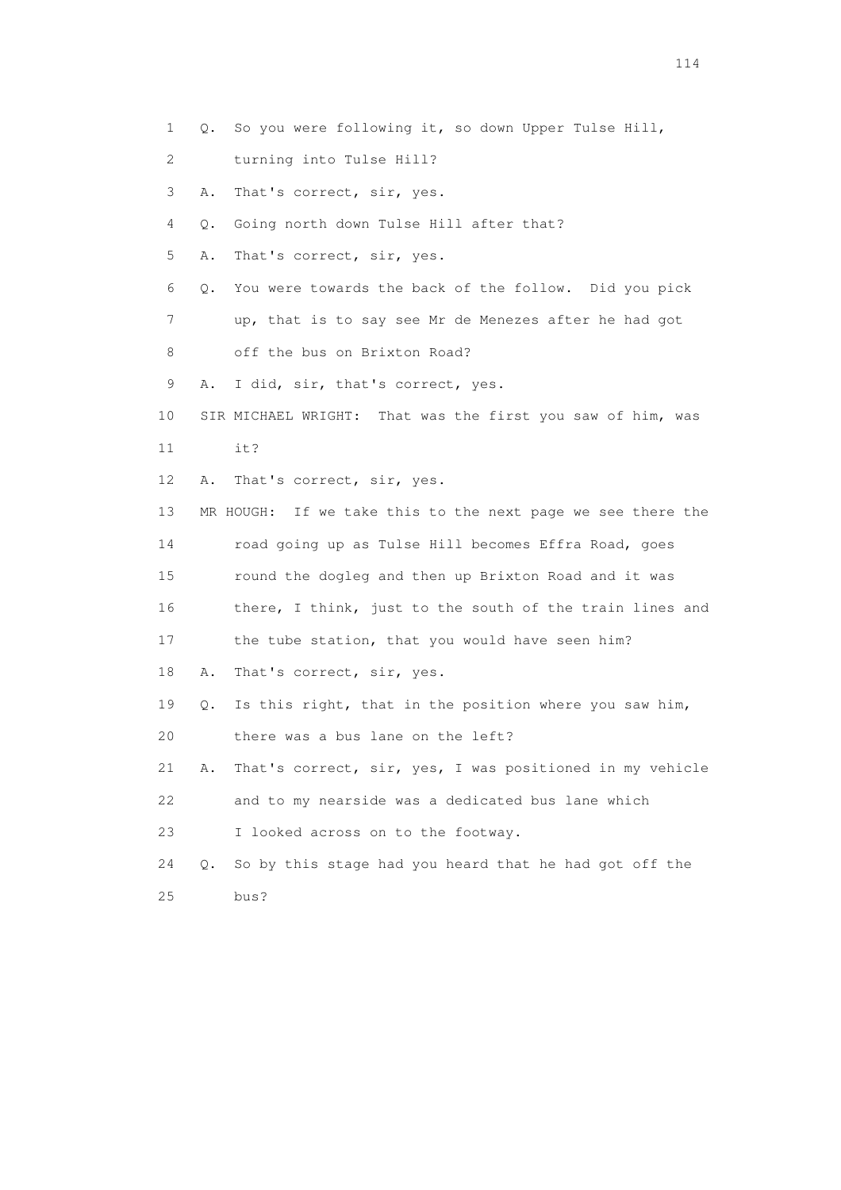- 1 Q. So you were following it, so down Upper Tulse Hill,
- 2 turning into Tulse Hill?
- 3 A. That's correct, sir, yes.
- 4 Q. Going north down Tulse Hill after that?
- 5 A. That's correct, sir, yes.
- 6 Q. You were towards the back of the follow. Did you pick
- 7 up, that is to say see Mr de Menezes after he had got
- 8 off the bus on Brixton Road?
- 9 A. I did, sir, that's correct, yes.
- 10 SIR MICHAEL WRIGHT: That was the first you saw of him, was
- 11 it?
- 12 A. That's correct, sir, yes.
- 13 MR HOUGH: If we take this to the next page we see there the 14 road going up as Tulse Hill becomes Effra Road, goes 15 round the dogleg and then up Brixton Road and it was 16 there, I think, just to the south of the train lines and 17 the tube station, that you would have seen him? 18 A. That's correct, sir, yes. 19 Q. Is this right, that in the position where you saw him,
- 20 there was a bus lane on the left?
- 21 A. That's correct, sir, yes, I was positioned in my vehicle
- 22 and to my nearside was a dedicated bus lane which
- 23 I looked across on to the footway.
- 24 Q. So by this stage had you heard that he had got off the 25 bus?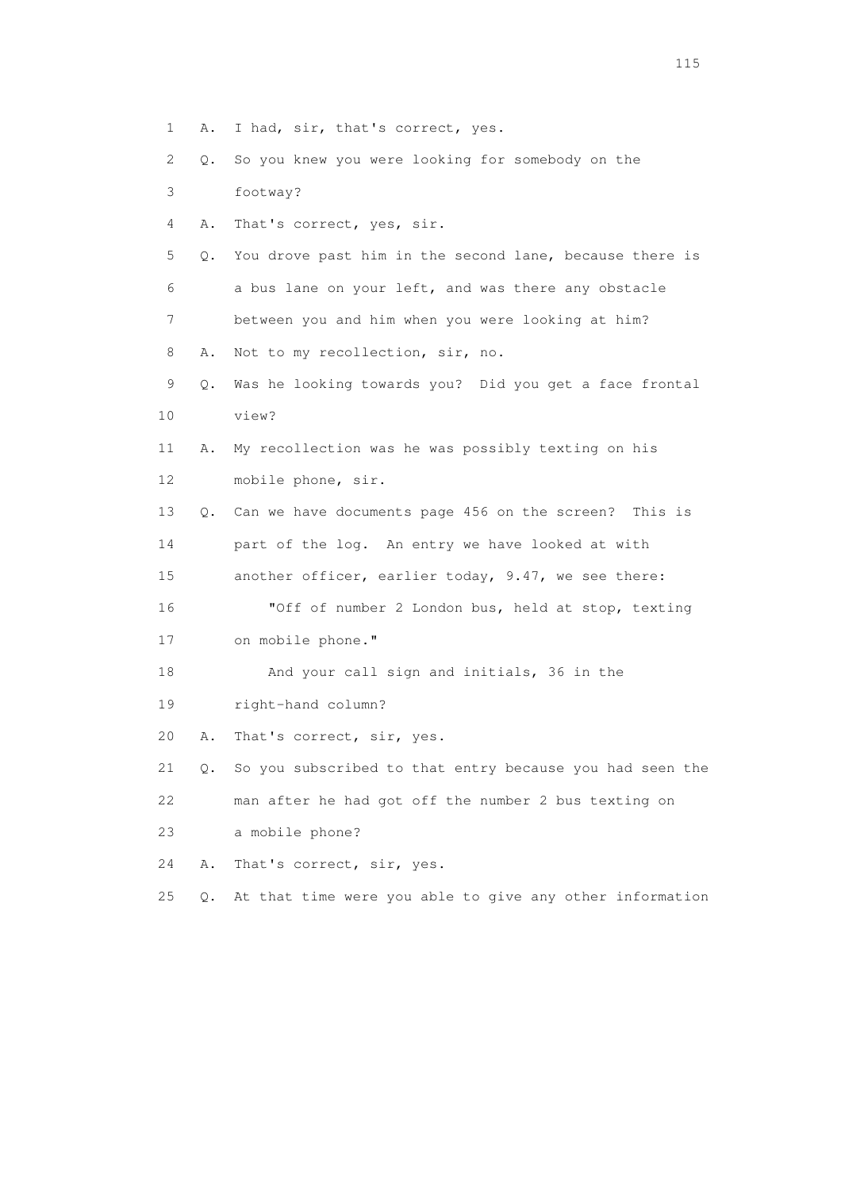- 1 A. I had, sir, that's correct, yes.
- 2 Q. So you knew you were looking for somebody on the
- 3 footway?
- 4 A. That's correct, yes, sir.
- 5 Q. You drove past him in the second lane, because there is 6 a bus lane on your left, and was there any obstacle 7 between you and him when you were looking at him?
- 8 A. Not to my recollection, sir, no.
- 9 Q. Was he looking towards you? Did you get a face frontal 10 view?
- 11 A. My recollection was he was possibly texting on his 12 mobile phone, sir.
- 13 Q. Can we have documents page 456 on the screen? This is 14 part of the log. An entry we have looked at with 15 another officer, earlier today, 9.47, we see there: 16 "Off of number 2 London bus, held at stop, texting
- 17 on mobile phone."
- 18 And your call sign and initials, 36 in the
- 19 right-hand column?
- 20 A. That's correct, sir, yes.

 21 Q. So you subscribed to that entry because you had seen the 22 man after he had got off the number 2 bus texting on

- 23 a mobile phone?
- 24 A. That's correct, sir, yes.
- 25 Q. At that time were you able to give any other information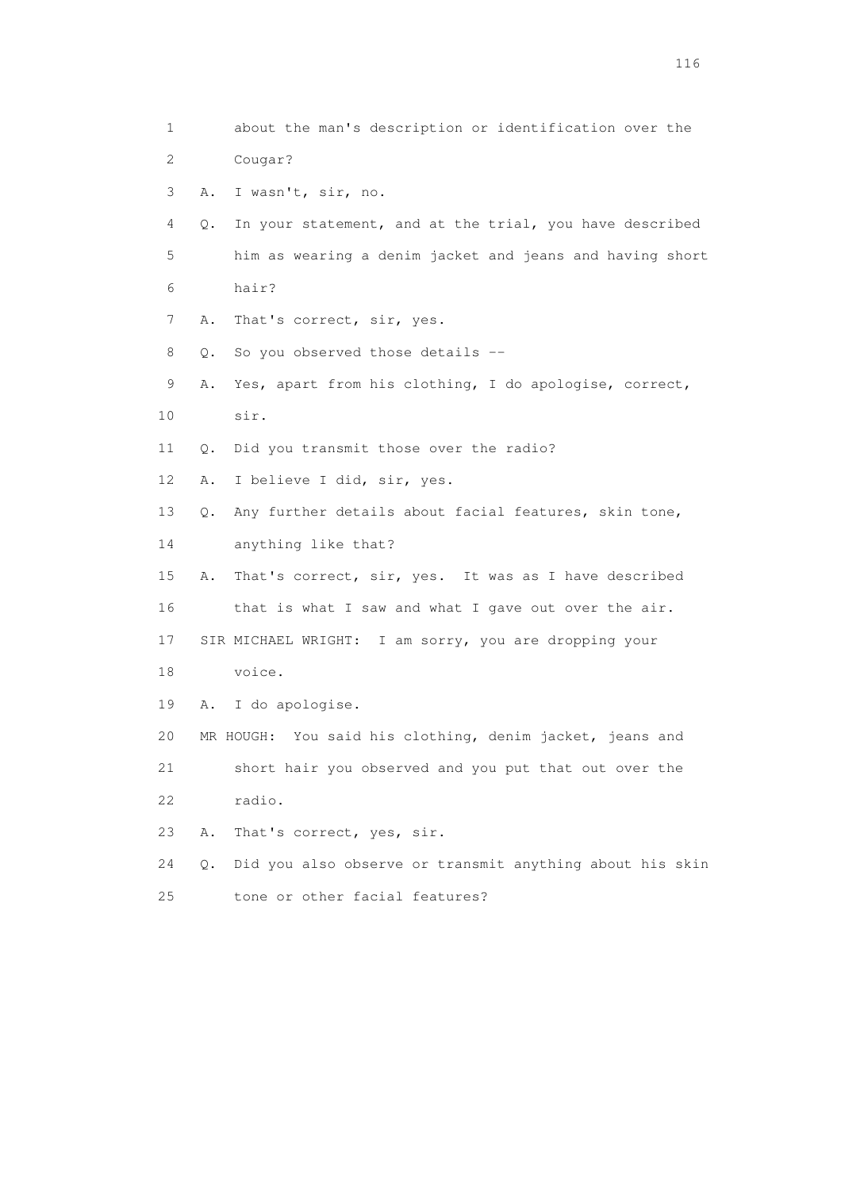1 about the man's description or identification over the 2 Cougar? 3 A. I wasn't, sir, no. 4 Q. In your statement, and at the trial, you have described 5 him as wearing a denim jacket and jeans and having short 6 hair? 7 A. That's correct, sir, yes. 8 Q. So you observed those details -- 9 A. Yes, apart from his clothing, I do apologise, correct, 10 sir. 11 Q. Did you transmit those over the radio? 12 A. I believe I did, sir, yes. 13 Q. Any further details about facial features, skin tone, 14 anything like that? 15 A. That's correct, sir, yes. It was as I have described 16 that is what I saw and what I gave out over the air. 17 SIR MICHAEL WRIGHT: I am sorry, you are dropping your 18 voice. 19 A. I do apologise. 20 MR HOUGH: You said his clothing, denim jacket, jeans and 21 short hair you observed and you put that out over the 22 radio. 23 A. That's correct, yes, sir. 24 Q. Did you also observe or transmit anything about his skin 25 tone or other facial features?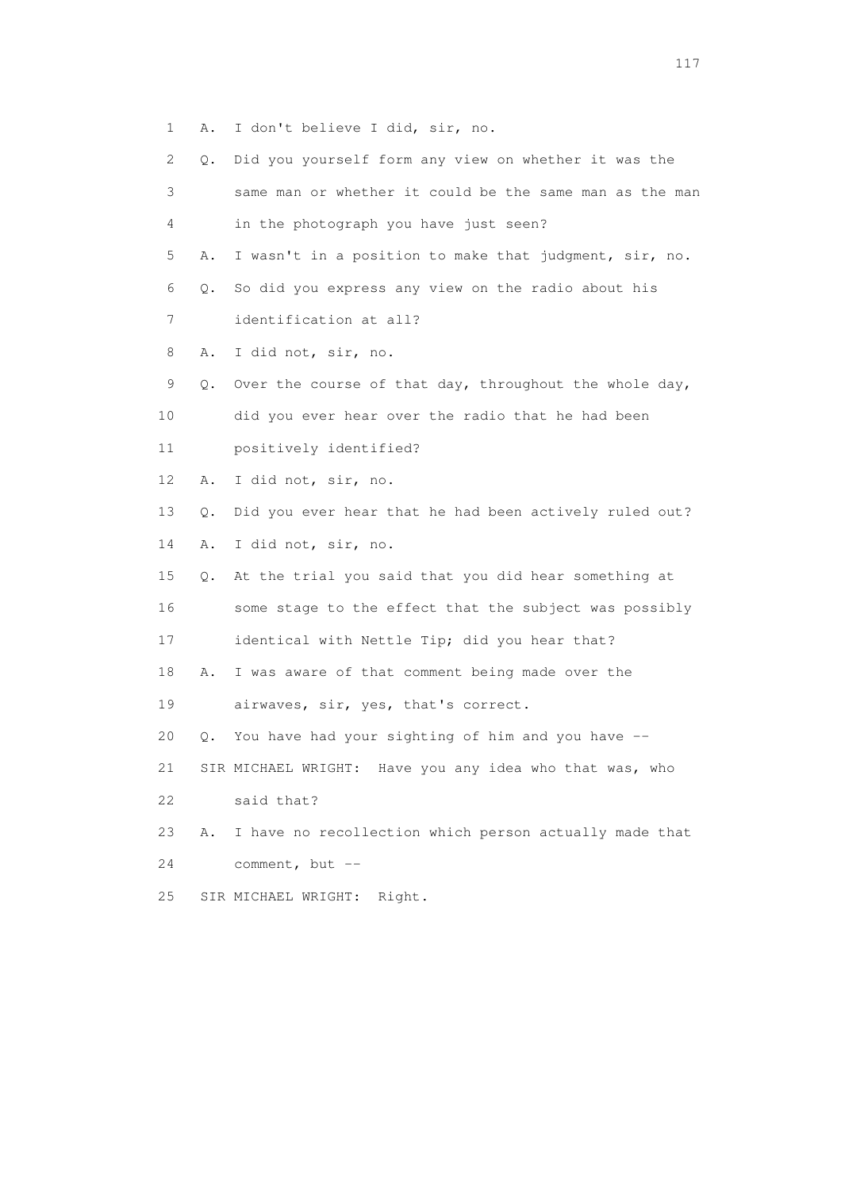- 1 A. I don't believe I did, sir, no.
- 2 Q. Did you yourself form any view on whether it was the 3 same man or whether it could be the same man as the man 4 in the photograph you have just seen? 5 A. I wasn't in a position to make that judgment, sir, no. 6 Q. So did you express any view on the radio about his 7 identification at all? 8 A. I did not, sir, no. 9 Q. Over the course of that day, throughout the whole day, 10 did you ever hear over the radio that he had been 11 positively identified? 12 A. I did not, sir, no. 13 Q. Did you ever hear that he had been actively ruled out? 14 A. I did not, sir, no. 15 Q. At the trial you said that you did hear something at 16 some stage to the effect that the subject was possibly 17 identical with Nettle Tip; did you hear that? 18 A. I was aware of that comment being made over the 19 airwaves, sir, yes, that's correct. 20 Q. You have had your sighting of him and you have -- 21 SIR MICHAEL WRIGHT: Have you any idea who that was, who 22 said that? 23 A. I have no recollection which person actually made that 24 comment, but -- 25 SIR MICHAEL WRIGHT: Right.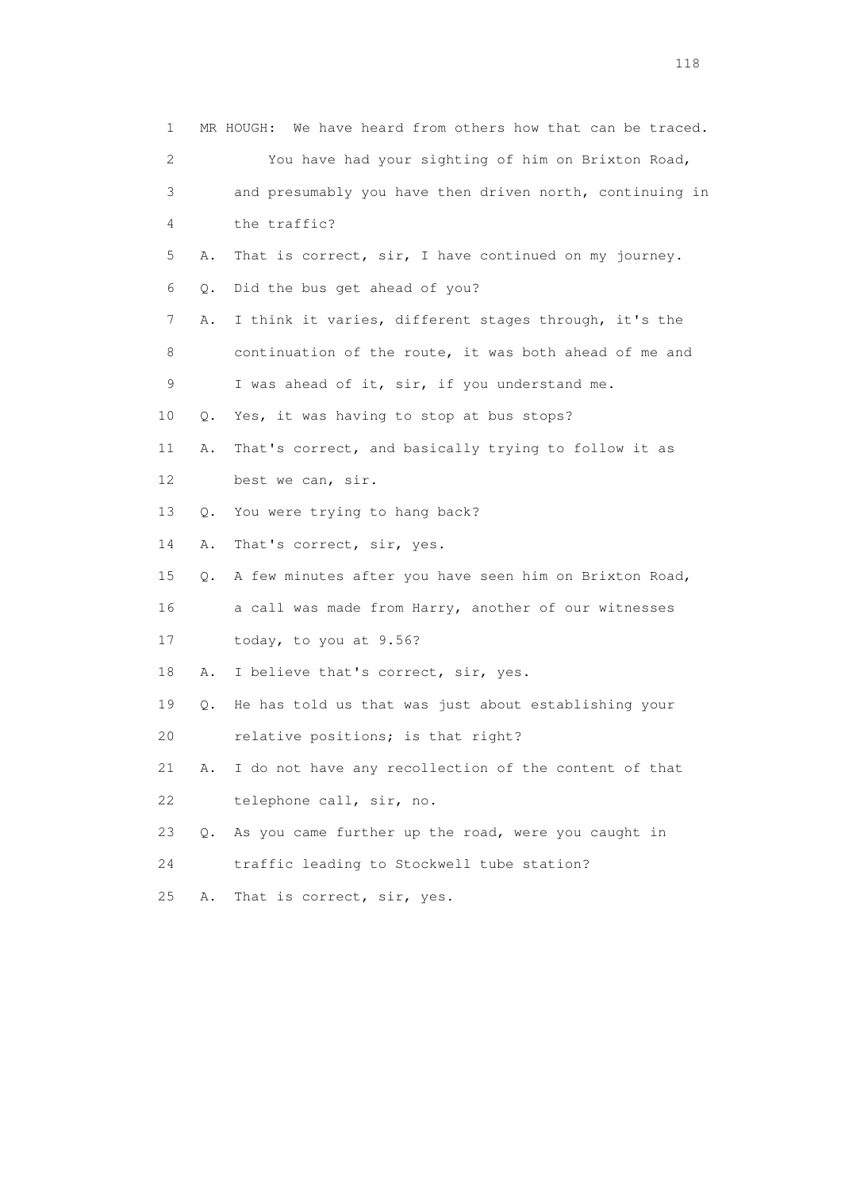| 1  |    | We have heard from others how that can be traced.<br>MR HOUGH: |
|----|----|----------------------------------------------------------------|
| 2  |    | You have had your sighting of him on Brixton Road,             |
| 3  |    | and presumably you have then driven north, continuing in       |
| 4  |    | the traffic?                                                   |
| 5  | Α. | That is correct, sir, I have continued on my journey.          |
| 6  | Q. | Did the bus get ahead of you?                                  |
| 7  | Α. | I think it varies, different stages through, it's the          |
| 8  |    | continuation of the route, it was both ahead of me and         |
| 9  |    | I was ahead of it, sir, if you understand me.                  |
| 10 | Q. | Yes, it was having to stop at bus stops?                       |
| 11 | Α. | That's correct, and basically trying to follow it as           |
| 12 |    | best we can, sir.                                              |
| 13 | Q. | You were trying to hang back?                                  |
| 14 | Α. | That's correct, sir, yes.                                      |
| 15 | Q. | A few minutes after you have seen him on Brixton Road,         |
| 16 |    | a call was made from Harry, another of our witnesses           |
| 17 |    | today, to you at 9.56?                                         |
| 18 | Α. | I believe that's correct, sir, yes.                            |
| 19 | Q. | He has told us that was just about establishing your           |
| 20 |    | relative positions; is that right?                             |
| 21 | Α. | I do not have any recollection of the content of that          |
| 22 |    | telephone call, sir, no.                                       |
| 23 | О. | As you came further up the road, were you caught in            |
| 24 |    | traffic leading to Stockwell tube station?                     |
| 25 | Α. | That is correct, sir, yes.                                     |
|    |    |                                                                |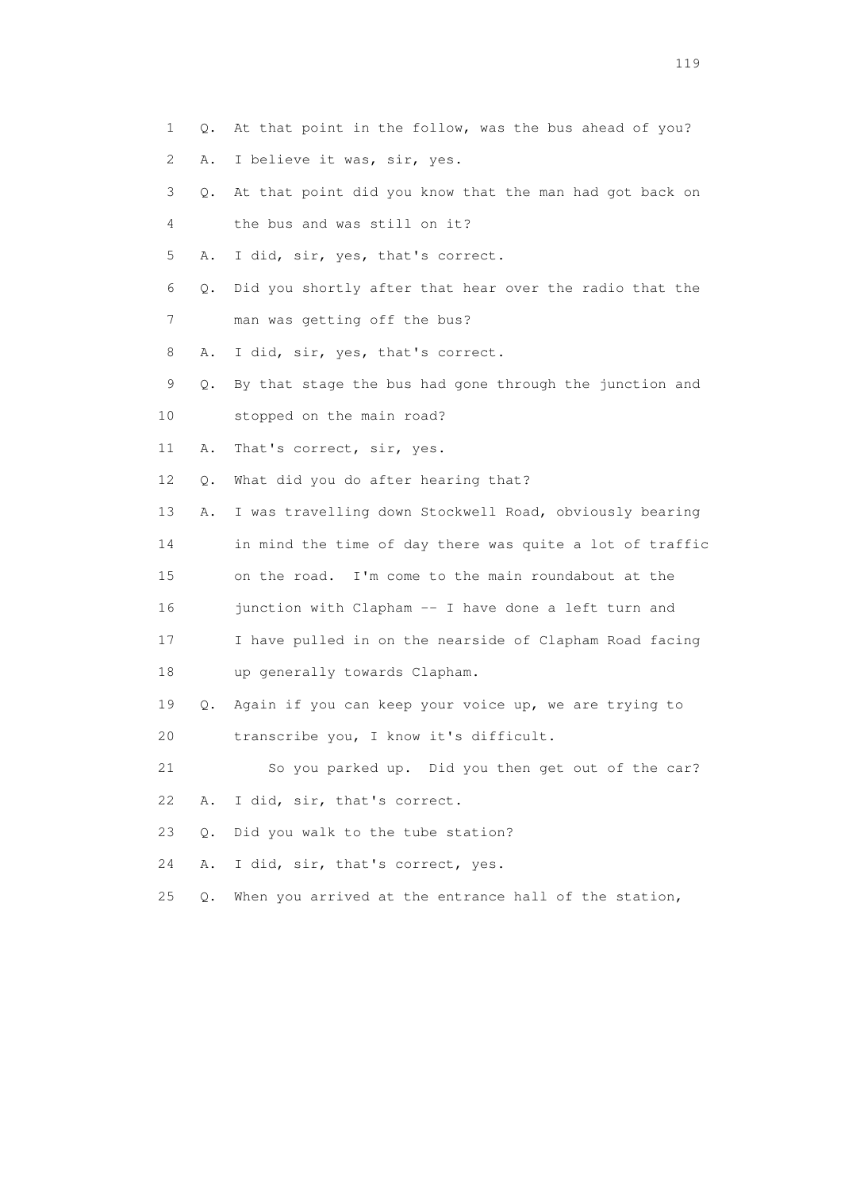- 1 Q. At that point in the follow, was the bus ahead of you?
- 2 A. I believe it was, sir, yes.
- 3 Q. At that point did you know that the man had got back on 4 the bus and was still on it?
- 5 A. I did, sir, yes, that's correct.
- 6 Q. Did you shortly after that hear over the radio that the 7 man was getting off the bus?
- 8 A. I did, sir, yes, that's correct.
- 9 Q. By that stage the bus had gone through the junction and
- 10 stopped on the main road?
- 11 A. That's correct, sir, yes.
- 12 Q. What did you do after hearing that?
- 13 A. I was travelling down Stockwell Road, obviously bearing
- 14 in mind the time of day there was quite a lot of traffic
- 15 on the road. I'm come to the main roundabout at the
- 16 junction with Clapham -- I have done a left turn and
- 17 I have pulled in on the nearside of Clapham Road facing 18 up generally towards Clapham.
- 19 Q. Again if you can keep your voice up, we are trying to 20 transcribe you, I know it's difficult.
- 21 So you parked up. Did you then get out of the car? 22 A. I did, sir, that's correct.
- 23 Q. Did you walk to the tube station?
- 24 A. I did, sir, that's correct, yes.
- 25 Q. When you arrived at the entrance hall of the station,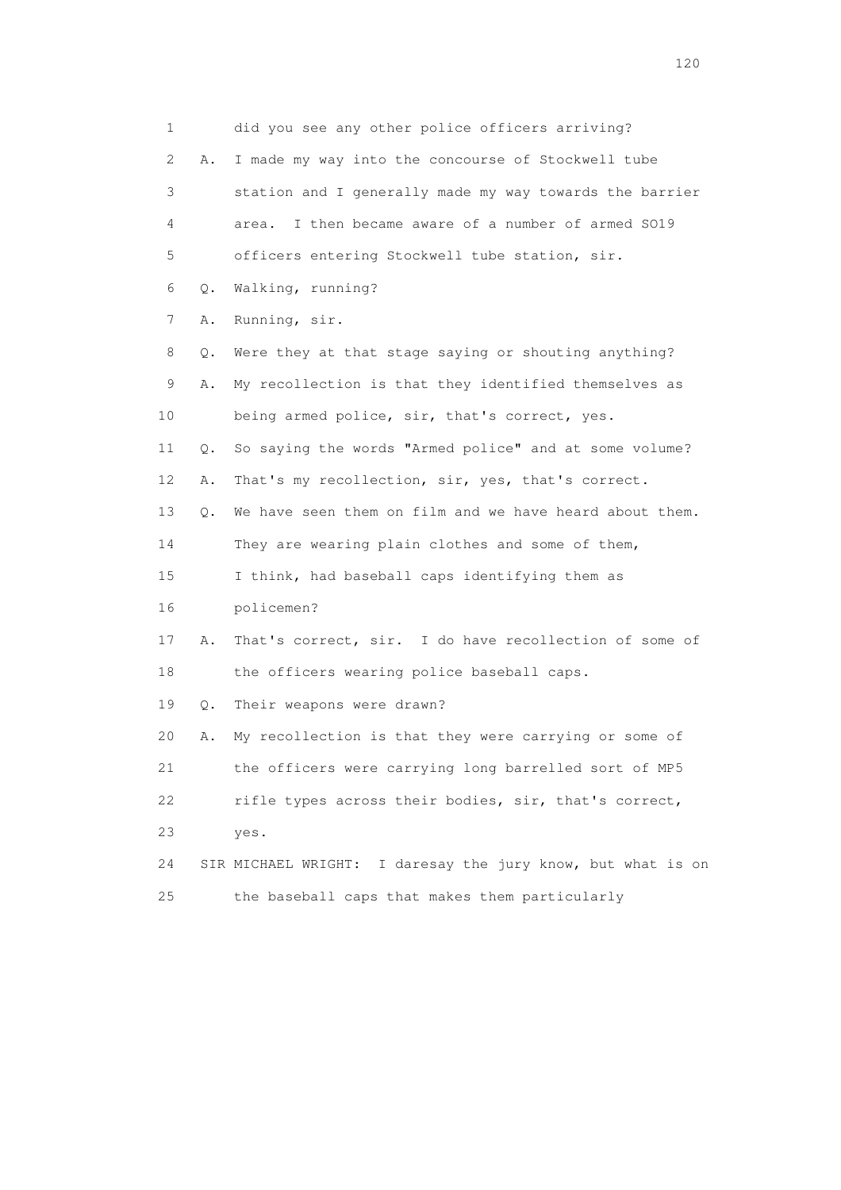1 did you see any other police officers arriving? 2 A. I made my way into the concourse of Stockwell tube 3 station and I generally made my way towards the barrier 4 area. I then became aware of a number of armed SO19 5 officers entering Stockwell tube station, sir. 6 Q. Walking, running? 7 A. Running, sir. 8 Q. Were they at that stage saying or shouting anything? 9 A. My recollection is that they identified themselves as 10 being armed police, sir, that's correct, yes. 11 Q. So saying the words "Armed police" and at some volume? 12 A. That's my recollection, sir, yes, that's correct. 13 Q. We have seen them on film and we have heard about them. 14 They are wearing plain clothes and some of them, 15 I think, had baseball caps identifying them as 16 policemen? 17 A. That's correct, sir. I do have recollection of some of 18 the officers wearing police baseball caps. 19 Q. Their weapons were drawn? 20 A. My recollection is that they were carrying or some of 21 the officers were carrying long barrelled sort of MP5 22 rifle types across their bodies, sir, that's correct, 23 yes. 24 SIR MICHAEL WRIGHT: I daresay the jury know, but what is on 25 the baseball caps that makes them particularly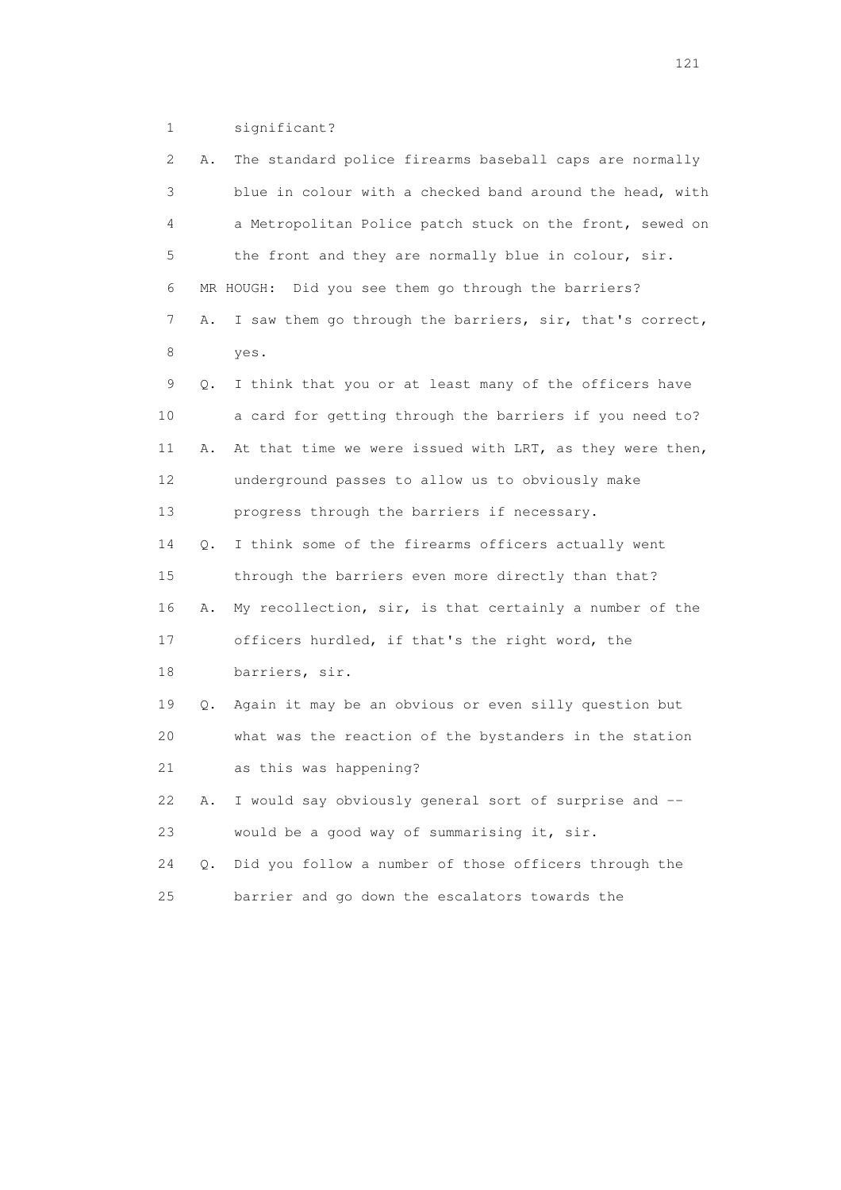1 significant?

| 2  | Α. | The standard police firearms baseball caps are normally  |
|----|----|----------------------------------------------------------|
| 3  |    | blue in colour with a checked band around the head, with |
| 4  |    | a Metropolitan Police patch stuck on the front, sewed on |
| 5  |    | the front and they are normally blue in colour, sir.     |
| 6  |    | MR HOUGH: Did you see them go through the barriers?      |
| 7  | Α. | I saw them go through the barriers, sir, that's correct, |
| 8  |    | yes.                                                     |
| 9  | Q. | I think that you or at least many of the officers have   |
| 10 |    | a card for getting through the barriers if you need to?  |
| 11 | Α. | At that time we were issued with LRT, as they were then, |
| 12 |    | underground passes to allow us to obviously make         |
| 13 |    | progress through the barriers if necessary.              |
| 14 | Q. | I think some of the firearms officers actually went      |
| 15 |    | through the barriers even more directly than that?       |
| 16 | Α. | My recollection, sir, is that certainly a number of the  |
| 17 |    | officers hurdled, if that's the right word, the          |
| 18 |    | barriers, sir.                                           |
| 19 | Q. | Again it may be an obvious or even silly question but    |
| 20 |    | what was the reaction of the bystanders in the station   |
| 21 |    | as this was happening?                                   |
| 22 | Α. | I would say obviously general sort of surprise and --    |
| 23 |    | would be a good way of summarising it, sir.              |
| 24 | Q. | Did you follow a number of those officers through the    |
| 25 |    | barrier and go down the escalators towards the           |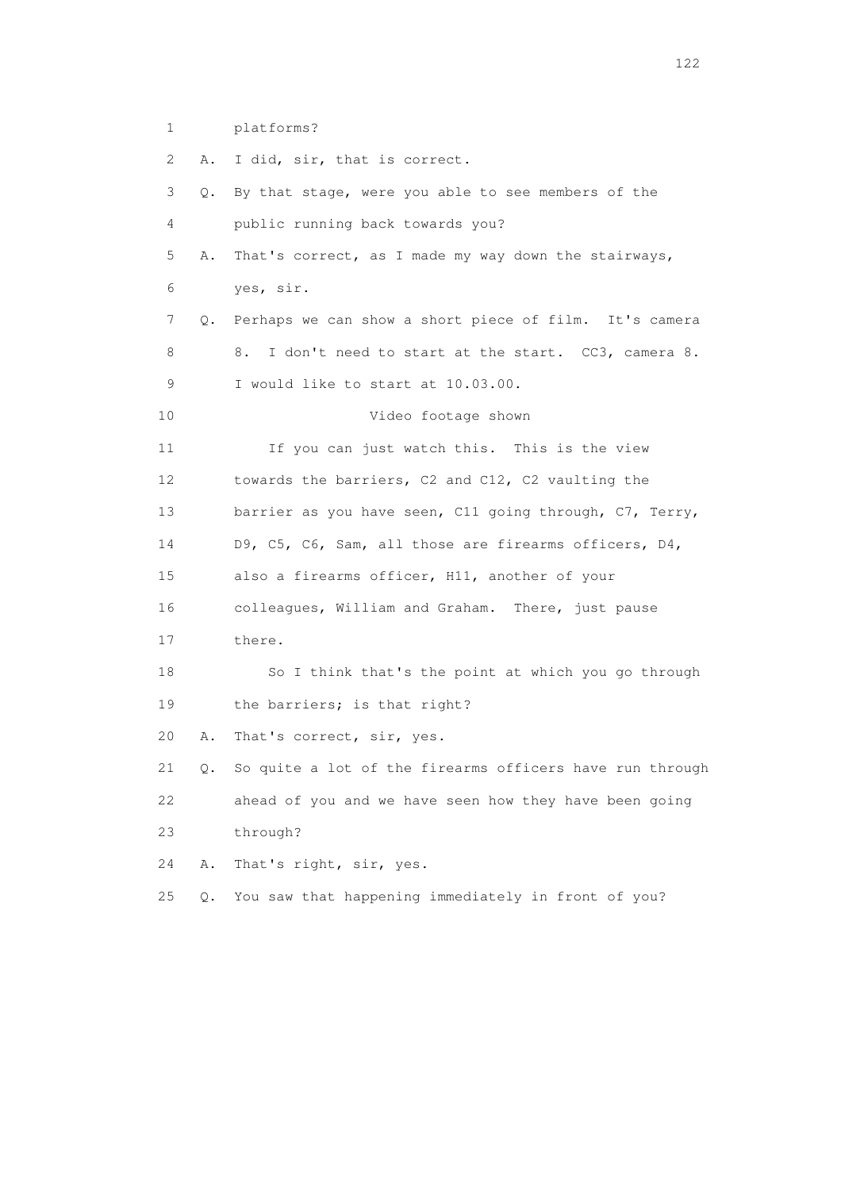1 platforms?

 2 A. I did, sir, that is correct. 3 Q. By that stage, were you able to see members of the 4 public running back towards you? 5 A. That's correct, as I made my way down the stairways, 6 yes, sir. 7 Q. Perhaps we can show a short piece of film. It's camera 8 8. I don't need to start at the start. CC3, camera 8. 9 I would like to start at 10.03.00. 10 Video footage shown 11 If you can just watch this. This is the view 12 towards the barriers, C2 and C12, C2 vaulting the 13 barrier as you have seen, C11 going through, C7, Terry, 14 D9, C5, C6, Sam, all those are firearms officers, D4, 15 also a firearms officer, H11, another of your 16 colleagues, William and Graham. There, just pause 17 there. 18 So I think that's the point at which you go through 19 the barriers; is that right? 20 A. That's correct, sir, yes. 21 Q. So quite a lot of the firearms officers have run through 22 ahead of you and we have seen how they have been going 23 through? 24 A. That's right, sir, yes. 25 Q. You saw that happening immediately in front of you?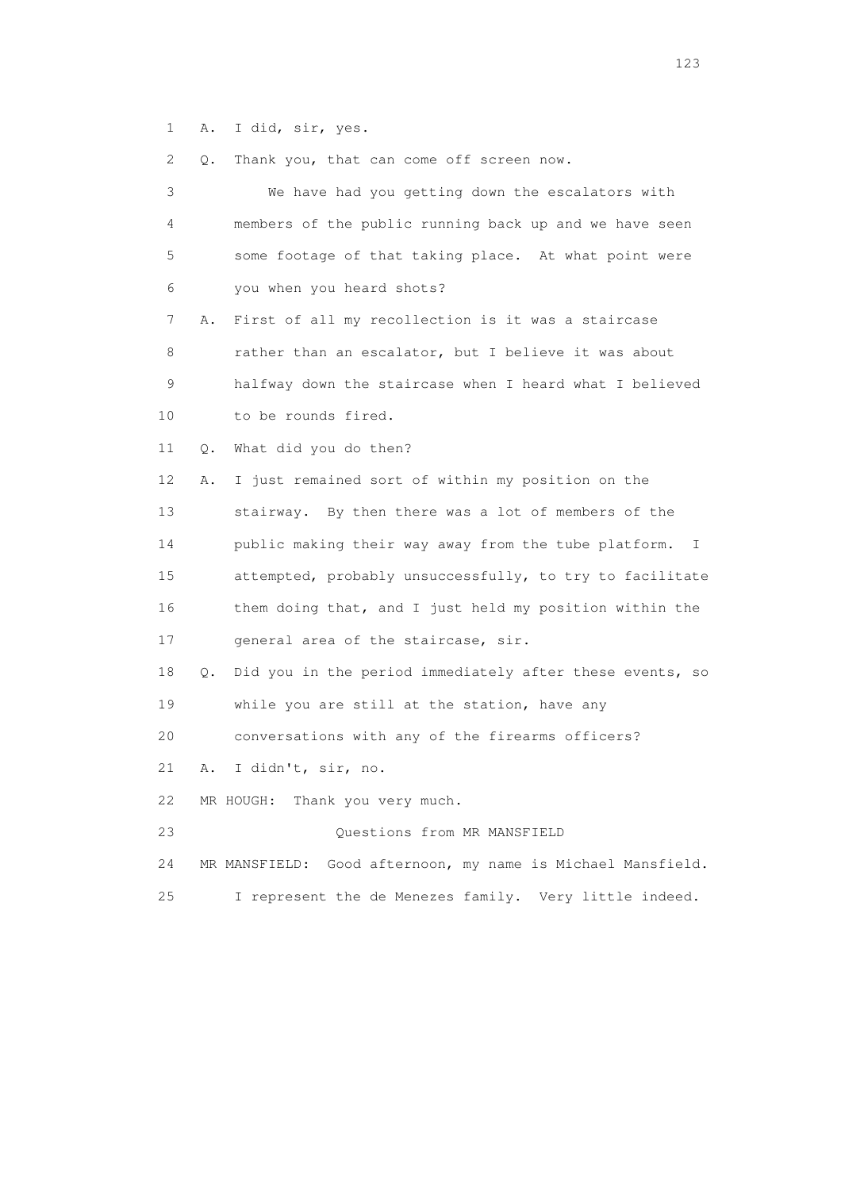1 A. I did, sir, yes.

2 Q. Thank you, that can come off screen now.

| 3  | We have had you getting down the escalators with                      |
|----|-----------------------------------------------------------------------|
| 4  | members of the public running back up and we have seen                |
| 5  | some footage of that taking place. At what point were                 |
| 6  | you when you heard shots?                                             |
| 7  | First of all my recollection is it was a staircase<br>Α.              |
| 8  | rather than an escalator, but I believe it was about                  |
| 9  | halfway down the staircase when I heard what I believed               |
| 10 | to be rounds fired.                                                   |
| 11 | What did you do then?<br>Q.                                           |
| 12 | I just remained sort of within my position on the<br>Α.               |
| 13 | stairway. By then there was a lot of members of the                   |
| 14 | public making their way away from the tube platform.<br>I.            |
| 15 | attempted, probably unsuccessfully, to try to facilitate              |
| 16 | them doing that, and I just held my position within the               |
| 17 | general area of the staircase, sir.                                   |
| 18 | Did you in the period immediately after these events, so<br>$\circ$ . |
| 19 | while you are still at the station, have any                          |
| 20 | conversations with any of the firearms officers?                      |
| 21 | I didn't, sir, no.<br>Α.                                              |
| 22 | MR HOUGH:<br>Thank you very much.                                     |
| 23 | Questions from MR MANSFIELD                                           |
| 24 | Good afternoon, my name is Michael Mansfield.<br>MR MANSFIELD:        |
| 25 | I represent the de Menezes family. Very little indeed.                |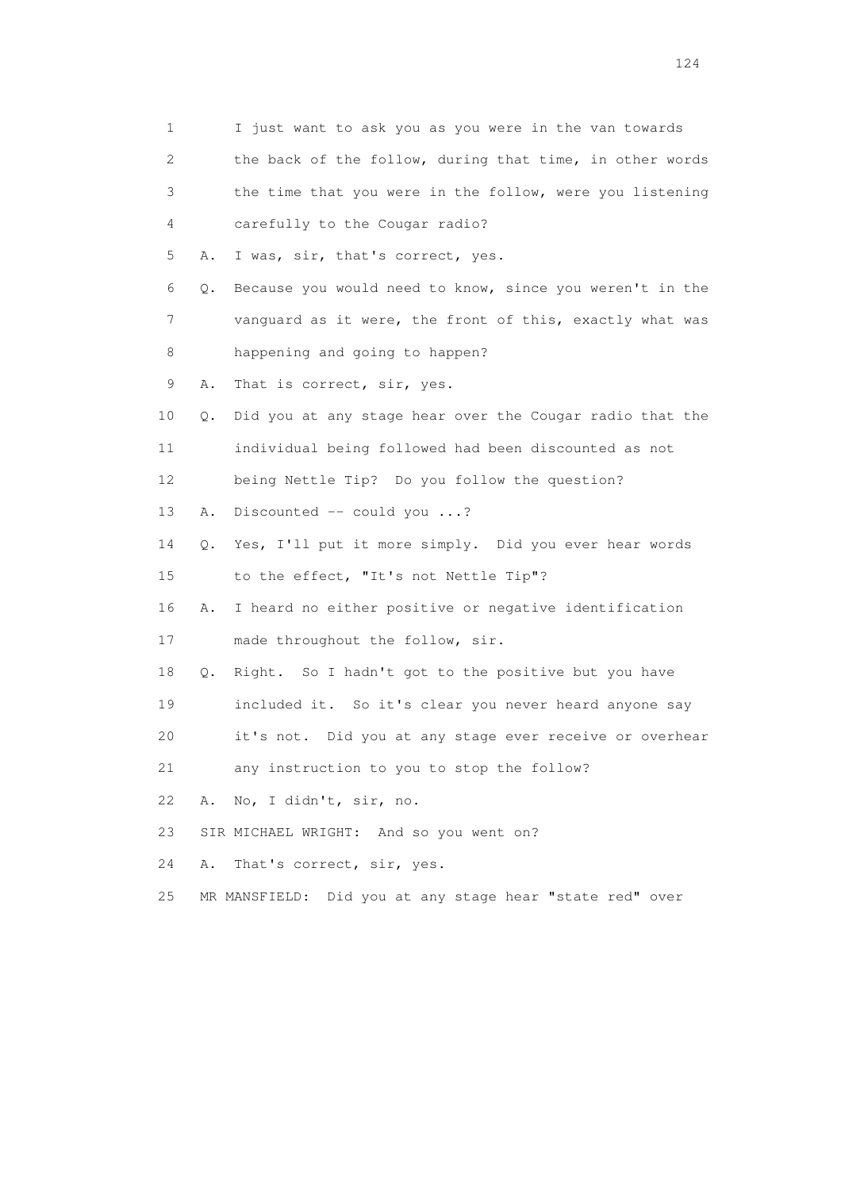| 1  |    | I just want to ask you as you were in the van towards    |
|----|----|----------------------------------------------------------|
| 2  |    | the back of the follow, during that time, in other words |
| 3  |    | the time that you were in the follow, were you listening |
| 4  |    | carefully to the Cougar radio?                           |
| 5  | Α. | I was, sir, that's correct, yes.                         |
| 6  | Q. | Because you would need to know, since you weren't in the |
| 7  |    | vanquard as it were, the front of this, exactly what was |
| 8  |    | happening and going to happen?                           |
| 9  | Α. | That is correct, sir, yes.                               |
| 10 | Q. | Did you at any stage hear over the Cougar radio that the |
| 11 |    | individual being followed had been discounted as not     |
| 12 |    | being Nettle Tip? Do you follow the question?            |
| 13 | Α. | Discounted $--$ could you ?                              |
| 14 | Q. | Yes, I'll put it more simply. Did you ever hear words    |
| 15 |    | to the effect, "It's not Nettle Tip"?                    |
| 16 | Α. | I heard no either positive or negative identification    |
| 17 |    | made throughout the follow, sir.                         |
| 18 | Q. | Right. So I hadn't got to the positive but you have      |
| 19 |    | included it. So it's clear you never heard anyone say    |
| 20 |    | it's not. Did you at any stage ever receive or overhear  |
| 21 |    | any instruction to you to stop the follow?               |
| 22 | Α. | No, I didn't, sir, no.                                   |
| 23 |    | SIR MICHAEL WRIGHT: And so you went on?                  |
| 24 | Α. | That's correct, sir, yes.                                |
| 25 |    | MR MANSFIELD: Did you at any stage hear "state red" over |
|    |    |                                                          |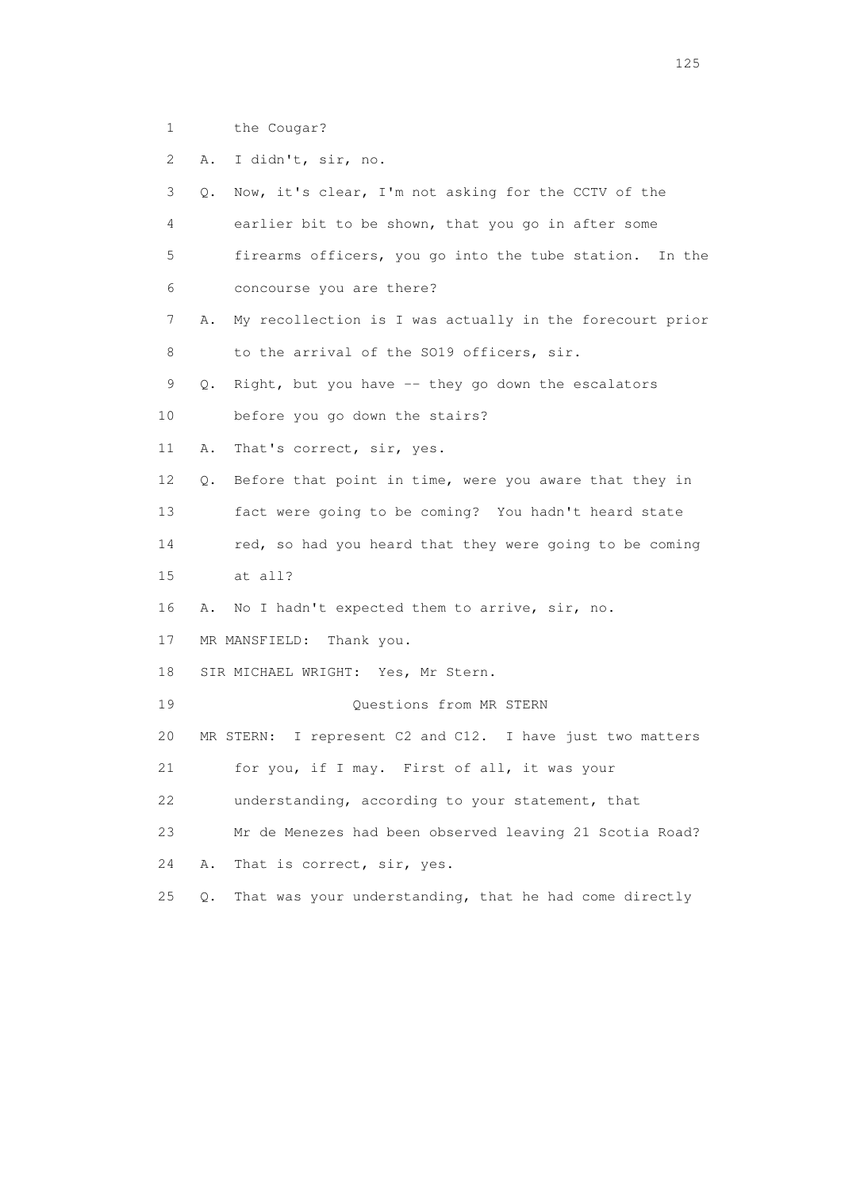- 1 the Cougar?
- 2 A. I didn't, sir, no.

 3 Q. Now, it's clear, I'm not asking for the CCTV of the 4 earlier bit to be shown, that you go in after some 5 firearms officers, you go into the tube station. In the 6 concourse you are there? 7 A. My recollection is I was actually in the forecourt prior 8 to the arrival of the SO19 officers, sir. 9 Q. Right, but you have -- they go down the escalators 10 before you go down the stairs? 11 A. That's correct, sir, yes. 12 Q. Before that point in time, were you aware that they in 13 fact were going to be coming? You hadn't heard state 14 red, so had you heard that they were going to be coming 15 at all? 16 A. No I hadn't expected them to arrive, sir, no. 17 MR MANSFIELD: Thank you. 18 SIR MICHAEL WRIGHT: Yes, Mr Stern. 19 Questions from MR STERN 20 MR STERN: I represent C2 and C12. I have just two matters 21 for you, if I may. First of all, it was your 22 understanding, according to your statement, that 23 Mr de Menezes had been observed leaving 21 Scotia Road? 24 A. That is correct, sir, yes. 25 Q. That was your understanding, that he had come directly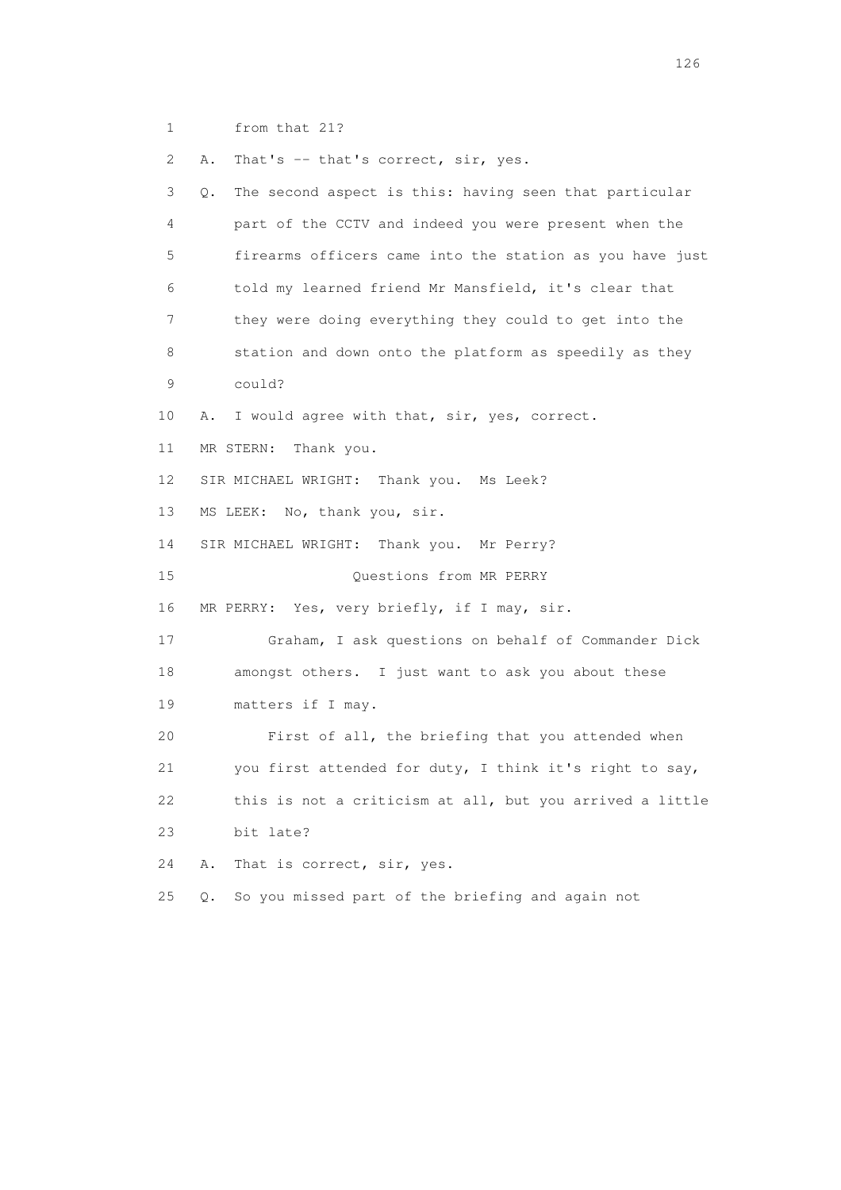1 from that 21?

2 A. That's -- that's correct, sir, yes.

 3 Q. The second aspect is this: having seen that particular 4 part of the CCTV and indeed you were present when the 5 firearms officers came into the station as you have just 6 told my learned friend Mr Mansfield, it's clear that 7 they were doing everything they could to get into the 8 station and down onto the platform as speedily as they 9 could? 10 A. I would agree with that, sir, yes, correct. 11 MR STERN: Thank you. 12 SIR MICHAEL WRIGHT: Thank you. Ms Leek? 13 MS LEEK: No, thank you, sir. 14 SIR MICHAEL WRIGHT: Thank you. Mr Perry? 15 Questions from MR PERRY 16 MR PERRY: Yes, very briefly, if I may, sir. 17 Graham, I ask questions on behalf of Commander Dick 18 amongst others. I just want to ask you about these 19 matters if I may. 20 First of all, the briefing that you attended when 21 you first attended for duty, I think it's right to say, 22 this is not a criticism at all, but you arrived a little 23 bit late? 24 A. That is correct, sir, yes. 25 Q. So you missed part of the briefing and again not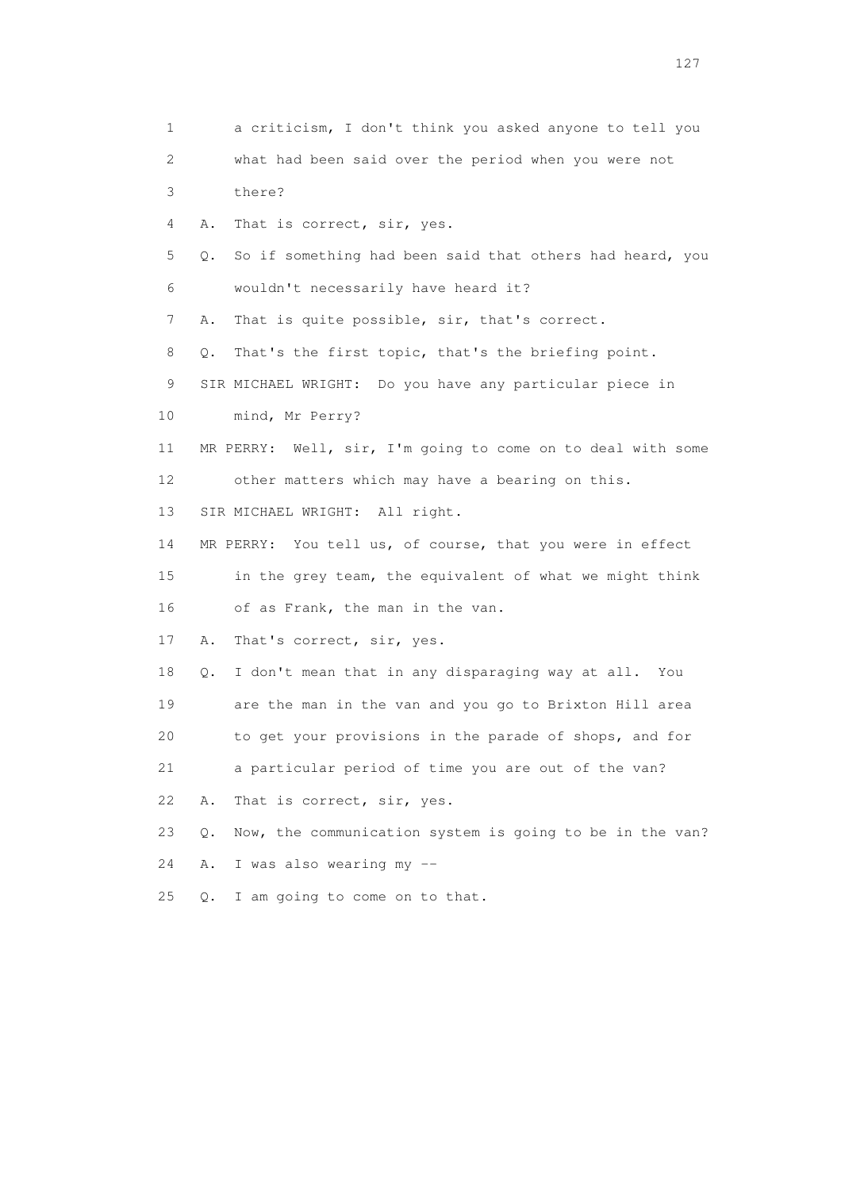1 a criticism, I don't think you asked anyone to tell you 2 what had been said over the period when you were not 3 there? 4 A. That is correct, sir, yes. 5 Q. So if something had been said that others had heard, you 6 wouldn't necessarily have heard it? 7 A. That is quite possible, sir, that's correct. 8 Q. That's the first topic, that's the briefing point. 9 SIR MICHAEL WRIGHT: Do you have any particular piece in 10 mind, Mr Perry? 11 MR PERRY: Well, sir, I'm going to come on to deal with some 12 other matters which may have a bearing on this. 13 SIR MICHAEL WRIGHT: All right. 14 MR PERRY: You tell us, of course, that you were in effect 15 in the grey team, the equivalent of what we might think 16 of as Frank, the man in the van. 17 A. That's correct, sir, yes. 18 Q. I don't mean that in any disparaging way at all. You 19 are the man in the van and you go to Brixton Hill area 20 to get your provisions in the parade of shops, and for 21 a particular period of time you are out of the van? 22 A. That is correct, sir, yes. 23 Q. Now, the communication system is going to be in the van? 24 A. I was also wearing my -- 25 Q. I am going to come on to that.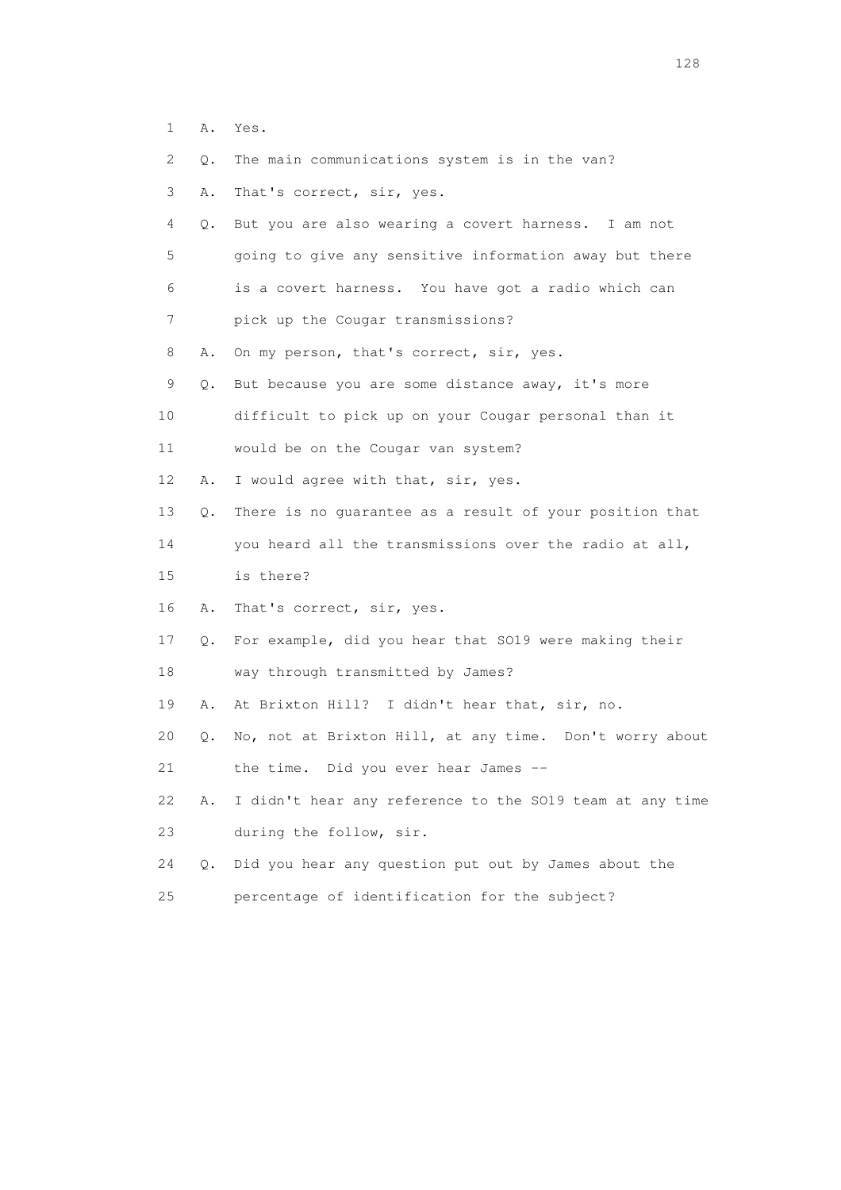- 1 A. Yes.
- 2 Q. The main communications system is in the van?
- 3 A. That's correct, sir, yes.
- 4 Q. But you are also wearing a covert harness. I am not 5 going to give any sensitive information away but there 6 is a covert harness. You have got a radio which can 7 pick up the Cougar transmissions?
- 8 A. On my person, that's correct, sir, yes.
- 9 Q. But because you are some distance away, it's more
- 10 difficult to pick up on your Cougar personal than it
- 11 would be on the Cougar van system?
- 12 A. I would agree with that, sir, yes.
- 13 Q. There is no guarantee as a result of your position that
- 14 you heard all the transmissions over the radio at all,
- 15 is there?
- 16 A. That's correct, sir, yes.
- 17 Q. For example, did you hear that SO19 were making their
- 18 way through transmitted by James?
- 19 A. At Brixton Hill? I didn't hear that, sir, no.
- 20 Q. No, not at Brixton Hill, at any time. Don't worry about
- 21 the time. Did you ever hear James --
- 22 A. I didn't hear any reference to the SO19 team at any time 23 during the follow, sir.
- 24 Q. Did you hear any question put out by James about the
- 25 percentage of identification for the subject?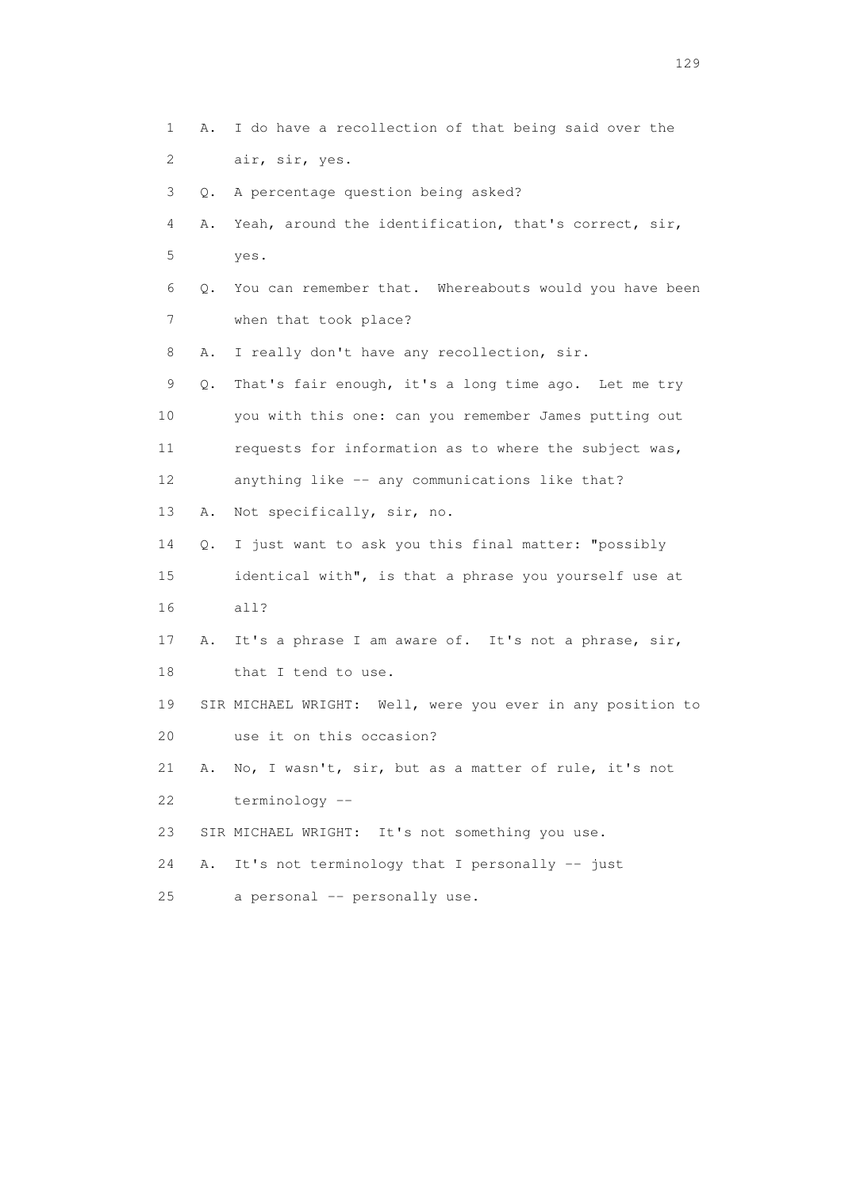1 A. I do have a recollection of that being said over the 2 air, sir, yes. 3 Q. A percentage question being asked? 4 A. Yeah, around the identification, that's correct, sir, 5 yes. 6 Q. You can remember that. Whereabouts would you have been 7 when that took place? 8 A. I really don't have any recollection, sir. 9 Q. That's fair enough, it's a long time ago. Let me try 10 you with this one: can you remember James putting out 11 requests for information as to where the subject was, 12 anything like -- any communications like that? 13 A. Not specifically, sir, no. 14 Q. I just want to ask you this final matter: "possibly 15 identical with", is that a phrase you yourself use at 16 all? 17 A. It's a phrase I am aware of. It's not a phrase, sir, 18 that I tend to use. 19 SIR MICHAEL WRIGHT: Well, were you ever in any position to 20 use it on this occasion? 21 A. No, I wasn't, sir, but as a matter of rule, it's not 22 terminology -- 23 SIR MICHAEL WRIGHT: It's not something you use. 24 A. It's not terminology that I personally -- just 25 a personal -- personally use.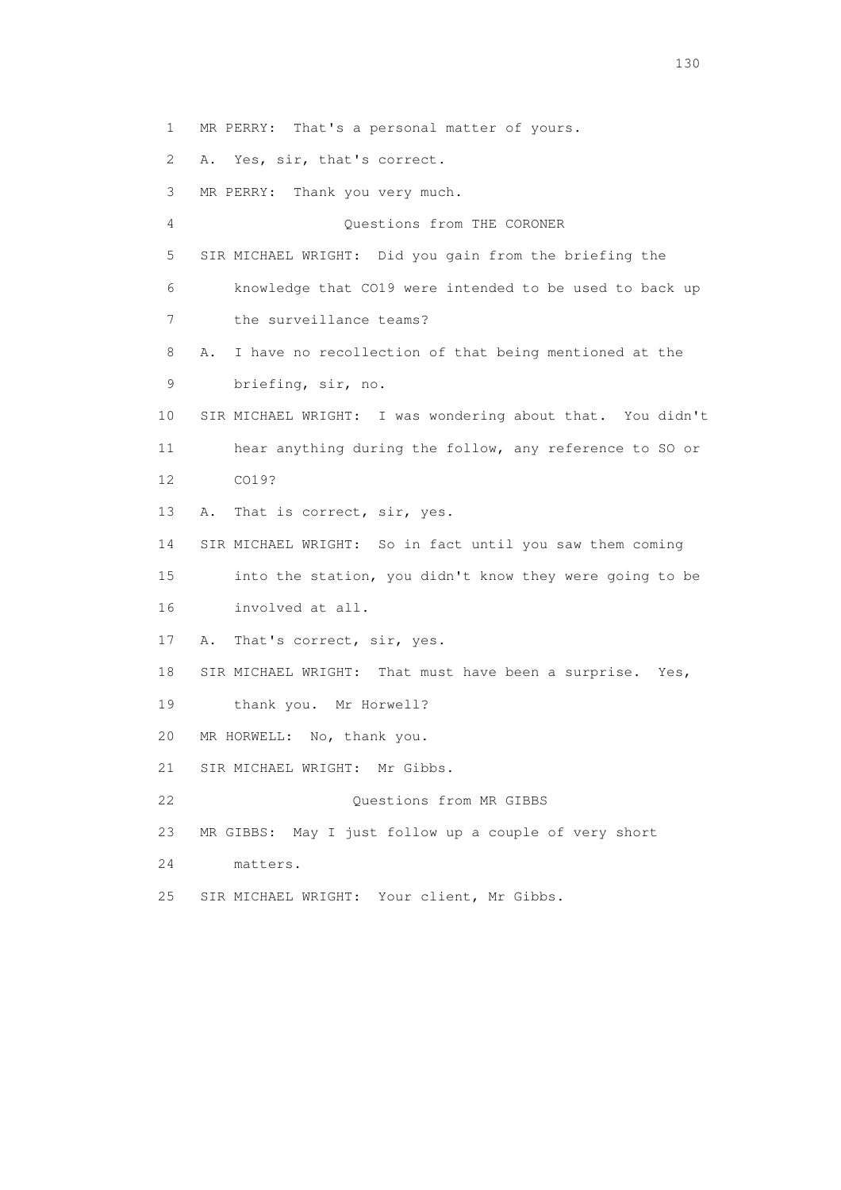1 MR PERRY: That's a personal matter of yours.

2 A. Yes, sir, that's correct.

3 MR PERRY: Thank you very much.

 4 Questions from THE CORONER 5 SIR MICHAEL WRIGHT: Did you gain from the briefing the 6 knowledge that CO19 were intended to be used to back up 7 the surveillance teams? 8 A. I have no recollection of that being mentioned at the 9 briefing, sir, no. 10 SIR MICHAEL WRIGHT: I was wondering about that. You didn't 11 hear anything during the follow, any reference to SO or 12 CO19? 13 A. That is correct, sir, yes. 14 SIR MICHAEL WRIGHT: So in fact until you saw them coming 15 into the station, you didn't know they were going to be 16 involved at all. 17 A. That's correct, sir, yes. 18 SIR MICHAEL WRIGHT: That must have been a surprise. Yes, 19 thank you. Mr Horwell? 20 MR HORWELL: No, thank you. 21 SIR MICHAEL WRIGHT: Mr Gibbs. 22 Ouestions from MR GIBBS 23 MR GIBBS: May I just follow up a couple of very short

- 24 matters.
- 25 SIR MICHAEL WRIGHT: Your client, Mr Gibbs.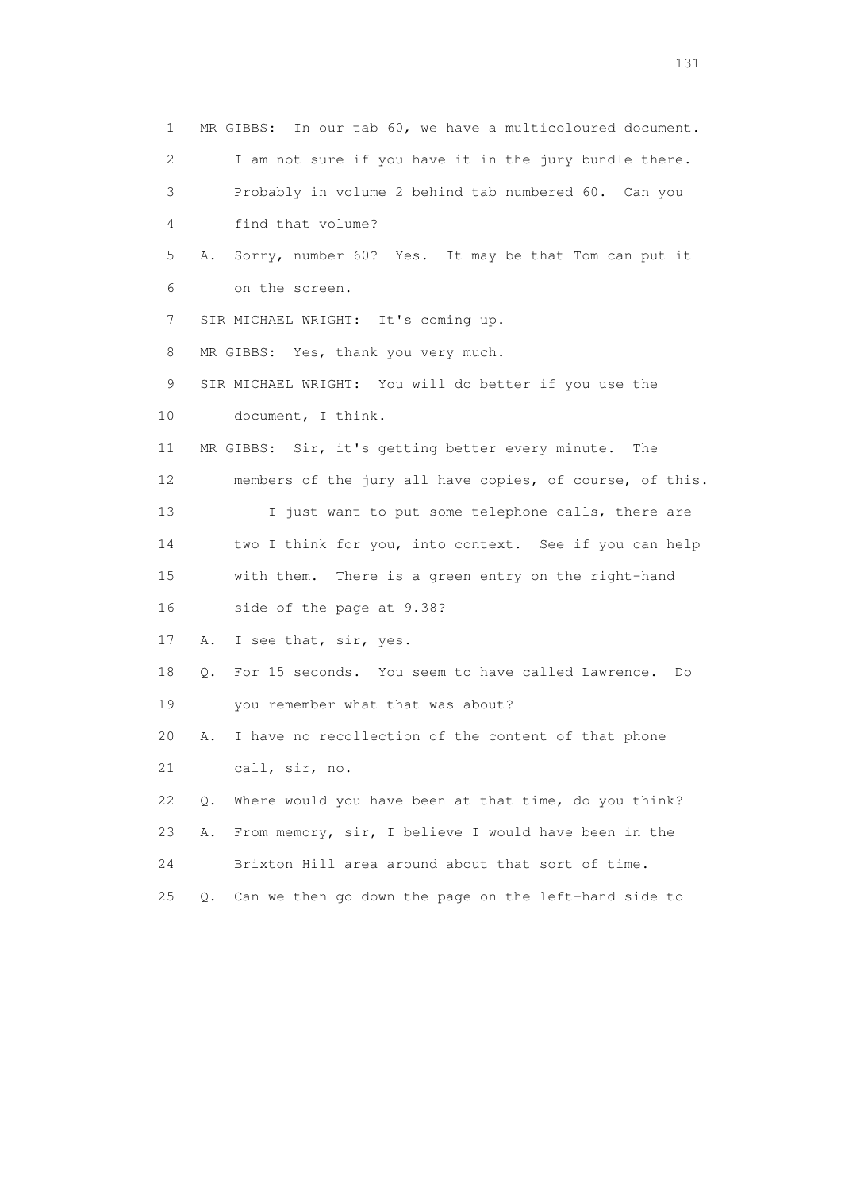1 MR GIBBS: In our tab 60, we have a multicoloured document. 2 I am not sure if you have it in the jury bundle there. 3 Probably in volume 2 behind tab numbered 60. Can you 4 find that volume? 5 A. Sorry, number 60? Yes. It may be that Tom can put it 6 on the screen. 7 SIR MICHAEL WRIGHT: It's coming up. 8 MR GIBBS: Yes, thank you very much. 9 SIR MICHAEL WRIGHT: You will do better if you use the 10 document, I think. 11 MR GIBBS: Sir, it's getting better every minute. The 12 members of the jury all have copies, of course, of this. 13 I just want to put some telephone calls, there are 14 two I think for you, into context. See if you can help 15 with them. There is a green entry on the right-hand 16 side of the page at 9.38? 17 A. I see that, sir, yes. 18 Q. For 15 seconds. You seem to have called Lawrence. Do 19 you remember what that was about? 20 A. I have no recollection of the content of that phone 21 call, sir, no. 22 Q. Where would you have been at that time, do you think? 23 A. From memory, sir, I believe I would have been in the 24 Brixton Hill area around about that sort of time. 25 Q. Can we then go down the page on the left-hand side to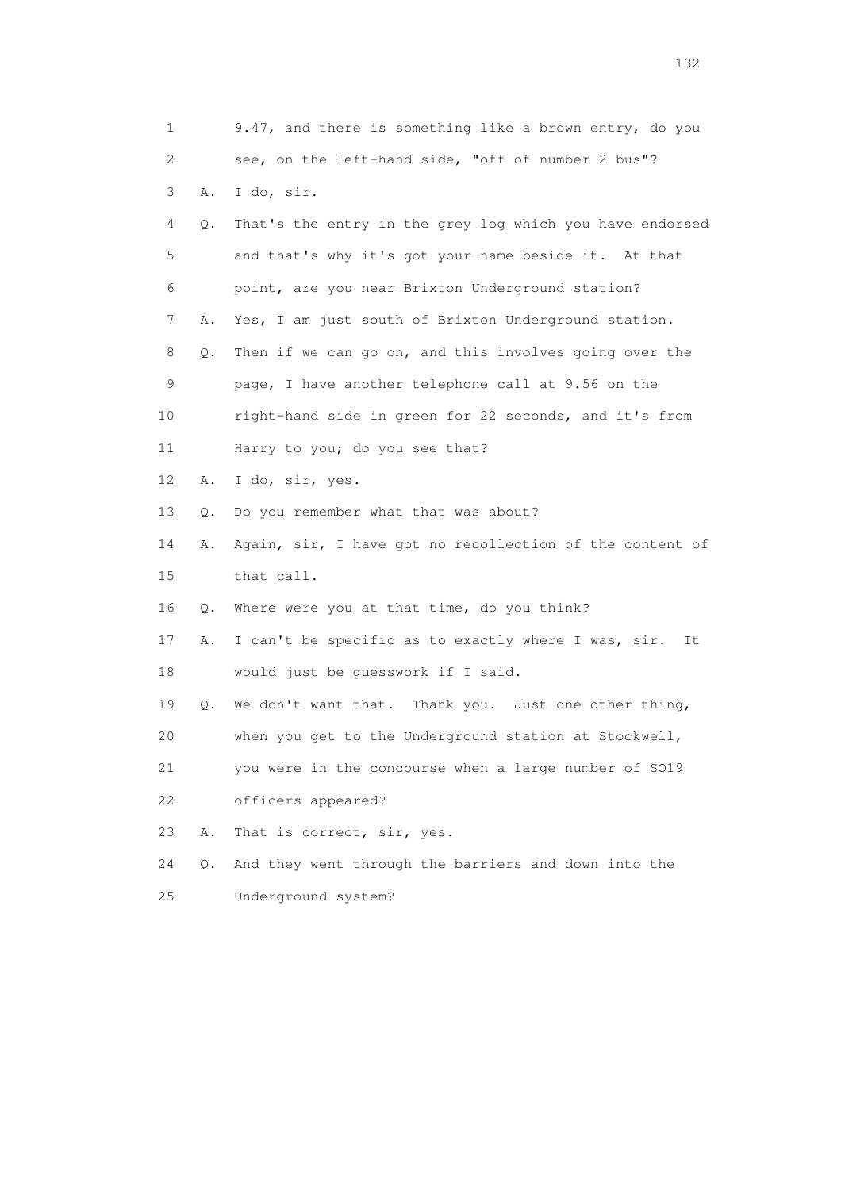| $\mathbf 1$ |       | 9.47, and there is something like a brown entry, do you   |
|-------------|-------|-----------------------------------------------------------|
| 2           |       | see, on the left-hand side, "off of number 2 bus"?        |
| 3           | Α.    | I do, sir.                                                |
| 4           | Q.    | That's the entry in the grey log which you have endorsed  |
| 5           |       | and that's why it's got your name beside it. At that      |
| 6           |       | point, are you near Brixton Underground station?          |
| 7           | Α.    | Yes, I am just south of Brixton Underground station.      |
| 8           | Q.    | Then if we can go on, and this involves going over the    |
| 9           |       | page, I have another telephone call at 9.56 on the        |
| 10          |       | right-hand side in green for 22 seconds, and it's from    |
| 11          |       | Harry to you; do you see that?                            |
| 12          | Α.    | I do, sir, yes.                                           |
| 13          | Q.    | Do you remember what that was about?                      |
| 14          | Α.    | Again, sir, I have got no recollection of the content of  |
| 15          |       | that call.                                                |
| 16          | Q.    | Where were you at that time, do you think?                |
| 17          | Α.    | I can't be specific as to exactly where I was, sir.<br>It |
| 18          |       | would just be guesswork if I said.                        |
| 19          | Q.    | We don't want that. Thank you. Just one other thing,      |
| 20          |       | when you get to the Underground station at Stockwell,     |
| 21          |       | you were in the concourse when a large number of SO19     |
| 22          |       | officers appeared?                                        |
| 23          | Α.    | That is correct, sir, yes.                                |
| 24          | $Q$ . | And they went through the barriers and down into the      |
| 25          |       | Underground system?                                       |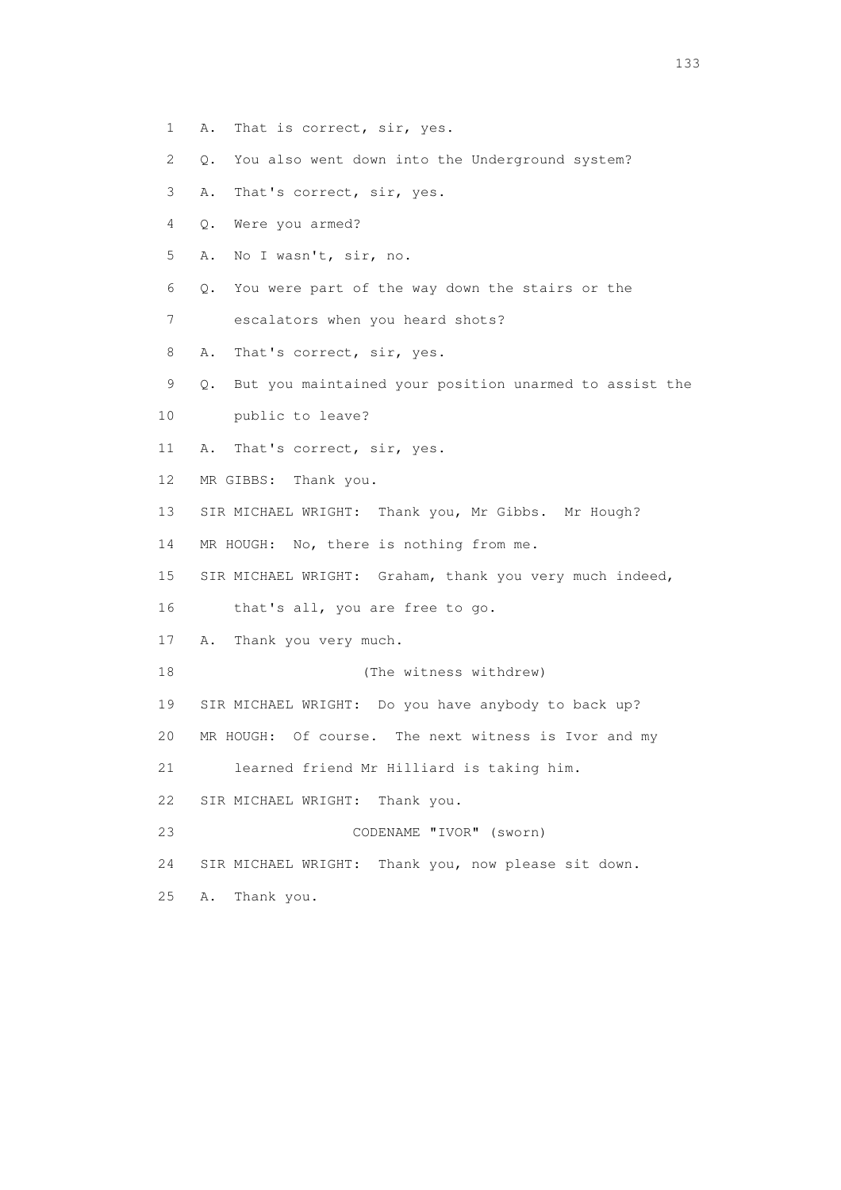- 1 A. That is correct, sir, yes.
- 2 Q. You also went down into the Underground system?
- 3 A. That's correct, sir, yes.
- 4 Q. Were you armed?
- 5 A. No I wasn't, sir, no.
- 6 Q. You were part of the way down the stairs or the
- 7 escalators when you heard shots?
- 8 A. That's correct, sir, yes.
- 9 Q. But you maintained your position unarmed to assist the
- 10 public to leave?
- 11 A. That's correct, sir, yes.
- 12 MR GIBBS: Thank you.
- 13 SIR MICHAEL WRIGHT: Thank you, Mr Gibbs. Mr Hough?
- 14 MR HOUGH: No, there is nothing from me.
- 15 SIR MICHAEL WRIGHT: Graham, thank you very much indeed,
- 16 that's all, you are free to go.
- 17 A. Thank you very much.
- 18 (The witness withdrew)
- 19 SIR MICHAEL WRIGHT: Do you have anybody to back up?
- 20 MR HOUGH: Of course. The next witness is Ivor and my
- 21 learned friend Mr Hilliard is taking him.
- 22 SIR MICHAEL WRIGHT: Thank you.
- 23 CODENAME "IVOR" (sworn)
- 24 SIR MICHAEL WRIGHT: Thank you, now please sit down.
- 25 A. Thank you.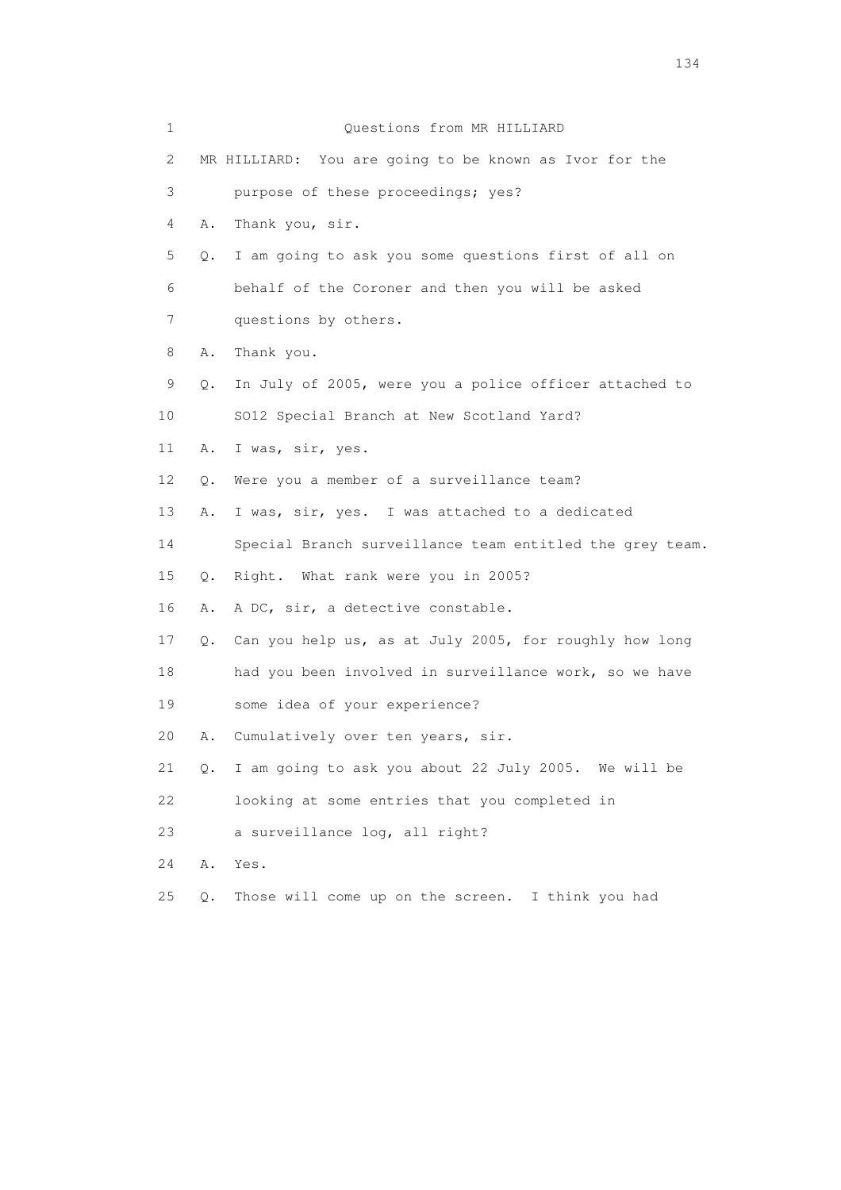| 1  |               | Questions from MR HILLIARD                               |
|----|---------------|----------------------------------------------------------|
| 2  |               | MR HILLIARD: You are going to be known as Ivor for the   |
| 3  |               | purpose of these proceedings; yes?                       |
| 4  | Α.            | Thank you, sir.                                          |
| 5  | $Q_{\bullet}$ | I am going to ask you some questions first of all on     |
| 6  |               | behalf of the Coroner and then you will be asked         |
| 7  |               | questions by others.                                     |
| 8  | Α.            | Thank you.                                               |
| 9  | Q.            | In July of 2005, were you a police officer attached to   |
| 10 |               | SO12 Special Branch at New Scotland Yard?                |
| 11 | Α.            | I was, sir, yes.                                         |
| 12 | Q.            | Were you a member of a surveillance team?                |
| 13 | Α.            | I was, sir, yes. I was attached to a dedicated           |
| 14 |               | Special Branch surveillance team entitled the grey team. |
| 15 | Q.            | Right. What rank were you in 2005?                       |
| 16 | Α.            | A DC, sir, a detective constable.                        |
| 17 | Q.            | Can you help us, as at July 2005, for roughly how long   |
| 18 |               | had you been involved in surveillance work, so we have   |
| 19 |               | some idea of your experience?                            |
| 20 | Α.            | Cumulatively over ten years, sir.                        |
| 21 | Q.            | I am going to ask you about 22 July 2005. We will be     |
| 22 |               | looking at some entries that you completed in            |
| 23 |               | a surveillance log, all right?                           |
| 24 | Α.            | Yes.                                                     |
| 25 | Q.            | Those will come up on the screen. I think you had        |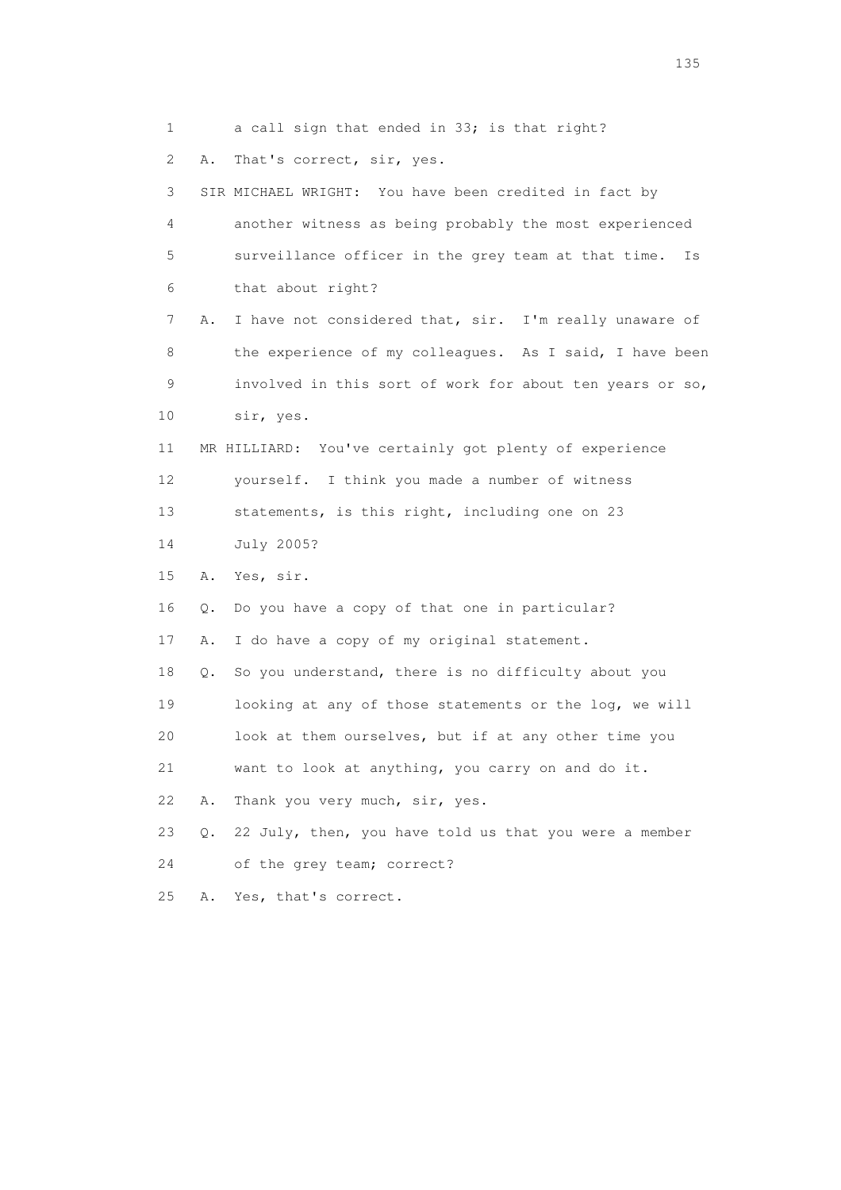1 a call sign that ended in 33; is that right? 2 A. That's correct, sir, yes. 3 SIR MICHAEL WRIGHT: You have been credited in fact by 4 another witness as being probably the most experienced 5 surveillance officer in the grey team at that time. Is 6 that about right? 7 A. I have not considered that, sir. I'm really unaware of 8 the experience of my colleagues. As I said, I have been 9 involved in this sort of work for about ten years or so, 10 sir, yes. 11 MR HILLIARD: You've certainly got plenty of experience 12 yourself. I think you made a number of witness 13 statements, is this right, including one on 23 14 July 2005? 15 A. Yes, sir. 16 Q. Do you have a copy of that one in particular? 17 A. I do have a copy of my original statement. 18 Q. So you understand, there is no difficulty about you 19 looking at any of those statements or the log, we will 20 look at them ourselves, but if at any other time you 21 want to look at anything, you carry on and do it. 22 A. Thank you very much, sir, yes. 23 Q. 22 July, then, you have told us that you were a member 24 of the grey team; correct? 25 A. Yes, that's correct.

n 135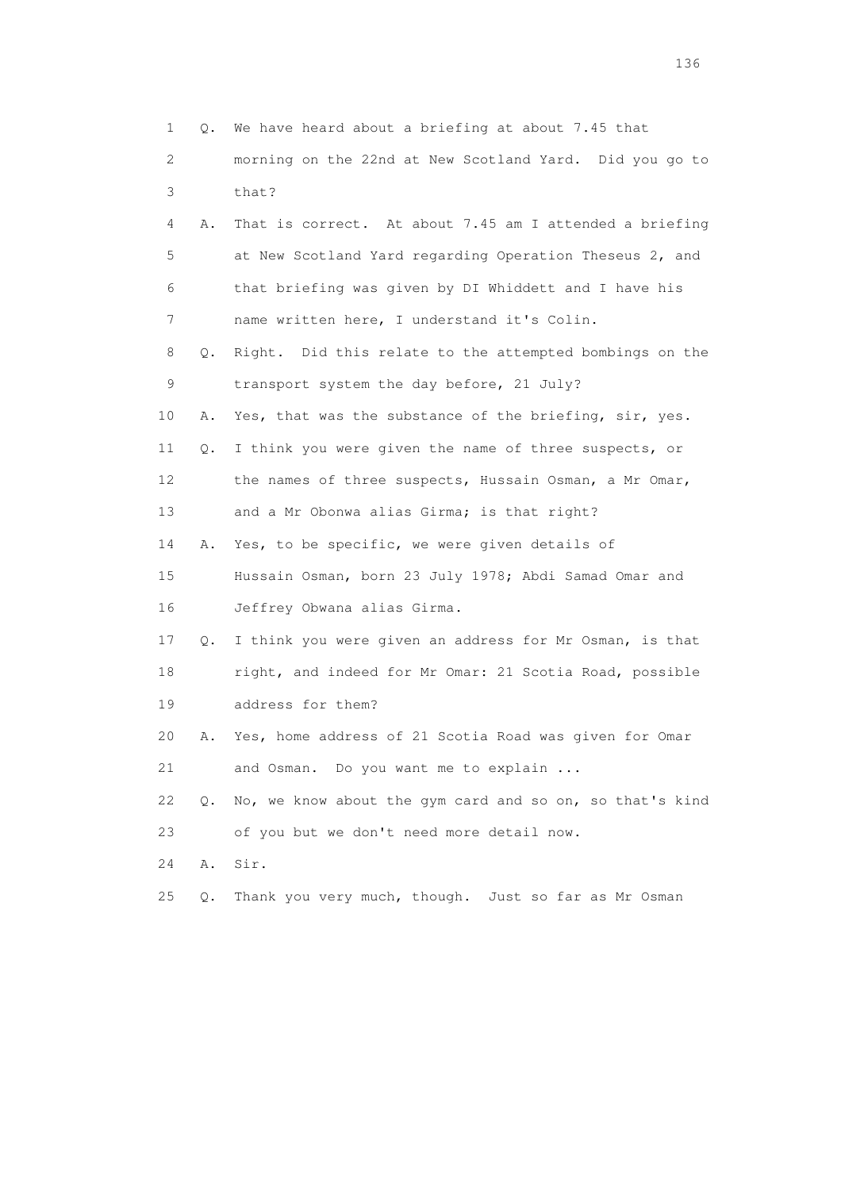|    | $\mathbf 1$<br>Q. | We have heard about a briefing at about 7.45 that        |
|----|-------------------|----------------------------------------------------------|
|    | 2                 | morning on the 22nd at New Scotland Yard. Did you go to  |
|    | 3                 | that?                                                    |
|    | 4<br>Α.           | That is correct. At about 7.45 am I attended a briefing  |
|    | 5                 | at New Scotland Yard regarding Operation Theseus 2, and  |
| 6  |                   | that briefing was given by DI Whiddett and I have his    |
|    | 7                 | name written here, I understand it's Colin.              |
|    | 8<br>Q.           | Right. Did this relate to the attempted bombings on the  |
| 9  |                   | transport system the day before, 21 July?                |
| 10 | Α.                | Yes, that was the substance of the briefing, sir, yes.   |
| 11 | Q.                | I think you were given the name of three suspects, or    |
| 12 |                   | the names of three suspects, Hussain Osman, a Mr Omar,   |
| 13 |                   | and a Mr Obonwa alias Girma; is that right?              |
| 14 | Α.                | Yes, to be specific, we were given details of            |
| 15 |                   | Hussain Osman, born 23 July 1978; Abdi Samad Omar and    |
| 16 |                   | Jeffrey Obwana alias Girma.                              |
| 17 | Q.                | I think you were given an address for Mr Osman, is that  |
| 18 |                   | right, and indeed for Mr Omar: 21 Scotia Road, possible  |
| 19 |                   | address for them?                                        |
| 20 | Α.                | Yes, home address of 21 Scotia Road was given for Omar   |
| 21 |                   | and Osman. Do you want me to explain                     |
| 22 | $\circ$ .         | No, we know about the gym card and so on, so that's kind |
| 23 |                   | of you but we don't need more detail now.                |
| 24 | Α.                | Sir.                                                     |
| 25 | $Q$ .             | Thank you very much, though. Just so far as Mr Osman     |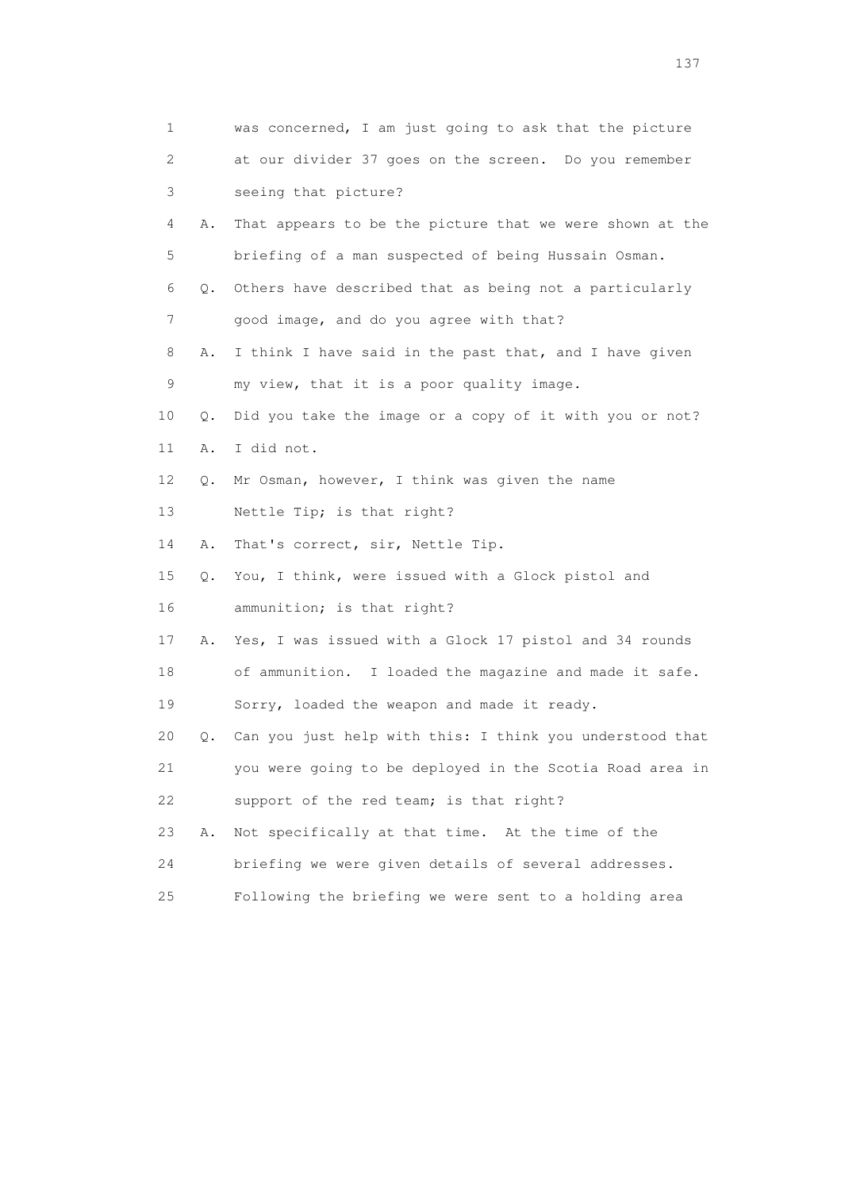| $\mathbf 1$ |    | was concerned, I am just going to ask that the picture   |
|-------------|----|----------------------------------------------------------|
| 2           |    | at our divider 37 goes on the screen. Do you remember    |
| 3           |    | seeing that picture?                                     |
| 4           | Α. | That appears to be the picture that we were shown at the |
| 5           |    | briefing of a man suspected of being Hussain Osman.      |
| 6           | Q. | Others have described that as being not a particularly   |
| 7           |    | good image, and do you agree with that?                  |
| 8           | Α. | I think I have said in the past that, and I have given   |
| 9           |    | my view, that it is a poor quality image.                |
| 10          | Q. | Did you take the image or a copy of it with you or not?  |
| 11          | Α. | I did not.                                               |
| 12          | Q. | Mr Osman, however, I think was given the name            |
| 13          |    | Nettle Tip; is that right?                               |
| 14          | Α. | That's correct, sir, Nettle Tip.                         |
| 15          | Q. | You, I think, were issued with a Glock pistol and        |
| 16          |    | ammunition; is that right?                               |
| 17          | Α. | Yes, I was issued with a Glock 17 pistol and 34 rounds   |
| 18          |    | of ammunition. I loaded the magazine and made it safe.   |
| 19          |    | Sorry, loaded the weapon and made it ready.              |
| 20          | Q. | Can you just help with this: I think you understood that |
| 21          |    | you were going to be deployed in the Scotia Road area in |
| 22          |    | support of the red team; is that right?                  |
| 23          | Α. | Not specifically at that time. At the time of the        |
| 24          |    | briefing we were given details of several addresses.     |
| 25          |    | Following the briefing we were sent to a holding area    |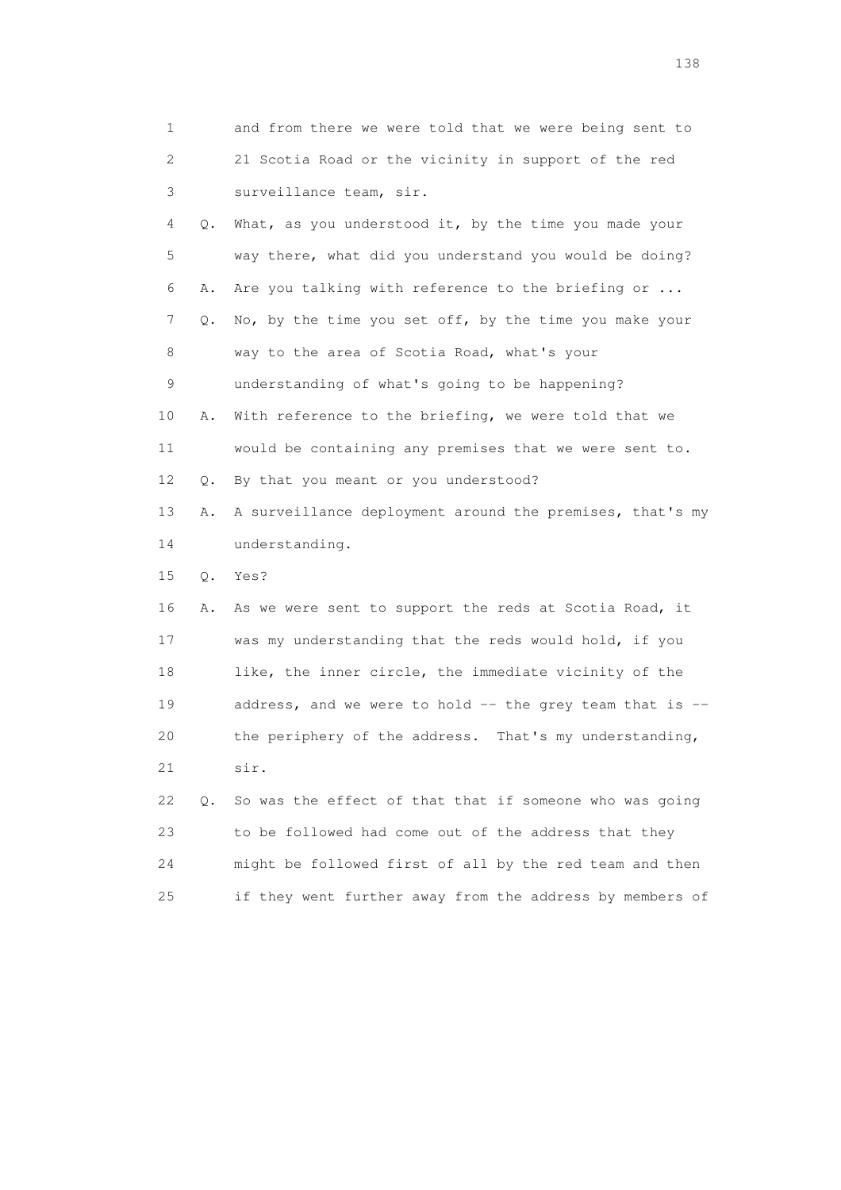| 1  |    | and from there we were told that we were being sent to   |
|----|----|----------------------------------------------------------|
| 2  |    | 21 Scotia Road or the vicinity in support of the red     |
| 3  |    | surveillance team, sir.                                  |
| 4  | Q. | What, as you understood it, by the time you made your    |
| 5  |    | way there, what did you understand you would be doing?   |
| 6  | Α. | Are you talking with reference to the briefing or        |
| 7  | Q. | No, by the time you set off, by the time you make your   |
| 8  |    | way to the area of Scotia Road, what's your              |
| 9  |    | understanding of what's going to be happening?           |
| 10 | Α. | With reference to the briefing, we were told that we     |
| 11 |    | would be containing any premises that we were sent to.   |
| 12 | Q. | By that you meant or you understood?                     |
| 13 | Α. | A surveillance deployment around the premises, that's my |
| 14 |    | understanding.                                           |
| 15 | Q. | Yes?                                                     |
| 16 | Α. | As we were sent to support the reds at Scotia Road, it   |
| 17 |    | was my understanding that the reds would hold, if you    |
| 18 |    | like, the inner circle, the immediate vicinity of the    |
| 19 |    | address, and we were to hold -- the grey team that is -- |
| 20 |    | the periphery of the address. That's my understanding,   |
| 21 |    | sir.                                                     |
| 22 | О. | So was the effect of that that if someone who was going  |
| 23 |    | to be followed had come out of the address that they     |
| 24 |    | might be followed first of all by the red team and then  |
| 25 |    | if they went further away from the address by members of |

138 and 138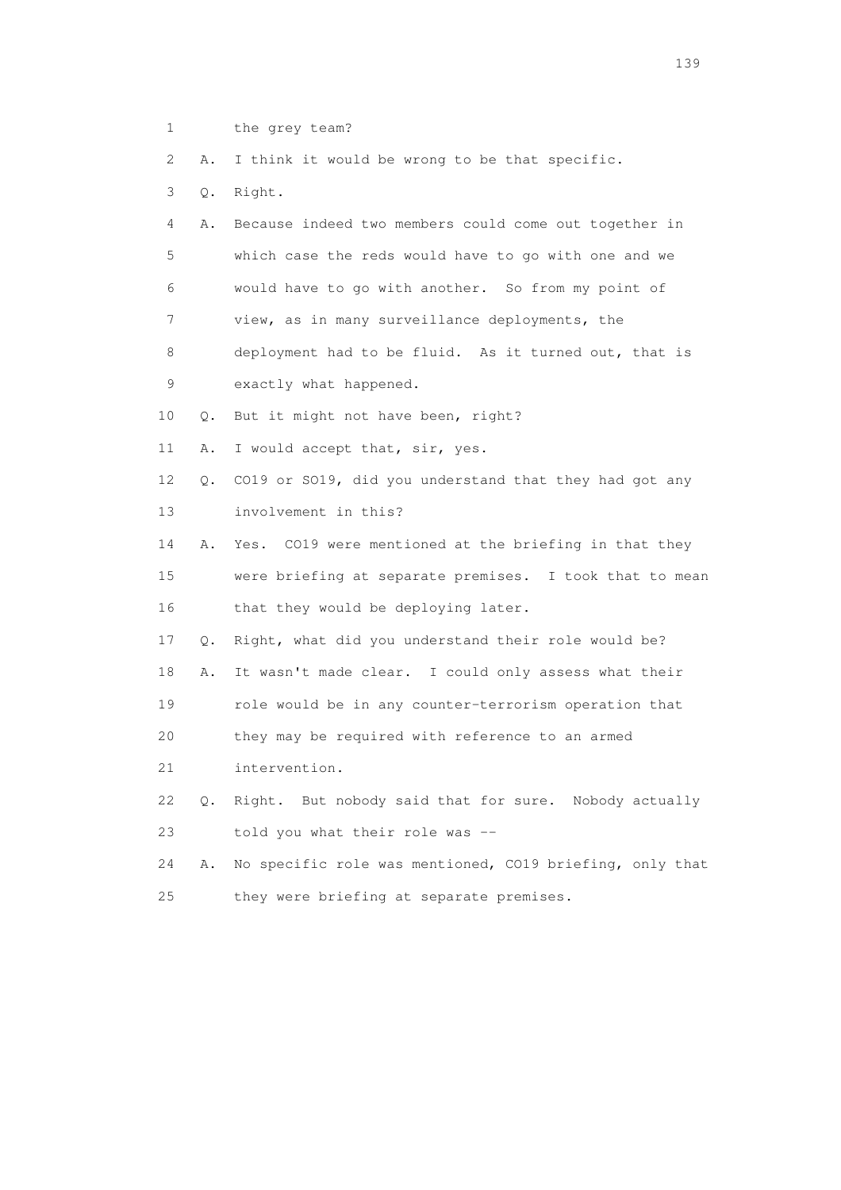1 the grey team?

2 A. I think it would be wrong to be that specific.

- 3 Q. Right.
- 4 A. Because indeed two members could come out together in 5 which case the reds would have to go with one and we 6 would have to go with another. So from my point of 7 view, as in many surveillance deployments, the 8 deployment had to be fluid. As it turned out, that is
- 9 exactly what happened.

10 Q. But it might not have been, right?

- 11 A. I would accept that, sir, yes.
- 12 Q. CO19 or SO19, did you understand that they had got any 13 involvement in this?
- 14 A. Yes. CO19 were mentioned at the briefing in that they

 15 were briefing at separate premises. I took that to mean 16 that they would be deploying later.

- 17 Q. Right, what did you understand their role would be?
- 18 A. It wasn't made clear. I could only assess what their
- 19 role would be in any counter-terrorism operation that
- 20 they may be required with reference to an armed
- 21 intervention.
- 22 Q. Right. But nobody said that for sure. Nobody actually 23 told you what their role was --
- 24 A. No specific role was mentioned, CO19 briefing, only that 25 they were briefing at separate premises.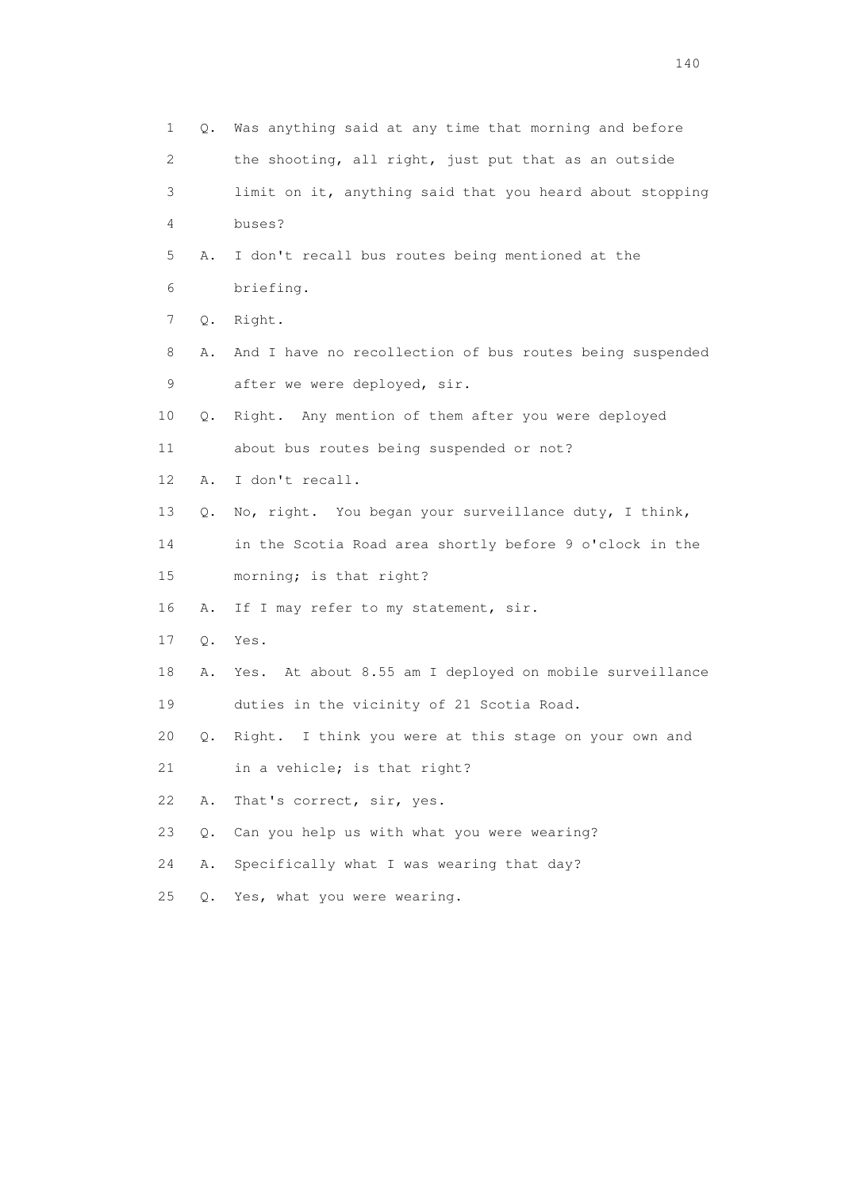| 1              | Q.    | Was anything said at any time that morning and before    |
|----------------|-------|----------------------------------------------------------|
| $\overline{2}$ |       | the shooting, all right, just put that as an outside     |
| 3              |       | limit on it, anything said that you heard about stopping |
| 4              |       | buses?                                                   |
| 5              | Α.    | I don't recall bus routes being mentioned at the         |
| 6              |       | briefing.                                                |
| 7              | Q.    | Right.                                                   |
| 8              | Α.    | And I have no recollection of bus routes being suspended |
| 9              |       | after we were deployed, sir.                             |
| 10             | Q.    | Right. Any mention of them after you were deployed       |
| 11             |       | about bus routes being suspended or not?                 |
| 12             | Α.    | I don't recall.                                          |
| 13             | Q.    | No, right. You began your surveillance duty, I think,    |
| 14             |       | in the Scotia Road area shortly before 9 o'clock in the  |
| 15             |       | morning; is that right?                                  |
| 16             | Α.    | If I may refer to my statement, sir.                     |
| 17             | $Q$ . | Yes.                                                     |
| 18             | Α.    | Yes. At about 8.55 am I deployed on mobile surveillance  |
| 19             |       | duties in the vicinity of 21 Scotia Road.                |
| 20             | Q.    | Right. I think you were at this stage on your own and    |
| 21             |       | in a vehicle; is that right?                             |
| 22             | Α.    | That's correct, sir, yes.                                |
| 23             | $Q$ . | Can you help us with what you were wearing?              |
| 24             | Α.    | Specifically what I was wearing that day?                |
| 25             | О.    | Yes, what you were wearing.                              |
|                |       |                                                          |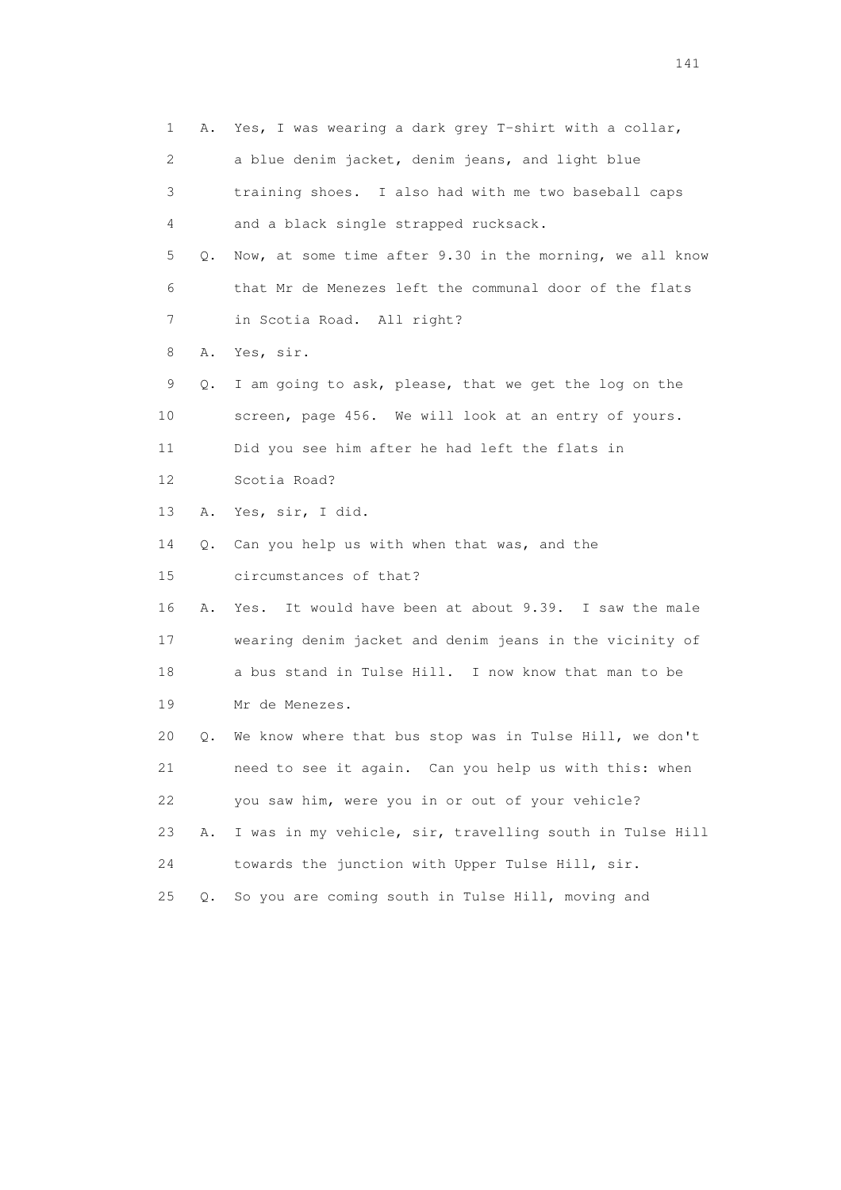1 A. Yes, I was wearing a dark grey T-shirt with a collar, 2 a blue denim jacket, denim jeans, and light blue 3 training shoes. I also had with me two baseball caps 4 and a black single strapped rucksack. 5 Q. Now, at some time after 9.30 in the morning, we all know 6 that Mr de Menezes left the communal door of the flats 7 in Scotia Road. All right? 8 A. Yes, sir. 9 Q. I am going to ask, please, that we get the log on the 10 screen, page 456. We will look at an entry of yours. 11 Did you see him after he had left the flats in 12 Scotia Road? 13 A. Yes, sir, I did. 14 Q. Can you help us with when that was, and the 15 circumstances of that? 16 A. Yes. It would have been at about 9.39. I saw the male 17 wearing denim jacket and denim jeans in the vicinity of 18 a bus stand in Tulse Hill. I now know that man to be 19 Mr de Menezes. 20 Q. We know where that bus stop was in Tulse Hill, we don't 21 need to see it again. Can you help us with this: when 22 you saw him, were you in or out of your vehicle? 23 A. I was in my vehicle, sir, travelling south in Tulse Hill 24 towards the junction with Upper Tulse Hill, sir. 25 Q. So you are coming south in Tulse Hill, moving and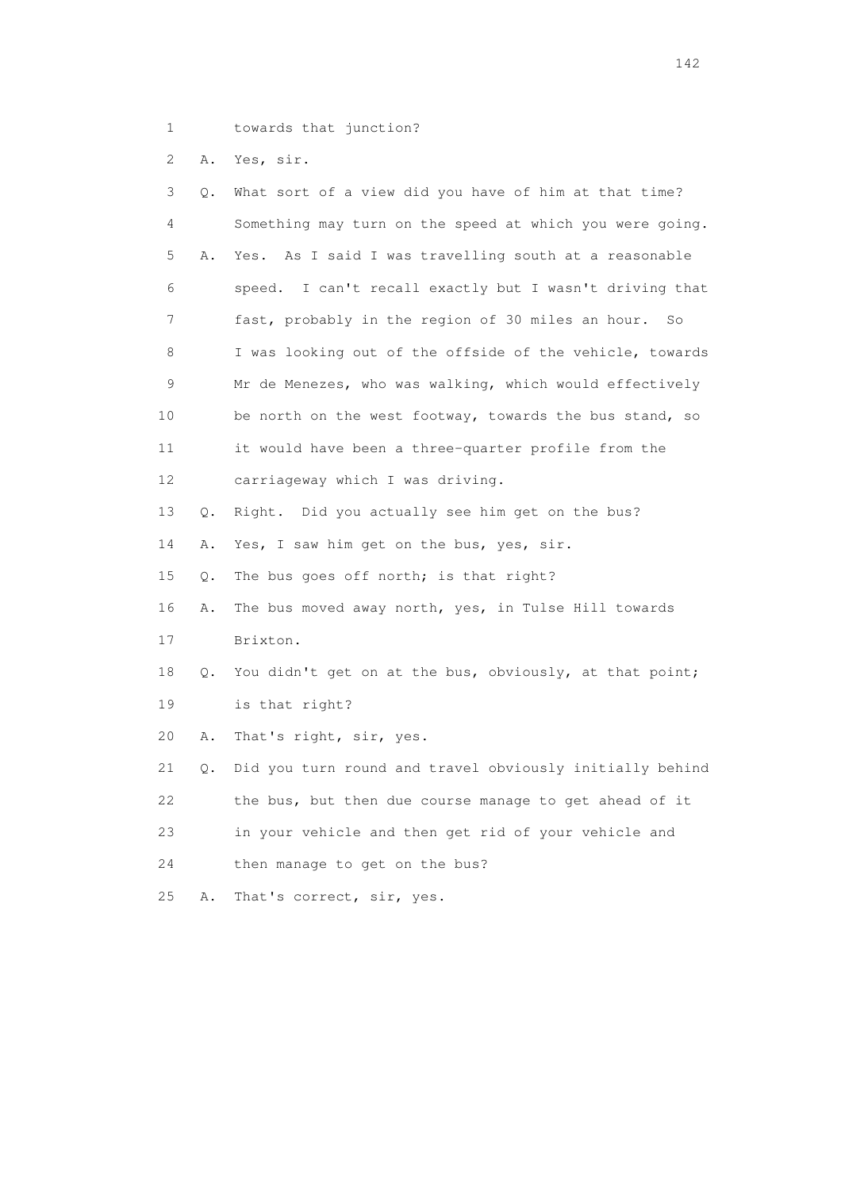- 1 towards that junction?
- 2 A. Yes, sir.

| 3  | Q. | What sort of a view did you have of him at that time?    |
|----|----|----------------------------------------------------------|
| 4  |    | Something may turn on the speed at which you were going. |
| 5  | Α. | Yes. As I said I was travelling south at a reasonable    |
| 6  |    | speed. I can't recall exactly but I wasn't driving that  |
| 7  |    | fast, probably in the region of 30 miles an hour.<br>So  |
| 8  |    | I was looking out of the offside of the vehicle, towards |
| 9  |    | Mr de Menezes, who was walking, which would effectively  |
| 10 |    | be north on the west footway, towards the bus stand, so  |
| 11 |    | it would have been a three-quarter profile from the      |
| 12 |    | carriageway which I was driving.                         |
| 13 | Q. | Right. Did you actually see him get on the bus?          |
| 14 | Α. | Yes, I saw him get on the bus, yes, sir.                 |
| 15 | Q. | The bus goes off north; is that right?                   |
| 16 | Α. | The bus moved away north, yes, in Tulse Hill towards     |
| 17 |    | Brixton.                                                 |
| 18 | Q. | You didn't get on at the bus, obviously, at that point;  |
| 19 |    | is that right?                                           |
| 20 | Α. | That's right, sir, yes.                                  |
| 21 | Q. | Did you turn round and travel obviously initially behind |
| 22 |    | the bus, but then due course manage to get ahead of it   |
| 23 |    | in your vehicle and then get rid of your vehicle and     |
| 24 |    | then manage to get on the bus?                           |
| 25 | Α. | That's correct, sir, yes.                                |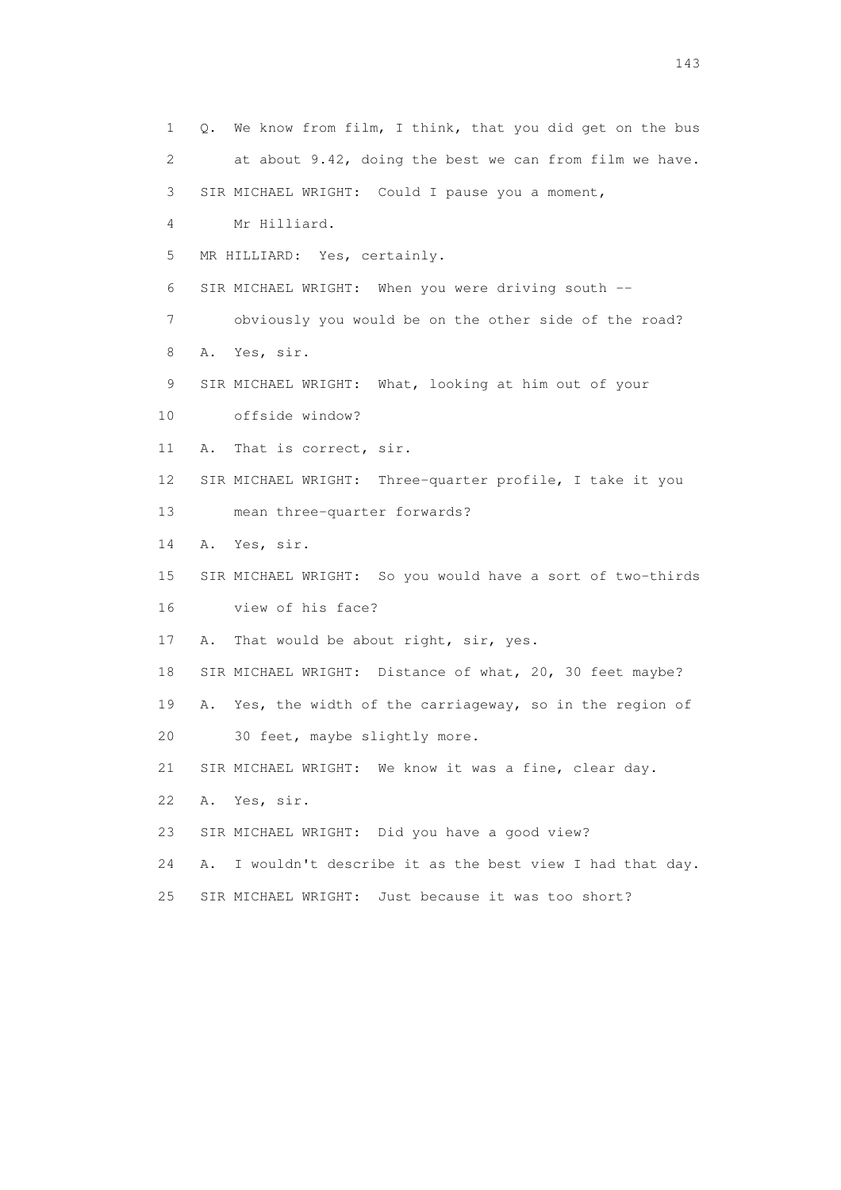1 Q. We know from film, I think, that you did get on the bus 2 at about 9.42, doing the best we can from film we have. 3 SIR MICHAEL WRIGHT: Could I pause you a moment, 4 Mr Hilliard. 5 MR HILLIARD: Yes, certainly. 6 SIR MICHAEL WRIGHT: When you were driving south -- 7 obviously you would be on the other side of the road? 8 A. Yes, sir. 9 SIR MICHAEL WRIGHT: What, looking at him out of your 10 offside window? 11 A. That is correct, sir. 12 SIR MICHAEL WRIGHT: Three-quarter profile, I take it you 13 mean three-quarter forwards? 14 A. Yes, sir. 15 SIR MICHAEL WRIGHT: So you would have a sort of two-thirds 16 view of his face? 17 A. That would be about right, sir, yes. 18 SIR MICHAEL WRIGHT: Distance of what, 20, 30 feet maybe? 19 A. Yes, the width of the carriageway, so in the region of 20 30 feet, maybe slightly more. 21 SIR MICHAEL WRIGHT: We know it was a fine, clear day. 22 A. Yes, sir. 23 SIR MICHAEL WRIGHT: Did you have a good view? 24 A. I wouldn't describe it as the best view I had that day. 25 SIR MICHAEL WRIGHT: Just because it was too short?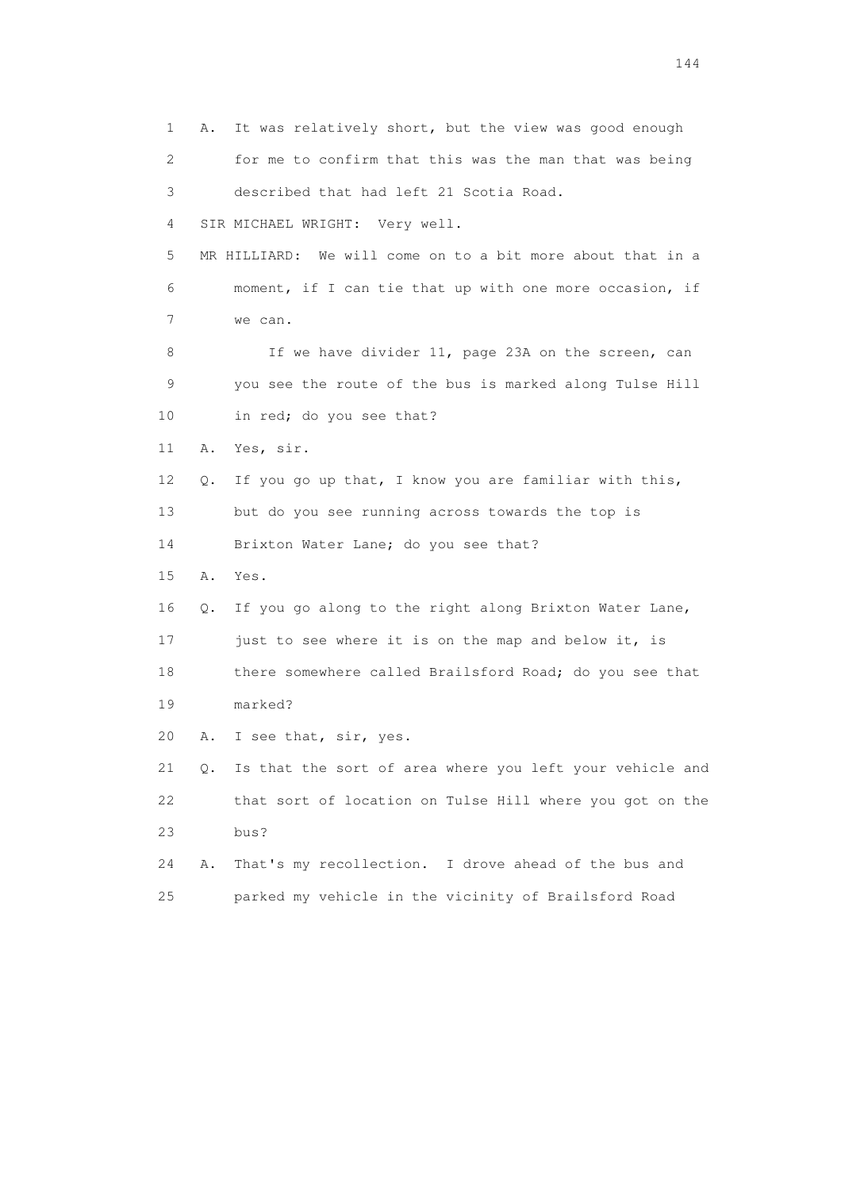1 A. It was relatively short, but the view was good enough 2 for me to confirm that this was the man that was being 3 described that had left 21 Scotia Road. 4 SIR MICHAEL WRIGHT: Very well. 5 MR HILLIARD: We will come on to a bit more about that in a 6 moment, if I can tie that up with one more occasion, if 7 we can. 8 If we have divider 11, page 23A on the screen, can 9 you see the route of the bus is marked along Tulse Hill 10 in red; do you see that? 11 A. Yes, sir. 12 Q. If you go up that, I know you are familiar with this, 13 but do you see running across towards the top is 14 Brixton Water Lane; do you see that? 15 A. Yes. 16 Q. If you go along to the right along Brixton Water Lane, 17 just to see where it is on the map and below it, is 18 there somewhere called Brailsford Road; do you see that 19 marked? 20 A. I see that, sir, yes. 21 Q. Is that the sort of area where you left your vehicle and 22 that sort of location on Tulse Hill where you got on the 23 bus? 24 A. That's my recollection. I drove ahead of the bus and 25 parked my vehicle in the vicinity of Brailsford Road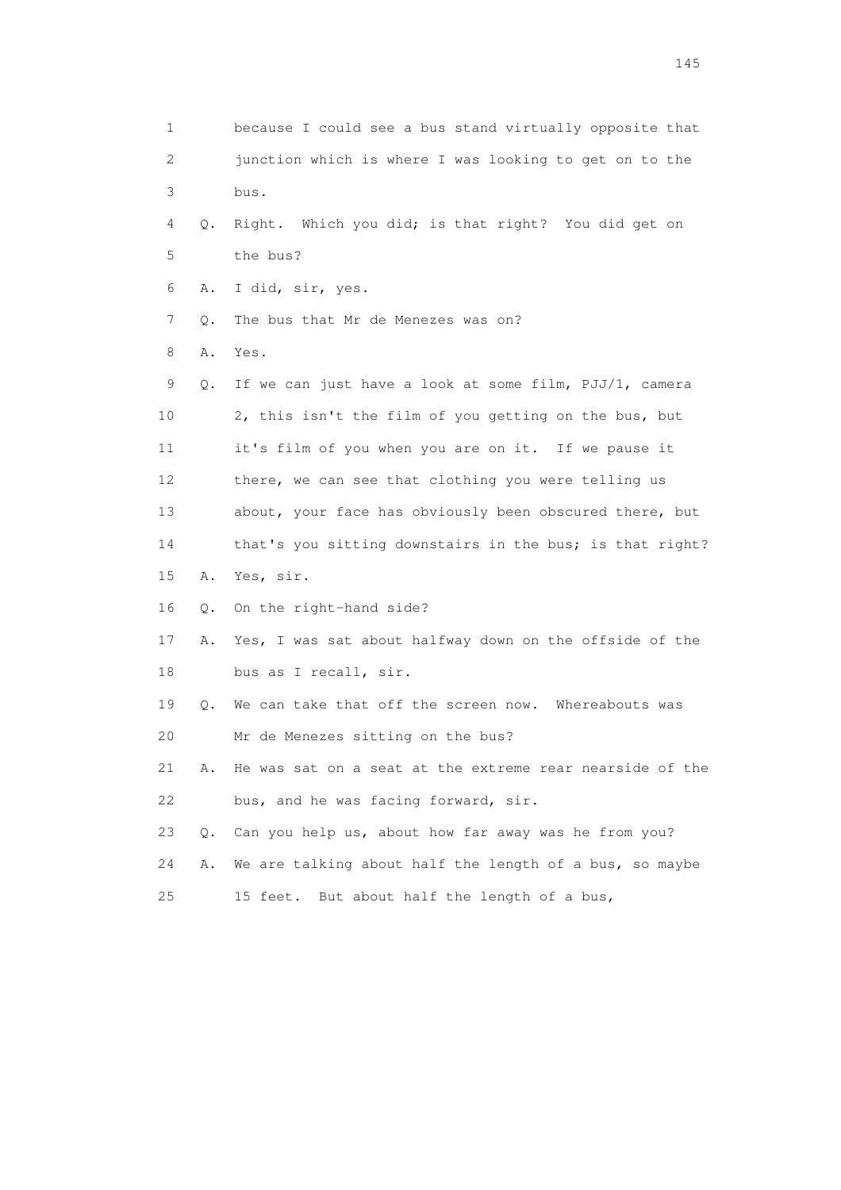1 because I could see a bus stand virtually opposite that 2 junction which is where I was looking to get on to the 3 bus. 4 Q. Right. Which you did; is that right? You did get on 5 the bus? 6 A. I did, sir, yes. 7 Q. The bus that Mr de Menezes was on? 8 A. Yes. 9 Q. If we can just have a look at some film, PJJ/1, camera 10 2, this isn't the film of you getting on the bus, but 11 it's film of you when you are on it. If we pause it 12 there, we can see that clothing you were telling us 13 about, your face has obviously been obscured there, but 14 that's you sitting downstairs in the bus; is that right? 15 A. Yes, sir. 16 Q. On the right-hand side? 17 A. Yes, I was sat about halfway down on the offside of the 18 bus as I recall, sir. 19 Q. We can take that off the screen now. Whereabouts was 20 Mr de Menezes sitting on the bus? 21 A. He was sat on a seat at the extreme rear nearside of the 22 bus, and he was facing forward, sir. 23 Q. Can you help us, about how far away was he from you? 24 A. We are talking about half the length of a bus, so maybe 25 15 feet. But about half the length of a bus,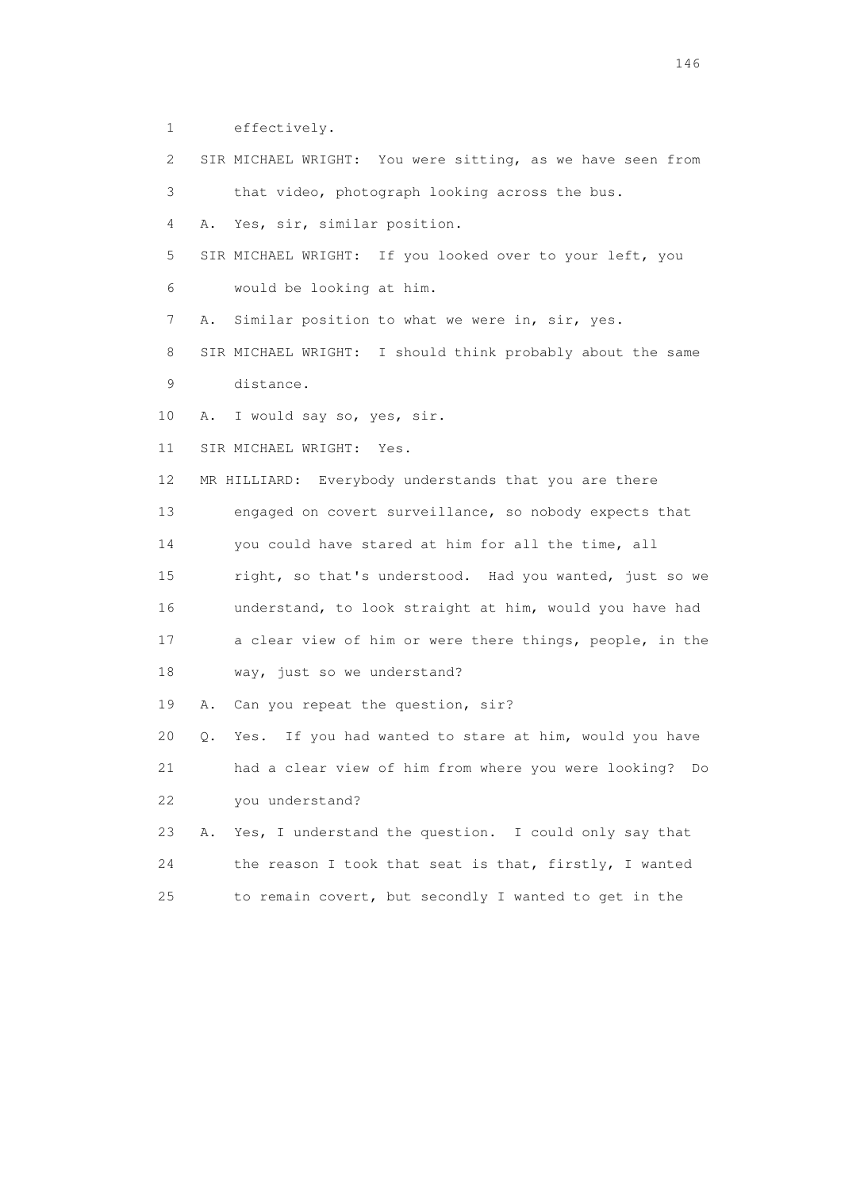1 effectively. 2 SIR MICHAEL WRIGHT: You were sitting, as we have seen from 3 that video, photograph looking across the bus. 4 A. Yes, sir, similar position. 5 SIR MICHAEL WRIGHT: If you looked over to your left, you 6 would be looking at him. 7 A. Similar position to what we were in, sir, yes. 8 SIR MICHAEL WRIGHT: I should think probably about the same 9 distance. 10 A. I would say so, yes, sir. 11 SIR MICHAEL WRIGHT: Yes. 12 MR HILLIARD: Everybody understands that you are there 13 engaged on covert surveillance, so nobody expects that 14 you could have stared at him for all the time, all 15 right, so that's understood. Had you wanted, just so we 16 understand, to look straight at him, would you have had 17 a clear view of him or were there things, people, in the 18 way, just so we understand? 19 A. Can you repeat the question, sir? 20 Q. Yes. If you had wanted to stare at him, would you have 21 had a clear view of him from where you were looking? Do 22 you understand? 23 A. Yes, I understand the question. I could only say that 24 the reason I took that seat is that, firstly, I wanted 25 to remain covert, but secondly I wanted to get in the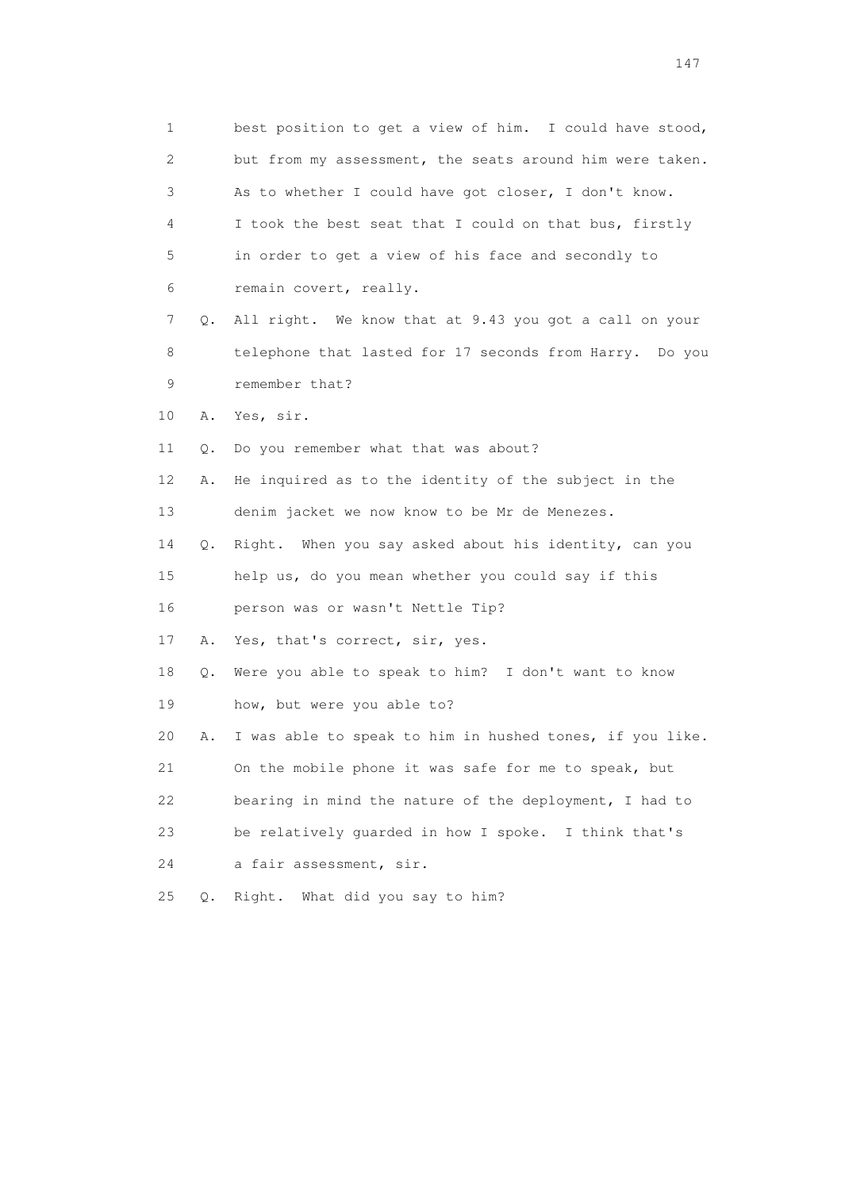1 best position to get a view of him. I could have stood, 2 but from my assessment, the seats around him were taken. 3 As to whether I could have got closer, I don't know. 4 I took the best seat that I could on that bus, firstly 5 in order to get a view of his face and secondly to 6 remain covert, really. 7 Q. All right. We know that at 9.43 you got a call on your 8 telephone that lasted for 17 seconds from Harry. Do you 9 remember that? 10 A. Yes, sir. 11 Q. Do you remember what that was about? 12 A. He inquired as to the identity of the subject in the 13 denim jacket we now know to be Mr de Menezes. 14 Q. Right. When you say asked about his identity, can you 15 help us, do you mean whether you could say if this 16 person was or wasn't Nettle Tip? 17 A. Yes, that's correct, sir, yes. 18 Q. Were you able to speak to him? I don't want to know 19 how, but were you able to? 20 A. I was able to speak to him in hushed tones, if you like. 21 On the mobile phone it was safe for me to speak, but 22 bearing in mind the nature of the deployment, I had to 23 be relatively guarded in how I spoke. I think that's 24 a fair assessment, sir. 25 Q. Right. What did you say to him?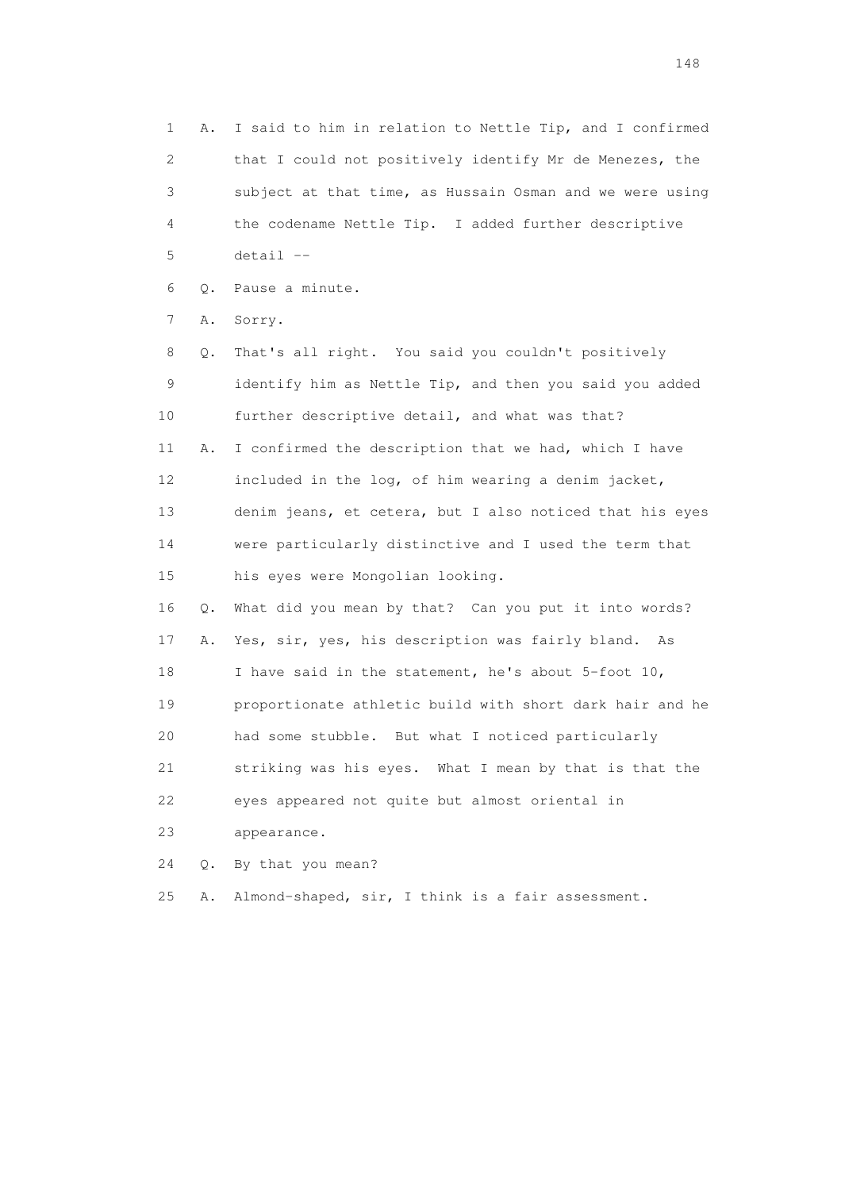1 A. I said to him in relation to Nettle Tip, and I confirmed 2 that I could not positively identify Mr de Menezes, the 3 subject at that time, as Hussain Osman and we were using 4 the codename Nettle Tip. I added further descriptive 5 detail --

6 Q. Pause a minute.

7 A. Sorry.

 8 Q. That's all right. You said you couldn't positively 9 identify him as Nettle Tip, and then you said you added 10 further descriptive detail, and what was that? 11 A. I confirmed the description that we had, which I have 12 included in the log, of him wearing a denim jacket, 13 denim jeans, et cetera, but I also noticed that his eyes 14 were particularly distinctive and I used the term that 15 his eyes were Mongolian looking. 16 Q. What did you mean by that? Can you put it into words? 17 A. Yes, sir, yes, his description was fairly bland. As

 18 I have said in the statement, he's about 5-foot 10, 19 proportionate athletic build with short dark hair and he 20 had some stubble. But what I noticed particularly 21 striking was his eyes. What I mean by that is that the 22 eyes appeared not quite but almost oriental in 23 appearance.

24 Q. By that you mean?

25 A. Almond-shaped, sir, I think is a fair assessment.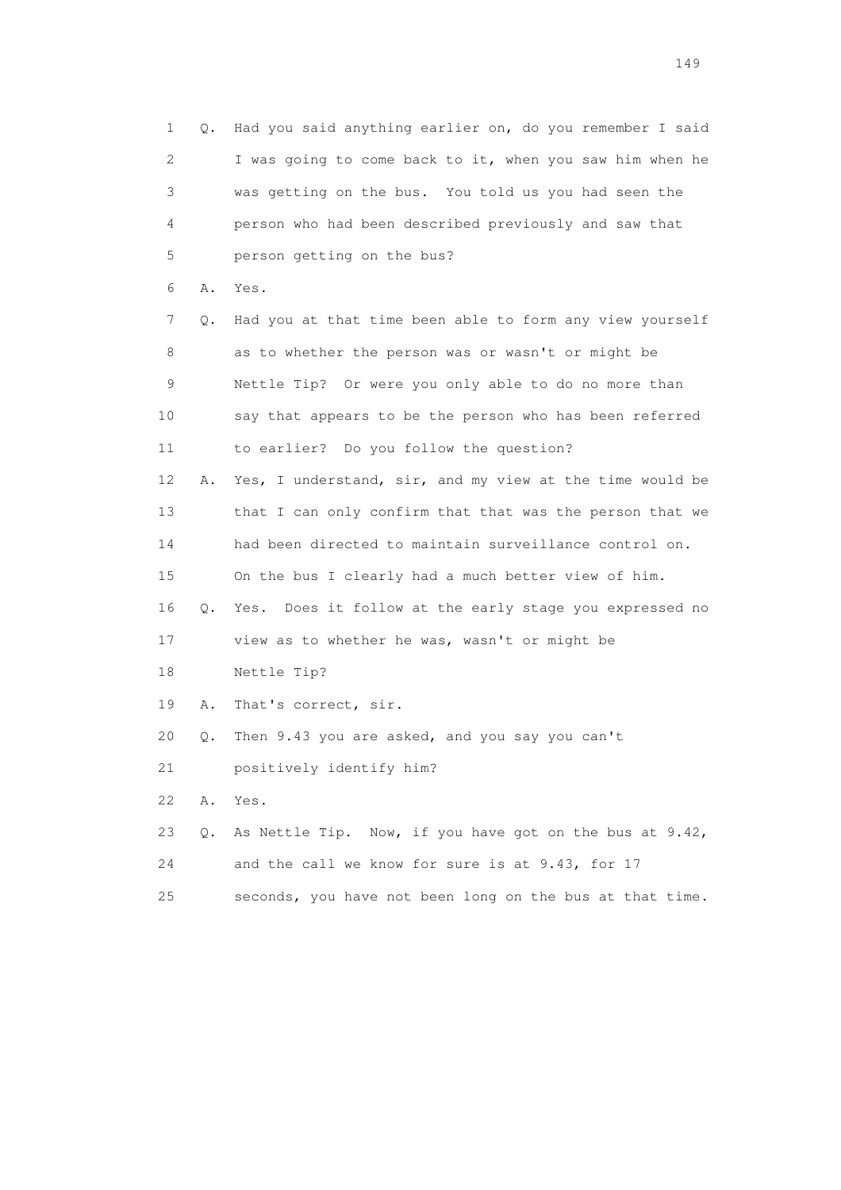1 Q. Had you said anything earlier on, do you remember I said 2 I was going to come back to it, when you saw him when he 3 was getting on the bus. You told us you had seen the 4 person who had been described previously and saw that 5 person getting on the bus? 6 A. Yes. 7 Q. Had you at that time been able to form any view yourself 8 as to whether the person was or wasn't or might be 9 Nettle Tip? Or were you only able to do no more than 10 say that appears to be the person who has been referred 11 to earlier? Do you follow the question? 12 A. Yes, I understand, sir, and my view at the time would be 13 that I can only confirm that that was the person that we 14 had been directed to maintain surveillance control on. 15 On the bus I clearly had a much better view of him. 16 Q. Yes. Does it follow at the early stage you expressed no 17 view as to whether he was, wasn't or might be 18 Nettle Tip? 19 A. That's correct, sir. 20 Q. Then 9.43 you are asked, and you say you can't 21 positively identify him? 22 A. Yes. 23 Q. As Nettle Tip. Now, if you have got on the bus at 9.42, 24 and the call we know for sure is at 9.43, for 17 25 seconds, you have not been long on the bus at that time.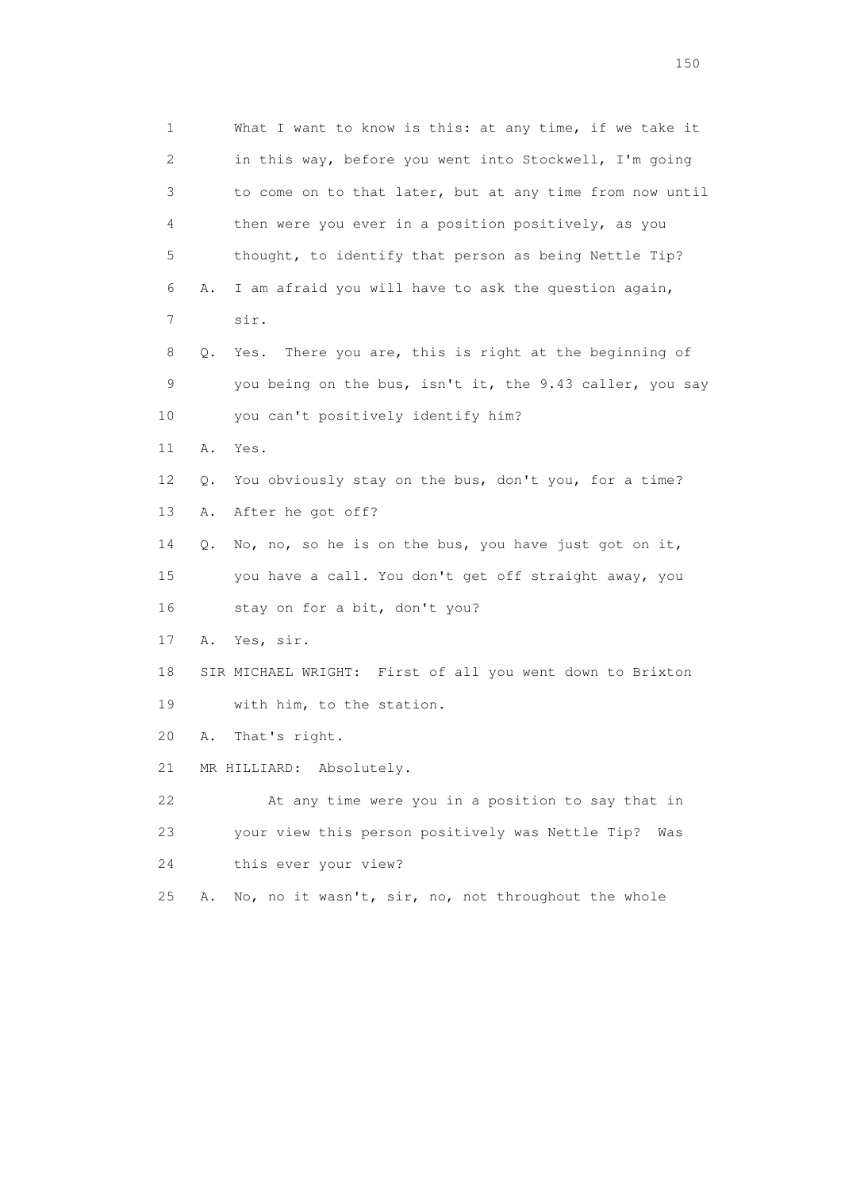1 What I want to know is this: at any time, if we take it 2 in this way, before you went into Stockwell, I'm going 3 to come on to that later, but at any time from now until 4 then were you ever in a position positively, as you 5 thought, to identify that person as being Nettle Tip? 6 A. I am afraid you will have to ask the question again, 7 sir. 8 Q. Yes. There you are, this is right at the beginning of 9 you being on the bus, isn't it, the 9.43 caller, you say 10 you can't positively identify him? 11 A. Yes. 12 Q. You obviously stay on the bus, don't you, for a time? 13 A. After he got off? 14 Q. No, no, so he is on the bus, you have just got on it, 15 you have a call. You don't get off straight away, you 16 stay on for a bit, don't you? 17 A. Yes, sir. 18 SIR MICHAEL WRIGHT: First of all you went down to Brixton 19 with him, to the station. 20 A. That's right. 21 MR HILLIARD: Absolutely. 22 At any time were you in a position to say that in 23 your view this person positively was Nettle Tip? Was 24 this ever your view? 25 A. No, no it wasn't, sir, no, not throughout the whole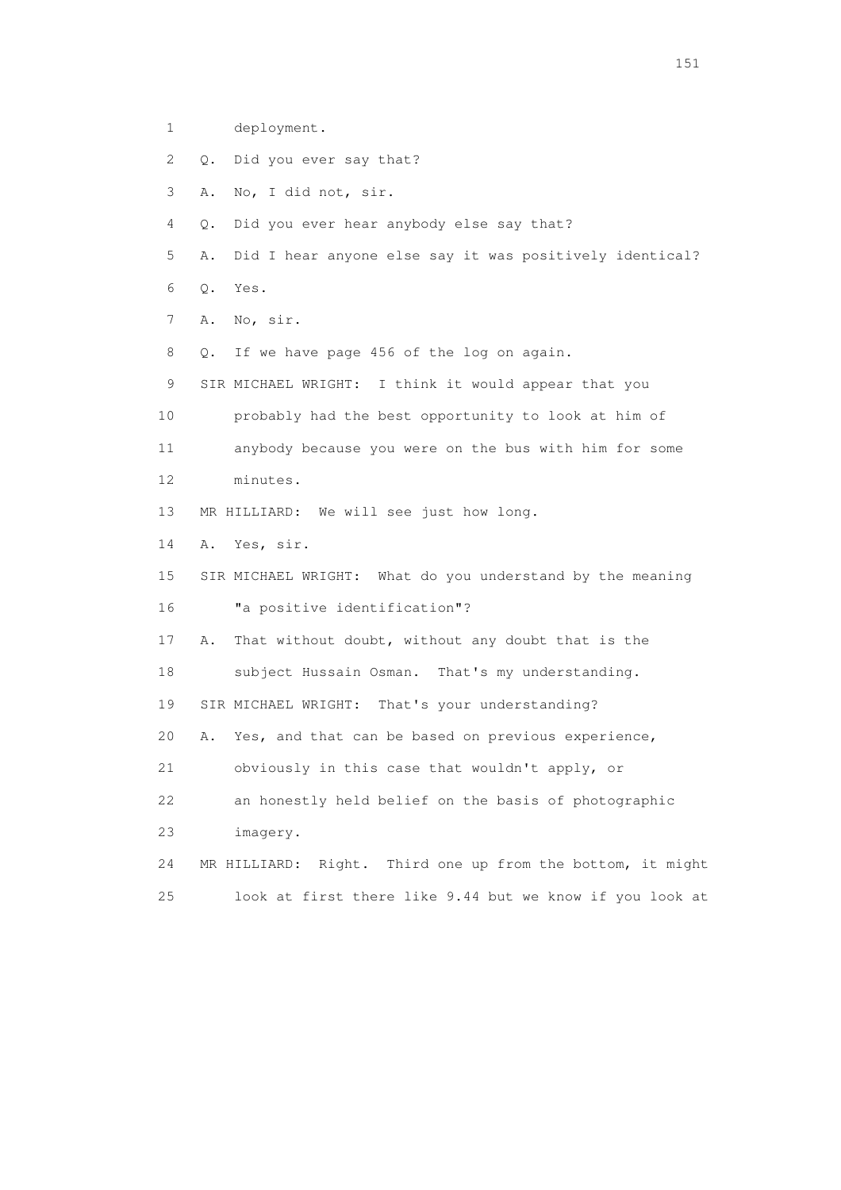1 deployment.

- 2 Q. Did you ever say that?
- 3 A. No, I did not, sir.
- 4 Q. Did you ever hear anybody else say that?
- 5 A. Did I hear anyone else say it was positively identical?
- 6 Q. Yes.
- 7 A. No, sir.
- 8 Q. If we have page 456 of the log on again.
- 9 SIR MICHAEL WRIGHT: I think it would appear that you
- 10 probably had the best opportunity to look at him of
- 11 anybody because you were on the bus with him for some
- 12 minutes.
- 13 MR HILLIARD: We will see just how long.
- 14 A. Yes, sir.
- 15 SIR MICHAEL WRIGHT: What do you understand by the meaning 16 "a positive identification"?
- 17 A. That without doubt, without any doubt that is the
- 18 subject Hussain Osman. That's my understanding.
- 19 SIR MICHAEL WRIGHT: That's your understanding?
- 20 A. Yes, and that can be based on previous experience,
- 21 obviously in this case that wouldn't apply, or
- 22 an honestly held belief on the basis of photographic
- 23 imagery.
- 24 MR HILLIARD: Right. Third one up from the bottom, it might 25 look at first there like 9.44 but we know if you look at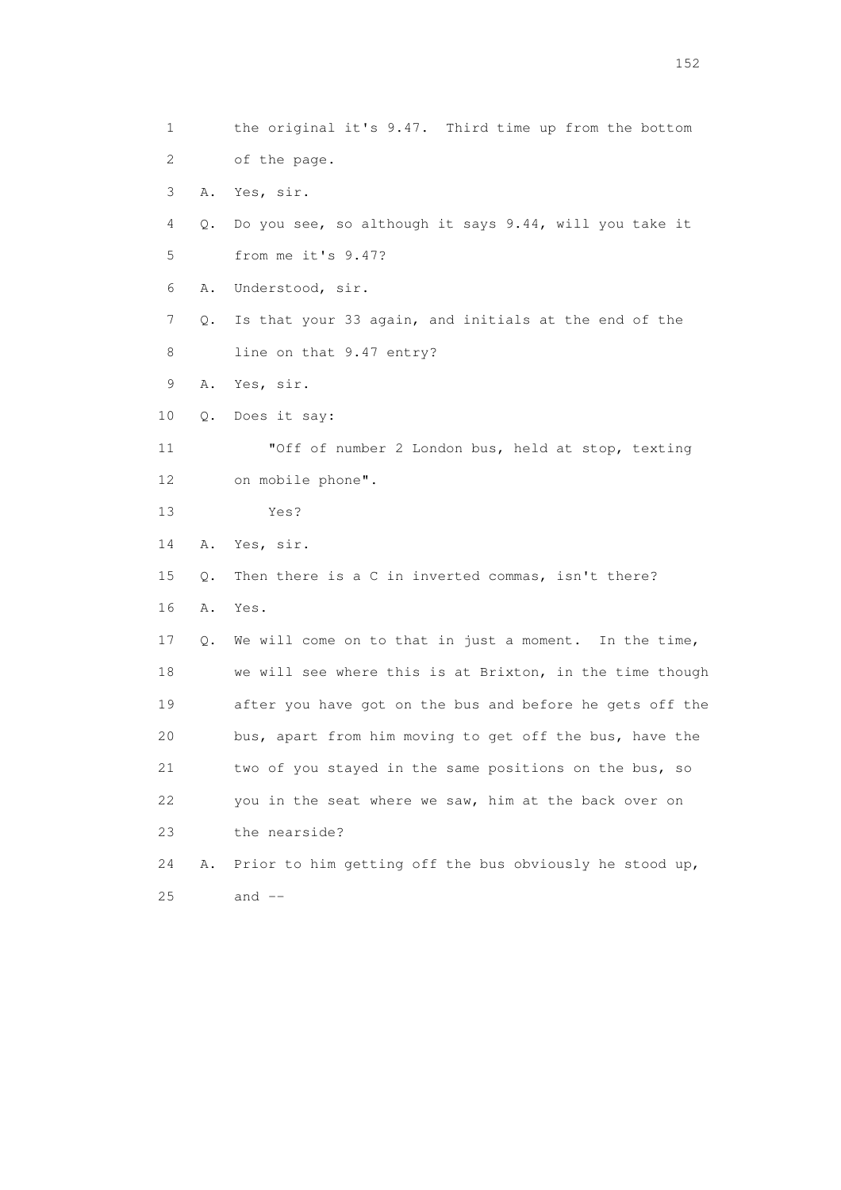1 the original it's 9.47. Third time up from the bottom 2 of the page. 3 A. Yes, sir. 4 Q. Do you see, so although it says 9.44, will you take it 5 from me it's 9.47? 6 A. Understood, sir. 7 Q. Is that your 33 again, and initials at the end of the 8 line on that 9.47 entry? 9 A. Yes, sir. 10 Q. Does it say: 11 "Off of number 2 London bus, held at stop, texting 12 on mobile phone". 13 Yes? 14 A. Yes, sir. 15 Q. Then there is a C in inverted commas, isn't there? 16 A. Yes. 17 Q. We will come on to that in just a moment. In the time, 18 we will see where this is at Brixton, in the time though 19 after you have got on the bus and before he gets off the 20 bus, apart from him moving to get off the bus, have the 21 two of you stayed in the same positions on the bus, so 22 you in the seat where we saw, him at the back over on 23 the nearside? 24 A. Prior to him getting off the bus obviously he stood up, 25 and --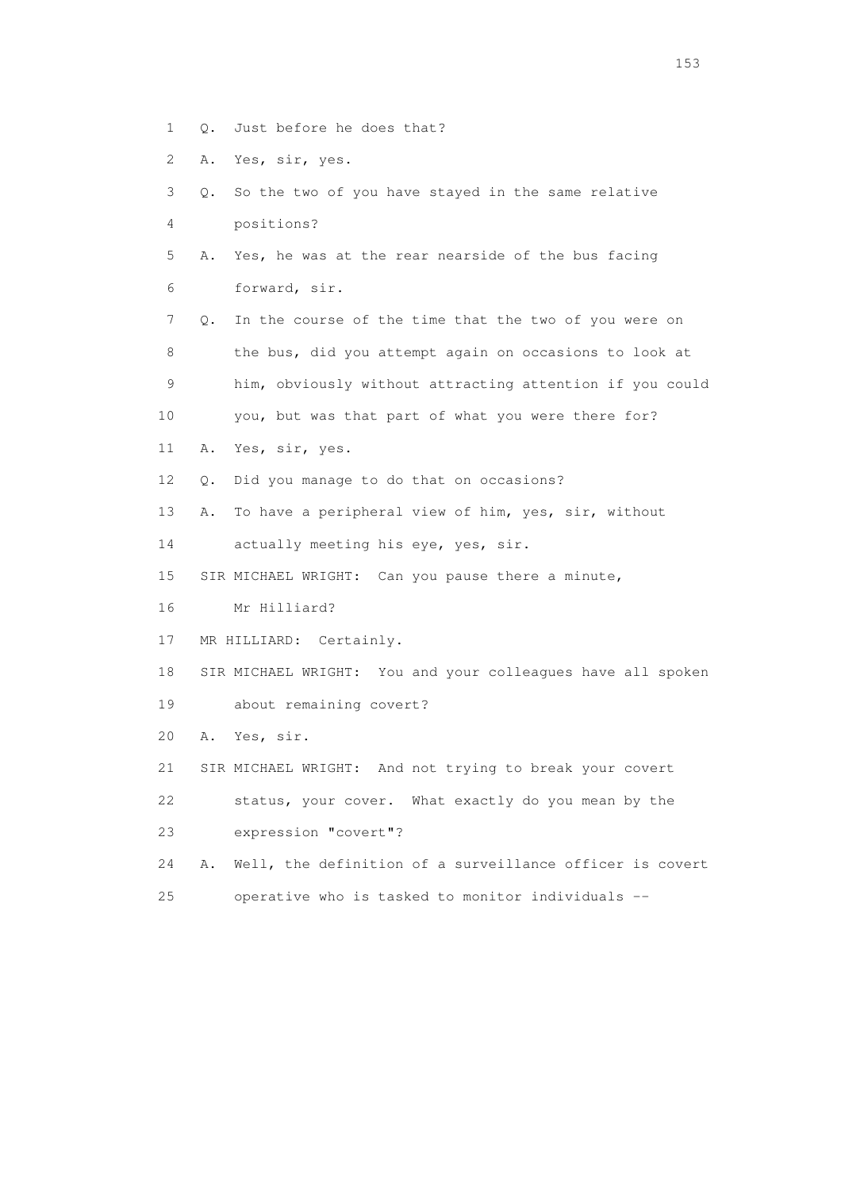- 1 Q. Just before he does that?
- 2 A. Yes, sir, yes.
- 3 Q. So the two of you have stayed in the same relative 4 positions?
- 5 A. Yes, he was at the rear nearside of the bus facing 6 forward, sir.
- 7 Q. In the course of the time that the two of you were on 8 the bus, did you attempt again on occasions to look at 9 him, obviously without attracting attention if you could 10 you, but was that part of what you were there for?
- 11 A. Yes, sir, yes.
- 12 Q. Did you manage to do that on occasions?
- 13 A. To have a peripheral view of him, yes, sir, without
- 14 actually meeting his eye, yes, sir.
- 15 SIR MICHAEL WRIGHT: Can you pause there a minute,
- 16 Mr Hilliard?
- 17 MR HILLIARD: Certainly.
- 18 SIR MICHAEL WRIGHT: You and your colleagues have all spoken
- 19 about remaining covert?
- 20 A. Yes, sir.
- 21 SIR MICHAEL WRIGHT: And not trying to break your covert
- 22 status, your cover. What exactly do you mean by the

23 expression "covert"?

- 24 A. Well, the definition of a surveillance officer is covert
- 25 operative who is tasked to monitor individuals --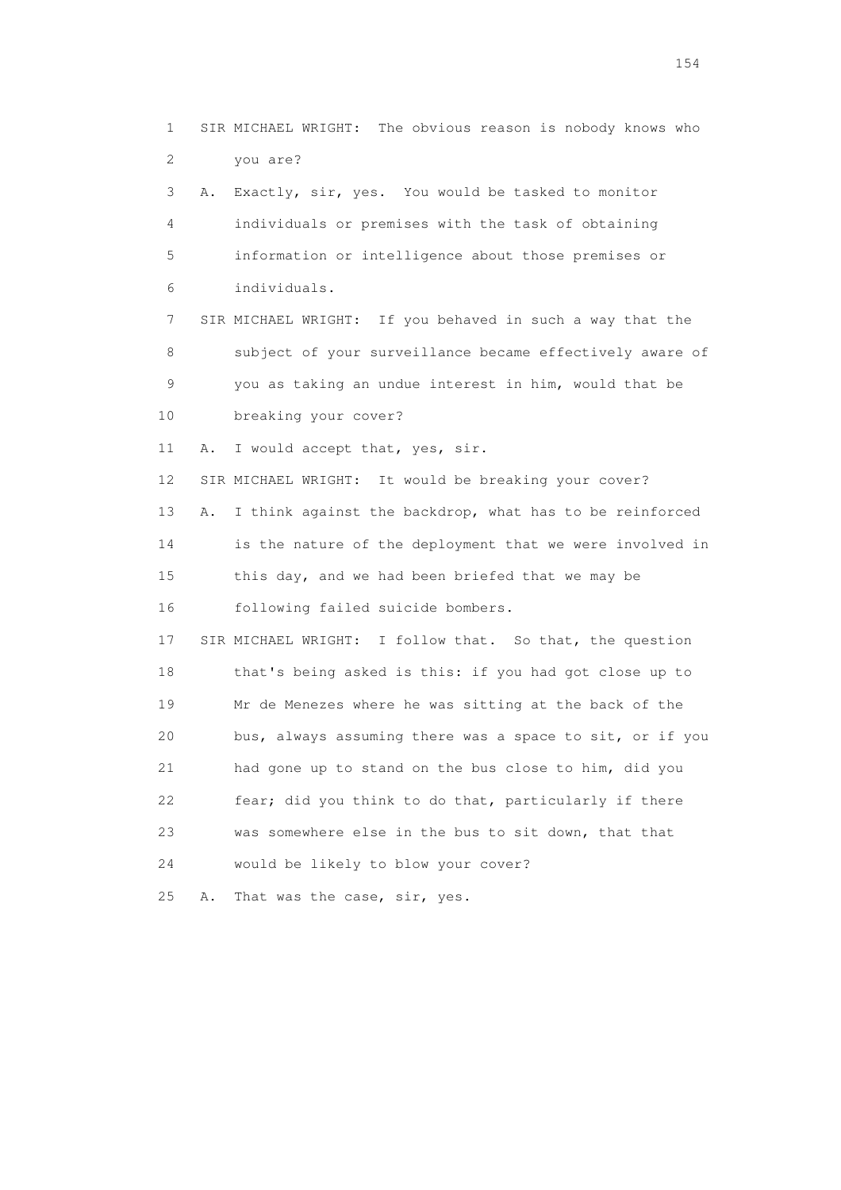1 SIR MICHAEL WRIGHT: The obvious reason is nobody knows who 2 you are? 3 A. Exactly, sir, yes. You would be tasked to monitor 4 individuals or premises with the task of obtaining 5 information or intelligence about those premises or 6 individuals. 7 SIR MICHAEL WRIGHT: If you behaved in such a way that the 8 subject of your surveillance became effectively aware of 9 you as taking an undue interest in him, would that be 10 breaking your cover? 11 A. I would accept that, yes, sir. 12 SIR MICHAEL WRIGHT: It would be breaking your cover? 13 A. I think against the backdrop, what has to be reinforced 14 is the nature of the deployment that we were involved in 15 this day, and we had been briefed that we may be 16 following failed suicide bombers. 17 SIR MICHAEL WRIGHT: I follow that. So that, the question 18 that's being asked is this: if you had got close up to 19 Mr de Menezes where he was sitting at the back of the 20 bus, always assuming there was a space to sit, or if you 21 had gone up to stand on the bus close to him, did you 22 fear; did you think to do that, particularly if there 23 was somewhere else in the bus to sit down, that that 24 would be likely to blow your cover? 25 A. That was the case, sir, yes.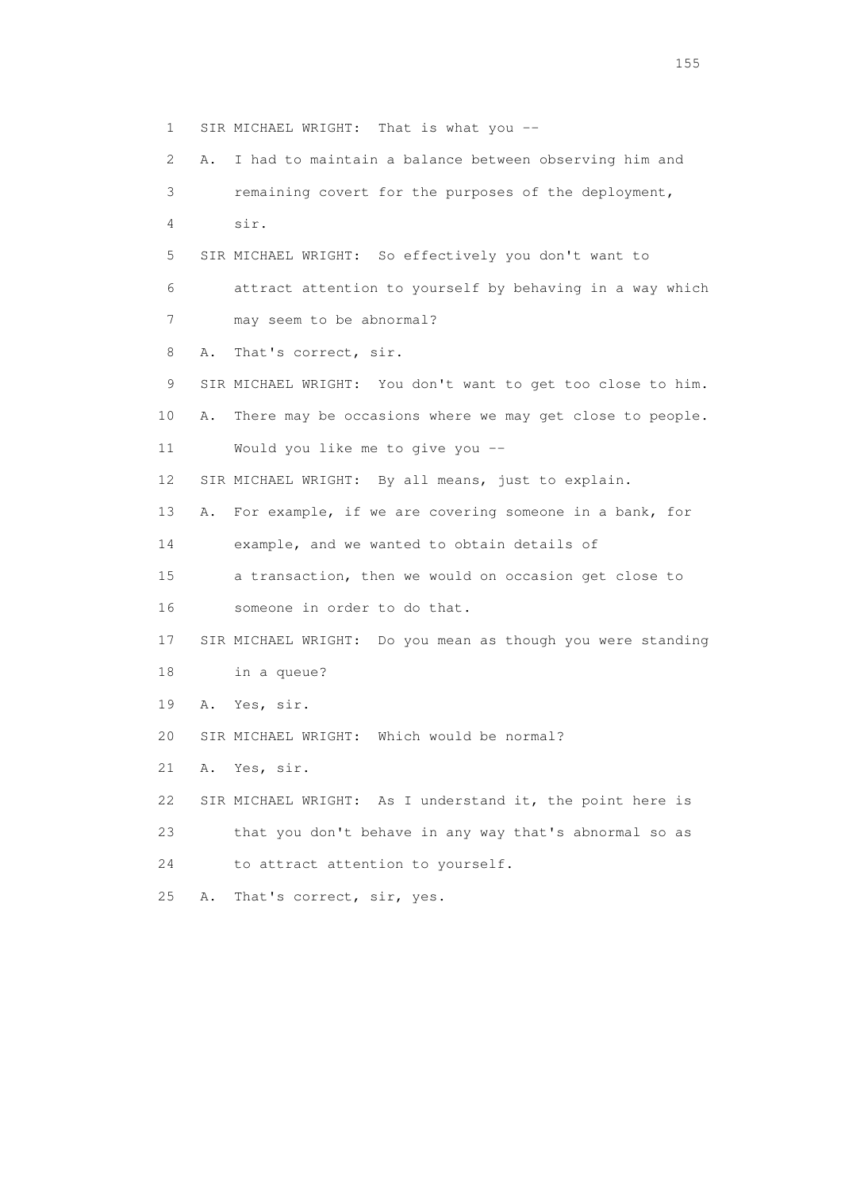1 SIR MICHAEL WRIGHT: That is what you -- 2 A. I had to maintain a balance between observing him and 3 remaining covert for the purposes of the deployment, 4 sir. 5 SIR MICHAEL WRIGHT: So effectively you don't want to 6 attract attention to yourself by behaving in a way which 7 may seem to be abnormal? 8 A. That's correct, sir. 9 SIR MICHAEL WRIGHT: You don't want to get too close to him. 10 A. There may be occasions where we may get close to people. 11 Would you like me to give you -- 12 SIR MICHAEL WRIGHT: By all means, just to explain. 13 A. For example, if we are covering someone in a bank, for 14 example, and we wanted to obtain details of 15 a transaction, then we would on occasion get close to 16 someone in order to do that. 17 SIR MICHAEL WRIGHT: Do you mean as though you were standing 18 in a queue? 19 A. Yes, sir. 20 SIR MICHAEL WRIGHT: Which would be normal? 21 A. Yes, sir. 22 SIR MICHAEL WRIGHT: As I understand it, the point here is 23 that you don't behave in any way that's abnormal so as 24 to attract attention to yourself. 25 A. That's correct, sir, yes.

n 155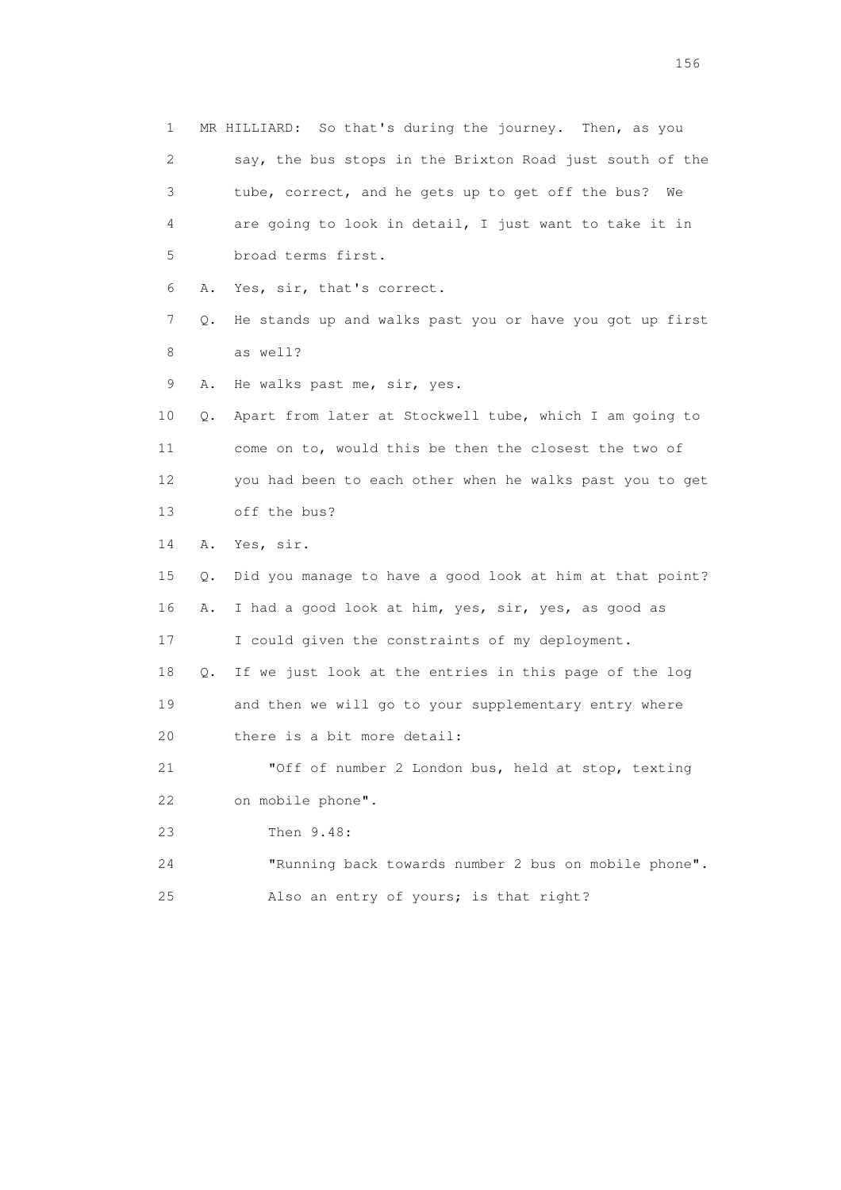1 MR HILLIARD: So that's during the journey. Then, as you 2 say, the bus stops in the Brixton Road just south of the 3 tube, correct, and he gets up to get off the bus? We 4 are going to look in detail, I just want to take it in 5 broad terms first. 6 A. Yes, sir, that's correct. 7 Q. He stands up and walks past you or have you got up first 8 as well? 9 A. He walks past me, sir, yes. 10 Q. Apart from later at Stockwell tube, which I am going to 11 come on to, would this be then the closest the two of 12 you had been to each other when he walks past you to get 13 off the bus? 14 A. Yes, sir. 15 Q. Did you manage to have a good look at him at that point? 16 A. I had a good look at him, yes, sir, yes, as good as 17 I could given the constraints of my deployment. 18 Q. If we just look at the entries in this page of the log 19 and then we will go to your supplementary entry where 20 there is a bit more detail: 21 "Off of number 2 London bus, held at stop, texting 22 on mobile phone". 23 Then 9.48: 24 "Running back towards number 2 bus on mobile phone". 25 Also an entry of yours; is that right?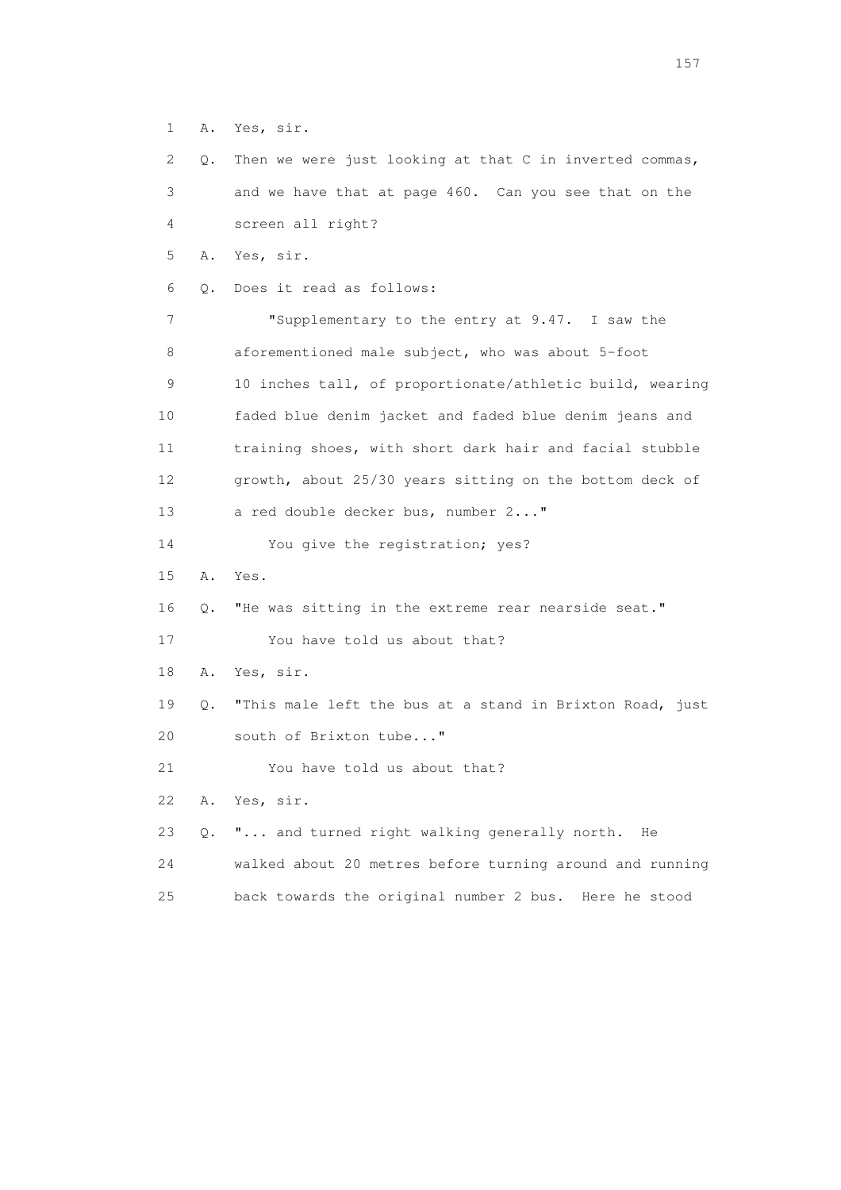1 A. Yes, sir.

 2 Q. Then we were just looking at that C in inverted commas, 3 and we have that at page 460. Can you see that on the 4 screen all right? 5 A. Yes, sir. 6 Q. Does it read as follows: 7 "Supplementary to the entry at 9.47. I saw the 8 aforementioned male subject, who was about 5-foot 9 10 inches tall, of proportionate/athletic build, wearing 10 faded blue denim jacket and faded blue denim jeans and 11 training shoes, with short dark hair and facial stubble 12 growth, about 25/30 years sitting on the bottom deck of 13 a red double decker bus, number 2..." 14 You give the registration; yes? 15 A. Yes. 16 Q. "He was sitting in the extreme rear nearside seat." 17 You have told us about that? 18 A. Yes, sir. 19 Q. "This male left the bus at a stand in Brixton Road, just 20 south of Brixton tube..." 21 You have told us about that? 22 A. Yes, sir. 23 Q. "... and turned right walking generally north. He 24 walked about 20 metres before turning around and running 25 back towards the original number 2 bus. Here he stood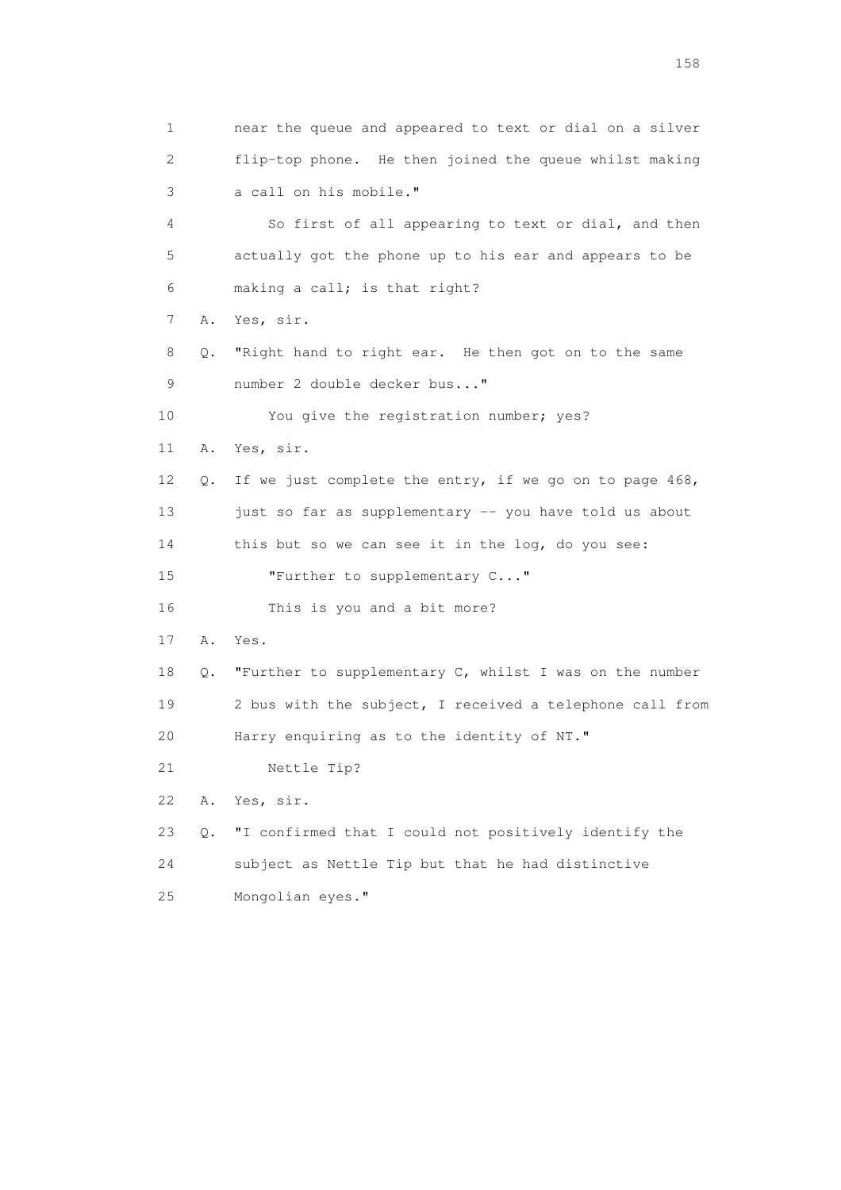1 near the queue and appeared to text or dial on a silver 2 flip-top phone. He then joined the queue whilst making 3 a call on his mobile." 4 So first of all appearing to text or dial, and then 5 actually got the phone up to his ear and appears to be 6 making a call; is that right? 7 A. Yes, sir. 8 Q. "Right hand to right ear. He then got on to the same 9 number 2 double decker bus..." 10 You give the registration number; yes? 11 A. Yes, sir. 12 Q. If we just complete the entry, if we go on to page 468, 13 just so far as supplementary -- you have told us about 14 this but so we can see it in the log, do you see: 15 **"Further to supplementary C..."**  16 This is you and a bit more? 17 A. Yes. 18 Q. "Further to supplementary C, whilst I was on the number 19 2 bus with the subject, I received a telephone call from 20 Harry enquiring as to the identity of NT." 21 Nettle Tip? 22 A. Yes, sir. 23 Q. "I confirmed that I could not positively identify the 24 subject as Nettle Tip but that he had distinctive 25 Mongolian eyes."

158 and 158 and 158 and 158 and 158 and 158 and 158 and 158 and 158 and 158 and 158 and 158 and 158 and 158 and 158 and 158 and 158 and 158 and 158 and 158 and 159 and 159 and 159 and 159 and 159 and 159 and 159 and 159 an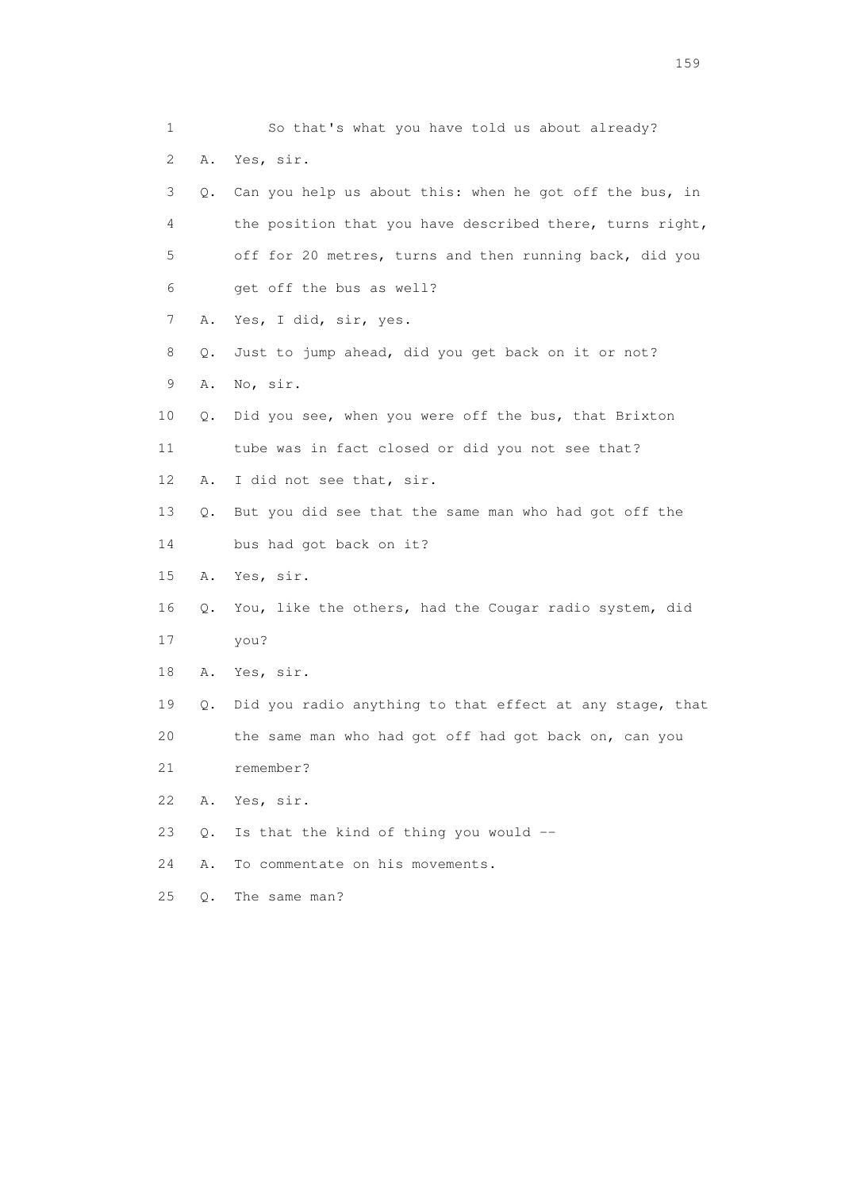1 So that's what you have told us about already? 2 A. Yes, sir. 3 Q. Can you help us about this: when he got off the bus, in 4 the position that you have described there, turns right, 5 off for 20 metres, turns and then running back, did you 6 get off the bus as well? 7 A. Yes, I did, sir, yes. 8 Q. Just to jump ahead, did you get back on it or not? 9 A. No, sir. 10 Q. Did you see, when you were off the bus, that Brixton 11 tube was in fact closed or did you not see that? 12 A. I did not see that, sir. 13 Q. But you did see that the same man who had got off the 14 bus had got back on it? 15 A. Yes, sir. 16 Q. You, like the others, had the Cougar radio system, did 17 you? 18 A. Yes, sir. 19 Q. Did you radio anything to that effect at any stage, that 20 the same man who had got off had got back on, can you 21 remember? 22 A. Yes, sir. 23 Q. Is that the kind of thing you would -- 24 A. To commentate on his movements. 25 Q. The same man?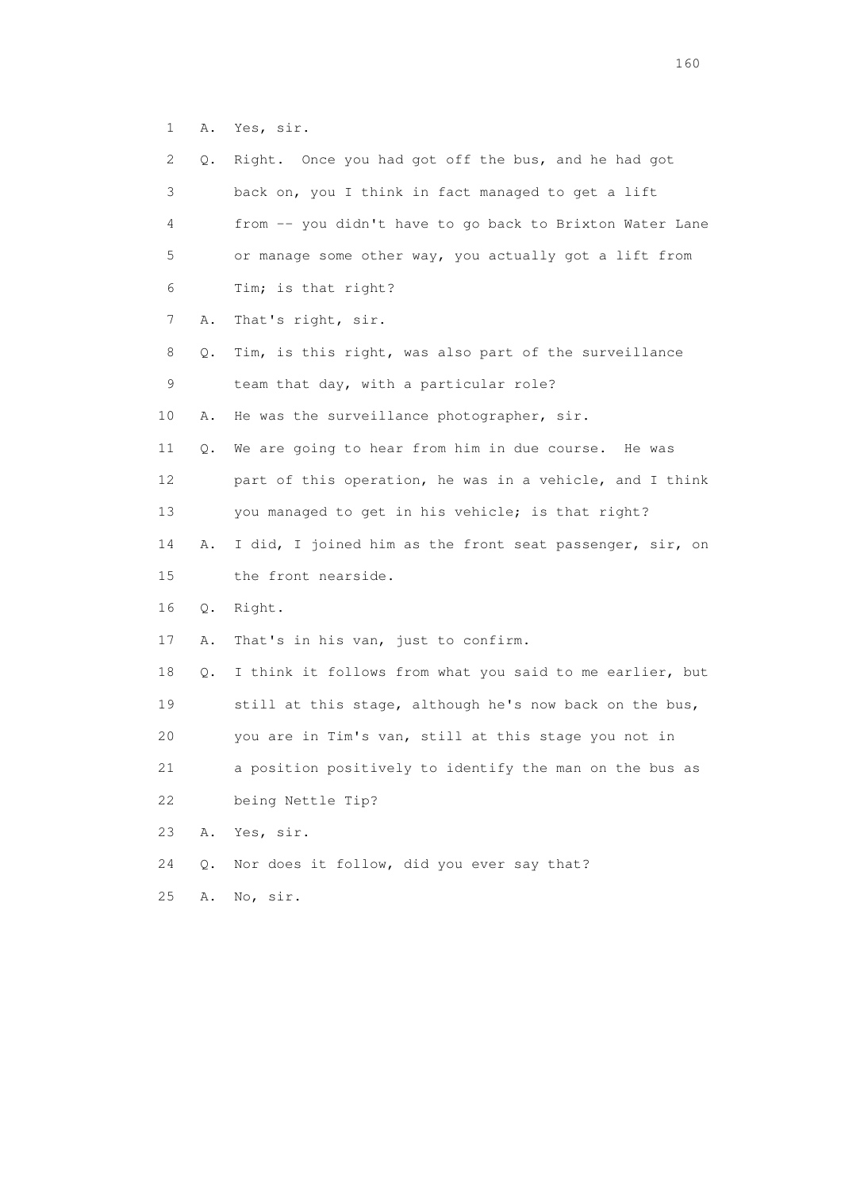1 A. Yes, sir.

| 2  | Q. | Right. Once you had got off the bus, and he had got      |
|----|----|----------------------------------------------------------|
| 3  |    | back on, you I think in fact managed to get a lift       |
| 4  |    | from -- you didn't have to go back to Brixton Water Lane |
| 5  |    | or manage some other way, you actually got a lift from   |
| 6  |    | Tim; is that right?                                      |
| 7  | Α. | That's right, sir.                                       |
| 8  | Q. | Tim, is this right, was also part of the surveillance    |
| 9  |    | team that day, with a particular role?                   |
| 10 | Α. | He was the surveillance photographer, sir.               |
| 11 | Q. | We are going to hear from him in due course.<br>He was   |
| 12 |    | part of this operation, he was in a vehicle, and I think |
| 13 |    | you managed to get in his vehicle; is that right?        |
| 14 | Α. | I did, I joined him as the front seat passenger, sir, on |
| 15 |    | the front nearside.                                      |
| 16 | Q. | Right.                                                   |
| 17 | Α. | That's in his van, just to confirm.                      |
| 18 | Q. | I think it follows from what you said to me earlier, but |
| 19 |    | still at this stage, although he's now back on the bus,  |
| 20 |    | you are in Tim's van, still at this stage you not in     |
| 21 |    | a position positively to identify the man on the bus as  |
| 22 |    | being Nettle Tip?                                        |
| 23 | Α. | Yes, sir.                                                |
| 24 | Q. | Nor does it follow, did you ever say that?               |
| 25 | Α. | No, sir.                                                 |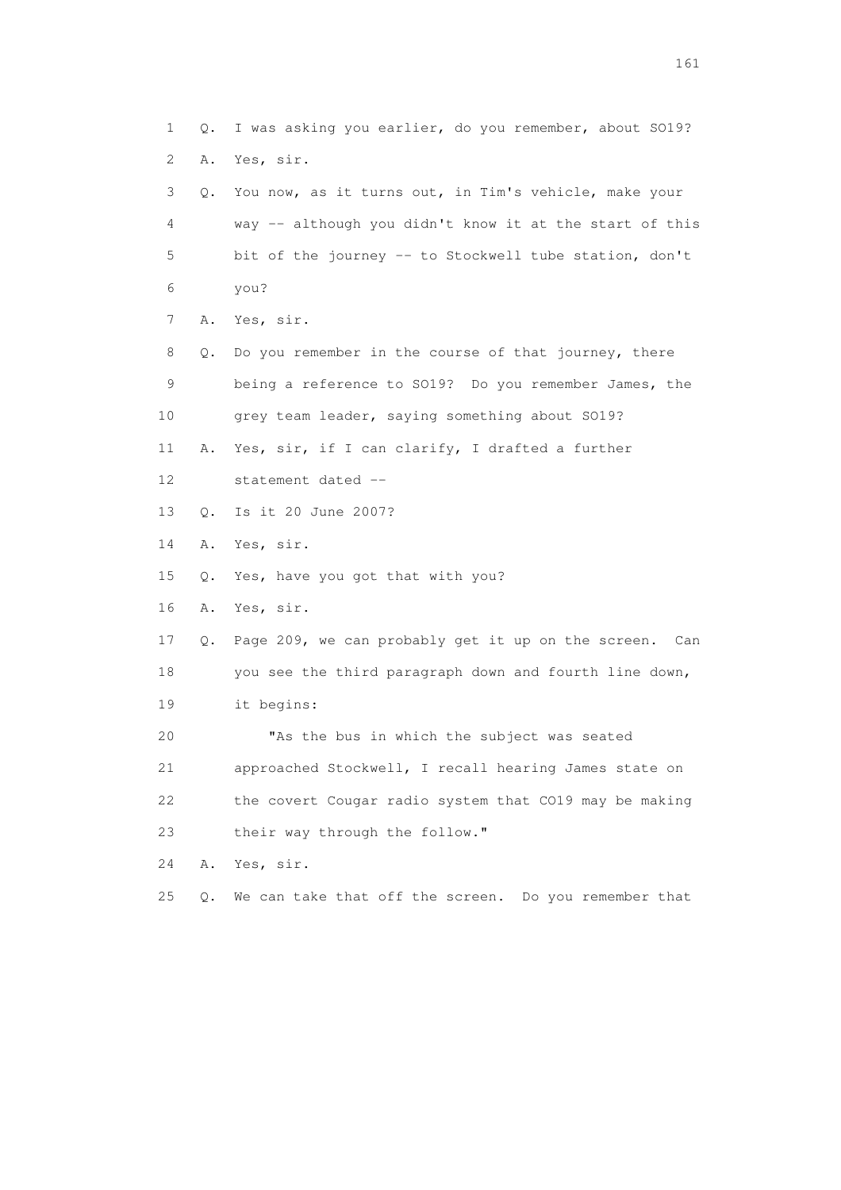1 Q. I was asking you earlier, do you remember, about SO19? 2 A. Yes, sir. 3 Q. You now, as it turns out, in Tim's vehicle, make your 4 way -- although you didn't know it at the start of this 5 bit of the journey -- to Stockwell tube station, don't 6 you? 7 A. Yes, sir. 8 Q. Do you remember in the course of that journey, there 9 being a reference to SO19? Do you remember James, the 10 grey team leader, saying something about SO19? 11 A. Yes, sir, if I can clarify, I drafted a further 12 statement dated -- 13 Q. Is it 20 June 2007? 14 A. Yes, sir. 15 Q. Yes, have you got that with you? 16 A. Yes, sir. 17 Q. Page 209, we can probably get it up on the screen. Can 18 you see the third paragraph down and fourth line down, 19 it begins: 20 "As the bus in which the subject was seated 21 approached Stockwell, I recall hearing James state on 22 the covert Cougar radio system that CO19 may be making 23 their way through the follow." 24 A. Yes, sir. 25 Q. We can take that off the screen. Do you remember that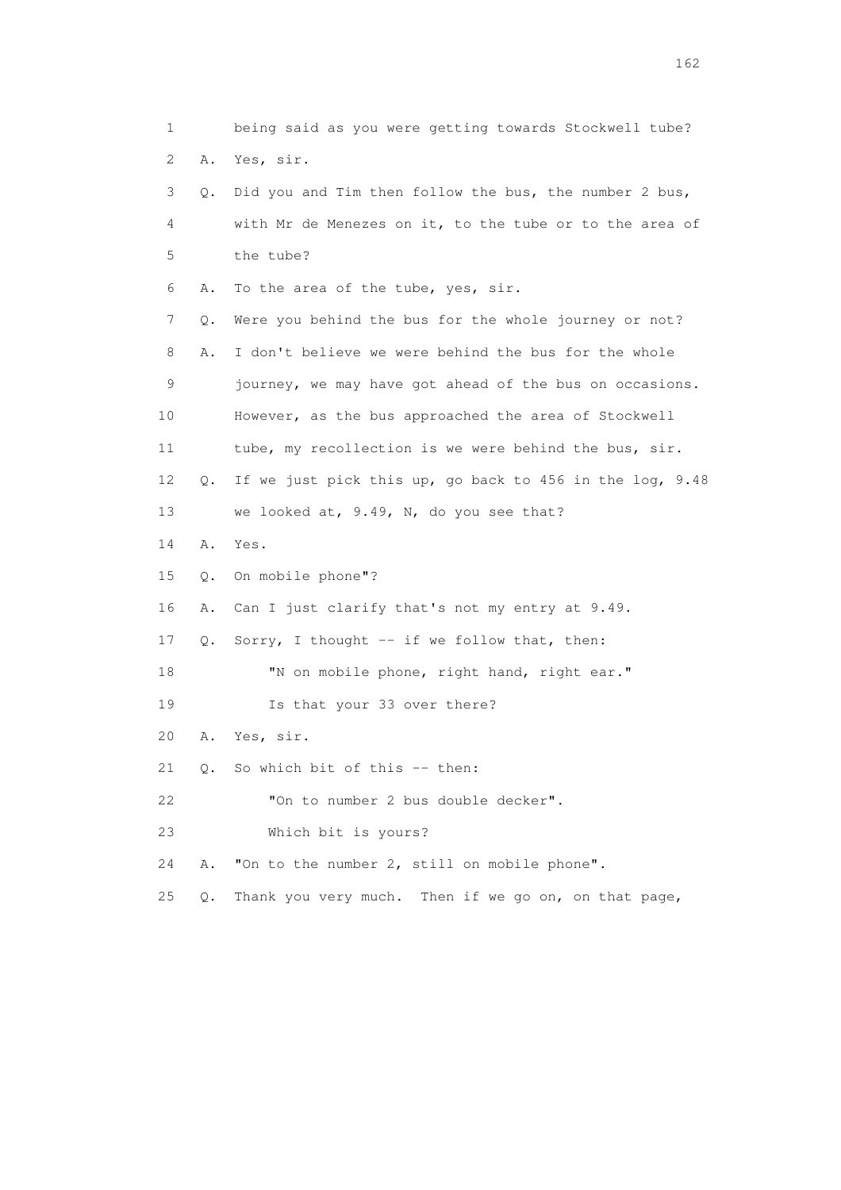1 being said as you were getting towards Stockwell tube? 2 A. Yes, sir. 3 Q. Did you and Tim then follow the bus, the number 2 bus, 4 with Mr de Menezes on it, to the tube or to the area of 5 the tube? 6 A. To the area of the tube, yes, sir. 7 Q. Were you behind the bus for the whole journey or not? 8 A. I don't believe we were behind the bus for the whole 9 journey, we may have got ahead of the bus on occasions. 10 However, as the bus approached the area of Stockwell 11 tube, my recollection is we were behind the bus, sir. 12 Q. If we just pick this up, go back to 456 in the log, 9.48 13 we looked at, 9.49, N, do you see that? 14 A. Yes. 15 Q. On mobile phone"? 16 A. Can I just clarify that's not my entry at 9.49. 17 Q. Sorry, I thought -- if we follow that, then: 18 "N on mobile phone, right hand, right ear." 19 Is that your 33 over there? 20 A. Yes, sir. 21 Q. So which bit of this -- then: 22 "On to number 2 bus double decker". 23 Which bit is yours? 24 A. "On to the number 2, still on mobile phone". 25 Q. Thank you very much. Then if we go on, on that page,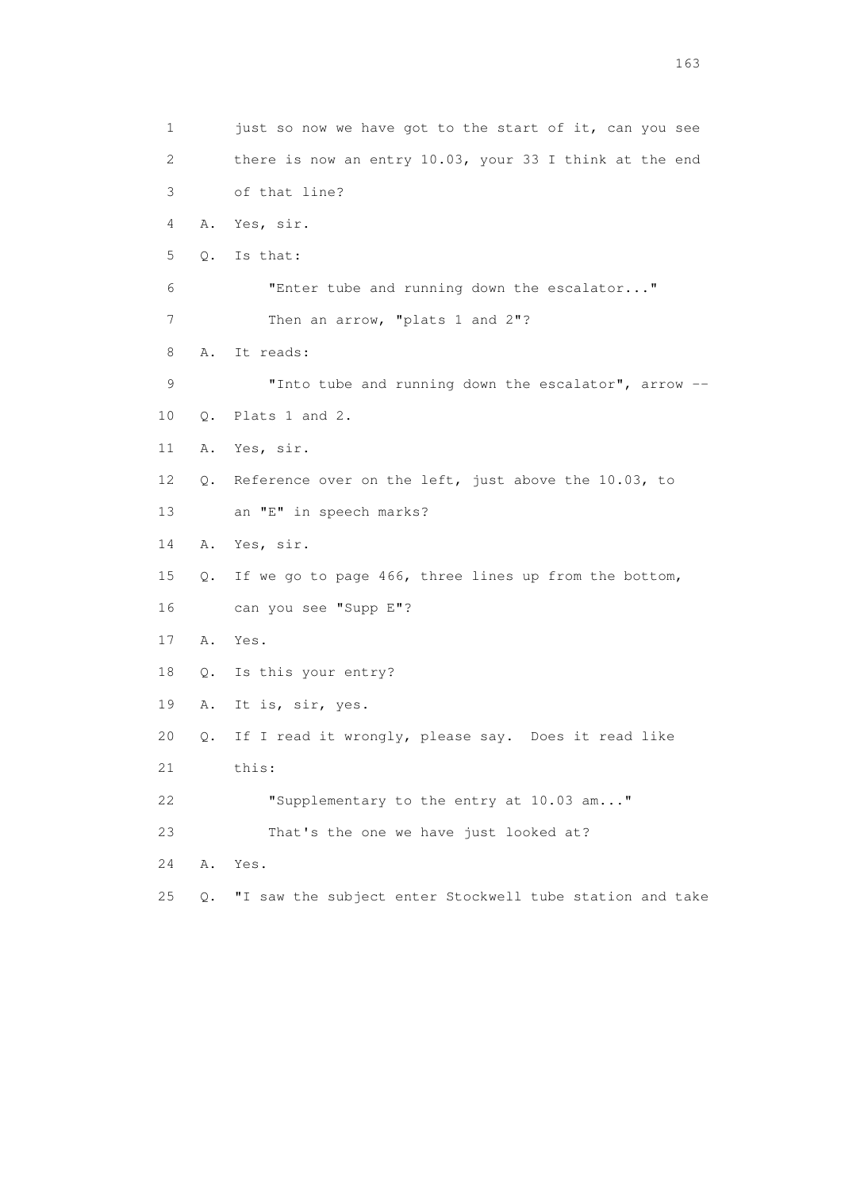1 just so now we have got to the start of it, can you see 2 there is now an entry 10.03, your 33 I think at the end 3 of that line? 4 A. Yes, sir. 5 Q. Is that: 6 "Enter tube and running down the escalator..." 7 Then an arrow, "plats 1 and 2"? 8 A. It reads: 9 "Into tube and running down the escalator", arrow -- 10 Q. Plats 1 and 2. 11 A. Yes, sir. 12 Q. Reference over on the left, just above the 10.03, to 13 an "E" in speech marks? 14 A. Yes, sir. 15 Q. If we go to page 466, three lines up from the bottom, 16 can you see "Supp E"? 17 A. Yes. 18 Q. Is this your entry? 19 A. It is, sir, yes. 20 Q. If I read it wrongly, please say. Does it read like 21 this: 22 "Supplementary to the entry at 10.03 am..." 23 That's the one we have just looked at? 24 A. Yes. 25 Q. "I saw the subject enter Stockwell tube station and take

<u>163</u>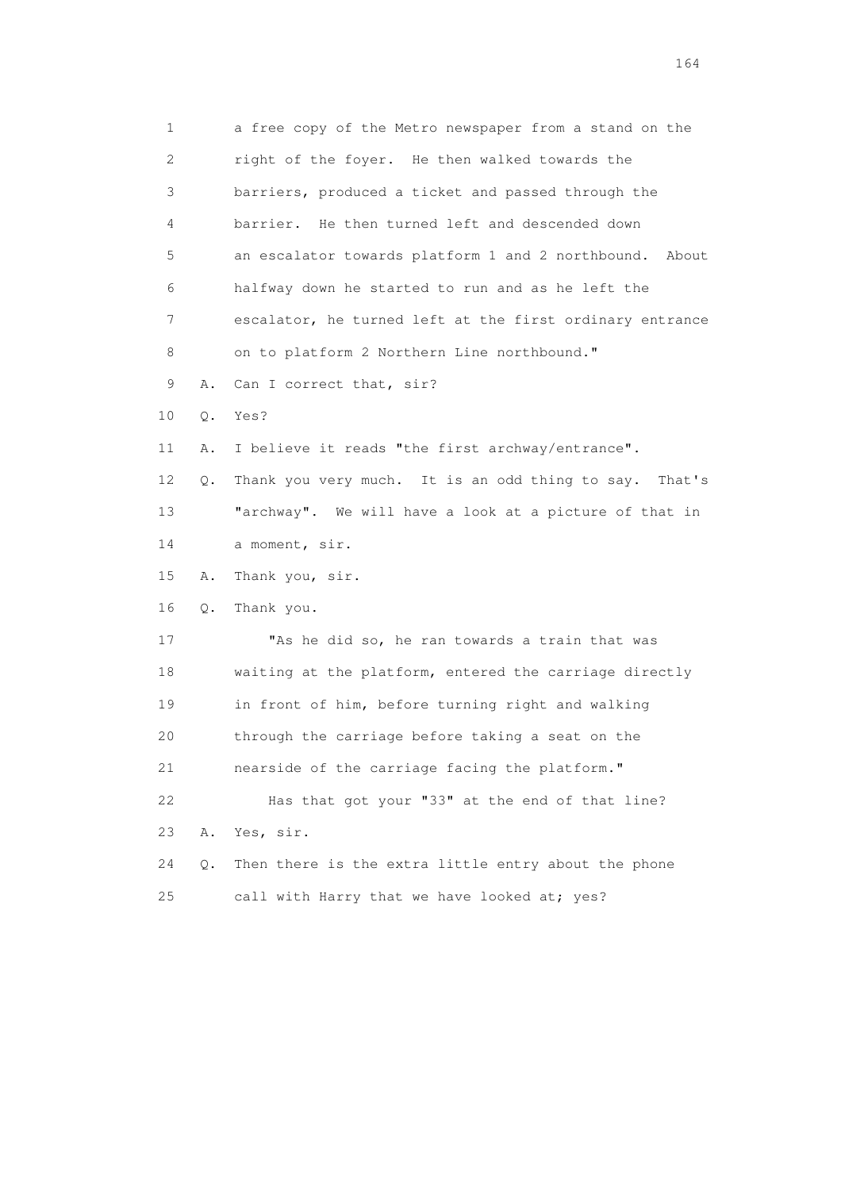1 a free copy of the Metro newspaper from a stand on the 2 right of the foyer. He then walked towards the 3 barriers, produced a ticket and passed through the 4 barrier. He then turned left and descended down 5 an escalator towards platform 1 and 2 northbound. About 6 halfway down he started to run and as he left the 7 escalator, he turned left at the first ordinary entrance 8 on to platform 2 Northern Line northbound." 9 A. Can I correct that, sir? 10 Q. Yes? 11 A. I believe it reads "the first archway/entrance". 12 Q. Thank you very much. It is an odd thing to say. That's 13 "archway". We will have a look at a picture of that in 14 a moment, sir. 15 A. Thank you, sir. 16 Q. Thank you. 17 "As he did so, he ran towards a train that was 18 waiting at the platform, entered the carriage directly 19 in front of him, before turning right and walking 20 through the carriage before taking a seat on the 21 nearside of the carriage facing the platform." 22 Has that got your "33" at the end of that line? 23 A. Yes, sir. 24 Q. Then there is the extra little entry about the phone 25 call with Harry that we have looked at; yes?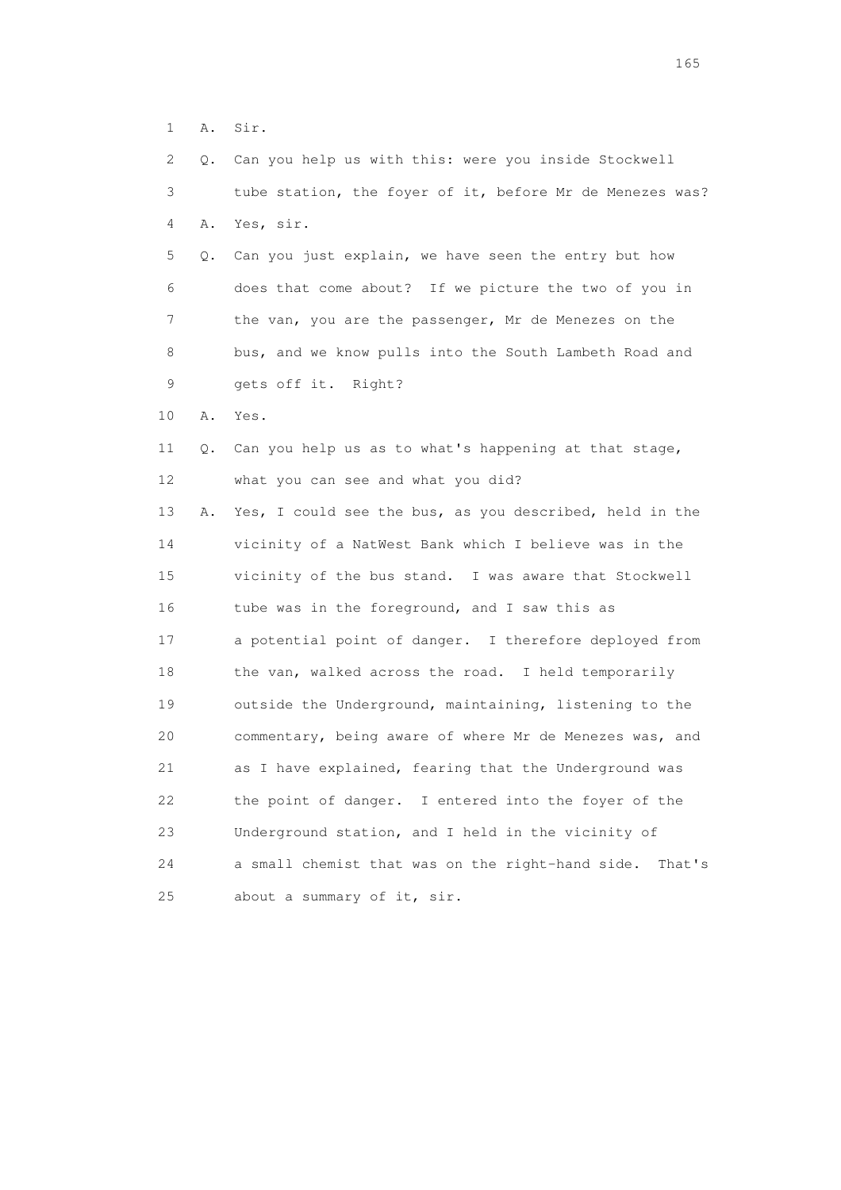1 A. Sir.

|    | 2<br>Q.     | Can you help us with this: were you inside Stockwell       |
|----|-------------|------------------------------------------------------------|
|    | 3           | tube station, the foyer of it, before Mr de Menezes was?   |
|    | 4<br>Α.     | Yes, sir.                                                  |
|    | 5<br>Q.     | Can you just explain, we have seen the entry but how       |
|    | 6           | does that come about? If we picture the two of you in      |
|    | 7           | the van, you are the passenger, Mr de Menezes on the       |
|    | 8           | bus, and we know pulls into the South Lambeth Road and     |
|    | $\mathsf 9$ | gets off it. Right?                                        |
| 10 | Α.          | Yes.                                                       |
| 11 | Q.          | Can you help us as to what's happening at that stage,      |
| 12 |             | what you can see and what you did?                         |
| 13 | Α.          | Yes, I could see the bus, as you described, held in the    |
| 14 |             | vicinity of a NatWest Bank which I believe was in the      |
| 15 |             | vicinity of the bus stand. I was aware that Stockwell      |
| 16 |             | tube was in the foreground, and I saw this as              |
| 17 |             | a potential point of danger. I therefore deployed from     |
| 18 |             | the van, walked across the road. I held temporarily        |
| 19 |             | outside the Underground, maintaining, listening to the     |
| 20 |             | commentary, being aware of where Mr de Menezes was, and    |
| 21 |             | as I have explained, fearing that the Underground was      |
| 22 |             | the point of danger. I entered into the foyer of the       |
| 23 |             | Underground station, and I held in the vicinity of         |
| 24 |             | a small chemist that was on the right-hand side.<br>That's |
| 25 |             | about a summary of it, sir.                                |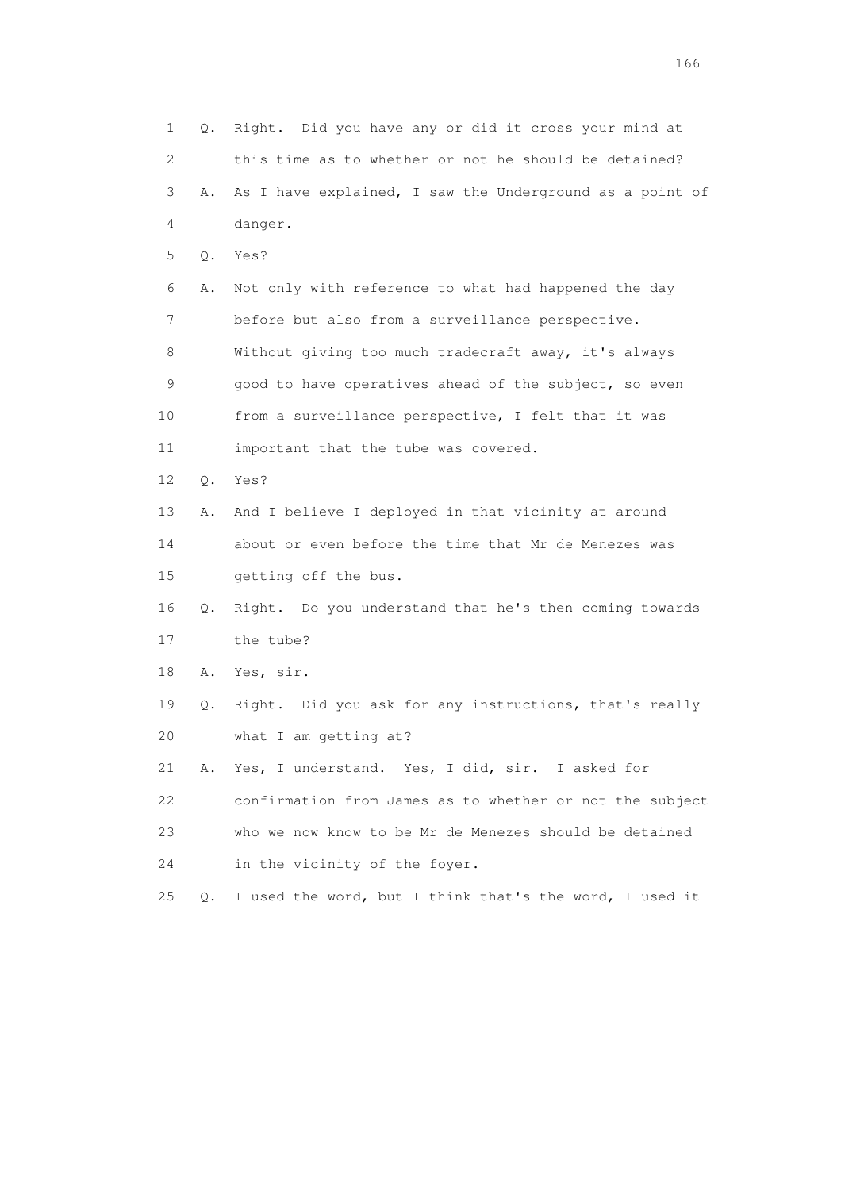1 Q. Right. Did you have any or did it cross your mind at 2 this time as to whether or not he should be detained? 3 A. As I have explained, I saw the Underground as a point of 4 danger. 5 Q. Yes? 6 A. Not only with reference to what had happened the day 7 before but also from a surveillance perspective. 8 Without giving too much tradecraft away, it's always 9 good to have operatives ahead of the subject, so even 10 from a surveillance perspective, I felt that it was 11 important that the tube was covered. 12 Q. Yes? 13 A. And I believe I deployed in that vicinity at around 14 about or even before the time that Mr de Menezes was 15 getting off the bus. 16 Q. Right. Do you understand that he's then coming towards 17 the tube? 18 A. Yes, sir. 19 Q. Right. Did you ask for any instructions, that's really 20 what I am getting at? 21 A. Yes, I understand. Yes, I did, sir. I asked for 22 confirmation from James as to whether or not the subject 23 who we now know to be Mr de Menezes should be detained 24 in the vicinity of the foyer. 25 Q. I used the word, but I think that's the word, I used it

<u>166</u> **166**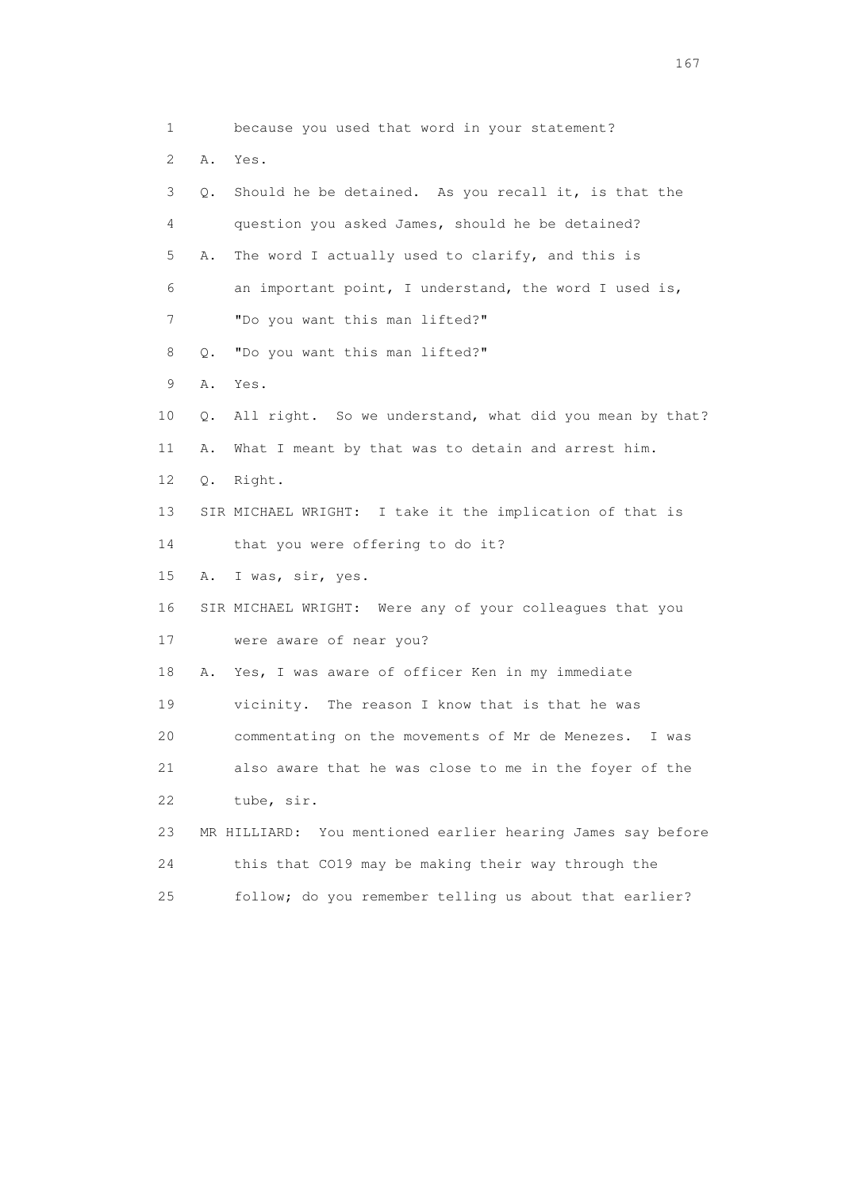1 because you used that word in your statement? 2 A. Yes. 3 Q. Should he be detained. As you recall it, is that the 4 question you asked James, should he be detained? 5 A. The word I actually used to clarify, and this is 6 an important point, I understand, the word I used is, 7 "Do you want this man lifted?" 8 Q. "Do you want this man lifted?" 9 A. Yes. 10 Q. All right. So we understand, what did you mean by that? 11 A. What I meant by that was to detain and arrest him. 12 Q. Right. 13 SIR MICHAEL WRIGHT: I take it the implication of that is 14 that you were offering to do it? 15 A. I was, sir, yes. 16 SIR MICHAEL WRIGHT: Were any of your colleagues that you 17 were aware of near you? 18 A. Yes, I was aware of officer Ken in my immediate 19 vicinity. The reason I know that is that he was 20 commentating on the movements of Mr de Menezes. I was 21 also aware that he was close to me in the foyer of the 22 tube, sir. 23 MR HILLIARD: You mentioned earlier hearing James say before 24 this that CO19 may be making their way through the 25 follow; do you remember telling us about that earlier?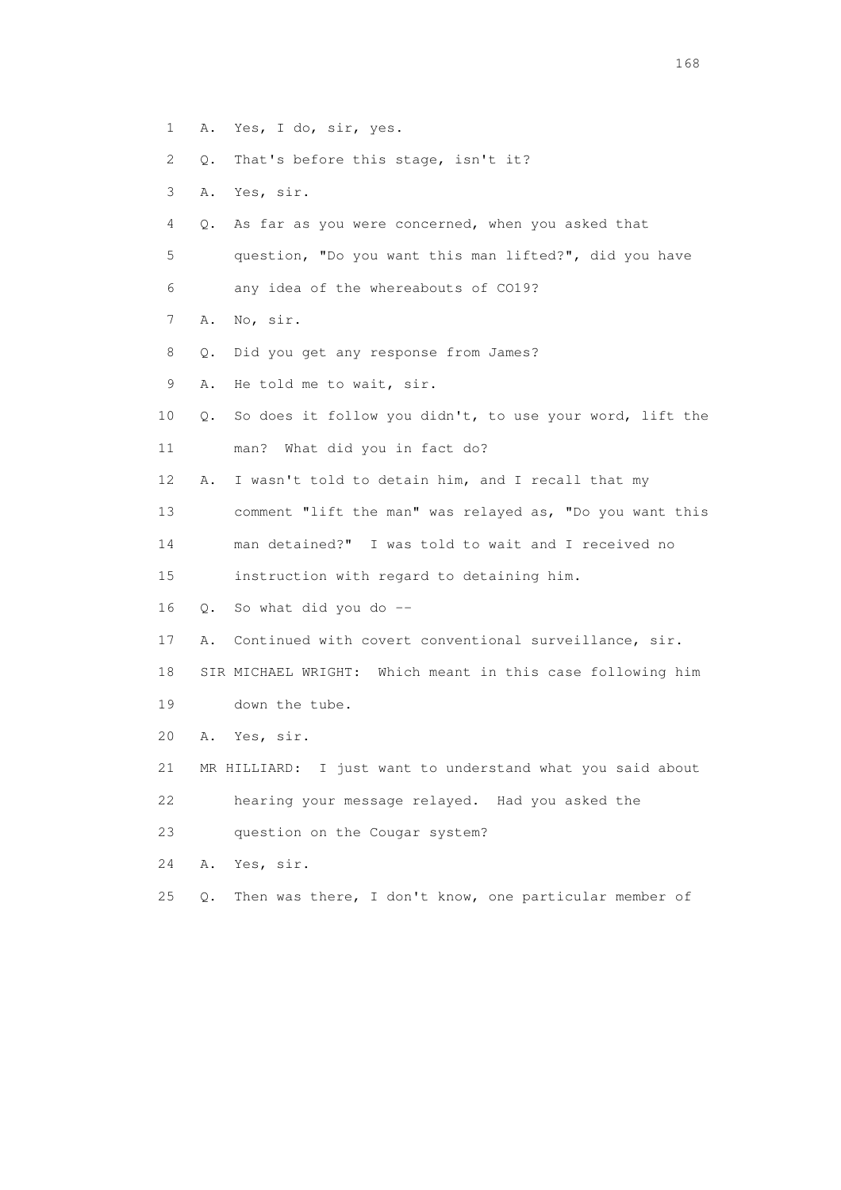- 1 A. Yes, I do, sir, yes.
- 2 Q. That's before this stage, isn't it?
- 3 A. Yes, sir.
- 4 Q. As far as you were concerned, when you asked that
- 5 question, "Do you want this man lifted?", did you have
- 6 any idea of the whereabouts of CO19?
- 7 A. No, sir.
- 8 Q. Did you get any response from James?
- 9 A. He told me to wait, sir.
- 10 Q. So does it follow you didn't, to use your word, lift the 11 man? What did you in fact do?
- 12 A. I wasn't told to detain him, and I recall that my
- 13 comment "lift the man" was relayed as, "Do you want this
- 14 man detained?" I was told to wait and I received no
- 15 instruction with regard to detaining him.
- 16 Q. So what did you do --
- 17 A. Continued with covert conventional surveillance, sir.
- 18 SIR MICHAEL WRIGHT: Which meant in this case following him 19 down the tube.
- 20 A. Yes, sir.
- 21 MR HILLIARD: I just want to understand what you said about
- 22 hearing your message relayed. Had you asked the
- 23 question on the Cougar system?
- 24 A. Yes, sir.
- 25 Q. Then was there, I don't know, one particular member of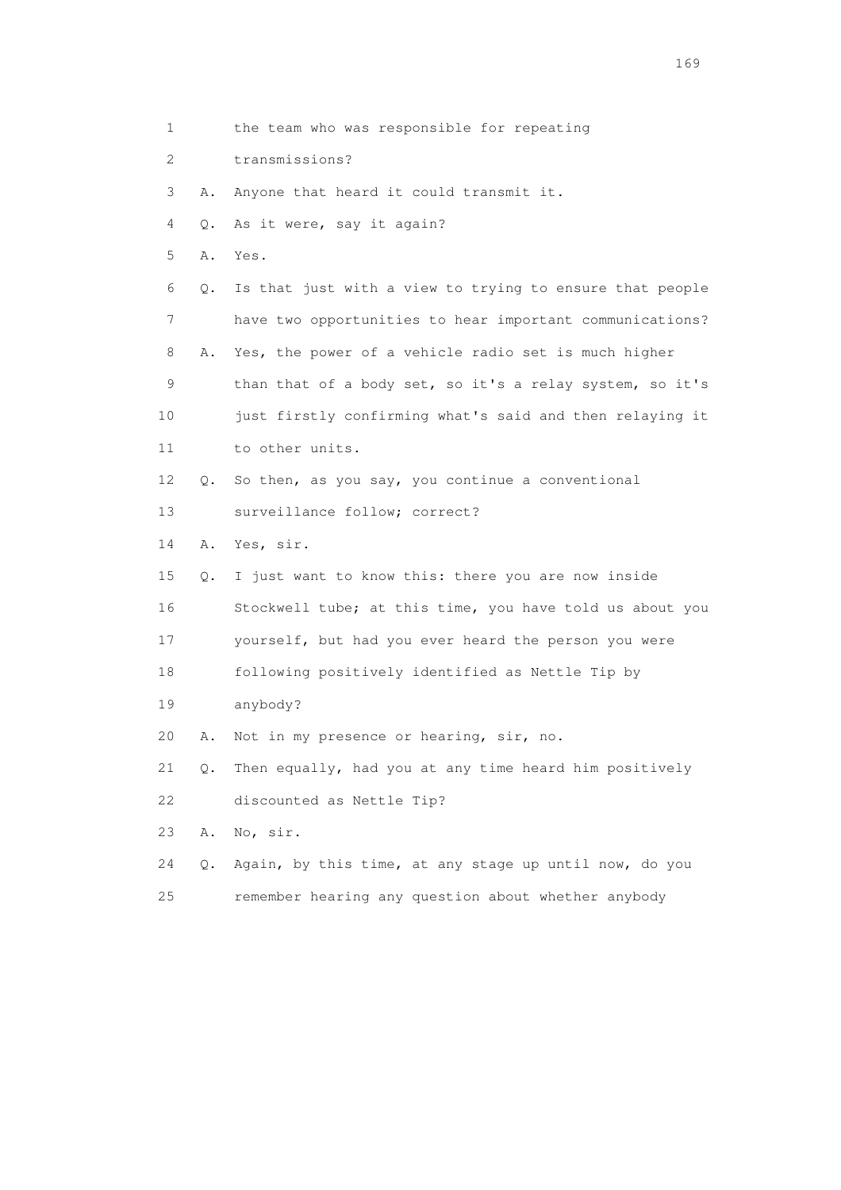1 the team who was responsible for repeating 2 transmissions? 3 A. Anyone that heard it could transmit it. 4 Q. As it were, say it again? 5 A. Yes. 6 Q. Is that just with a view to trying to ensure that people 7 have two opportunities to hear important communications? 8 A. Yes, the power of a vehicle radio set is much higher 9 than that of a body set, so it's a relay system, so it's 10 just firstly confirming what's said and then relaying it 11 to other units. 12 Q. So then, as you say, you continue a conventional 13 surveillance follow; correct? 14 A. Yes, sir. 15 Q. I just want to know this: there you are now inside 16 Stockwell tube; at this time, you have told us about you 17 yourself, but had you ever heard the person you were 18 following positively identified as Nettle Tip by 19 anybody? 20 A. Not in my presence or hearing, sir, no. 21 Q. Then equally, had you at any time heard him positively 22 discounted as Nettle Tip? 23 A. No, sir. 24 Q. Again, by this time, at any stage up until now, do you 25 remember hearing any question about whether anybody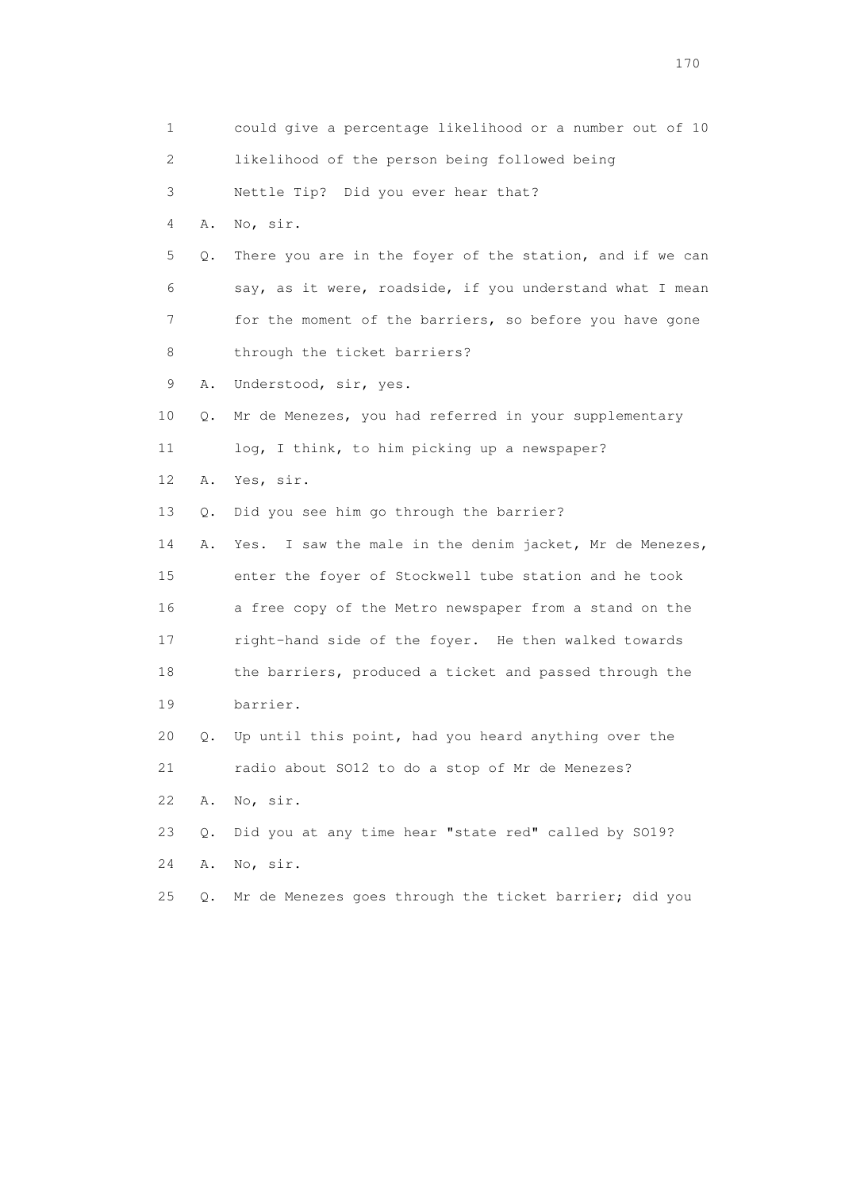|    | 1                         | could give a percentage likelihood or a number out of 10 |
|----|---------------------------|----------------------------------------------------------|
|    | $\mathbf{2}^{\mathsf{I}}$ | likelihood of the person being followed being            |
|    | 3                         | Nettle Tip? Did you ever hear that?                      |
|    | 4<br>Α.                   | No, sir.                                                 |
|    | 5<br>Q.                   | There you are in the foyer of the station, and if we can |
|    | 6                         | say, as it were, roadside, if you understand what I mean |
|    | 7                         | for the moment of the barriers, so before you have gone  |
|    | 8                         | through the ticket barriers?                             |
|    | 9<br>Α.                   | Understood, sir, yes.                                    |
| 10 | Q.                        | Mr de Menezes, you had referred in your supplementary    |
| 11 |                           | log, I think, to him picking up a newspaper?             |
| 12 | Α.                        | Yes, sir.                                                |
| 13 | Q.                        | Did you see him go through the barrier?                  |
| 14 | Α.                        | Yes. I saw the male in the denim jacket, Mr de Menezes,  |
| 15 |                           | enter the foyer of Stockwell tube station and he took    |
| 16 |                           | a free copy of the Metro newspaper from a stand on the   |
| 17 |                           | right-hand side of the foyer. He then walked towards     |
| 18 |                           | the barriers, produced a ticket and passed through the   |
| 19 |                           | barrier.                                                 |
| 20 | О.                        | Up until this point, had you heard anything over the     |
| 21 |                           | radio about SO12 to do a stop of Mr de Menezes?          |
| 22 | Α.                        | No, sir.                                                 |
| 23 | Q.                        | Did you at any time hear "state red" called by S019?     |
| 24 | Α.                        | No, sir.                                                 |
| 25 | Q.                        | Mr de Menezes goes through the ticket barrier; did you   |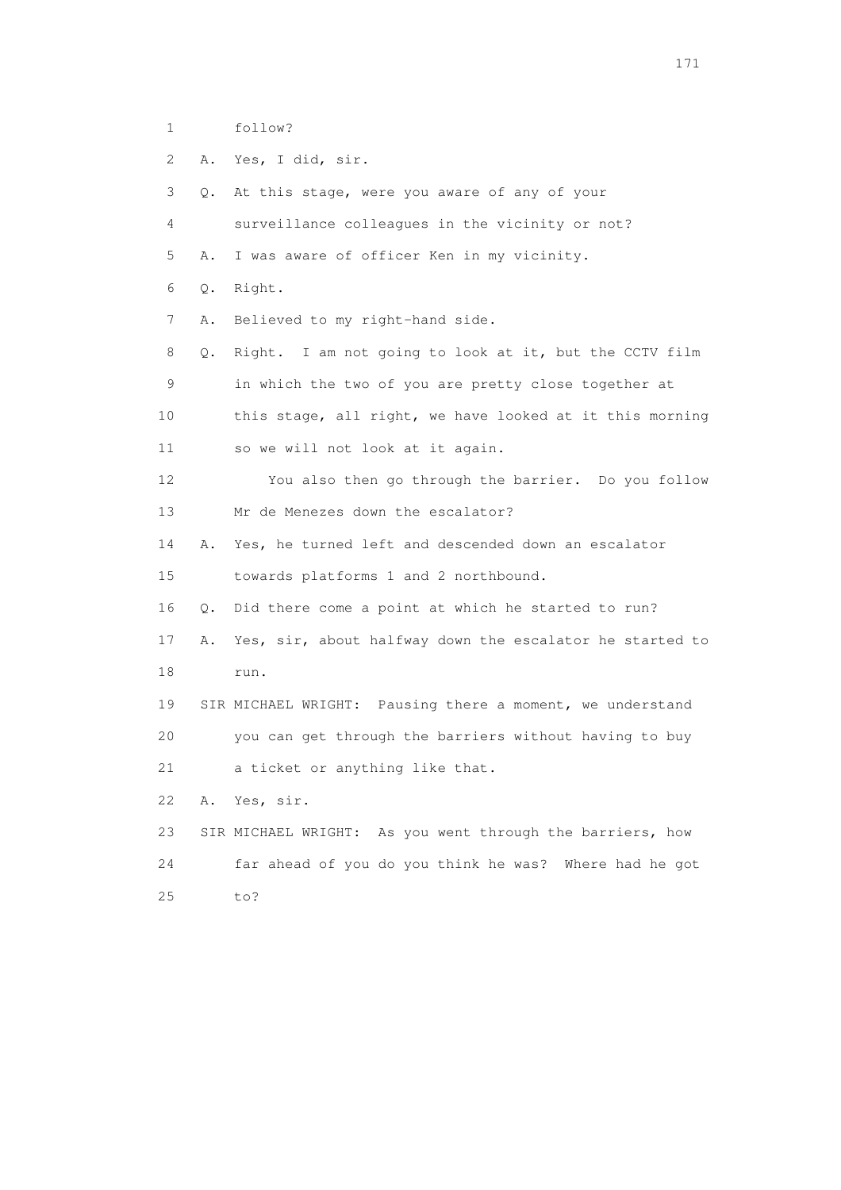1 follow?

2 A. Yes, I did, sir.

 3 Q. At this stage, were you aware of any of your 4 surveillance colleagues in the vicinity or not? 5 A. I was aware of officer Ken in my vicinity. 6 Q. Right. 7 A. Believed to my right-hand side. 8 Q. Right. I am not going to look at it, but the CCTV film 9 in which the two of you are pretty close together at 10 this stage, all right, we have looked at it this morning 11 so we will not look at it again. 12 You also then go through the barrier. Do you follow 13 Mr de Menezes down the escalator? 14 A. Yes, he turned left and descended down an escalator 15 towards platforms 1 and 2 northbound. 16 Q. Did there come a point at which he started to run? 17 A. Yes, sir, about halfway down the escalator he started to 18 run. 19 SIR MICHAEL WRIGHT: Pausing there a moment, we understand 20 you can get through the barriers without having to buy 21 a ticket or anything like that. 22 A. Yes, sir. 23 SIR MICHAEL WRIGHT: As you went through the barriers, how 24 far ahead of you do you think he was? Where had he got 25 to?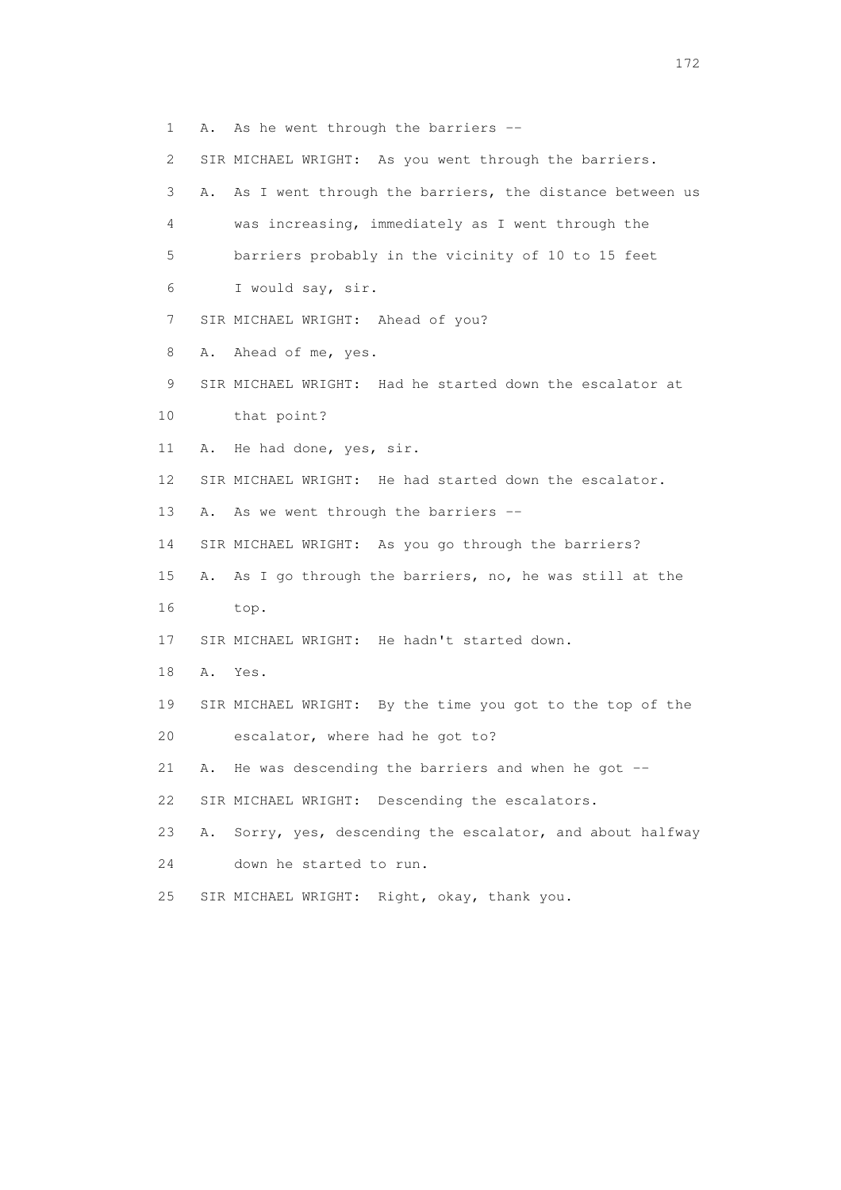1 A. As he went through the barriers -- 2 SIR MICHAEL WRIGHT: As you went through the barriers. 3 A. As I went through the barriers, the distance between us 4 was increasing, immediately as I went through the 5 barriers probably in the vicinity of 10 to 15 feet 6 I would say, sir. 7 SIR MICHAEL WRIGHT: Ahead of you? 8 A. Ahead of me, yes. 9 SIR MICHAEL WRIGHT: Had he started down the escalator at 10 that point? 11 A. He had done, yes, sir. 12 SIR MICHAEL WRIGHT: He had started down the escalator. 13 A. As we went through the barriers -- 14 SIR MICHAEL WRIGHT: As you go through the barriers? 15 A. As I go through the barriers, no, he was still at the 16 top. 17 SIR MICHAEL WRIGHT: He hadn't started down. 18 A. Yes. 19 SIR MICHAEL WRIGHT: By the time you got to the top of the 20 escalator, where had he got to? 21 A. He was descending the barriers and when he got -- 22 SIR MICHAEL WRIGHT: Descending the escalators. 23 A. Sorry, yes, descending the escalator, and about halfway 24 down he started to run. 25 SIR MICHAEL WRIGHT: Right, okay, thank you.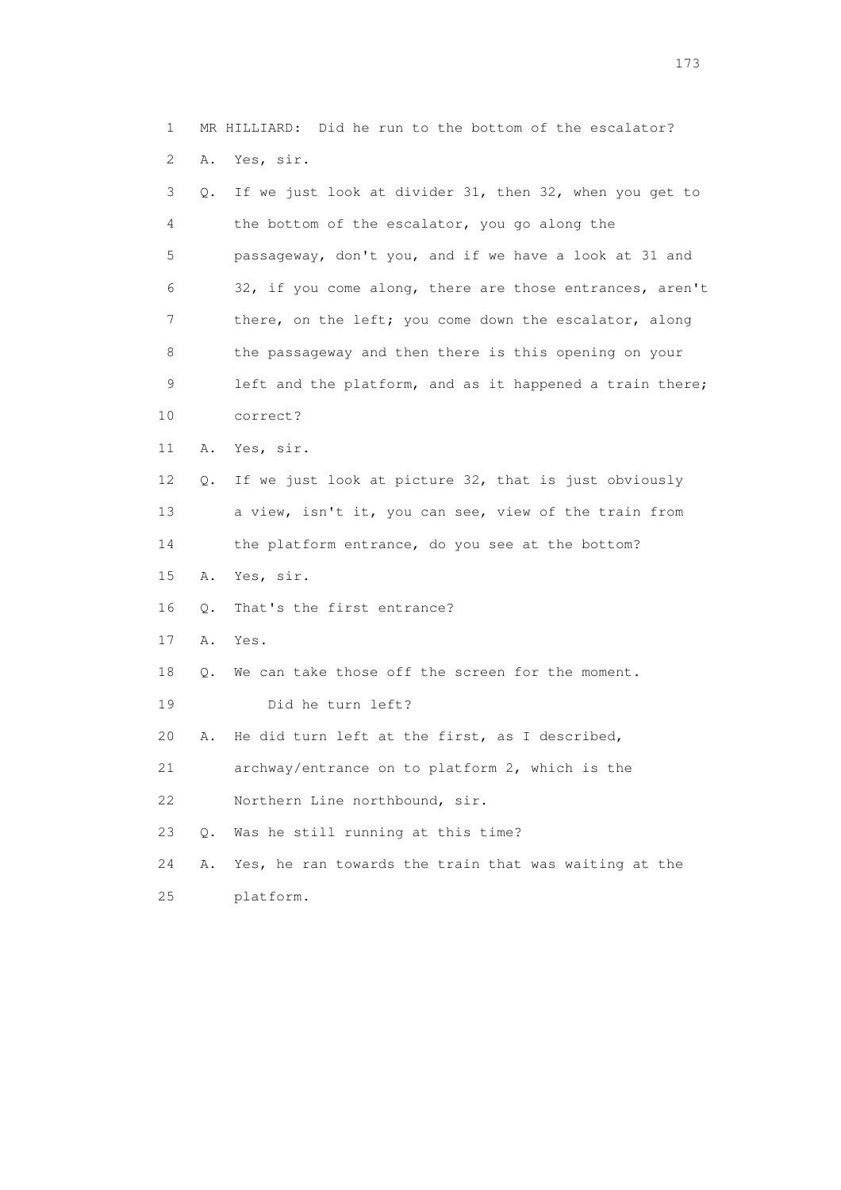1 MR HILLIARD: Did he run to the bottom of the escalator? 2 A. Yes, sir.

| 3  | Q. | If we just look at divider 31, then 32, when you get to  |
|----|----|----------------------------------------------------------|
| 4  |    | the bottom of the escalator, you go along the            |
| 5  |    | passageway, don't you, and if we have a look at 31 and   |
| 6  |    | 32, if you come along, there are those entrances, aren't |
| 7  |    | there, on the left; you come down the escalator, along   |
| 8  |    | the passageway and then there is this opening on your    |
| 9  |    | left and the platform, and as it happened a train there; |
| 10 |    | correct?                                                 |
| 11 | Α. | Yes, sir.                                                |
| 12 | Q. | If we just look at picture 32, that is just obviously    |
| 13 |    | a view, isn't it, you can see, view of the train from    |
| 14 |    | the platform entrance, do you see at the bottom?         |
| 15 | Α. | Yes, sir.                                                |
| 16 | О. | That's the first entrance?                               |
| 17 | Α. | Yes.                                                     |
| 18 | Q. | We can take those off the screen for the moment.         |
| 19 |    | Did he turn left?                                        |
| 20 | Α. | He did turn left at the first, as I described,           |
| 21 |    | archway/entrance on to platform 2, which is the          |
| 22 |    | Northern Line northbound, sir.                           |
| 23 | Q. | Was he still running at this time?                       |
| 24 | Α. | Yes, he ran towards the train that was waiting at the    |
| 25 |    | platform.                                                |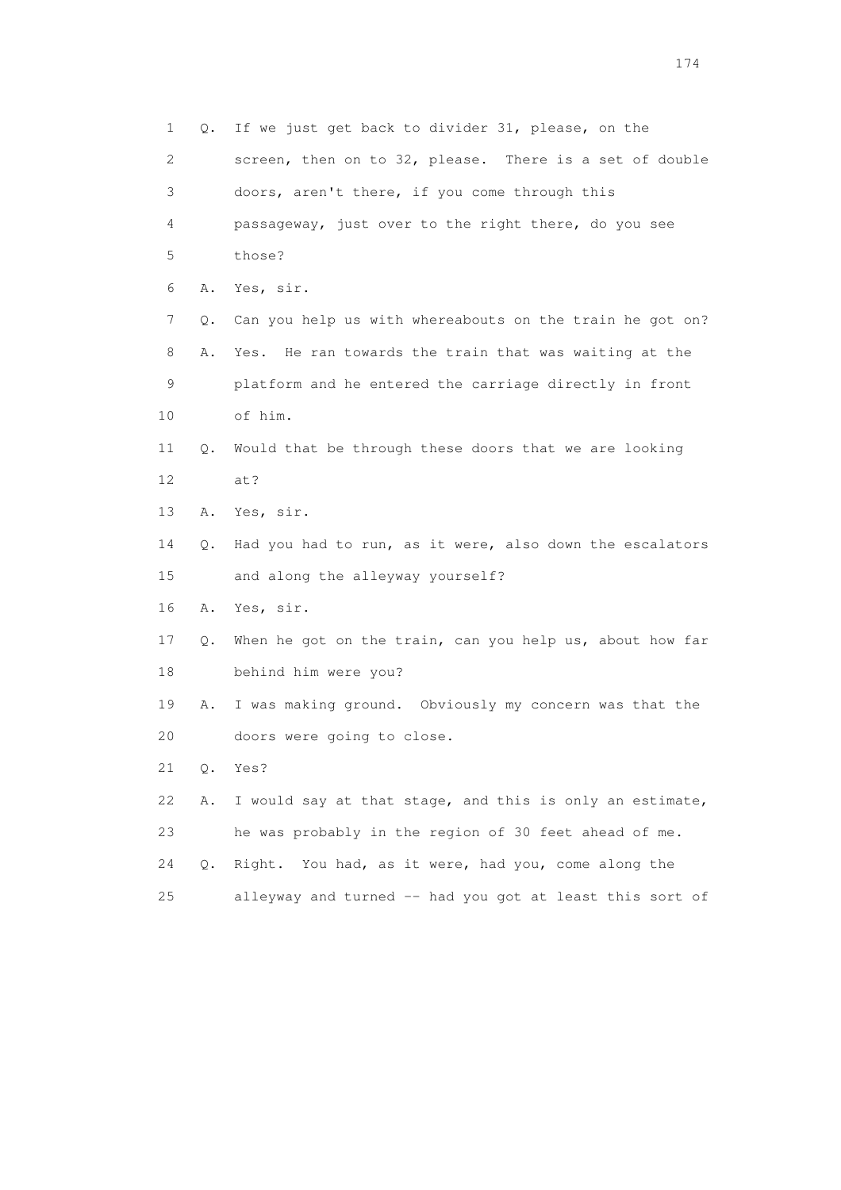1 Q. If we just get back to divider 31, please, on the 2 screen, then on to 32, please. There is a set of double 3 doors, aren't there, if you come through this 4 passageway, just over to the right there, do you see 5 those? 6 A. Yes, sir. 7 Q. Can you help us with whereabouts on the train he got on? 8 A. Yes. He ran towards the train that was waiting at the 9 platform and he entered the carriage directly in front 10 of him. 11 Q. Would that be through these doors that we are looking 12 at? 13 A. Yes, sir. 14 Q. Had you had to run, as it were, also down the escalators 15 and along the alleyway yourself? 16 A. Yes, sir. 17 Q. When he got on the train, can you help us, about how far 18 behind him were you? 19 A. I was making ground. Obviously my concern was that the 20 doors were going to close. 21 Q. Yes? 22 A. I would say at that stage, and this is only an estimate, 23 he was probably in the region of 30 feet ahead of me. 24 Q. Right. You had, as it were, had you, come along the 25 alleyway and turned -- had you got at least this sort of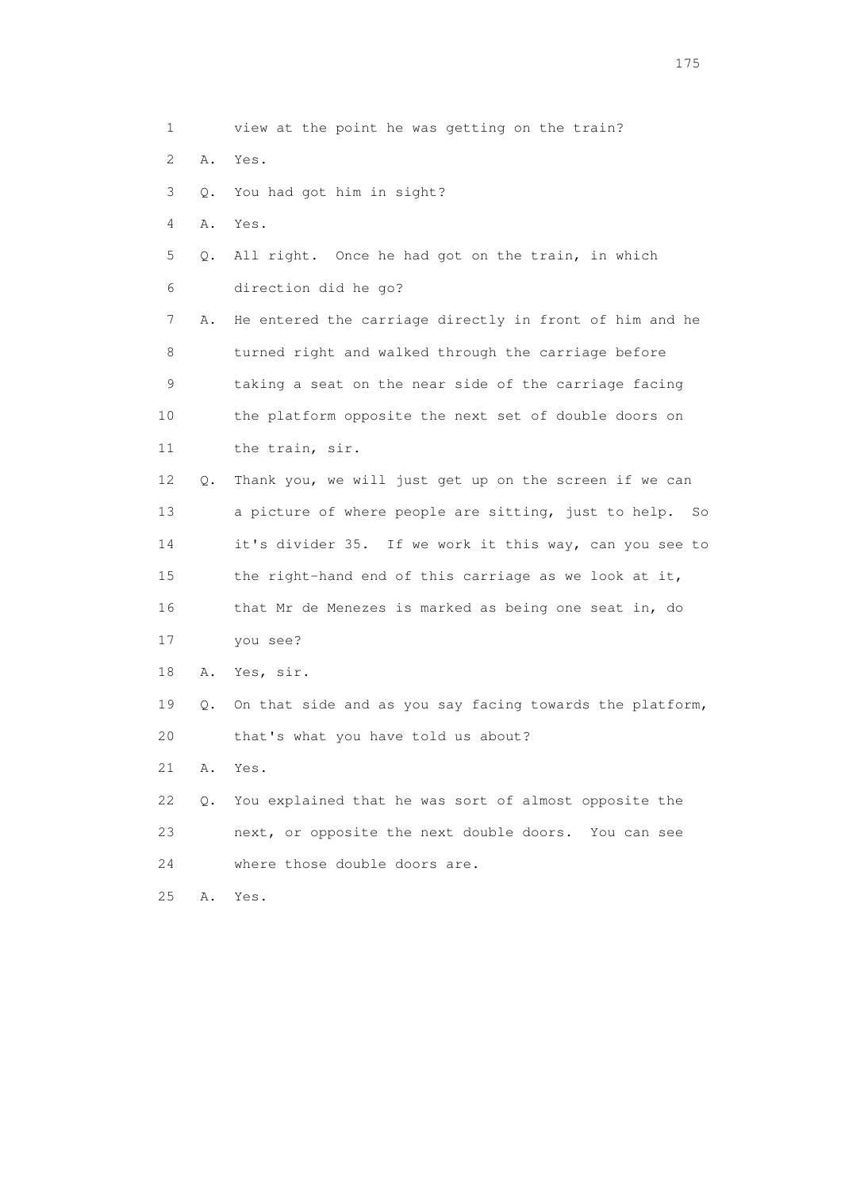1 view at the point he was getting on the train? 2 A. Yes. 3 Q. You had got him in sight? 4 A. Yes. 5 Q. All right. Once he had got on the train, in which 6 direction did he go? 7 A. He entered the carriage directly in front of him and he 8 turned right and walked through the carriage before 9 taking a seat on the near side of the carriage facing 10 the platform opposite the next set of double doors on 11 the train, sir. 12 Q. Thank you, we will just get up on the screen if we can 13 a picture of where people are sitting, just to help. So 14 it's divider 35. If we work it this way, can you see to 15 the right-hand end of this carriage as we look at it, 16 that Mr de Menezes is marked as being one seat in, do 17 you see? 18 A. Yes, sir. 19 Q. On that side and as you say facing towards the platform, 20 that's what you have told us about? 21 A. Yes. 22 Q. You explained that he was sort of almost opposite the 23 next, or opposite the next double doors. You can see 24 where those double doors are. 25 A. Yes.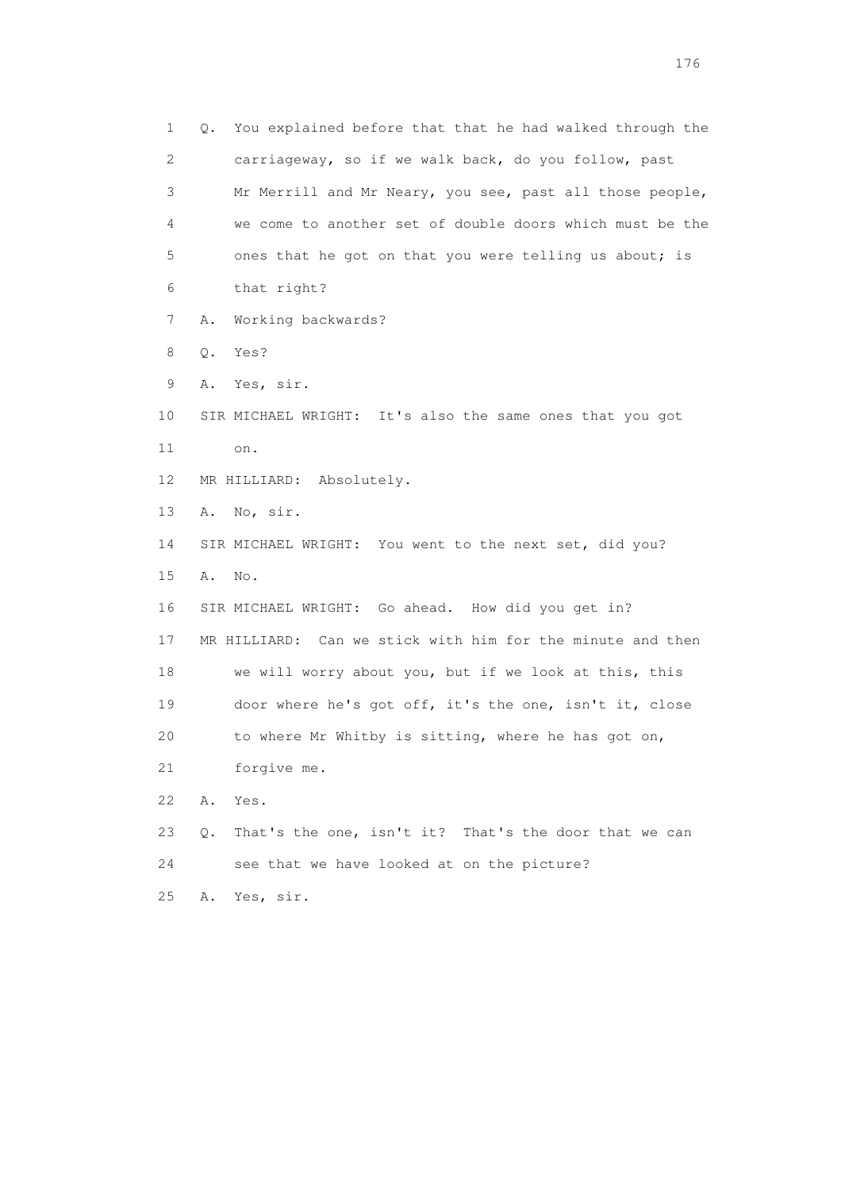1 Q. You explained before that that he had walked through the 2 carriageway, so if we walk back, do you follow, past 3 Mr Merrill and Mr Neary, you see, past all those people, 4 we come to another set of double doors which must be the 5 ones that he got on that you were telling us about; is 6 that right? 7 A. Working backwards? 8 Q. Yes? 9 A. Yes, sir. 10 SIR MICHAEL WRIGHT: It's also the same ones that you got 11 on. 12 MR HILLIARD: Absolutely. 13 A. No, sir. 14 SIR MICHAEL WRIGHT: You went to the next set, did you? 15 A. No. 16 SIR MICHAEL WRIGHT: Go ahead. How did you get in? 17 MR HILLIARD: Can we stick with him for the minute and then 18 we will worry about you, but if we look at this, this 19 door where he's got off, it's the one, isn't it, close 20 to where Mr Whitby is sitting, where he has got on, 21 forgive me. 22 A. Yes. 23 Q. That's the one, isn't it? That's the door that we can 24 see that we have looked at on the picture? 25 A. Yes, sir.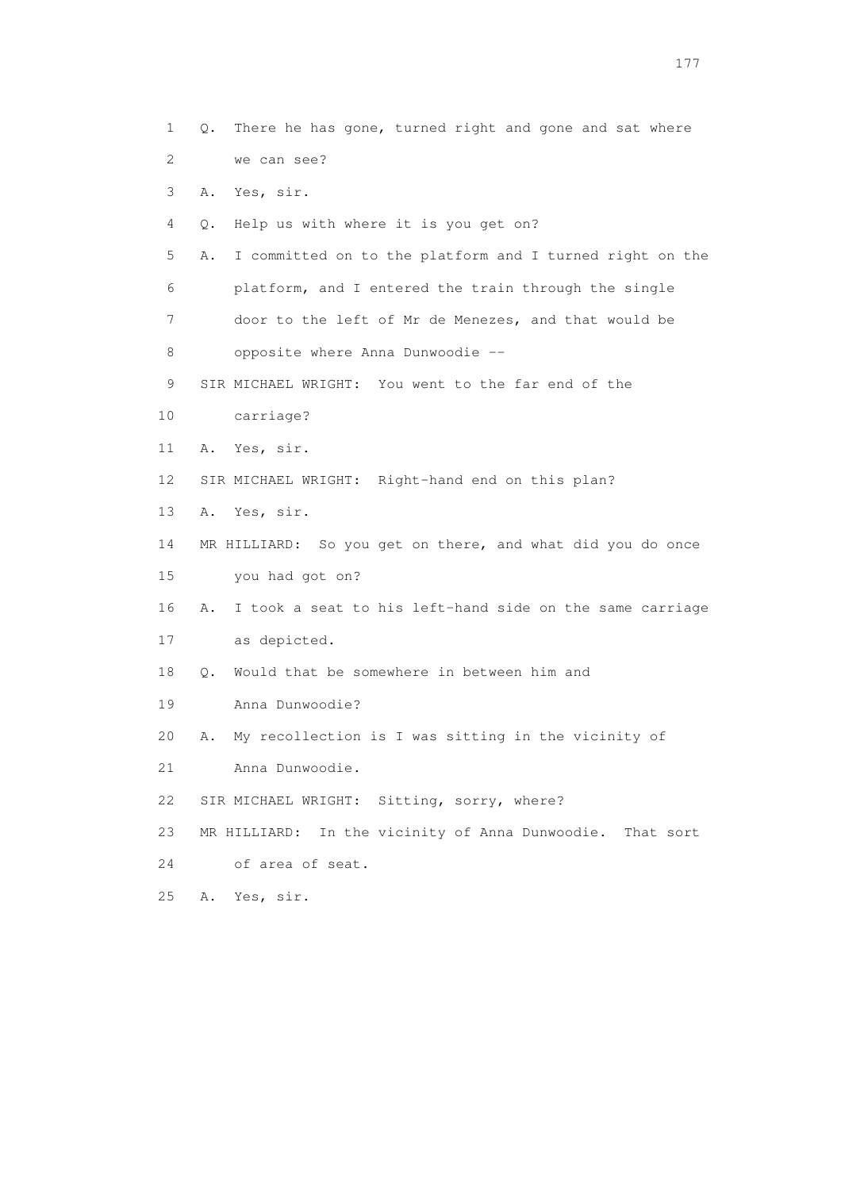1 Q. There he has gone, turned right and gone and sat where 2 we can see? 3 A. Yes, sir. 4 Q. Help us with where it is you get on? 5 A. I committed on to the platform and I turned right on the 6 platform, and I entered the train through the single 7 door to the left of Mr de Menezes, and that would be 8 opposite where Anna Dunwoodie -- 9 SIR MICHAEL WRIGHT: You went to the far end of the 10 carriage? 11 A. Yes, sir. 12 SIR MICHAEL WRIGHT: Right-hand end on this plan? 13 A. Yes, sir. 14 MR HILLIARD: So you get on there, and what did you do once 15 you had got on? 16 A. I took a seat to his left-hand side on the same carriage 17 as depicted. 18 Q. Would that be somewhere in between him and 19 Anna Dunwoodie? 20 A. My recollection is I was sitting in the vicinity of 21 Anna Dunwoodie. 22 SIR MICHAEL WRIGHT: Sitting, sorry, where? 23 MR HILLIARD: In the vicinity of Anna Dunwoodie. That sort 24 of area of seat. 25 A. Yes, sir.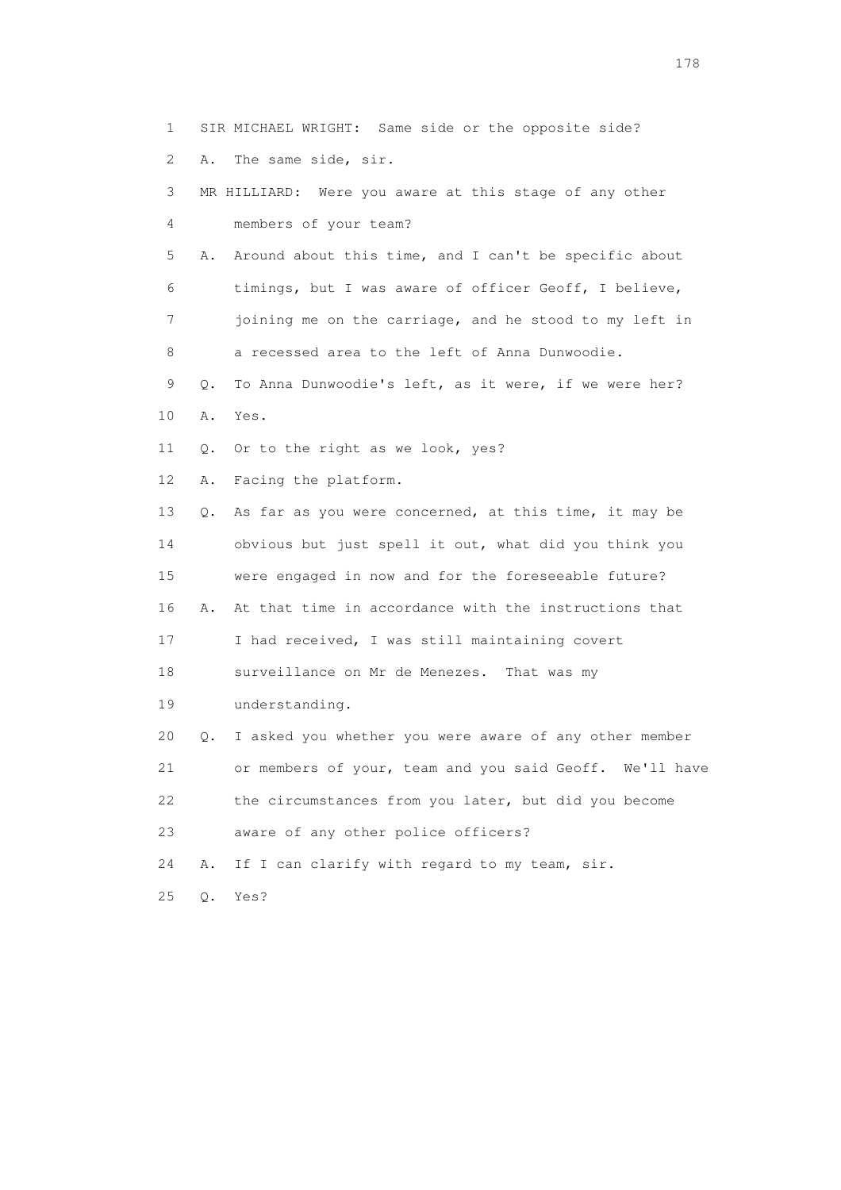1 SIR MICHAEL WRIGHT: Same side or the opposite side?

2 A. The same side, sir.

 3 MR HILLIARD: Were you aware at this stage of any other 4 members of your team?

 5 A. Around about this time, and I can't be specific about 6 timings, but I was aware of officer Geoff, I believe, 7 joining me on the carriage, and he stood to my left in 8 a recessed area to the left of Anna Dunwoodie.

 9 Q. To Anna Dunwoodie's left, as it were, if we were her? 10 A. Yes.

11 Q. Or to the right as we look, yes?

12 A. Facing the platform.

 13 Q. As far as you were concerned, at this time, it may be 14 obvious but just spell it out, what did you think you 15 were engaged in now and for the foreseeable future? 16 A. At that time in accordance with the instructions that 17 I had received, I was still maintaining covert 18 surveillance on Mr de Menezes. That was my 19 understanding. 20 Q. I asked you whether you were aware of any other member 21 or members of your, team and you said Geoff. We'll have

22 the circumstances from you later, but did you become

23 aware of any other police officers?

24 A. If I can clarify with regard to my team, sir.

25 Q. Yes?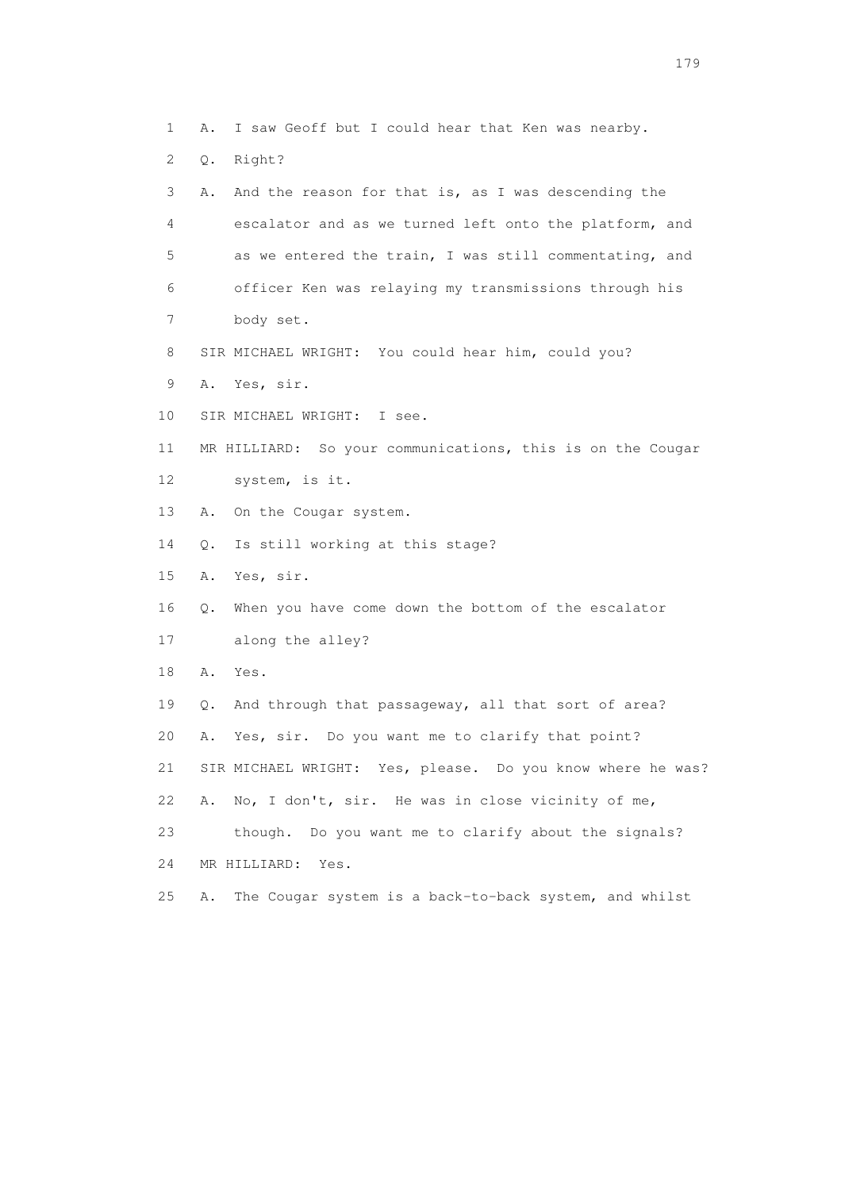3 A. And the reason for that is, as I was descending the 4 escalator and as we turned left onto the platform, and 5 as we entered the train, I was still commentating, and 6 officer Ken was relaying my transmissions through his 7 body set. 8 SIR MICHAEL WRIGHT: You could hear him, could you? 9 A. Yes, sir. 10 SIR MICHAEL WRIGHT: I see. 11 MR HILLIARD: So your communications, this is on the Cougar 12 system, is it. 13 A. On the Cougar system. 14 Q. Is still working at this stage? 15 A. Yes, sir. 16 Q. When you have come down the bottom of the escalator 17 along the alley? 18 A. Yes. 19 Q. And through that passageway, all that sort of area? 20 A. Yes, sir. Do you want me to clarify that point? 21 SIR MICHAEL WRIGHT: Yes, please. Do you know where he was? 22 A. No, I don't, sir. He was in close vicinity of me, 23 though. Do you want me to clarify about the signals? 24 MR HILLIARD: Yes.

1 A. I saw Geoff but I could hear that Ken was nearby.

2 Q. Right?

25 A. The Cougar system is a back-to-back system, and whilst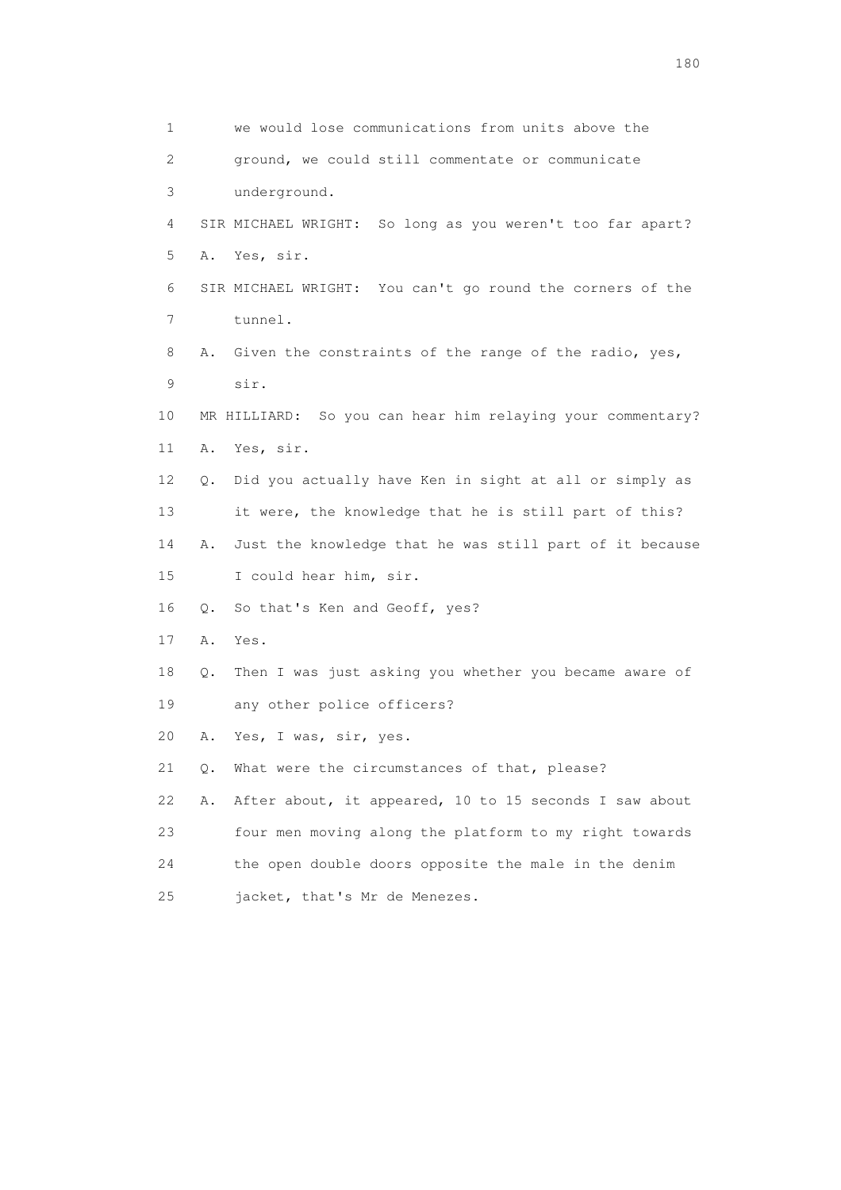1 we would lose communications from units above the 2 ground, we could still commentate or communicate 3 underground. 4 SIR MICHAEL WRIGHT: So long as you weren't too far apart? 5 A. Yes, sir. 6 SIR MICHAEL WRIGHT: You can't go round the corners of the 7 tunnel. 8 A. Given the constraints of the range of the radio, yes, 9 sir. 10 MR HILLIARD: So you can hear him relaying your commentary? 11 A. Yes, sir. 12 Q. Did you actually have Ken in sight at all or simply as 13 it were, the knowledge that he is still part of this? 14 A. Just the knowledge that he was still part of it because 15 I could hear him, sir. 16 Q. So that's Ken and Geoff, yes? 17 A. Yes. 18 Q. Then I was just asking you whether you became aware of 19 any other police officers? 20 A. Yes, I was, sir, yes. 21 Q. What were the circumstances of that, please? 22 A. After about, it appeared, 10 to 15 seconds I saw about 23 four men moving along the platform to my right towards 24 the open double doors opposite the male in the denim 25 jacket, that's Mr de Menezes.

180 and 180 and 180 and 180 and 180 and 180 and 180 and 180 and 180 and 180 and 180 and 180 and 180 and 180 and 180 and 180 and 180 and 180 and 180 and 180 and 180 and 180 and 180 and 180 and 180 and 180 and 180 and 180 an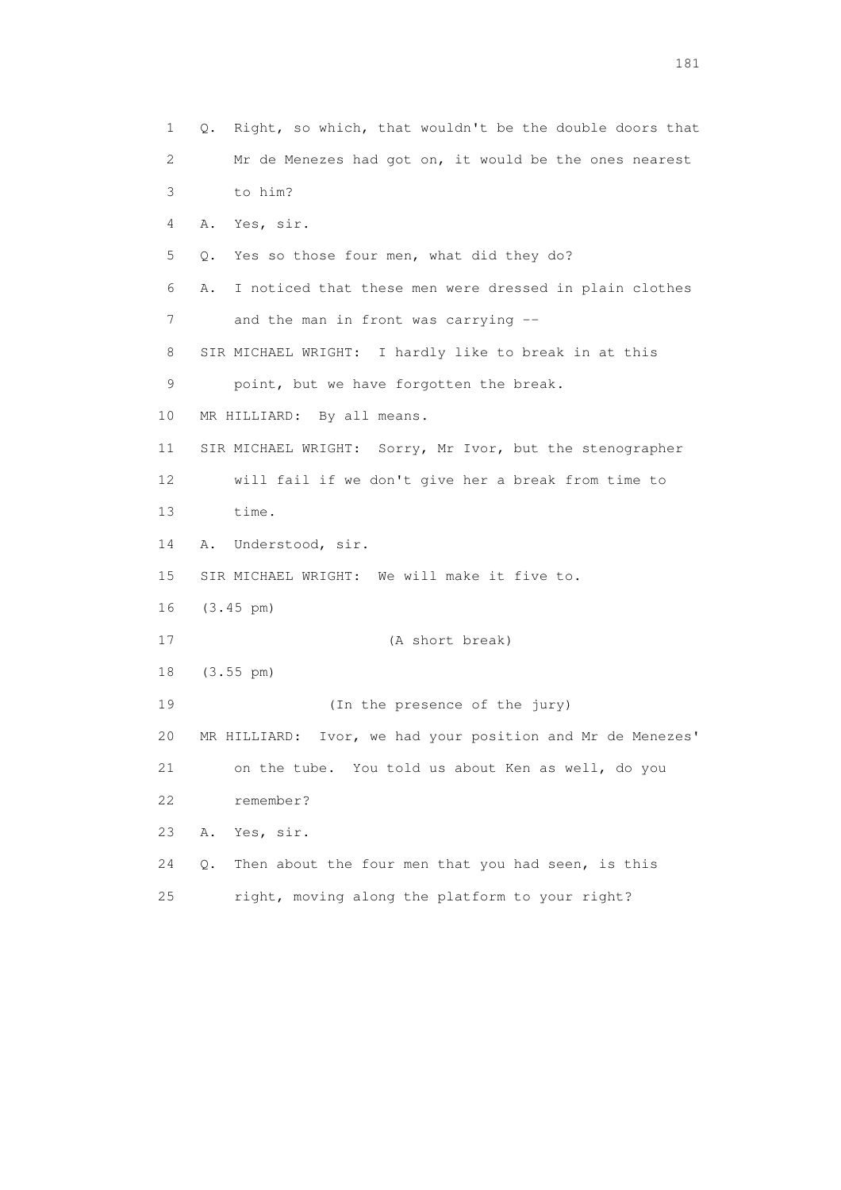1 Q. Right, so which, that wouldn't be the double doors that 2 Mr de Menezes had got on, it would be the ones nearest 3 to him? 4 A. Yes, sir. 5 Q. Yes so those four men, what did they do? 6 A. I noticed that these men were dressed in plain clothes 7 and the man in front was carrying -- 8 SIR MICHAEL WRIGHT: I hardly like to break in at this 9 point, but we have forgotten the break. 10 MR HILLIARD: By all means. 11 SIR MICHAEL WRIGHT: Sorry, Mr Ivor, but the stenographer 12 will fail if we don't give her a break from time to 13 time. 14 A. Understood, sir. 15 SIR MICHAEL WRIGHT: We will make it five to. 16 (3.45 pm) 17 (A short break) 18 (3.55 pm) 19 (In the presence of the jury) 20 MR HILLIARD: Ivor, we had your position and Mr de Menezes' 21 on the tube. You told us about Ken as well, do you 22 remember? 23 A. Yes, sir. 24 Q. Then about the four men that you had seen, is this 25 right, moving along the platform to your right?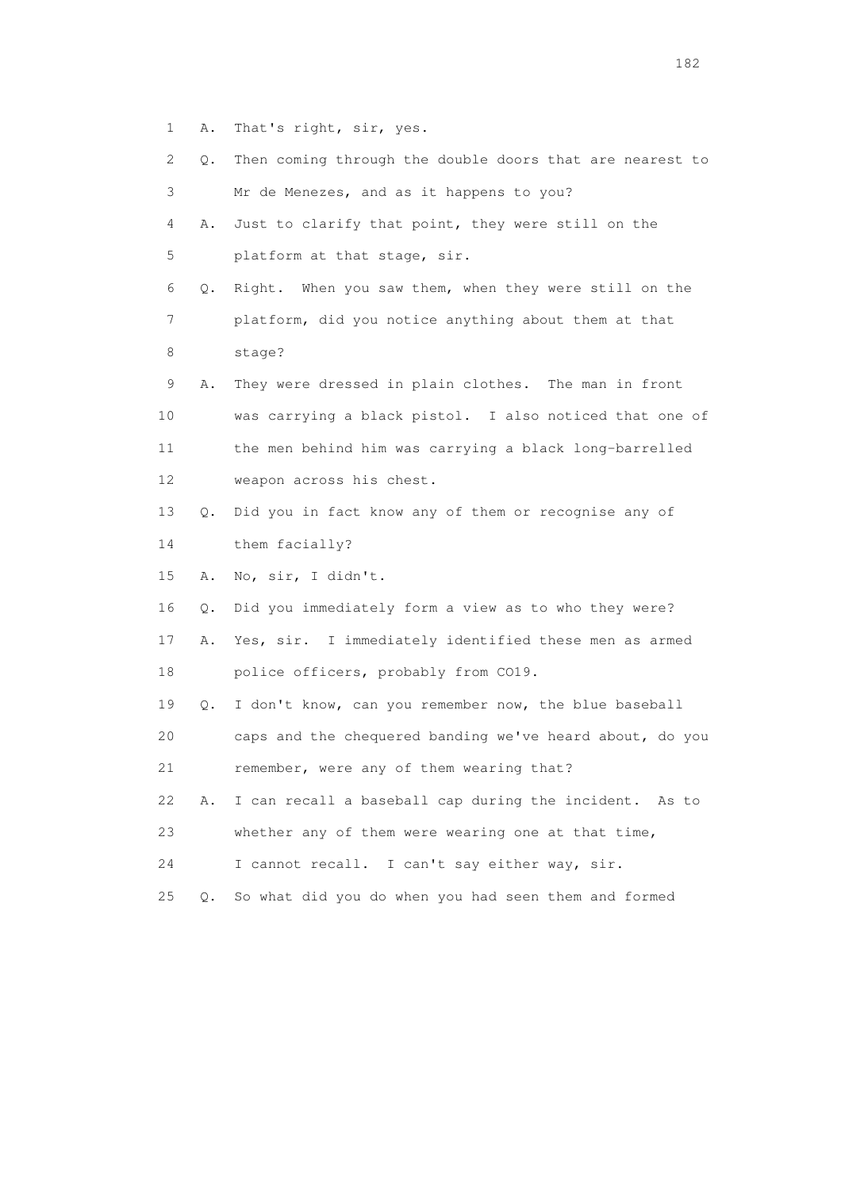- 1 A. That's right, sir, yes.
- 2 Q. Then coming through the double doors that are nearest to 3 Mr de Menezes, and as it happens to you? 4 A. Just to clarify that point, they were still on the 5 platform at that stage, sir. 6 Q. Right. When you saw them, when they were still on the 7 platform, did you notice anything about them at that 8 stage? 9 A. They were dressed in plain clothes. The man in front 10 was carrying a black pistol. I also noticed that one of 11 the men behind him was carrying a black long-barrelled 12 weapon across his chest. 13 Q. Did you in fact know any of them or recognise any of 14 them facially? 15 A. No, sir, I didn't. 16 Q. Did you immediately form a view as to who they were? 17 A. Yes, sir. I immediately identified these men as armed 18 police officers, probably from CO19. 19 Q. I don't know, can you remember now, the blue baseball 20 caps and the chequered banding we've heard about, do you 21 remember, were any of them wearing that? 22 A. I can recall a baseball cap during the incident. As to 23 whether any of them were wearing one at that time, 24 I cannot recall. I can't say either way, sir. 25 Q. So what did you do when you had seen them and formed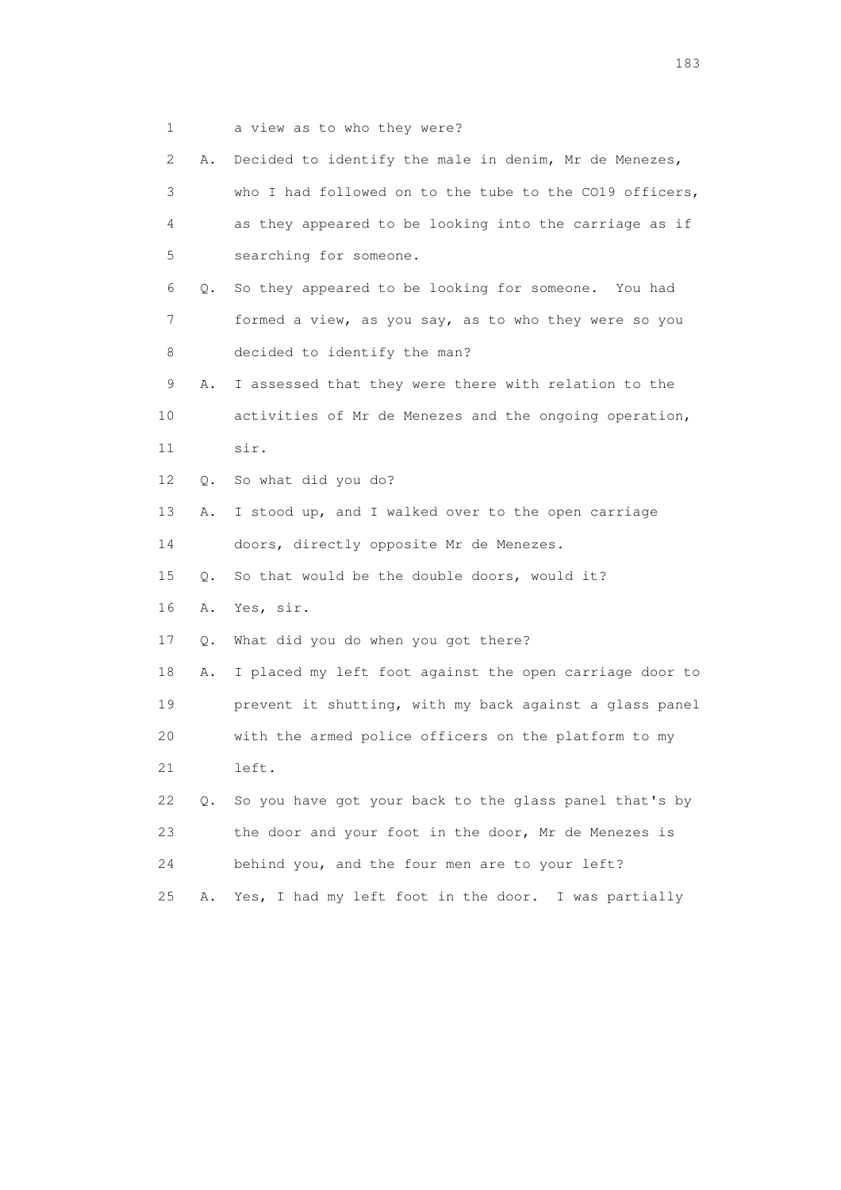1 a view as to who they were?

| 2  | Α.        | Decided to identify the male in denim, Mr de Menezes,   |
|----|-----------|---------------------------------------------------------|
| 3  |           | who I had followed on to the tube to the CO19 officers, |
| 4  |           | as they appeared to be looking into the carriage as if  |
| 5  |           | searching for someone.                                  |
| 6  | О.        | So they appeared to be looking for someone. You had     |
| 7  |           | formed a view, as you say, as to who they were so you   |
| 8  |           | decided to identify the man?                            |
| 9  | Α.        | I assessed that they were there with relation to the    |
| 10 |           | activities of Mr de Menezes and the ongoing operation,  |
| 11 |           | sir.                                                    |
| 12 | Q.        | So what did you do?                                     |
| 13 | Α.        | I stood up, and I walked over to the open carriage      |
| 14 |           | doors, directly opposite Mr de Menezes.                 |
| 15 | $\circ$ . | So that would be the double doors, would it?            |
| 16 | Α.        | Yes, sir.                                               |
| 17 | Q.        | What did you do when you got there?                     |
| 18 | Α.        | I placed my left foot against the open carriage door to |
| 19 |           | prevent it shutting, with my back against a glass panel |
| 20 |           | with the armed police officers on the platform to my    |
| 21 |           | left.                                                   |
| 22 | Q.        | So you have got your back to the glass panel that's by  |
| 23 |           | the door and your foot in the door, Mr de Menezes is    |
| 24 |           | behind you, and the four men are to your left?          |
| 25 | Α.        | Yes, I had my left foot in the door. I was partially    |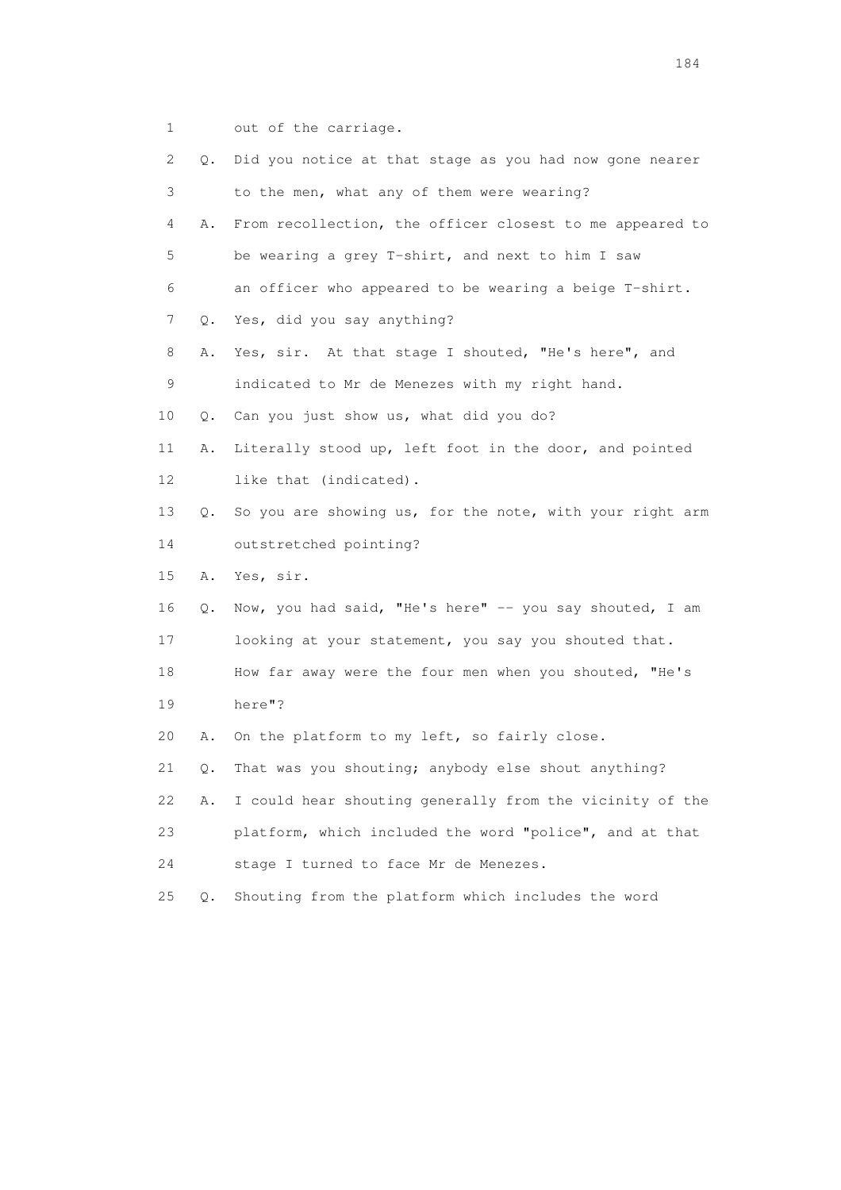1 out of the carriage.

| 2  | Q.        | Did you notice at that stage as you had now gone nearer  |
|----|-----------|----------------------------------------------------------|
| 3  |           | to the men, what any of them were wearing?               |
| 4  | Α.        | From recollection, the officer closest to me appeared to |
| 5  |           | be wearing a grey T-shirt, and next to him I saw         |
| 6  |           | an officer who appeared to be wearing a beige T-shirt.   |
| 7  | $\circ$ . | Yes, did you say anything?                               |
| 8  | Α.        | Yes, sir. At that stage I shouted, "He's here", and      |
| 9  |           | indicated to Mr de Menezes with my right hand.           |
| 10 | Q.        | Can you just show us, what did you do?                   |
| 11 | Α.        | Literally stood up, left foot in the door, and pointed   |
| 12 |           | like that (indicated).                                   |
| 13 | Q.        | So you are showing us, for the note, with your right arm |
| 14 |           | outstretched pointing?                                   |
| 15 | Α.        | Yes, sir.                                                |
| 16 | О.        | Now, you had said, "He's here" -- you say shouted, I am  |
| 17 |           | looking at your statement, you say you shouted that.     |
| 18 |           | How far away were the four men when you shouted, "He's   |
| 19 |           | here"?                                                   |
| 20 | Α.        | On the platform to my left, so fairly close.             |
| 21 | Q.        | That was you shouting; anybody else shout anything?      |
| 22 | Α.        | I could hear shouting generally from the vicinity of the |
| 23 |           | platform, which included the word "police", and at that  |
| 24 |           | stage I turned to face Mr de Menezes.                    |
| 25 | $Q$ .     | Shouting from the platform which includes the word       |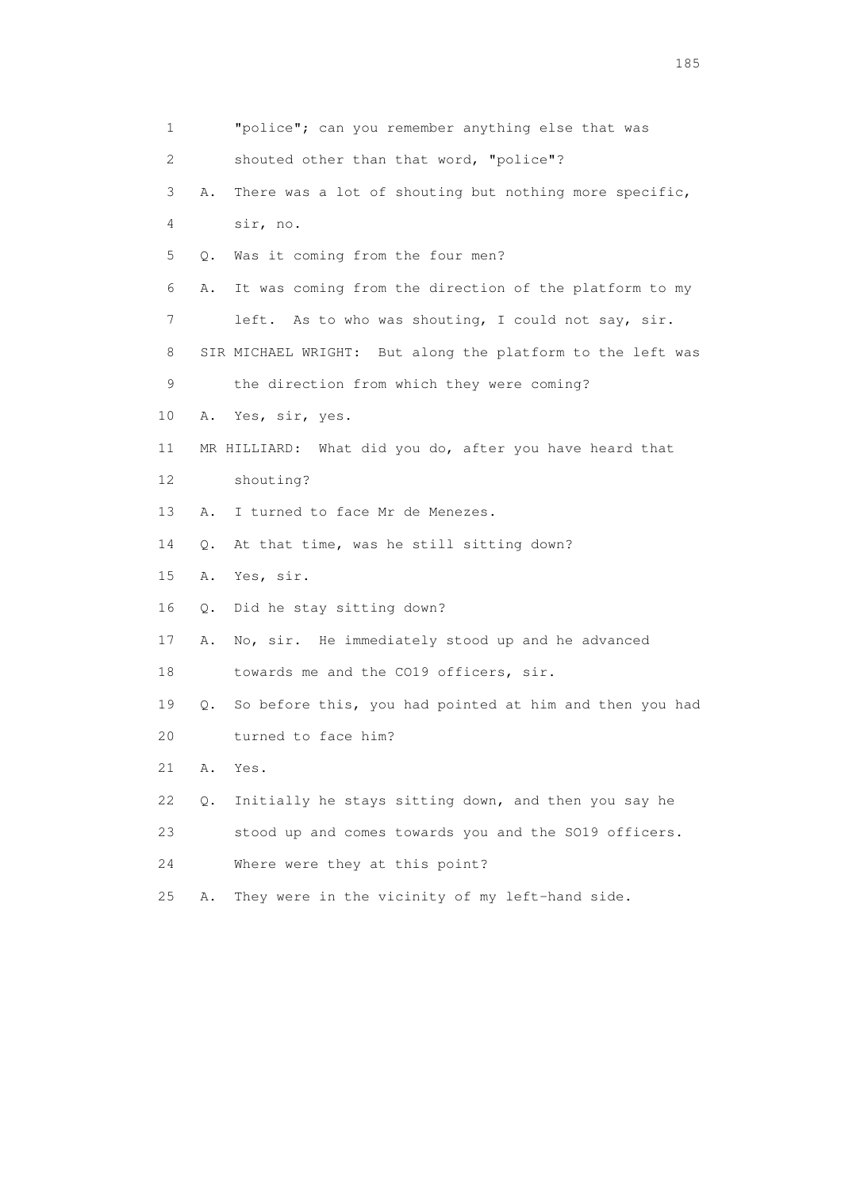| $\mathbf{1}$ | "police"; can you remember anything else that was             |
|--------------|---------------------------------------------------------------|
| 2            | shouted other than that word, "police"?                       |
| 3            | There was a lot of shouting but nothing more specific,<br>Α.  |
| 4            | sir, no.                                                      |
| 5            | Was it coming from the four men?<br>Q.                        |
| 6            | It was coming from the direction of the platform to my<br>Α.  |
| 7            | left. As to who was shouting, I could not say, sir.           |
| 8            | SIR MICHAEL WRIGHT: But along the platform to the left was    |
| 9            | the direction from which they were coming?                    |
| 10           | Yes, sir, yes.<br>Α.                                          |
| 11           | MR HILLIARD: What did you do, after you have heard that       |
| 12           | shouting?                                                     |
| 13           | I turned to face Mr de Menezes.<br>Α.                         |
| 14           | At that time, was he still sitting down?<br>Q.                |
| 15           | Yes, sir.<br>Α.                                               |
| 16           | Did he stay sitting down?<br>Q.                               |
| 17           | No, sir. He immediately stood up and he advanced<br>Α.        |
| 18           | towards me and the CO19 officers, sir.                        |
| 19           | So before this, you had pointed at him and then you had<br>Q. |
| 20           | turned to face him?                                           |
| 21           | Α.<br>Yes.                                                    |
| 22           | Initially he stays sitting down, and then you say he<br>О.    |
| 23           | stood up and comes towards you and the SO19 officers.         |
| 24           | Where were they at this point?                                |
| 25           | They were in the vicinity of my left-hand side.<br>Α.         |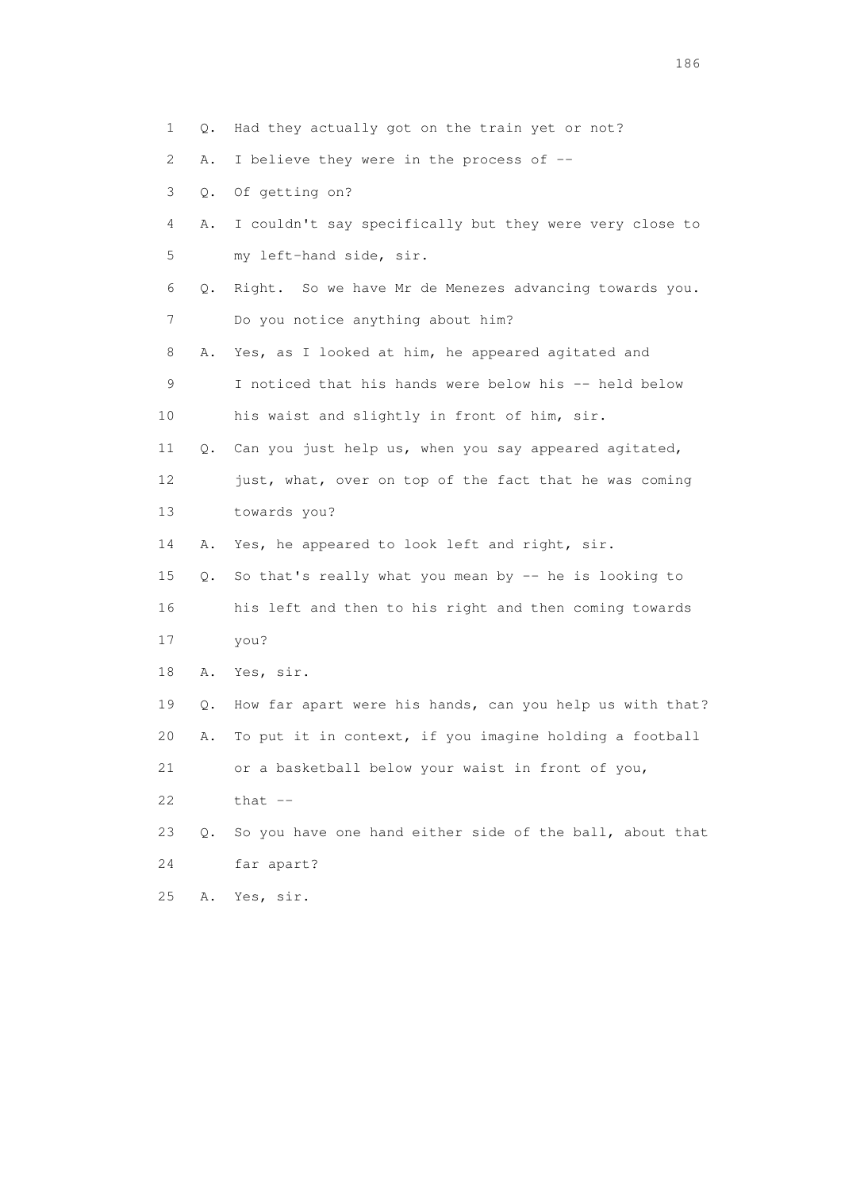2 A. I believe they were in the process of --

- 3 Q. Of getting on?
- 4 A. I couldn't say specifically but they were very close to 5 my left-hand side, sir.
- 6 Q. Right. So we have Mr de Menezes advancing towards you. 7 Do you notice anything about him?
- 8 A. Yes, as I looked at him, he appeared agitated and
- 9 I noticed that his hands were below his -- held below 10 his waist and slightly in front of him, sir.
- 11 Q. Can you just help us, when you say appeared agitated, 12 just, what, over on top of the fact that he was coming
- 13 towards you?
- 14 A. Yes, he appeared to look left and right, sir.
- 15 Q. So that's really what you mean by -- he is looking to 16 his left and then to his right and then coming towards
- 17 you?
- 18 A. Yes, sir.

 19 Q. How far apart were his hands, can you help us with that? 20 A. To put it in context, if you imagine holding a football 21 or a basketball below your waist in front of you,

- $22$  that  $-$
- 23 Q. So you have one hand either side of the ball, about that 24 far apart?
- 25 A. Yes, sir.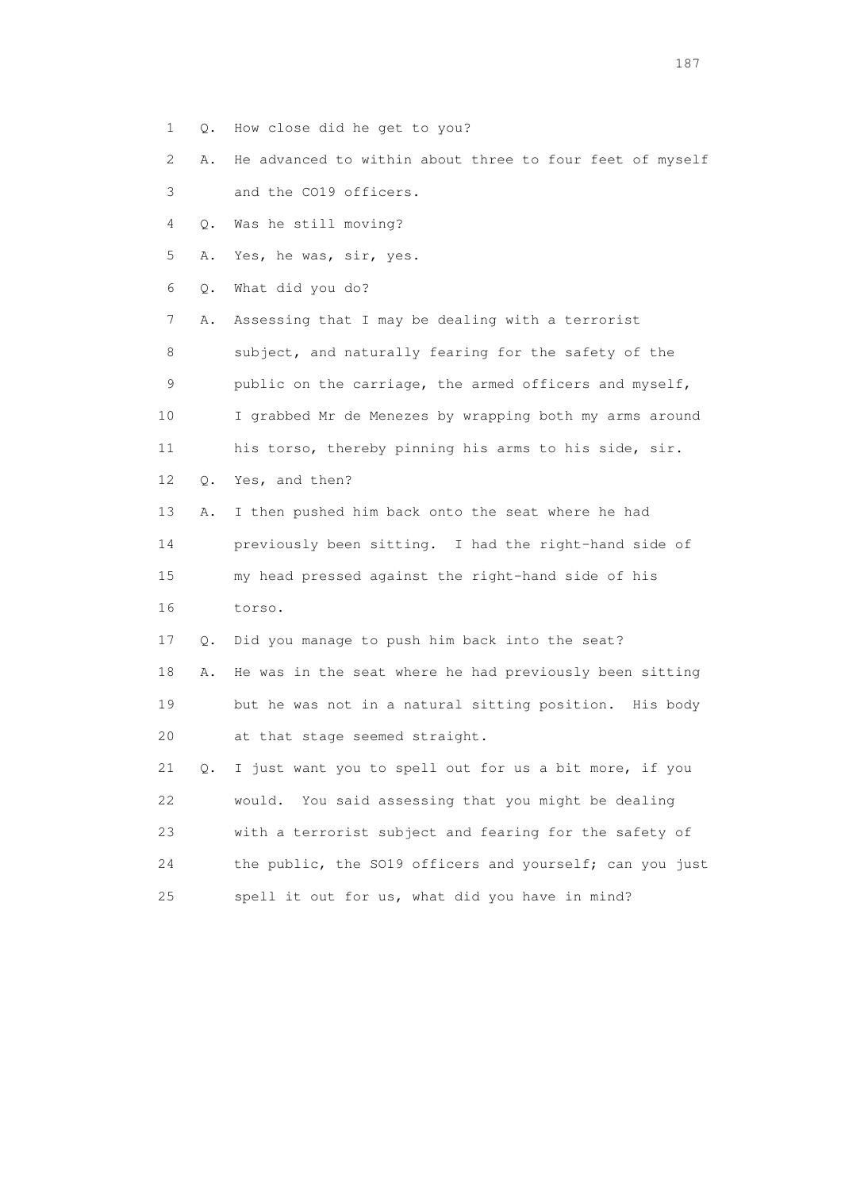- 1 Q. How close did he get to you?
- 2 A. He advanced to within about three to four feet of myself
- 3 and the CO19 officers.
- 4 Q. Was he still moving?
- 5 A. Yes, he was, sir, yes.
- 6 Q. What did you do?

 7 A. Assessing that I may be dealing with a terrorist 8 subject, and naturally fearing for the safety of the 9 public on the carriage, the armed officers and myself, 10 I grabbed Mr de Menezes by wrapping both my arms around 11 his torso, thereby pinning his arms to his side, sir. 12 Q. Yes, and then?

 13 A. I then pushed him back onto the seat where he had 14 previously been sitting. I had the right-hand side of 15 my head pressed against the right-hand side of his 16 torso.

17 Q. Did you manage to push him back into the seat?

 18 A. He was in the seat where he had previously been sitting 19 but he was not in a natural sitting position. His body 20 at that stage seemed straight.

 21 Q. I just want you to spell out for us a bit more, if you 22 would. You said assessing that you might be dealing 23 with a terrorist subject and fearing for the safety of 24 the public, the SO19 officers and yourself; can you just 25 spell it out for us, what did you have in mind?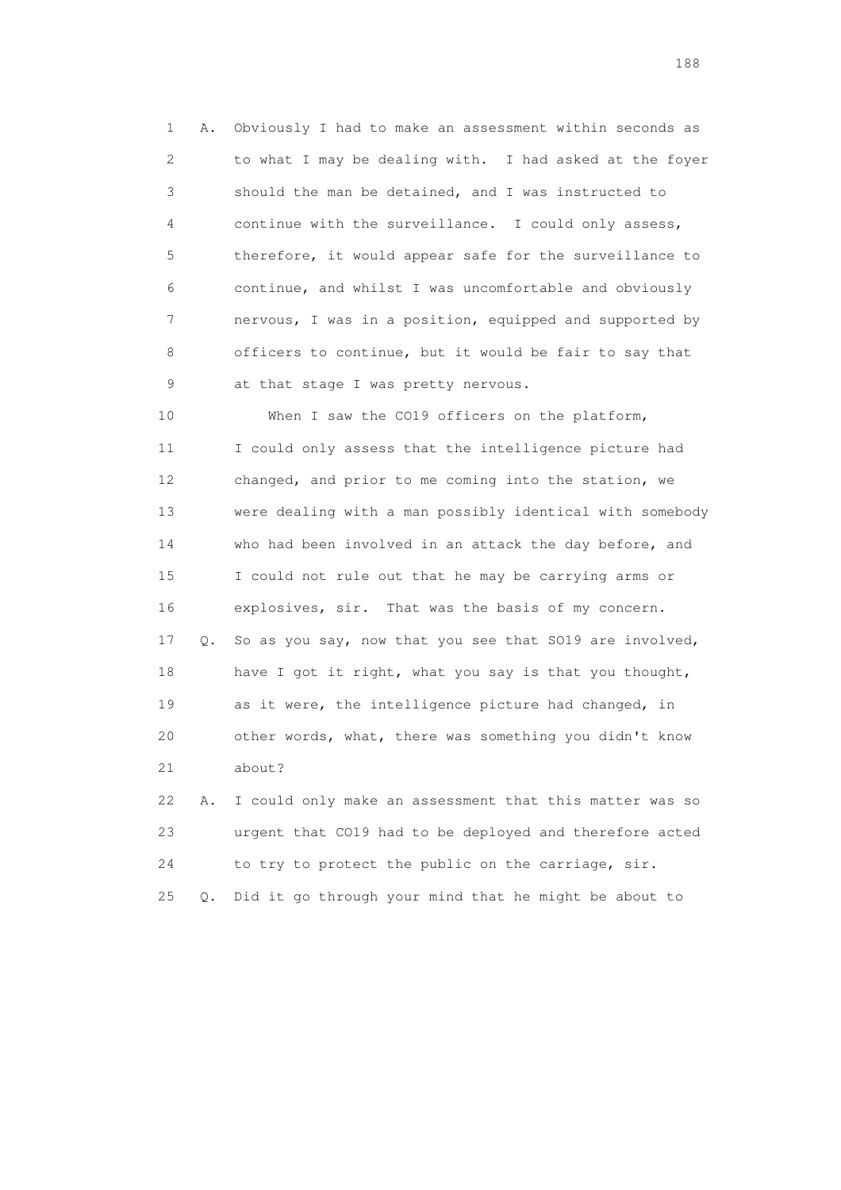1 A. Obviously I had to make an assessment within seconds as 2 to what I may be dealing with. I had asked at the foyer 3 should the man be detained, and I was instructed to 4 continue with the surveillance. I could only assess, 5 therefore, it would appear safe for the surveillance to 6 continue, and whilst I was uncomfortable and obviously 7 nervous, I was in a position, equipped and supported by 8 officers to continue, but it would be fair to say that 9 at that stage I was pretty nervous.

 10 When I saw the CO19 officers on the platform, 11 I could only assess that the intelligence picture had 12 changed, and prior to me coming into the station, we 13 were dealing with a man possibly identical with somebody 14 who had been involved in an attack the day before, and 15 I could not rule out that he may be carrying arms or 16 explosives, sir. That was the basis of my concern. 17 Q. So as you say, now that you see that SO19 are involved, 18 have I got it right, what you say is that you thought, 19 as it were, the intelligence picture had changed, in 20 other words, what, there was something you didn't know 21 about? 22 A. I could only make an assessment that this matter was so

 23 urgent that CO19 had to be deployed and therefore acted 24 to try to protect the public on the carriage, sir. 25 Q. Did it go through your mind that he might be about to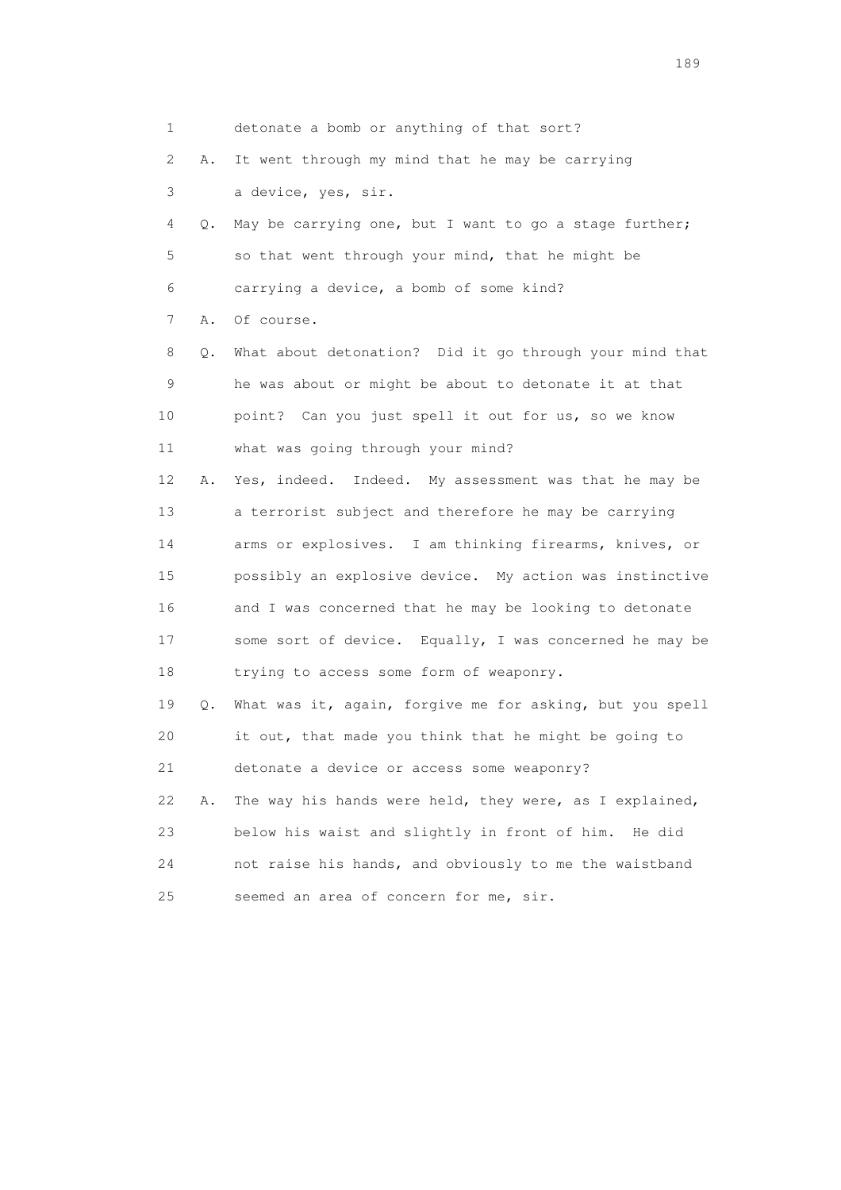| 1                         |    | detonate a bomb or anything of that sort?                |
|---------------------------|----|----------------------------------------------------------|
| $\mathbf{2}^{\mathsf{I}}$ | Α. | It went through my mind that he may be carrying          |
| 3                         |    | a device, yes, sir.                                      |
| 4                         | Q. | May be carrying one, but I want to go a stage further;   |
| 5                         |    | so that went through your mind, that he might be         |
| 6                         |    | carrying a device, a bomb of some kind?                  |
| 7                         | Α. | Of course.                                               |
| 8                         | Q. | What about detonation? Did it go through your mind that  |
| 9                         |    | he was about or might be about to detonate it at that    |
| 10                        |    | point? Can you just spell it out for us, so we know      |
| 11                        |    | what was going through your mind?                        |
| 12 <sup>°</sup>           | Α. | Yes, indeed. Indeed. My assessment was that he may be    |
| 13                        |    | a terrorist subject and therefore he may be carrying     |
| 14                        |    | arms or explosives. I am thinking firearms, knives, or   |
| 15                        |    | possibly an explosive device. My action was instinctive  |
| 16                        |    | and I was concerned that he may be looking to detonate   |
| 17                        |    | some sort of device. Equally, I was concerned he may be  |
| 18                        |    | trying to access some form of weaponry.                  |
| 19                        | Q. | What was it, again, forgive me for asking, but you spell |
| 20                        |    | it out, that made you think that he might be going to    |
| 21                        |    | detonate a device or access some weaponry?               |
| 22                        | Α. | The way his hands were held, they were, as I explained,  |
| 23                        |    | below his waist and slightly in front of him. He did     |
| 24                        |    | not raise his hands, and obviously to me the waistband   |
| 25                        |    | seemed an area of concern for me, sir.                   |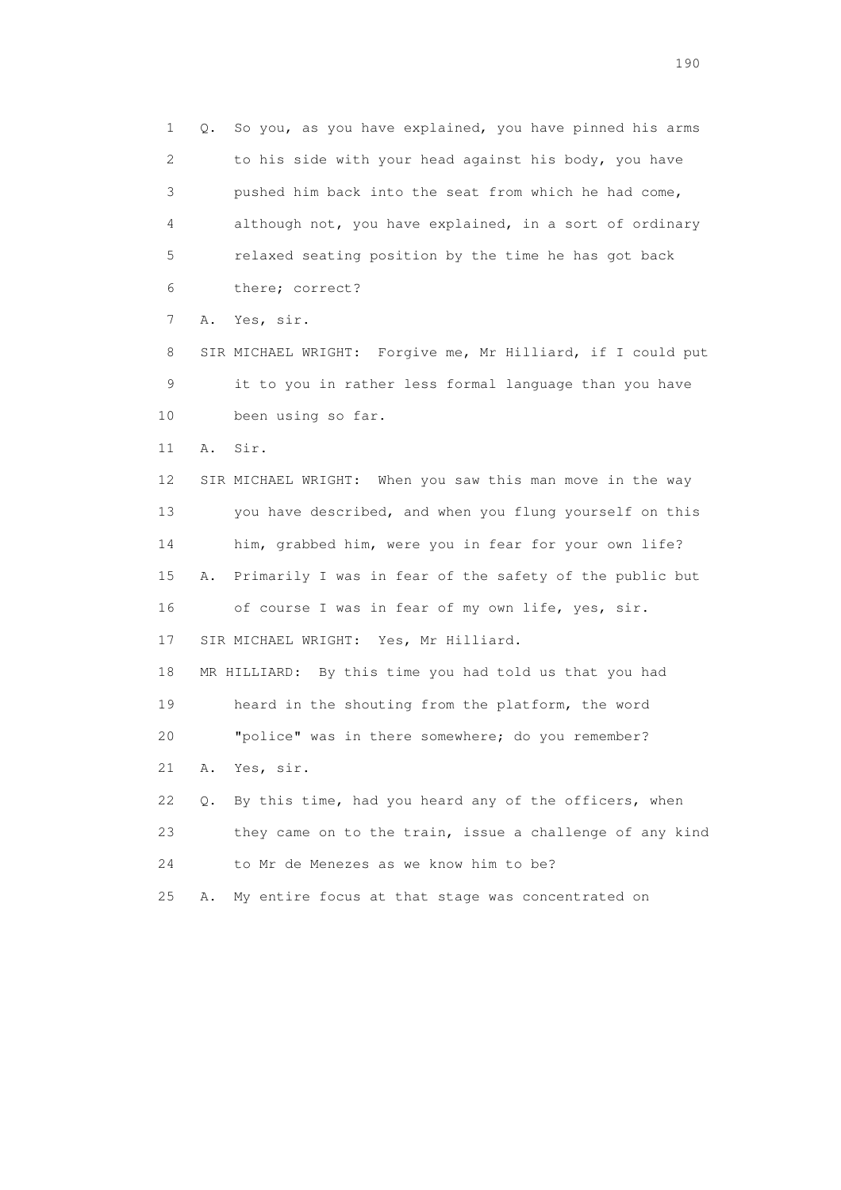1 Q. So you, as you have explained, you have pinned his arms 2 to his side with your head against his body, you have 3 pushed him back into the seat from which he had come, 4 although not, you have explained, in a sort of ordinary 5 relaxed seating position by the time he has got back 6 there; correct? 7 A. Yes, sir. 8 SIR MICHAEL WRIGHT: Forgive me, Mr Hilliard, if I could put 9 it to you in rather less formal language than you have 10 been using so far. 11 A. Sir. 12 SIR MICHAEL WRIGHT: When you saw this man move in the way 13 you have described, and when you flung yourself on this 14 him, grabbed him, were you in fear for your own life? 15 A. Primarily I was in fear of the safety of the public but 16 of course I was in fear of my own life, yes, sir. 17 SIR MICHAEL WRIGHT: Yes, Mr Hilliard. 18 MR HILLIARD: By this time you had told us that you had 19 heard in the shouting from the platform, the word 20 "police" was in there somewhere; do you remember? 21 A. Yes, sir. 22 Q. By this time, had you heard any of the officers, when 23 they came on to the train, issue a challenge of any kind 24 to Mr de Menezes as we know him to be? 25 A. My entire focus at that stage was concentrated on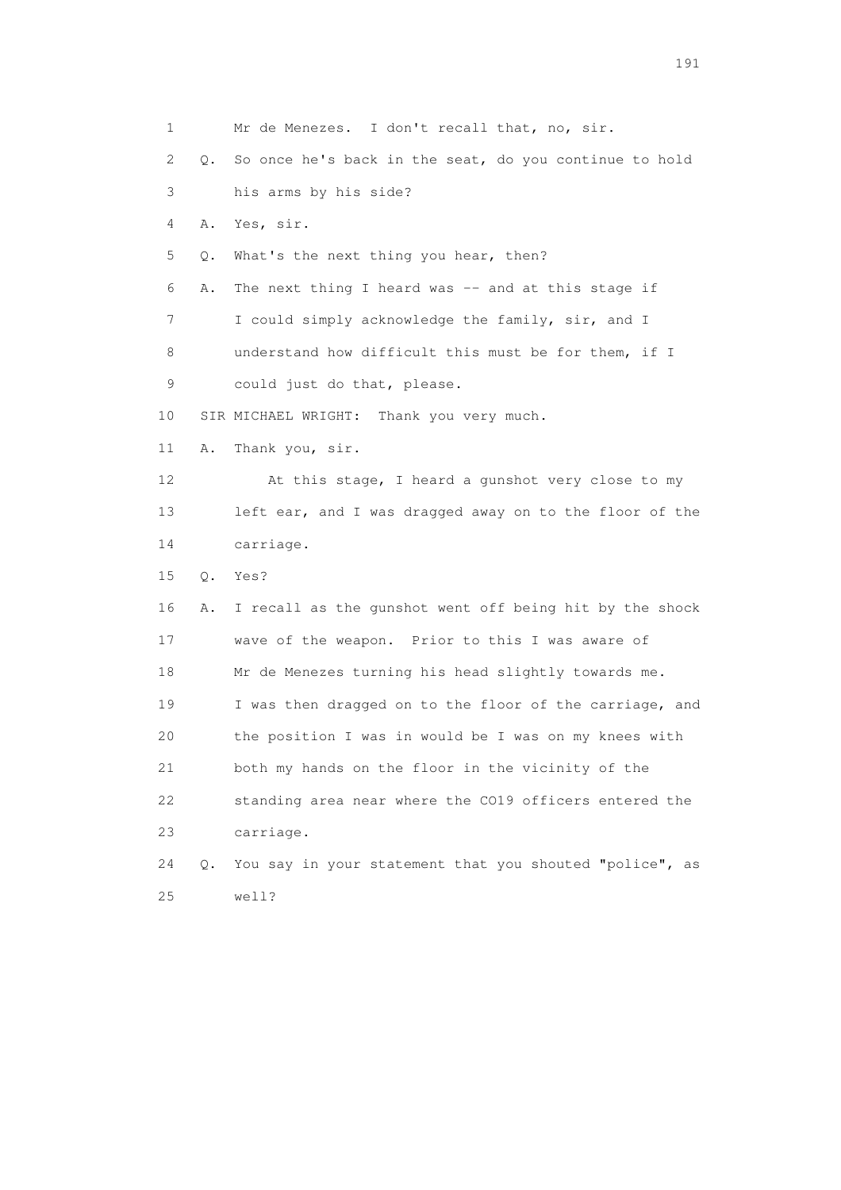1 Mr de Menezes. I don't recall that, no, sir. 2 Q. So once he's back in the seat, do you continue to hold 3 his arms by his side? 4 A. Yes, sir. 5 Q. What's the next thing you hear, then? 6 A. The next thing I heard was -- and at this stage if 7 I could simply acknowledge the family, sir, and I 8 understand how difficult this must be for them, if I 9 could just do that, please. 10 SIR MICHAEL WRIGHT: Thank you very much. 11 A. Thank you, sir. 12 At this stage, I heard a gunshot very close to my 13 left ear, and I was dragged away on to the floor of the 14 carriage. 15 Q. Yes? 16 A. I recall as the gunshot went off being hit by the shock 17 wave of the weapon. Prior to this I was aware of 18 Mr de Menezes turning his head slightly towards me. 19 I was then dragged on to the floor of the carriage, and 20 the position I was in would be I was on my knees with 21 both my hands on the floor in the vicinity of the 22 standing area near where the CO19 officers entered the 23 carriage. 24 Q. You say in your statement that you shouted "police", as 25 well?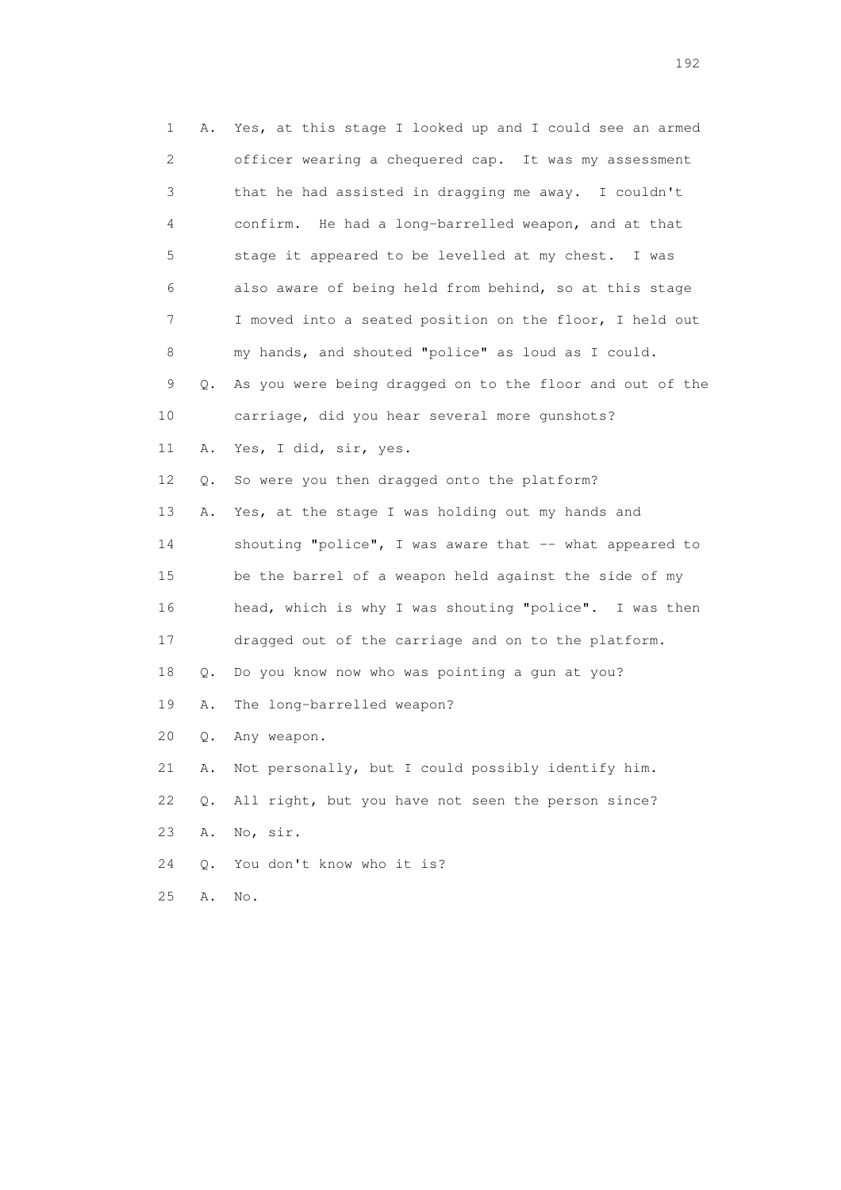| 1              | Α.    | Yes, at this stage I looked up and I could see an armed  |
|----------------|-------|----------------------------------------------------------|
| $\overline{c}$ |       | officer wearing a chequered cap. It was my assessment    |
| 3              |       | that he had assisted in dragging me away. I couldn't     |
| 4              |       | confirm. He had a long-barrelled weapon, and at that     |
| 5              |       | stage it appeared to be levelled at my chest. I was      |
| 6              |       | also aware of being held from behind, so at this stage   |
| 7              |       | I moved into a seated position on the floor, I held out  |
| 8              |       | my hands, and shouted "police" as loud as I could.       |
| 9              | Q.    | As you were being dragged on to the floor and out of the |
| 10             |       | carriage, did you hear several more gunshots?            |
| 11             | Α.    | Yes, I did, sir, yes.                                    |
| 12             | Q.    | So were you then dragged onto the platform?              |
| 13             | Α.    | Yes, at the stage I was holding out my hands and         |
| 14             |       | shouting "police", I was aware that -- what appeared to  |
| 15             |       | be the barrel of a weapon held against the side of my    |
| 16             |       | head, which is why I was shouting "police". I was then   |
| 17             |       | dragged out of the carriage and on to the platform.      |
| 18             | Q.    | Do you know now who was pointing a gun at you?           |
| 19             | Α.    | The long-barrelled weapon?                               |
| 20             | Q.    | Any weapon.                                              |
| 21             | Α.    | Not personally, but I could possibly identify him.       |
| 22             | $Q$ . | All right, but you have not seen the person since?       |
| 23             | Α.    | No, sir.                                                 |
| 24             | О.    | You don't know who it is?                                |
| 25             | Α.    | No.                                                      |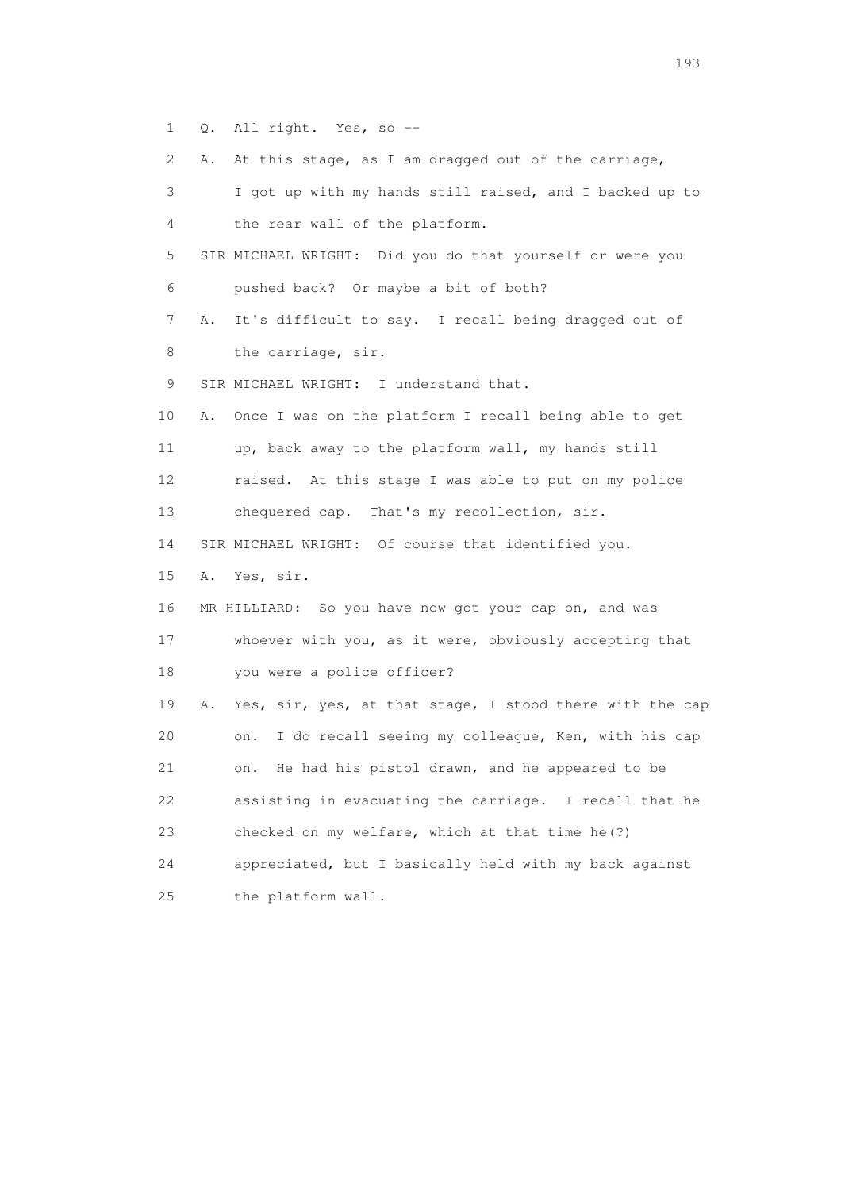1 Q. All right. Yes, so --

2 A. At this stage, as I am dragged out of the carriage,

 3 I got up with my hands still raised, and I backed up to 4 the rear wall of the platform. 5 SIR MICHAEL WRIGHT: Did you do that yourself or were you 6 pushed back? Or maybe a bit of both? 7 A. It's difficult to say. I recall being dragged out of 8 the carriage, sir. 9 SIR MICHAEL WRIGHT: I understand that. 10 A. Once I was on the platform I recall being able to get 11 up, back away to the platform wall, my hands still 12 raised. At this stage I was able to put on my police 13 chequered cap. That's my recollection, sir. 14 SIR MICHAEL WRIGHT: Of course that identified you. 15 A. Yes, sir. 16 MR HILLIARD: So you have now got your cap on, and was 17 whoever with you, as it were, obviously accepting that 18 you were a police officer? 19 A. Yes, sir, yes, at that stage, I stood there with the cap 20 on. I do recall seeing my colleague, Ken, with his cap 21 on. He had his pistol drawn, and he appeared to be 22 assisting in evacuating the carriage. I recall that he 23 checked on my welfare, which at that time he(?) 24 appreciated, but I basically held with my back against 25 the platform wall.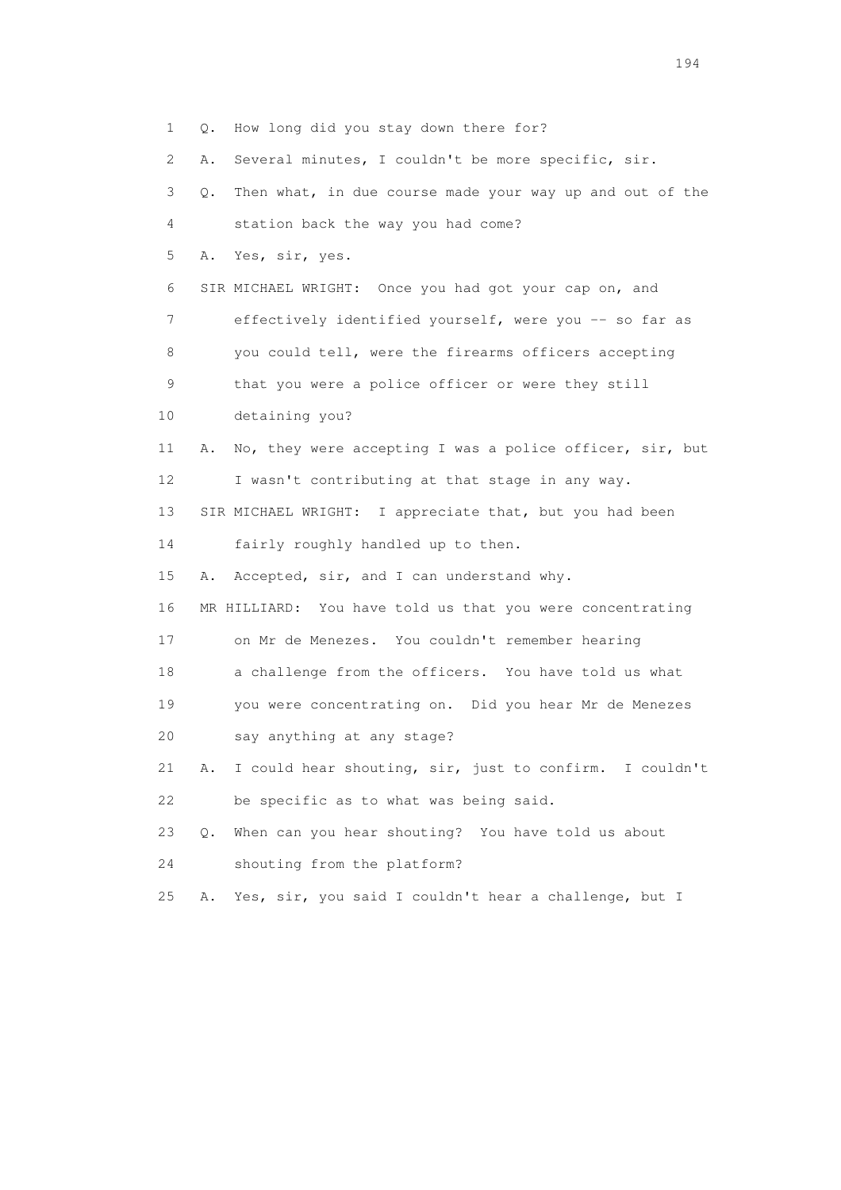1 Q. How long did you stay down there for? 2 A. Several minutes, I couldn't be more specific, sir. 3 Q. Then what, in due course made your way up and out of the 4 station back the way you had come? 5 A. Yes, sir, yes. 6 SIR MICHAEL WRIGHT: Once you had got your cap on, and 7 effectively identified yourself, were you -- so far as 8 you could tell, were the firearms officers accepting 9 that you were a police officer or were they still 10 detaining you? 11 A. No, they were accepting I was a police officer, sir, but 12 I wasn't contributing at that stage in any way. 13 SIR MICHAEL WRIGHT: I appreciate that, but you had been 14 fairly roughly handled up to then. 15 A. Accepted, sir, and I can understand why. 16 MR HILLIARD: You have told us that you were concentrating 17 on Mr de Menezes. You couldn't remember hearing 18 a challenge from the officers. You have told us what 19 you were concentrating on. Did you hear Mr de Menezes 20 say anything at any stage? 21 A. I could hear shouting, sir, just to confirm. I couldn't 22 be specific as to what was being said. 23 Q. When can you hear shouting? You have told us about 24 shouting from the platform? 25 A. Yes, sir, you said I couldn't hear a challenge, but I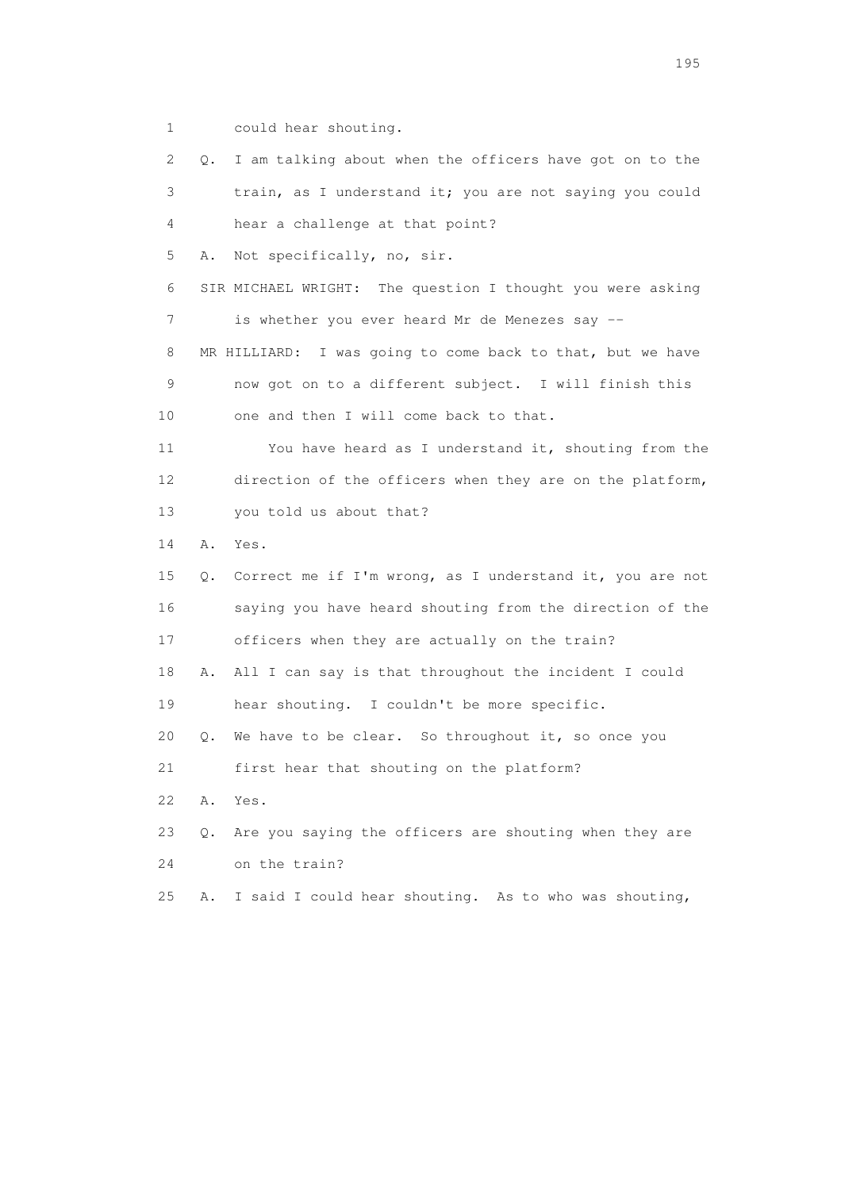1 could hear shouting.

 2 Q. I am talking about when the officers have got on to the 3 train, as I understand it; you are not saying you could 4 hear a challenge at that point? 5 A. Not specifically, no, sir. 6 SIR MICHAEL WRIGHT: The question I thought you were asking 7 is whether you ever heard Mr de Menezes say -- 8 MR HILLIARD: I was going to come back to that, but we have 9 now got on to a different subject. I will finish this 10 one and then I will come back to that. 11 You have heard as I understand it, shouting from the 12 direction of the officers when they are on the platform, 13 you told us about that? 14 A. Yes. 15 Q. Correct me if I'm wrong, as I understand it, you are not 16 saying you have heard shouting from the direction of the 17 officers when they are actually on the train? 18 A. All I can say is that throughout the incident I could 19 hear shouting. I couldn't be more specific. 20 Q. We have to be clear. So throughout it, so once you 21 first hear that shouting on the platform? 22 A. Yes. 23 Q. Are you saying the officers are shouting when they are 24 on the train? 25 A. I said I could hear shouting. As to who was shouting,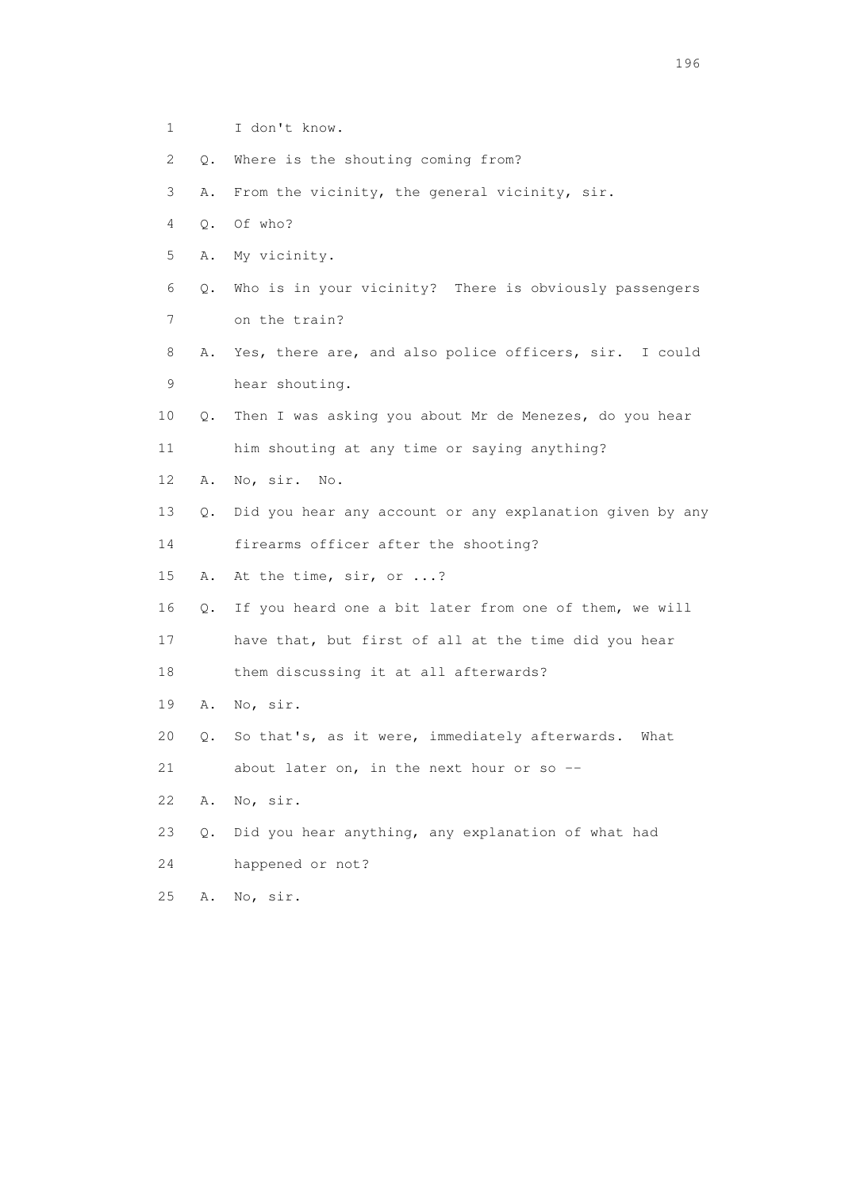1 I don't know. 2 Q. Where is the shouting coming from? 3 A. From the vicinity, the general vicinity, sir. 4 Q. Of who? 5 A. My vicinity. 6 Q. Who is in your vicinity? There is obviously passengers 7 on the train? 8 A. Yes, there are, and also police officers, sir. I could 9 hear shouting. 10 Q. Then I was asking you about Mr de Menezes, do you hear 11 him shouting at any time or saying anything? 12 A. No, sir. No. 13 Q. Did you hear any account or any explanation given by any 14 firearms officer after the shooting? 15 A. At the time, sir, or ...? 16 Q. If you heard one a bit later from one of them, we will 17 have that, but first of all at the time did you hear 18 them discussing it at all afterwards? 19 A. No, sir. 20 Q. So that's, as it were, immediately afterwards. What 21 about later on, in the next hour or so -- 22 A. No, sir. 23 Q. Did you hear anything, any explanation of what had 24 happened or not? 25 A. No, sir.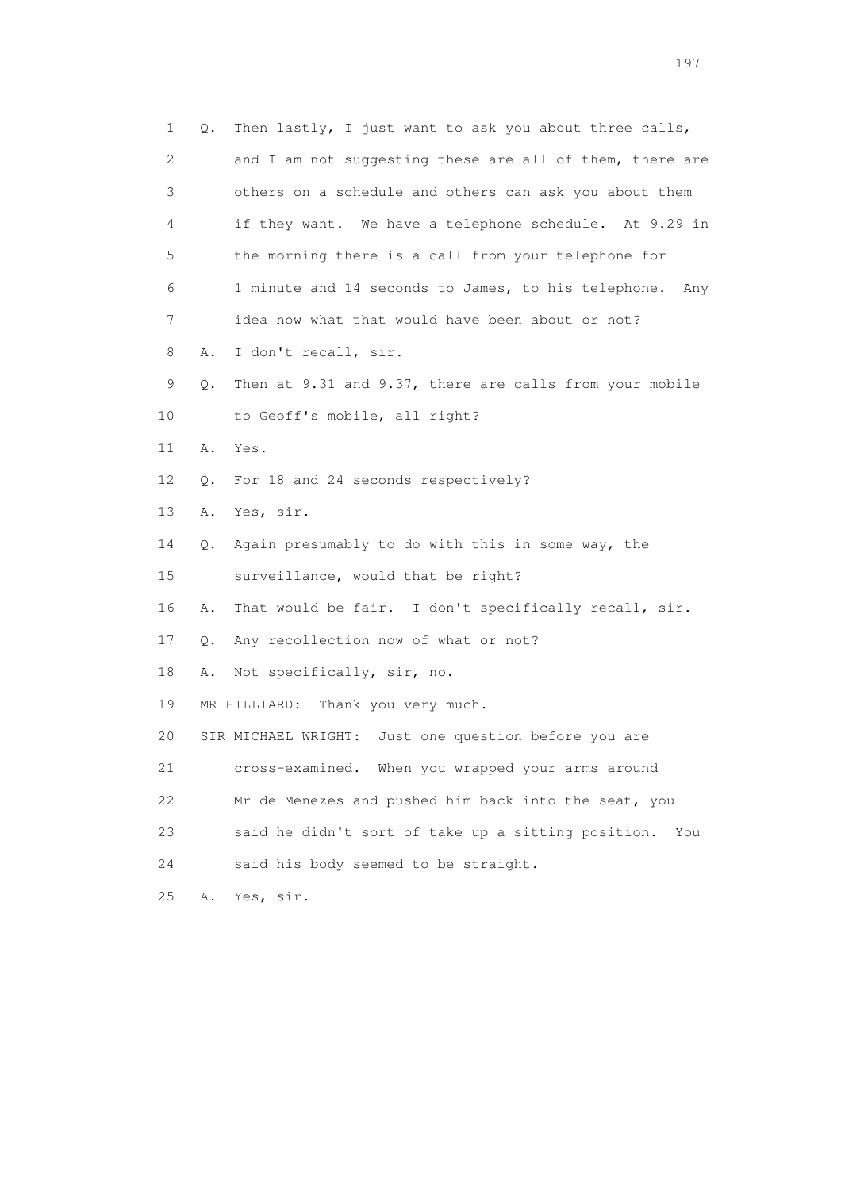1 Q. Then lastly, I just want to ask you about three calls, 2 and I am not suggesting these are all of them, there are 3 others on a schedule and others can ask you about them 4 if they want. We have a telephone schedule. At 9.29 in 5 the morning there is a call from your telephone for 6 1 minute and 14 seconds to James, to his telephone. Any 7 idea now what that would have been about or not? 8 A. I don't recall, sir. 9 Q. Then at 9.31 and 9.37, there are calls from your mobile 10 to Geoff's mobile, all right? 11 A. Yes. 12 Q. For 18 and 24 seconds respectively? 13 A. Yes, sir. 14 Q. Again presumably to do with this in some way, the 15 surveillance, would that be right? 16 A. That would be fair. I don't specifically recall, sir. 17 Q. Any recollection now of what or not? 18 A. Not specifically, sir, no. 19 MR HILLIARD: Thank you very much. 20 SIR MICHAEL WRIGHT: Just one question before you are 21 cross-examined. When you wrapped your arms around 22 Mr de Menezes and pushed him back into the seat, you 23 said he didn't sort of take up a sitting position. You 24 said his body seemed to be straight. 25 A. Yes, sir.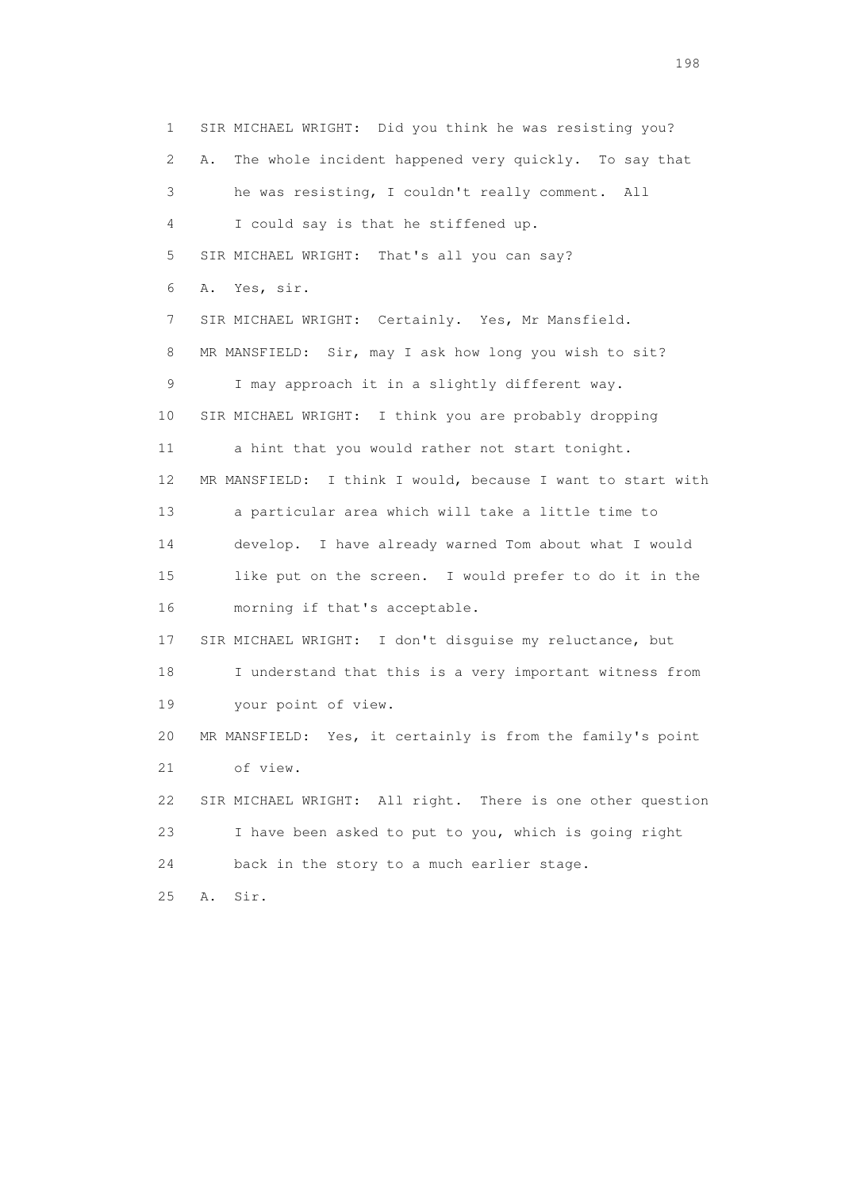1 SIR MICHAEL WRIGHT: Did you think he was resisting you? 2 A. The whole incident happened very quickly. To say that 3 he was resisting, I couldn't really comment. All 4 I could say is that he stiffened up. 5 SIR MICHAEL WRIGHT: That's all you can say? 6 A. Yes, sir. 7 SIR MICHAEL WRIGHT: Certainly. Yes, Mr Mansfield. 8 MR MANSFIELD: Sir, may I ask how long you wish to sit? 9 I may approach it in a slightly different way. 10 SIR MICHAEL WRIGHT: I think you are probably dropping 11 a hint that you would rather not start tonight. 12 MR MANSFIELD: I think I would, because I want to start with 13 a particular area which will take a little time to 14 develop. I have already warned Tom about what I would 15 like put on the screen. I would prefer to do it in the 16 morning if that's acceptable. 17 SIR MICHAEL WRIGHT: I don't disguise my reluctance, but 18 I understand that this is a very important witness from 19 your point of view. 20 MR MANSFIELD: Yes, it certainly is from the family's point 21 of view. 22 SIR MICHAEL WRIGHT: All right. There is one other question 23 I have been asked to put to you, which is going right 24 back in the story to a much earlier stage. 25 A. Sir.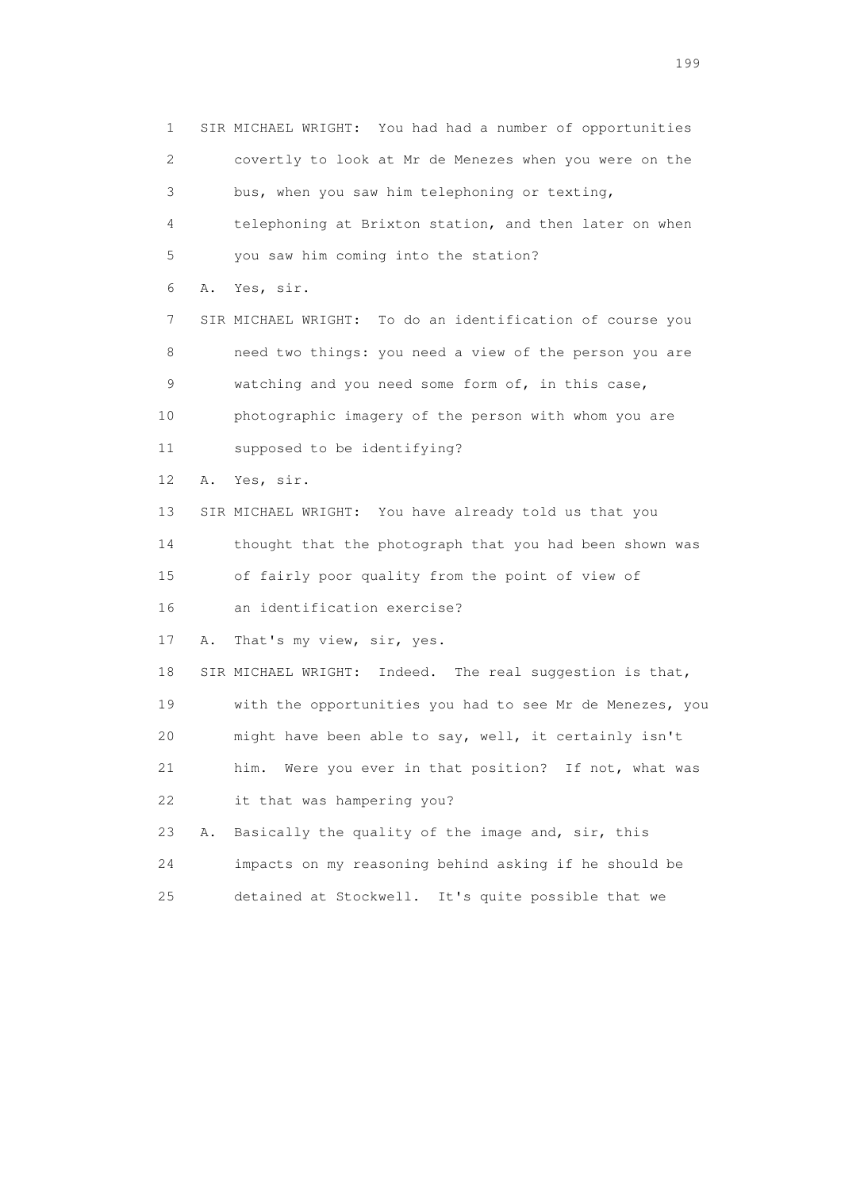1 SIR MICHAEL WRIGHT: You had had a number of opportunities 2 covertly to look at Mr de Menezes when you were on the 3 bus, when you saw him telephoning or texting, 4 telephoning at Brixton station, and then later on when 5 you saw him coming into the station? 6 A. Yes, sir. 7 SIR MICHAEL WRIGHT: To do an identification of course you 8 need two things: you need a view of the person you are 9 watching and you need some form of, in this case, 10 photographic imagery of the person with whom you are 11 supposed to be identifying? 12 A. Yes, sir. 13 SIR MICHAEL WRIGHT: You have already told us that you 14 thought that the photograph that you had been shown was 15 of fairly poor quality from the point of view of 16 an identification exercise? 17 A. That's my view, sir, yes. 18 SIR MICHAEL WRIGHT: Indeed. The real suggestion is that, 19 with the opportunities you had to see Mr de Menezes, you 20 might have been able to say, well, it certainly isn't 21 him. Were you ever in that position? If not, what was 22 it that was hampering you? 23 A. Basically the quality of the image and, sir, this 24 impacts on my reasoning behind asking if he should be 25 detained at Stockwell. It's quite possible that we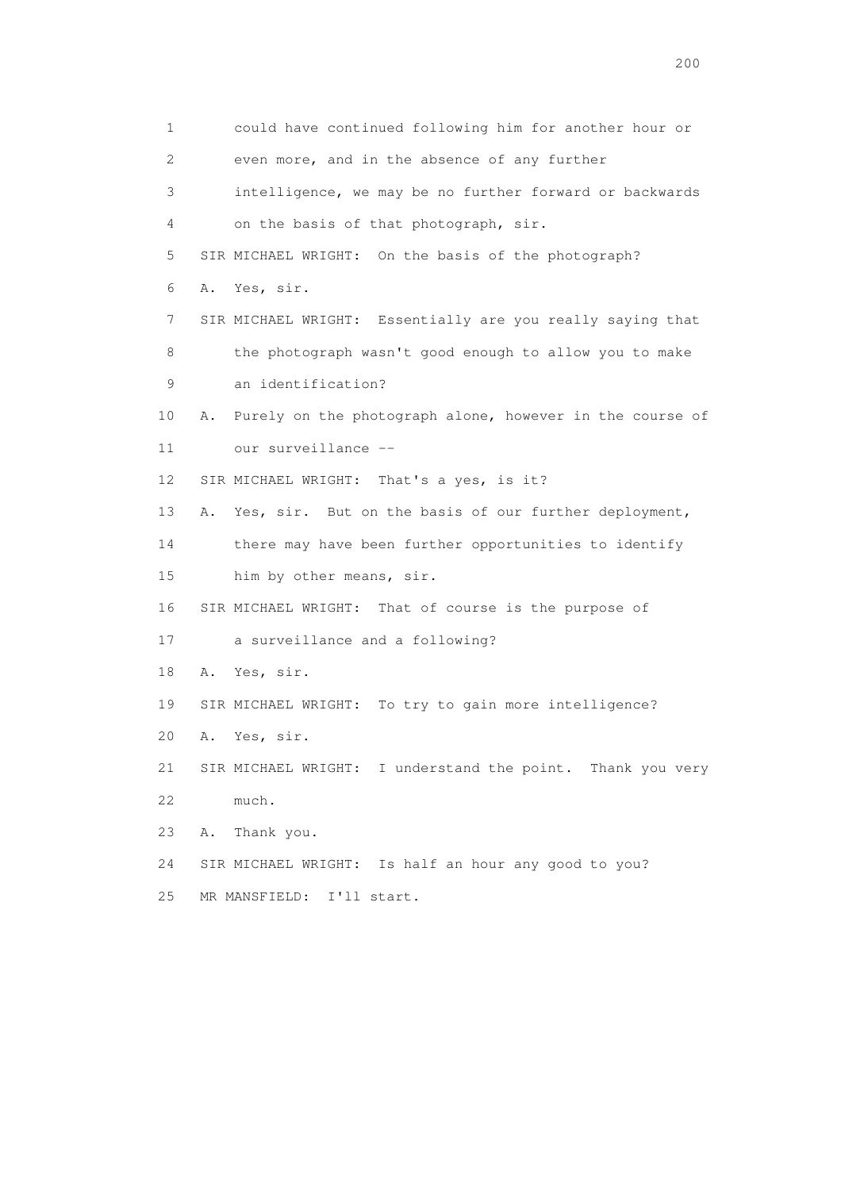1 could have continued following him for another hour or 2 even more, and in the absence of any further 3 intelligence, we may be no further forward or backwards 4 on the basis of that photograph, sir. 5 SIR MICHAEL WRIGHT: On the basis of the photograph? 6 A. Yes, sir. 7 SIR MICHAEL WRIGHT: Essentially are you really saying that 8 the photograph wasn't good enough to allow you to make 9 an identification? 10 A. Purely on the photograph alone, however in the course of 11 our surveillance -- 12 SIR MICHAEL WRIGHT: That's a yes, is it? 13 A. Yes, sir. But on the basis of our further deployment, 14 there may have been further opportunities to identify 15 him by other means, sir. 16 SIR MICHAEL WRIGHT: That of course is the purpose of 17 a surveillance and a following? 18 A. Yes, sir. 19 SIR MICHAEL WRIGHT: To try to gain more intelligence? 20 A. Yes, sir. 21 SIR MICHAEL WRIGHT: I understand the point. Thank you very 22 much. 23 A. Thank you. 24 SIR MICHAEL WRIGHT: Is half an hour any good to you? 25 MR MANSFIELD: I'll start.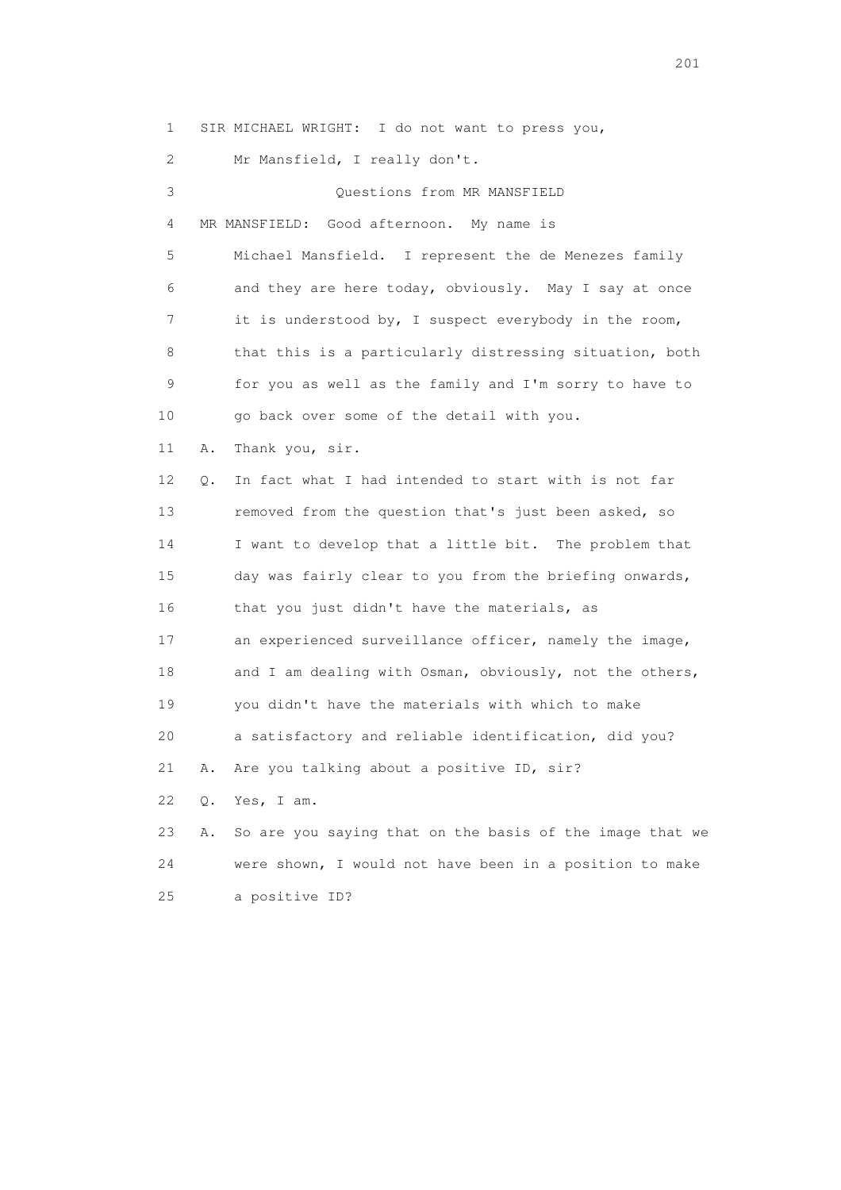1 SIR MICHAEL WRIGHT: I do not want to press you, 2 Mr Mansfield, I really don't. 3 Questions from MR MANSFIELD 4 MR MANSFIELD: Good afternoon. My name is 5 Michael Mansfield. I represent the de Menezes family 6 and they are here today, obviously. May I say at once 7 it is understood by, I suspect everybody in the room, 8 that this is a particularly distressing situation, both 9 for you as well as the family and I'm sorry to have to 10 go back over some of the detail with you. 11 A. Thank you, sir. 12 Q. In fact what I had intended to start with is not far 13 removed from the question that's just been asked, so 14 I want to develop that a little bit. The problem that 15 day was fairly clear to you from the briefing onwards, 16 that you just didn't have the materials, as 17 an experienced surveillance officer, namely the image, 18 and I am dealing with Osman, obviously, not the others, 19 you didn't have the materials with which to make 20 a satisfactory and reliable identification, did you? 21 A. Are you talking about a positive ID, sir? 22 Q. Yes, I am. 23 A. So are you saying that on the basis of the image that we 24 were shown, I would not have been in a position to make 25 a positive ID?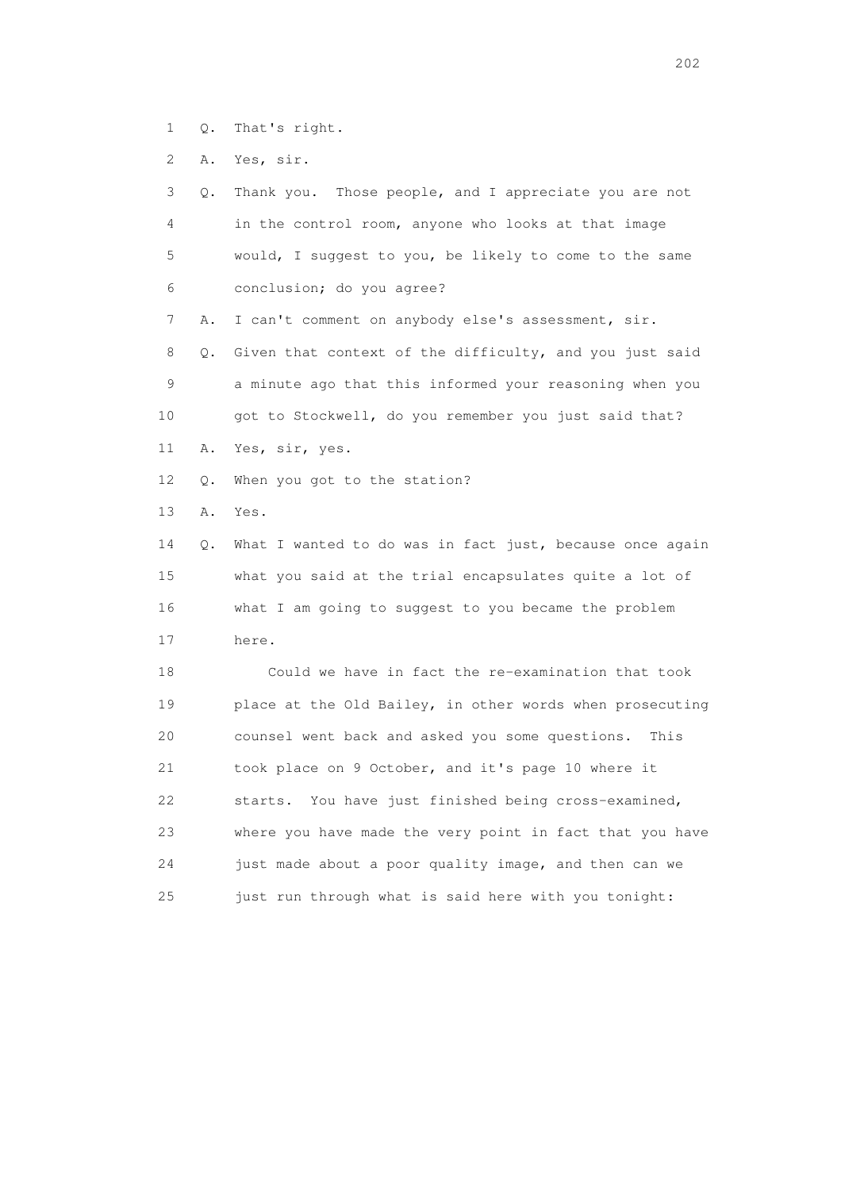1 Q. That's right.

2 A. Yes, sir.

| 3  | Q. | Thank you. Those people, and I appreciate you are not    |
|----|----|----------------------------------------------------------|
| 4  |    | in the control room, anyone who looks at that image      |
| 5  |    | would, I suggest to you, be likely to come to the same   |
| 6  |    | conclusion; do you agree?                                |
| 7  | Α. | I can't comment on anybody else's assessment, sir.       |
| 8  | О. | Given that context of the difficulty, and you just said  |
| 9  |    | a minute ago that this informed your reasoning when you  |
| 10 |    | got to Stockwell, do you remember you just said that?    |
| 11 | Α. | Yes, sir, yes.                                           |
| 12 | Q. | When you got to the station?                             |
| 13 | Α. | Yes.                                                     |
| 14 | Q. | What I wanted to do was in fact just, because once again |
| 15 |    | what you said at the trial encapsulates quite a lot of   |
| 16 |    | what I am going to suggest to you became the problem     |
| 17 |    | here.                                                    |
| 18 |    | Could we have in fact the re-examination that took       |
| 19 |    | place at the Old Bailey, in other words when prosecuting |
| 20 |    | counsel went back and asked you some questions.<br>This  |
| 21 |    | took place on 9 October, and it's page 10 where it       |
| 22 |    | starts. You have just finished being cross-examined,     |
| 23 |    | where you have made the very point in fact that you have |
| 24 |    | just made about a poor quality image, and then can we    |
| 25 |    | just run through what is said here with you tonight:     |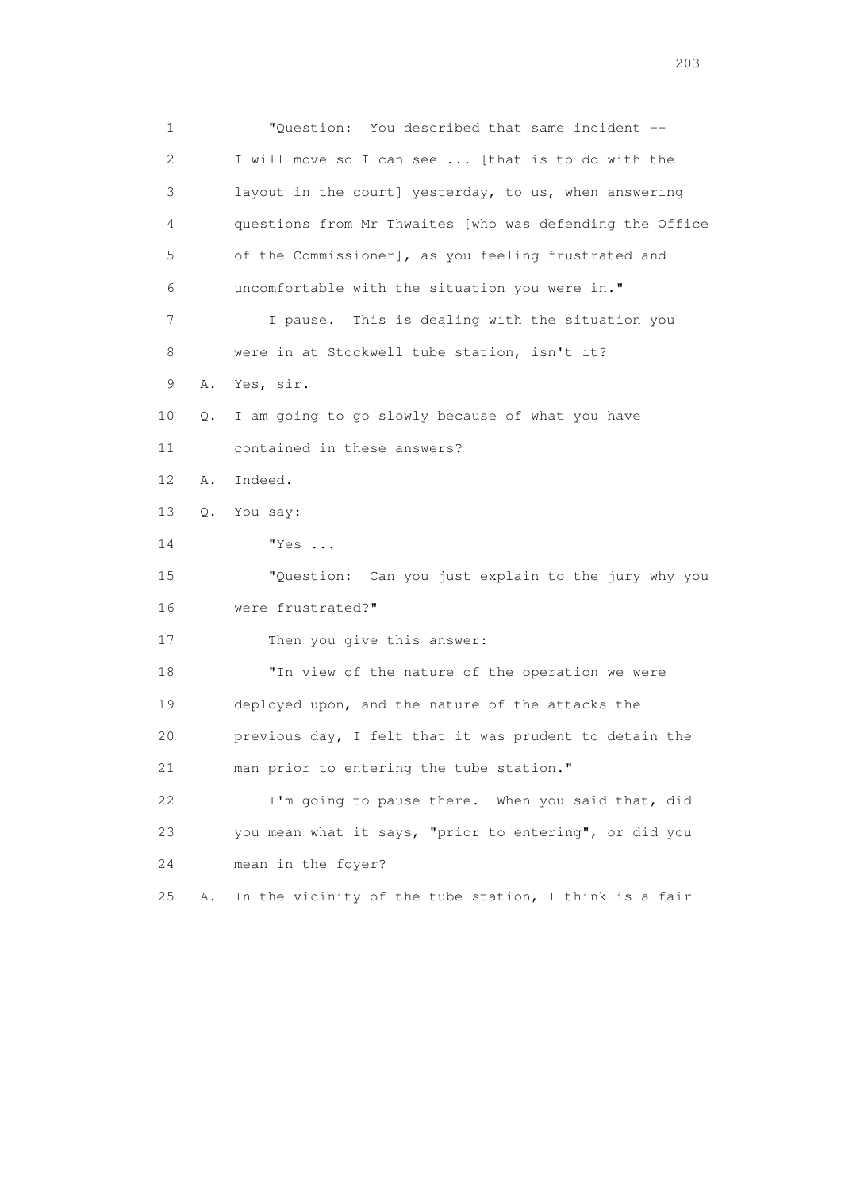1 "Question: You described that same incident -- 2 I will move so I can see ... [that is to do with the 3 layout in the court] yesterday, to us, when answering 4 questions from Mr Thwaites [who was defending the Office 5 of the Commissioner], as you feeling frustrated and 6 uncomfortable with the situation you were in." 7 I pause. This is dealing with the situation you 8 were in at Stockwell tube station, isn't it? 9 A. Yes, sir. 10 Q. I am going to go slowly because of what you have 11 contained in these answers? 12 A. Indeed. 13 Q. You say: 14 "Yes ... 15 "Question: Can you just explain to the jury why you 16 were frustrated?" 17 Then you give this answer: 18 "In view of the nature of the operation we were 19 deployed upon, and the nature of the attacks the 20 previous day, I felt that it was prudent to detain the 21 man prior to entering the tube station." 22 I'm going to pause there. When you said that, did 23 you mean what it says, "prior to entering", or did you 24 mean in the foyer? 25 A. In the vicinity of the tube station, I think is a fair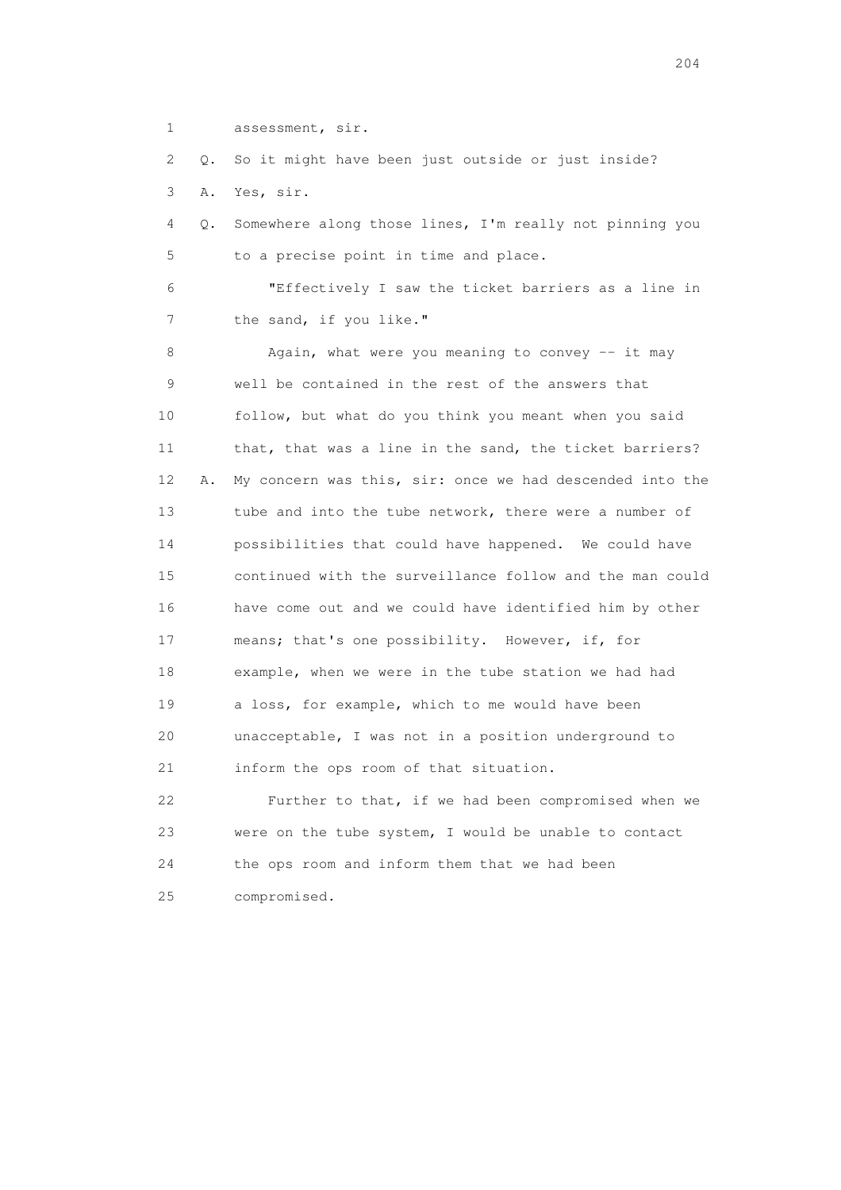1 assessment, sir.

 2 Q. So it might have been just outside or just inside? 3 A. Yes, sir.

 4 Q. Somewhere along those lines, I'm really not pinning you 5 to a precise point in time and place.

 6 "Effectively I saw the ticket barriers as a line in 7 the sand, if you like."

8 Again, what were you meaning to convey -- it may 9 well be contained in the rest of the answers that 10 follow, but what do you think you meant when you said 11 that, that was a line in the sand, the ticket barriers? 12 A. My concern was this, sir: once we had descended into the 13 tube and into the tube network, there were a number of 14 possibilities that could have happened. We could have 15 continued with the surveillance follow and the man could 16 have come out and we could have identified him by other 17 means; that's one possibility. However, if, for 18 example, when we were in the tube station we had had 19 a loss, for example, which to me would have been 20 unacceptable, I was not in a position underground to 21 inform the ops room of that situation.

 22 Further to that, if we had been compromised when we 23 were on the tube system, I would be unable to contact 24 the ops room and inform them that we had been 25 compromised.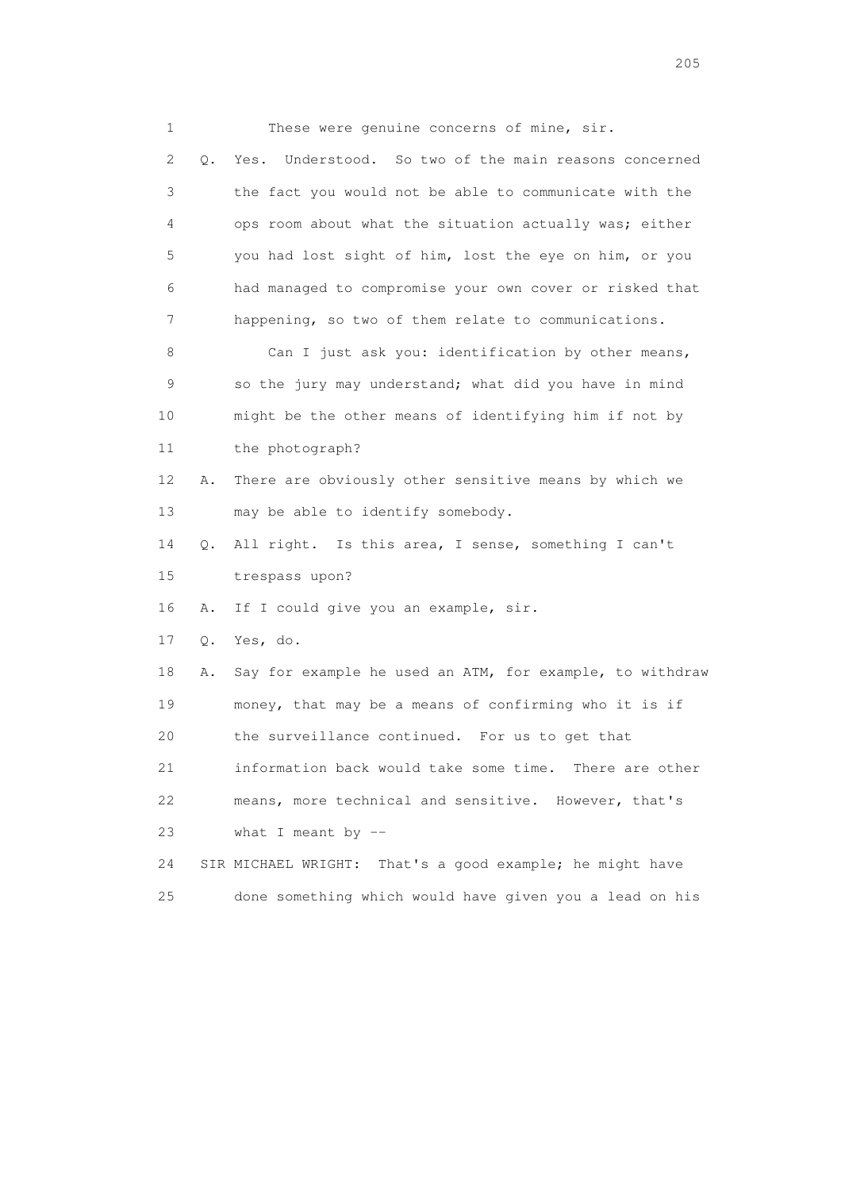1 These were genuine concerns of mine, sir. 2 Q. Yes. Understood. So two of the main reasons concerned 3 the fact you would not be able to communicate with the 4 ops room about what the situation actually was; either 5 you had lost sight of him, lost the eye on him, or you 6 had managed to compromise your own cover or risked that 7 happening, so two of them relate to communications. 8 Can I just ask you: identification by other means, 9 so the jury may understand; what did you have in mind 10 might be the other means of identifying him if not by 11 the photograph? 12 A. There are obviously other sensitive means by which we 13 may be able to identify somebody. 14 Q. All right. Is this area, I sense, something I can't 15 trespass upon? 16 A. If I could give you an example, sir. 17 Q. Yes, do. 18 A. Say for example he used an ATM, for example, to withdraw 19 money, that may be a means of confirming who it is if 20 the surveillance continued. For us to get that 21 information back would take some time. There are other 22 means, more technical and sensitive. However, that's 23 what I meant by -- 24 SIR MICHAEL WRIGHT: That's a good example; he might have 25 done something which would have given you a lead on his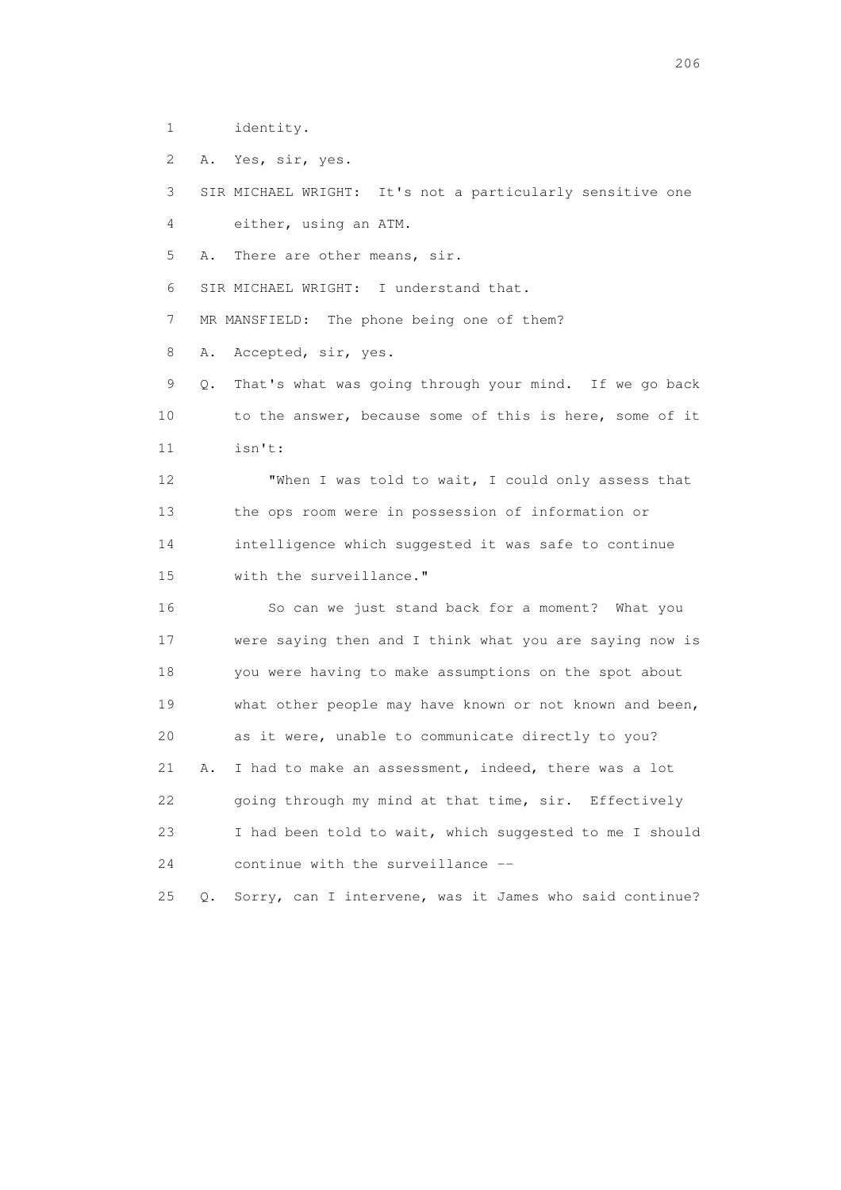1 identity.

2 A. Yes, sir, yes.

 3 SIR MICHAEL WRIGHT: It's not a particularly sensitive one 4 either, using an ATM.

5 A. There are other means, sir.

6 SIR MICHAEL WRIGHT: I understand that.

7 MR MANSFIELD: The phone being one of them?

8 A. Accepted, sir, yes.

 9 Q. That's what was going through your mind. If we go back 10 to the answer, because some of this is here, some of it 11 isn't:

 12 "When I was told to wait, I could only assess that 13 the ops room were in possession of information or 14 intelligence which suggested it was safe to continue 15 with the surveillance."

 16 So can we just stand back for a moment? What you 17 were saying then and I think what you are saying now is 18 you were having to make assumptions on the spot about 19 what other people may have known or not known and been, 20 as it were, unable to communicate directly to you? 21 A. I had to make an assessment, indeed, there was a lot 22 going through my mind at that time, sir. Effectively 23 I had been told to wait, which suggested to me I should 24 continue with the surveillance --

25 Q. Sorry, can I intervene, was it James who said continue?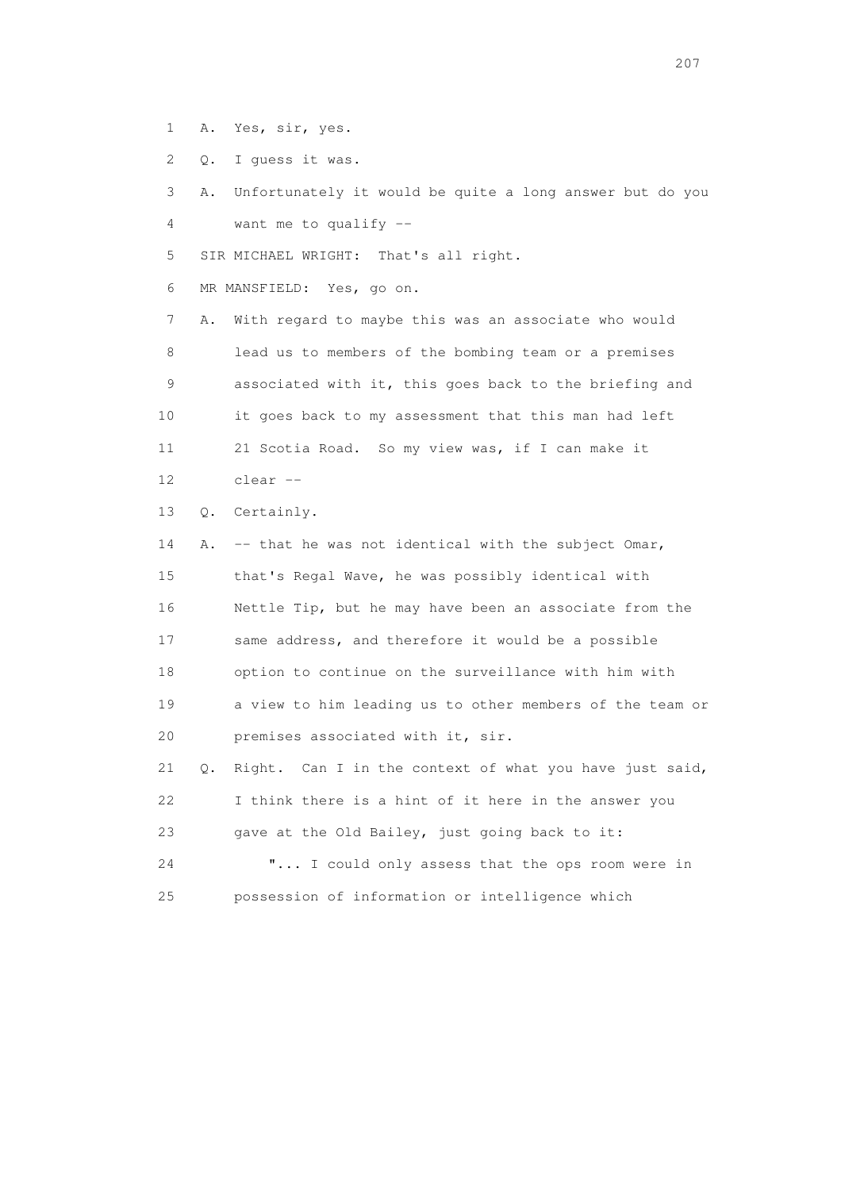- 1 A. Yes, sir, yes.
- 2 Q. I guess it was.

 3 A. Unfortunately it would be quite a long answer but do you 4 want me to qualify --

5 SIR MICHAEL WRIGHT: That's all right.

6 MR MANSFIELD: Yes, go on.

 7 A. With regard to maybe this was an associate who would 8 lead us to members of the bombing team or a premises 9 associated with it, this goes back to the briefing and 10 it goes back to my assessment that this man had left 11 21 Scotia Road. So my view was, if I can make it 12 clear --

13 Q. Certainly.

 14 A. -- that he was not identical with the subject Omar, 15 that's Regal Wave, he was possibly identical with 16 Nettle Tip, but he may have been an associate from the 17 same address, and therefore it would be a possible 18 option to continue on the surveillance with him with 19 a view to him leading us to other members of the team or 20 premises associated with it, sir. 21 Q. Right. Can I in the context of what you have just said, 22 I think there is a hint of it here in the answer you

23 gave at the Old Bailey, just going back to it:

 24 "... I could only assess that the ops room were in 25 possession of information or intelligence which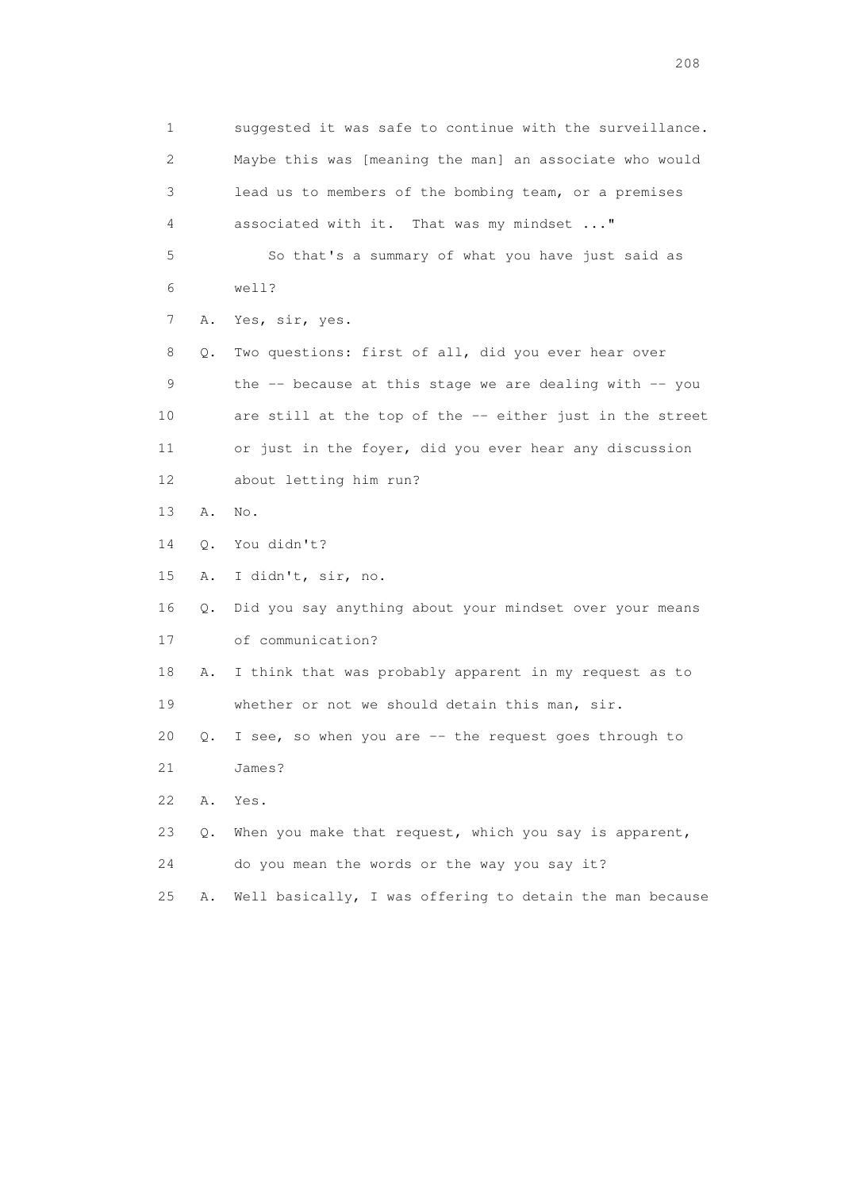1 suggested it was safe to continue with the surveillance. 2 Maybe this was [meaning the man] an associate who would 3 lead us to members of the bombing team, or a premises 4 associated with it. That was my mindset ..." 5 So that's a summary of what you have just said as 6 well? 7 A. Yes, sir, yes. 8 Q. Two questions: first of all, did you ever hear over 9 the -- because at this stage we are dealing with -- you 10 are still at the top of the -- either just in the street 11 or just in the foyer, did you ever hear any discussion 12 about letting him run? 13 A. No. 14 Q. You didn't? 15 A. I didn't, sir, no. 16 Q. Did you say anything about your mindset over your means 17 of communication? 18 A. I think that was probably apparent in my request as to 19 whether or not we should detain this man, sir. 20 Q. I see, so when you are -- the request goes through to 21 James? 22 A. Yes. 23 Q. When you make that request, which you say is apparent, 24 do you mean the words or the way you say it? 25 A. Well basically, I was offering to detain the man because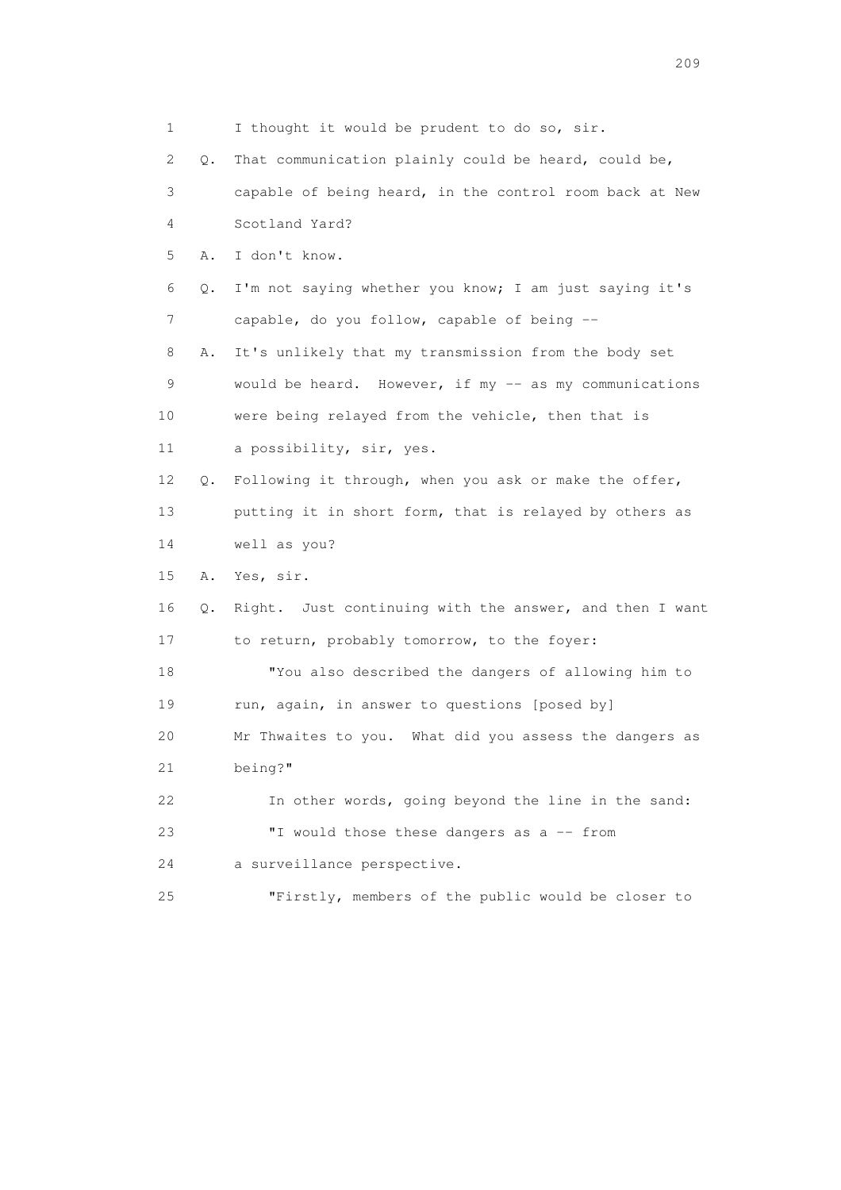| 1                         |    | I thought it would be prudent to do so, sir.            |
|---------------------------|----|---------------------------------------------------------|
| $\mathbf{2}^{\mathsf{I}}$ | Q. | That communication plainly could be heard, could be,    |
| 3                         |    | capable of being heard, in the control room back at New |
| 4                         |    | Scotland Yard?                                          |
| 5                         | Α. | I don't know.                                           |
| 6                         | Q. | I'm not saying whether you know; I am just saying it's  |
| 7                         |    | capable, do you follow, capable of being --             |
| 8                         | Α. | It's unlikely that my transmission from the body set    |
| 9                         |    | would be heard. However, if my -- as my communications  |
| 10                        |    | were being relayed from the vehicle, then that is       |
| 11                        |    | a possibility, sir, yes.                                |
| 12 <sup>°</sup>           | Q. | Following it through, when you ask or make the offer,   |
| 13                        |    | putting it in short form, that is relayed by others as  |
| 14                        |    | well as you?                                            |
| 15                        | Α. | Yes, sir.                                               |
| 16                        | Q. | Right. Just continuing with the answer, and then I want |
| 17                        |    | to return, probably tomorrow, to the foyer:             |
| 18                        |    | "You also described the dangers of allowing him to      |
| 19                        |    | run, again, in answer to questions [posed by]           |
| 20                        |    | Mr Thwaites to you. What did you assess the dangers as  |
| 21                        |    | being?"                                                 |
| 22                        |    | In other words, going beyond the line in the sand:      |
| 23                        |    | "I would those these dangers as a -- from               |
| 24                        |    | a surveillance perspective.                             |
| 25                        |    | "Firstly, members of the public would be closer to      |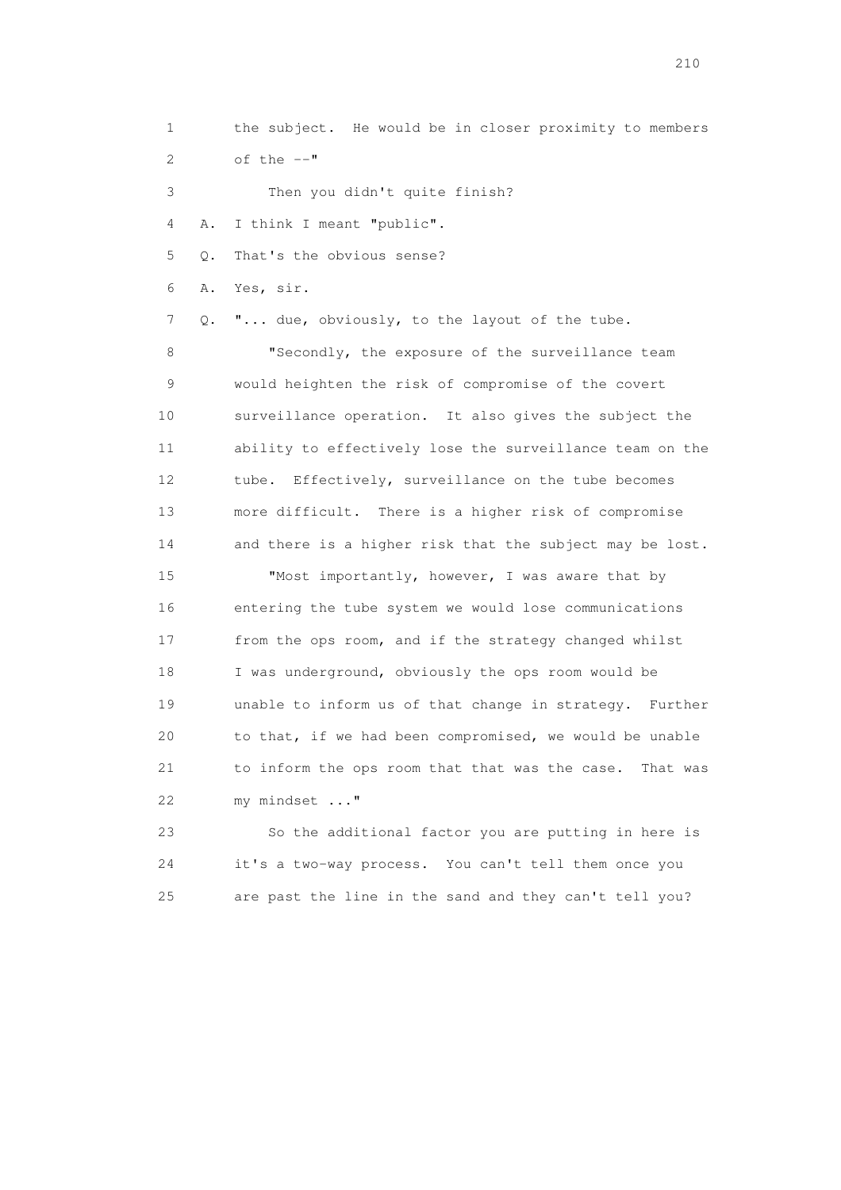1 the subject. He would be in closer proximity to members

2 of the  $--"$ 

3 Then you didn't quite finish?

4 A. I think I meant "public".

5 Q. That's the obvious sense?

6 A. Yes, sir.

7 Q. "... due, obviously, to the layout of the tube.

8 "Secondly, the exposure of the surveillance team 9 would heighten the risk of compromise of the covert 10 surveillance operation. It also gives the subject the 11 ability to effectively lose the surveillance team on the 12 tube. Effectively, surveillance on the tube becomes 13 more difficult. There is a higher risk of compromise 14 and there is a higher risk that the subject may be lost.

15 "Most importantly, however, I was aware that by 16 entering the tube system we would lose communications 17 from the ops room, and if the strategy changed whilst 18 I was underground, obviously the ops room would be 19 unable to inform us of that change in strategy. Further 20 to that, if we had been compromised, we would be unable 21 to inform the ops room that that was the case. That was 22 my mindset ..."

 23 So the additional factor you are putting in here is 24 it's a two-way process. You can't tell them once you 25 are past the line in the sand and they can't tell you?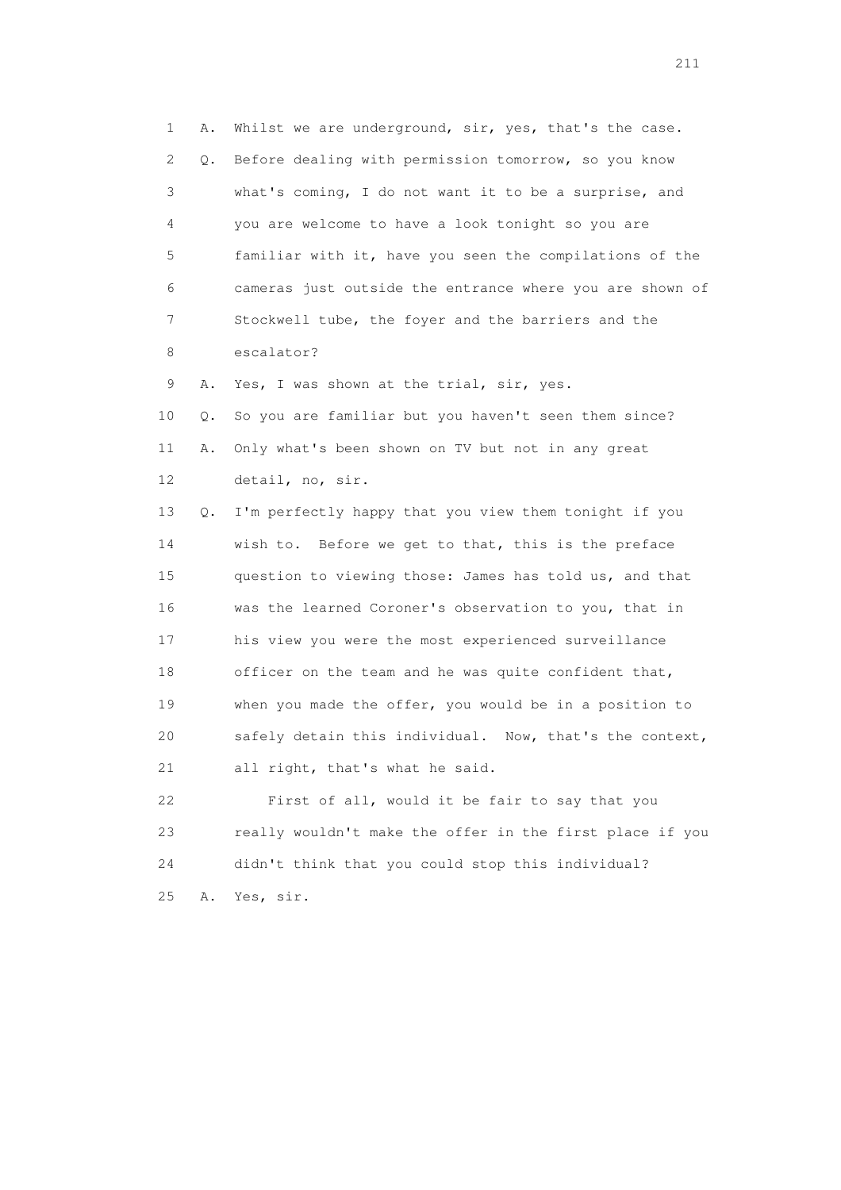1 A. Whilst we are underground, sir, yes, that's the case. 2 Q. Before dealing with permission tomorrow, so you know 3 what's coming, I do not want it to be a surprise, and 4 you are welcome to have a look tonight so you are 5 familiar with it, have you seen the compilations of the 6 cameras just outside the entrance where you are shown of 7 Stockwell tube, the foyer and the barriers and the 8 escalator? 9 A. Yes, I was shown at the trial, sir, yes. 10 Q. So you are familiar but you haven't seen them since? 11 A. Only what's been shown on TV but not in any great 12 detail, no, sir. 13 Q. I'm perfectly happy that you view them tonight if you 14 wish to. Before we get to that, this is the preface 15 question to viewing those: James has told us, and that 16 was the learned Coroner's observation to you, that in 17 his view you were the most experienced surveillance 18 officer on the team and he was quite confident that, 19 when you made the offer, you would be in a position to 20 safely detain this individual. Now, that's the context, 21 all right, that's what he said. 22 First of all, would it be fair to say that you 23 really wouldn't make the offer in the first place if you 24 didn't think that you could stop this individual? 25 A. Yes, sir.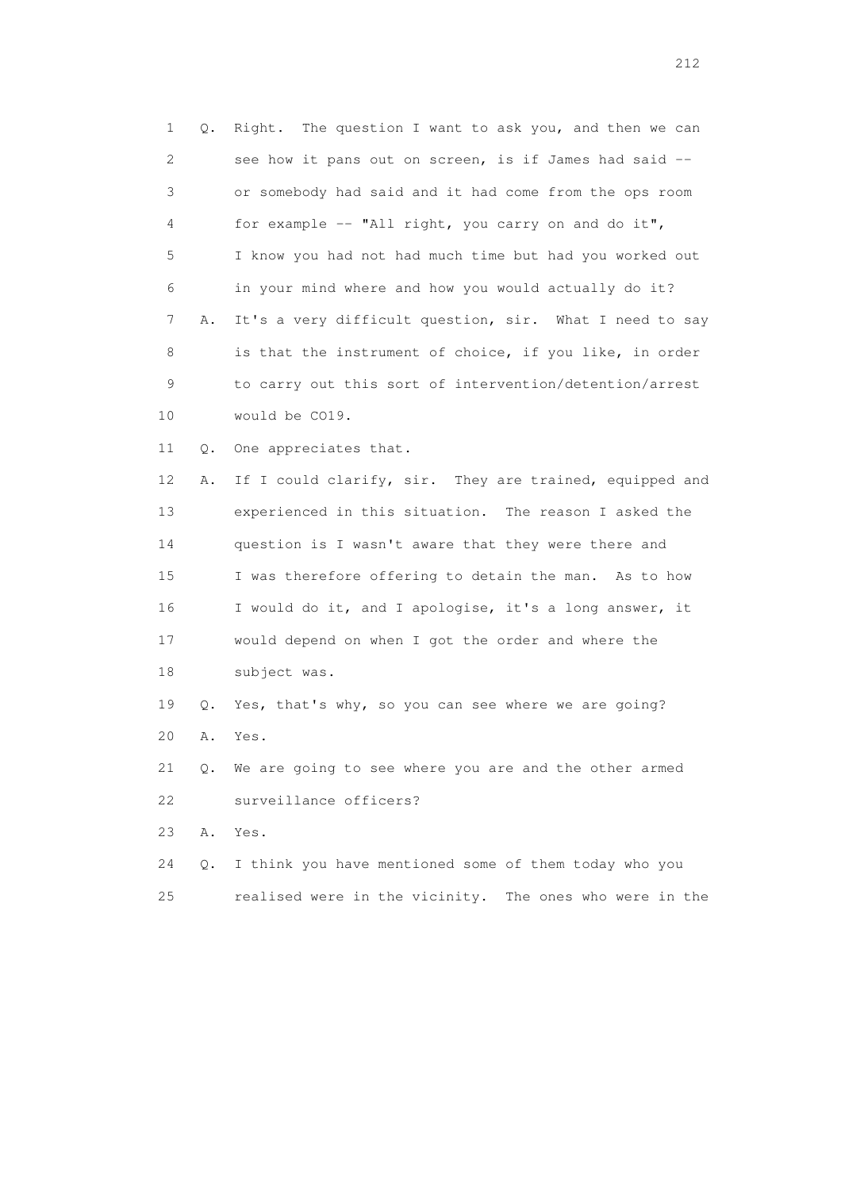1 Q. Right. The question I want to ask you, and then we can 2 see how it pans out on screen, is if James had said -- 3 or somebody had said and it had come from the ops room 4 for example -- "All right, you carry on and do it", 5 I know you had not had much time but had you worked out 6 in your mind where and how you would actually do it? 7 A. It's a very difficult question, sir. What I need to say 8 is that the instrument of choice, if you like, in order 9 to carry out this sort of intervention/detention/arrest 10 would be CO19. 11 Q. One appreciates that.

12 A. If I could clarify, sir. They are trained, equipped and 13 experienced in this situation. The reason I asked the 14 question is I wasn't aware that they were there and 15 I was therefore offering to detain the man. As to how 16 I would do it, and I apologise, it's a long answer, it 17 would depend on when I got the order and where the 18 subject was.

 19 Q. Yes, that's why, so you can see where we are going? 20 A. Yes.

 21 Q. We are going to see where you are and the other armed 22 surveillance officers?

23 A. Yes.

 24 Q. I think you have mentioned some of them today who you 25 realised were in the vicinity. The ones who were in the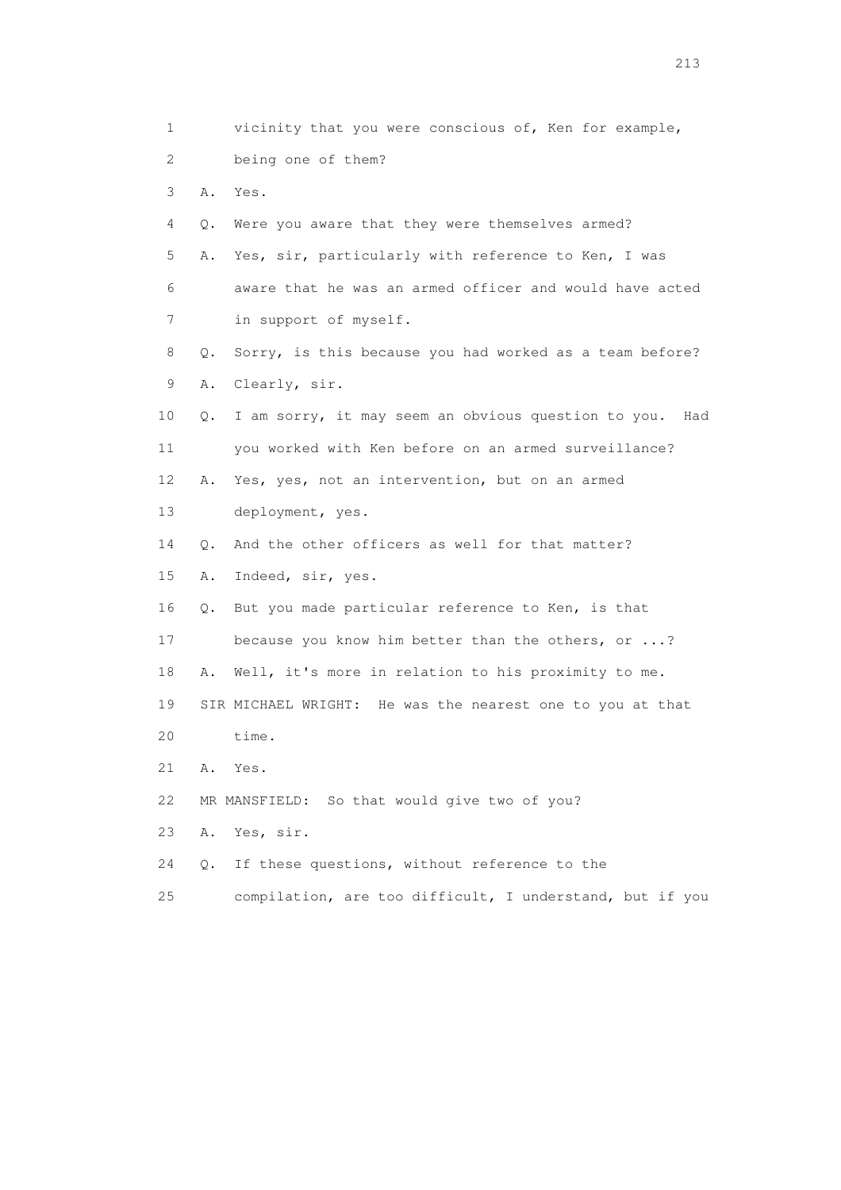| 1                         |           | vicinity that you were conscious of, Ken for example,        |
|---------------------------|-----------|--------------------------------------------------------------|
| $\mathbf{2}^{\mathsf{I}}$ |           | being one of them?                                           |
| 3                         | Α.        | Yes.                                                         |
| 4                         | Q.        | Were you aware that they were themselves armed?              |
| 5                         | Α.        | Yes, sir, particularly with reference to Ken, I was          |
| 6                         |           | aware that he was an armed officer and would have acted      |
| 7                         |           | in support of myself.                                        |
| 8                         | Q.        | Sorry, is this because you had worked as a team before?      |
| 9                         | Α.        | Clearly, sir.                                                |
| 10                        | Q.        | I am sorry, it may seem an obvious question to you.<br>Had   |
| 11                        |           | you worked with Ken before on an armed surveillance?         |
| 12 <sup>°</sup>           | Α.        | Yes, yes, not an intervention, but on an armed               |
| 13                        |           | deployment, yes.                                             |
| 14                        | $\circ$ . | And the other officers as well for that matter?              |
| 15                        | Α.        | Indeed, sir, yes.                                            |
| 16                        | О.        | But you made particular reference to Ken, is that            |
| 17                        |           | because you know him better than the others, or ?            |
| 18                        | Α.        | Well, it's more in relation to his proximity to me.          |
| 19                        |           | He was the nearest one to you at that<br>SIR MICHAEL WRIGHT: |
| 20                        |           | time.                                                        |
| 21                        | Α.        | Yes.                                                         |
| 22                        |           | MR MANSFIELD: So that would give two of you?                 |
| 23                        | Α.        | Yes, sir.                                                    |
| 24                        | Q.        | If these questions, without reference to the                 |
| 25                        |           | compilation, are too difficult, I understand, but if you     |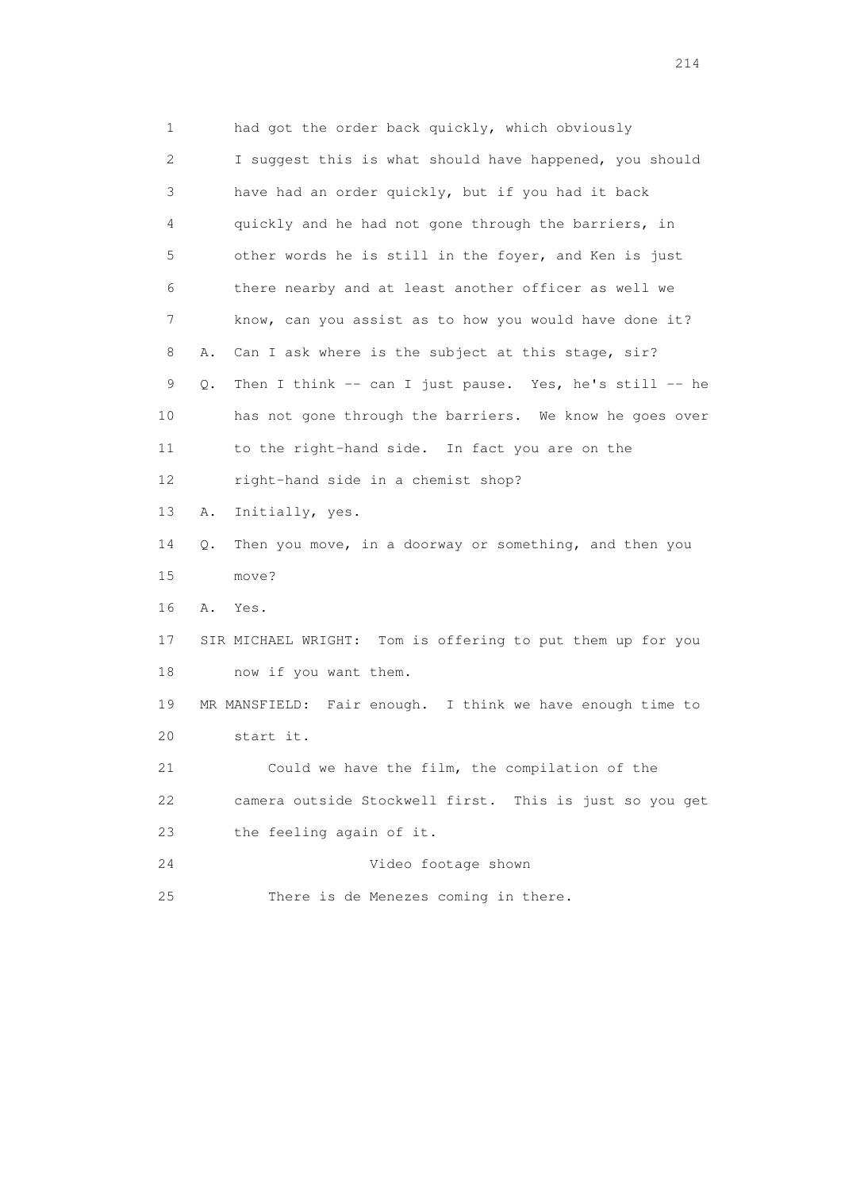1 had got the order back quickly, which obviously 2 I suggest this is what should have happened, you should 3 have had an order quickly, but if you had it back 4 quickly and he had not gone through the barriers, in 5 other words he is still in the foyer, and Ken is just 6 there nearby and at least another officer as well we 7 know, can you assist as to how you would have done it? 8 A. Can I ask where is the subject at this stage, sir? 9 Q. Then I think -- can I just pause. Yes, he's still -- he 10 has not gone through the barriers. We know he goes over 11 to the right-hand side. In fact you are on the 12 right-hand side in a chemist shop? 13 A. Initially, yes. 14 Q. Then you move, in a doorway or something, and then you 15 move? 16 A. Yes. 17 SIR MICHAEL WRIGHT: Tom is offering to put them up for you 18 now if you want them. 19 MR MANSFIELD: Fair enough. I think we have enough time to 20 start it. 21 Could we have the film, the compilation of the 22 camera outside Stockwell first. This is just so you get 23 the feeling again of it. 24 Video footage shown 25 There is de Menezes coming in there.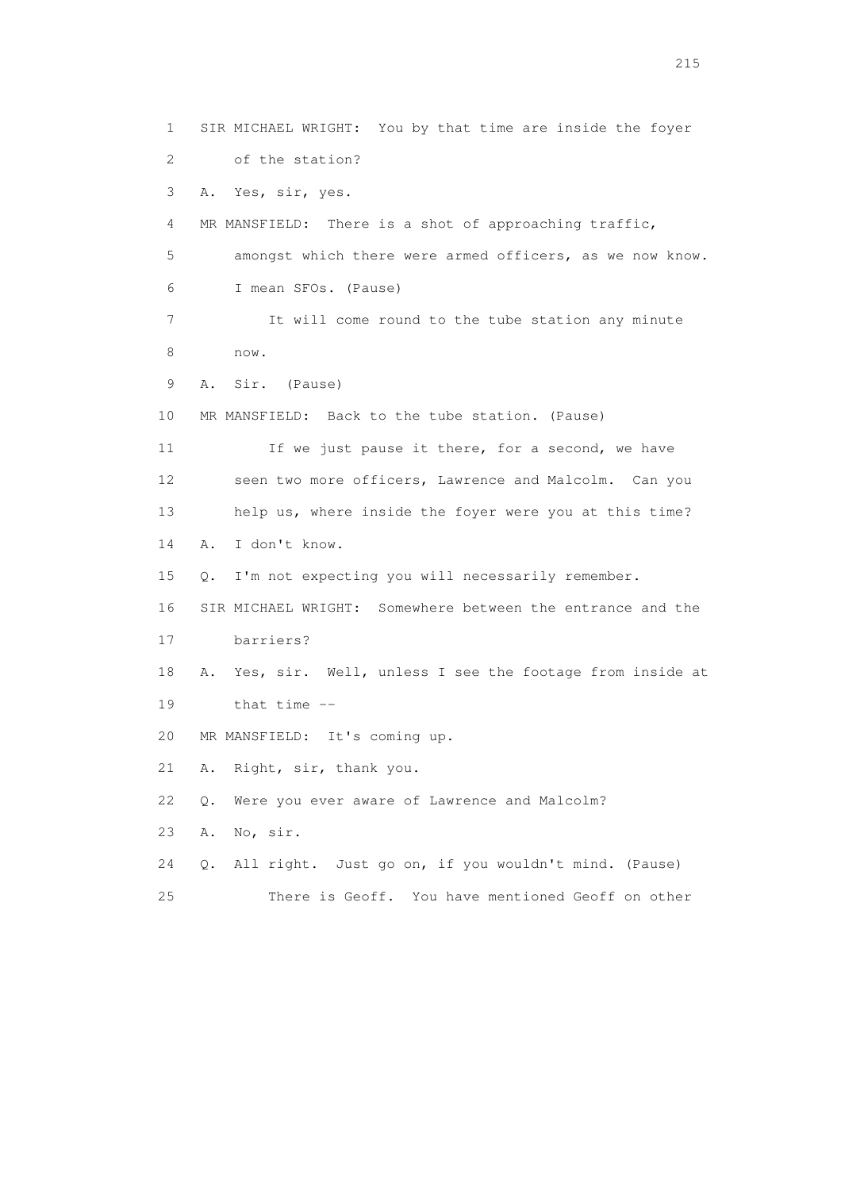1 SIR MICHAEL WRIGHT: You by that time are inside the foyer 2 of the station? 3 A. Yes, sir, yes. 4 MR MANSFIELD: There is a shot of approaching traffic, 5 amongst which there were armed officers, as we now know. 6 I mean SFOs. (Pause) 7 It will come round to the tube station any minute 8 now. 9 A. Sir. (Pause) 10 MR MANSFIELD: Back to the tube station. (Pause) 11 If we just pause it there, for a second, we have 12 seen two more officers, Lawrence and Malcolm. Can you 13 help us, where inside the foyer were you at this time? 14 A. I don't know. 15 Q. I'm not expecting you will necessarily remember. 16 SIR MICHAEL WRIGHT: Somewhere between the entrance and the 17 barriers? 18 A. Yes, sir. Well, unless I see the footage from inside at 19 that time -- 20 MR MANSFIELD: It's coming up. 21 A. Right, sir, thank you. 22 Q. Were you ever aware of Lawrence and Malcolm? 23 A. No, sir. 24 Q. All right. Just go on, if you wouldn't mind. (Pause) 25 There is Geoff. You have mentioned Geoff on other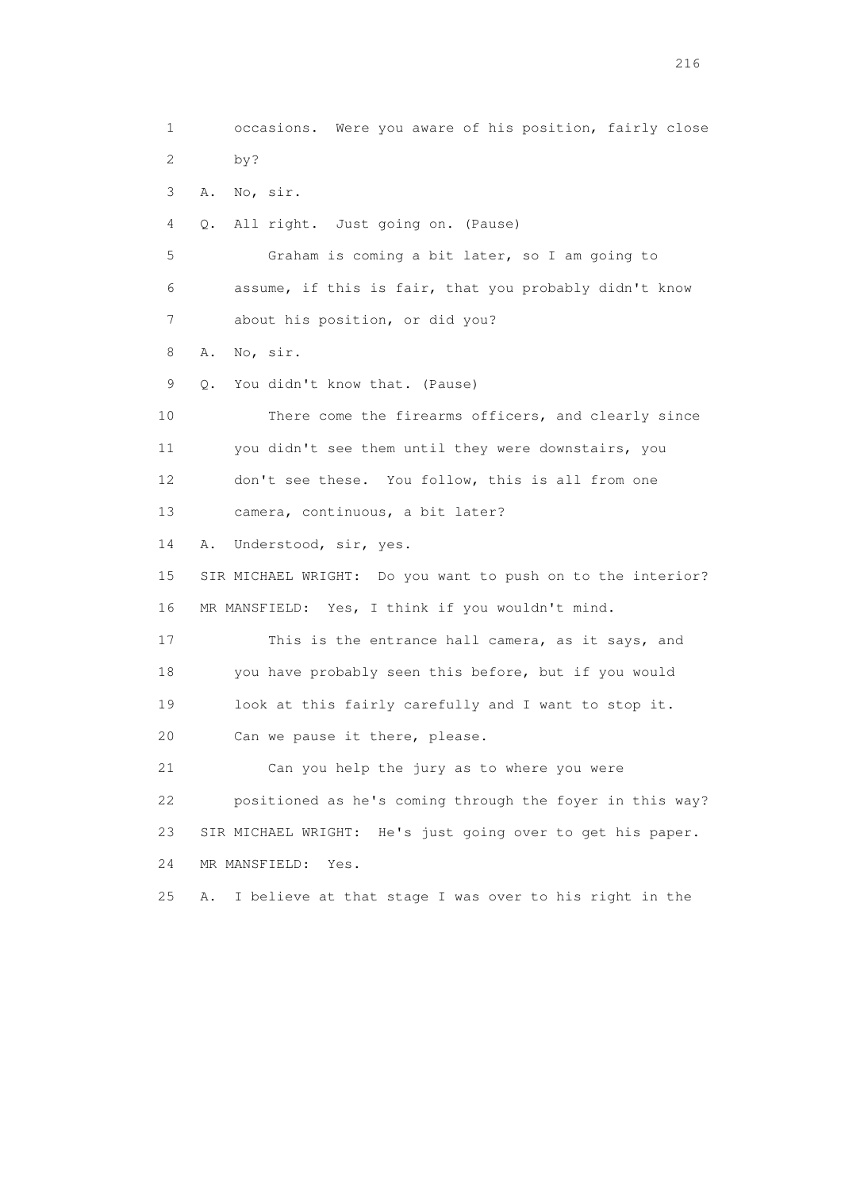1 occasions. Were you aware of his position, fairly close 2 by? 3 A. No, sir. 4 Q. All right. Just going on. (Pause) 5 Graham is coming a bit later, so I am going to 6 assume, if this is fair, that you probably didn't know 7 about his position, or did you? 8 A. No, sir. 9 Q. You didn't know that. (Pause) 10 There come the firearms officers, and clearly since 11 you didn't see them until they were downstairs, you 12 don't see these. You follow, this is all from one 13 camera, continuous, a bit later? 14 A. Understood, sir, yes. 15 SIR MICHAEL WRIGHT: Do you want to push on to the interior? 16 MR MANSFIELD: Yes, I think if you wouldn't mind. 17 This is the entrance hall camera, as it says, and 18 you have probably seen this before, but if you would 19 look at this fairly carefully and I want to stop it. 20 Can we pause it there, please. 21 Can you help the jury as to where you were 22 positioned as he's coming through the foyer in this way? 23 SIR MICHAEL WRIGHT: He's just going over to get his paper. 24 MR MANSFIELD: Yes. 25 A. I believe at that stage I was over to his right in the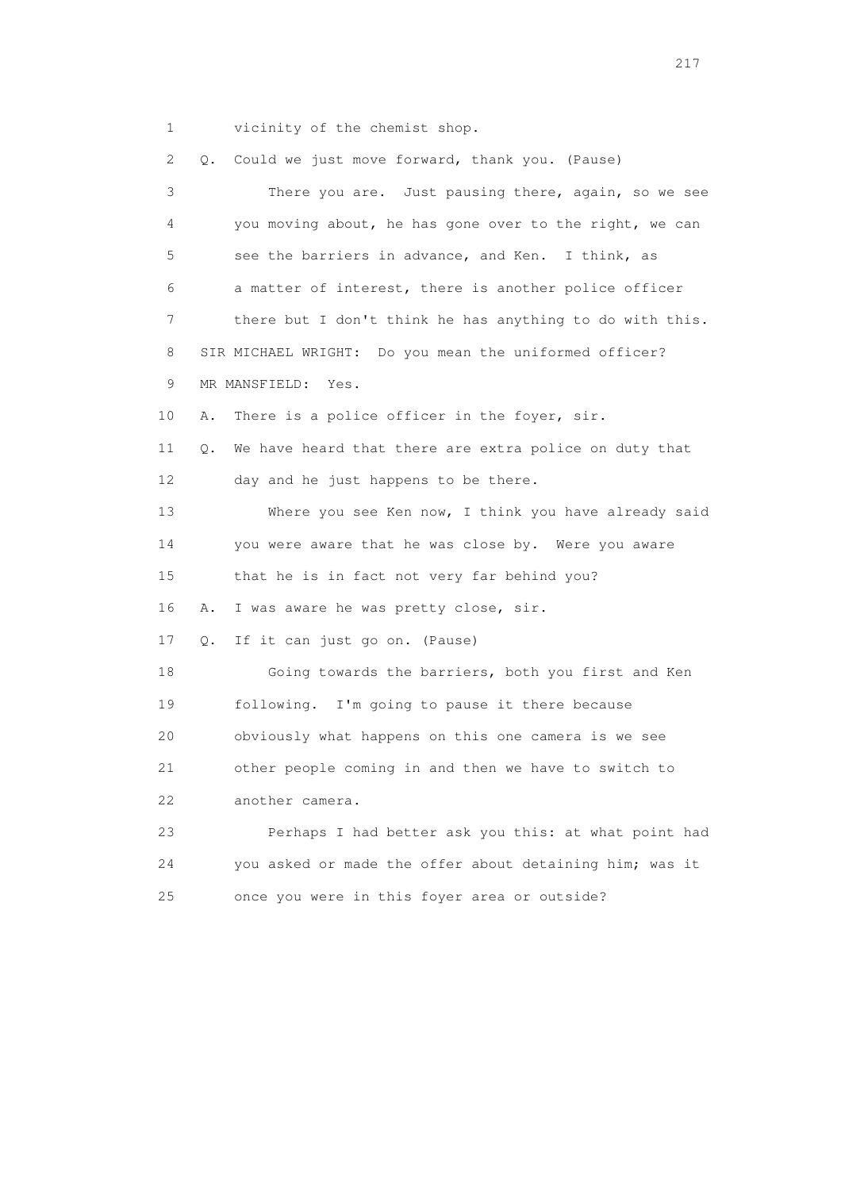1 vicinity of the chemist shop.

 2 Q. Could we just move forward, thank you. (Pause) 3 There you are. Just pausing there, again, so we see 4 you moving about, he has gone over to the right, we can 5 see the barriers in advance, and Ken. I think, as 6 a matter of interest, there is another police officer 7 there but I don't think he has anything to do with this. 8 SIR MICHAEL WRIGHT: Do you mean the uniformed officer? 9 MR MANSFIELD: Yes. 10 A. There is a police officer in the foyer, sir. 11 Q. We have heard that there are extra police on duty that 12 day and he just happens to be there. 13 Where you see Ken now, I think you have already said 14 you were aware that he was close by. Were you aware 15 that he is in fact not very far behind you? 16 A. I was aware he was pretty close, sir. 17 Q. If it can just go on. (Pause) 18 Going towards the barriers, both you first and Ken 19 following. I'm going to pause it there because 20 obviously what happens on this one camera is we see 21 other people coming in and then we have to switch to 22 another camera. 23 Perhaps I had better ask you this: at what point had 24 you asked or made the offer about detaining him; was it 25 once you were in this foyer area or outside?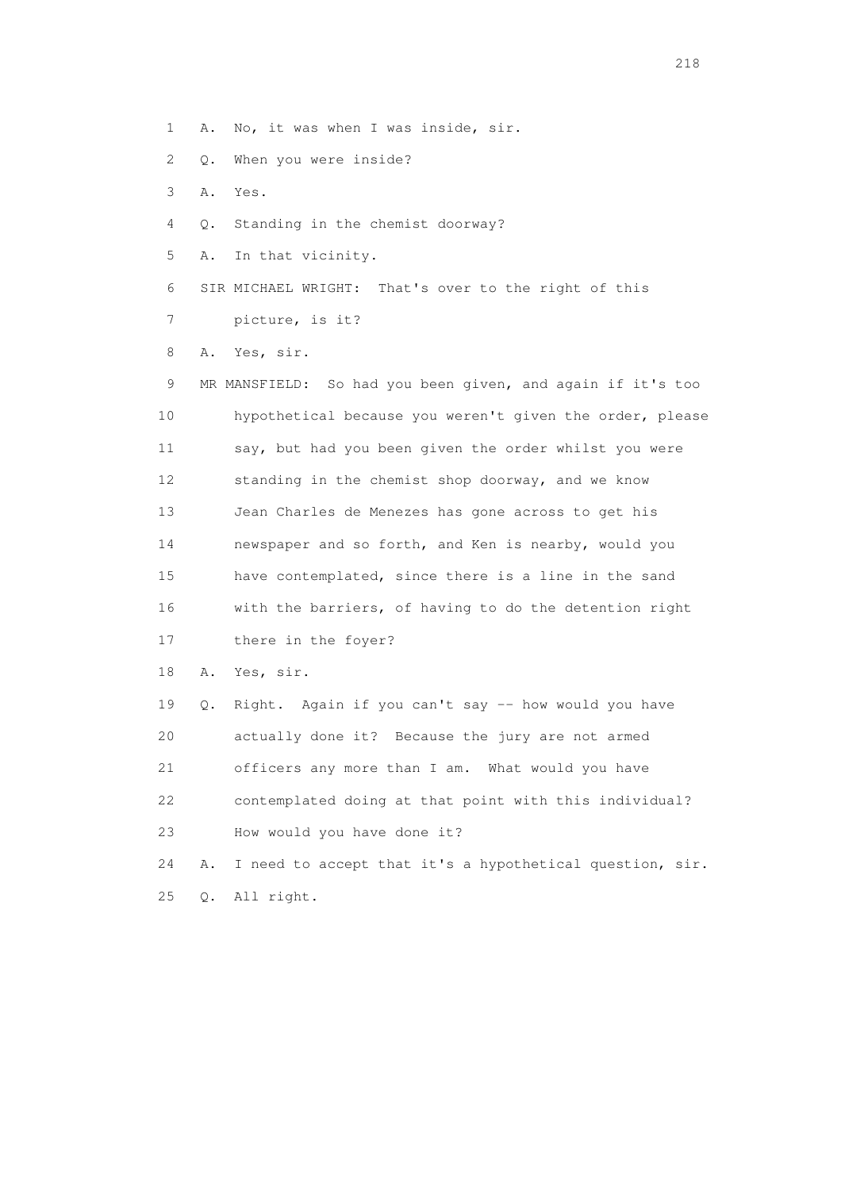1 A. No, it was when I was inside, sir.

- 2 Q. When you were inside?
- 3 A. Yes.
- 4 Q. Standing in the chemist doorway?
- 5 A. In that vicinity.
- 6 SIR MICHAEL WRIGHT: That's over to the right of this
- 7 picture, is it?

8 A. Yes, sir.

 9 MR MANSFIELD: So had you been given, and again if it's too 10 hypothetical because you weren't given the order, please 11 say, but had you been given the order whilst you were 12 standing in the chemist shop doorway, and we know 13 Jean Charles de Menezes has gone across to get his 14 newspaper and so forth, and Ken is nearby, would you 15 have contemplated, since there is a line in the sand 16 with the barriers, of having to do the detention right 17 there in the foyer? 18 A. Yes, sir. 19 Q. Right. Again if you can't say -- how would you have

20 actually done it? Because the jury are not armed

21 officers any more than I am. What would you have

23 How would you have done it?

25 Q. All right.

22 contemplated doing at that point with this individual?

24 A. I need to accept that it's a hypothetical question, sir.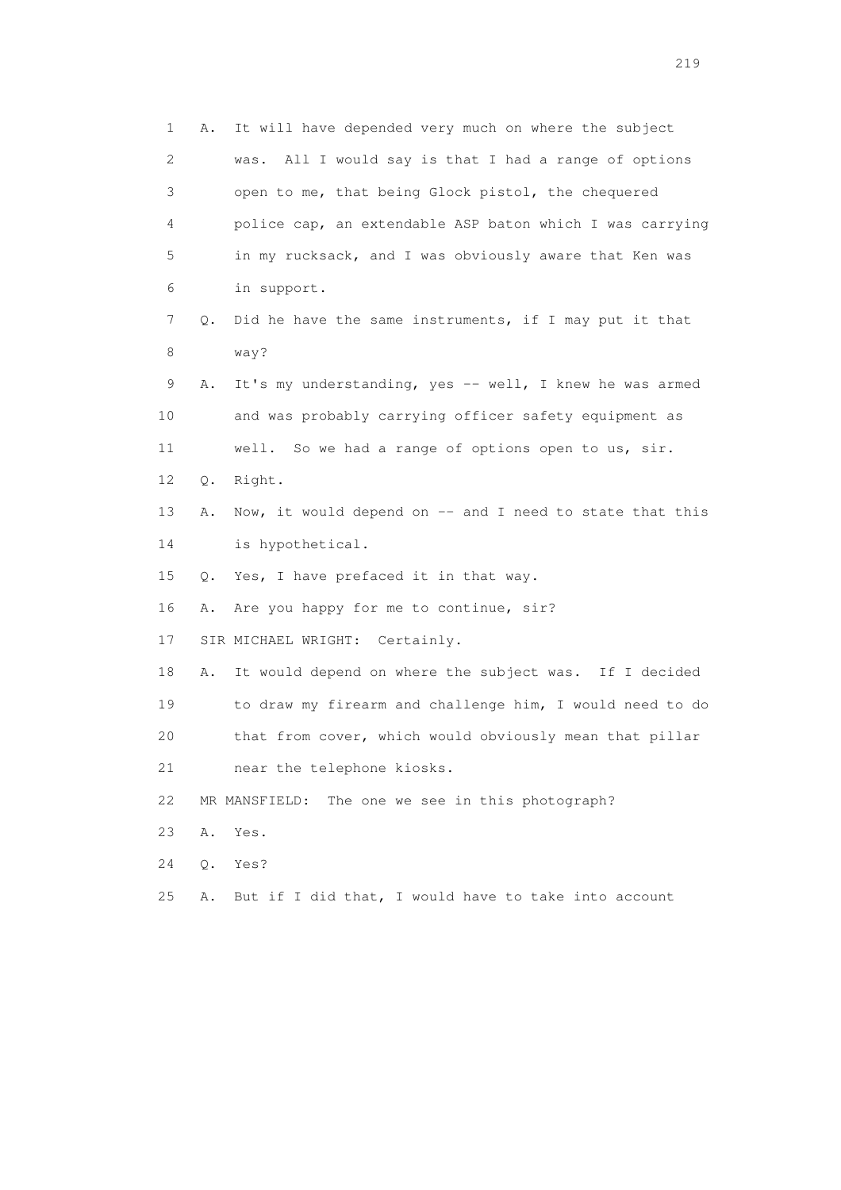1 A. It will have depended very much on where the subject 2 was. All I would say is that I had a range of options 3 open to me, that being Glock pistol, the chequered 4 police cap, an extendable ASP baton which I was carrying 5 in my rucksack, and I was obviously aware that Ken was 6 in support. 7 Q. Did he have the same instruments, if I may put it that 8 way? 9 A. It's my understanding, yes -- well, I knew he was armed 10 and was probably carrying officer safety equipment as 11 well. So we had a range of options open to us, sir. 12 Q. Right. 13 A. Now, it would depend on -- and I need to state that this 14 is hypothetical. 15 Q. Yes, I have prefaced it in that way. 16 A. Are you happy for me to continue, sir? 17 SIR MICHAEL WRIGHT: Certainly. 18 A. It would depend on where the subject was. If I decided 19 to draw my firearm and challenge him, I would need to do 20 that from cover, which would obviously mean that pillar 21 near the telephone kiosks. 22 MR MANSFIELD: The one we see in this photograph? 23 A. Yes. 24 Q. Yes? 25 A. But if I did that, I would have to take into account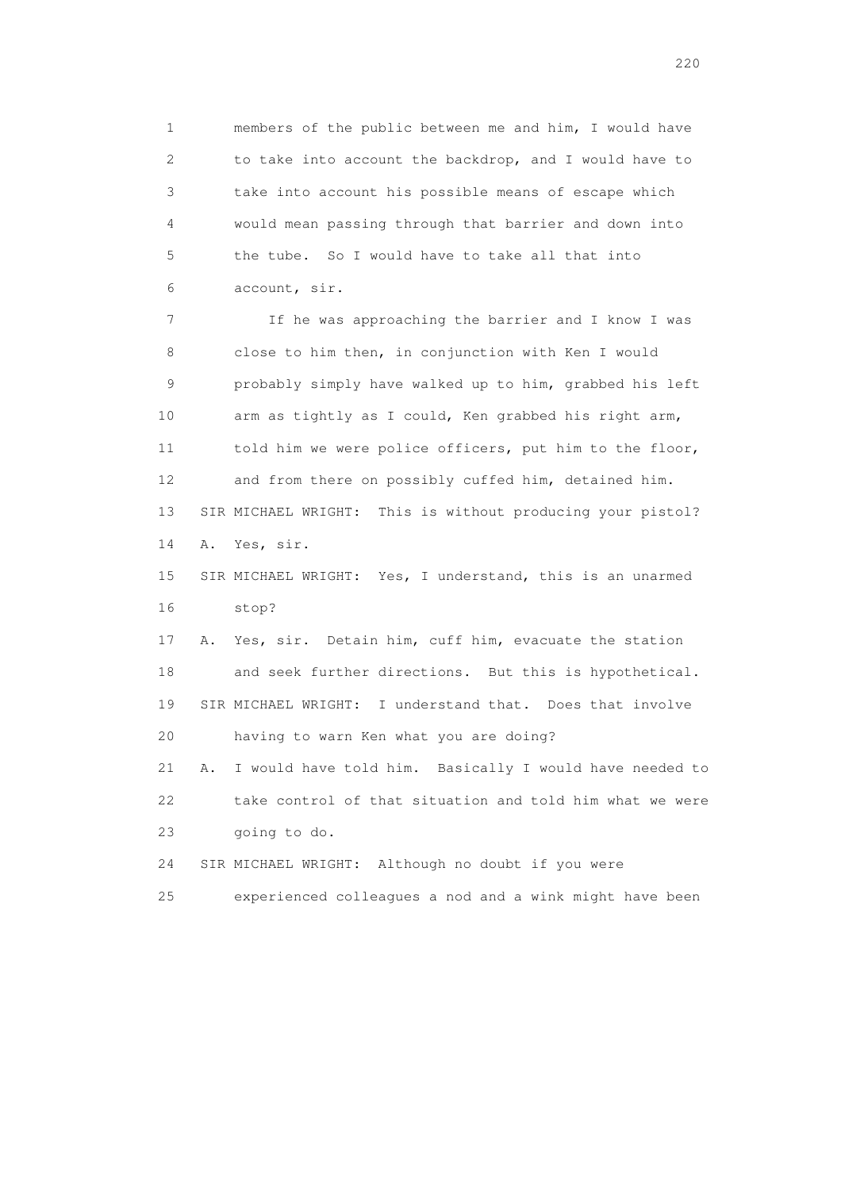1 members of the public between me and him, I would have 2 to take into account the backdrop, and I would have to 3 take into account his possible means of escape which 4 would mean passing through that barrier and down into 5 the tube. So I would have to take all that into 6 account, sir.

 7 If he was approaching the barrier and I know I was 8 close to him then, in conjunction with Ken I would 9 probably simply have walked up to him, grabbed his left 10 arm as tightly as I could, Ken grabbed his right arm, 11 told him we were police officers, put him to the floor, 12 and from there on possibly cuffed him, detained him. 13 SIR MICHAEL WRIGHT: This is without producing your pistol? 14 A. Yes, sir.

 15 SIR MICHAEL WRIGHT: Yes, I understand, this is an unarmed 16 stop?

 17 A. Yes, sir. Detain him, cuff him, evacuate the station 18 and seek further directions. But this is hypothetical. 19 SIR MICHAEL WRIGHT: I understand that. Does that involve 20 having to warn Ken what you are doing?

 21 A. I would have told him. Basically I would have needed to 22 take control of that situation and told him what we were 23 going to do.

24 SIR MICHAEL WRIGHT: Although no doubt if you were

25 experienced colleagues a nod and a wink might have been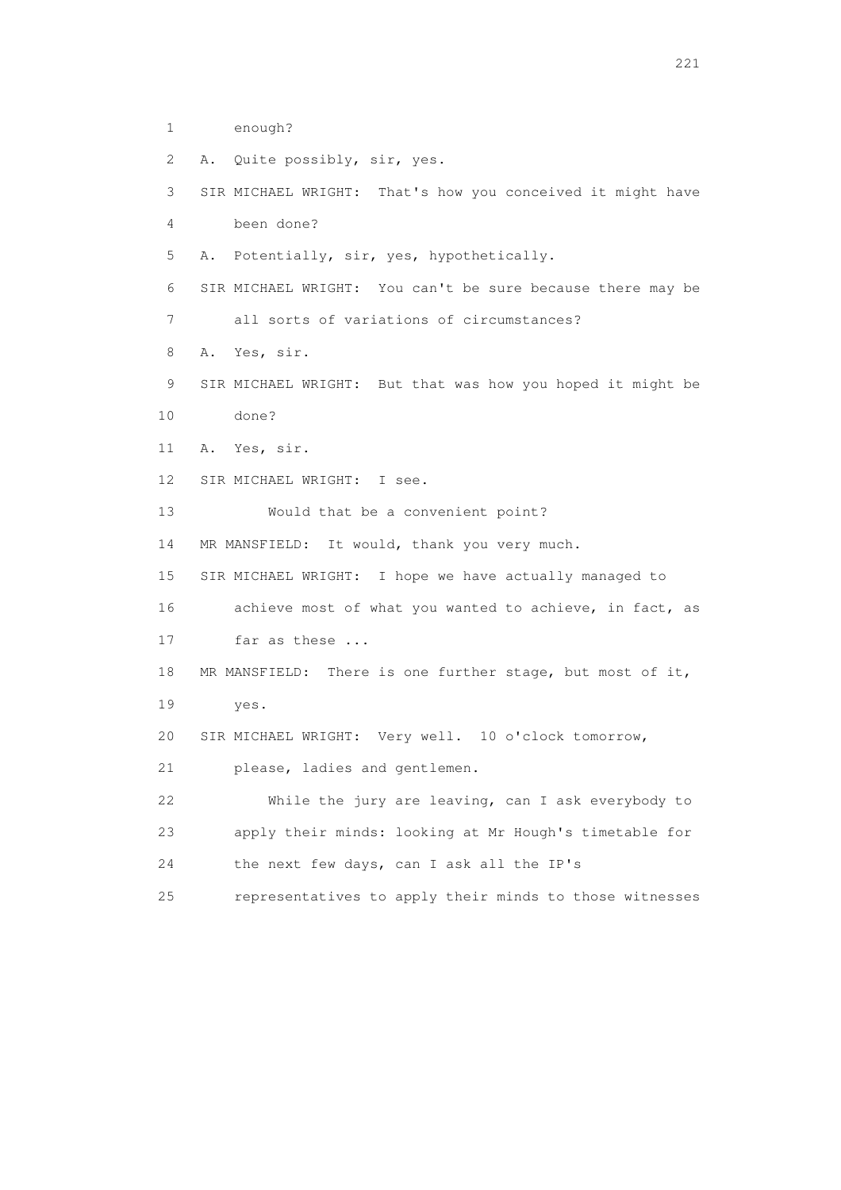- 1 enough?
- 2 A. Quite possibly, sir, yes.

 3 SIR MICHAEL WRIGHT: That's how you conceived it might have 4 been done?

5 A. Potentially, sir, yes, hypothetically.

6 SIR MICHAEL WRIGHT: You can't be sure because there may be

7 all sorts of variations of circumstances?

8 A. Yes, sir.

9 SIR MICHAEL WRIGHT: But that was how you hoped it might be

10 done?

11 A. Yes, sir.

12 SIR MICHAEL WRIGHT: I see.

13 Would that be a convenient point?

14 MR MANSFIELD: It would, thank you very much.

15 SIR MICHAEL WRIGHT: I hope we have actually managed to

16 achieve most of what you wanted to achieve, in fact, as

17 far as these ...

18 MR MANSFIELD: There is one further stage, but most of it,

19 yes.

20 SIR MICHAEL WRIGHT: Very well. 10 o'clock tomorrow,

21 please, ladies and gentlemen.

 22 While the jury are leaving, can I ask everybody to 23 apply their minds: looking at Mr Hough's timetable for 24 the next few days, can I ask all the IP's

25 representatives to apply their minds to those witnesses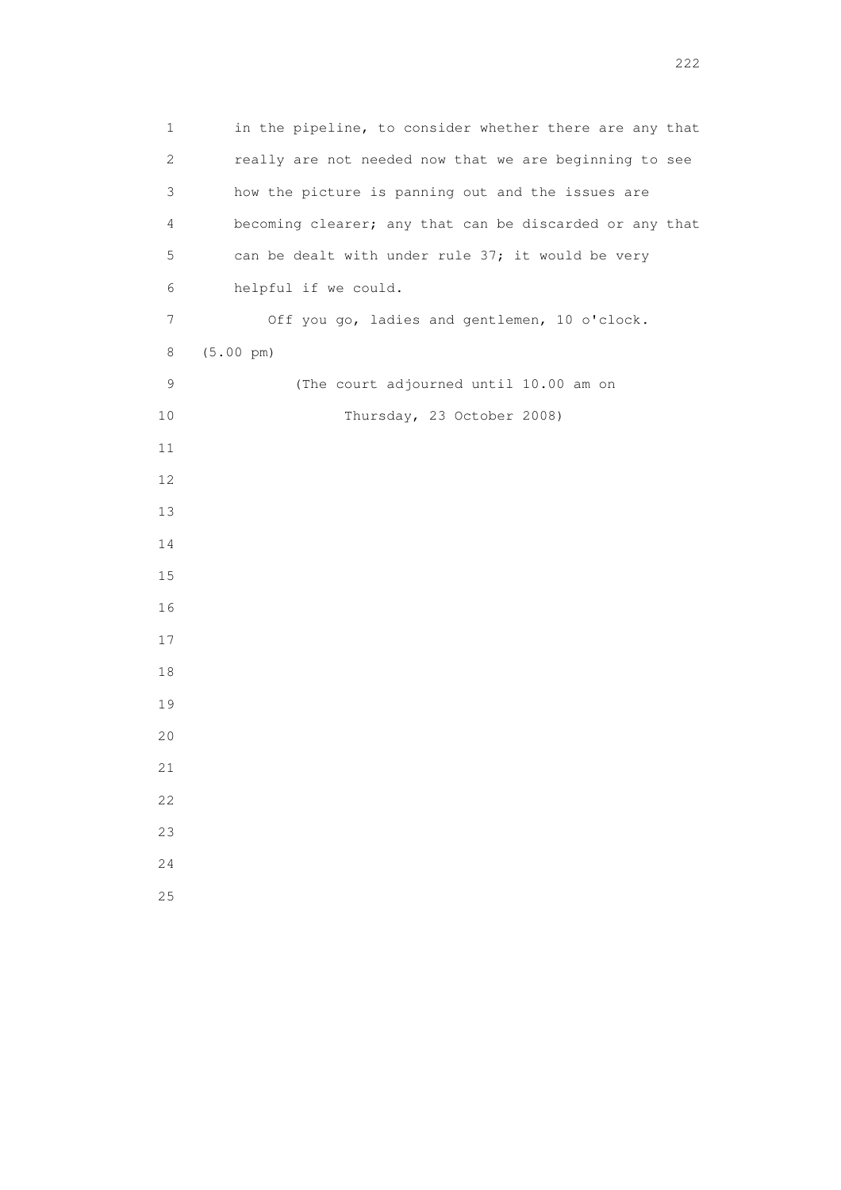1 in the pipeline, to consider whether there are any that 2 really are not needed now that we are beginning to see 3 how the picture is panning out and the issues are 4 becoming clearer; any that can be discarded or any that 5 can be dealt with under rule 37; it would be very 6 helpful if we could. 7 Off you go, ladies and gentlemen, 10 o'clock. 8 (5.00 pm) 9 (The court adjourned until 10.00 am on 10 Thursday, 23 October 2008)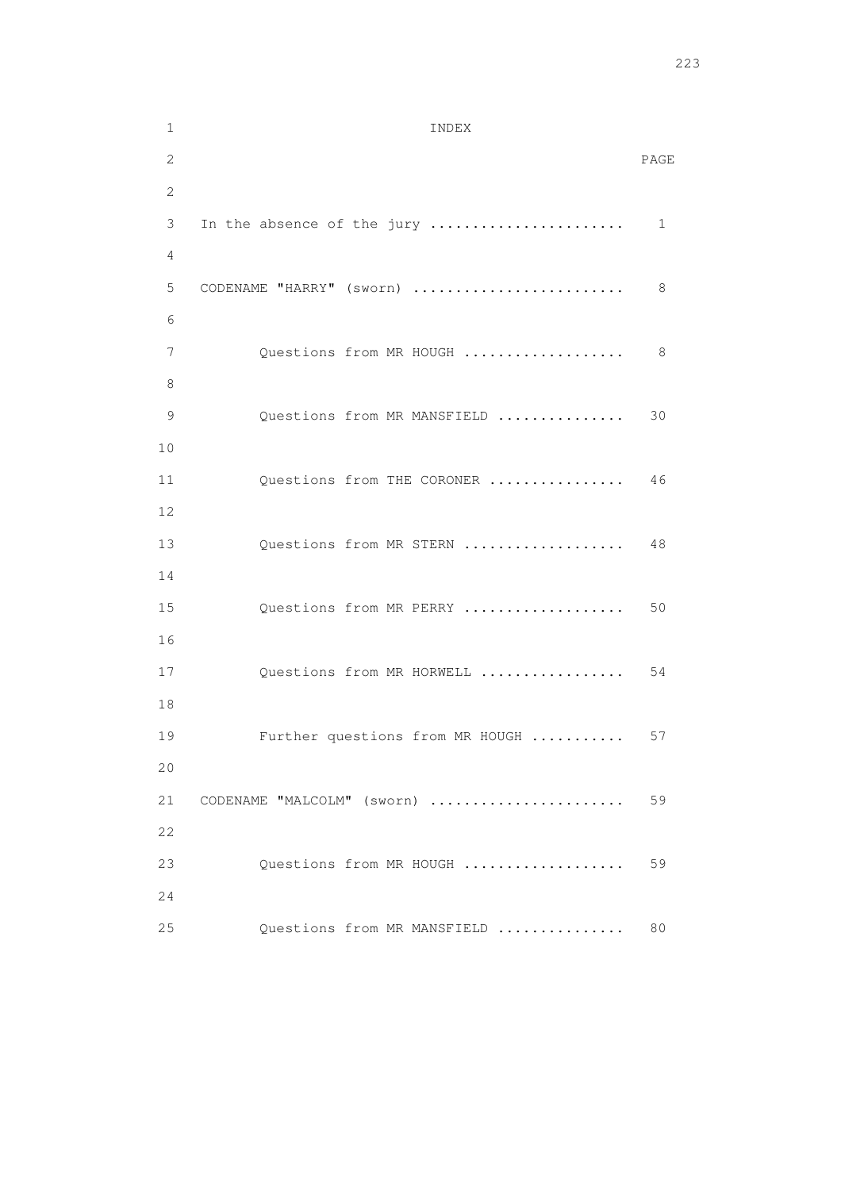1 INDEX 2 PAGE 2 3 In the absence of the jury ....................... 1 4 5 CODENAME "HARRY" (sworn) ......................... 8 6 7 Questions from MR HOUGH ........................... 8 8 9 Questions from MR MANSFIELD ............... 30 10 11 Questions from THE CORONER ................ 46 12 13 Questions from MR STERN ..................... 48 14 15 Questions from MR PERRY ...................... 50 16 17 Questions from MR HORWELL ................... 54 18 19 Further questions from MR HOUGH ........... 57 20 21 CODENAME "MALCOLM" (sworn) ....................... 59 22 23 Questions from MR HOUGH ..................... 59 24 25 Questions from MR MANSFIELD ............... 80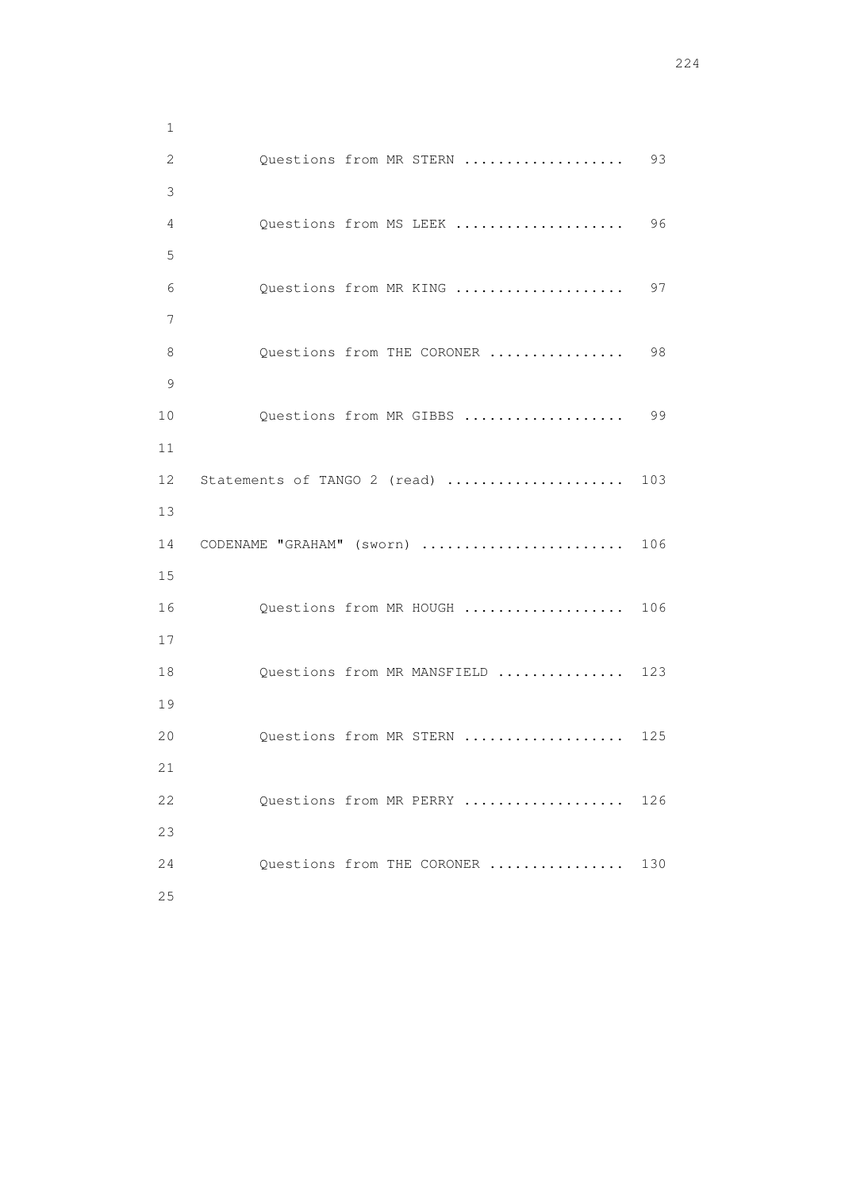1 2 Questions from MR STERN ...................... 93 3 4 Questions from MS LEEK .................... 96 5 6 Questions from MR KING .................... 97 7 8 Questions from THE CORONER ................ 98 9 10 Questions from MR GIBBS ................... 99 11 12 Statements of TANGO 2 (read) ...................... 103 13 14 CODENAME "GRAHAM" (sworn) ........................ 106 15 16 Questions from MR HOUGH .................... 106 17 18 Questions from MR MANSFIELD ............... 123 19 20 Questions from MR STERN ................... 125 21 22 Questions from MR PERRY ................... 126 23 24 Questions from THE CORONER ................ 130 25